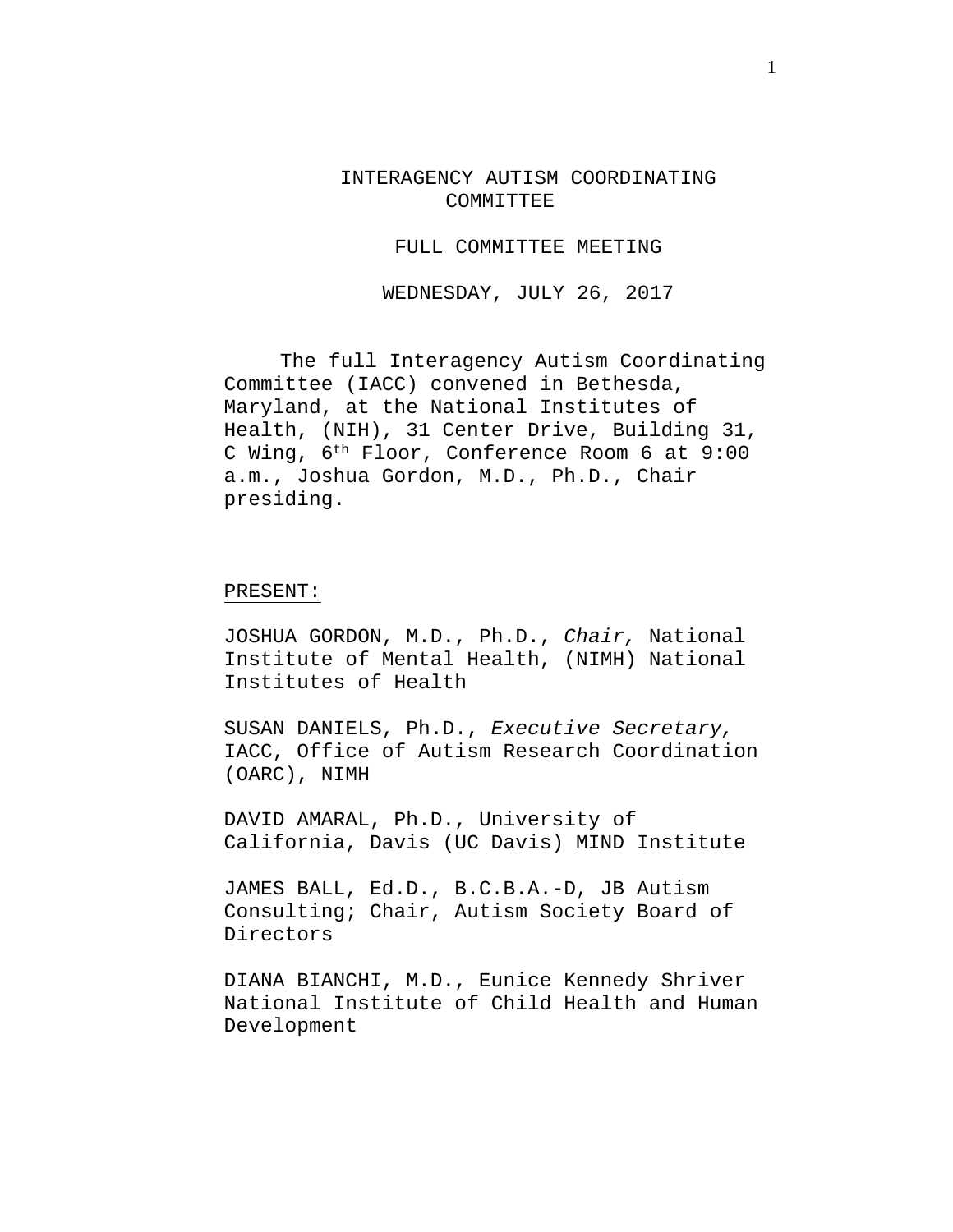INTERAGENCY AUTISM COORDINATING COMMITTEE

FULL COMMITTEE MEETING

WEDNESDAY, JULY 26, 2017

The full Interagency Autism Coordinating Committee (IACC) convened in Bethesda, Maryland, at the National Institutes of Health, (NIH), 31 Center Drive, Building 31, C Wing, 6th Floor, Conference Room 6 at 9:00 a.m., Joshua Gordon, M.D., Ph.D., Chair presiding.

#### PRESENT:

JOSHUA GORDON, M.D., Ph.D., *Chair,* National Institute of Mental Health, (NIMH) National Institutes of Health

SUSAN DANIELS, Ph.D., *Executive Secretary,* IACC, Office of Autism Research Coordination (OARC), NIMH

DAVID AMARAL, Ph.D., University of California, Davis (UC Davis) MIND Institute

JAMES BALL, Ed.D., B.C.B.A.-D, JB Autism Consulting; Chair, Autism Society Board of Directors

DIANA BIANCHI, M.D., Eunice Kennedy Shriver National Institute of Child Health and Human Development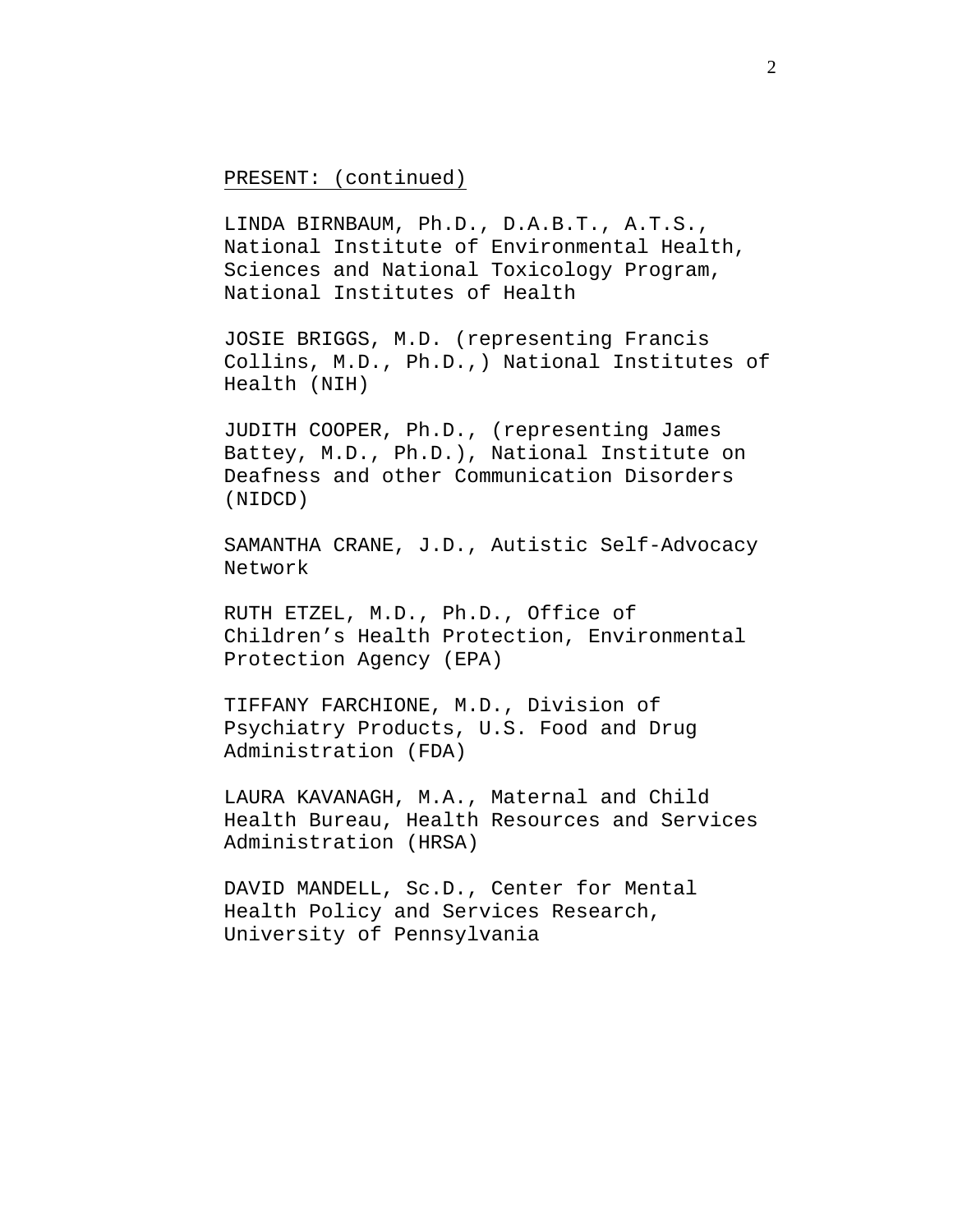# PRESENT: (continued)

LINDA BIRNBAUM, Ph.D., D.A.B.T., A.T.S., National Institute of Environmental Health, Sciences and National Toxicology Program, National Institutes of Health

JOSIE BRIGGS, M.D. (representing Francis Collins, M.D., Ph.D.,) National Institutes of Health (NIH)

JUDITH COOPER, Ph.D., (representing James Battey, M.D., Ph.D.), National Institute on Deafness and other Communication Disorders (NIDCD)

SAMANTHA CRANE, J.D., Autistic Self-Advocacy Network

RUTH ETZEL, M.D., Ph.D., Office of Children's Health Protection, Environmental Protection Agency (EPA)

TIFFANY FARCHIONE, M.D., Division of Psychiatry Products, U.S. Food and Drug Administration (FDA)

LAURA KAVANAGH, M.A., Maternal and Child Health Bureau, Health Resources and Services Administration (HRSA)

DAVID MANDELL, Sc.D., Center for Mental Health Policy and Services Research, University of Pennsylvania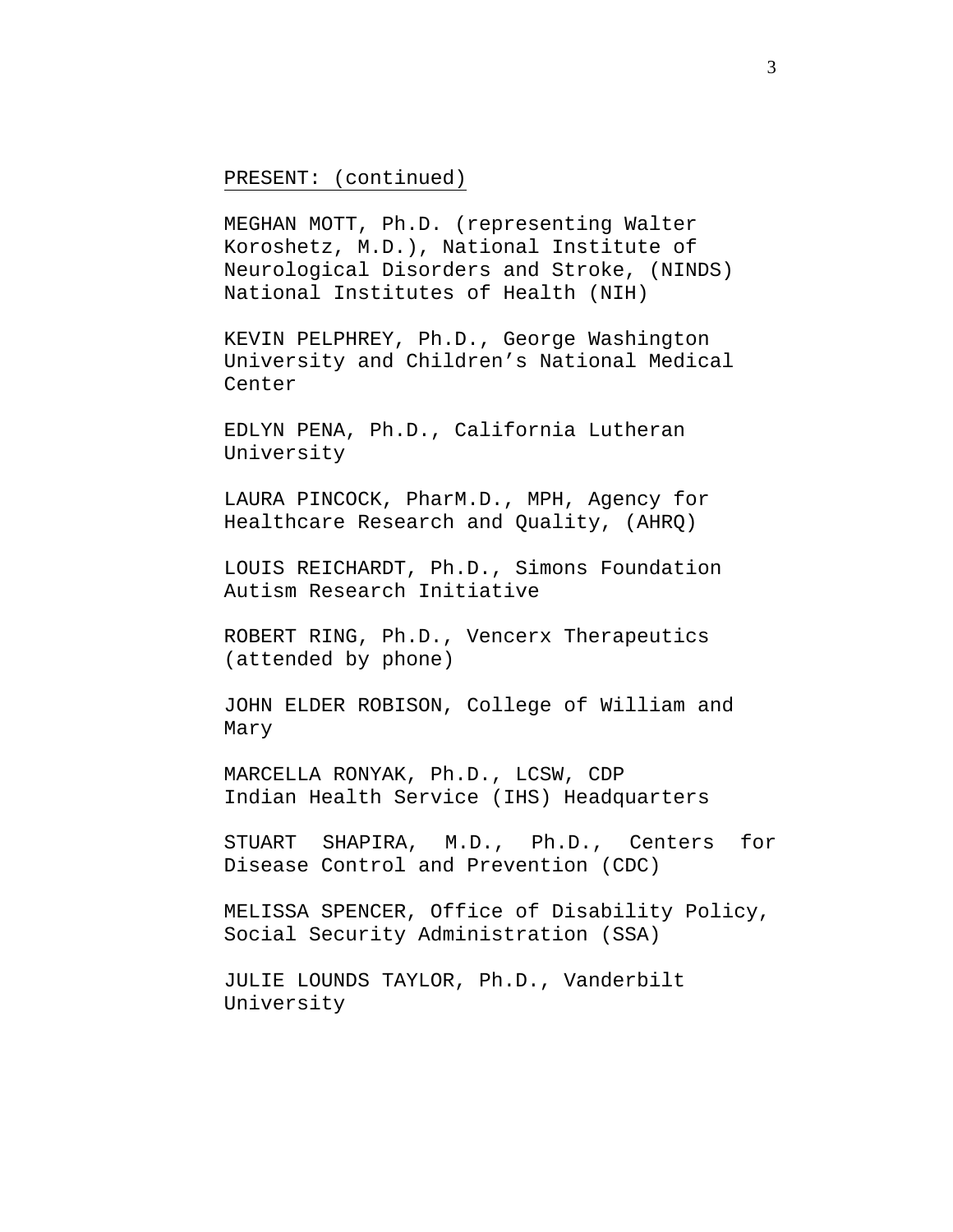# PRESENT: (continued)

MEGHAN MOTT, Ph.D. (representing Walter Koroshetz, M.D.), National Institute of Neurological Disorders and Stroke, (NINDS) National Institutes of Health (NIH)

KEVIN PELPHREY, Ph.D., George Washington University and Children's National Medical Center

EDLYN PENA, Ph.D., California Lutheran University

LAURA PINCOCK, PharM.D., MPH, Agency for Healthcare Research and Quality, (AHRQ)

LOUIS REICHARDT, Ph.D., Simons Foundation Autism Research Initiative

ROBERT RING, Ph.D., Vencerx Therapeutics (attended by phone)

JOHN ELDER ROBISON, College of William and Mary

MARCELLA RONYAK, Ph.D., LCSW, CDP Indian Health Service (IHS) Headquarters

STUART SHAPIRA, M.D., Ph.D., Centers for Disease Control and Prevention (CDC)

MELISSA SPENCER, Office of Disability Policy, Social Security Administration (SSA)

JULIE LOUNDS TAYLOR, Ph.D., Vanderbilt University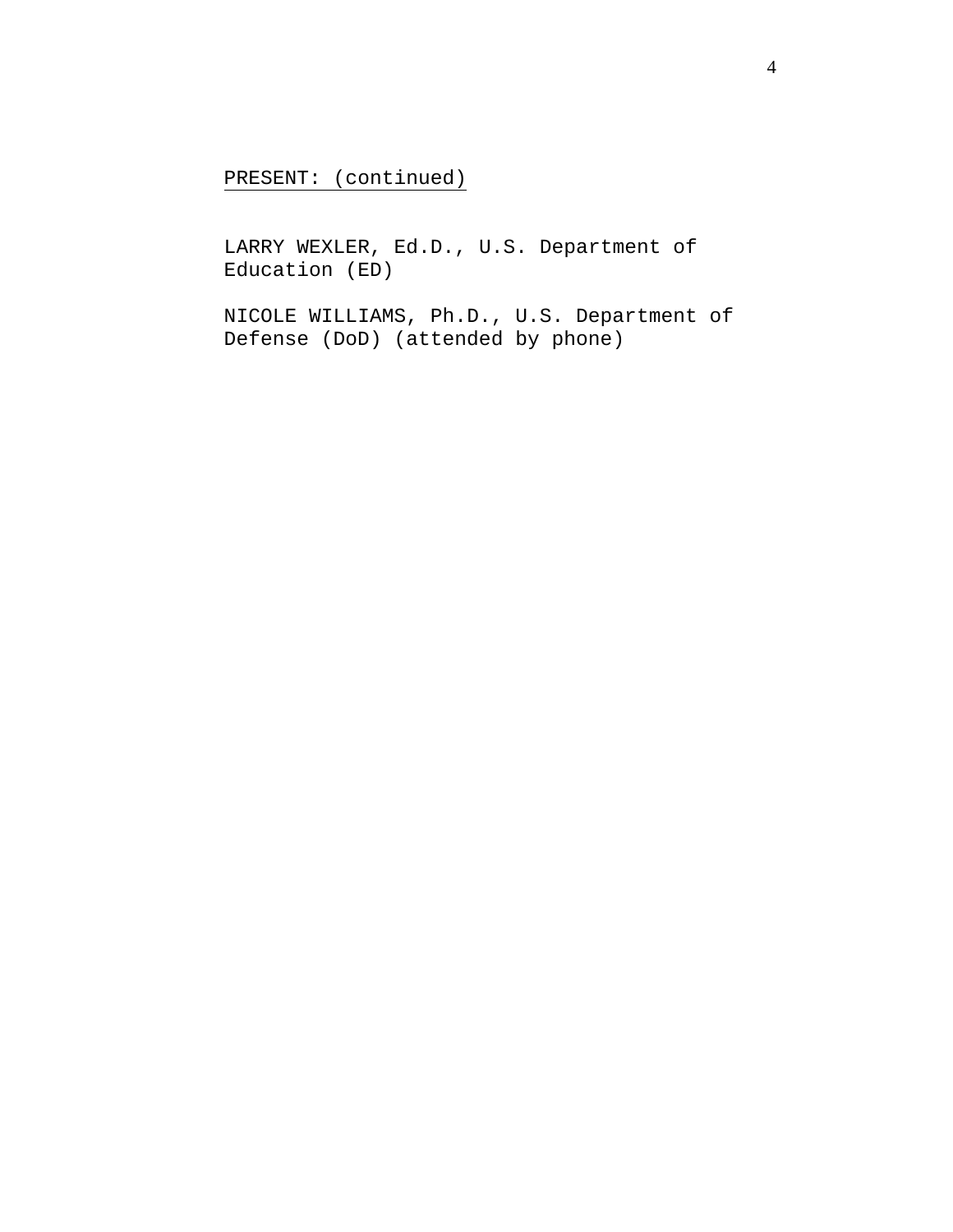PRESENT: (continued)

LARRY WEXLER, Ed.D., U.S. Department of Education (ED)

NICOLE WILLIAMS, Ph.D., U.S. Department of Defense (DoD) (attended by phone)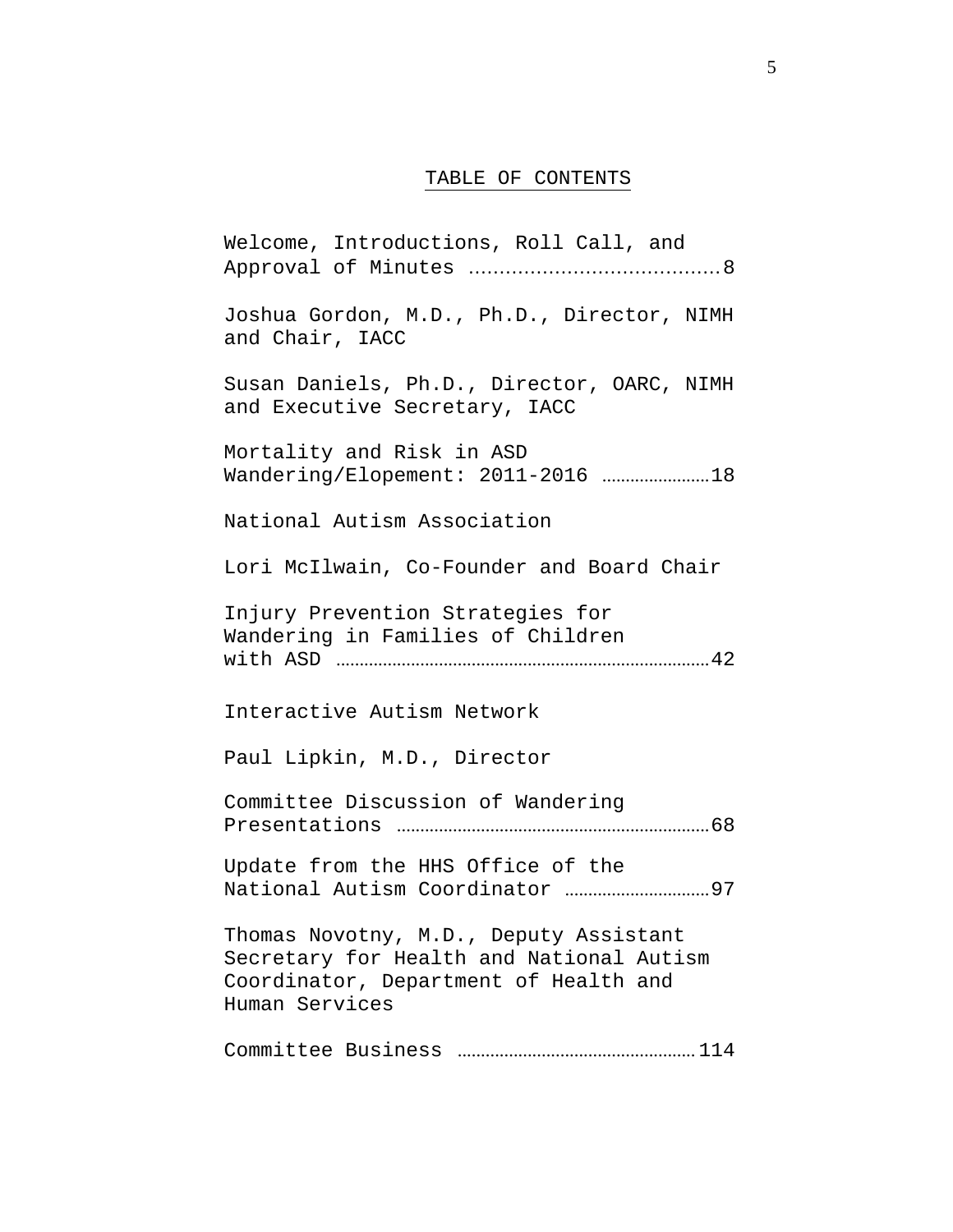### TABLE OF CONTENTS

[Welcome, Introductions, Roll Call, and](#page-7-0) Approval of Minutes .........................................8 Joshua Gordon, M.D., Ph.D., Director, NIMH and Chair, IACC Susan Daniels, Ph.D., Director, OARC, NIMH and Executive Secretary, IACC Mortality and Risk in ASD [Wandering/Elopement: 2011-2016](#page-17-0) ....................... 18 National Autism Association Lori McIlwain, Co-Founder and Board Chair Injury Prevention Strategies for [Wandering in Families of Children](#page-41-0)  with ASD ................................................................................ 42 Interactive Autism Network Paul Lipkin, M.D., Director [Committee Discussion of Wandering](#page-67-0)  Presentations ................................................................... 68 [Update from the HHS Office of the](#page-96-0)  National Autism Coordinator ............................... 97 Thomas Novotny, M.D., Deputy Assistant Secretary for Health and National Autism Coordinator, Department of Health and Human Services [Committee Business](#page-113-0) ................................................... 114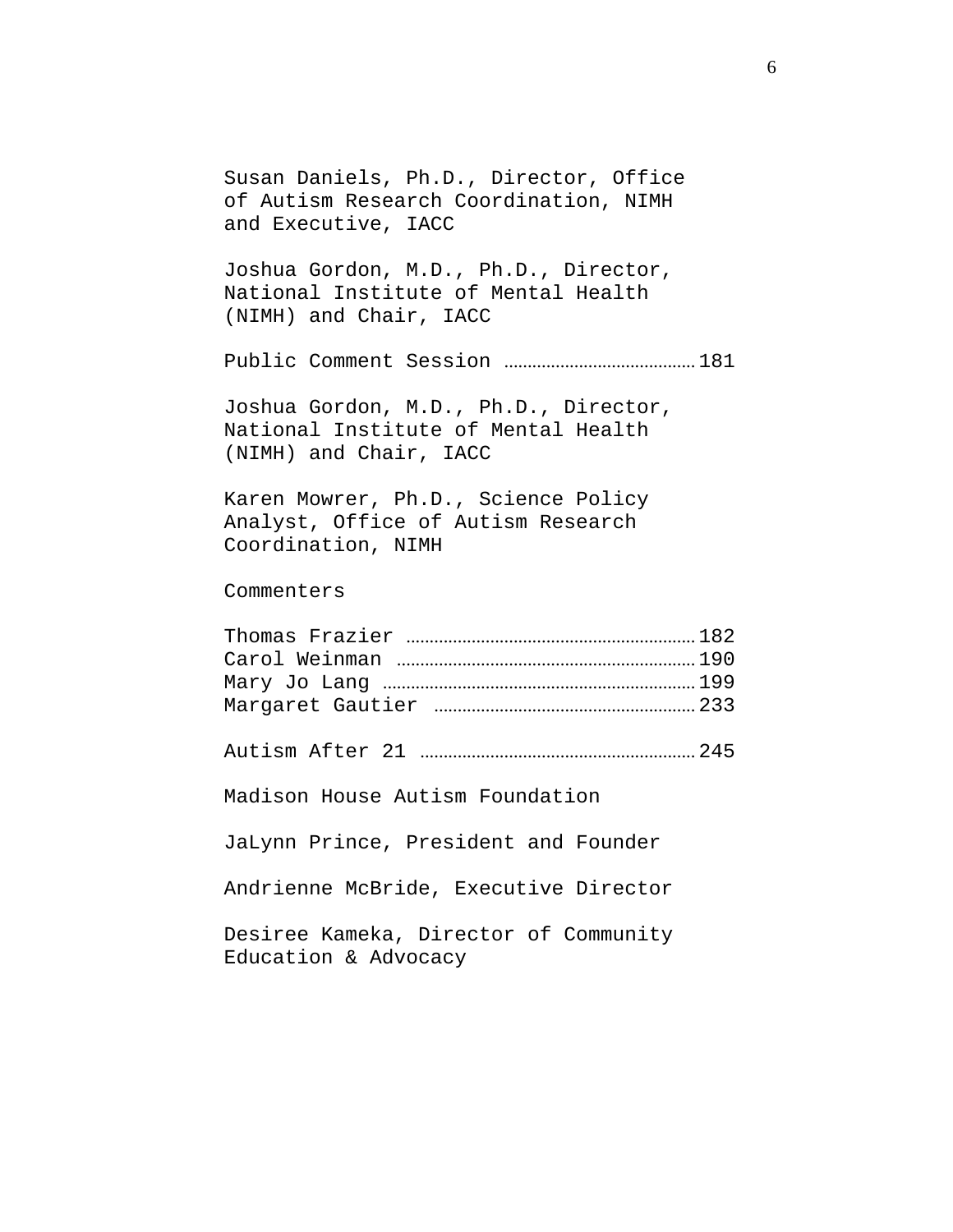Susan Daniels, Ph.D., Director, Office of Autism Research Coordination, NIMH and Executive, IACC Joshua Gordon, M.D., Ph.D., Director, National Institute of Mental Health (NIMH) and Chair, IACC Public Comment Session [.........................................](#page-180-0) 181 Joshua Gordon, M.D., Ph.D., Director, National Institute of Mental Health (NIMH) and Chair, IACC Karen Mowrer, Ph.D., Science Policy Analyst, Office of Autism Research Coordination, NIMH Commenters Thomas Frazier [..............................................................](#page-181-0) 182 Carol Weinman [................................................................](#page-189-0) 190 Mary Jo Lang [...................................................................](#page-198-0) 199 Margaret Gautier [........................................................](#page-232-0) 233 Autism After 21 [...........................................................](#page-244-0) 245 Madison House Autism Foundation JaLynn Prince, President and Founder Andrienne McBride, Executive Director Desiree Kameka, Director of Community Education & Advocacy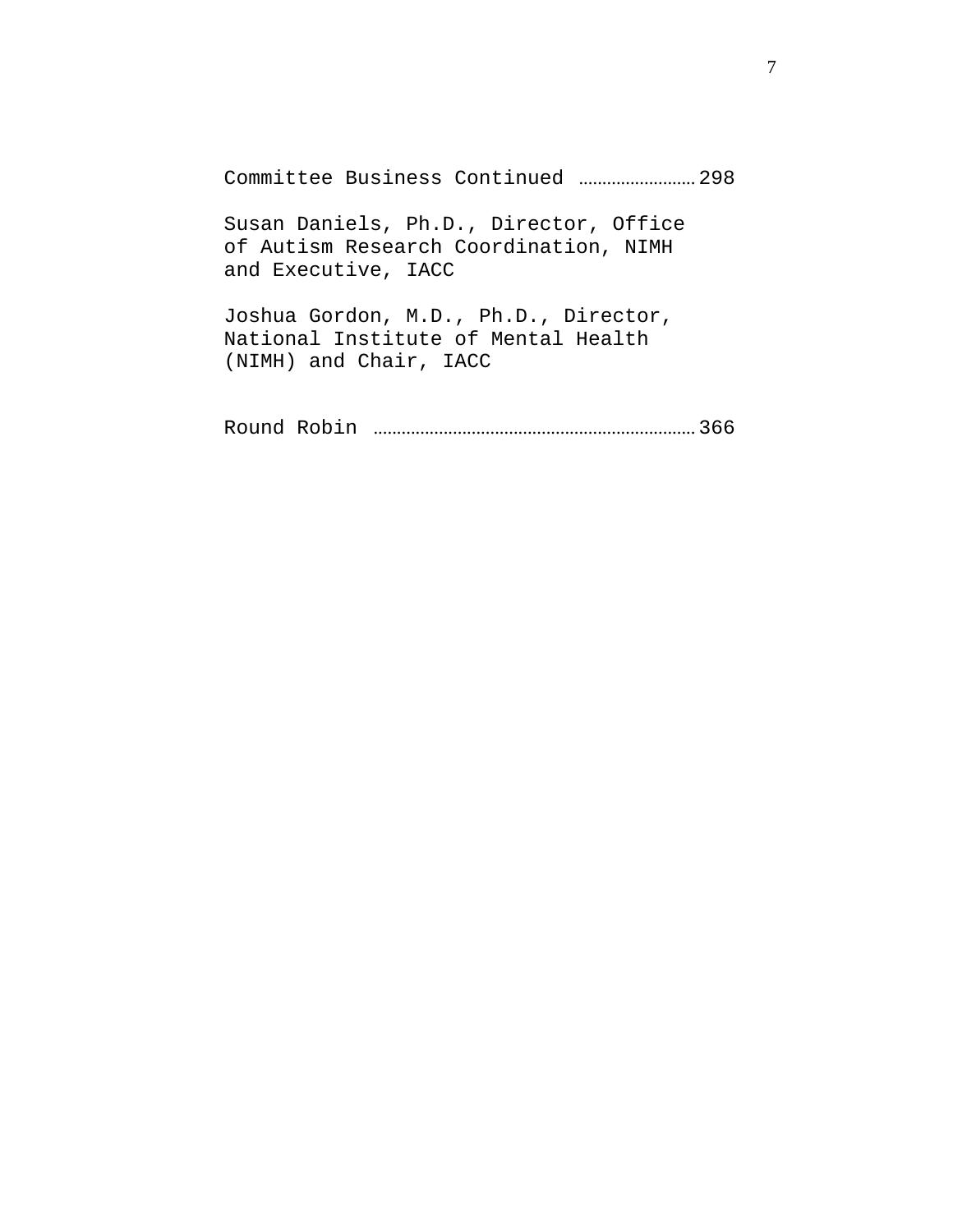[Committee Business Continued](#page-297-0) ......................... 298

Susan Daniels, Ph.D., Director, Office of Autism Research Coordination, NIMH and Executive, IACC

Joshua Gordon, M.D., Ph.D., Director, National Institute of Mental Health (NIMH) and Chair, IACC

Round Robin [.....................................................................](#page-365-0) 366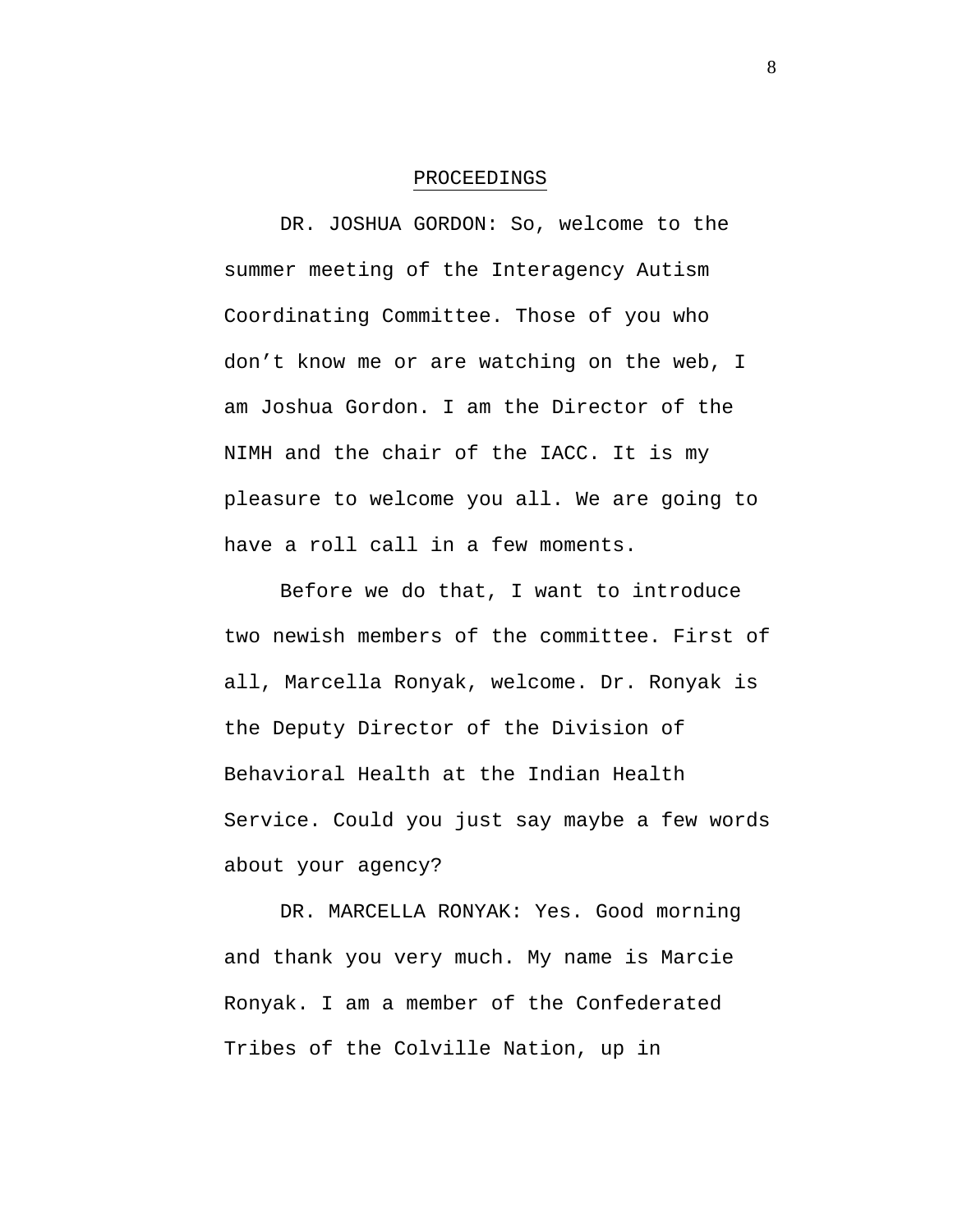#### PROCEEDINGS

<span id="page-7-0"></span>DR. JOSHUA GORDON: So, welcome to the summer meeting of the Interagency Autism Coordinating Committee. Those of you who don't know me or are watching on the web, I am Joshua Gordon. I am the Director of the NIMH and the chair of the IACC. It is my pleasure to welcome you all. We are going to have a roll call in a few moments.

Before we do that, I want to introduce two newish members of the committee. First of all, Marcella Ronyak, welcome. Dr. Ronyak is the Deputy Director of the Division of Behavioral Health at the Indian Health Service. Could you just say maybe a few words about your agency?

DR. MARCELLA RONYAK: Yes. Good morning and thank you very much. My name is Marcie Ronyak. I am a member of the Confederated Tribes of the Colville Nation, up in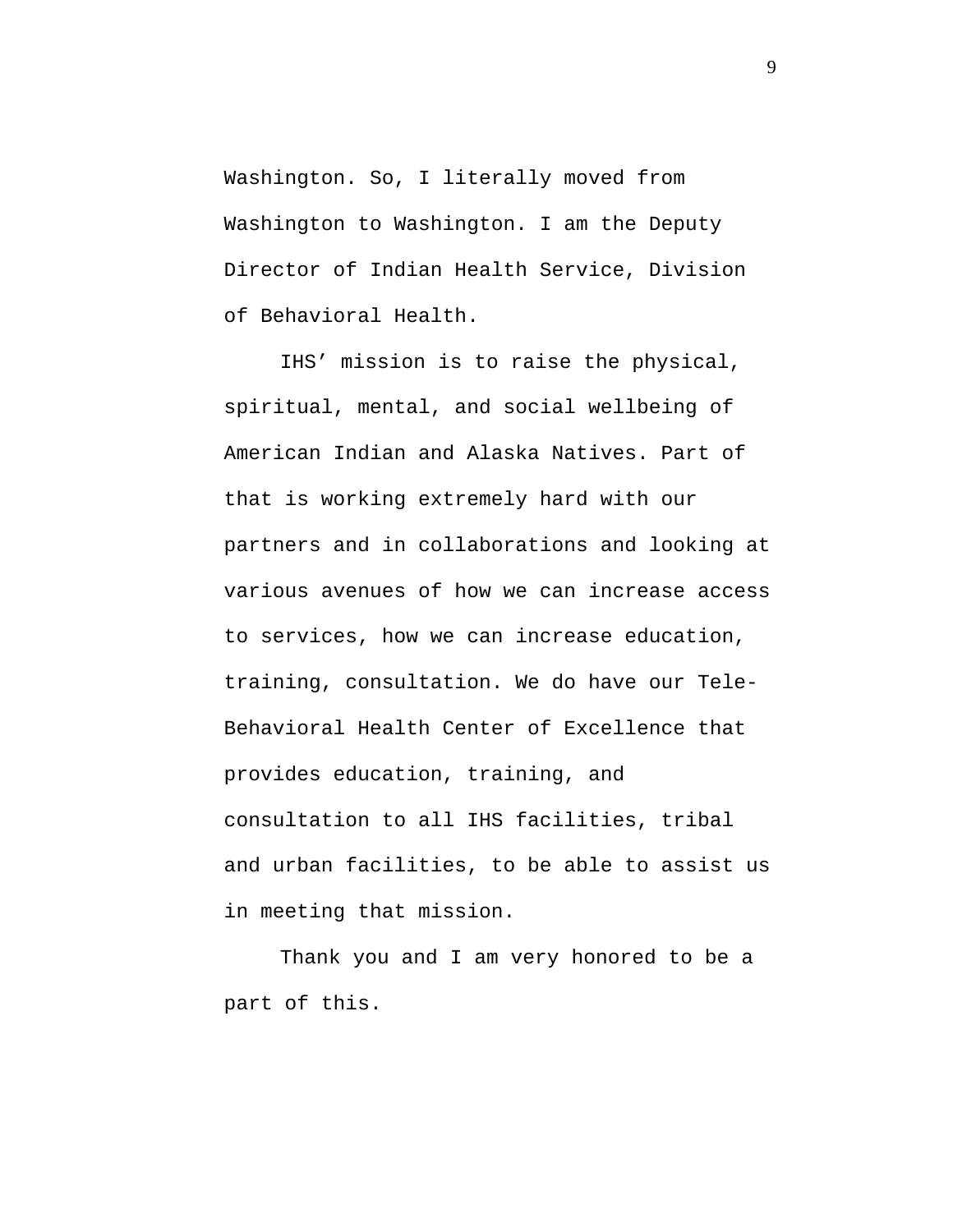Washington. So, I literally moved from Washington to Washington. I am the Deputy Director of Indian Health Service, Division of Behavioral Health.

IHS' mission is to raise the physical, spiritual, mental, and social wellbeing of American Indian and Alaska Natives. Part of that is working extremely hard with our partners and in collaborations and looking at various avenues of how we can increase access to services, how we can increase education, training, consultation. We do have our Tele-Behavioral Health Center of Excellence that provides education, training, and consultation to all IHS facilities, tribal and urban facilities, to be able to assist us in meeting that mission.

Thank you and I am very honored to be a part of this.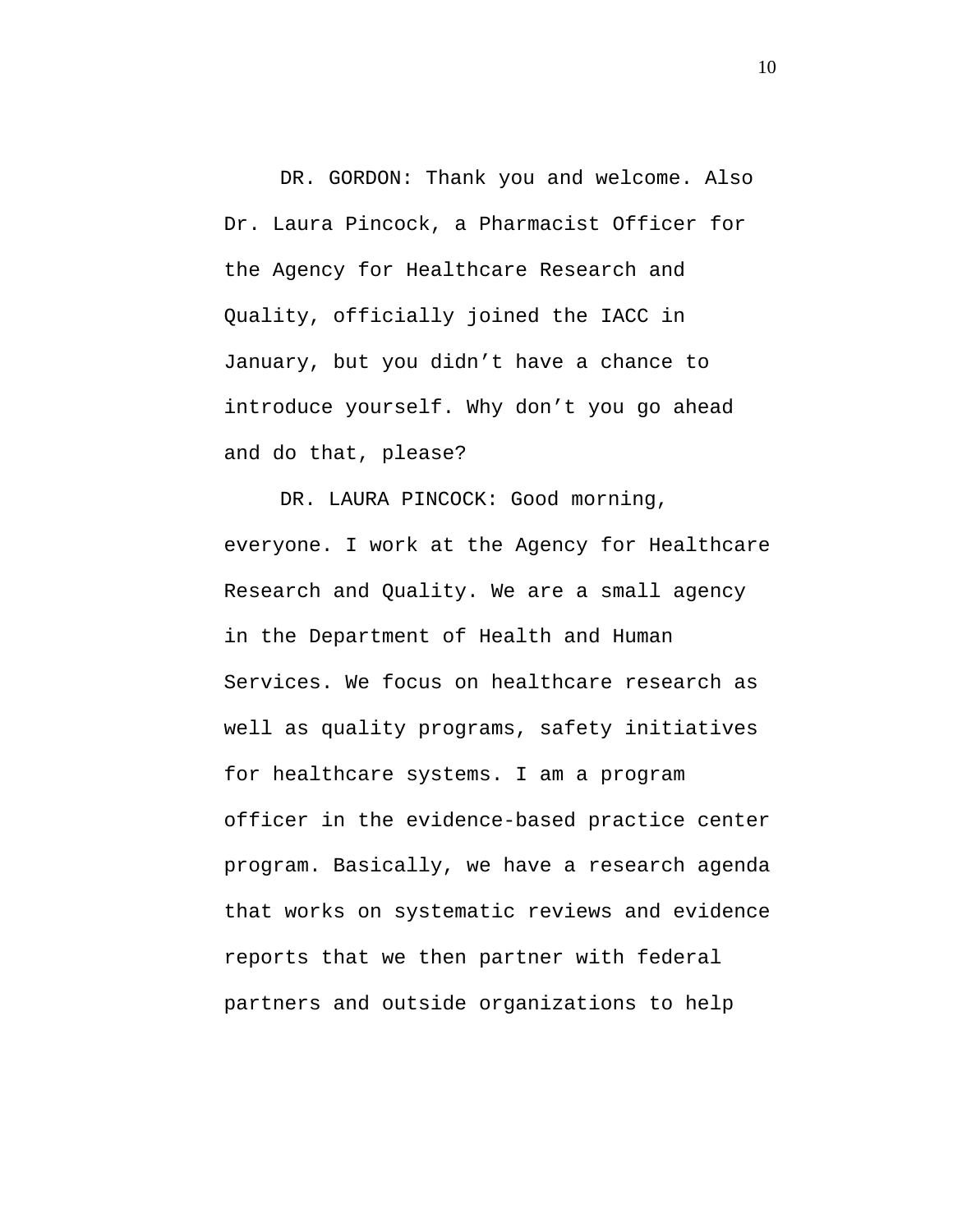DR. GORDON: Thank you and welcome. Also Dr. Laura Pincock, a Pharmacist Officer for the Agency for Healthcare Research and Quality, officially joined the IACC in January, but you didn't have a chance to introduce yourself. Why don't you go ahead and do that, please?

DR. LAURA PINCOCK: Good morning, everyone. I work at the Agency for Healthcare Research and Quality. We are a small agency in the Department of Health and Human Services. We focus on healthcare research as well as quality programs, safety initiatives for healthcare systems. I am a program officer in the evidence-based practice center program. Basically, we have a research agenda that works on systematic reviews and evidence reports that we then partner with federal partners and outside organizations to help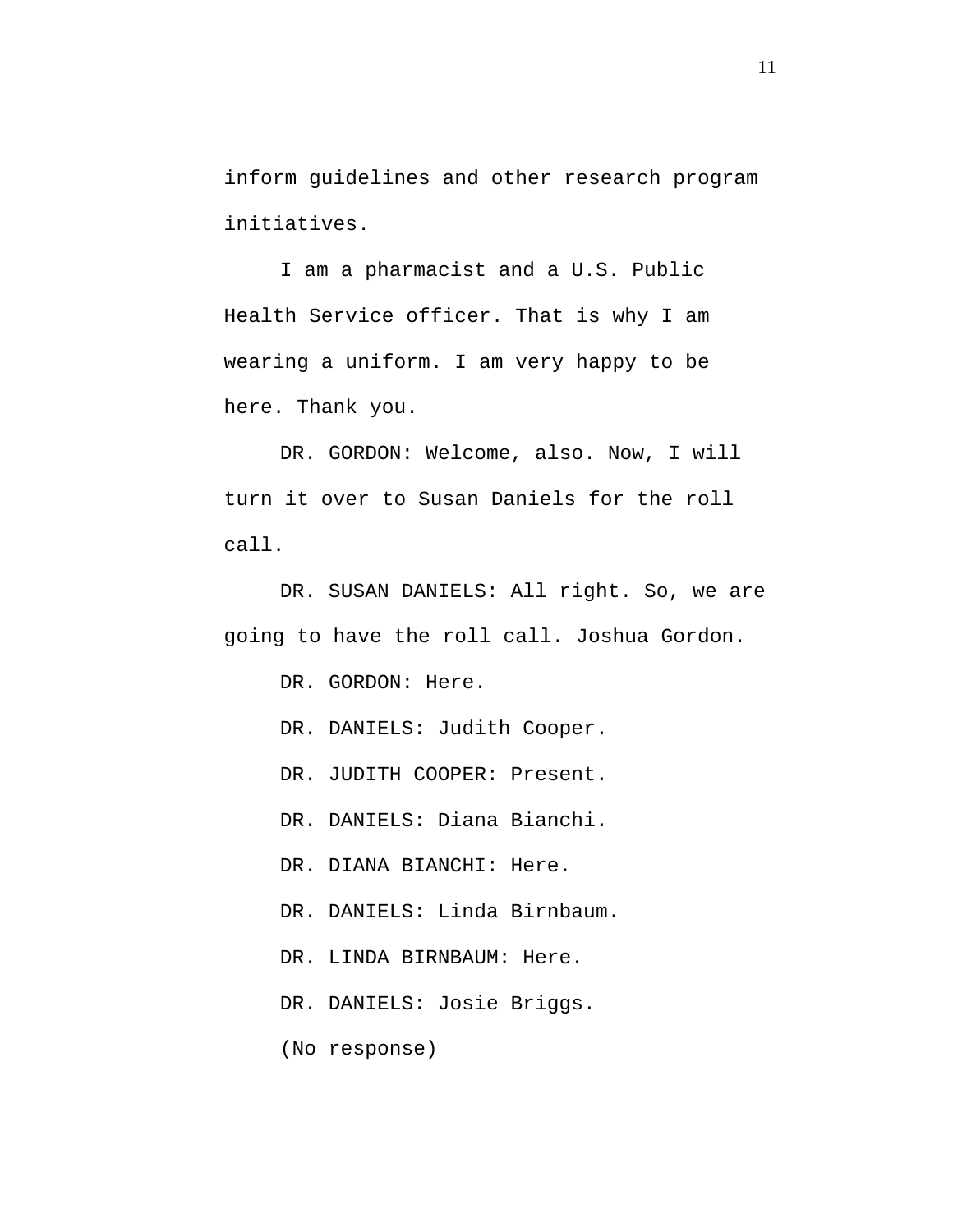inform guidelines and other research program initiatives.

I am a pharmacist and a U.S. Public Health Service officer. That is why I am wearing a uniform. I am very happy to be here. Thank you.

DR. GORDON: Welcome, also. Now, I will turn it over to Susan Daniels for the roll call.

DR. SUSAN DANIELS: All right. So, we are going to have the roll call. Joshua Gordon.

DR. GORDON: Here.

DR. DANIELS: Judith Cooper.

DR. JUDITH COOPER: Present.

DR. DANIELS: Diana Bianchi.

DR. DIANA BIANCHI: Here.

DR. DANIELS: Linda Birnbaum.

DR. LINDA BIRNBAUM: Here.

DR. DANIELS: Josie Briggs.

(No response)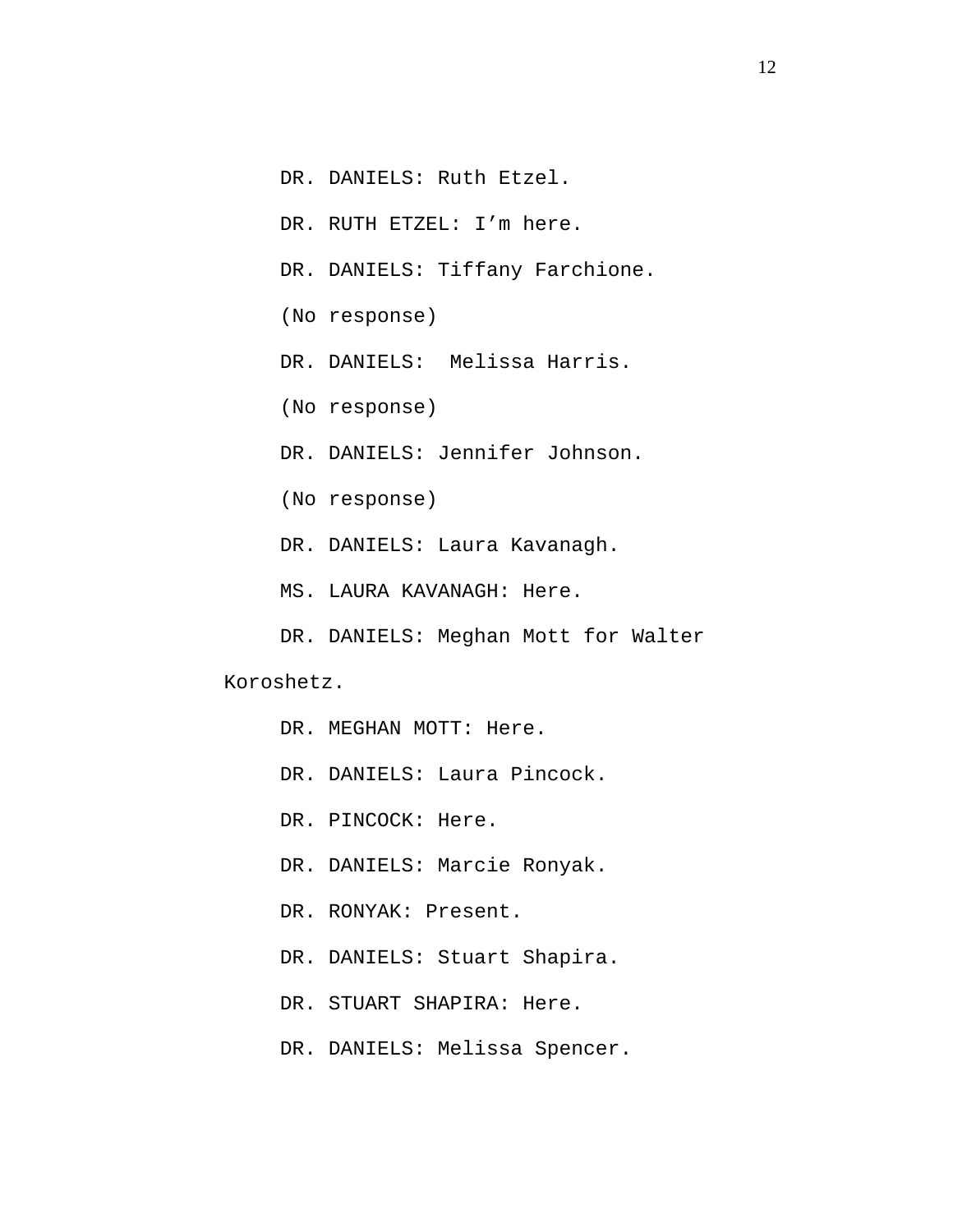DR. DANIELS: Ruth Etzel.

DR. RUTH ETZEL: I'm here.

DR. DANIELS: Tiffany Farchione.

(No response)

DR. DANIELS: Melissa Harris.

(No response)

DR. DANIELS: Jennifer Johnson.

(No response)

DR. DANIELS: Laura Kavanagh.

MS. LAURA KAVANAGH: Here.

DR. DANIELS: Meghan Mott for Walter

Koroshetz.

DR. MEGHAN MOTT: Here.

DR. DANIELS: Laura Pincock.

DR. PINCOCK: Here.

DR. DANIELS: Marcie Ronyak.

DR. RONYAK: Present.

DR. DANIELS: Stuart Shapira.

DR. STUART SHAPIRA: Here.

DR. DANIELS: Melissa Spencer.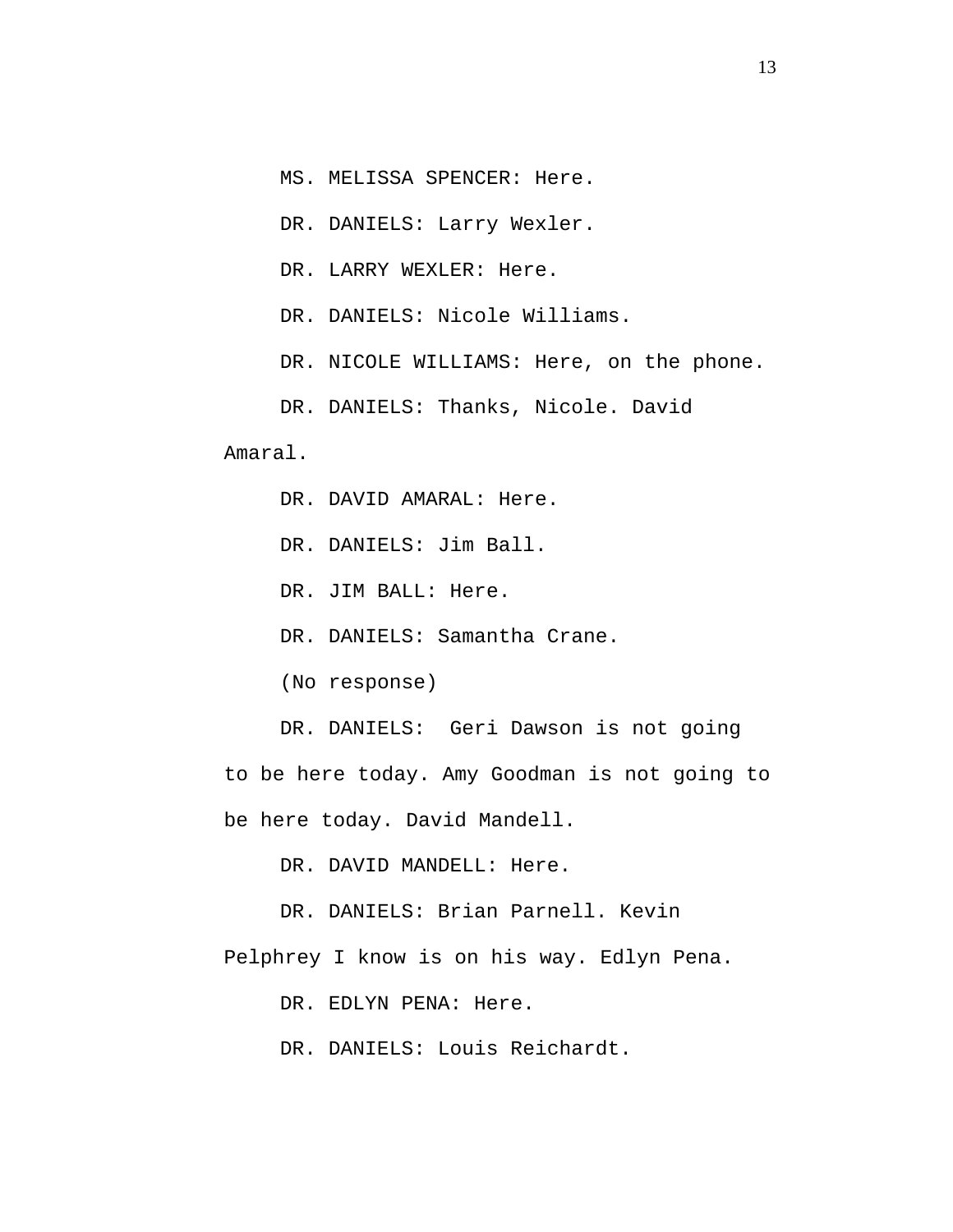MS. MELISSA SPENCER: Here.

DR. DANIELS: Larry Wexler.

DR. LARRY WEXLER: Here.

DR. DANIELS: Nicole Williams.

DR. NICOLE WILLIAMS: Here, on the phone.

DR. DANIELS: Thanks, Nicole. David

Amaral.

DR. DAVID AMARAL: Here.

DR. DANIELS: Jim Ball.

DR. JIM BALL: Here.

DR. DANIELS: Samantha Crane.

(No response)

DR. DANIELS: Geri Dawson is not going to be here today. Amy Goodman is not going to be here today. David Mandell.

DR. DAVID MANDELL: Here.

DR. DANIELS: Brian Parnell. Kevin

Pelphrey I know is on his way. Edlyn Pena.

DR. EDLYN PENA: Here.

DR. DANIELS: Louis Reichardt.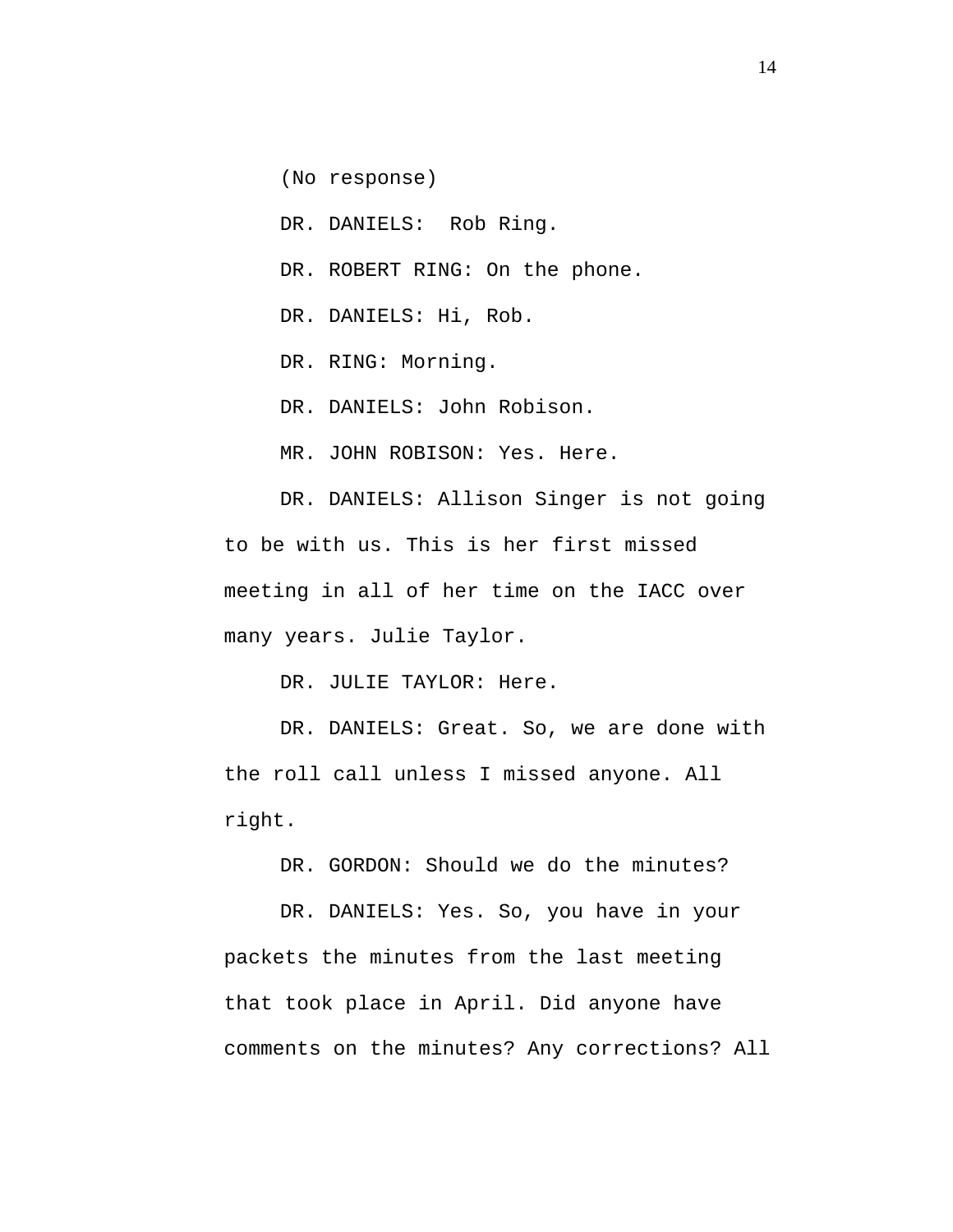(No response)

DR. DANIELS: Rob Ring.

DR. ROBERT RING: On the phone.

DR. DANIELS: Hi, Rob.

DR. RING: Morning.

DR. DANIELS: John Robison.

MR. JOHN ROBISON: Yes. Here.

DR. DANIELS: Allison Singer is not going to be with us. This is her first missed meeting in all of her time on the IACC over many years. Julie Taylor.

DR. JULIE TAYLOR: Here.

DR. DANIELS: Great. So, we are done with the roll call unless I missed anyone. All right.

DR. GORDON: Should we do the minutes?

DR. DANIELS: Yes. So, you have in your packets the minutes from the last meeting that took place in April. Did anyone have comments on the minutes? Any corrections? All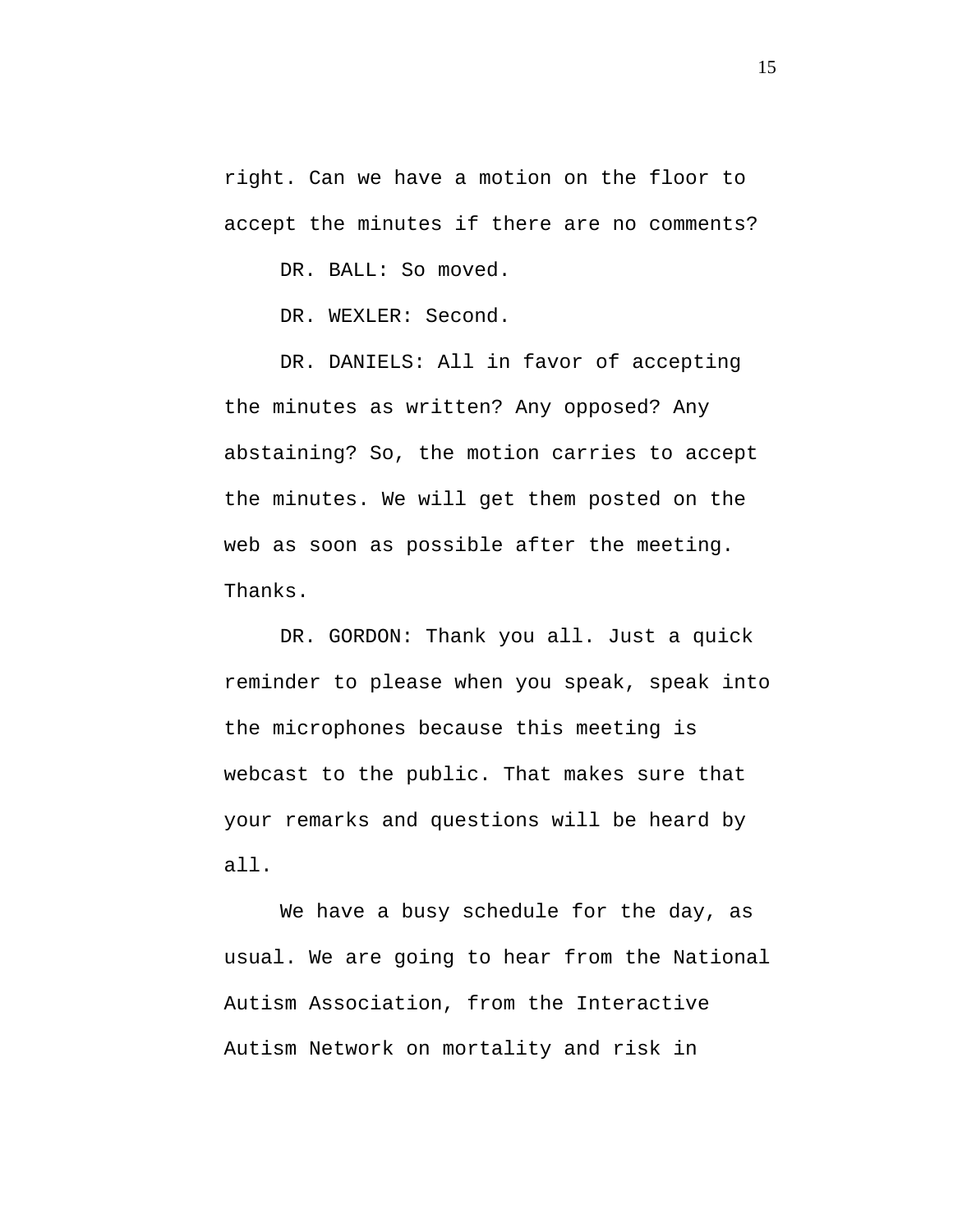right. Can we have a motion on the floor to accept the minutes if there are no comments?

DR. BALL: So moved.

DR. WEXLER: Second.

DR. DANIELS: All in favor of accepting the minutes as written? Any opposed? Any abstaining? So, the motion carries to accept the minutes. We will get them posted on the web as soon as possible after the meeting. Thanks.

DR. GORDON: Thank you all. Just a quick reminder to please when you speak, speak into the microphones because this meeting is webcast to the public. That makes sure that your remarks and questions will be heard by all.

We have a busy schedule for the day, as usual. We are going to hear from the National Autism Association, from the Interactive Autism Network on mortality and risk in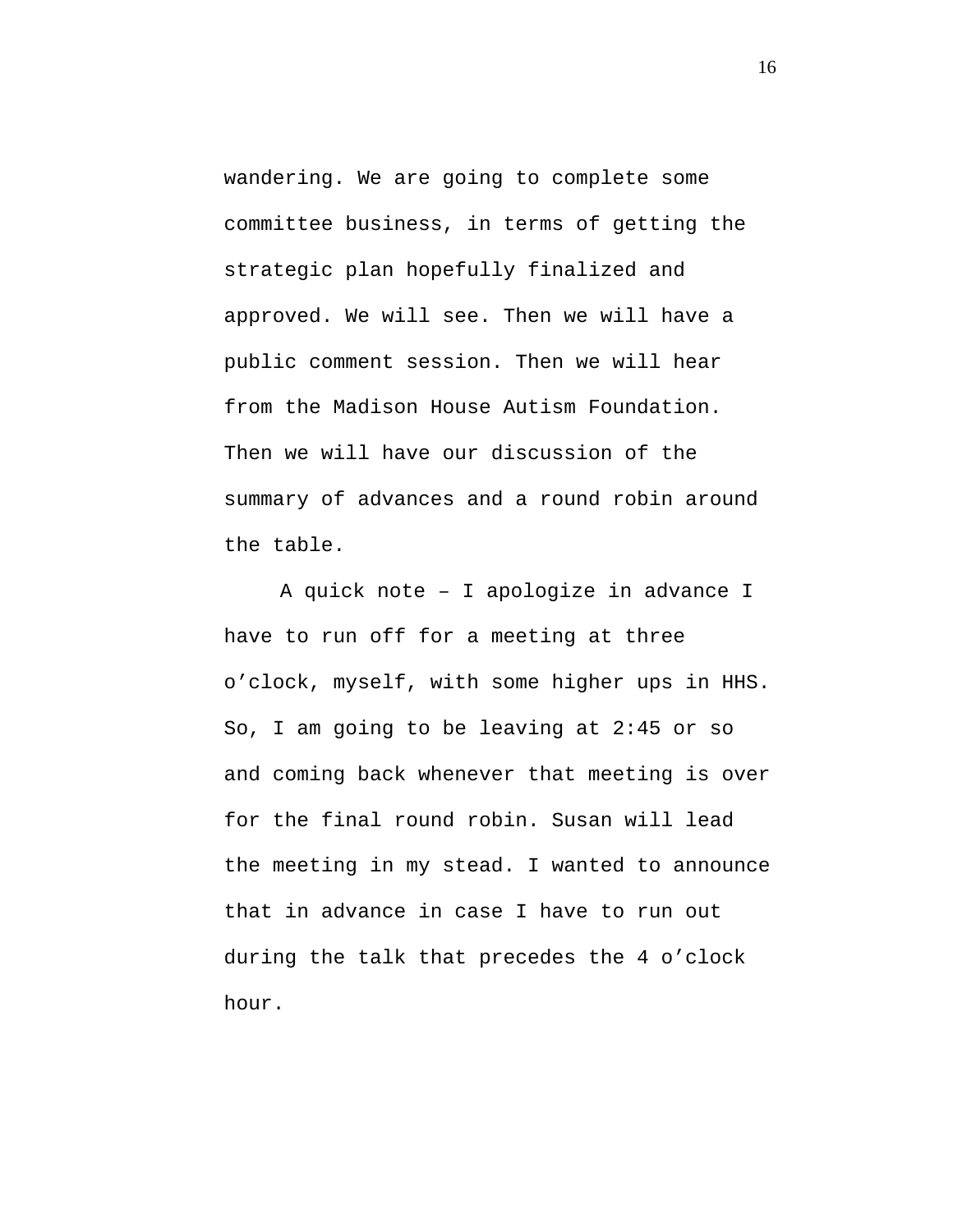wandering. We are going to complete some committee business, in terms of getting the strategic plan hopefully finalized and approved. We will see. Then we will have a public comment session. Then we will hear from the Madison House Autism Foundation. Then we will have our discussion of the summary of advances and a round robin around the table.

A quick note – I apologize in advance I have to run off for a meeting at three o'clock, myself, with some higher ups in HHS. So, I am going to be leaving at 2:45 or so and coming back whenever that meeting is over for the final round robin. Susan will lead the meeting in my stead. I wanted to announce that in advance in case I have to run out during the talk that precedes the 4 o'clock hour.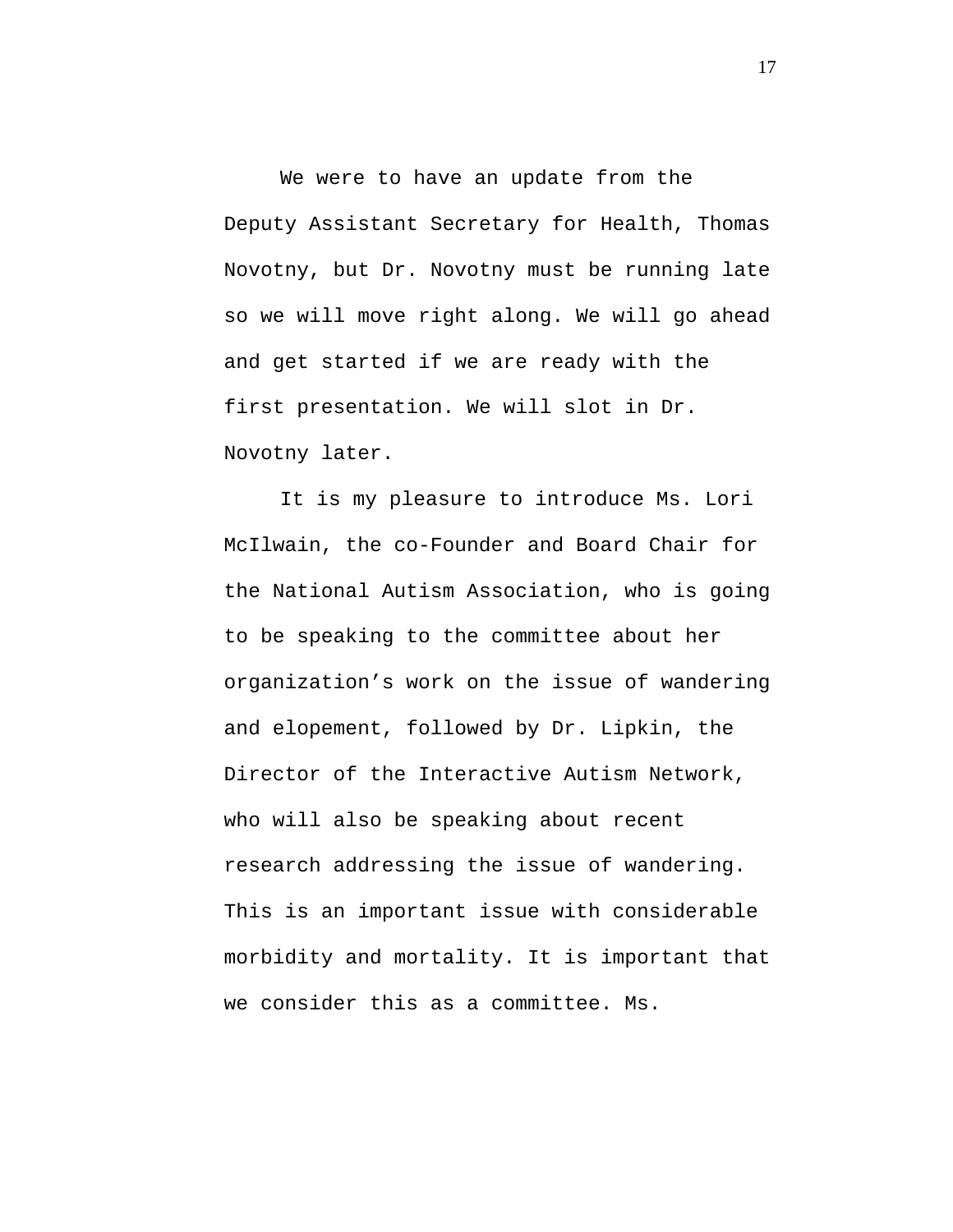We were to have an update from the Deputy Assistant Secretary for Health, Thomas Novotny, but Dr. Novotny must be running late so we will move right along. We will go ahead and get started if we are ready with the first presentation. We will slot in Dr. Novotny later.

It is my pleasure to introduce Ms. Lori McIlwain, the co-Founder and Board Chair for the National Autism Association, who is going to be speaking to the committee about her organization's work on the issue of wandering and elopement, followed by Dr. Lipkin, the Director of the Interactive Autism Network, who will also be speaking about recent research addressing the issue of wandering. This is an important issue with considerable morbidity and mortality. It is important that we consider this as a committee. Ms.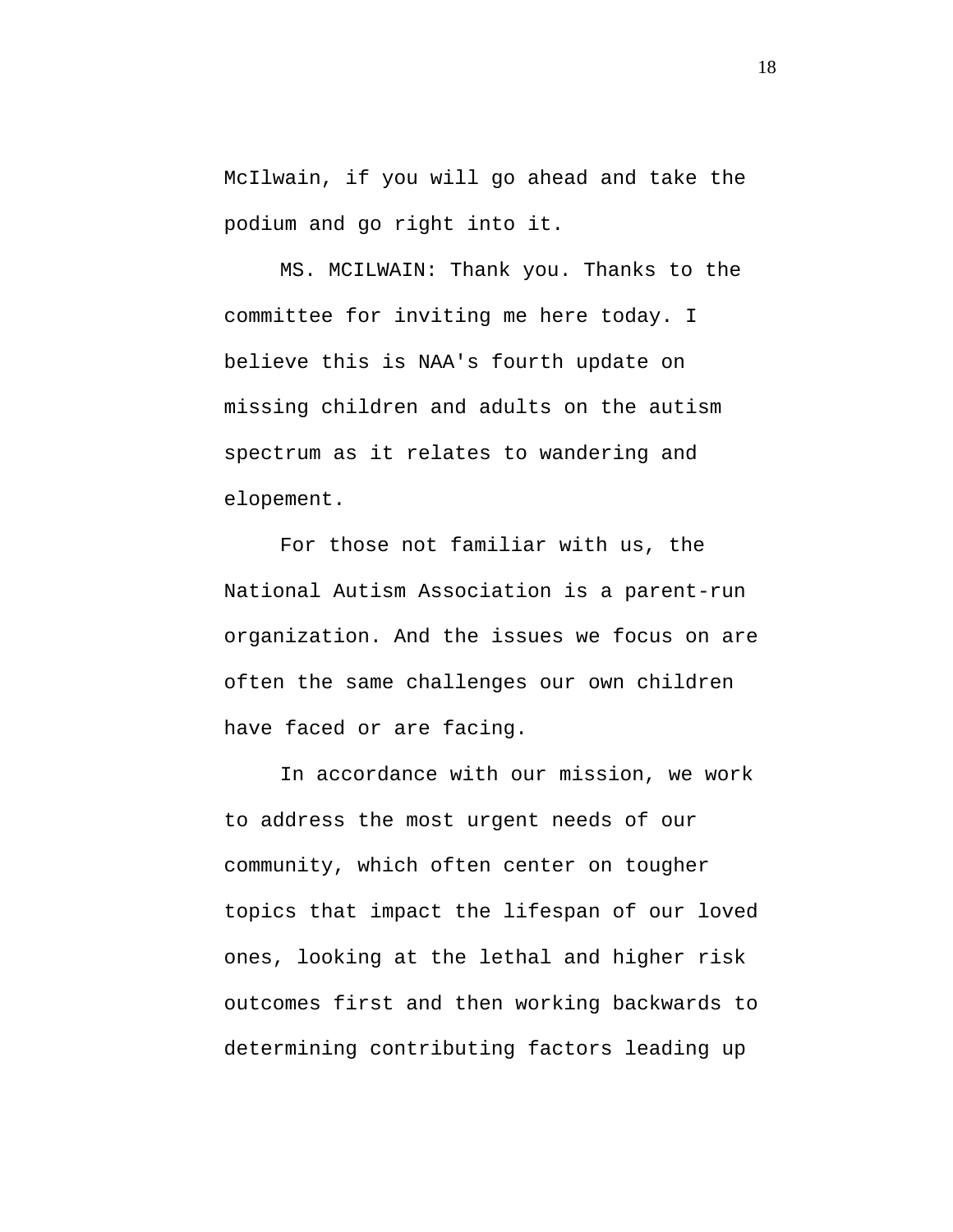<span id="page-17-0"></span>McIlwain, if you will go ahead and take the podium and go right into it.

MS. MCILWAIN: Thank you. Thanks to the committee for inviting me here today. I believe this is NAA's fourth update on missing children and adults on the autism spectrum as it relates to wandering and elopement.

For those not familiar with us, the National Autism Association is a parent-run organization. And the issues we focus on are often the same challenges our own children have faced or are facing.

In accordance with our mission, we work to address the most urgent needs of our community, which often center on tougher topics that impact the lifespan of our loved ones, looking at the lethal and higher risk outcomes first and then working backwards to determining contributing factors leading up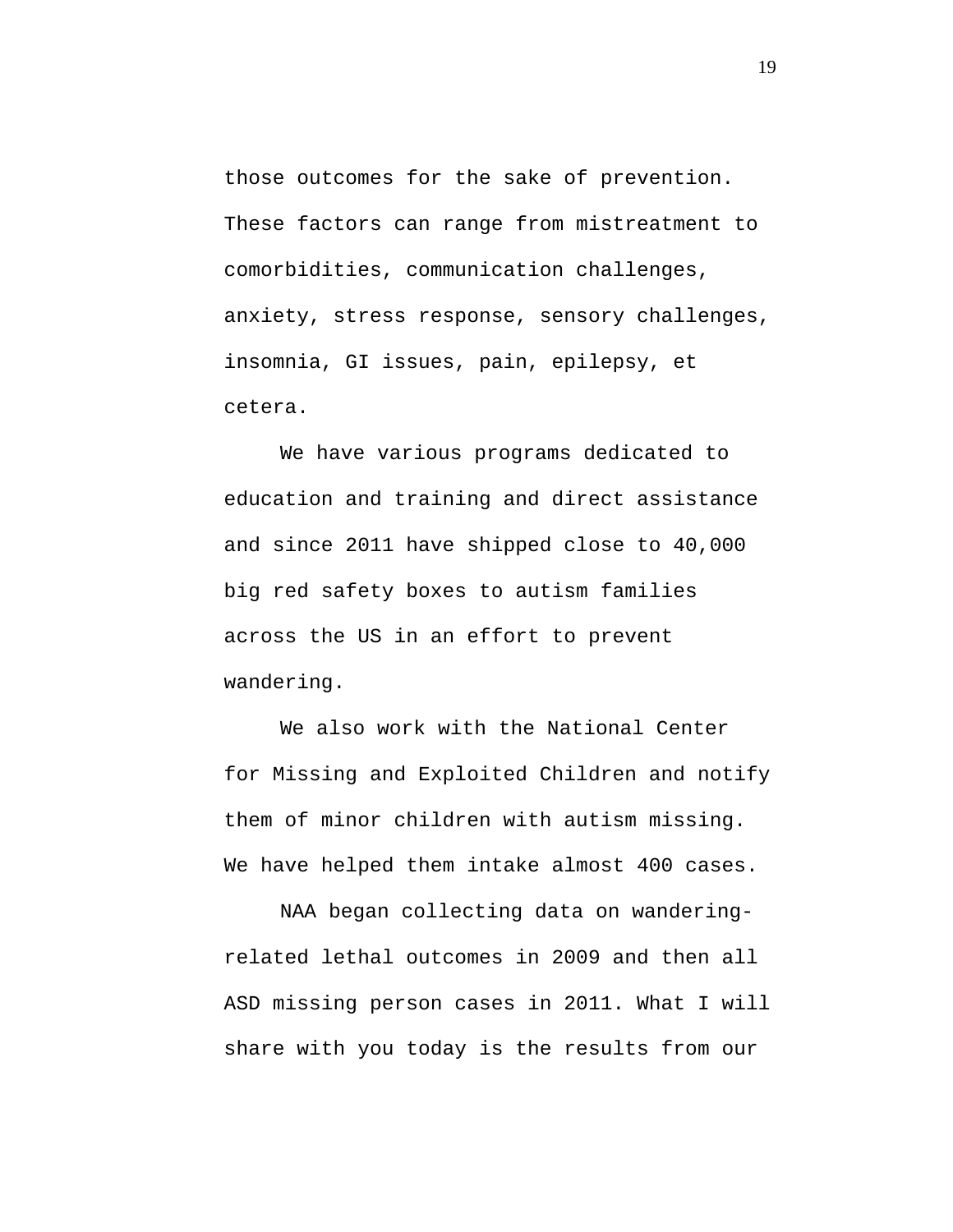those outcomes for the sake of prevention. These factors can range from mistreatment to comorbidities, communication challenges, anxiety, stress response, sensory challenges, insomnia, GI issues, pain, epilepsy, et cetera.

We have various programs dedicated to education and training and direct assistance and since 2011 have shipped close to 40,000 big red safety boxes to autism families across the US in an effort to prevent wandering.

We also work with the National Center for Missing and Exploited Children and notify them of minor children with autism missing. We have helped them intake almost 400 cases.

NAA began collecting data on wanderingrelated lethal outcomes in 2009 and then all ASD missing person cases in 2011. What I will share with you today is the results from our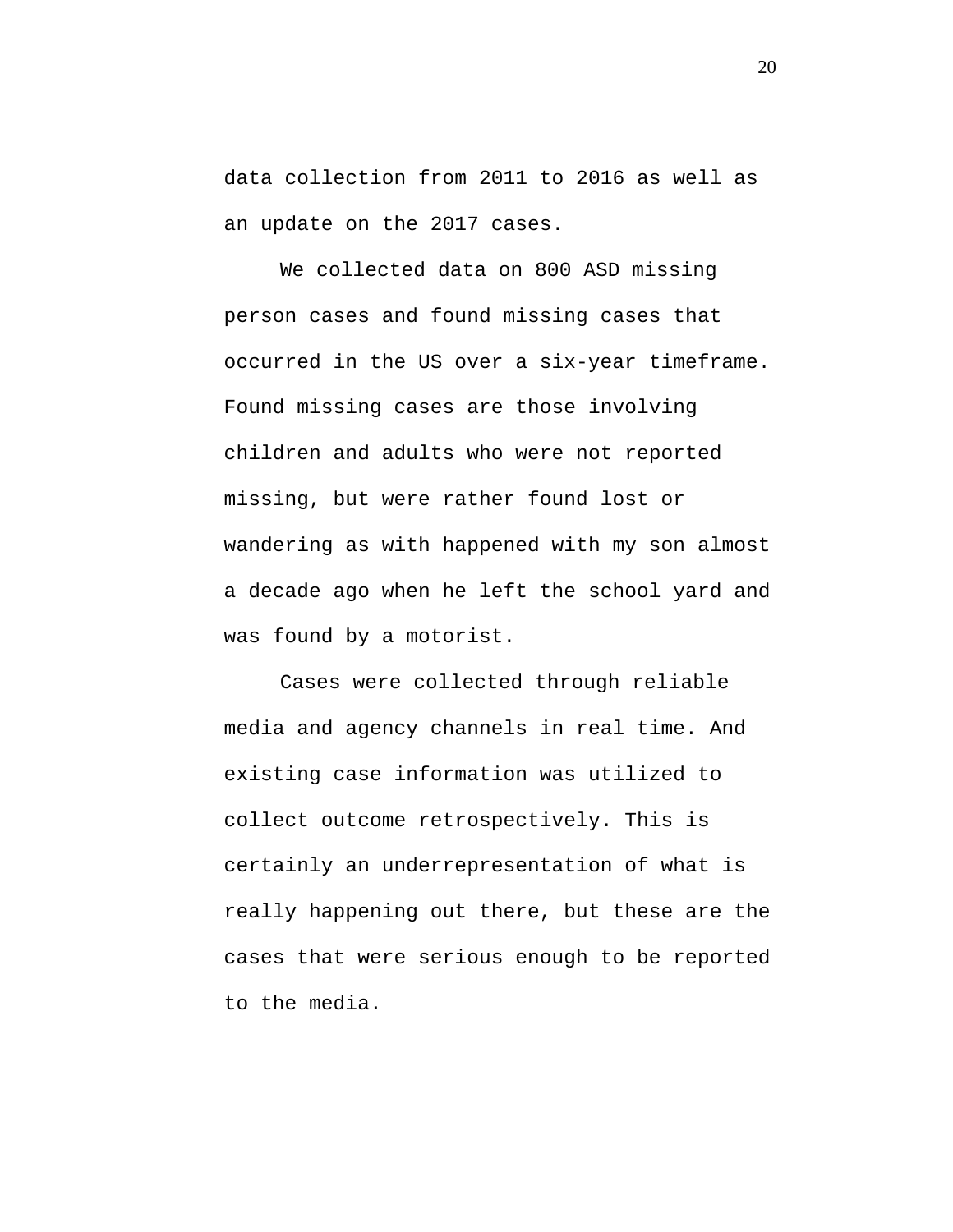data collection from 2011 to 2016 as well as an update on the 2017 cases.

We collected data on 800 ASD missing person cases and found missing cases that occurred in the US over a six-year timeframe. Found missing cases are those involving children and adults who were not reported missing, but were rather found lost or wandering as with happened with my son almost a decade ago when he left the school yard and was found by a motorist.

Cases were collected through reliable media and agency channels in real time. And existing case information was utilized to collect outcome retrospectively. This is certainly an underrepresentation of what is really happening out there, but these are the cases that were serious enough to be reported to the media.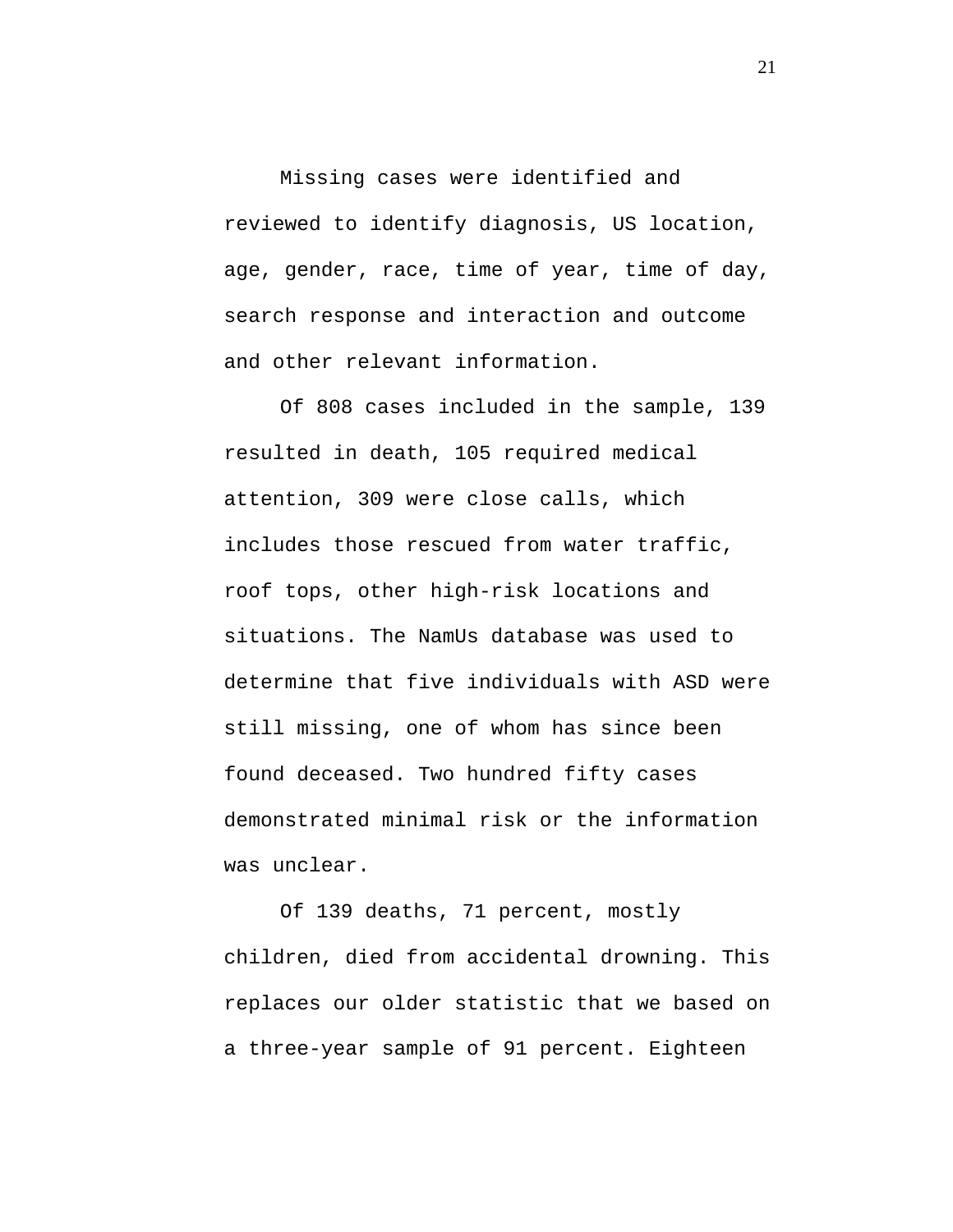Missing cases were identified and reviewed to identify diagnosis, US location, age, gender, race, time of year, time of day, search response and interaction and outcome and other relevant information.

Of 808 cases included in the sample, 139 resulted in death, 105 required medical attention, 309 were close calls, which includes those rescued from water traffic, roof tops, other high-risk locations and situations. The NamUs database was used to determine that five individuals with ASD were still missing, one of whom has since been found deceased. Two hundred fifty cases demonstrated minimal risk or the information was unclear.

Of 139 deaths, 71 percent, mostly children, died from accidental drowning. This replaces our older statistic that we based on a three-year sample of 91 percent. Eighteen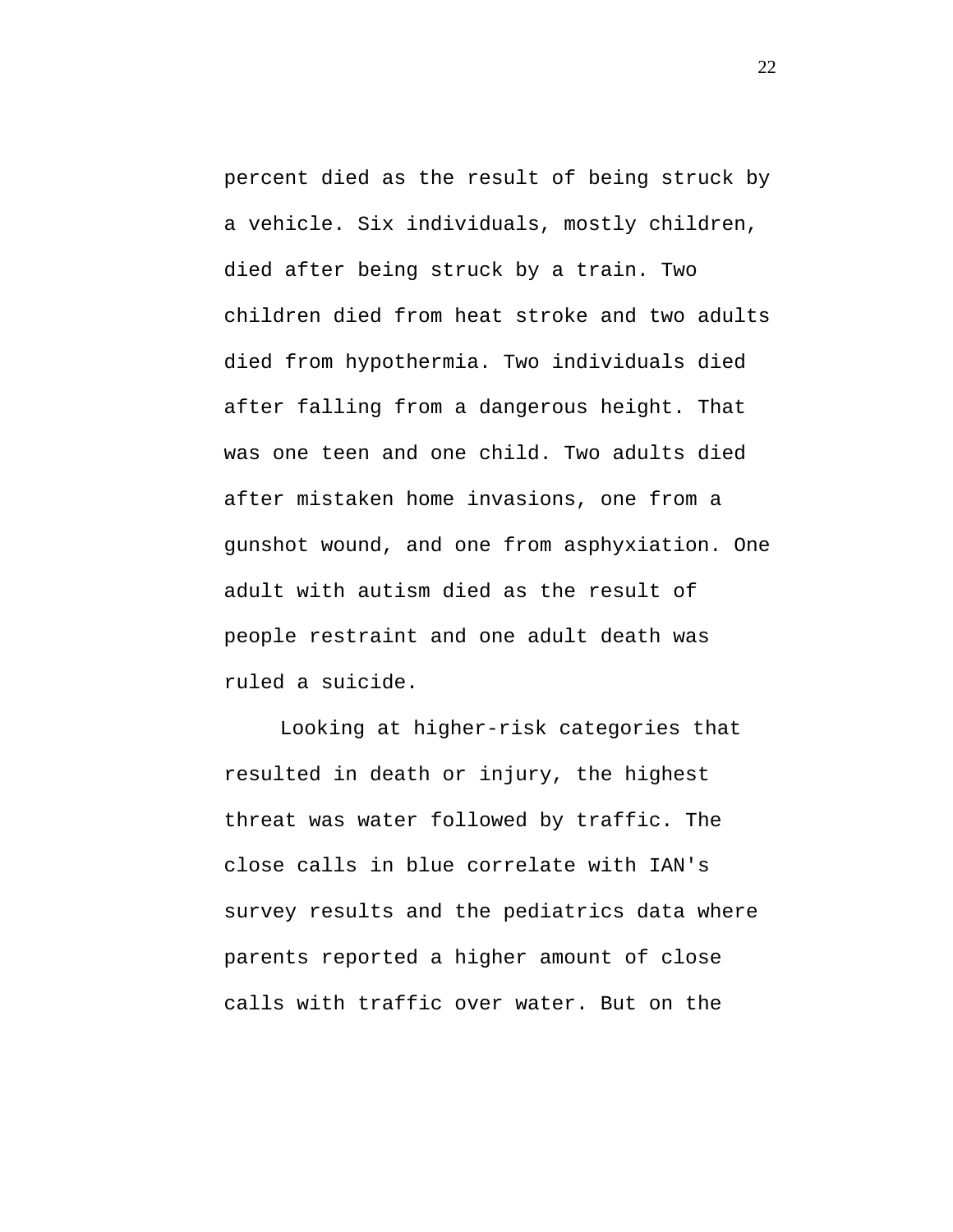percent died as the result of being struck by a vehicle. Six individuals, mostly children, died after being struck by a train. Two children died from heat stroke and two adults died from hypothermia. Two individuals died after falling from a dangerous height. That was one teen and one child. Two adults died after mistaken home invasions, one from a gunshot wound, and one from asphyxiation. One adult with autism died as the result of people restraint and one adult death was ruled a suicide.

Looking at higher-risk categories that resulted in death or injury, the highest threat was water followed by traffic. The close calls in blue correlate with IAN's survey results and the pediatrics data where parents reported a higher amount of close calls with traffic over water. But on the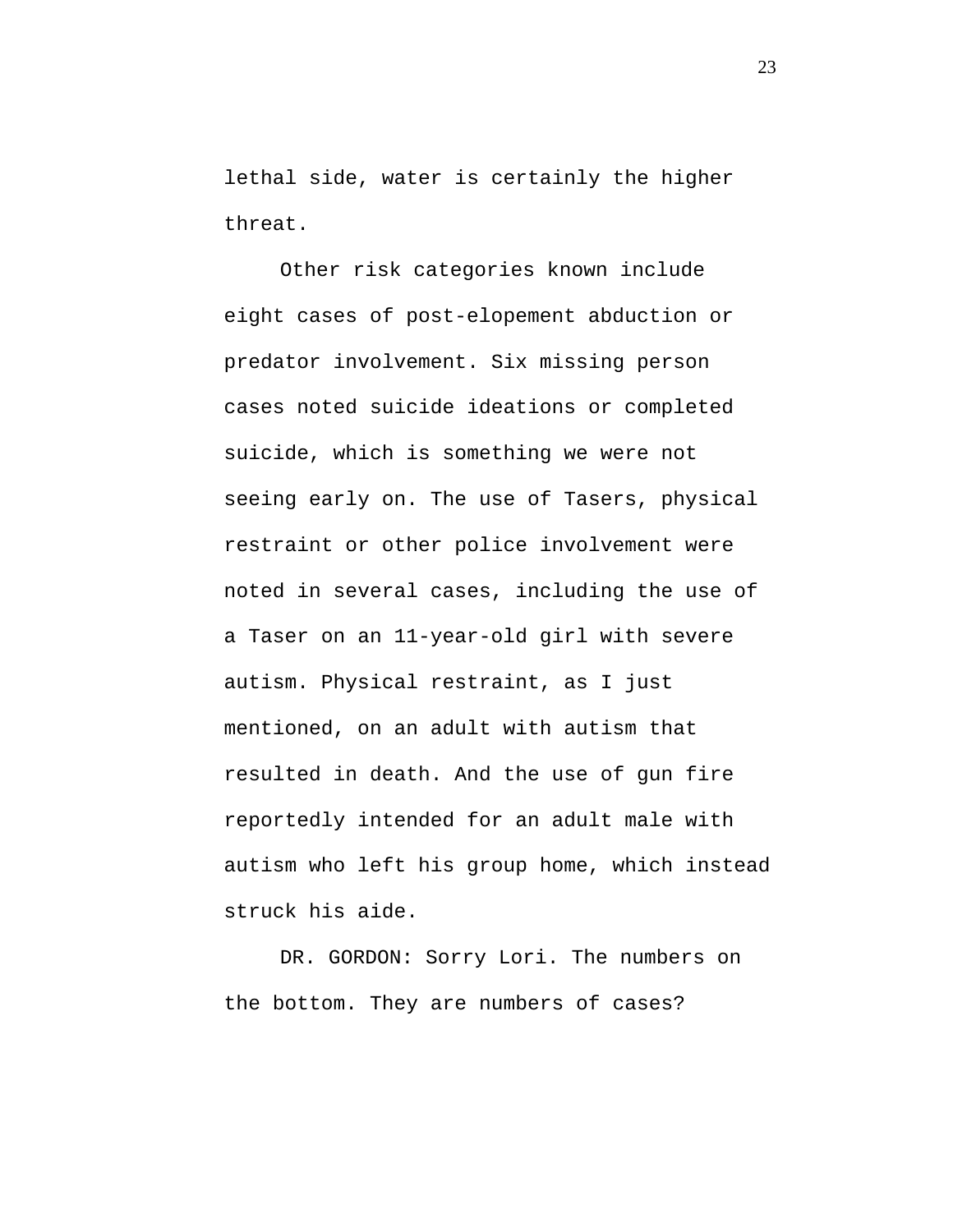lethal side, water is certainly the higher threat.

Other risk categories known include eight cases of post-elopement abduction or predator involvement. Six missing person cases noted suicide ideations or completed suicide, which is something we were not seeing early on. The use of Tasers, physical restraint or other police involvement were noted in several cases, including the use of a Taser on an 11-year-old girl with severe autism. Physical restraint, as I just mentioned, on an adult with autism that resulted in death. And the use of gun fire reportedly intended for an adult male with autism who left his group home, which instead struck his aide.

DR. GORDON: Sorry Lori. The numbers on the bottom. They are numbers of cases?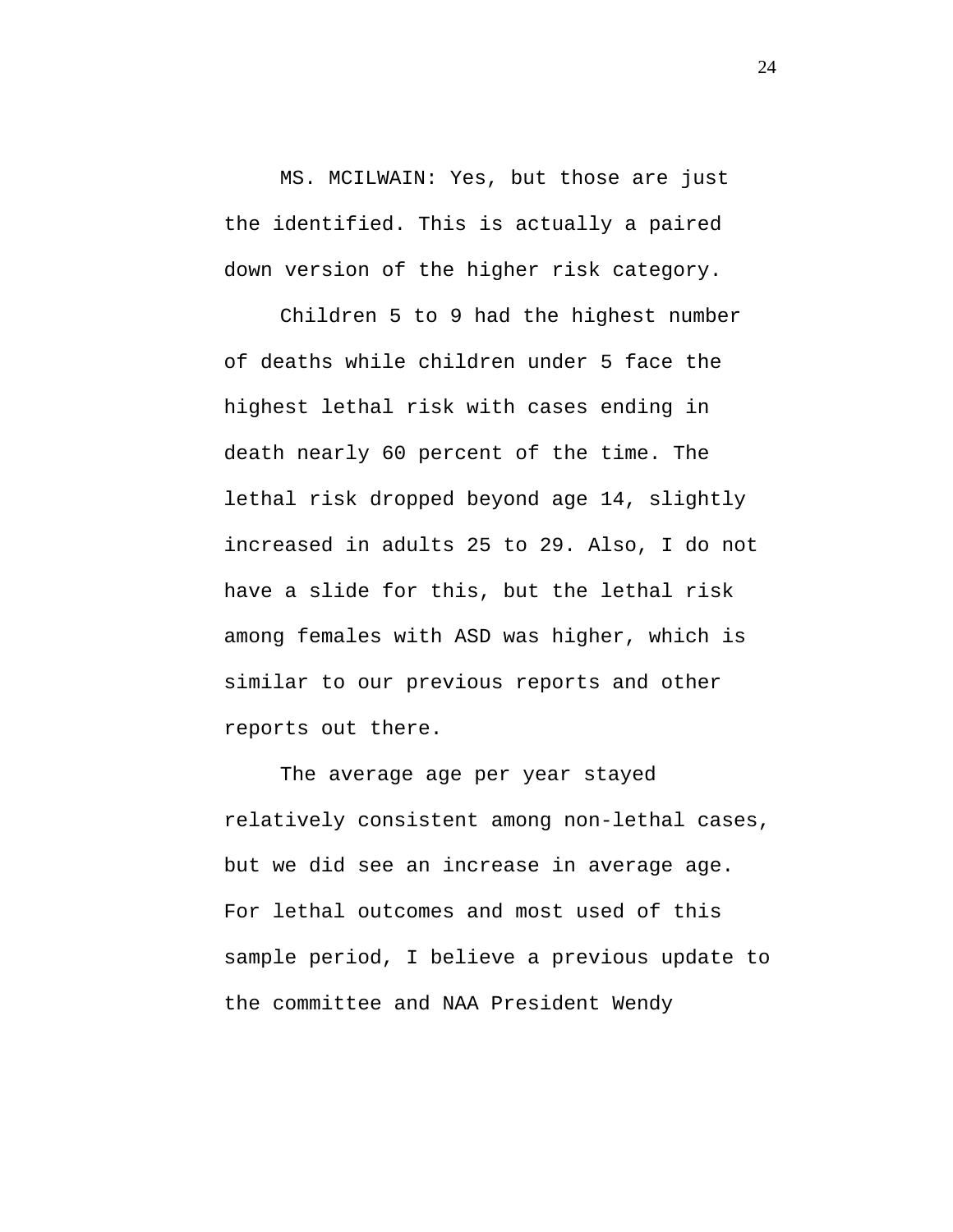MS. MCILWAIN: Yes, but those are just the identified. This is actually a paired down version of the higher risk category.

Children 5 to 9 had the highest number of deaths while children under 5 face the highest lethal risk with cases ending in death nearly 60 percent of the time. The lethal risk dropped beyond age 14, slightly increased in adults 25 to 29. Also, I do not have a slide for this, but the lethal risk among females with ASD was higher, which is similar to our previous reports and other reports out there.

The average age per year stayed relatively consistent among non-lethal cases, but we did see an increase in average age. For lethal outcomes and most used of this sample period, I believe a previous update to the committee and NAA President Wendy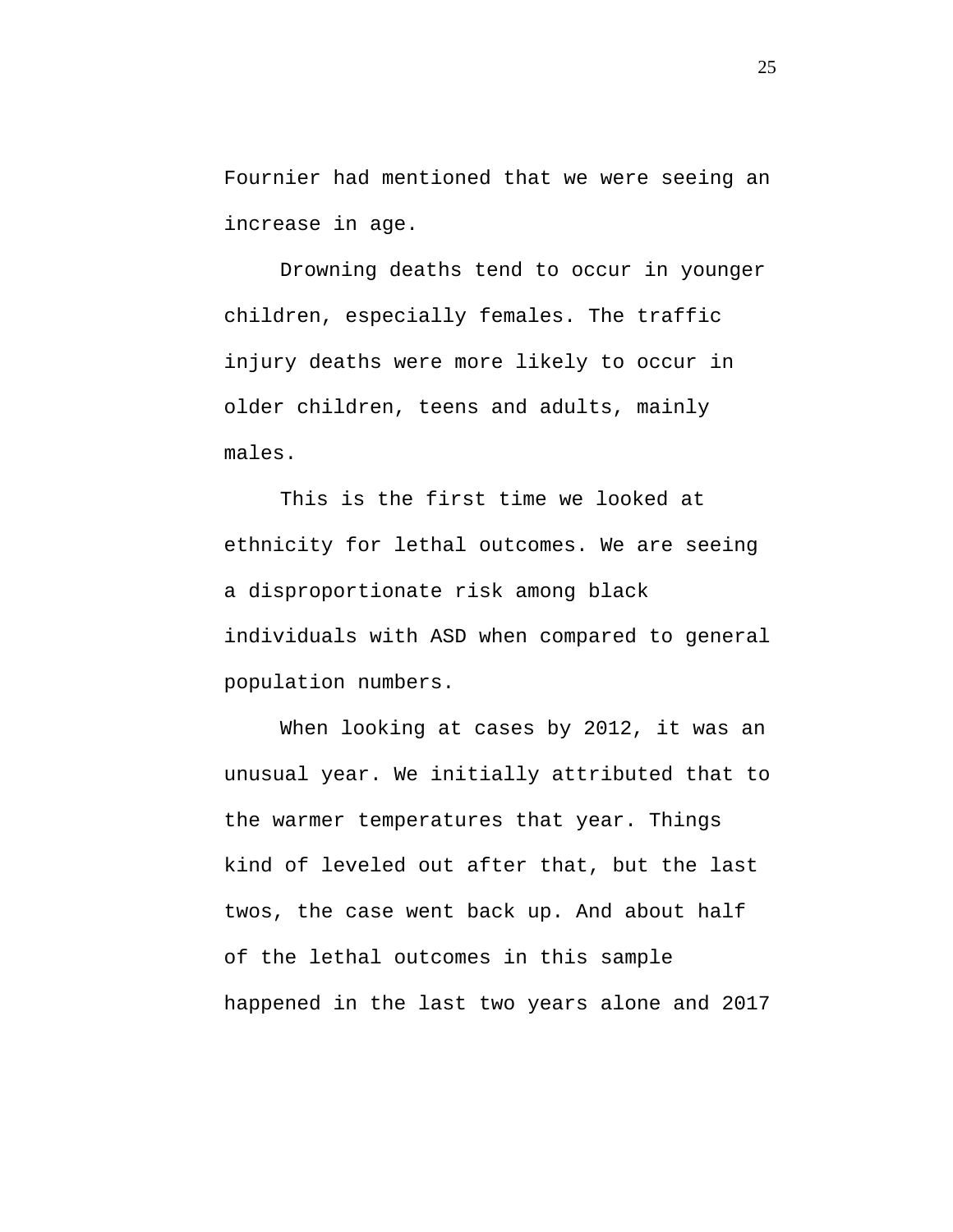Fournier had mentioned that we were seeing an increase in age.

Drowning deaths tend to occur in younger children, especially females. The traffic injury deaths were more likely to occur in older children, teens and adults, mainly males.

This is the first time we looked at ethnicity for lethal outcomes. We are seeing a disproportionate risk among black individuals with ASD when compared to general population numbers.

When looking at cases by 2012, it was an unusual year. We initially attributed that to the warmer temperatures that year. Things kind of leveled out after that, but the last twos, the case went back up. And about half of the lethal outcomes in this sample happened in the last two years alone and 2017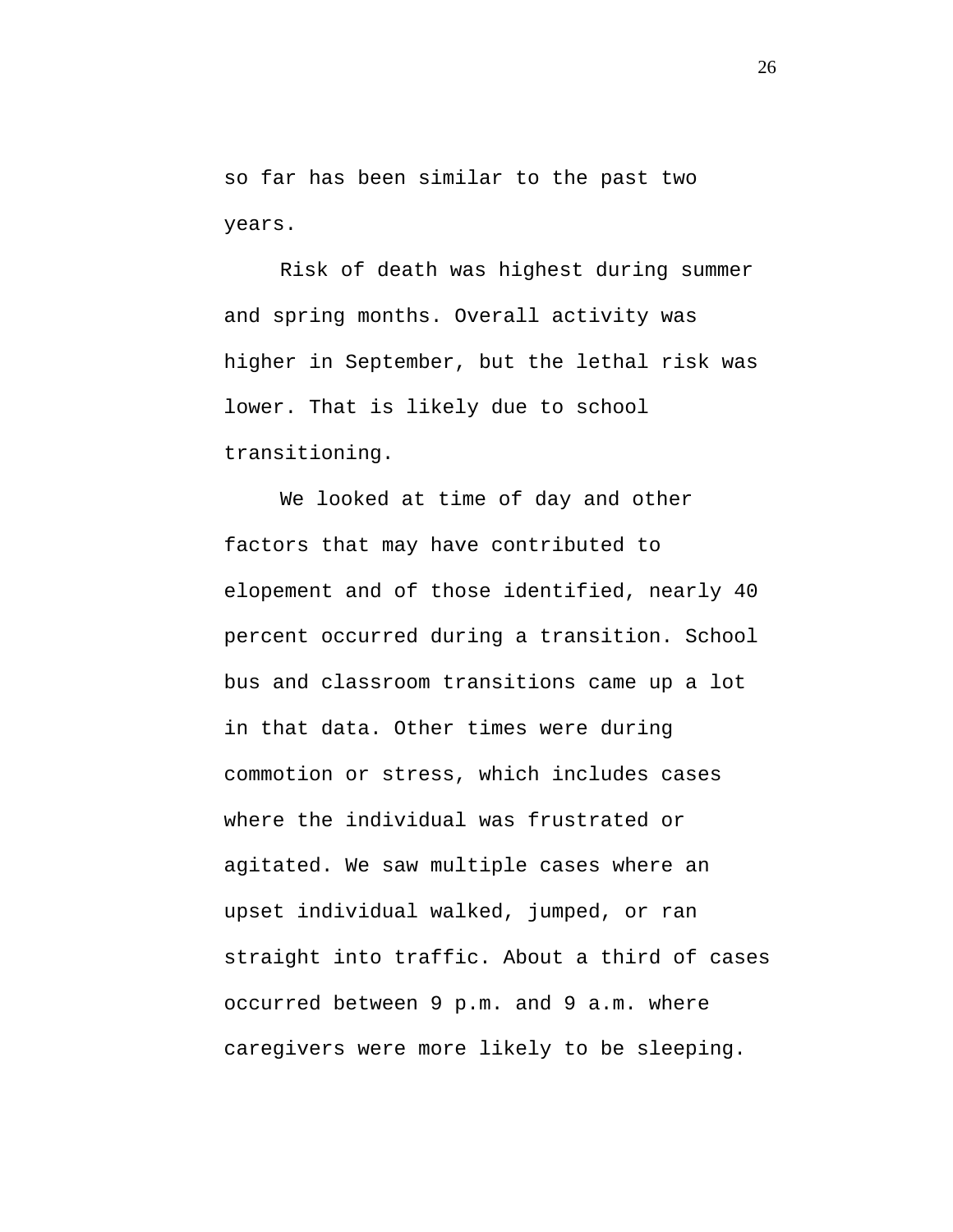so far has been similar to the past two years.

Risk of death was highest during summer and spring months. Overall activity was higher in September, but the lethal risk was lower. That is likely due to school transitioning.

We looked at time of day and other factors that may have contributed to elopement and of those identified, nearly 40 percent occurred during a transition. School bus and classroom transitions came up a lot in that data. Other times were during commotion or stress, which includes cases where the individual was frustrated or agitated. We saw multiple cases where an upset individual walked, jumped, or ran straight into traffic. About a third of cases occurred between 9 p.m. and 9 a.m. where caregivers were more likely to be sleeping.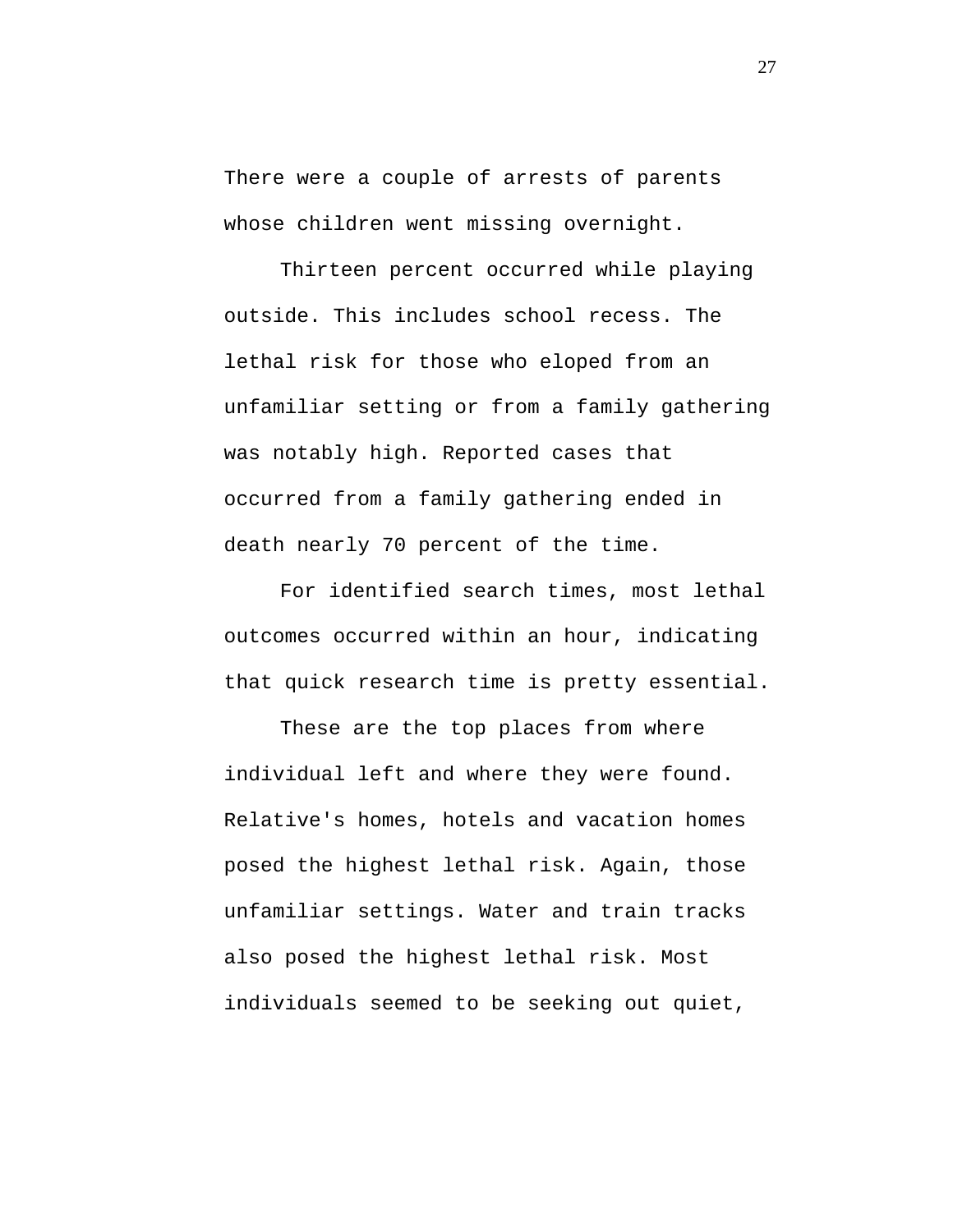There were a couple of arrests of parents whose children went missing overnight.

Thirteen percent occurred while playing outside. This includes school recess. The lethal risk for those who eloped from an unfamiliar setting or from a family gathering was notably high. Reported cases that occurred from a family gathering ended in death nearly 70 percent of the time.

For identified search times, most lethal outcomes occurred within an hour, indicating that quick research time is pretty essential.

These are the top places from where individual left and where they were found. Relative's homes, hotels and vacation homes posed the highest lethal risk. Again, those unfamiliar settings. Water and train tracks also posed the highest lethal risk. Most individuals seemed to be seeking out quiet,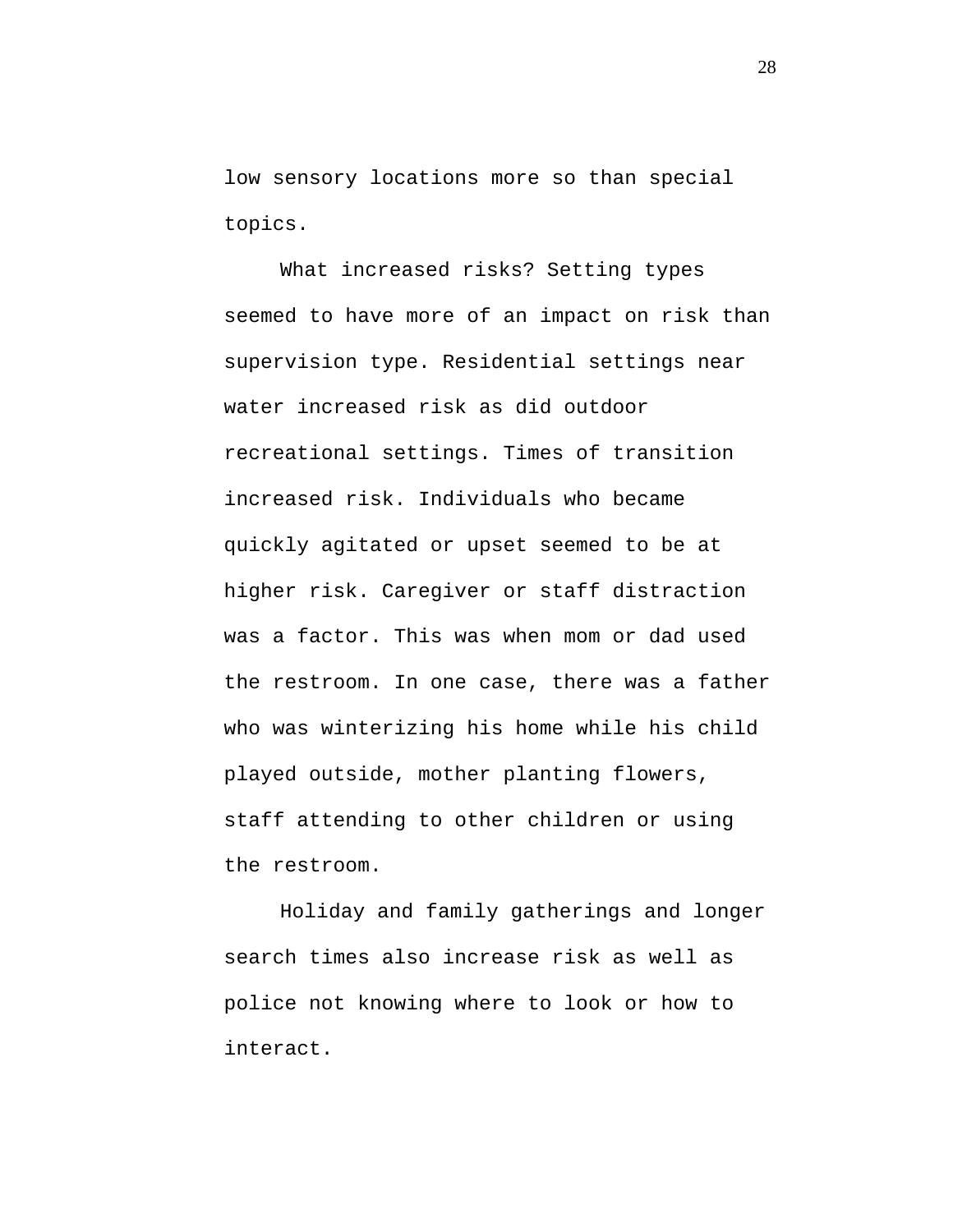low sensory locations more so than special topics.

What increased risks? Setting types seemed to have more of an impact on risk than supervision type. Residential settings near water increased risk as did outdoor recreational settings. Times of transition increased risk. Individuals who became quickly agitated or upset seemed to be at higher risk. Caregiver or staff distraction was a factor. This was when mom or dad used the restroom. In one case, there was a father who was winterizing his home while his child played outside, mother planting flowers, staff attending to other children or using the restroom.

Holiday and family gatherings and longer search times also increase risk as well as police not knowing where to look or how to interact.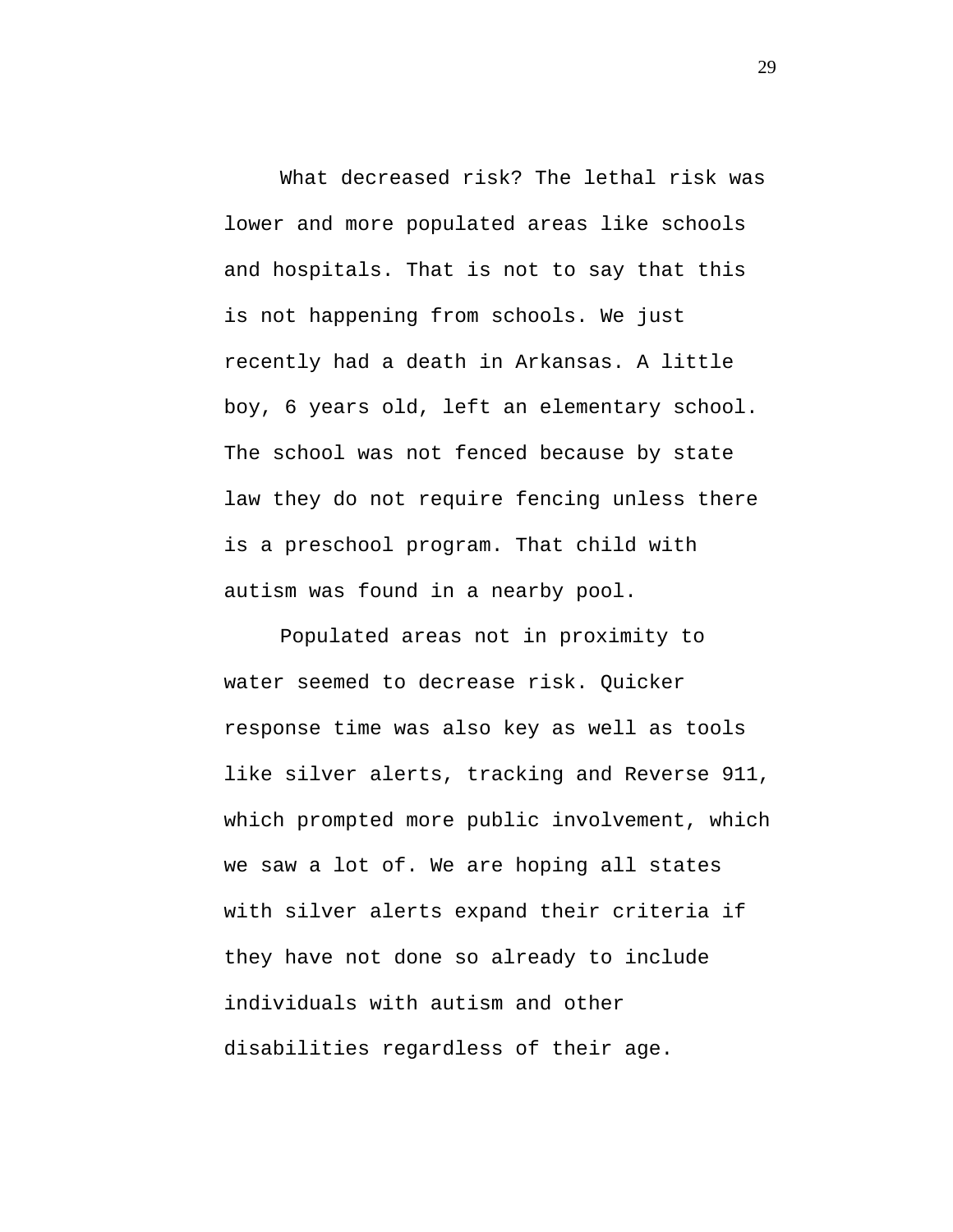What decreased risk? The lethal risk was lower and more populated areas like schools and hospitals. That is not to say that this is not happening from schools. We just recently had a death in Arkansas. A little boy, 6 years old, left an elementary school. The school was not fenced because by state law they do not require fencing unless there is a preschool program. That child with autism was found in a nearby pool.

Populated areas not in proximity to water seemed to decrease risk. Quicker response time was also key as well as tools like silver alerts, tracking and Reverse 911, which prompted more public involvement, which we saw a lot of. We are hoping all states with silver alerts expand their criteria if they have not done so already to include individuals with autism and other disabilities regardless of their age.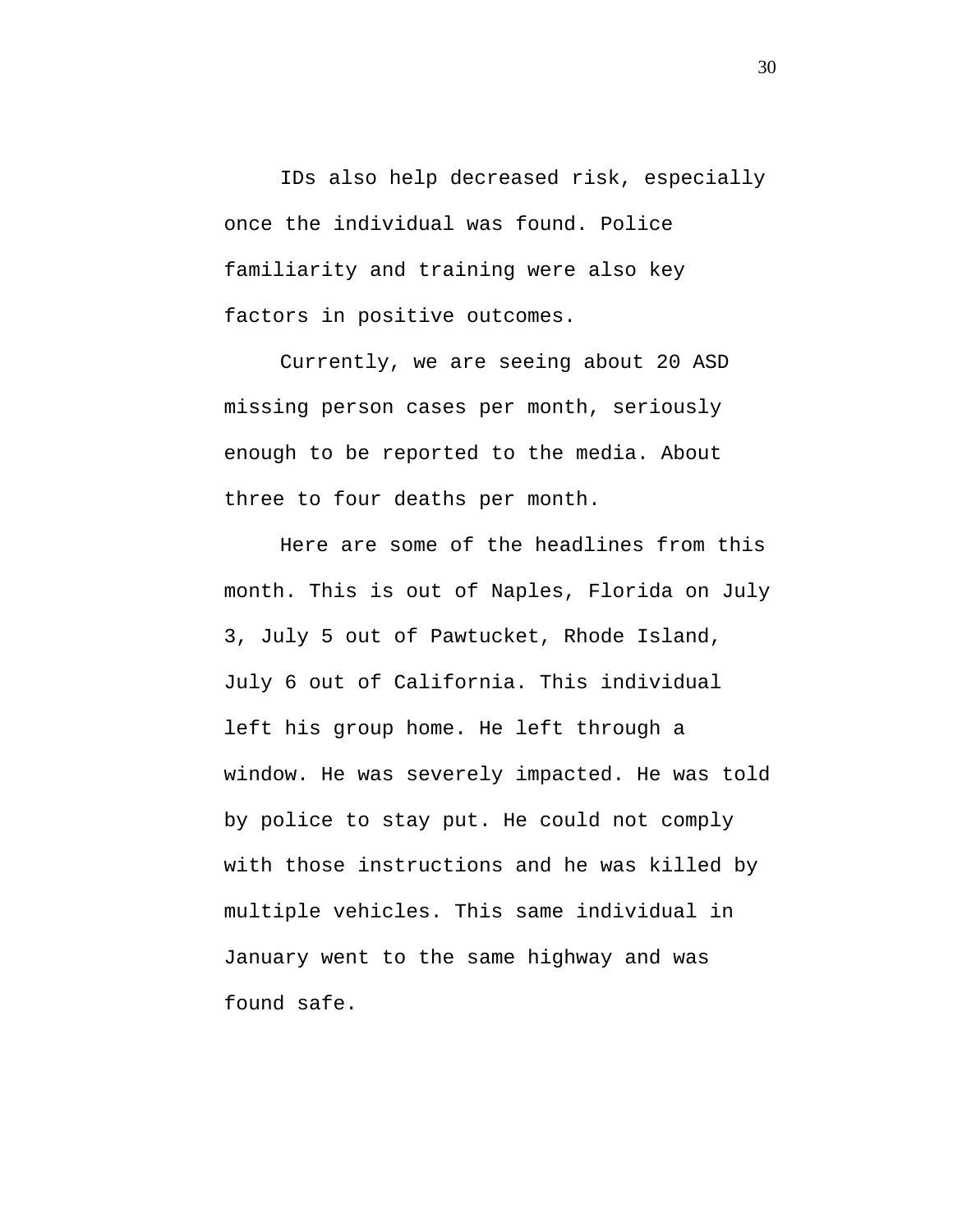IDs also help decreased risk, especially once the individual was found. Police familiarity and training were also key factors in positive outcomes.

Currently, we are seeing about 20 ASD missing person cases per month, seriously enough to be reported to the media. About three to four deaths per month.

Here are some of the headlines from this month. This is out of Naples, Florida on July 3, July 5 out of Pawtucket, Rhode Island, July 6 out of California. This individual left his group home. He left through a window. He was severely impacted. He was told by police to stay put. He could not comply with those instructions and he was killed by multiple vehicles. This same individual in January went to the same highway and was found safe.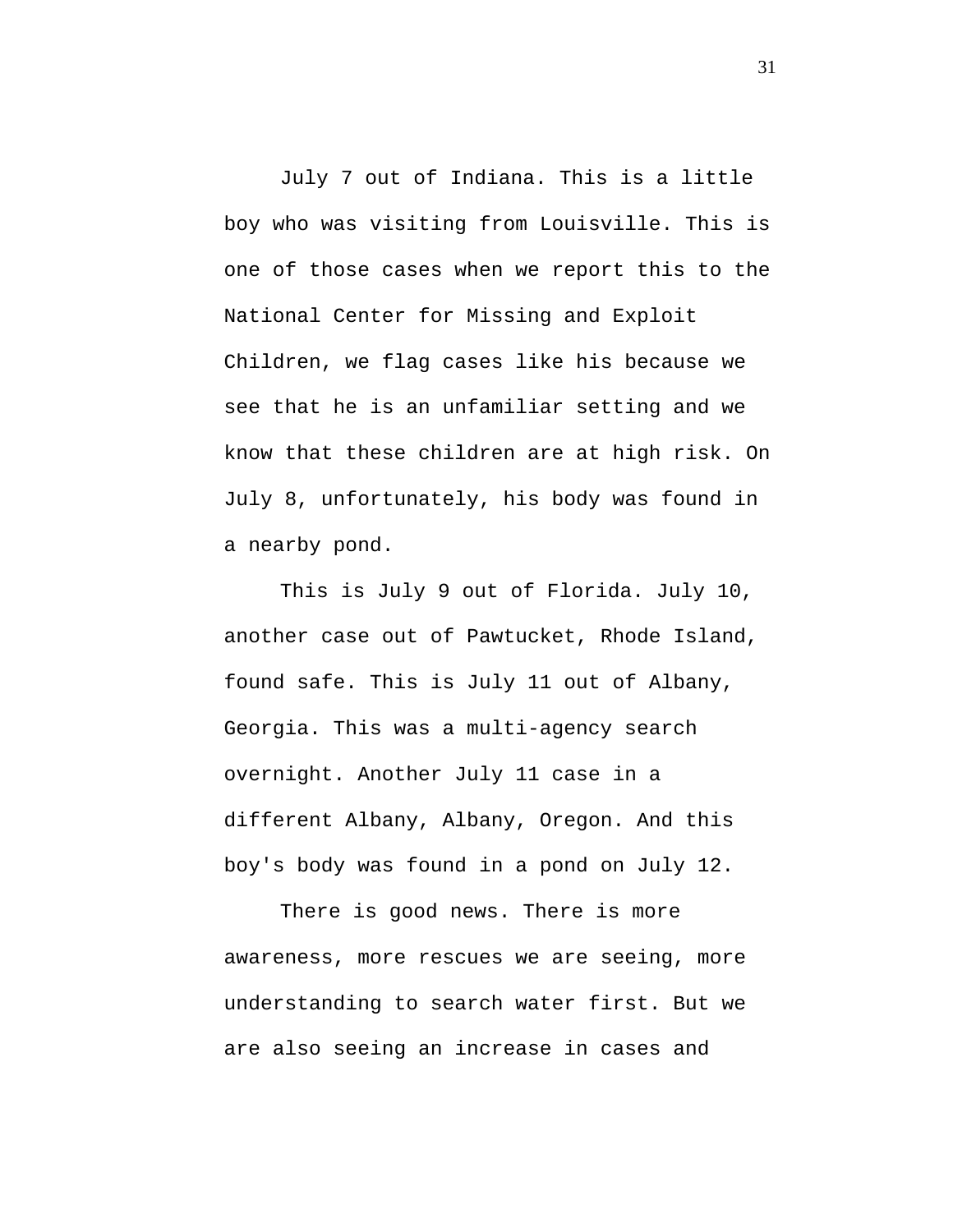July 7 out of Indiana. This is a little boy who was visiting from Louisville. This is one of those cases when we report this to the National Center for Missing and Exploit Children, we flag cases like his because we see that he is an unfamiliar setting and we know that these children are at high risk. On July 8, unfortunately, his body was found in a nearby pond.

This is July 9 out of Florida. July 10, another case out of Pawtucket, Rhode Island, found safe. This is July 11 out of Albany, Georgia. This was a multi-agency search overnight. Another July 11 case in a different Albany, Albany, Oregon. And this boy's body was found in a pond on July 12.

There is good news. There is more awareness, more rescues we are seeing, more understanding to search water first. But we are also seeing an increase in cases and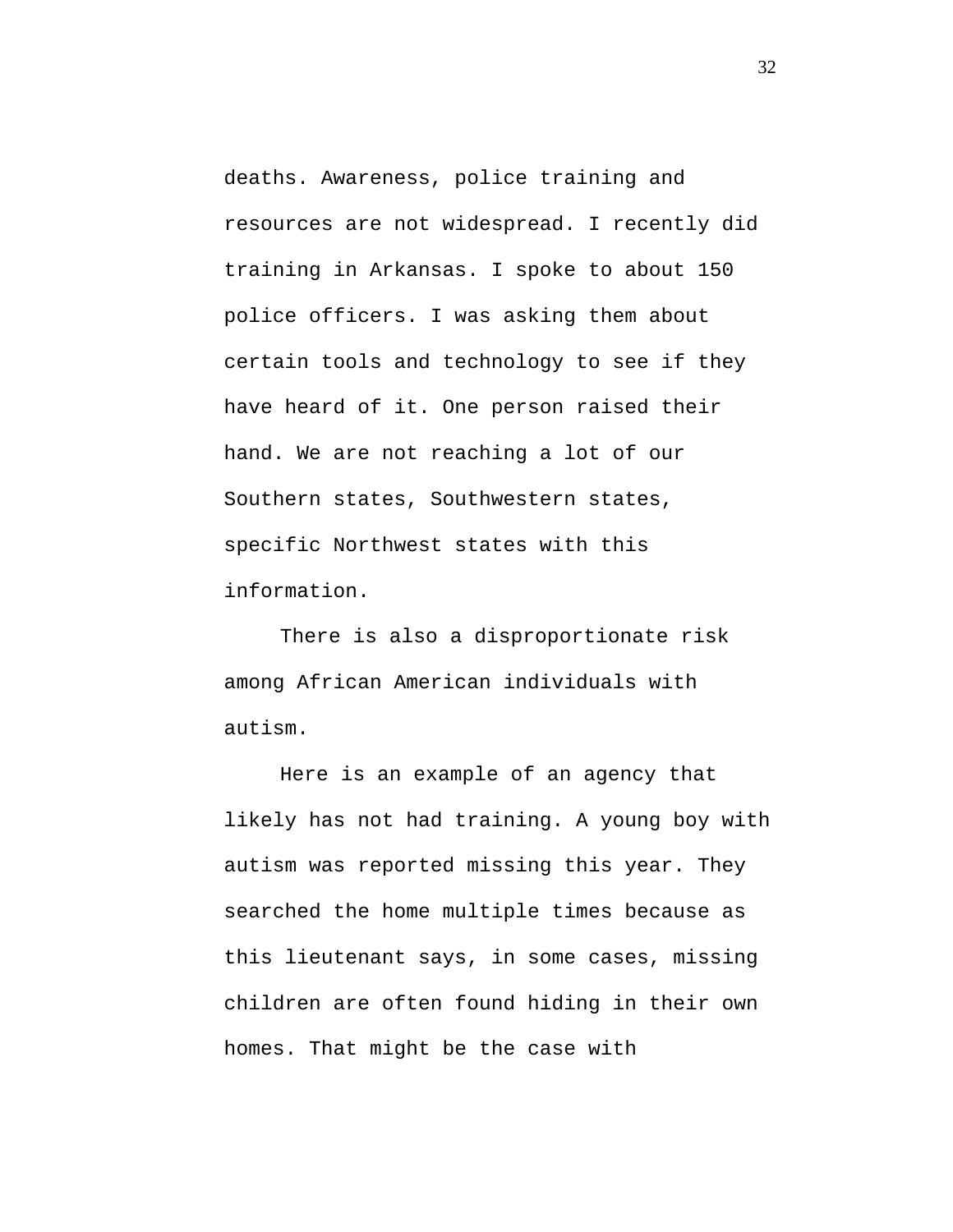deaths. Awareness, police training and resources are not widespread. I recently did training in Arkansas. I spoke to about 150 police officers. I was asking them about certain tools and technology to see if they have heard of it. One person raised their hand. We are not reaching a lot of our Southern states, Southwestern states, specific Northwest states with this information.

There is also a disproportionate risk among African American individuals with autism.

Here is an example of an agency that likely has not had training. A young boy with autism was reported missing this year. They searched the home multiple times because as this lieutenant says, in some cases, missing children are often found hiding in their own homes. That might be the case with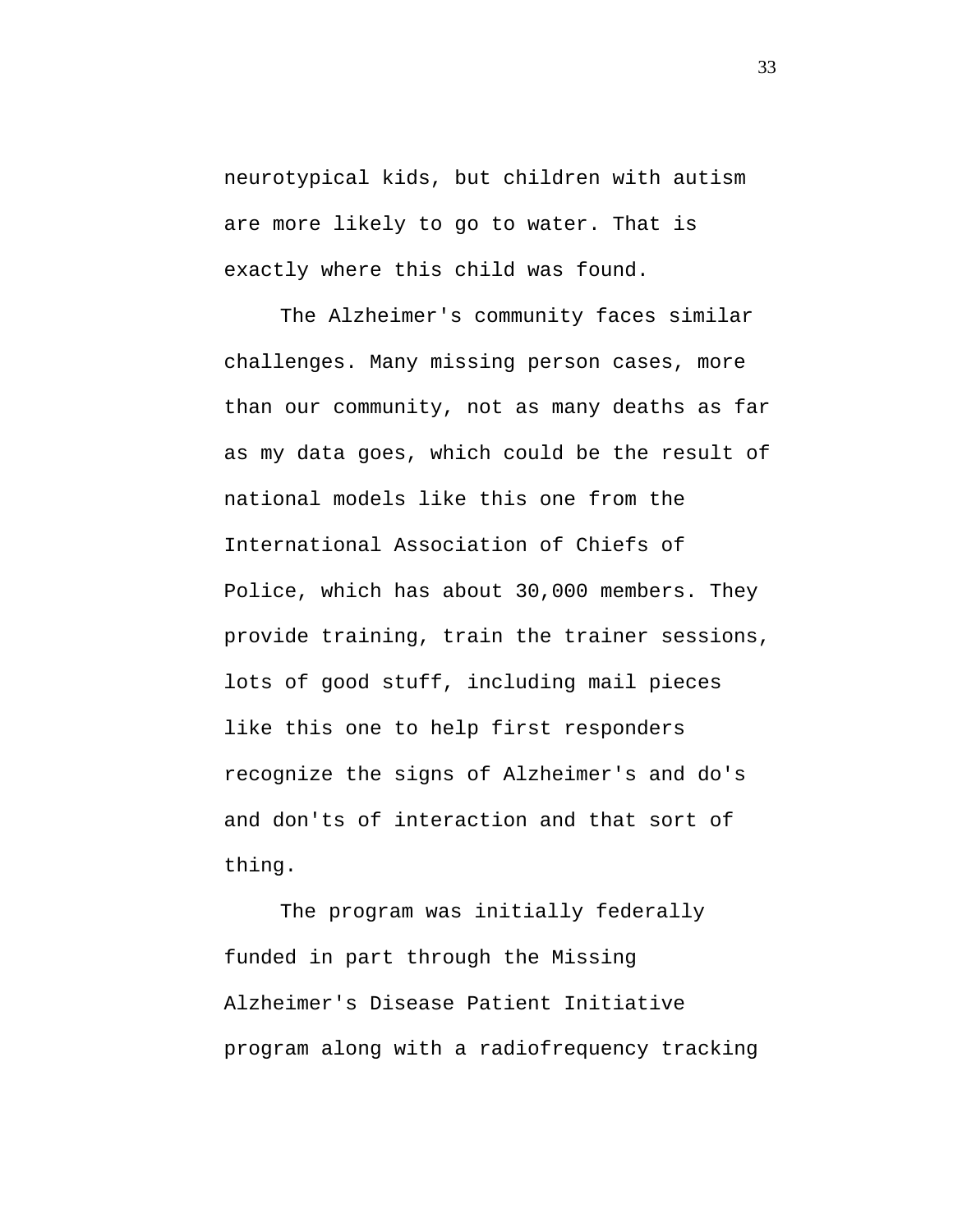neurotypical kids, but children with autism are more likely to go to water. That is exactly where this child was found.

The Alzheimer's community faces similar challenges. Many missing person cases, more than our community, not as many deaths as far as my data goes, which could be the result of national models like this one from the International Association of Chiefs of Police, which has about 30,000 members. They provide training, train the trainer sessions, lots of good stuff, including mail pieces like this one to help first responders recognize the signs of Alzheimer's and do's and don'ts of interaction and that sort of thing.

The program was initially federally funded in part through the Missing Alzheimer's Disease Patient Initiative program along with a radiofrequency tracking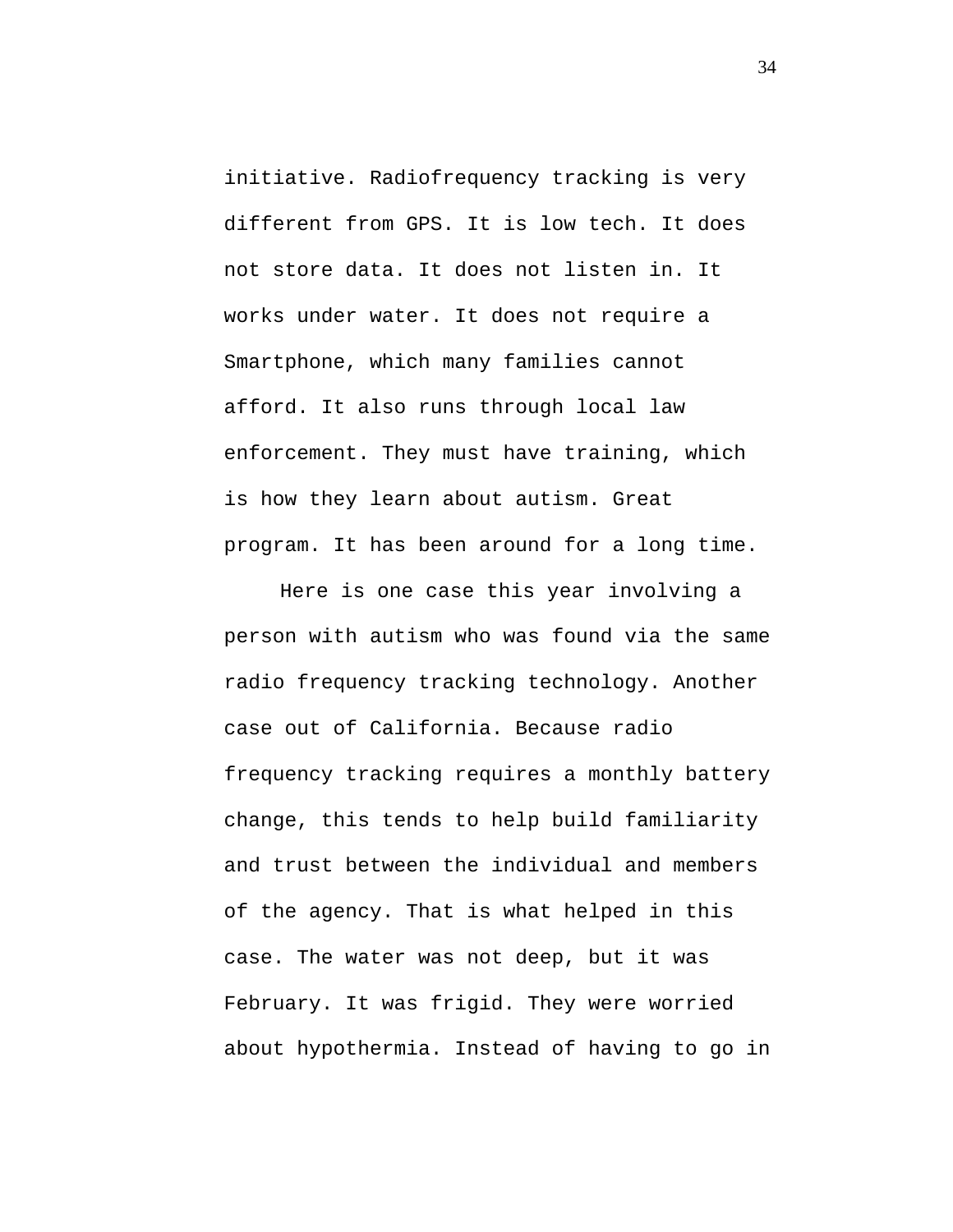initiative. Radiofrequency tracking is very different from GPS. It is low tech. It does not store data. It does not listen in. It works under water. It does not require a Smartphone, which many families cannot afford. It also runs through local law enforcement. They must have training, which is how they learn about autism. Great program. It has been around for a long time.

Here is one case this year involving a person with autism who was found via the same radio frequency tracking technology. Another case out of California. Because radio frequency tracking requires a monthly battery change, this tends to help build familiarity and trust between the individual and members of the agency. That is what helped in this case. The water was not deep, but it was February. It was frigid. They were worried about hypothermia. Instead of having to go in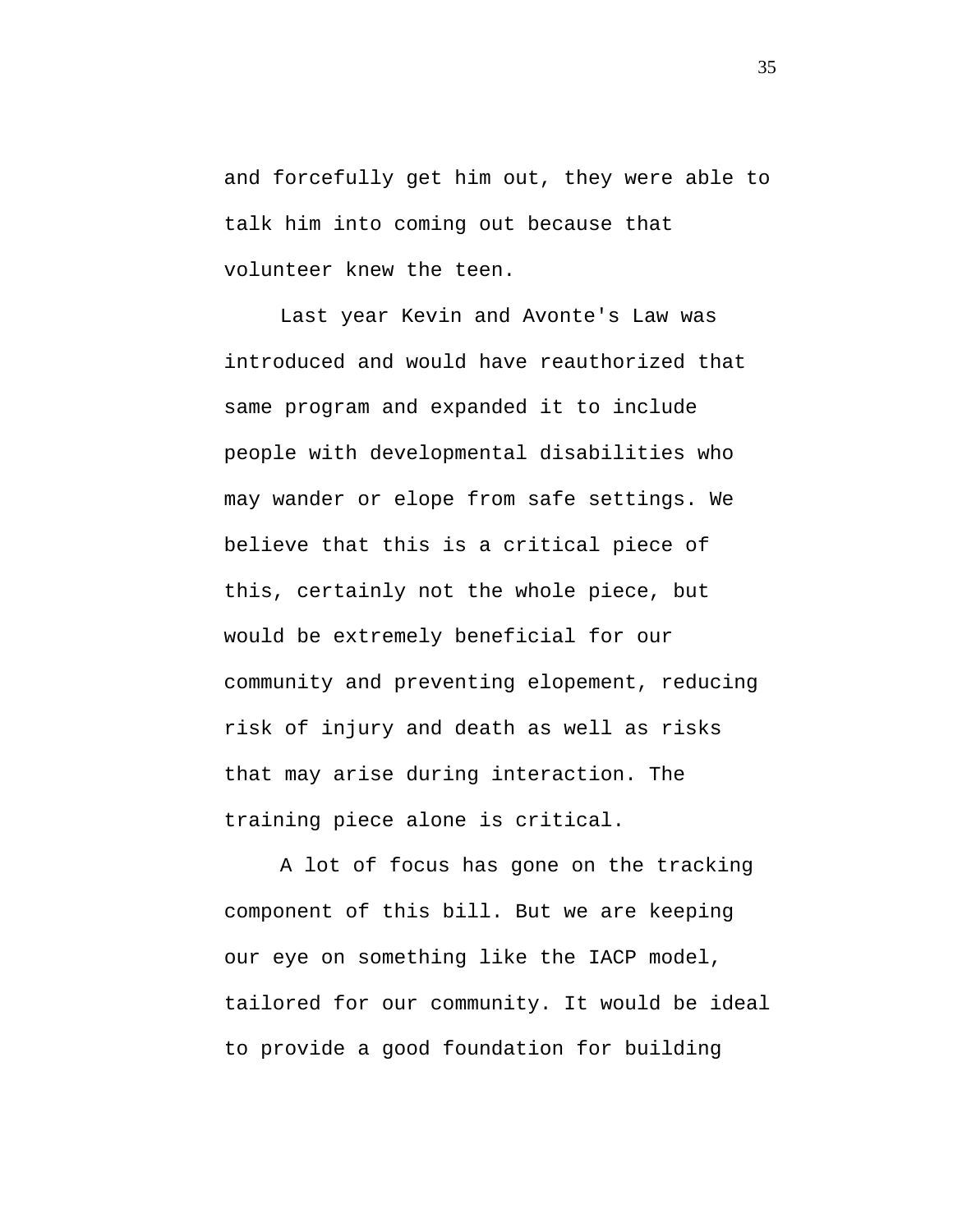and forcefully get him out, they were able to talk him into coming out because that volunteer knew the teen.

Last year Kevin and Avonte's Law was introduced and would have reauthorized that same program and expanded it to include people with developmental disabilities who may wander or elope from safe settings. We believe that this is a critical piece of this, certainly not the whole piece, but would be extremely beneficial for our community and preventing elopement, reducing risk of injury and death as well as risks that may arise during interaction. The training piece alone is critical.

A lot of focus has gone on the tracking component of this bill. But we are keeping our eye on something like the IACP model, tailored for our community. It would be ideal to provide a good foundation for building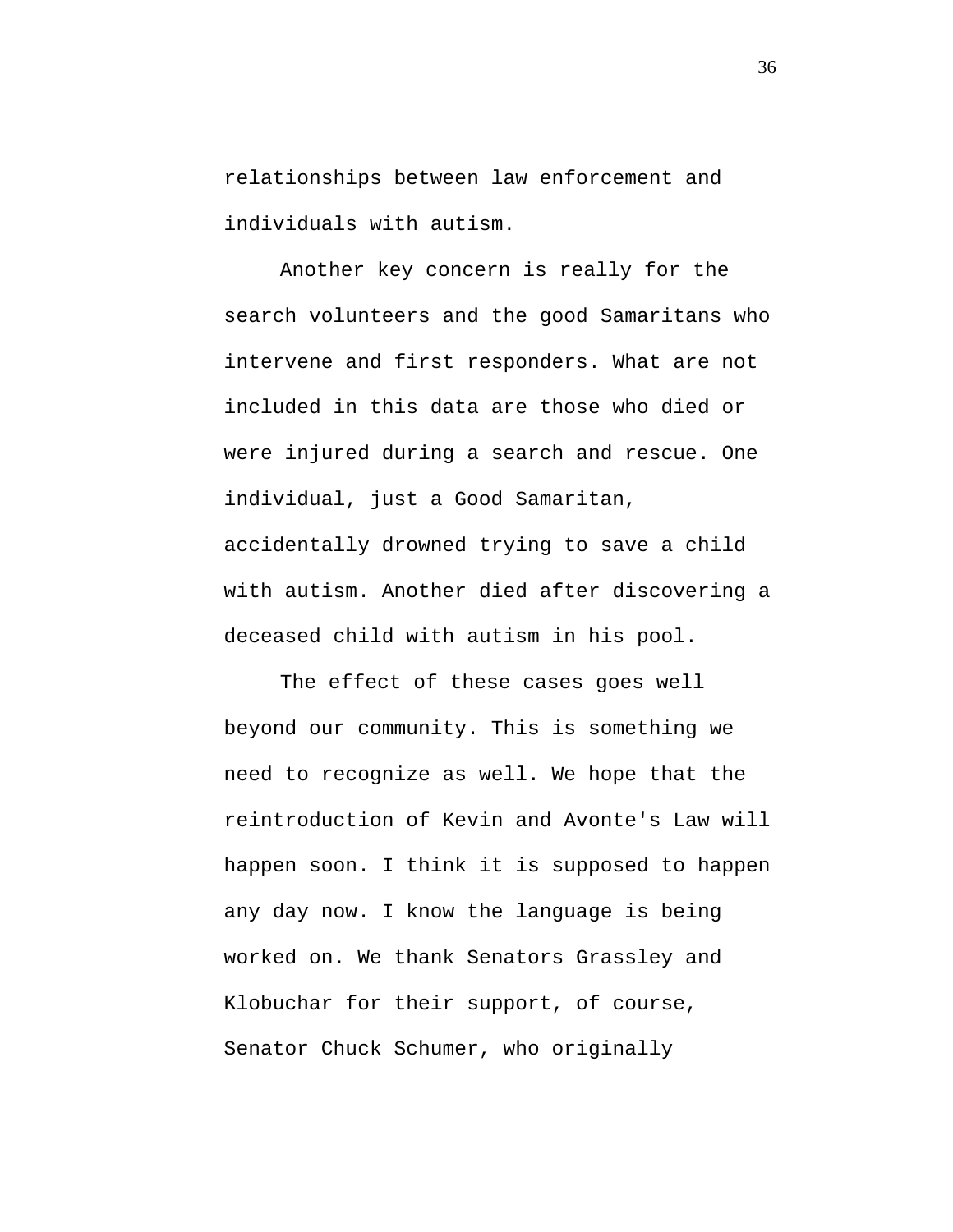relationships between law enforcement and individuals with autism.

Another key concern is really for the search volunteers and the good Samaritans who intervene and first responders. What are not included in this data are those who died or were injured during a search and rescue. One individual, just a Good Samaritan, accidentally drowned trying to save a child with autism. Another died after discovering a deceased child with autism in his pool.

The effect of these cases goes well beyond our community. This is something we need to recognize as well. We hope that the reintroduction of Kevin and Avonte's Law will happen soon. I think it is supposed to happen any day now. I know the language is being worked on. We thank Senators Grassley and Klobuchar for their support, of course, Senator Chuck Schumer, who originally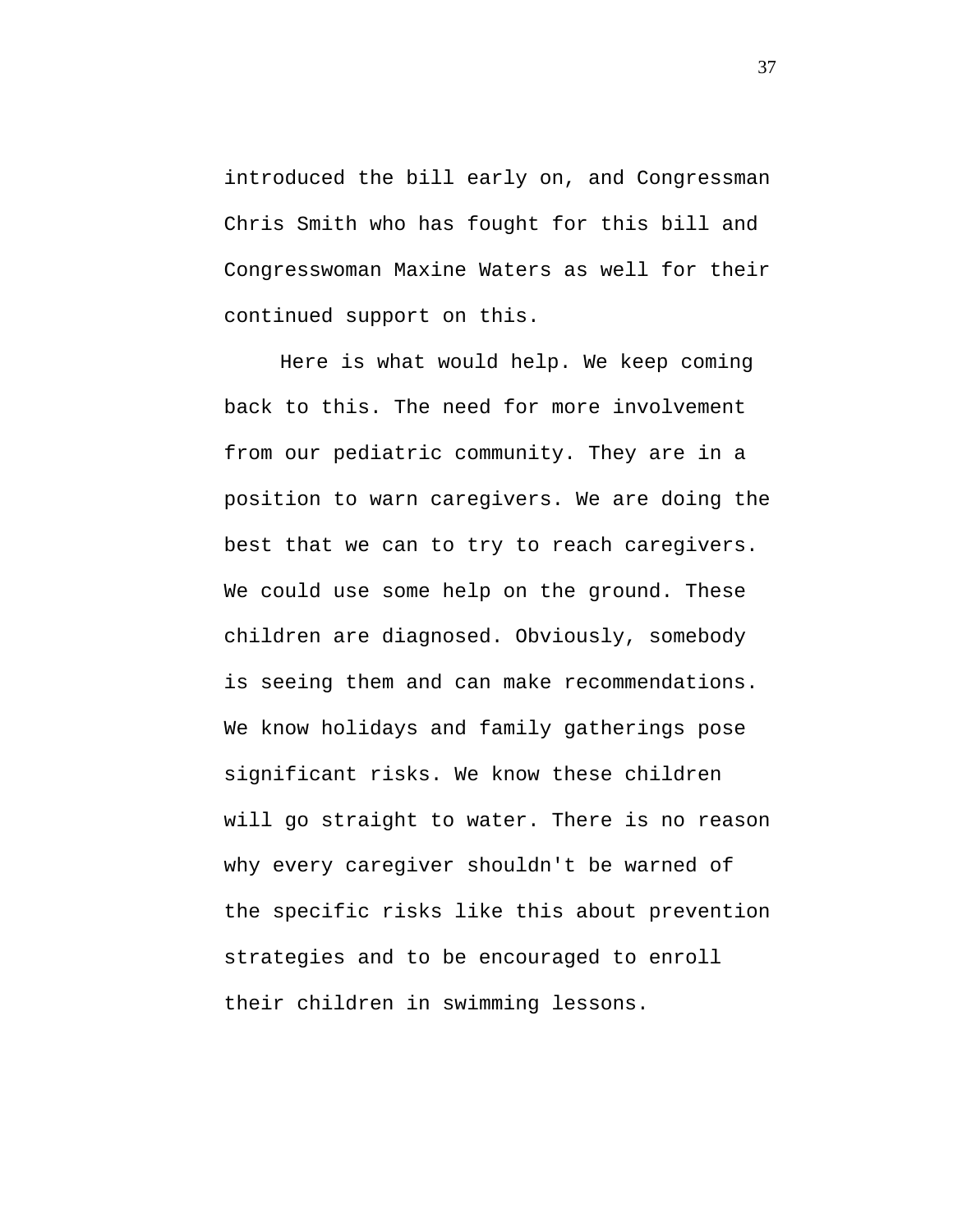introduced the bill early on, and Congressman Chris Smith who has fought for this bill and Congresswoman Maxine Waters as well for their continued support on this.

Here is what would help. We keep coming back to this. The need for more involvement from our pediatric community. They are in a position to warn caregivers. We are doing the best that we can to try to reach caregivers. We could use some help on the ground. These children are diagnosed. Obviously, somebody is seeing them and can make recommendations. We know holidays and family gatherings pose significant risks. We know these children will go straight to water. There is no reason why every caregiver shouldn't be warned of the specific risks like this about prevention strategies and to be encouraged to enroll their children in swimming lessons.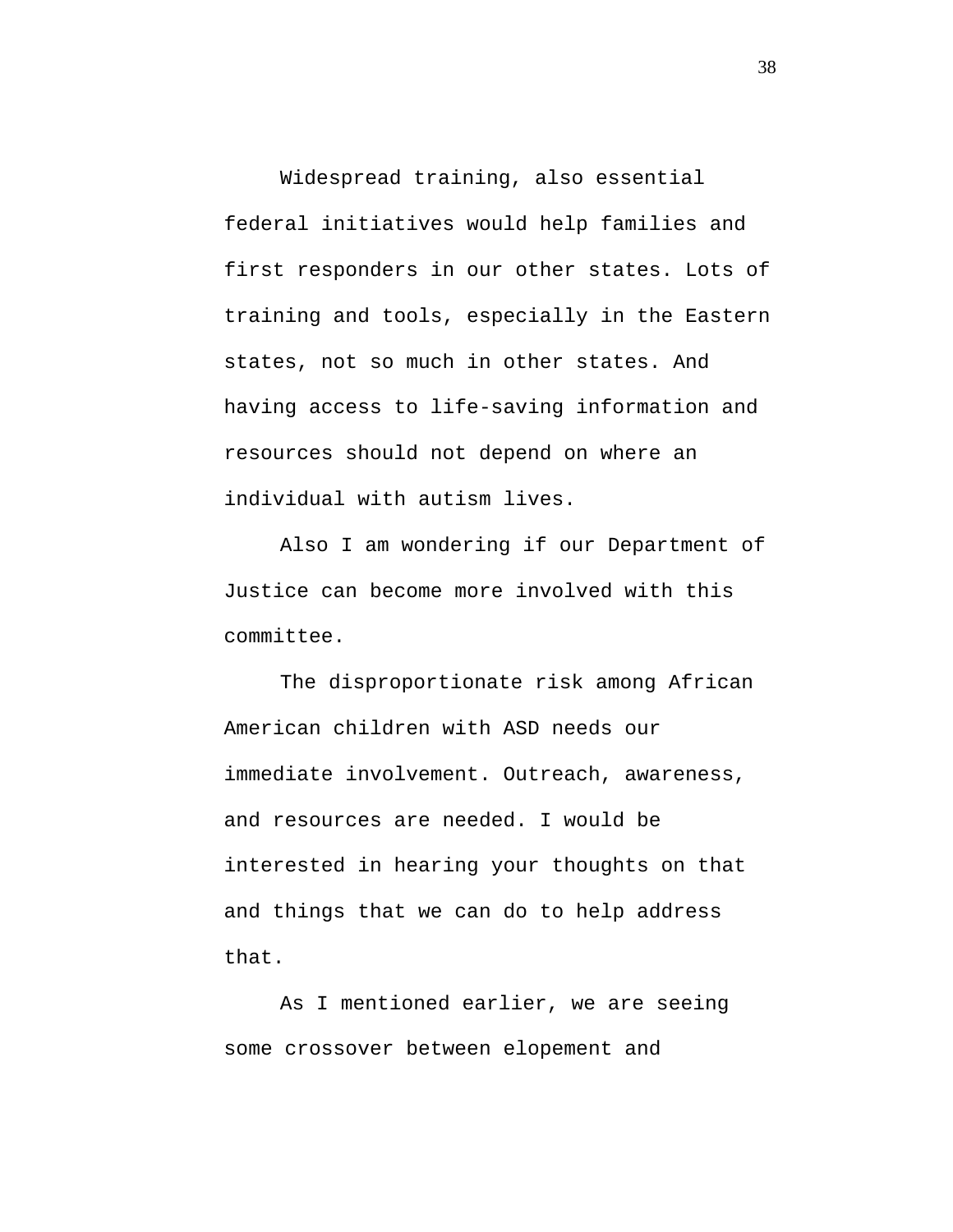Widespread training, also essential federal initiatives would help families and first responders in our other states. Lots of training and tools, especially in the Eastern states, not so much in other states. And having access to life-saving information and resources should not depend on where an individual with autism lives.

Also I am wondering if our Department of Justice can become more involved with this committee.

The disproportionate risk among African American children with ASD needs our immediate involvement. Outreach, awareness, and resources are needed. I would be interested in hearing your thoughts on that and things that we can do to help address that.

As I mentioned earlier, we are seeing some crossover between elopement and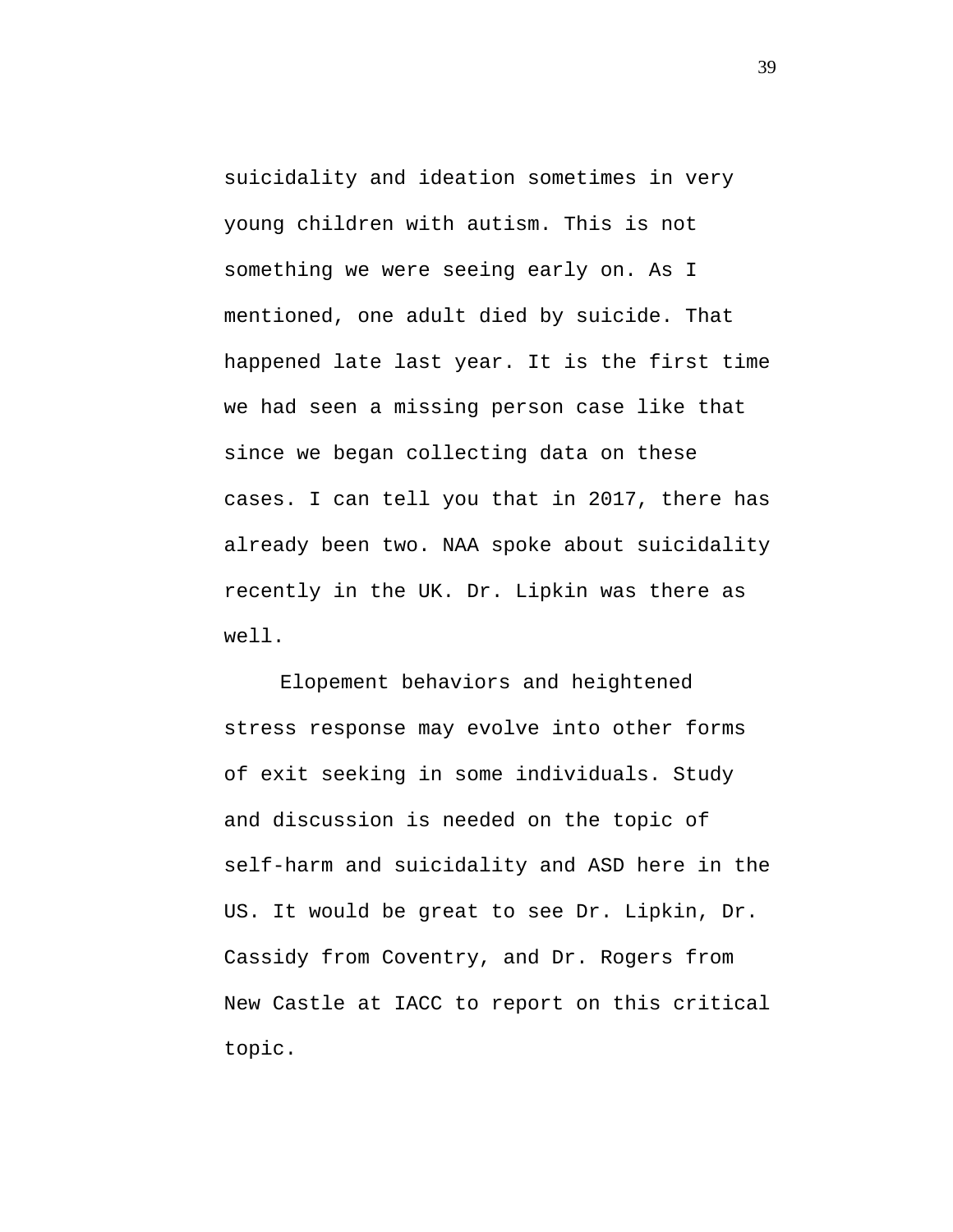suicidality and ideation sometimes in very young children with autism. This is not something we were seeing early on. As I mentioned, one adult died by suicide. That happened late last year. It is the first time we had seen a missing person case like that since we began collecting data on these cases. I can tell you that in 2017, there has already been two. NAA spoke about suicidality recently in the UK. Dr. Lipkin was there as well.

Elopement behaviors and heightened stress response may evolve into other forms of exit seeking in some individuals. Study and discussion is needed on the topic of self-harm and suicidality and ASD here in the US. It would be great to see Dr. Lipkin, Dr. Cassidy from Coventry, and Dr. Rogers from New Castle at IACC to report on this critical topic.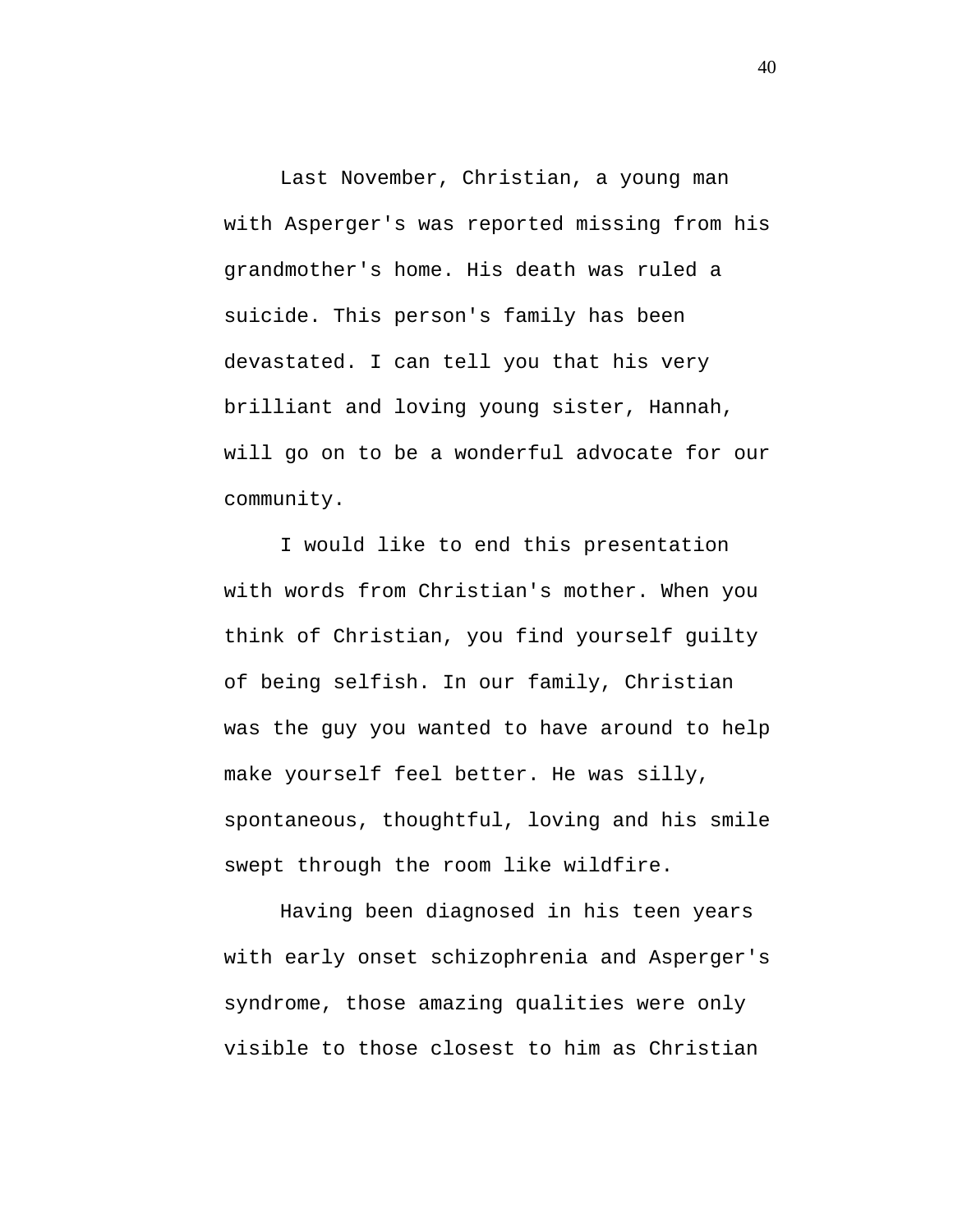Last November, Christian, a young man with Asperger's was reported missing from his grandmother's home. His death was ruled a suicide. This person's family has been devastated. I can tell you that his very brilliant and loving young sister, Hannah, will go on to be a wonderful advocate for our community.

I would like to end this presentation with words from Christian's mother. When you think of Christian, you find yourself guilty of being selfish. In our family, Christian was the guy you wanted to have around to help make yourself feel better. He was silly, spontaneous, thoughtful, loving and his smile swept through the room like wildfire.

Having been diagnosed in his teen years with early onset schizophrenia and Asperger's syndrome, those amazing qualities were only visible to those closest to him as Christian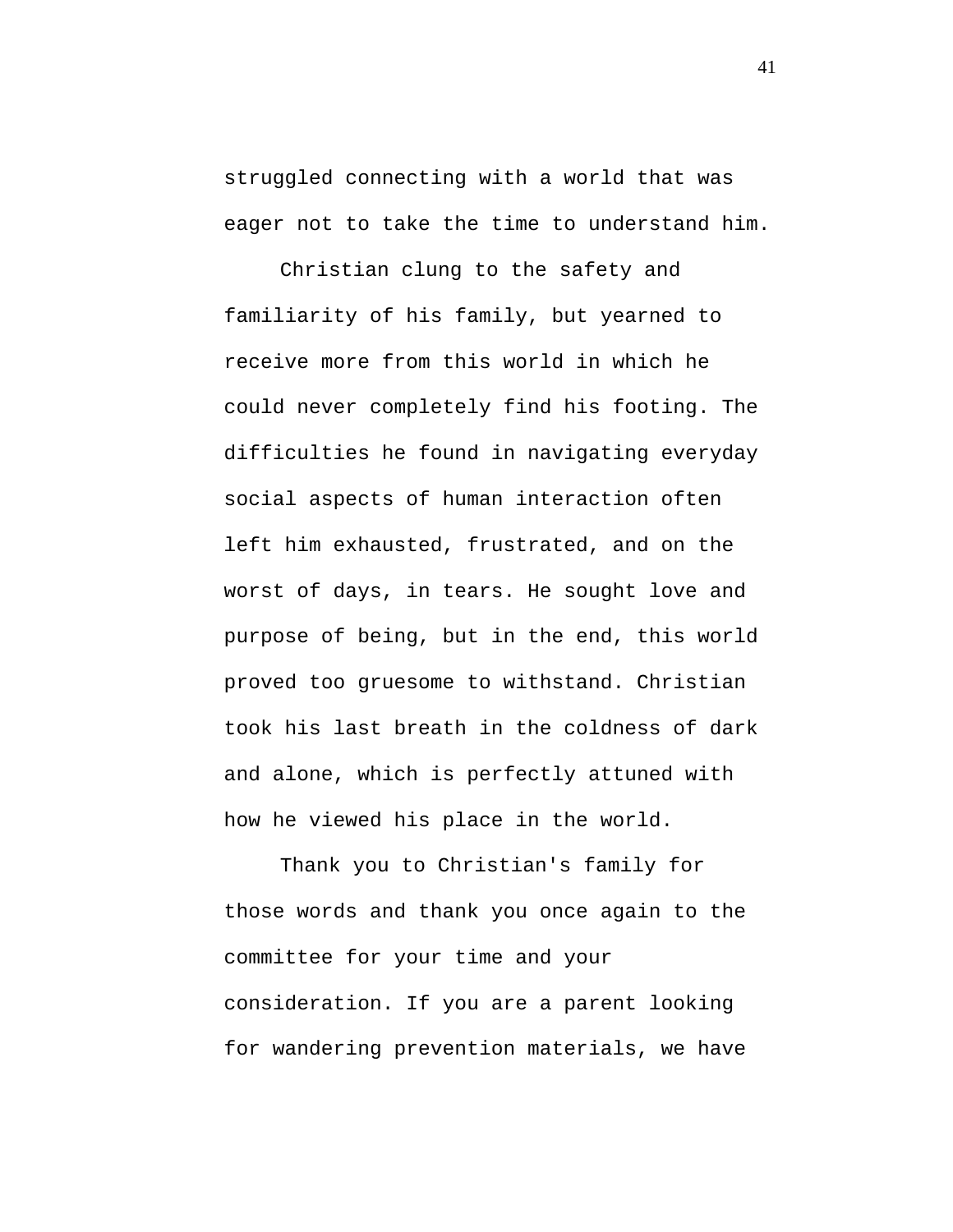struggled connecting with a world that was eager not to take the time to understand him.

Christian clung to the safety and familiarity of his family, but yearned to receive more from this world in which he could never completely find his footing. The difficulties he found in navigating everyday social aspects of human interaction often left him exhausted, frustrated, and on the worst of days, in tears. He sought love and purpose of being, but in the end, this world proved too gruesome to withstand. Christian took his last breath in the coldness of dark and alone, which is perfectly attuned with how he viewed his place in the world.

Thank you to Christian's family for those words and thank you once again to the committee for your time and your consideration. If you are a parent looking for wandering prevention materials, we have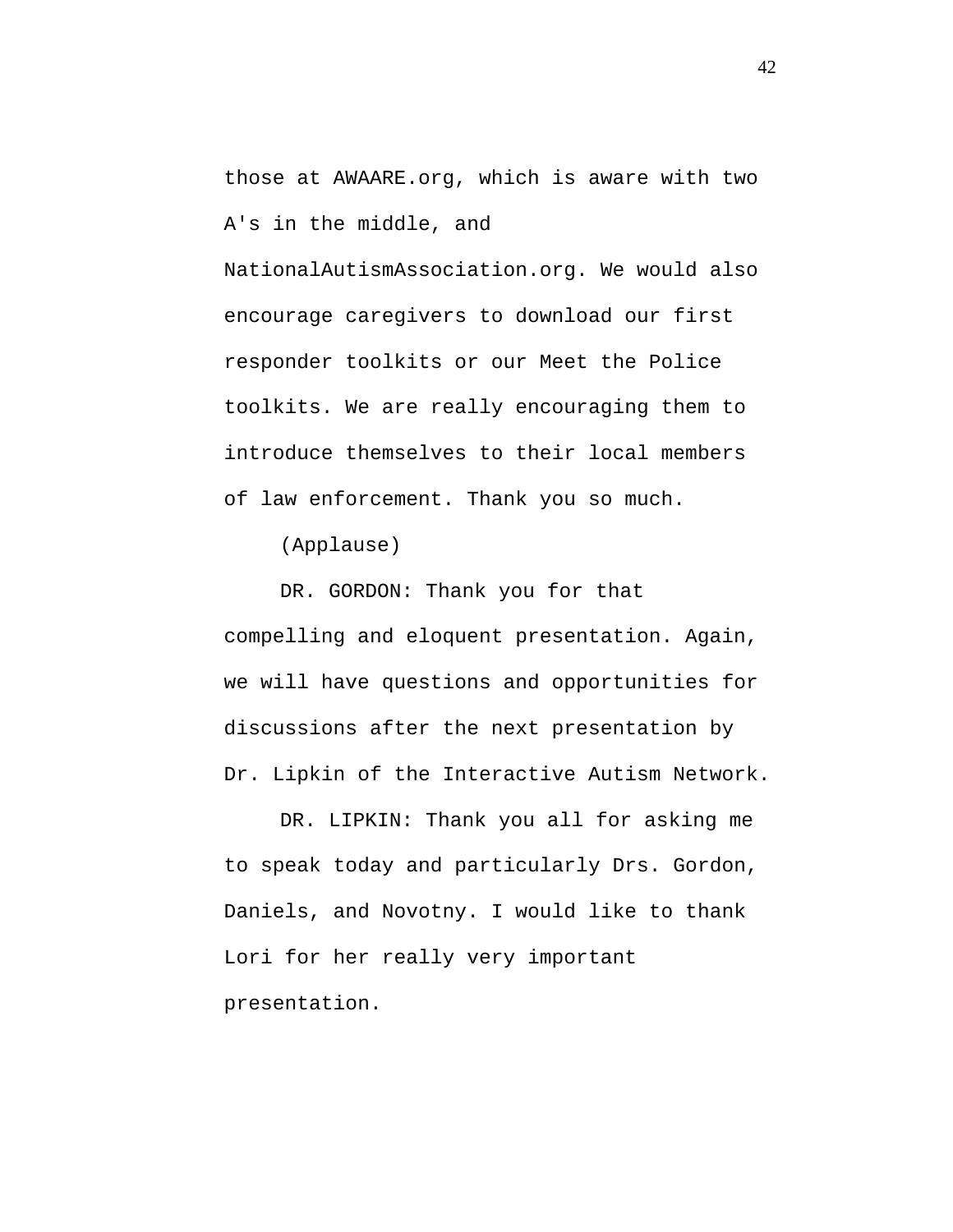```
those at AWAARE.org, which is aware with two 
A's in the middle, and
```
NationalAutismAssociation.org. We would also encourage caregivers to download our first responder toolkits or our Meet the Police toolkits. We are really encouraging them to introduce themselves to their local members of law enforcement. Thank you so much.

(Applause)

DR. GORDON: Thank you for that compelling and eloquent presentation. Again, we will have questions and opportunities for discussions after the next presentation by Dr. Lipkin of the Interactive Autism Network.

DR. LIPKIN: Thank you all for asking me to speak today and particularly Drs. Gordon, Daniels, and Novotny. I would like to thank Lori for her really very important presentation.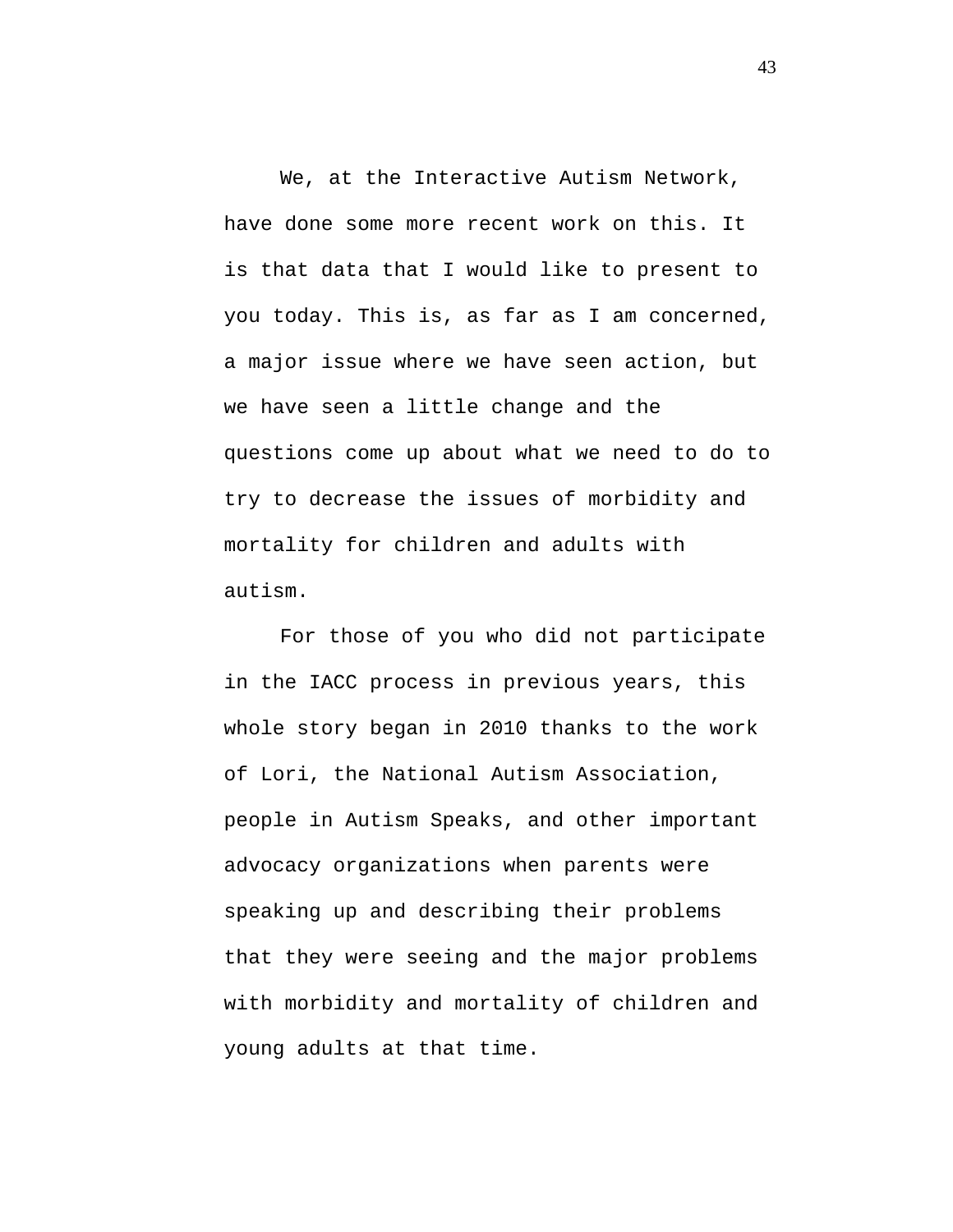We, at the Interactive Autism Network, have done some more recent work on this. It is that data that I would like to present to you today. This is, as far as I am concerned, a major issue where we have seen action, but we have seen a little change and the questions come up about what we need to do to try to decrease the issues of morbidity and mortality for children and adults with autism.

For those of you who did not participate in the IACC process in previous years, this whole story began in 2010 thanks to the work of Lori, the National Autism Association, people in Autism Speaks, and other important advocacy organizations when parents were speaking up and describing their problems that they were seeing and the major problems with morbidity and mortality of children and young adults at that time.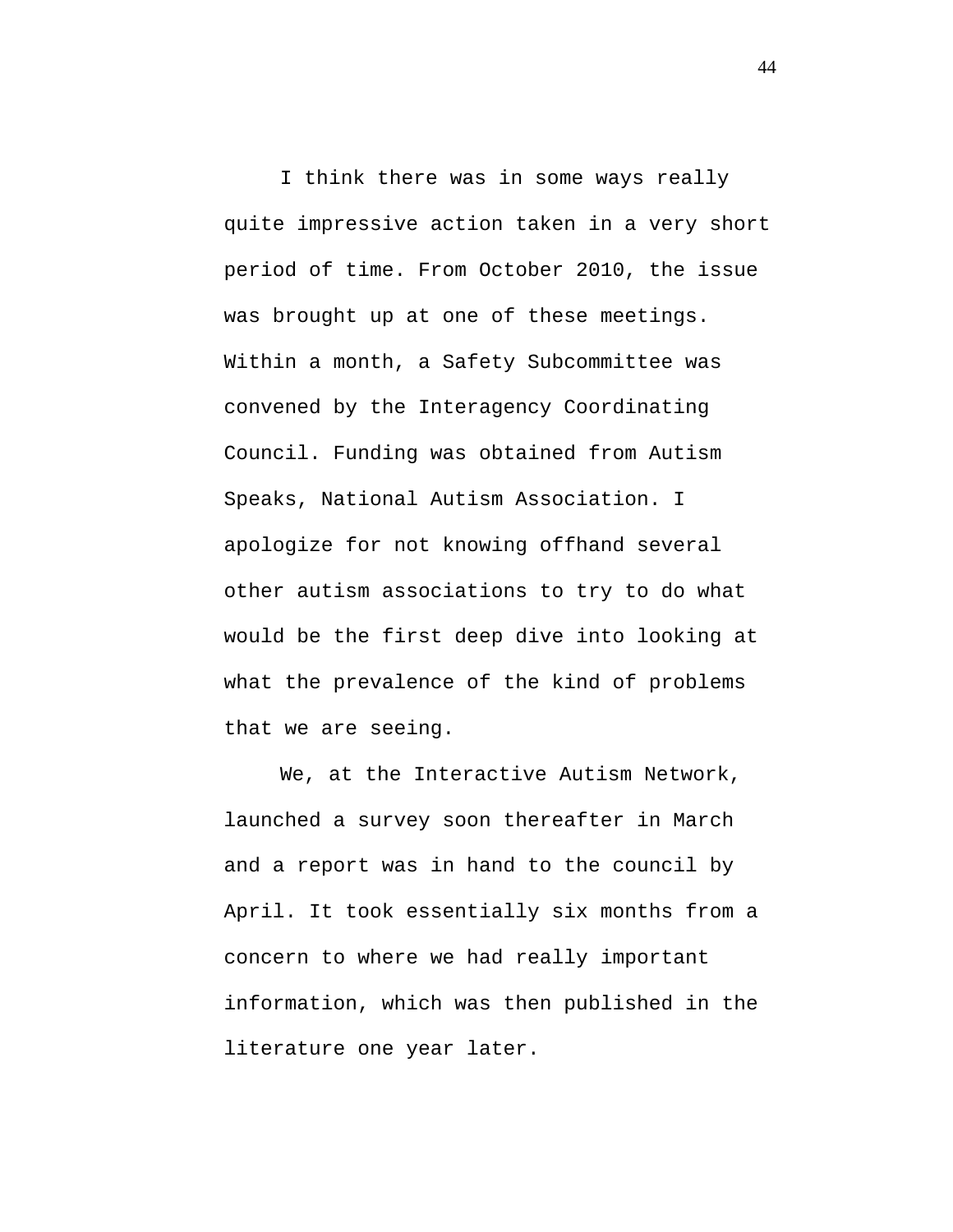I think there was in some ways really quite impressive action taken in a very short period of time. From October 2010, the issue was brought up at one of these meetings. Within a month, a Safety Subcommittee was convened by the Interagency Coordinating Council. Funding was obtained from Autism Speaks, National Autism Association. I apologize for not knowing offhand several other autism associations to try to do what would be the first deep dive into looking at what the prevalence of the kind of problems that we are seeing.

We, at the Interactive Autism Network, launched a survey soon thereafter in March and a report was in hand to the council by April. It took essentially six months from a concern to where we had really important information, which was then published in the literature one year later.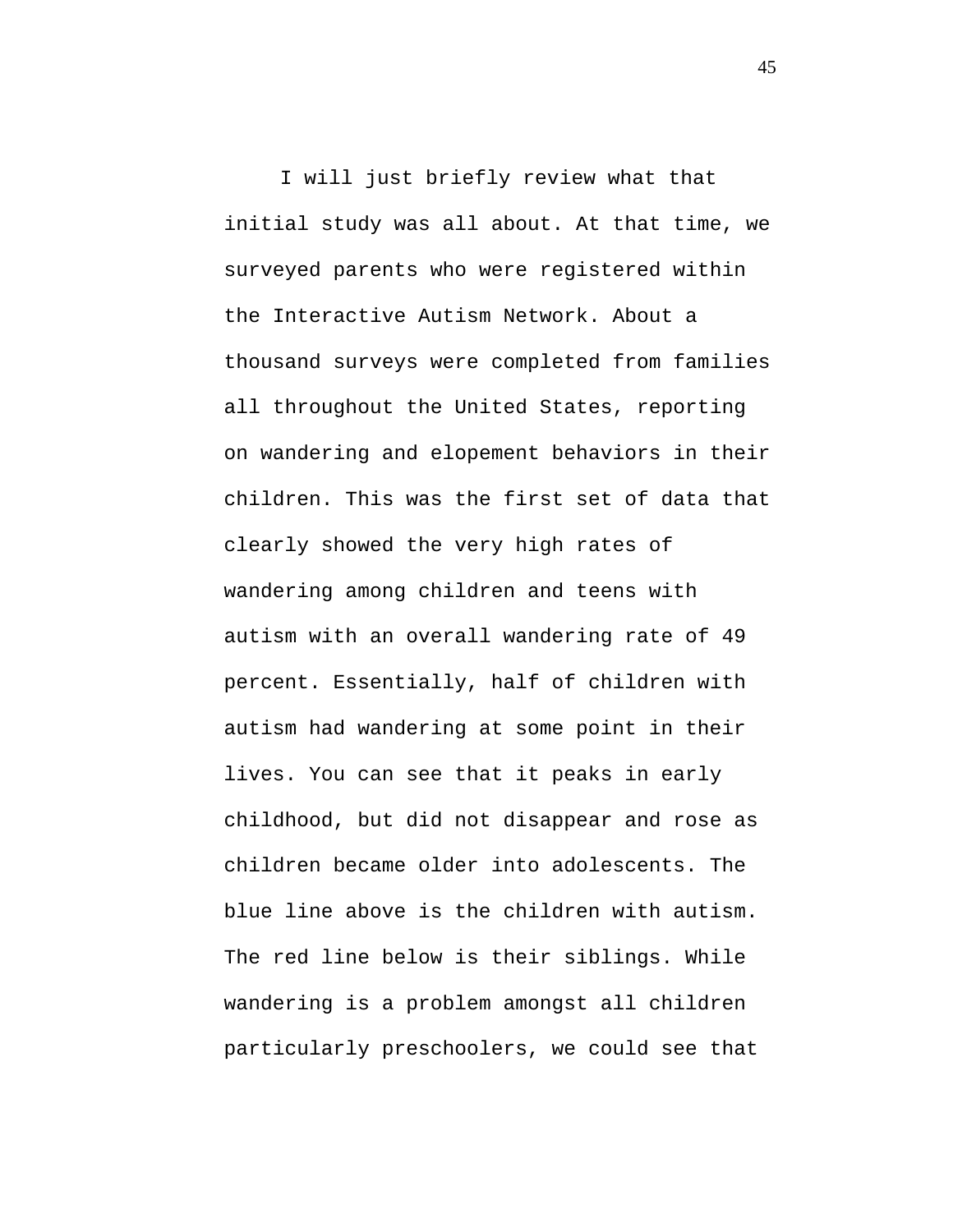I will just briefly review what that initial study was all about. At that time, we surveyed parents who were registered within the Interactive Autism Network. About a thousand surveys were completed from families all throughout the United States, reporting on wandering and elopement behaviors in their children. This was the first set of data that clearly showed the very high rates of wandering among children and teens with autism with an overall wandering rate of 49 percent. Essentially, half of children with autism had wandering at some point in their lives. You can see that it peaks in early childhood, but did not disappear and rose as children became older into adolescents. The blue line above is the children with autism. The red line below is their siblings. While wandering is a problem amongst all children particularly preschoolers, we could see that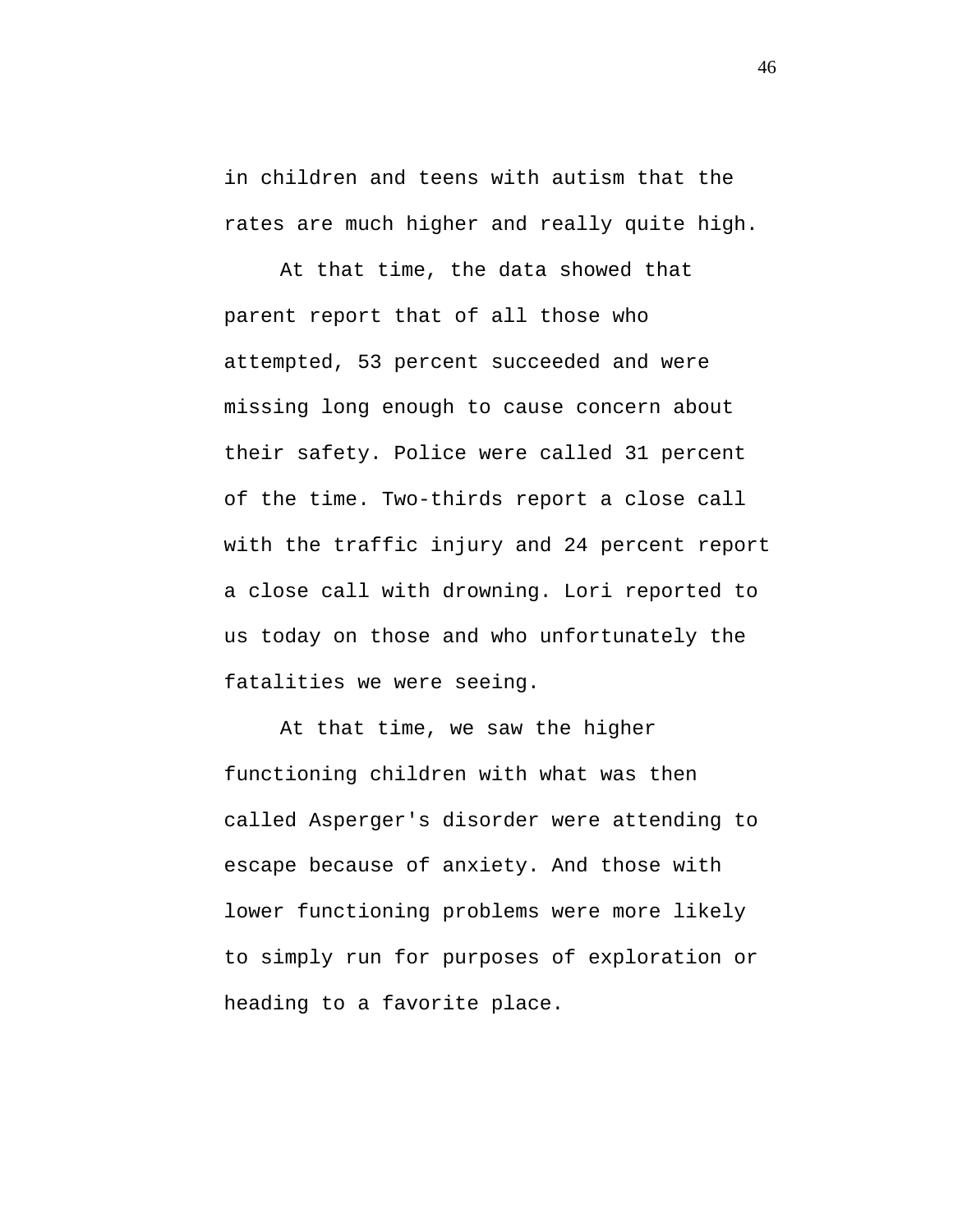in children and teens with autism that the rates are much higher and really quite high.

At that time, the data showed that parent report that of all those who attempted, 53 percent succeeded and were missing long enough to cause concern about their safety. Police were called 31 percent of the time. Two-thirds report a close call with the traffic injury and 24 percent report a close call with drowning. Lori reported to us today on those and who unfortunately the fatalities we were seeing.

At that time, we saw the higher functioning children with what was then called Asperger's disorder were attending to escape because of anxiety. And those with lower functioning problems were more likely to simply run for purposes of exploration or heading to a favorite place.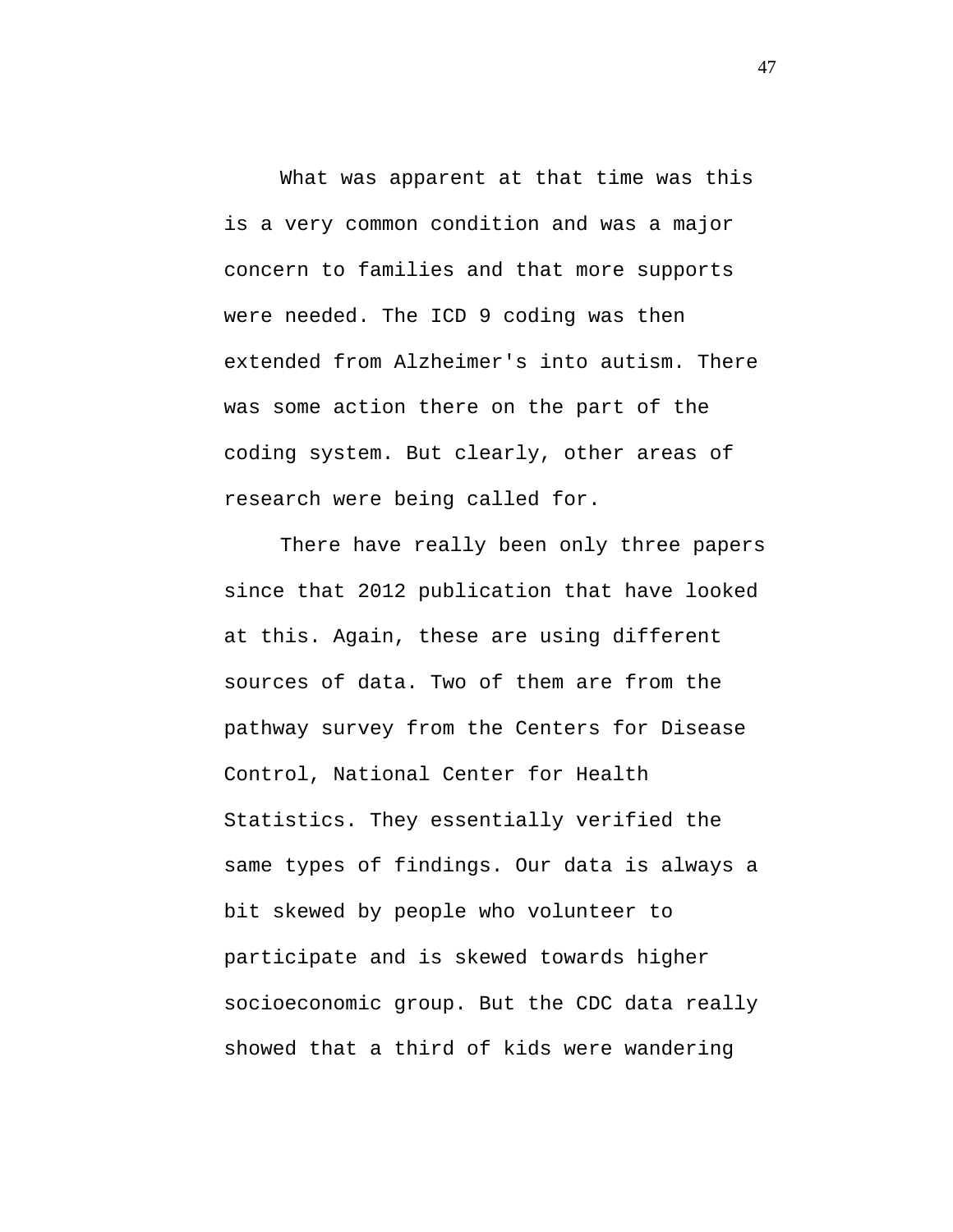What was apparent at that time was this is a very common condition and was a major concern to families and that more supports were needed. The ICD 9 coding was then extended from Alzheimer's into autism. There was some action there on the part of the coding system. But clearly, other areas of research were being called for.

There have really been only three papers since that 2012 publication that have looked at this. Again, these are using different sources of data. Two of them are from the pathway survey from the Centers for Disease Control, National Center for Health Statistics. They essentially verified the same types of findings. Our data is always a bit skewed by people who volunteer to participate and is skewed towards higher socioeconomic group. But the CDC data really showed that a third of kids were wandering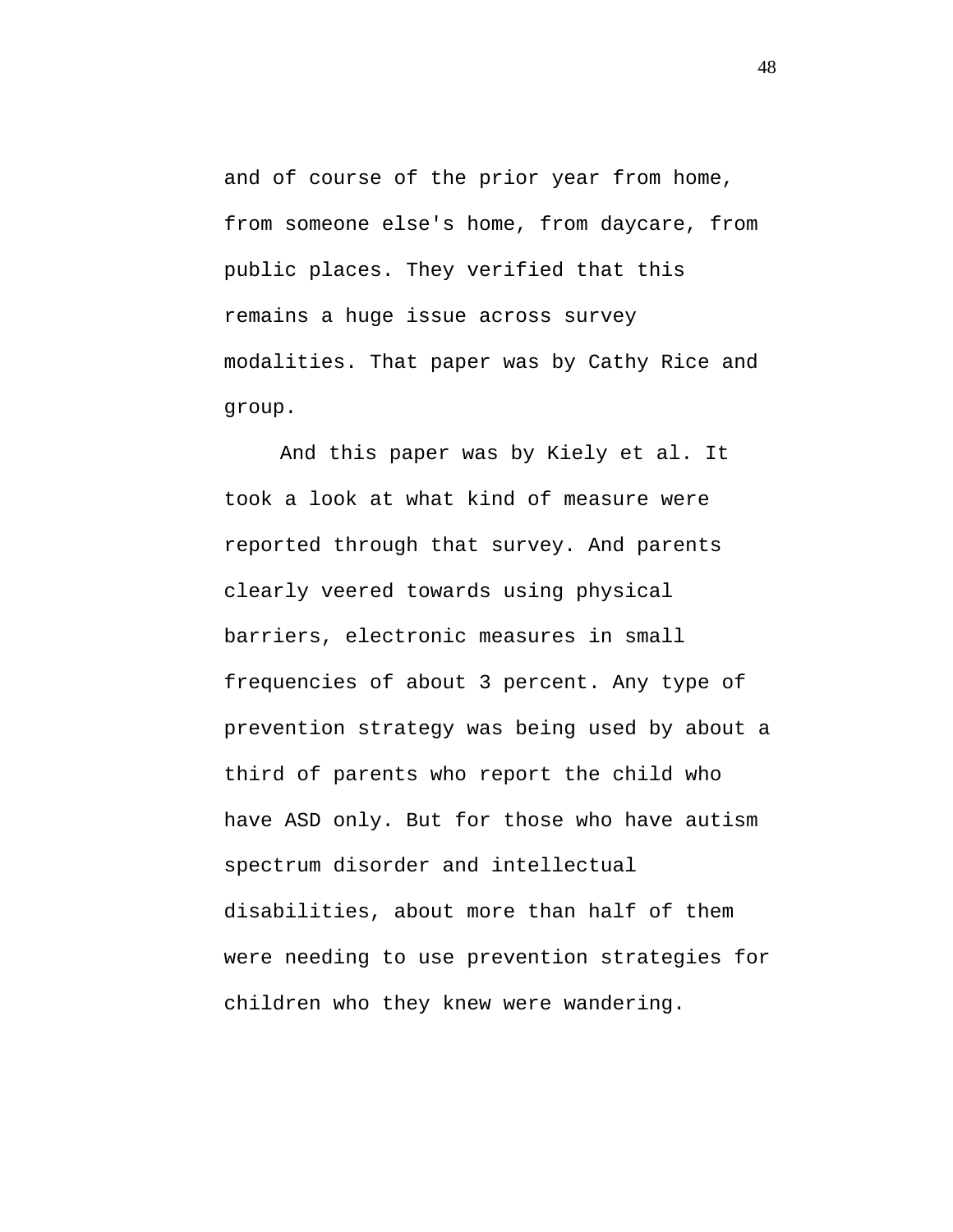and of course of the prior year from home, from someone else's home, from daycare, from public places. They verified that this remains a huge issue across survey modalities. That paper was by Cathy Rice and group.

And this paper was by Kiely et al. It took a look at what kind of measure were reported through that survey. And parents clearly veered towards using physical barriers, electronic measures in small frequencies of about 3 percent. Any type of prevention strategy was being used by about a third of parents who report the child who have ASD only. But for those who have autism spectrum disorder and intellectual disabilities, about more than half of them were needing to use prevention strategies for children who they knew were wandering.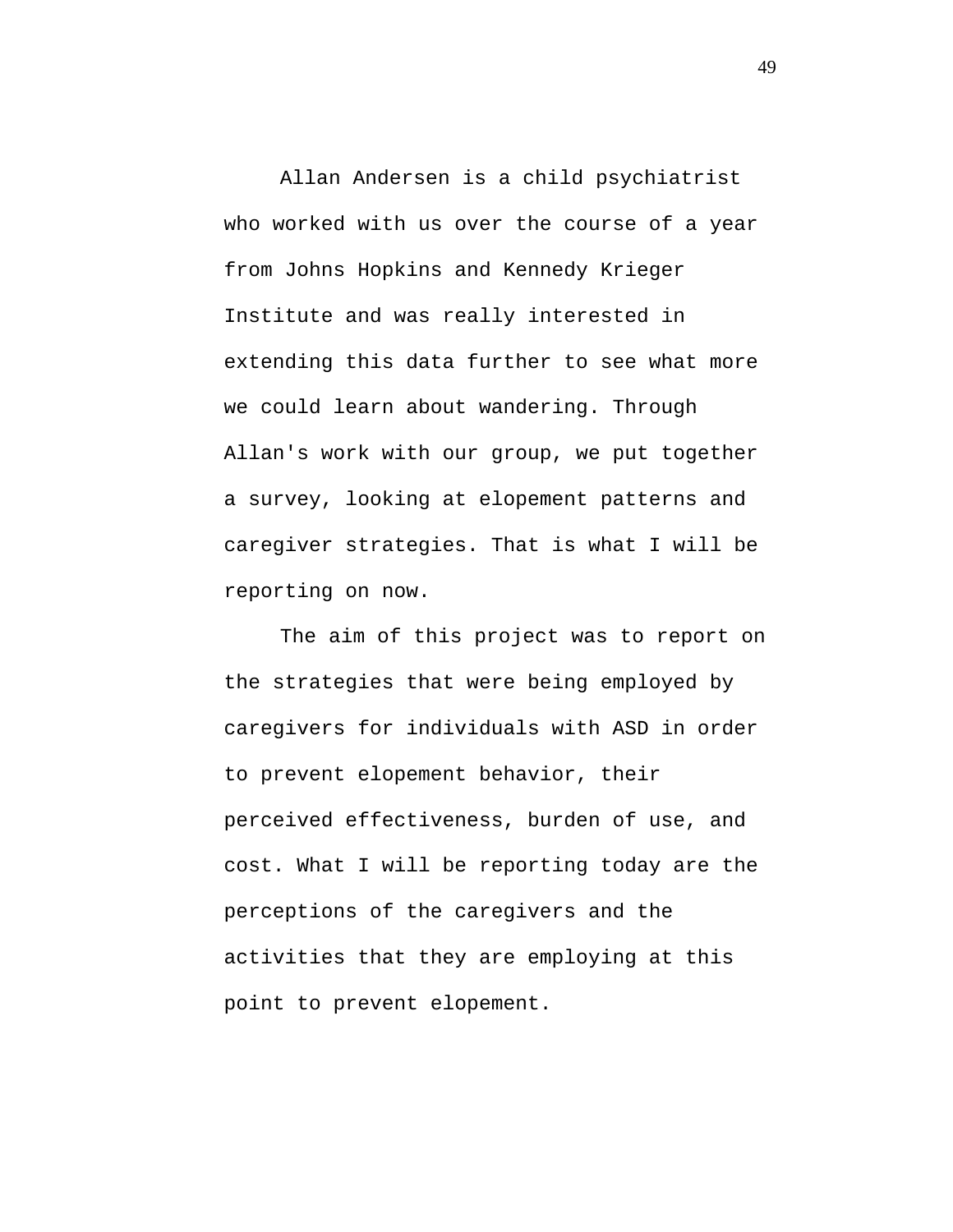Allan Andersen is a child psychiatrist who worked with us over the course of a year from Johns Hopkins and Kennedy Krieger Institute and was really interested in extending this data further to see what more we could learn about wandering. Through Allan's work with our group, we put together a survey, looking at elopement patterns and caregiver strategies. That is what I will be reporting on now.

The aim of this project was to report on the strategies that were being employed by caregivers for individuals with ASD in order to prevent elopement behavior, their perceived effectiveness, burden of use, and cost. What I will be reporting today are the perceptions of the caregivers and the activities that they are employing at this point to prevent elopement.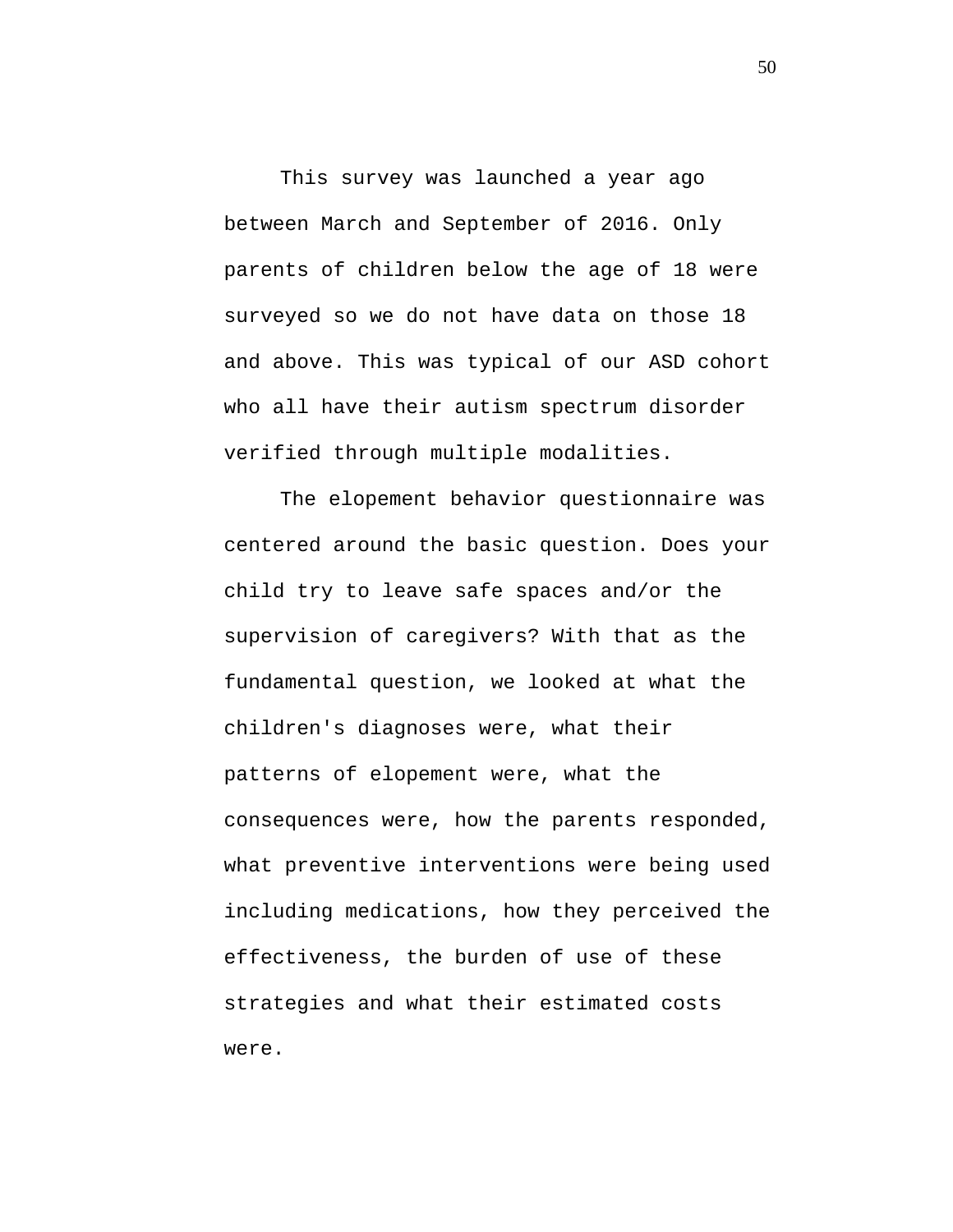This survey was launched a year ago between March and September of 2016. Only parents of children below the age of 18 were surveyed so we do not have data on those 18 and above. This was typical of our ASD cohort who all have their autism spectrum disorder verified through multiple modalities.

The elopement behavior questionnaire was centered around the basic question. Does your child try to leave safe spaces and/or the supervision of caregivers? With that as the fundamental question, we looked at what the children's diagnoses were, what their patterns of elopement were, what the consequences were, how the parents responded, what preventive interventions were being used including medications, how they perceived the effectiveness, the burden of use of these strategies and what their estimated costs were.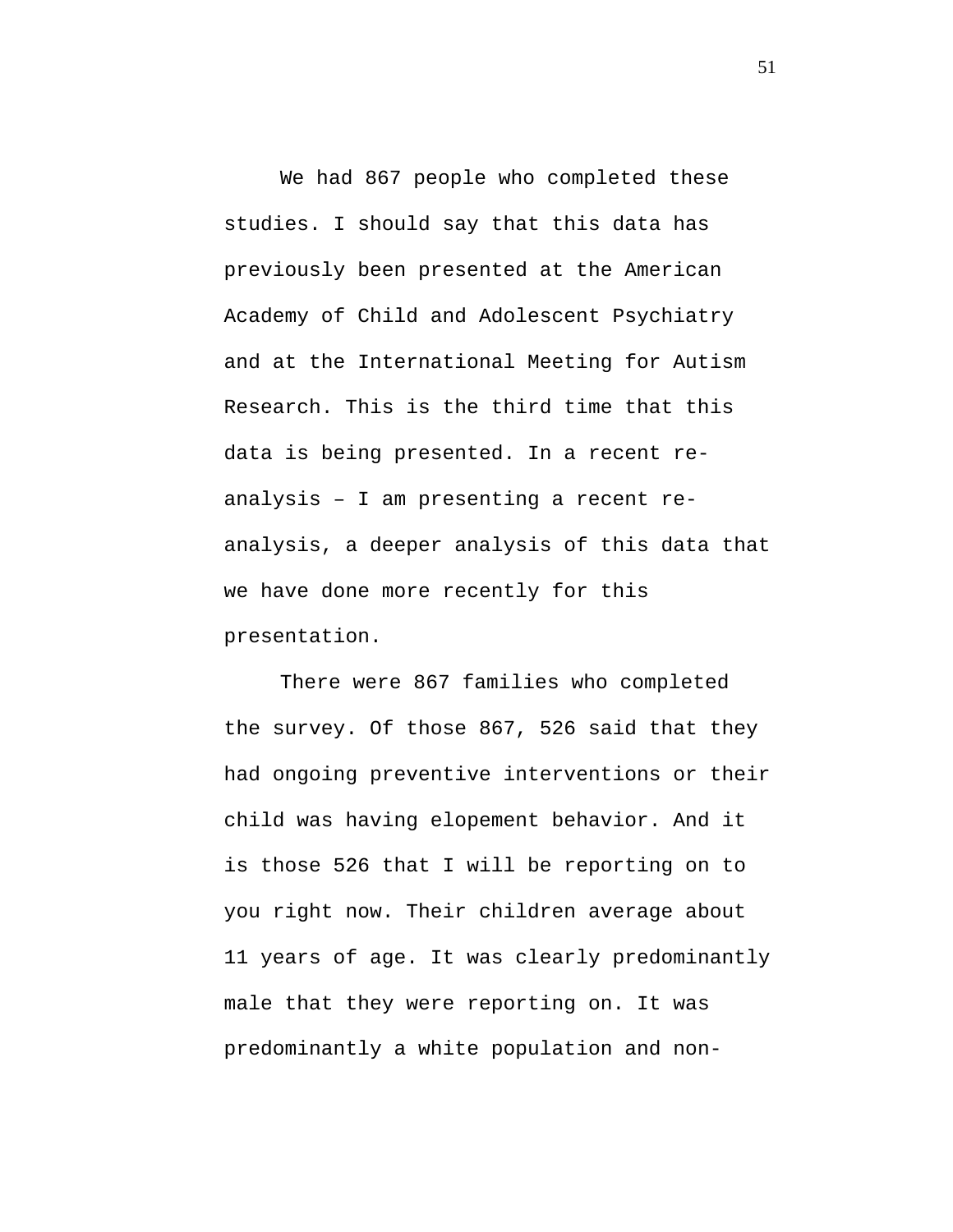We had 867 people who completed these studies. I should say that this data has previously been presented at the American Academy of Child and Adolescent Psychiatry and at the International Meeting for Autism Research. This is the third time that this data is being presented. In a recent reanalysis – I am presenting a recent reanalysis, a deeper analysis of this data that we have done more recently for this presentation.

There were 867 families who completed the survey. Of those 867, 526 said that they had ongoing preventive interventions or their child was having elopement behavior. And it is those 526 that I will be reporting on to you right now. Their children average about 11 years of age. It was clearly predominantly male that they were reporting on. It was predominantly a white population and non-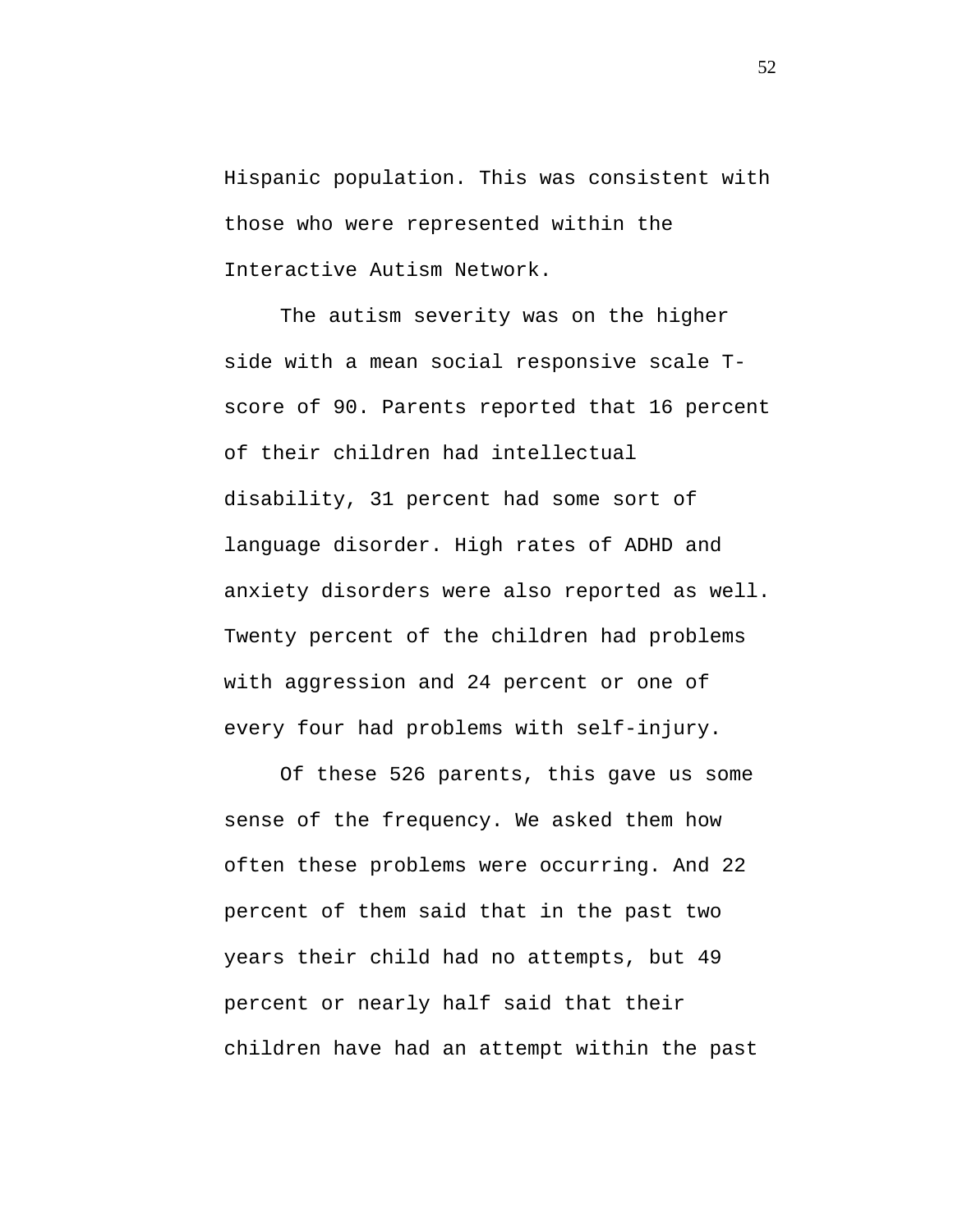Hispanic population. This was consistent with those who were represented within the Interactive Autism Network.

The autism severity was on the higher side with a mean social responsive scale Tscore of 90. Parents reported that 16 percent of their children had intellectual disability, 31 percent had some sort of language disorder. High rates of ADHD and anxiety disorders were also reported as well. Twenty percent of the children had problems with aggression and 24 percent or one of every four had problems with self-injury.

Of these 526 parents, this gave us some sense of the frequency. We asked them how often these problems were occurring. And 22 percent of them said that in the past two years their child had no attempts, but 49 percent or nearly half said that their children have had an attempt within the past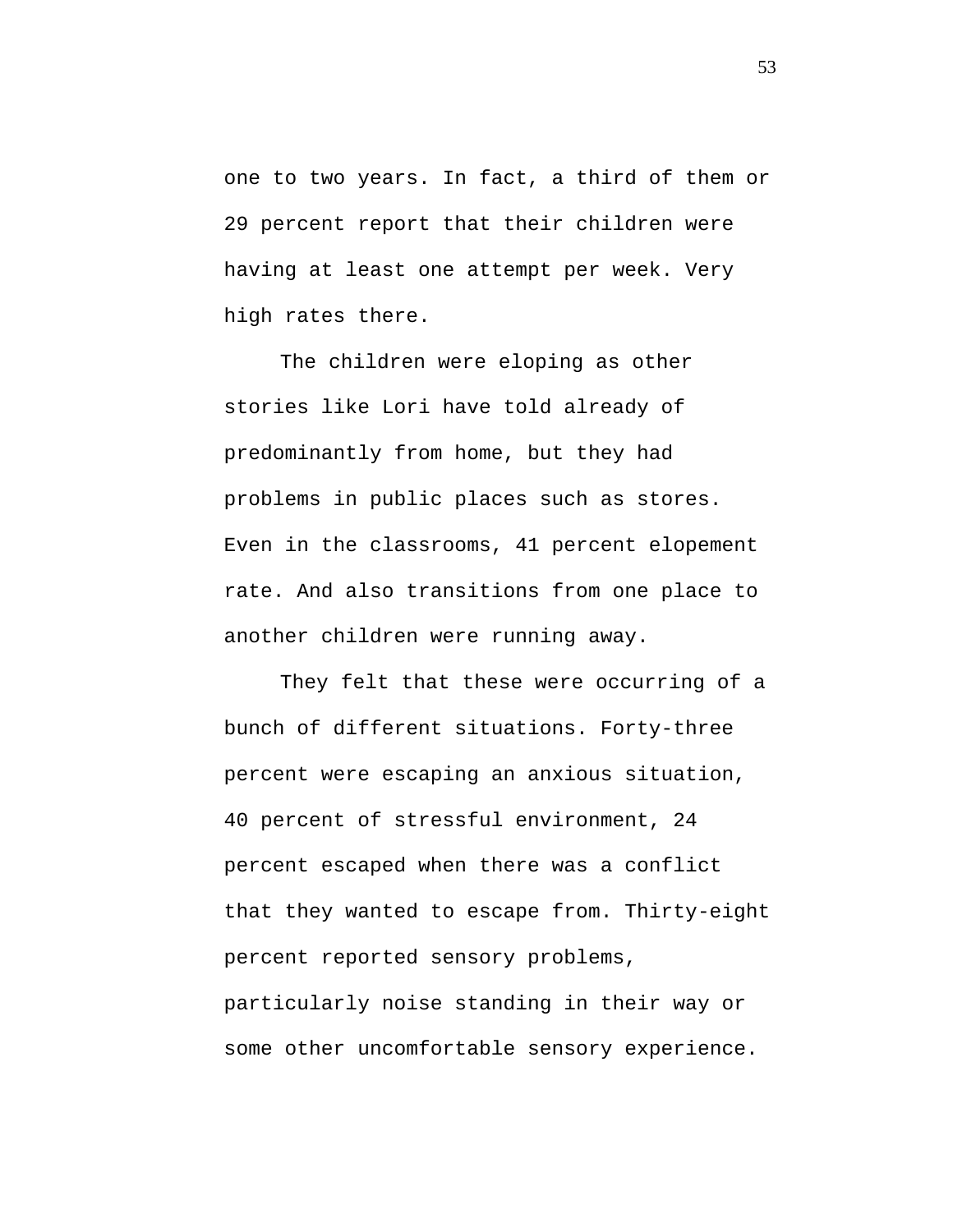one to two years. In fact, a third of them or 29 percent report that their children were having at least one attempt per week. Very high rates there.

The children were eloping as other stories like Lori have told already of predominantly from home, but they had problems in public places such as stores. Even in the classrooms, 41 percent elopement rate. And also transitions from one place to another children were running away.

They felt that these were occurring of a bunch of different situations. Forty-three percent were escaping an anxious situation, 40 percent of stressful environment, 24 percent escaped when there was a conflict that they wanted to escape from. Thirty-eight percent reported sensory problems, particularly noise standing in their way or some other uncomfortable sensory experience.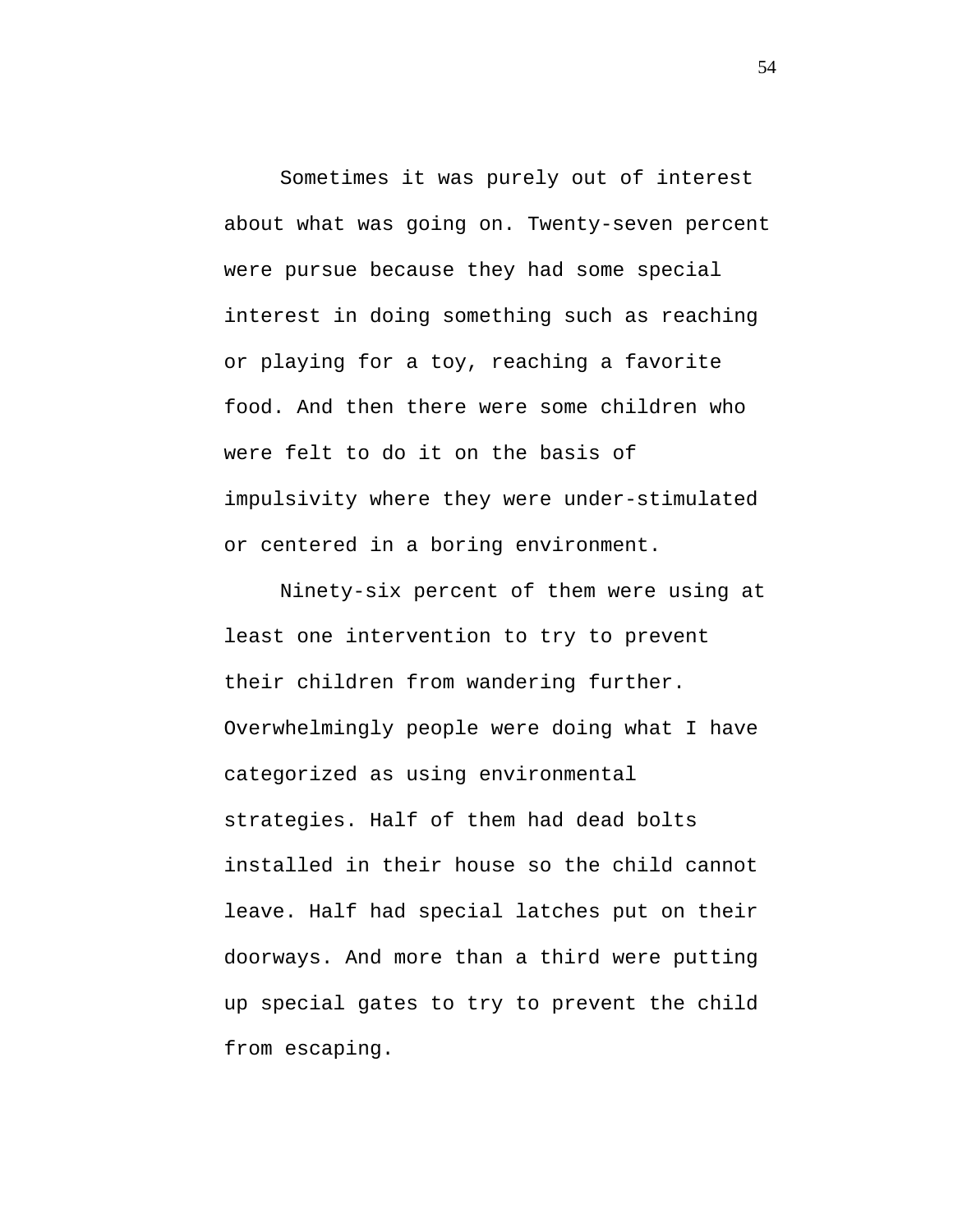Sometimes it was purely out of interest about what was going on. Twenty-seven percent were pursue because they had some special interest in doing something such as reaching or playing for a toy, reaching a favorite food. And then there were some children who were felt to do it on the basis of impulsivity where they were under-stimulated or centered in a boring environment.

Ninety-six percent of them were using at least one intervention to try to prevent their children from wandering further. Overwhelmingly people were doing what I have categorized as using environmental strategies. Half of them had dead bolts installed in their house so the child cannot leave. Half had special latches put on their doorways. And more than a third were putting up special gates to try to prevent the child from escaping.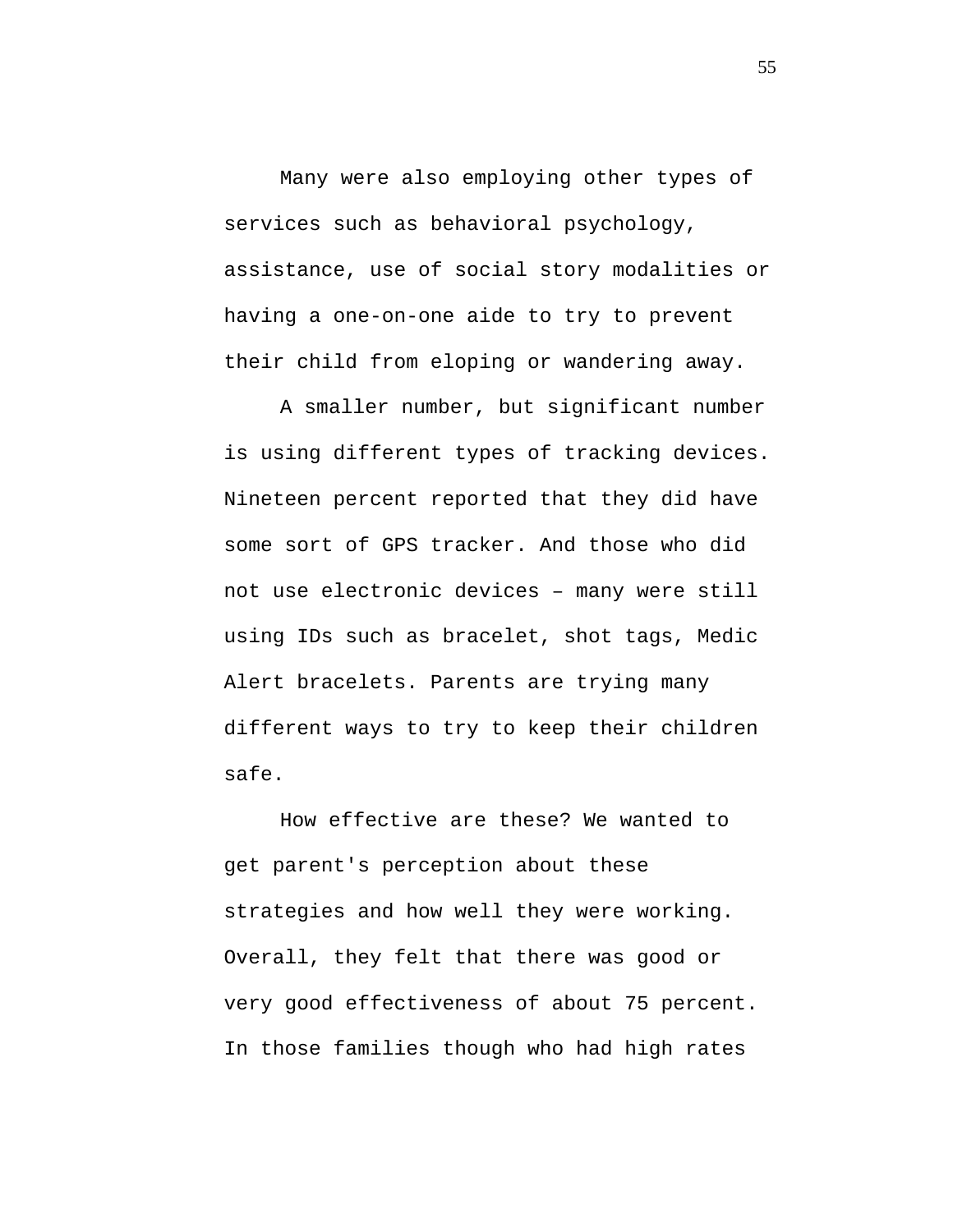Many were also employing other types of services such as behavioral psychology, assistance, use of social story modalities or having a one-on-one aide to try to prevent their child from eloping or wandering away.

A smaller number, but significant number is using different types of tracking devices. Nineteen percent reported that they did have some sort of GPS tracker. And those who did not use electronic devices – many were still using IDs such as bracelet, shot tags, Medic Alert bracelets. Parents are trying many different ways to try to keep their children safe.

How effective are these? We wanted to get parent's perception about these strategies and how well they were working. Overall, they felt that there was good or very good effectiveness of about 75 percent. In those families though who had high rates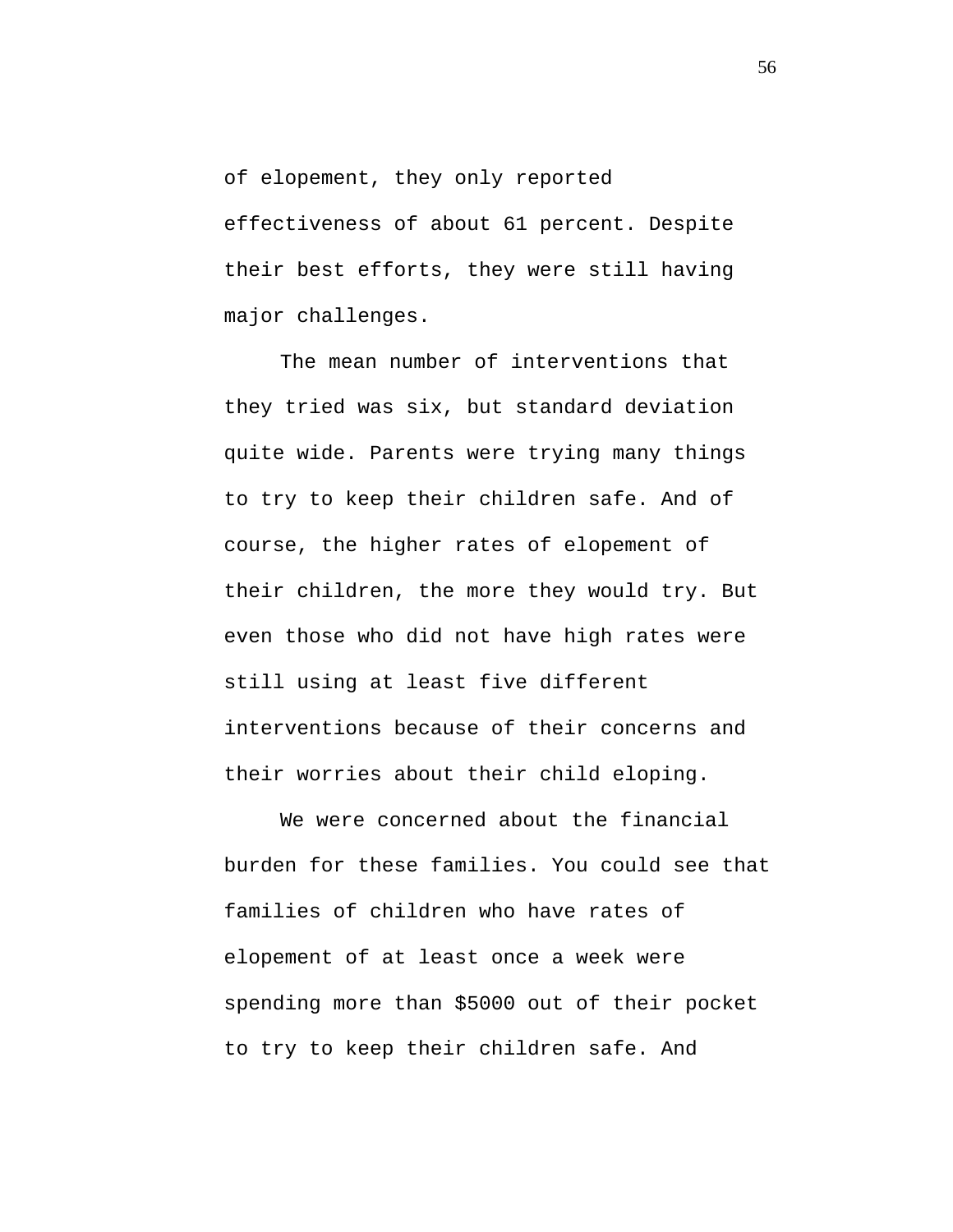of elopement, they only reported effectiveness of about 61 percent. Despite their best efforts, they were still having major challenges.

The mean number of interventions that they tried was six, but standard deviation quite wide. Parents were trying many things to try to keep their children safe. And of course, the higher rates of elopement of their children, the more they would try. But even those who did not have high rates were still using at least five different interventions because of their concerns and their worries about their child eloping.

We were concerned about the financial burden for these families. You could see that families of children who have rates of elopement of at least once a week were spending more than \$5000 out of their pocket to try to keep their children safe. And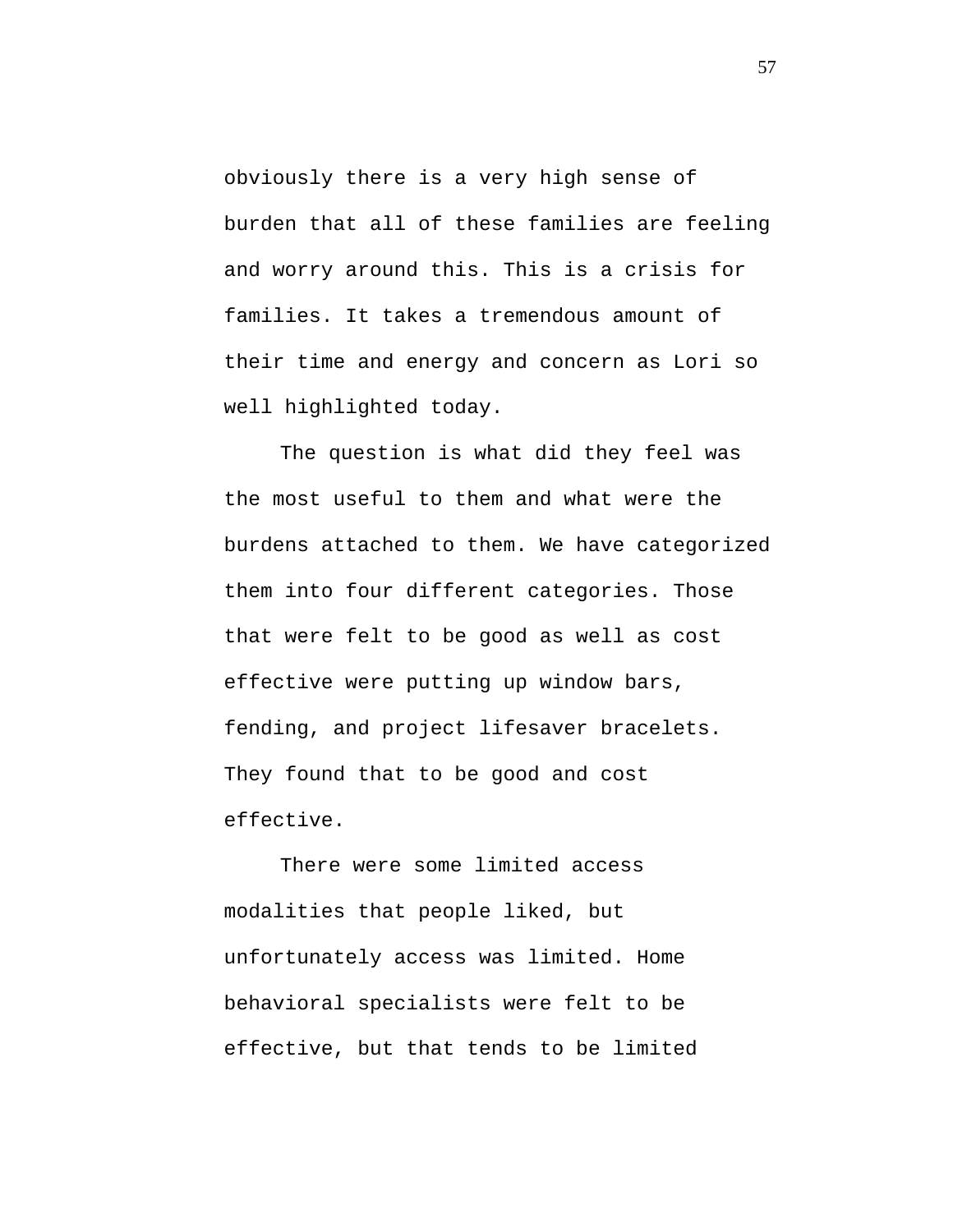obviously there is a very high sense of burden that all of these families are feeling and worry around this. This is a crisis for families. It takes a tremendous amount of their time and energy and concern as Lori so well highlighted today.

The question is what did they feel was the most useful to them and what were the burdens attached to them. We have categorized them into four different categories. Those that were felt to be good as well as cost effective were putting up window bars, fending, and project lifesaver bracelets. They found that to be good and cost effective.

There were some limited access modalities that people liked, but unfortunately access was limited. Home behavioral specialists were felt to be effective, but that tends to be limited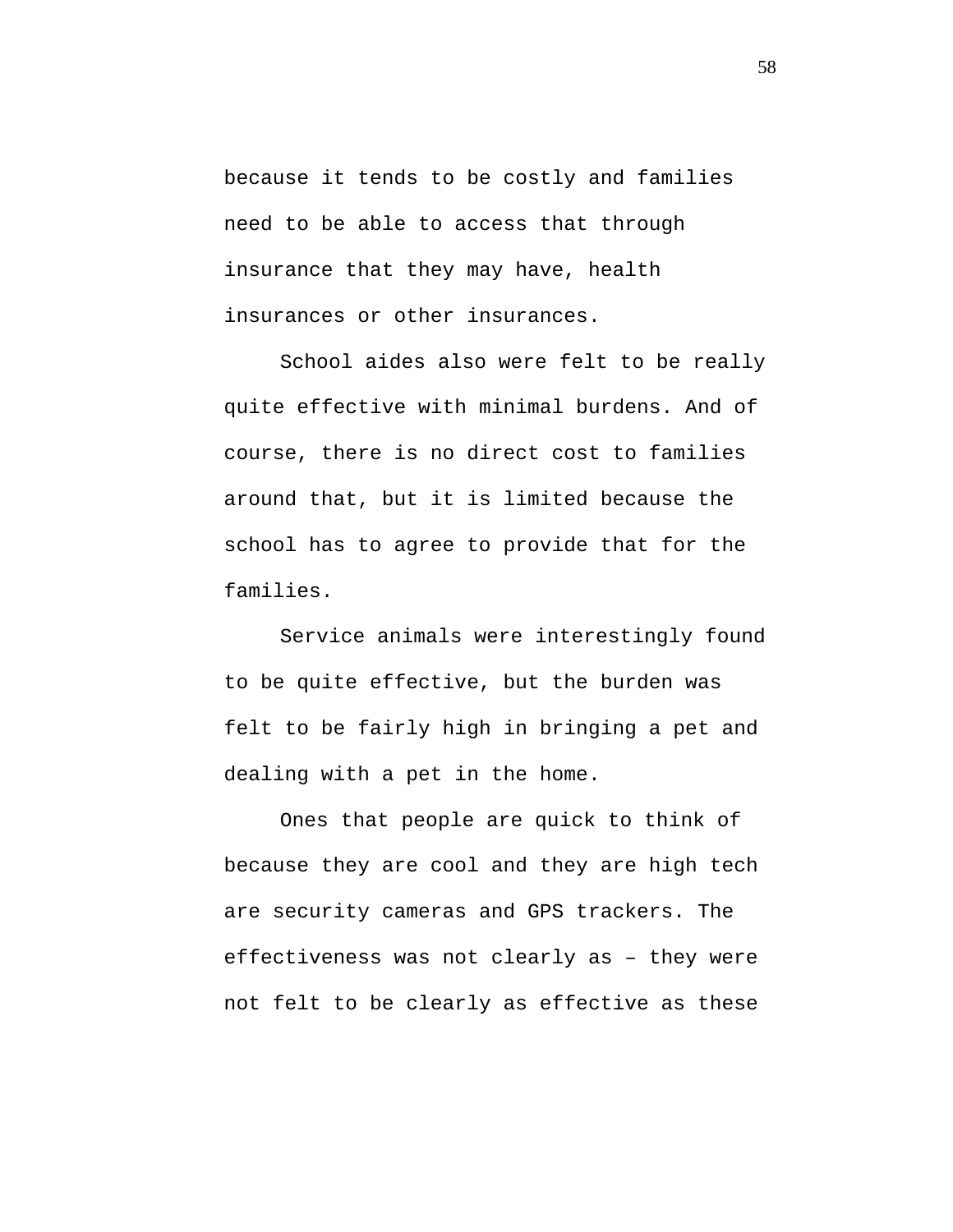because it tends to be costly and families need to be able to access that through insurance that they may have, health insurances or other insurances.

School aides also were felt to be really quite effective with minimal burdens. And of course, there is no direct cost to families around that, but it is limited because the school has to agree to provide that for the families.

Service animals were interestingly found to be quite effective, but the burden was felt to be fairly high in bringing a pet and dealing with a pet in the home.

Ones that people are quick to think of because they are cool and they are high tech are security cameras and GPS trackers. The effectiveness was not clearly as – they were not felt to be clearly as effective as these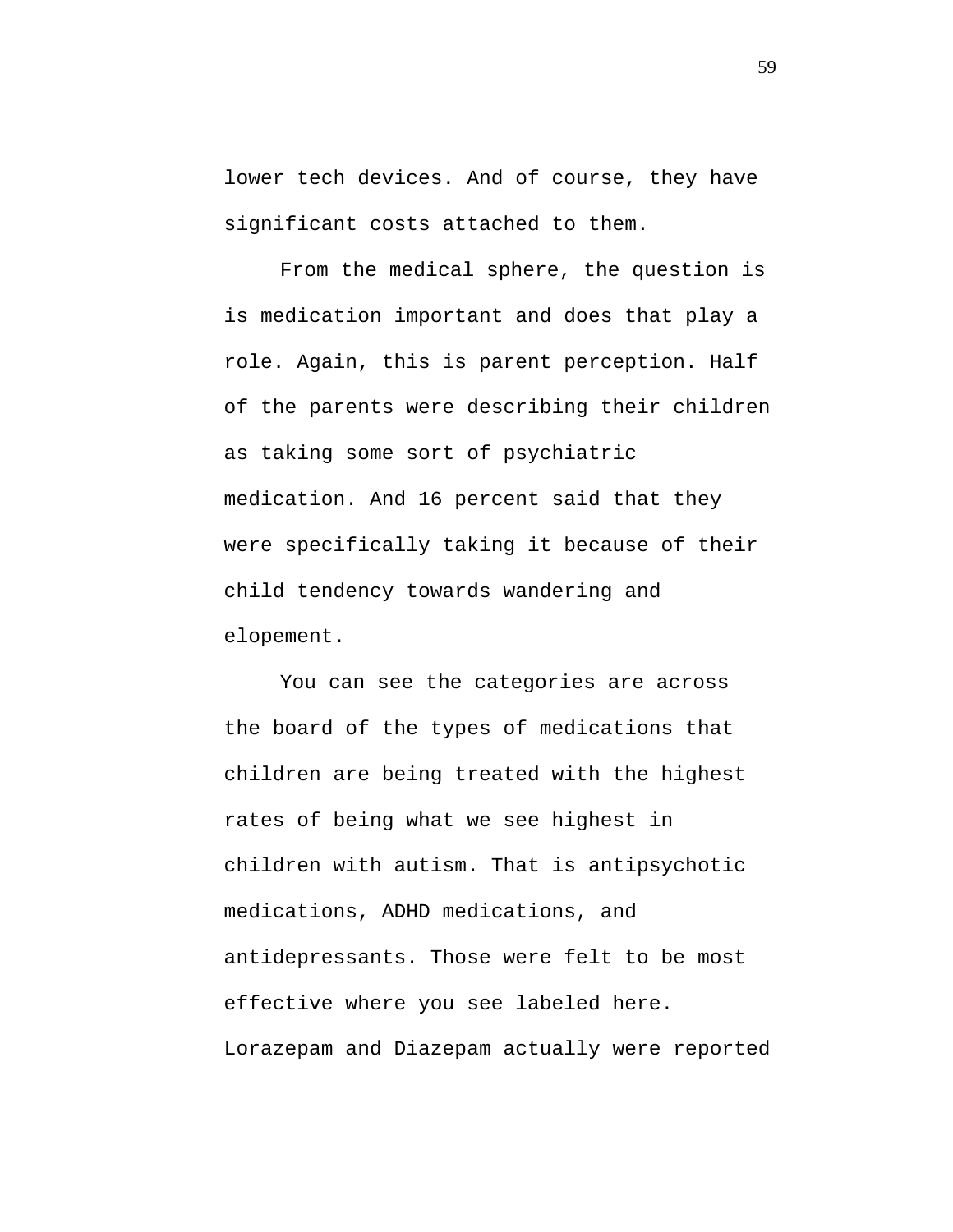lower tech devices. And of course, they have significant costs attached to them.

From the medical sphere, the question is is medication important and does that play a role. Again, this is parent perception. Half of the parents were describing their children as taking some sort of psychiatric medication. And 16 percent said that they were specifically taking it because of their child tendency towards wandering and elopement.

You can see the categories are across the board of the types of medications that children are being treated with the highest rates of being what we see highest in children with autism. That is antipsychotic medications, ADHD medications, and antidepressants. Those were felt to be most effective where you see labeled here. Lorazepam and Diazepam actually were reported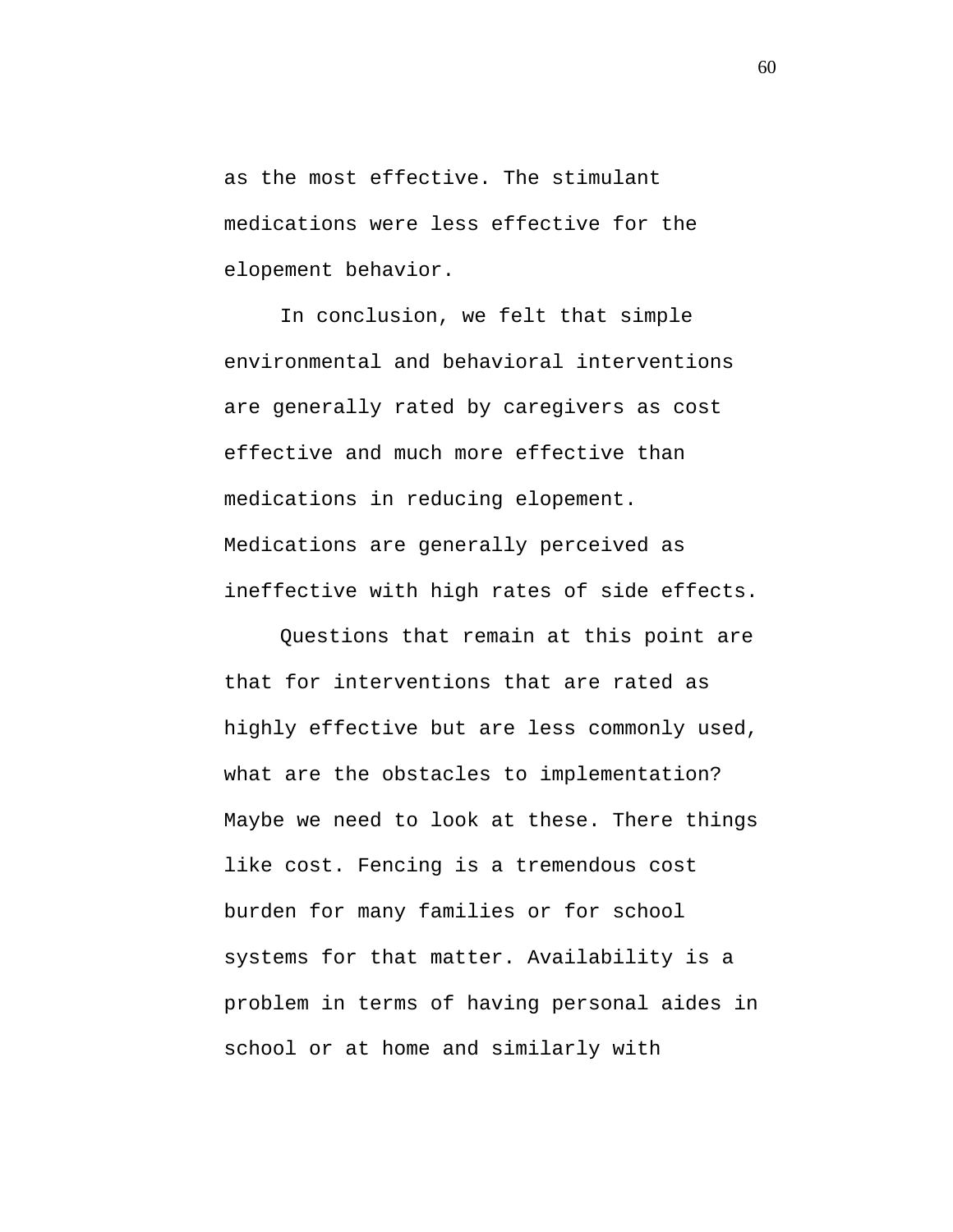as the most effective. The stimulant medications were less effective for the elopement behavior.

In conclusion, we felt that simple environmental and behavioral interventions are generally rated by caregivers as cost effective and much more effective than medications in reducing elopement. Medications are generally perceived as ineffective with high rates of side effects.

Questions that remain at this point are that for interventions that are rated as highly effective but are less commonly used, what are the obstacles to implementation? Maybe we need to look at these. There things like cost. Fencing is a tremendous cost burden for many families or for school systems for that matter. Availability is a problem in terms of having personal aides in school or at home and similarly with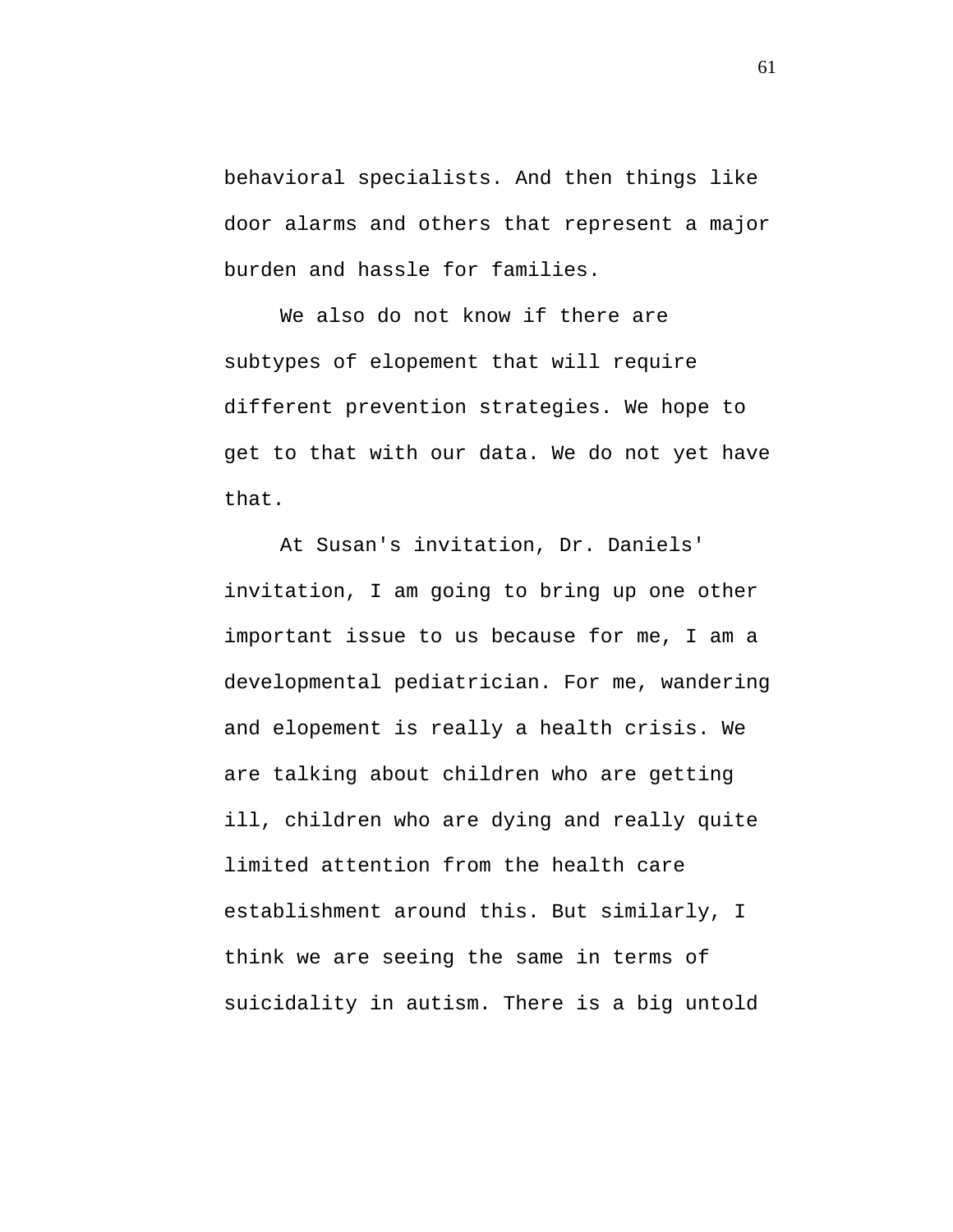behavioral specialists. And then things like door alarms and others that represent a major burden and hassle for families.

We also do not know if there are subtypes of elopement that will require different prevention strategies. We hope to get to that with our data. We do not yet have that.

At Susan's invitation, Dr. Daniels' invitation, I am going to bring up one other important issue to us because for me, I am a developmental pediatrician. For me, wandering and elopement is really a health crisis. We are talking about children who are getting ill, children who are dying and really quite limited attention from the health care establishment around this. But similarly, I think we are seeing the same in terms of suicidality in autism. There is a big untold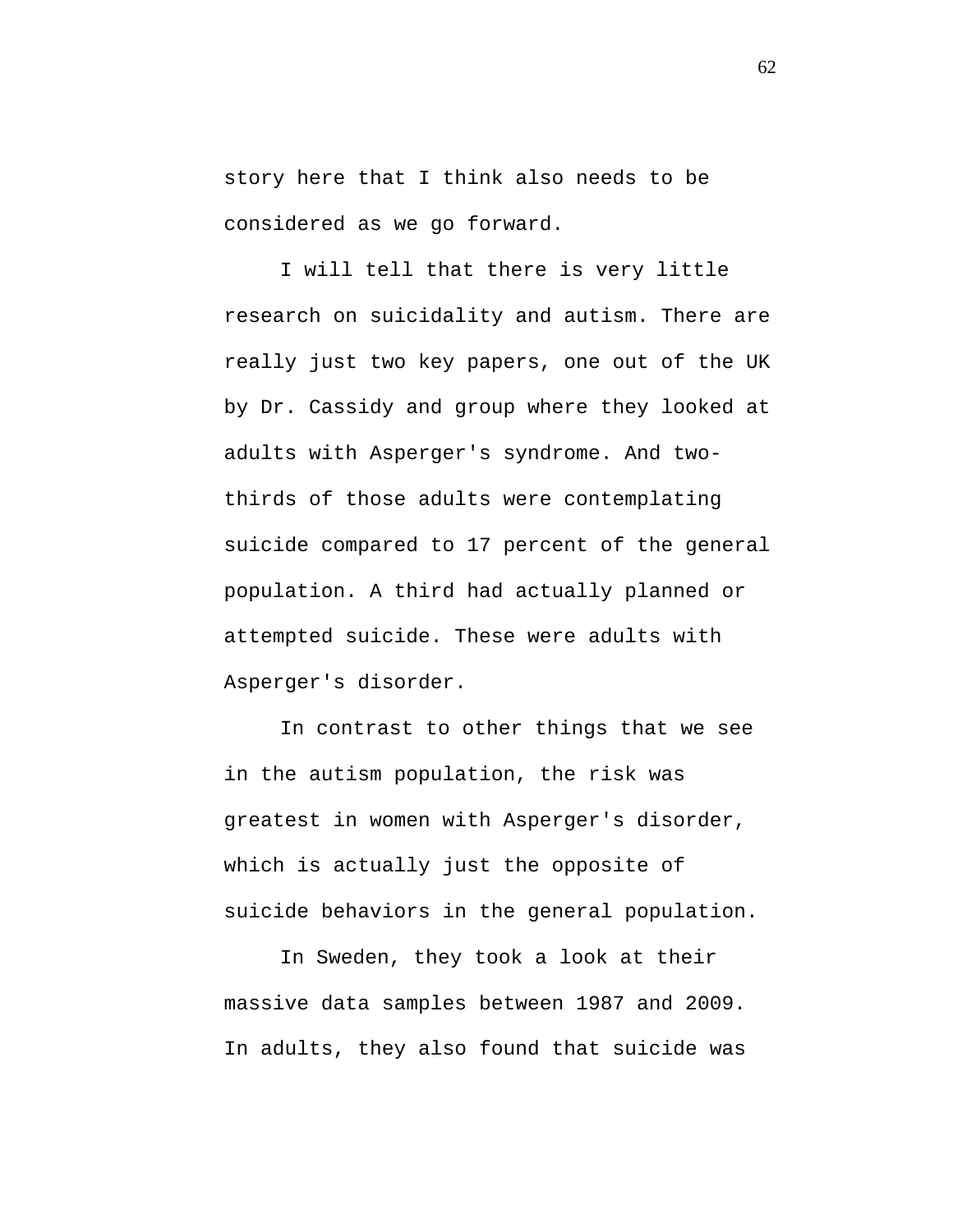story here that I think also needs to be considered as we go forward.

I will tell that there is very little research on suicidality and autism. There are really just two key papers, one out of the UK by Dr. Cassidy and group where they looked at adults with Asperger's syndrome. And twothirds of those adults were contemplating suicide compared to 17 percent of the general population. A third had actually planned or attempted suicide. These were adults with Asperger's disorder.

In contrast to other things that we see in the autism population, the risk was greatest in women with Asperger's disorder, which is actually just the opposite of suicide behaviors in the general population.

In Sweden, they took a look at their massive data samples between 1987 and 2009. In adults, they also found that suicide was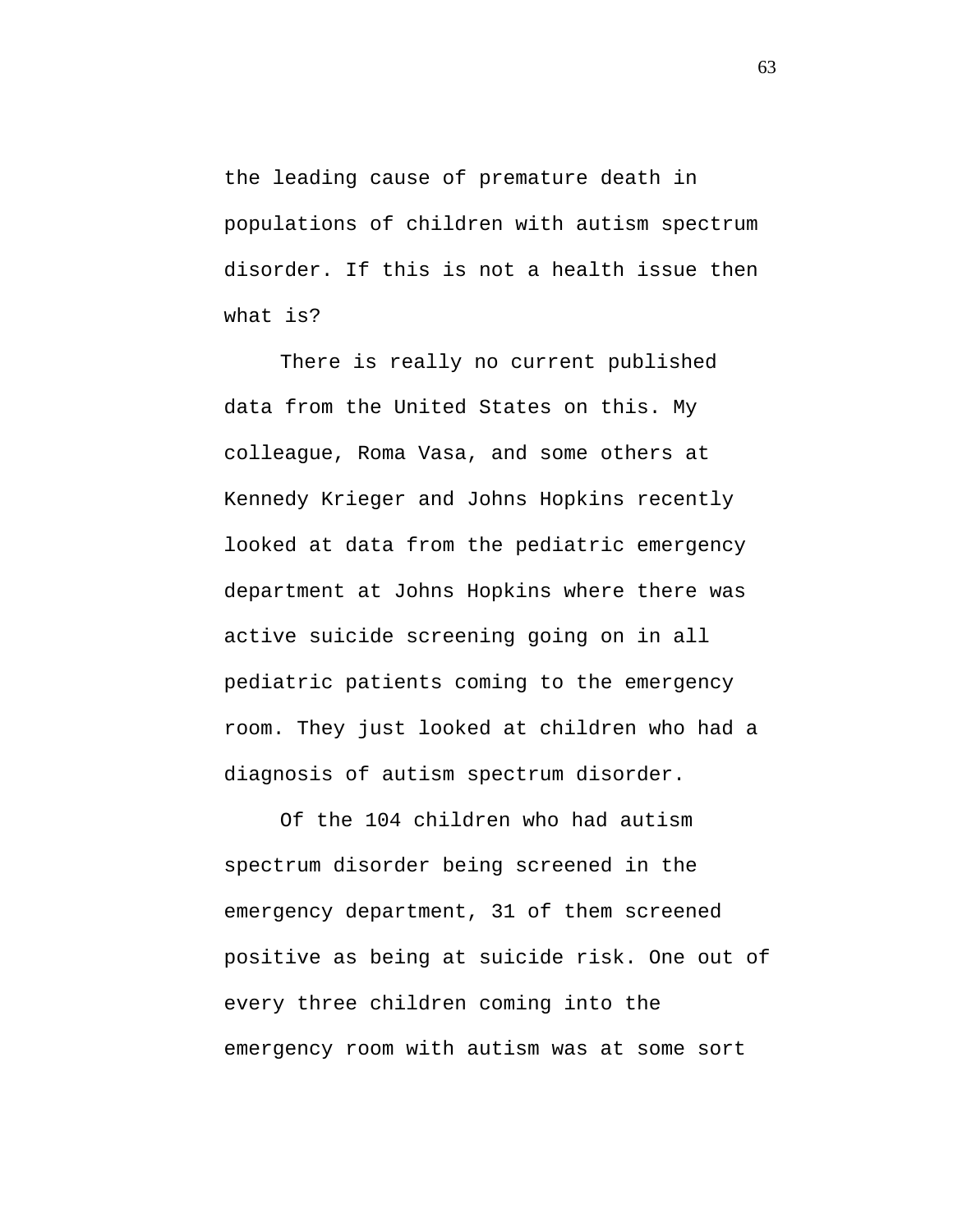the leading cause of premature death in populations of children with autism spectrum disorder. If this is not a health issue then what is?

There is really no current published data from the United States on this. My colleague, Roma Vasa, and some others at Kennedy Krieger and Johns Hopkins recently looked at data from the pediatric emergency department at Johns Hopkins where there was active suicide screening going on in all pediatric patients coming to the emergency room. They just looked at children who had a diagnosis of autism spectrum disorder.

Of the 104 children who had autism spectrum disorder being screened in the emergency department, 31 of them screened positive as being at suicide risk. One out of every three children coming into the emergency room with autism was at some sort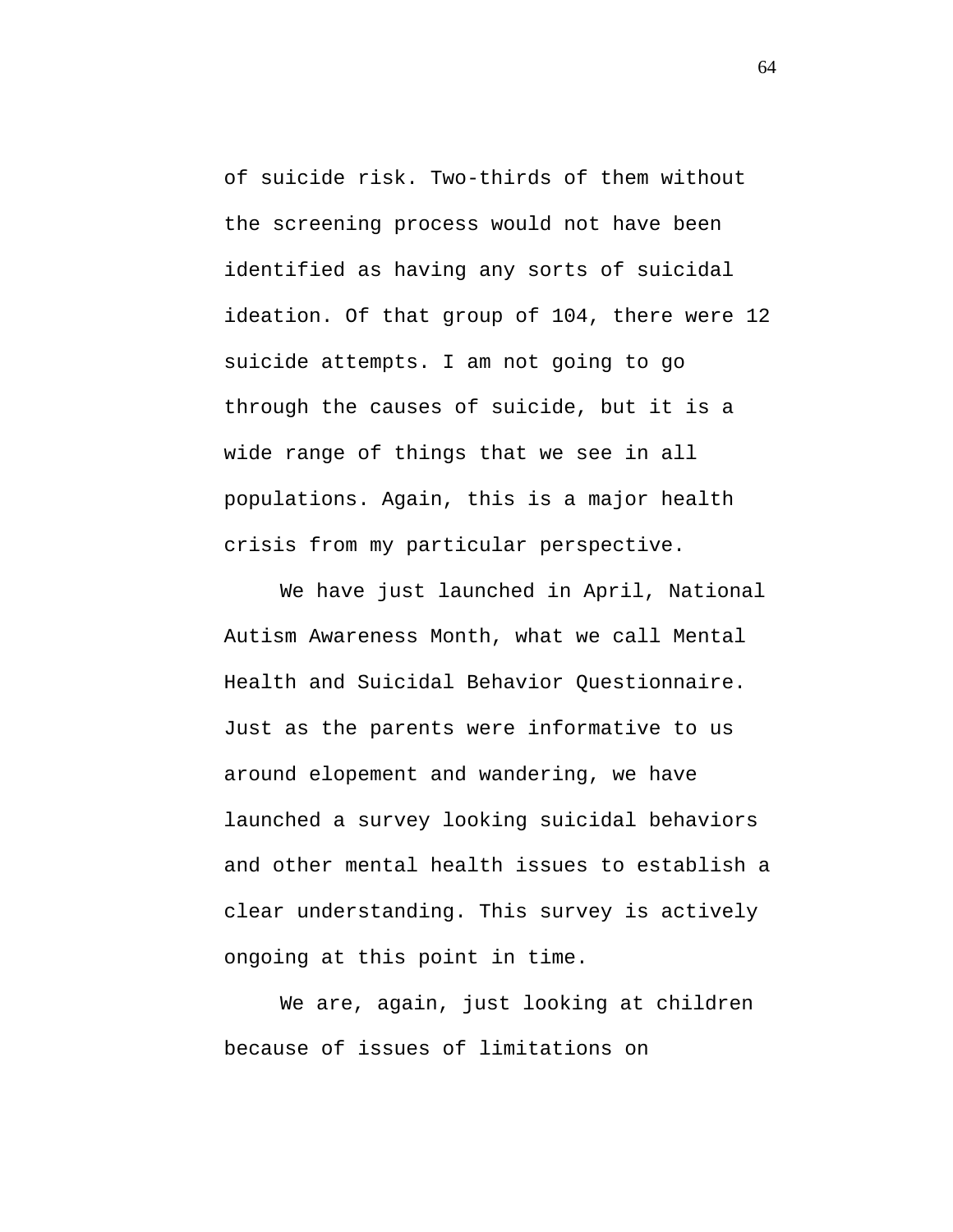of suicide risk. Two-thirds of them without the screening process would not have been identified as having any sorts of suicidal ideation. Of that group of 104, there were 12 suicide attempts. I am not going to go through the causes of suicide, but it is a wide range of things that we see in all populations. Again, this is a major health crisis from my particular perspective.

We have just launched in April, National Autism Awareness Month, what we call Mental Health and Suicidal Behavior Questionnaire. Just as the parents were informative to us around elopement and wandering, we have launched a survey looking suicidal behaviors and other mental health issues to establish a clear understanding. This survey is actively ongoing at this point in time.

We are, again, just looking at children because of issues of limitations on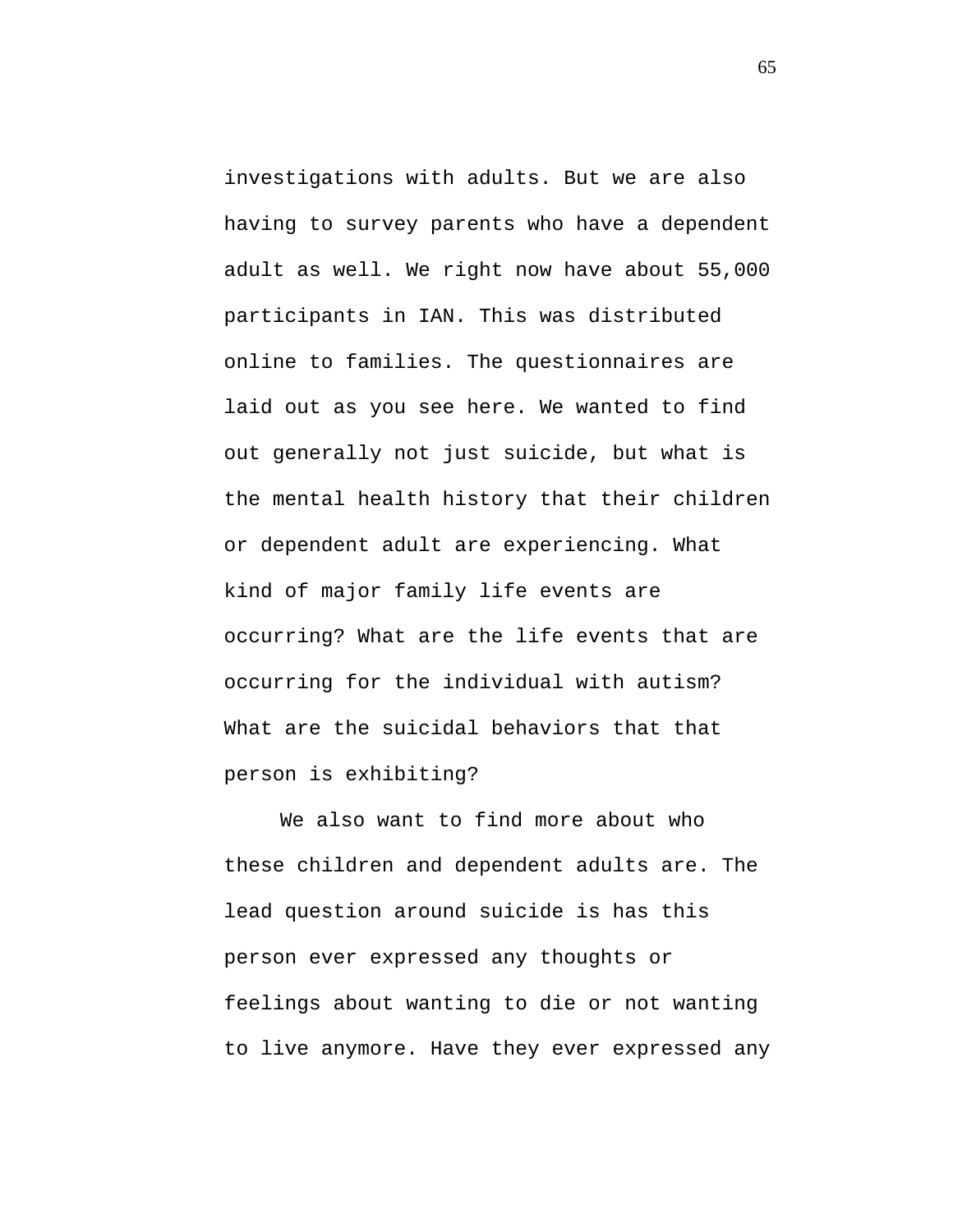investigations with adults. But we are also having to survey parents who have a dependent adult as well. We right now have about 55,000 participants in IAN. This was distributed online to families. The questionnaires are laid out as you see here. We wanted to find out generally not just suicide, but what is the mental health history that their children or dependent adult are experiencing. What kind of major family life events are occurring? What are the life events that are occurring for the individual with autism? What are the suicidal behaviors that that person is exhibiting?

We also want to find more about who these children and dependent adults are. The lead question around suicide is has this person ever expressed any thoughts or feelings about wanting to die or not wanting to live anymore. Have they ever expressed any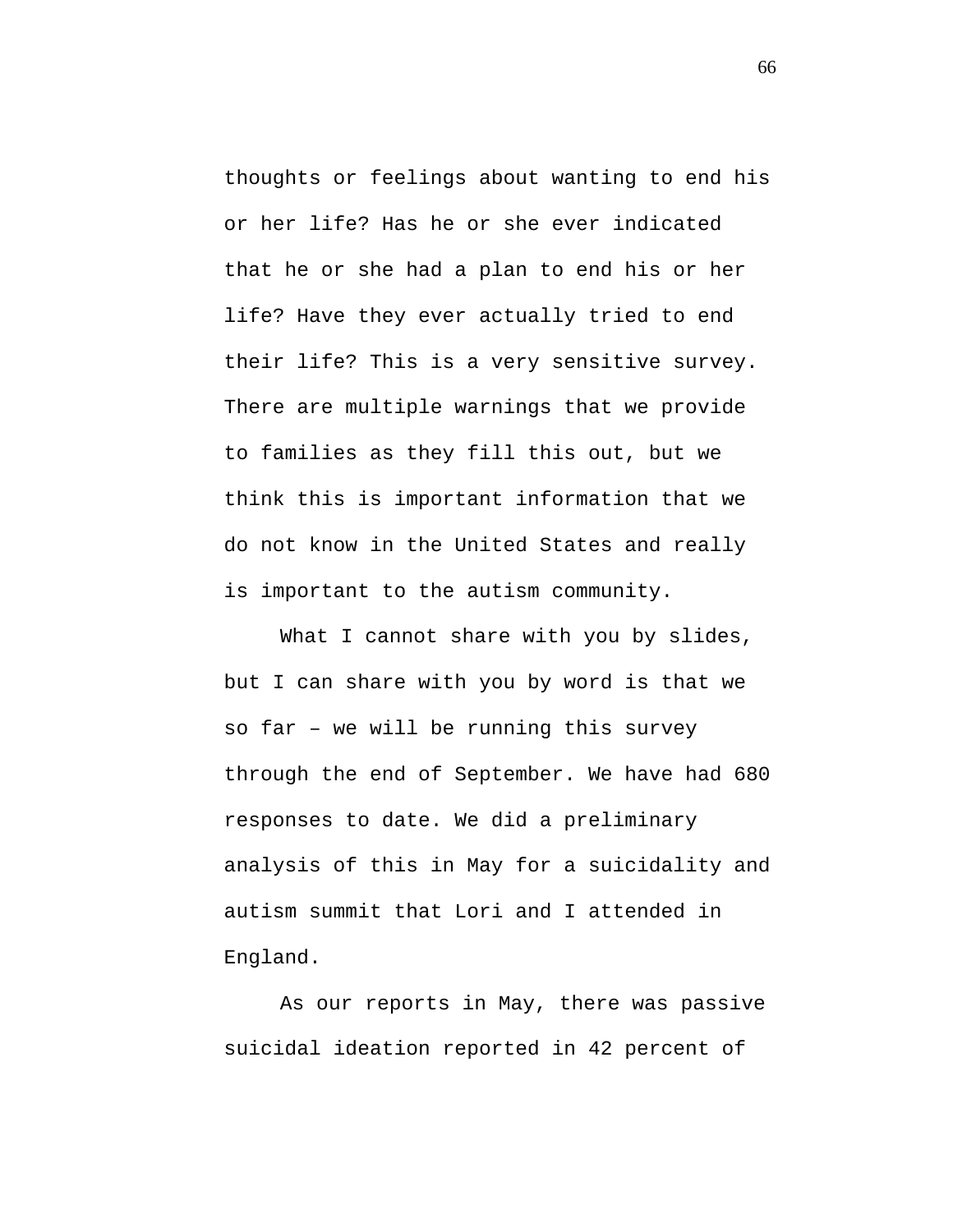thoughts or feelings about wanting to end his or her life? Has he or she ever indicated that he or she had a plan to end his or her life? Have they ever actually tried to end their life? This is a very sensitive survey. There are multiple warnings that we provide to families as they fill this out, but we think this is important information that we do not know in the United States and really is important to the autism community.

What I cannot share with you by slides, but I can share with you by word is that we so far – we will be running this survey through the end of September. We have had 680 responses to date. We did a preliminary analysis of this in May for a suicidality and autism summit that Lori and I attended in England.

As our reports in May, there was passive suicidal ideation reported in 42 percent of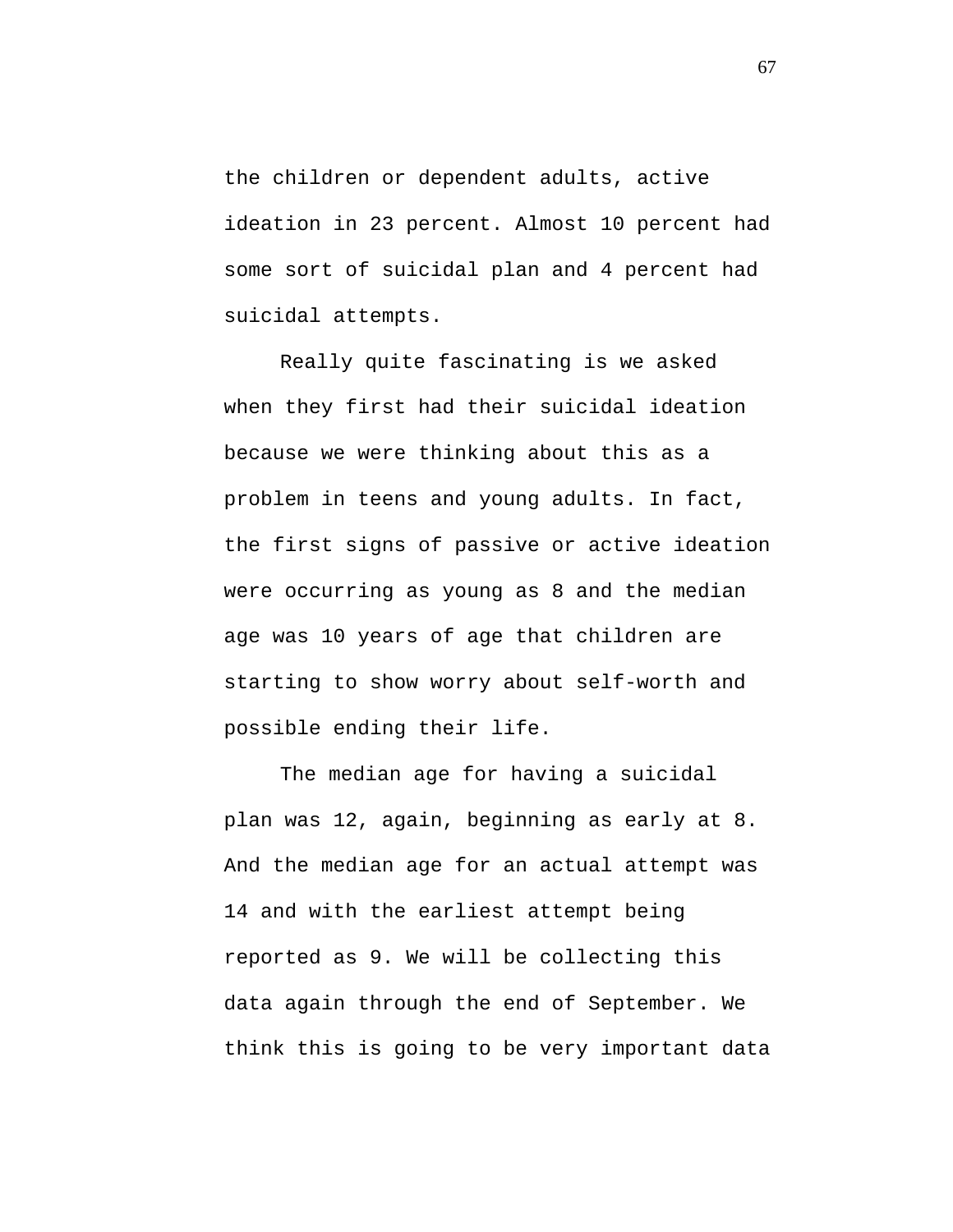the children or dependent adults, active ideation in 23 percent. Almost 10 percent had some sort of suicidal plan and 4 percent had suicidal attempts.

Really quite fascinating is we asked when they first had their suicidal ideation because we were thinking about this as a problem in teens and young adults. In fact, the first signs of passive or active ideation were occurring as young as 8 and the median age was 10 years of age that children are starting to show worry about self-worth and possible ending their life.

The median age for having a suicidal plan was 12, again, beginning as early at 8. And the median age for an actual attempt was 14 and with the earliest attempt being reported as 9. We will be collecting this data again through the end of September. We think this is going to be very important data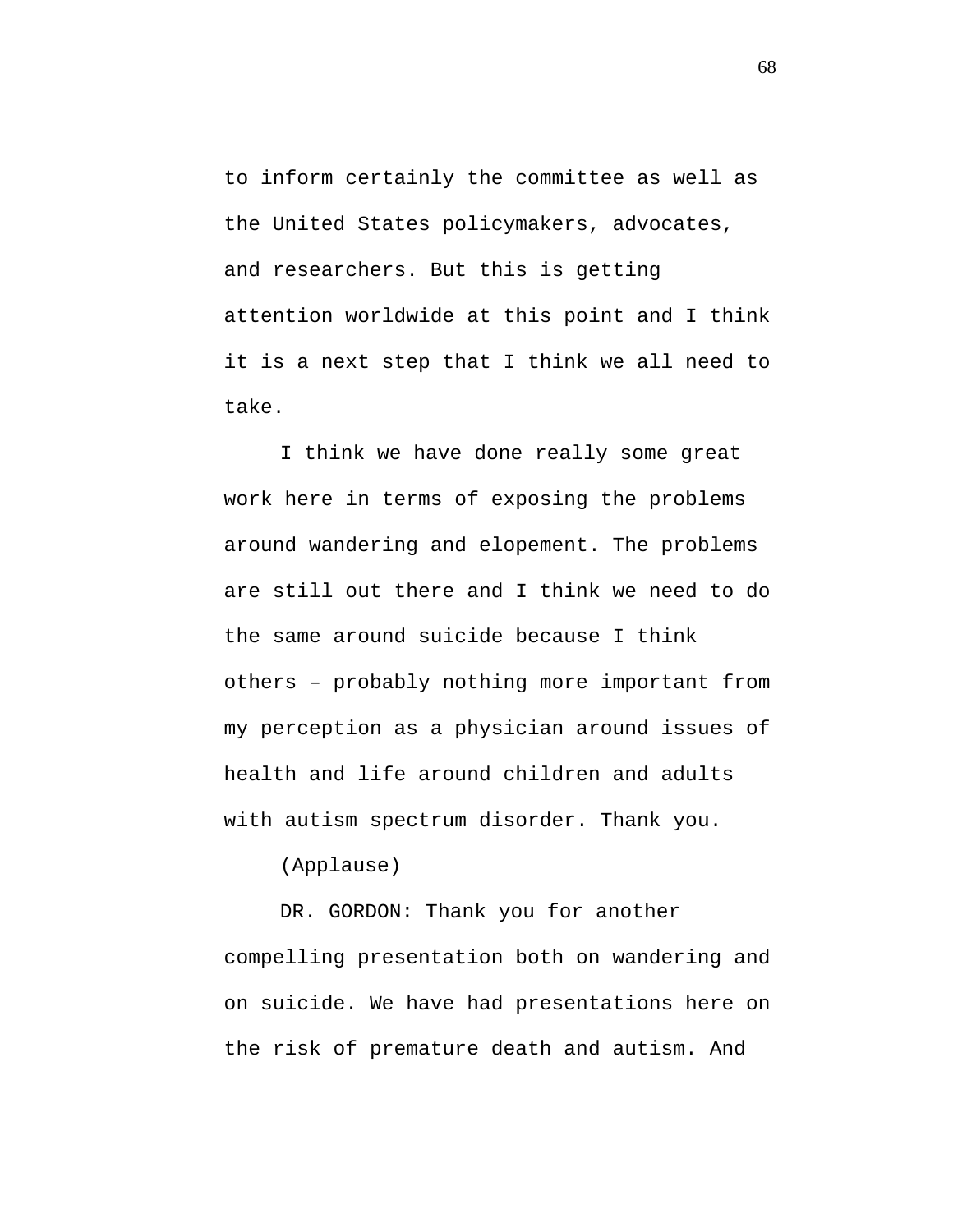to inform certainly the committee as well as the United States policymakers, advocates, and researchers. But this is getting attention worldwide at this point and I think it is a next step that I think we all need to take.

I think we have done really some great work here in terms of exposing the problems around wandering and elopement. The problems are still out there and I think we need to do the same around suicide because I think others – probably nothing more important from my perception as a physician around issues of health and life around children and adults with autism spectrum disorder. Thank you.

(Applause)

DR. GORDON: Thank you for another compelling presentation both on wandering and on suicide. We have had presentations here on the risk of premature death and autism. And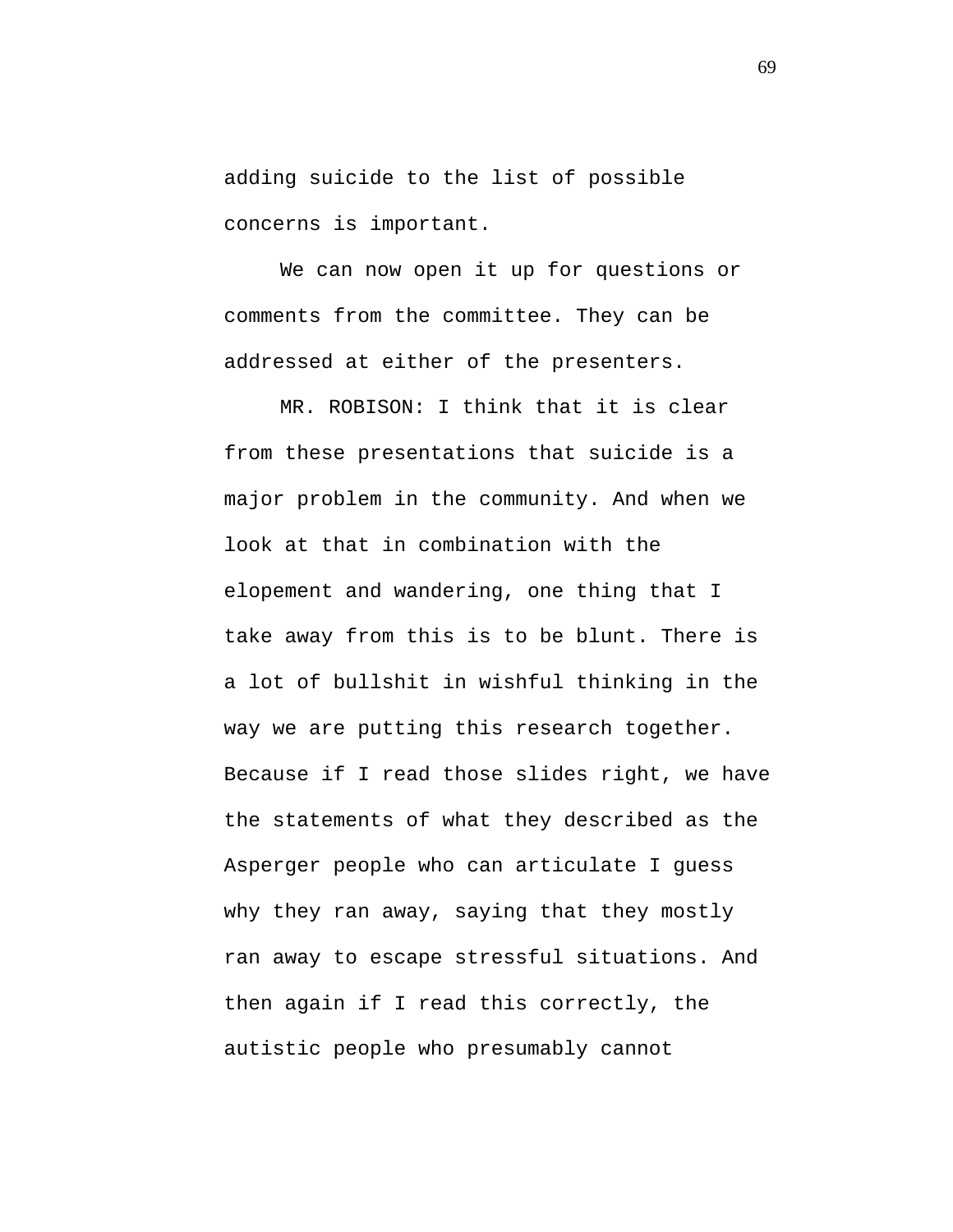adding suicide to the list of possible concerns is important.

We can now open it up for questions or comments from the committee. They can be addressed at either of the presenters.

MR. ROBISON: I think that it is clear from these presentations that suicide is a major problem in the community. And when we look at that in combination with the elopement and wandering, one thing that I take away from this is to be blunt. There is a lot of bullshit in wishful thinking in the way we are putting this research together. Because if I read those slides right, we have the statements of what they described as the Asperger people who can articulate I guess why they ran away, saying that they mostly ran away to escape stressful situations. And then again if I read this correctly, the autistic people who presumably cannot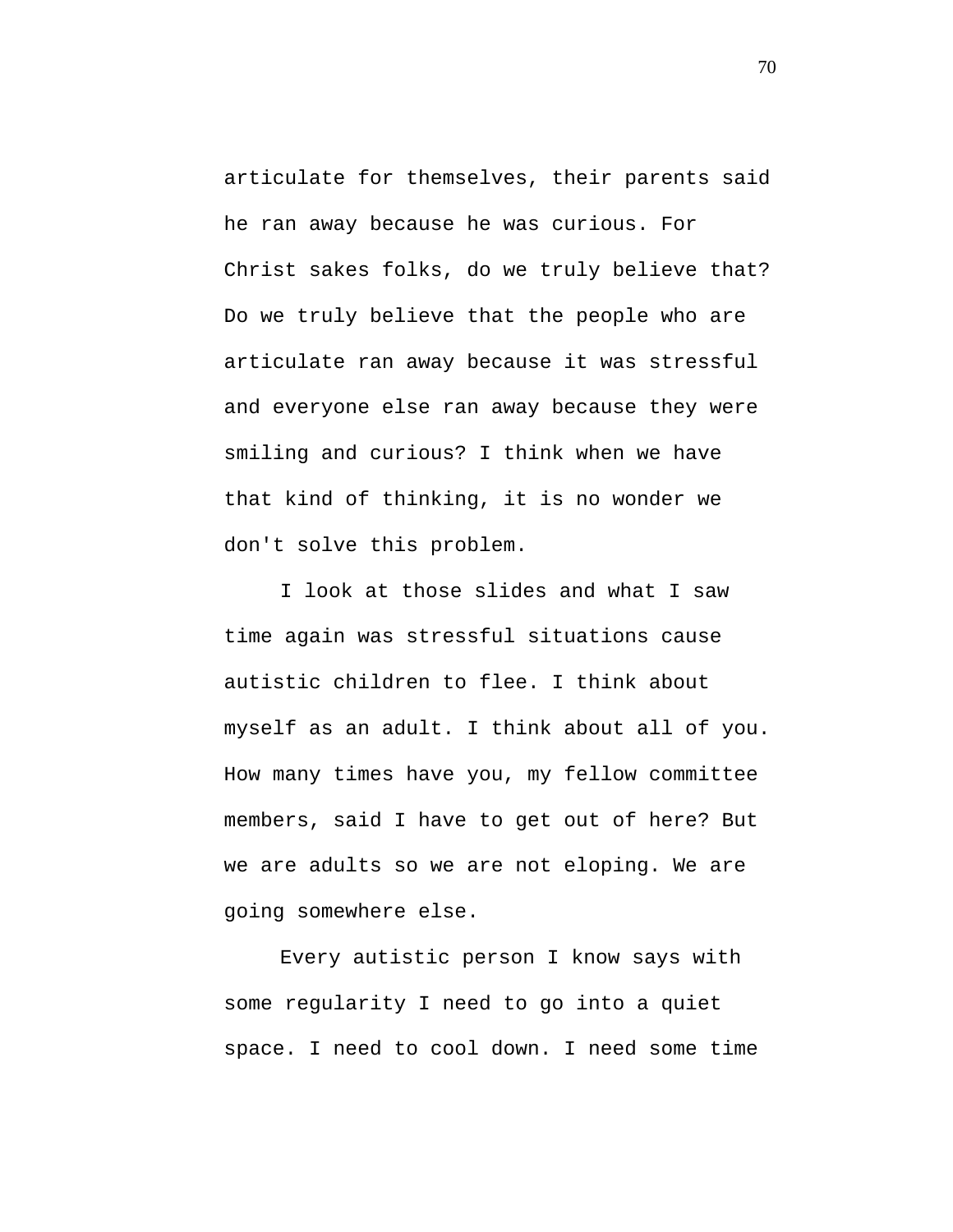articulate for themselves, their parents said he ran away because he was curious. For Christ sakes folks, do we truly believe that? Do we truly believe that the people who are articulate ran away because it was stressful and everyone else ran away because they were smiling and curious? I think when we have that kind of thinking, it is no wonder we don't solve this problem.

I look at those slides and what I saw time again was stressful situations cause autistic children to flee. I think about myself as an adult. I think about all of you. How many times have you, my fellow committee members, said I have to get out of here? But we are adults so we are not eloping. We are going somewhere else.

Every autistic person I know says with some regularity I need to go into a quiet space. I need to cool down. I need some time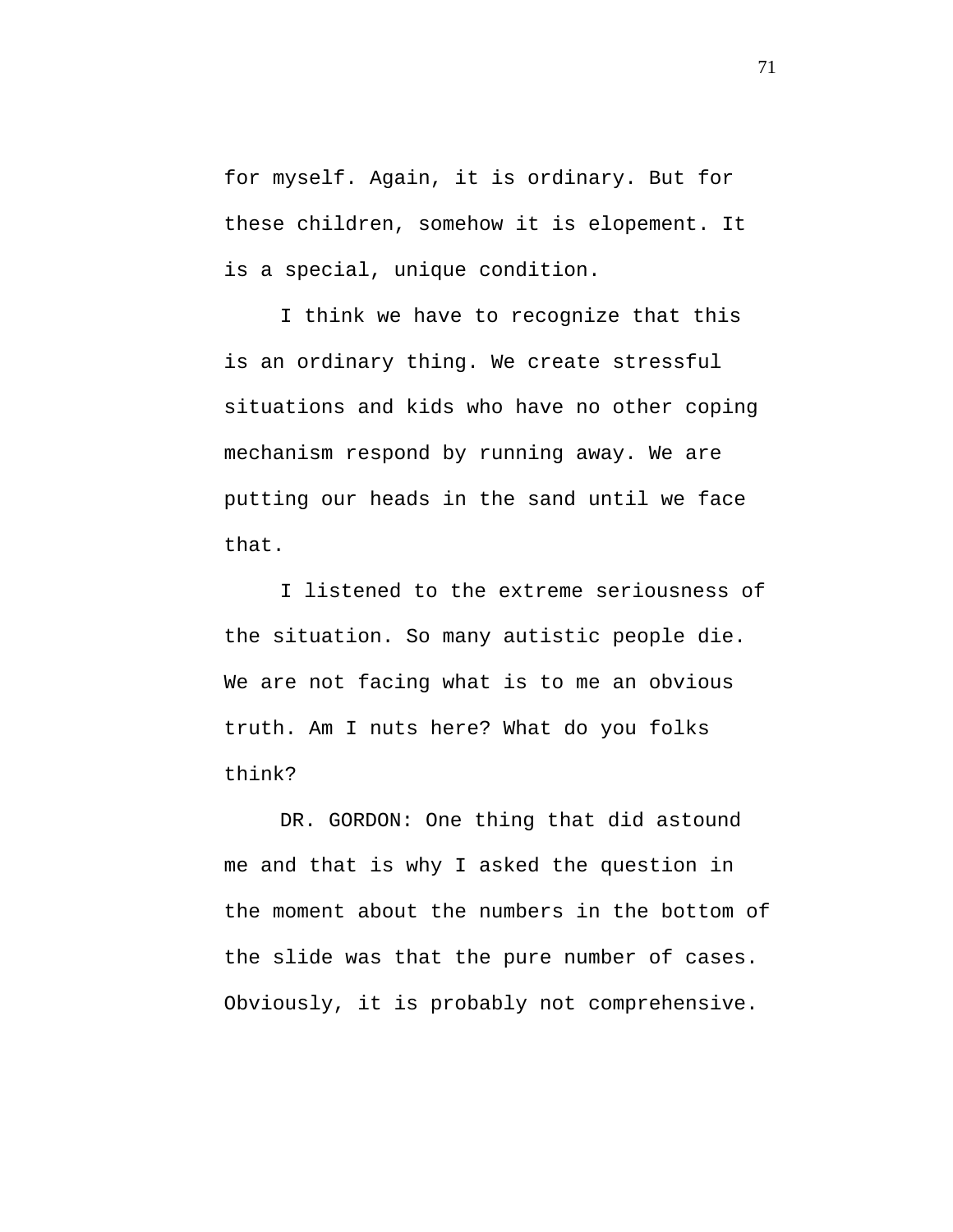for myself. Again, it is ordinary. But for these children, somehow it is elopement. It is a special, unique condition.

I think we have to recognize that this is an ordinary thing. We create stressful situations and kids who have no other coping mechanism respond by running away. We are putting our heads in the sand until we face that.

I listened to the extreme seriousness of the situation. So many autistic people die. We are not facing what is to me an obvious truth. Am I nuts here? What do you folks think?

DR. GORDON: One thing that did astound me and that is why I asked the question in the moment about the numbers in the bottom of the slide was that the pure number of cases. Obviously, it is probably not comprehensive.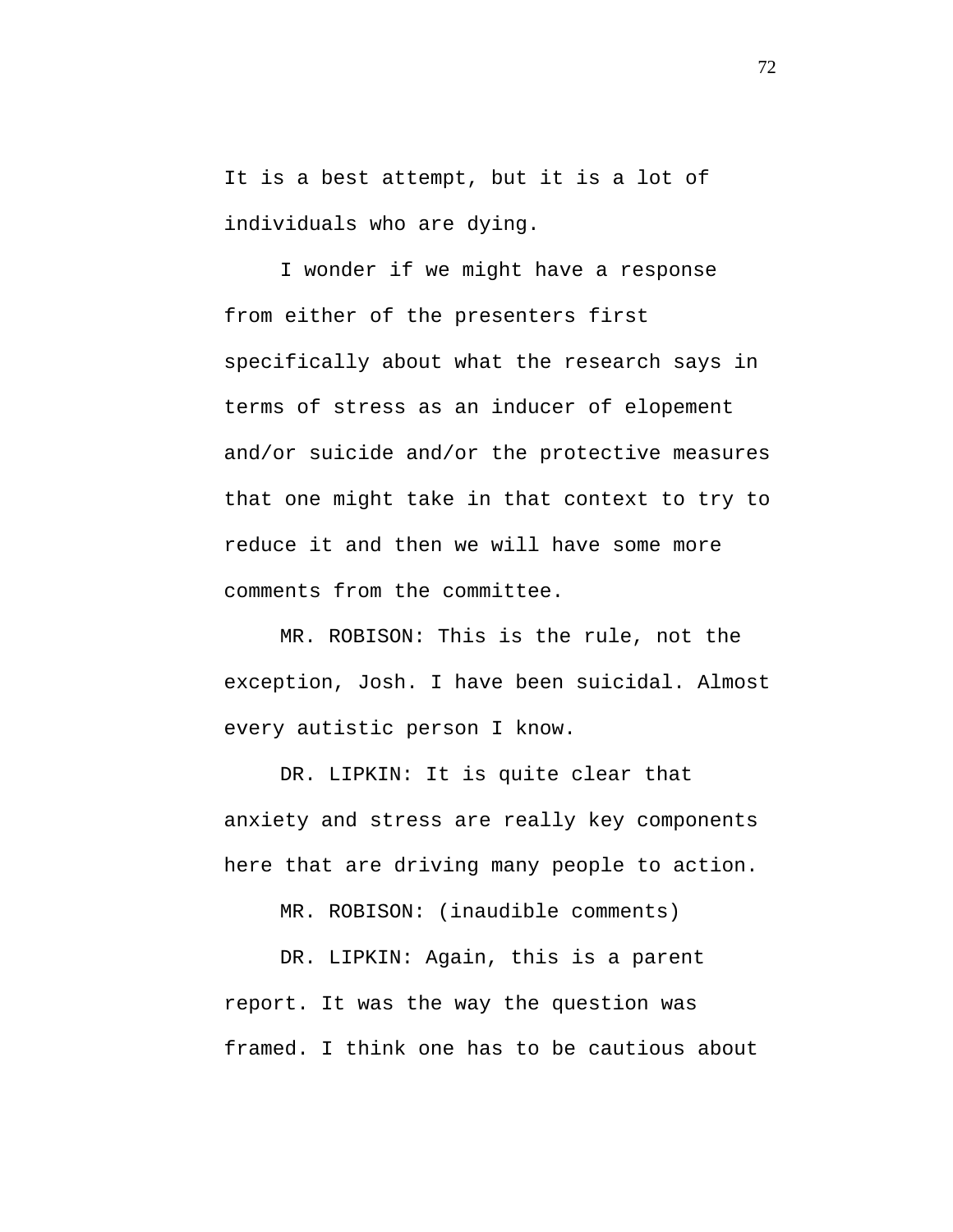It is a best attempt, but it is a lot of individuals who are dying.

I wonder if we might have a response from either of the presenters first specifically about what the research says in terms of stress as an inducer of elopement and/or suicide and/or the protective measures that one might take in that context to try to reduce it and then we will have some more comments from the committee.

MR. ROBISON: This is the rule, not the exception, Josh. I have been suicidal. Almost every autistic person I know.

DR. LIPKIN: It is quite clear that anxiety and stress are really key components here that are driving many people to action.

MR. ROBISON: (inaudible comments)

DR. LIPKIN: Again, this is a parent report. It was the way the question was framed. I think one has to be cautious about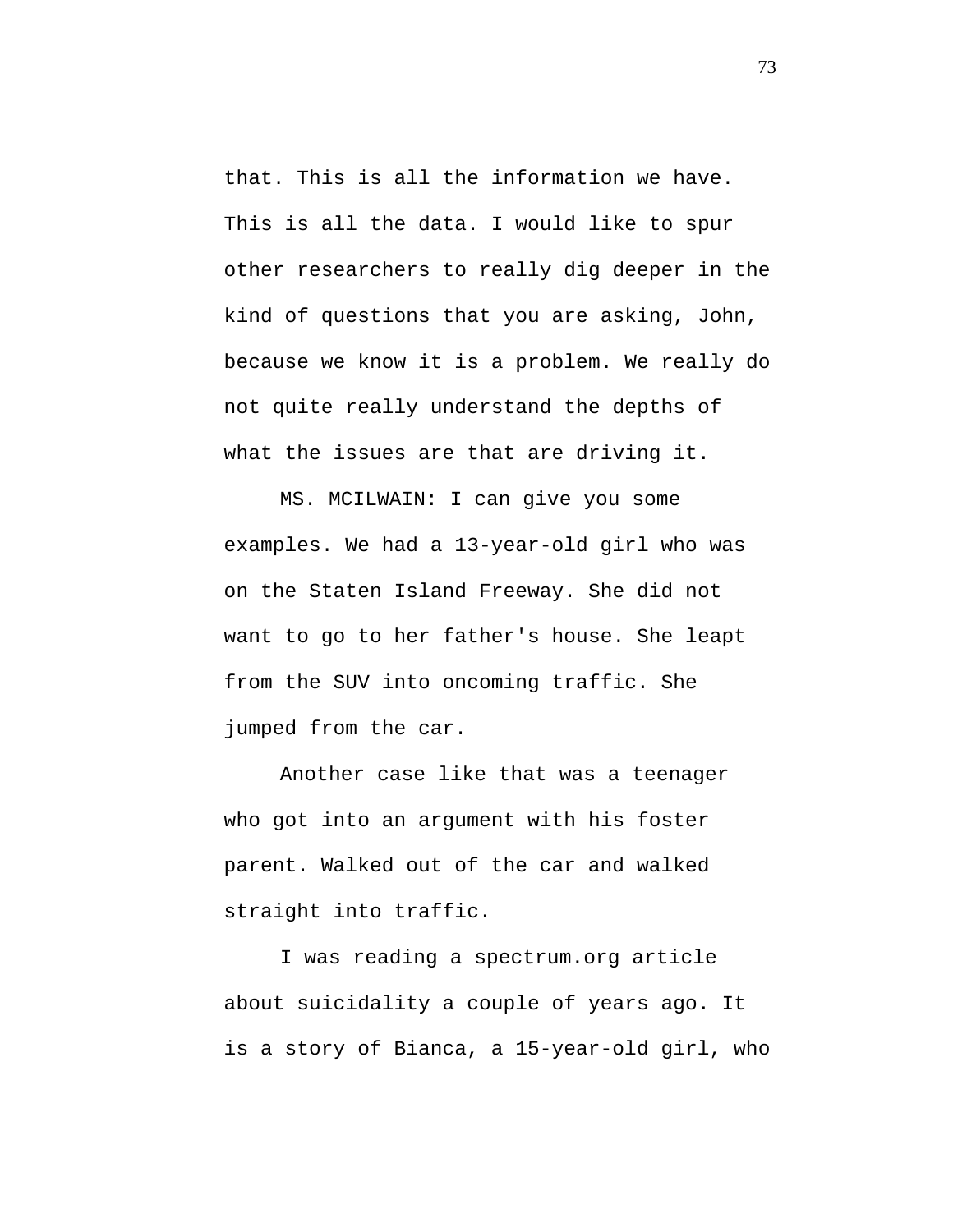that. This is all the information we have. This is all the data. I would like to spur other researchers to really dig deeper in the kind of questions that you are asking, John, because we know it is a problem. We really do not quite really understand the depths of what the issues are that are driving it.

MS. MCILWAIN: I can give you some examples. We had a 13-year-old girl who was on the Staten Island Freeway. She did not want to go to her father's house. She leapt from the SUV into oncoming traffic. She jumped from the car.

Another case like that was a teenager who got into an argument with his foster parent. Walked out of the car and walked straight into traffic.

I was reading a spectrum.org article about suicidality a couple of years ago. It is a story of Bianca, a 15-year-old girl, who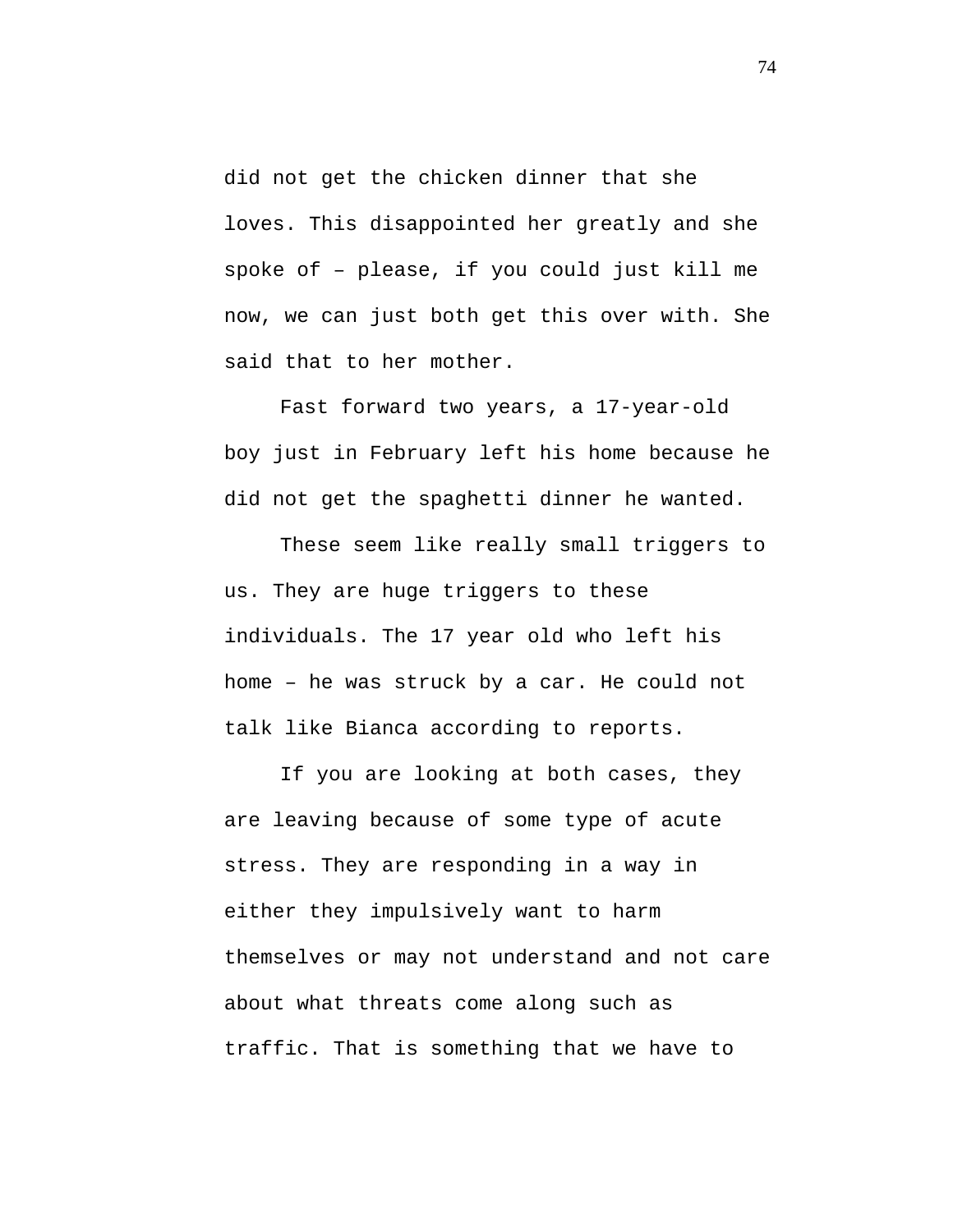did not get the chicken dinner that she loves. This disappointed her greatly and she spoke of – please, if you could just kill me now, we can just both get this over with. She said that to her mother.

Fast forward two years, a 17-year-old boy just in February left his home because he did not get the spaghetti dinner he wanted.

These seem like really small triggers to us. They are huge triggers to these individuals. The 17 year old who left his home – he was struck by a car. He could not talk like Bianca according to reports.

If you are looking at both cases, they are leaving because of some type of acute stress. They are responding in a way in either they impulsively want to harm themselves or may not understand and not care about what threats come along such as traffic. That is something that we have to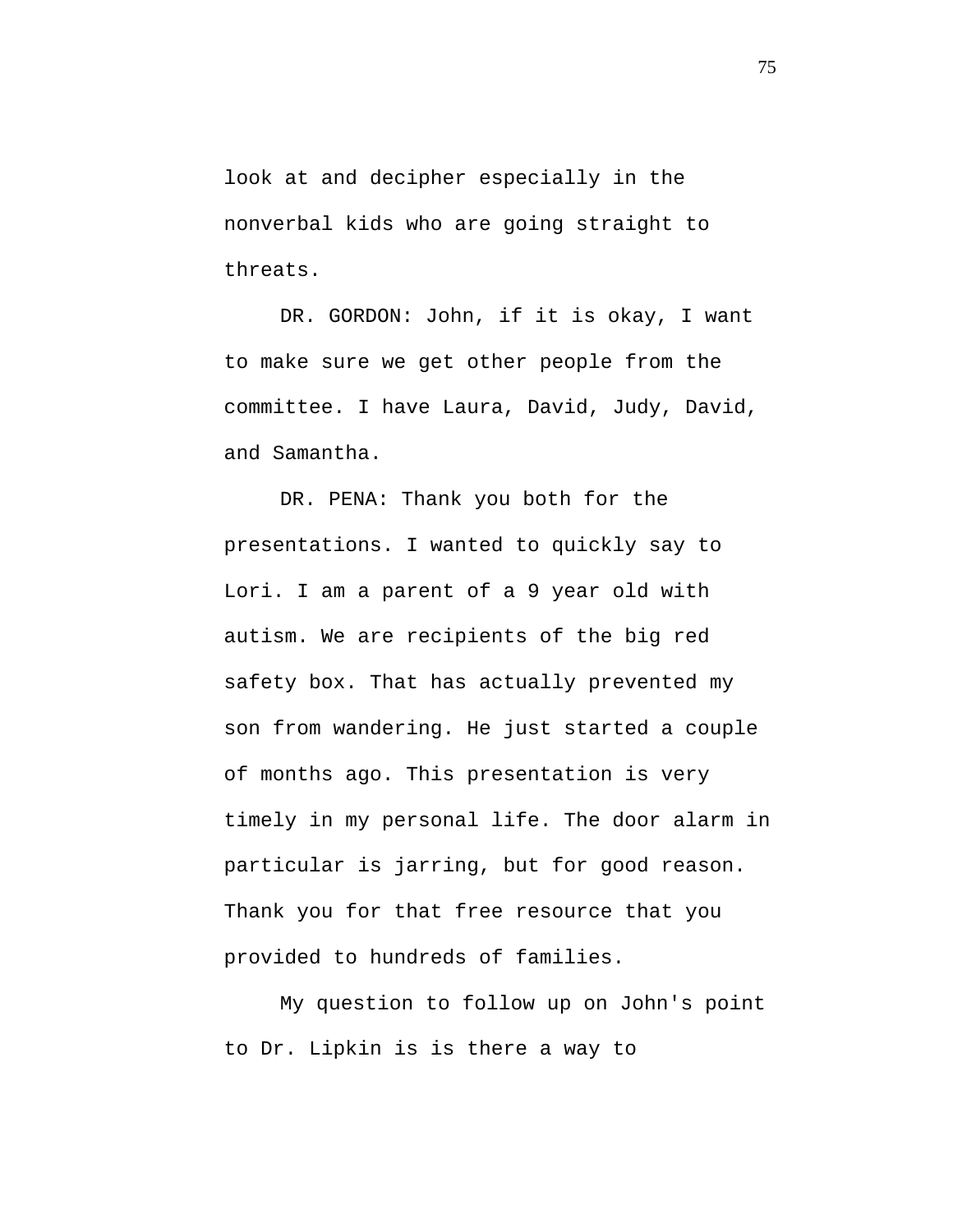look at and decipher especially in the nonverbal kids who are going straight to threats.

DR. GORDON: John, if it is okay, I want to make sure we get other people from the committee. I have Laura, David, Judy, David, and Samantha.

DR. PENA: Thank you both for the presentations. I wanted to quickly say to Lori. I am a parent of a 9 year old with autism. We are recipients of the big red safety box. That has actually prevented my son from wandering. He just started a couple of months ago. This presentation is very timely in my personal life. The door alarm in particular is jarring, but for good reason. Thank you for that free resource that you provided to hundreds of families.

My question to follow up on John's point to Dr. Lipkin is is there a way to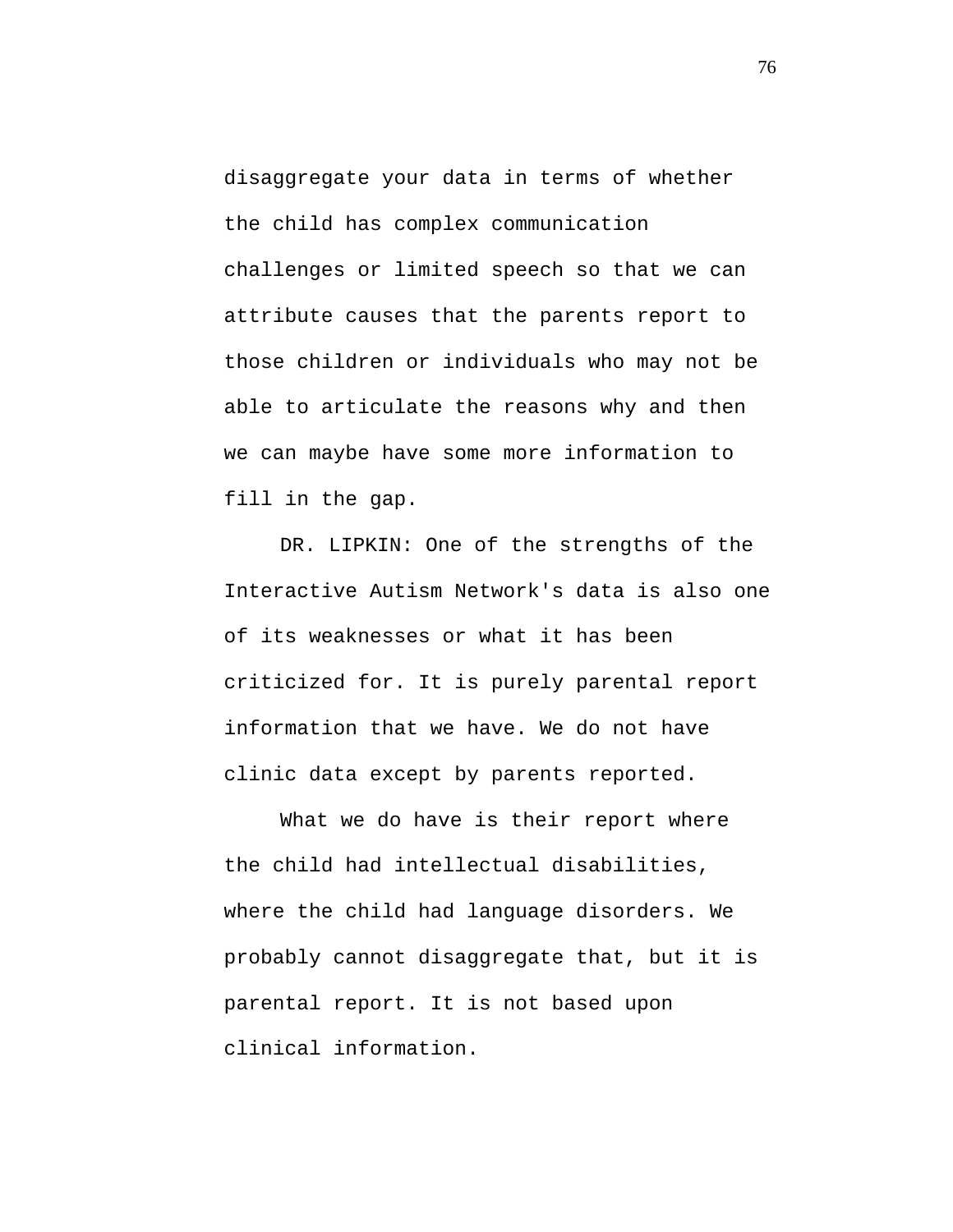disaggregate your data in terms of whether the child has complex communication challenges or limited speech so that we can attribute causes that the parents report to those children or individuals who may not be able to articulate the reasons why and then we can maybe have some more information to fill in the gap.

DR. LIPKIN: One of the strengths of the Interactive Autism Network's data is also one of its weaknesses or what it has been criticized for. It is purely parental report information that we have. We do not have clinic data except by parents reported.

What we do have is their report where the child had intellectual disabilities, where the child had language disorders. We probably cannot disaggregate that, but it is parental report. It is not based upon clinical information.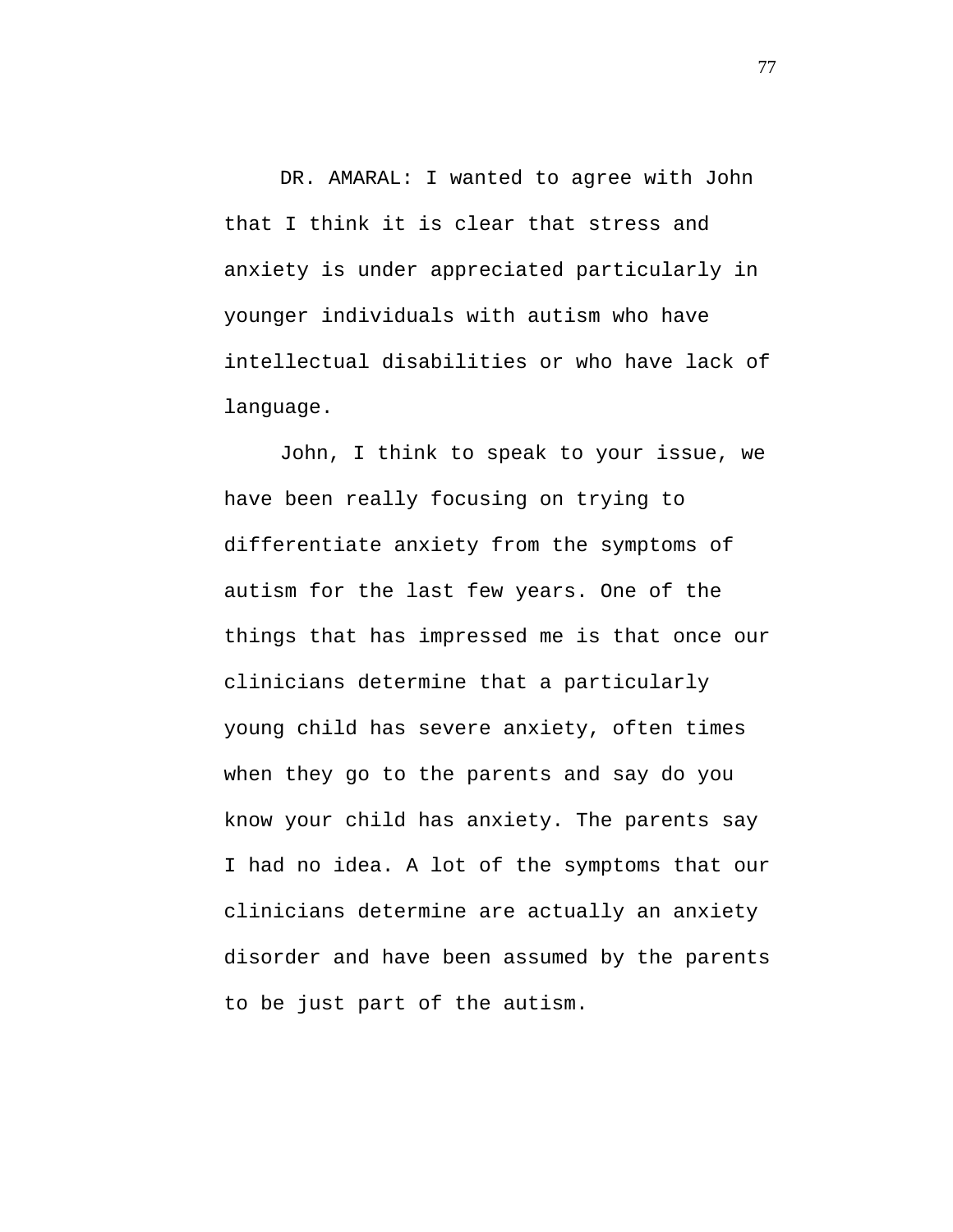DR. AMARAL: I wanted to agree with John that I think it is clear that stress and anxiety is under appreciated particularly in younger individuals with autism who have intellectual disabilities or who have lack of language.

John, I think to speak to your issue, we have been really focusing on trying to differentiate anxiety from the symptoms of autism for the last few years. One of the things that has impressed me is that once our clinicians determine that a particularly young child has severe anxiety, often times when they go to the parents and say do you know your child has anxiety. The parents say I had no idea. A lot of the symptoms that our clinicians determine are actually an anxiety disorder and have been assumed by the parents to be just part of the autism.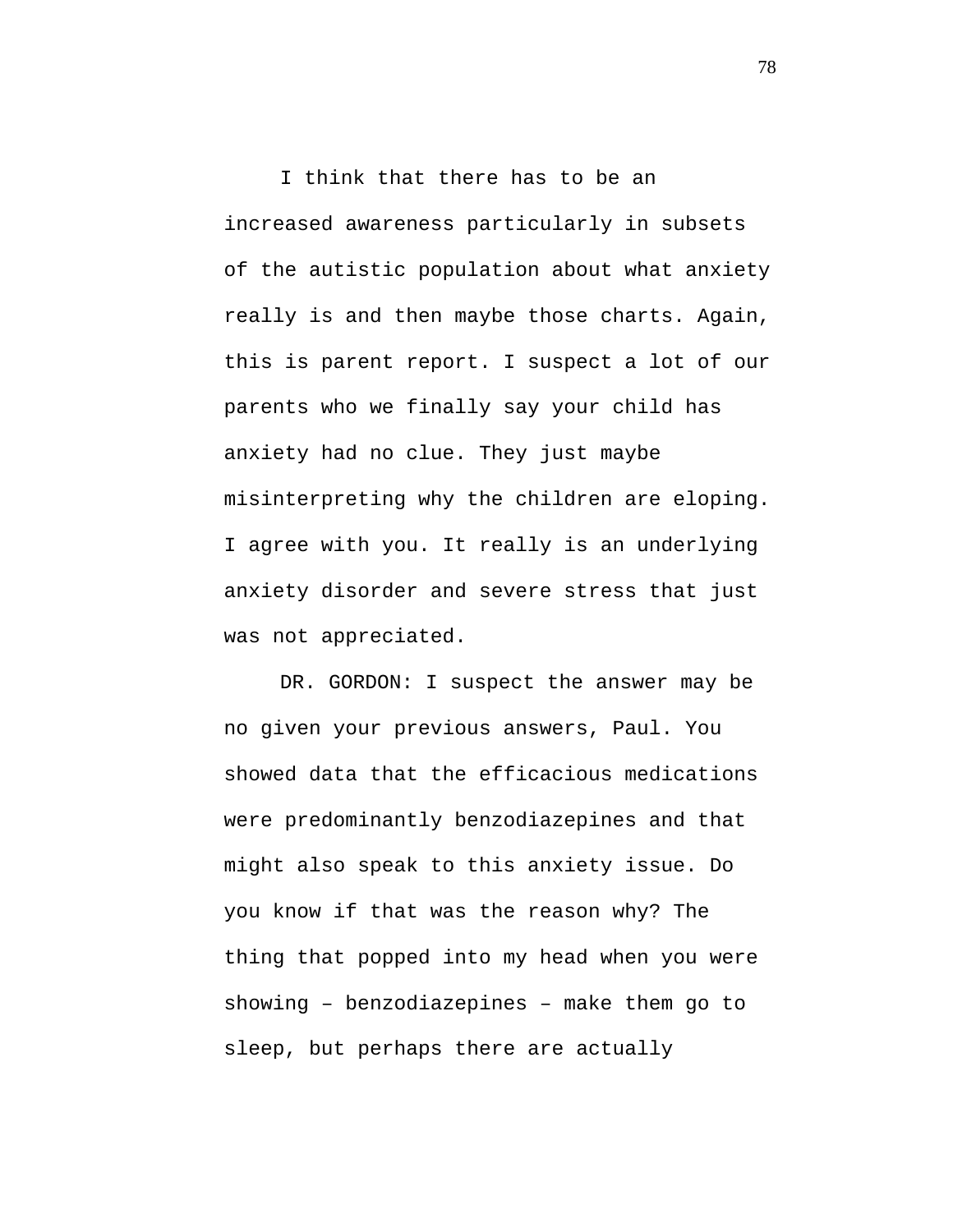I think that there has to be an increased awareness particularly in subsets of the autistic population about what anxiety really is and then maybe those charts. Again, this is parent report. I suspect a lot of our parents who we finally say your child has anxiety had no clue. They just maybe misinterpreting why the children are eloping. I agree with you. It really is an underlying anxiety disorder and severe stress that just was not appreciated.

DR. GORDON: I suspect the answer may be no given your previous answers, Paul. You showed data that the efficacious medications were predominantly benzodiazepines and that might also speak to this anxiety issue. Do you know if that was the reason why? The thing that popped into my head when you were showing – benzodiazepines – make them go to sleep, but perhaps there are actually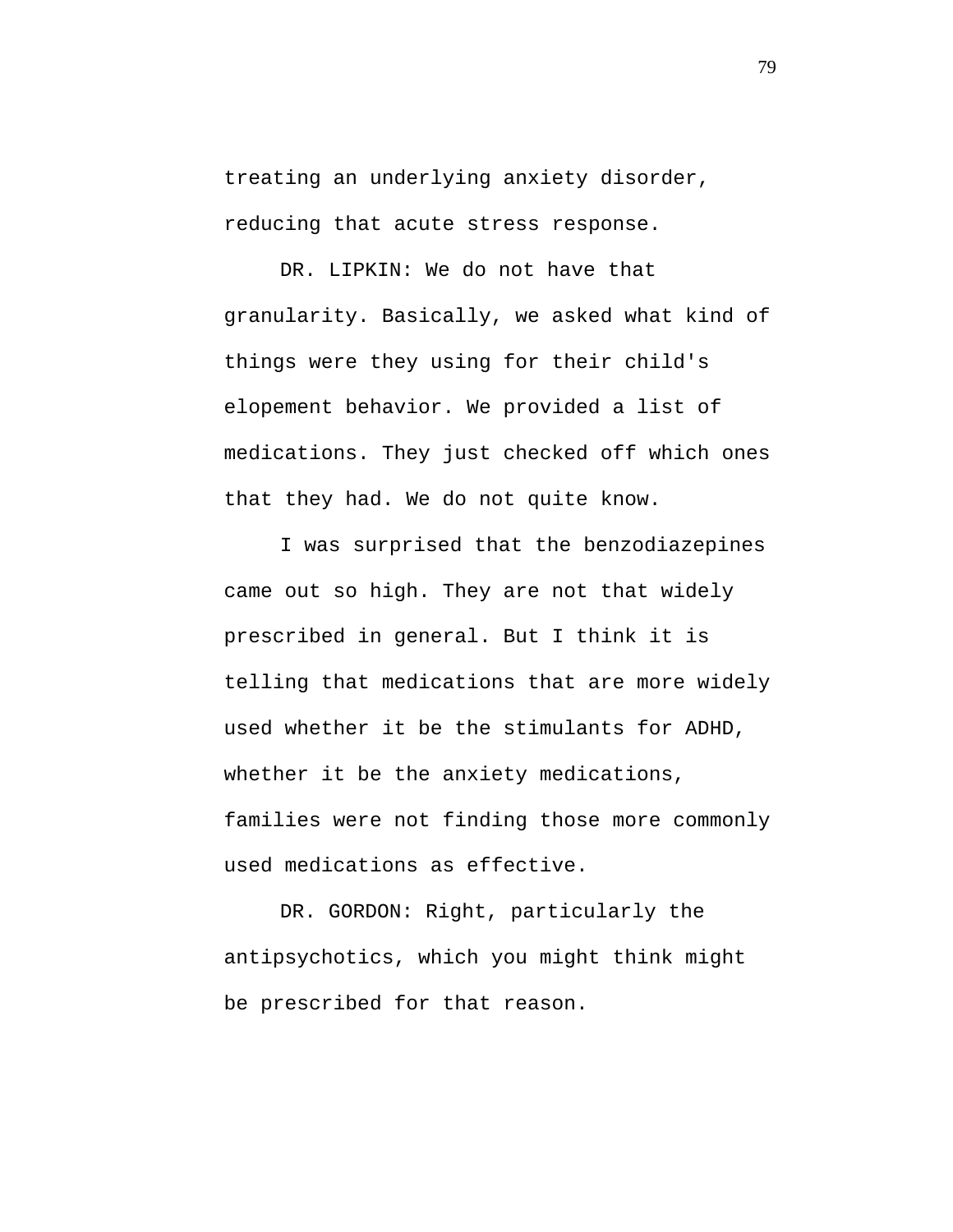treating an underlying anxiety disorder, reducing that acute stress response.

DR. LIPKIN: We do not have that granularity. Basically, we asked what kind of things were they using for their child's elopement behavior. We provided a list of medications. They just checked off which ones that they had. We do not quite know.

I was surprised that the benzodiazepines came out so high. They are not that widely prescribed in general. But I think it is telling that medications that are more widely used whether it be the stimulants for ADHD, whether it be the anxiety medications, families were not finding those more commonly used medications as effective.

DR. GORDON: Right, particularly the antipsychotics, which you might think might be prescribed for that reason.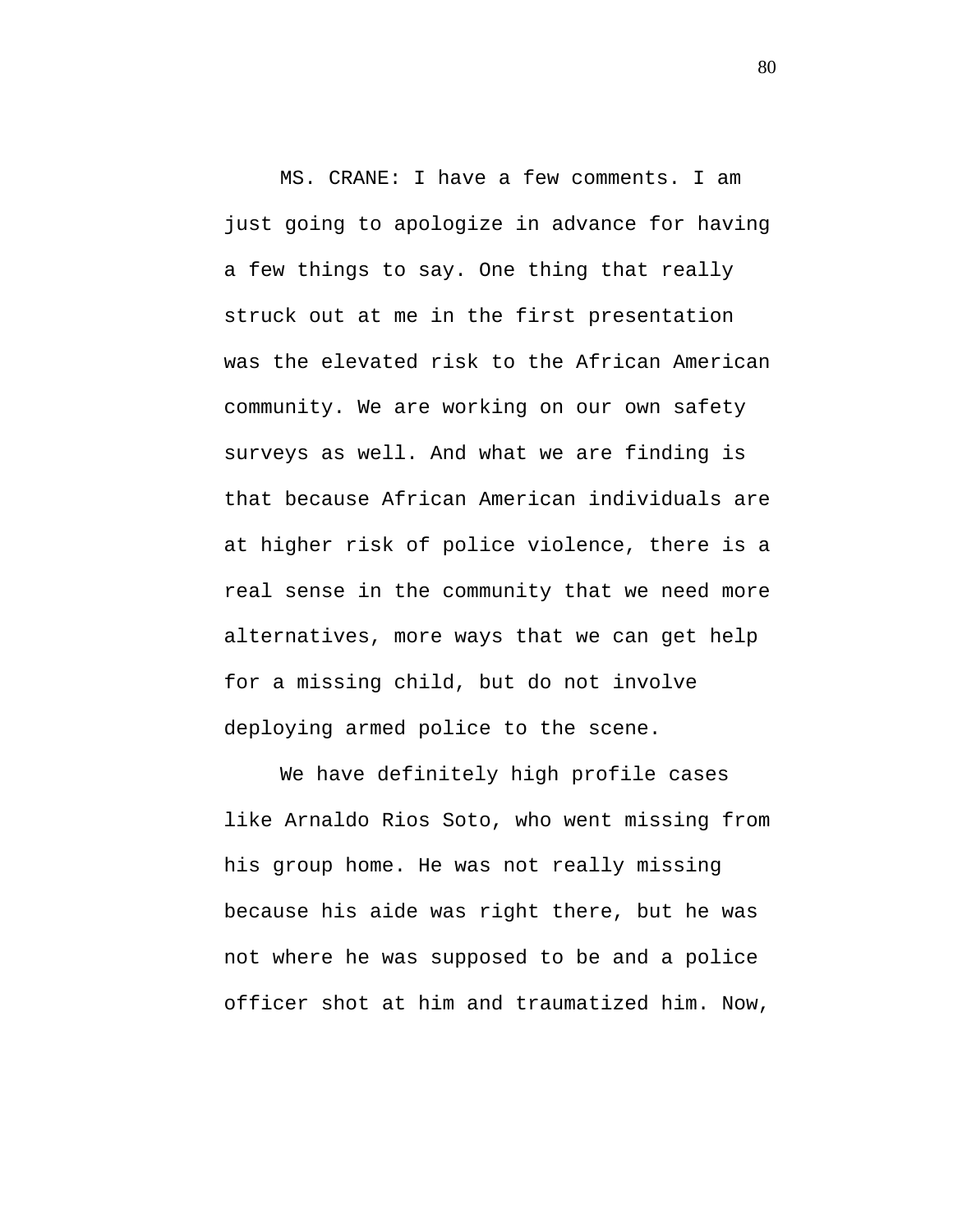MS. CRANE: I have a few comments. I am just going to apologize in advance for having a few things to say. One thing that really struck out at me in the first presentation was the elevated risk to the African American community. We are working on our own safety surveys as well. And what we are finding is that because African American individuals are at higher risk of police violence, there is a real sense in the community that we need more alternatives, more ways that we can get help for a missing child, but do not involve deploying armed police to the scene.

We have definitely high profile cases like Arnaldo Rios Soto, who went missing from his group home. He was not really missing because his aide was right there, but he was not where he was supposed to be and a police officer shot at him and traumatized him. Now,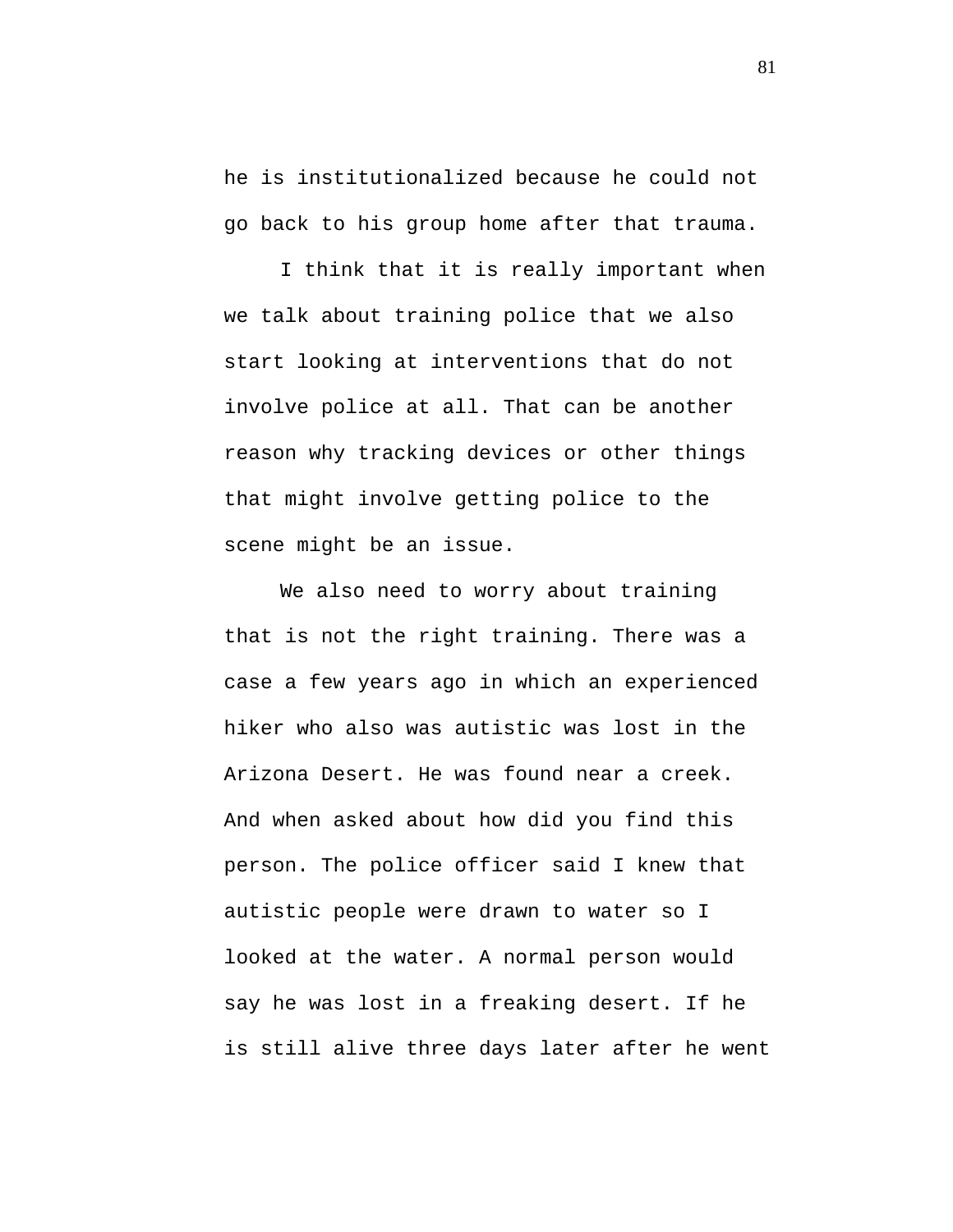he is institutionalized because he could not go back to his group home after that trauma.

I think that it is really important when we talk about training police that we also start looking at interventions that do not involve police at all. That can be another reason why tracking devices or other things that might involve getting police to the scene might be an issue.

We also need to worry about training that is not the right training. There was a case a few years ago in which an experienced hiker who also was autistic was lost in the Arizona Desert. He was found near a creek. And when asked about how did you find this person. The police officer said I knew that autistic people were drawn to water so I looked at the water. A normal person would say he was lost in a freaking desert. If he is still alive three days later after he went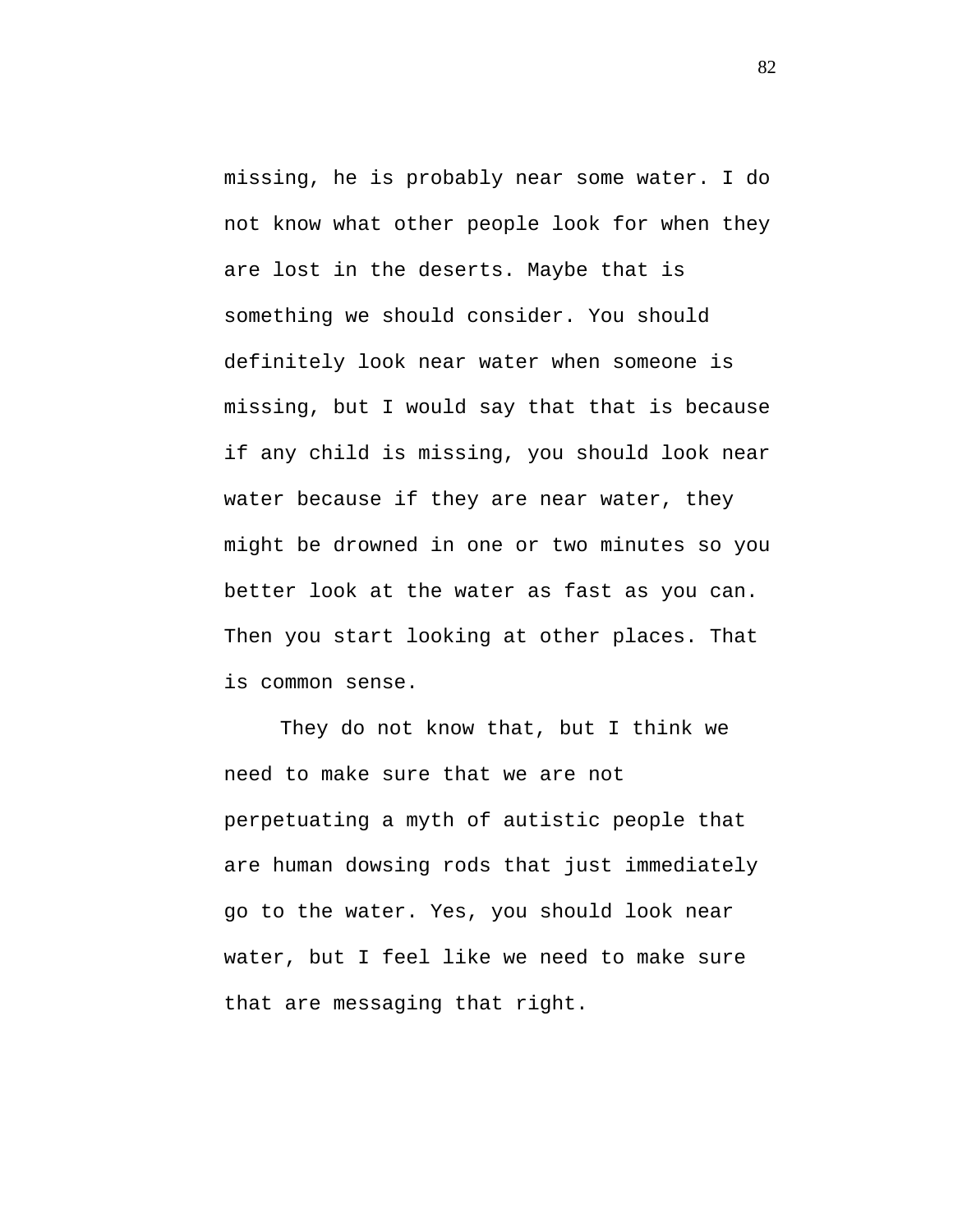missing, he is probably near some water. I do not know what other people look for when they are lost in the deserts. Maybe that is something we should consider. You should definitely look near water when someone is missing, but I would say that that is because if any child is missing, you should look near water because if they are near water, they might be drowned in one or two minutes so you better look at the water as fast as you can. Then you start looking at other places. That is common sense.

They do not know that, but I think we need to make sure that we are not perpetuating a myth of autistic people that are human dowsing rods that just immediately go to the water. Yes, you should look near water, but I feel like we need to make sure that are messaging that right.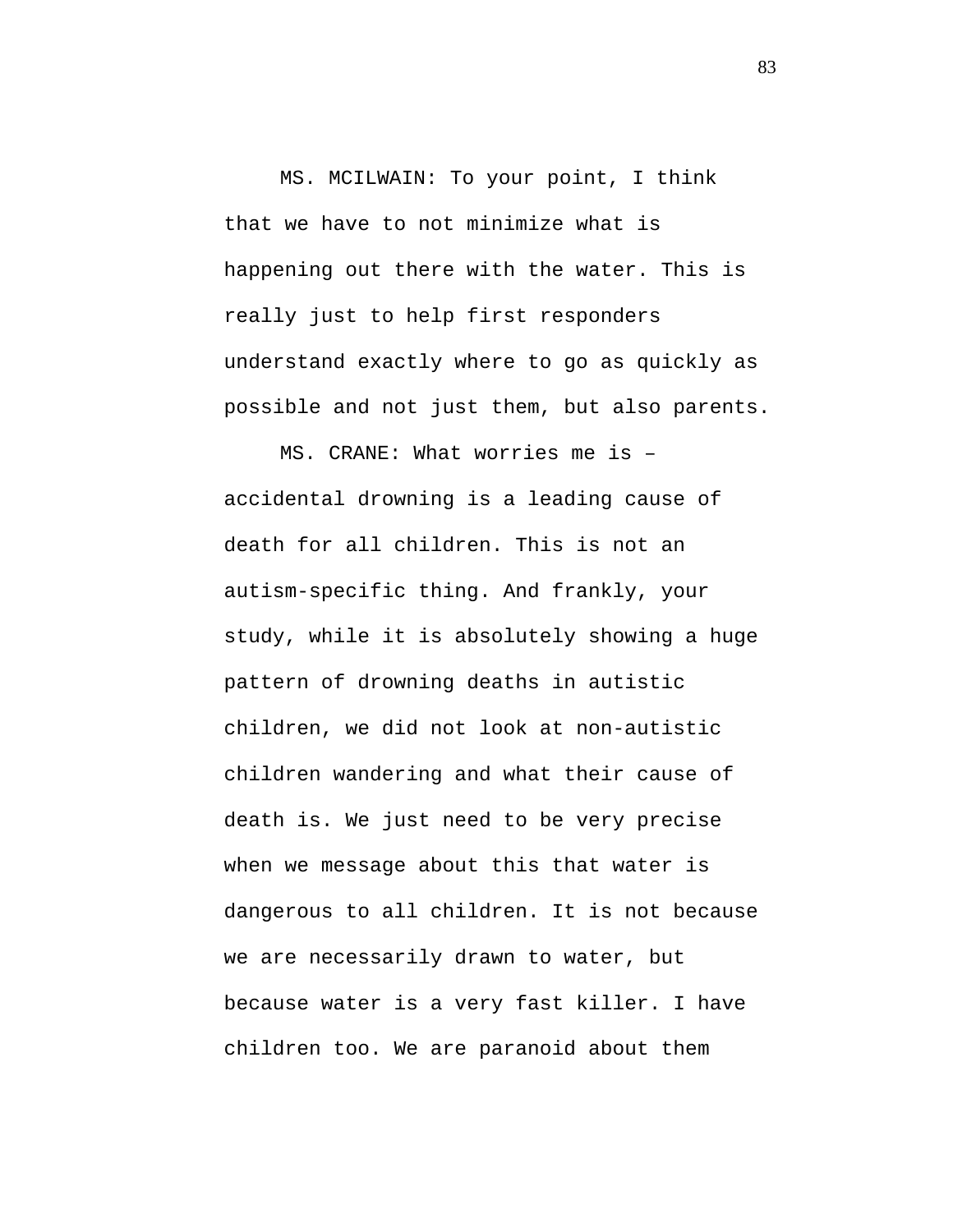MS. MCILWAIN: To your point, I think that we have to not minimize what is happening out there with the water. This is really just to help first responders understand exactly where to go as quickly as possible and not just them, but also parents.

MS. CRANE: What worries me is – accidental drowning is a leading cause of death for all children. This is not an autism-specific thing. And frankly, your study, while it is absolutely showing a huge pattern of drowning deaths in autistic children, we did not look at non-autistic children wandering and what their cause of death is. We just need to be very precise when we message about this that water is dangerous to all children. It is not because we are necessarily drawn to water, but because water is a very fast killer. I have children too. We are paranoid about them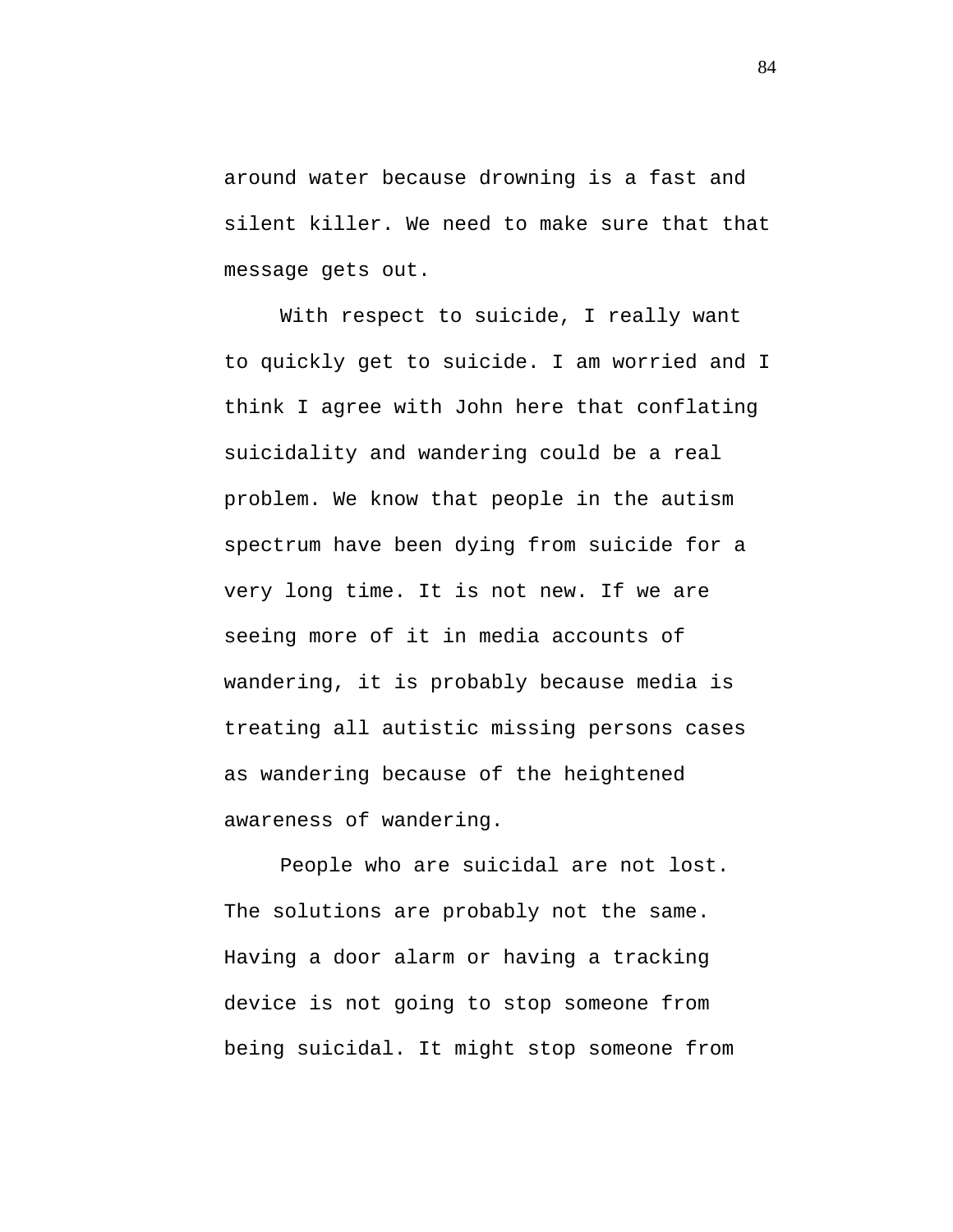around water because drowning is a fast and silent killer. We need to make sure that that message gets out.

With respect to suicide, I really want to quickly get to suicide. I am worried and I think I agree with John here that conflating suicidality and wandering could be a real problem. We know that people in the autism spectrum have been dying from suicide for a very long time. It is not new. If we are seeing more of it in media accounts of wandering, it is probably because media is treating all autistic missing persons cases as wandering because of the heightened awareness of wandering.

People who are suicidal are not lost. The solutions are probably not the same. Having a door alarm or having a tracking device is not going to stop someone from being suicidal. It might stop someone from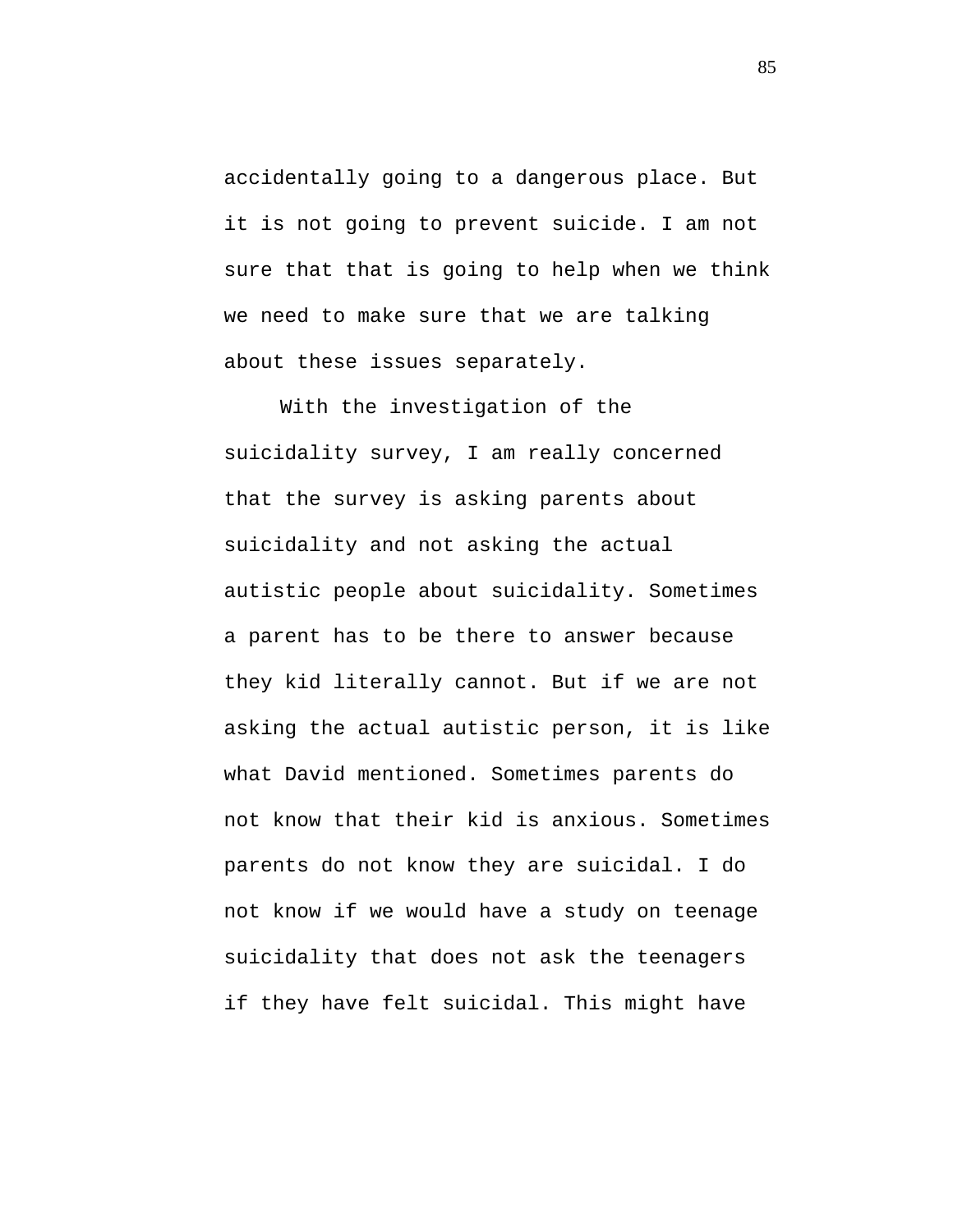accidentally going to a dangerous place. But it is not going to prevent suicide. I am not sure that that is going to help when we think we need to make sure that we are talking about these issues separately.

With the investigation of the suicidality survey, I am really concerned that the survey is asking parents about suicidality and not asking the actual autistic people about suicidality. Sometimes a parent has to be there to answer because they kid literally cannot. But if we are not asking the actual autistic person, it is like what David mentioned. Sometimes parents do not know that their kid is anxious. Sometimes parents do not know they are suicidal. I do not know if we would have a study on teenage suicidality that does not ask the teenagers if they have felt suicidal. This might have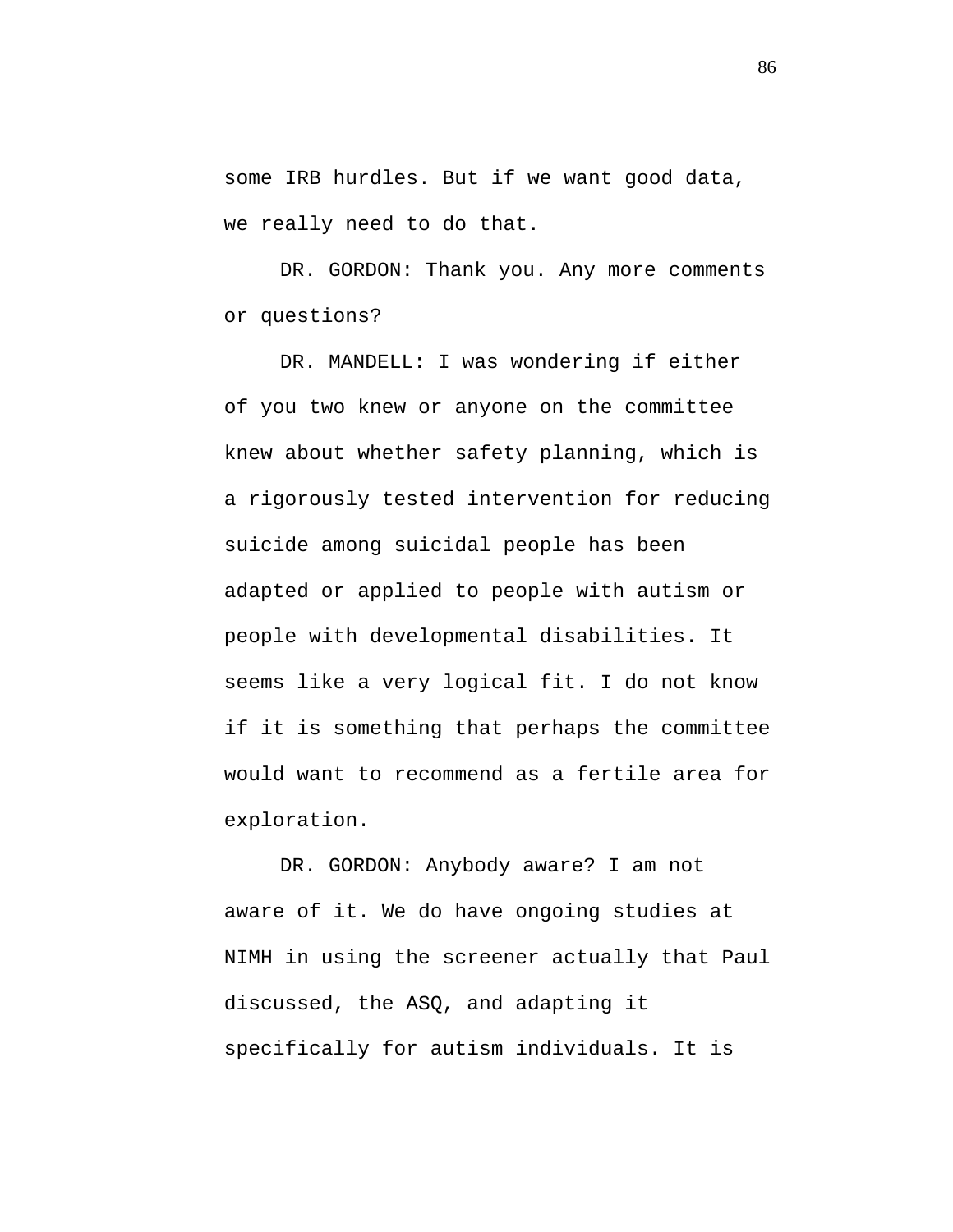some IRB hurdles. But if we want good data, we really need to do that.

DR. GORDON: Thank you. Any more comments or questions?

DR. MANDELL: I was wondering if either of you two knew or anyone on the committee knew about whether safety planning, which is a rigorously tested intervention for reducing suicide among suicidal people has been adapted or applied to people with autism or people with developmental disabilities. It seems like a very logical fit. I do not know if it is something that perhaps the committee would want to recommend as a fertile area for exploration.

DR. GORDON: Anybody aware? I am not aware of it. We do have ongoing studies at NIMH in using the screener actually that Paul discussed, the ASQ, and adapting it specifically for autism individuals. It is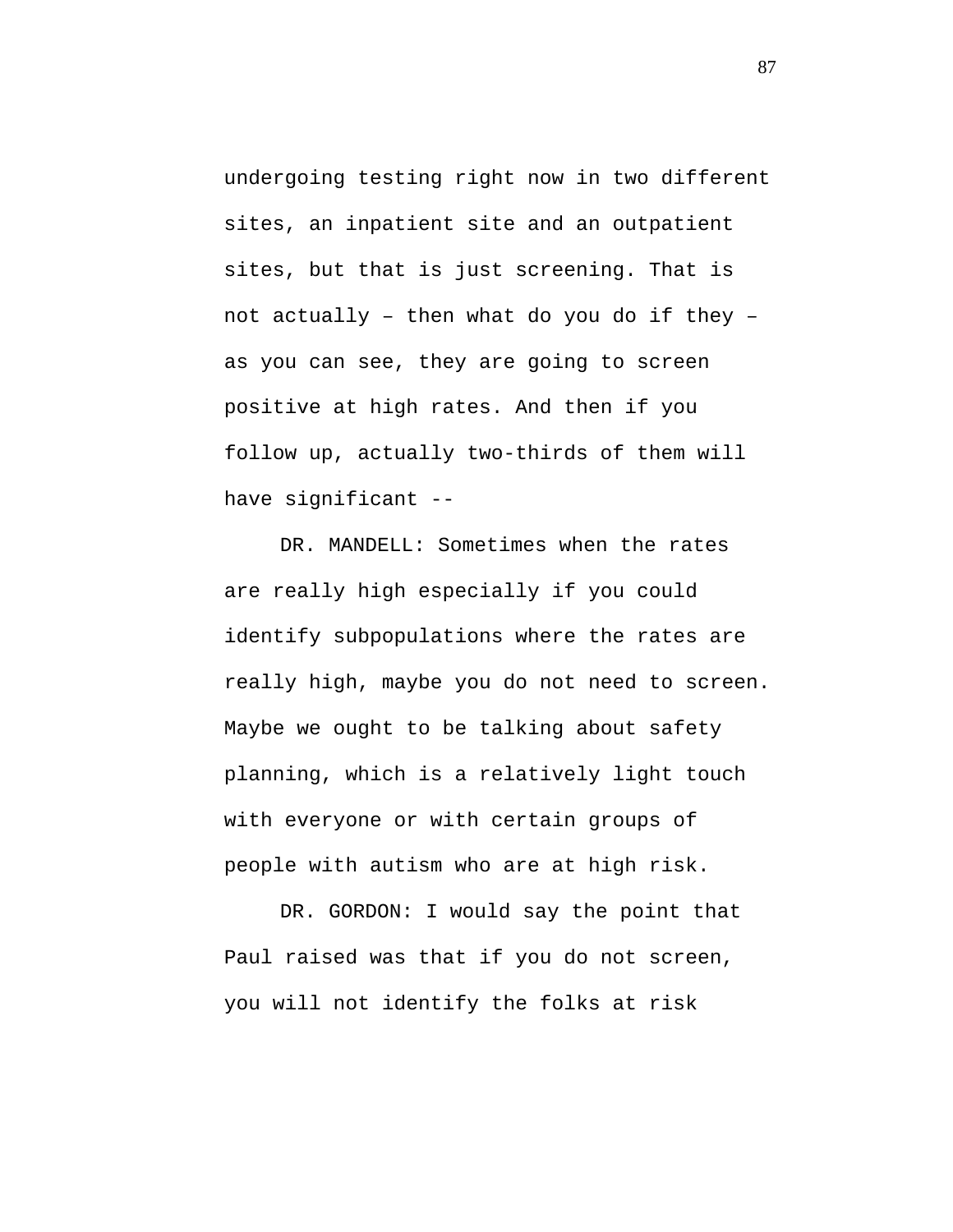undergoing testing right now in two different sites, an inpatient site and an outpatient sites, but that is just screening. That is not actually – then what do you do if they – as you can see, they are going to screen positive at high rates. And then if you follow up, actually two-thirds of them will have significant --

DR. MANDELL: Sometimes when the rates are really high especially if you could identify subpopulations where the rates are really high, maybe you do not need to screen. Maybe we ought to be talking about safety planning, which is a relatively light touch with everyone or with certain groups of people with autism who are at high risk.

DR. GORDON: I would say the point that Paul raised was that if you do not screen, you will not identify the folks at risk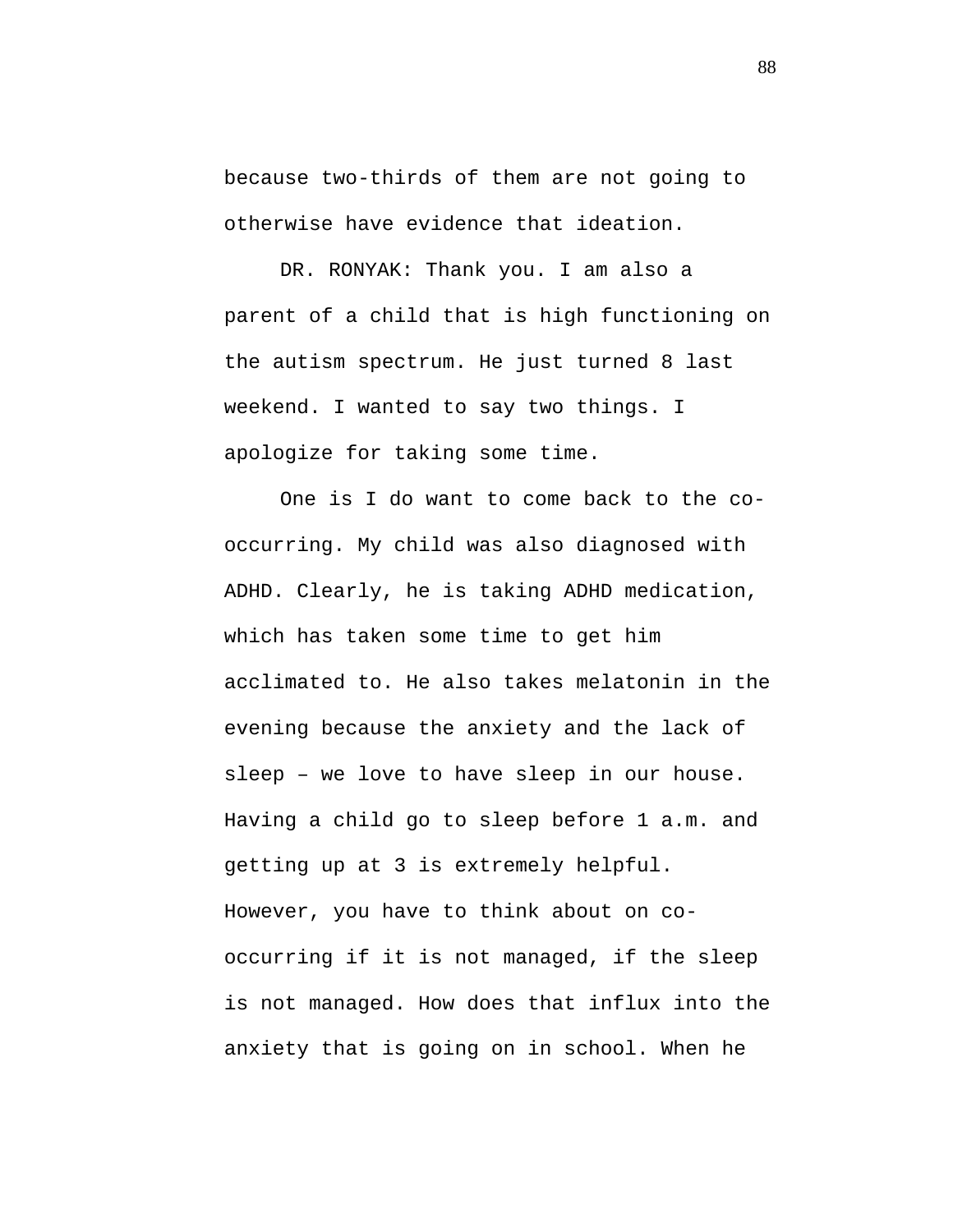because two-thirds of them are not going to otherwise have evidence that ideation.

DR. RONYAK: Thank you. I am also a parent of a child that is high functioning on the autism spectrum. He just turned 8 last weekend. I wanted to say two things. I apologize for taking some time.

One is I do want to come back to the cooccurring. My child was also diagnosed with ADHD. Clearly, he is taking ADHD medication, which has taken some time to get him acclimated to. He also takes melatonin in the evening because the anxiety and the lack of sleep – we love to have sleep in our house. Having a child go to sleep before 1 a.m. and getting up at 3 is extremely helpful. However, you have to think about on cooccurring if it is not managed, if the sleep is not managed. How does that influx into the anxiety that is going on in school. When he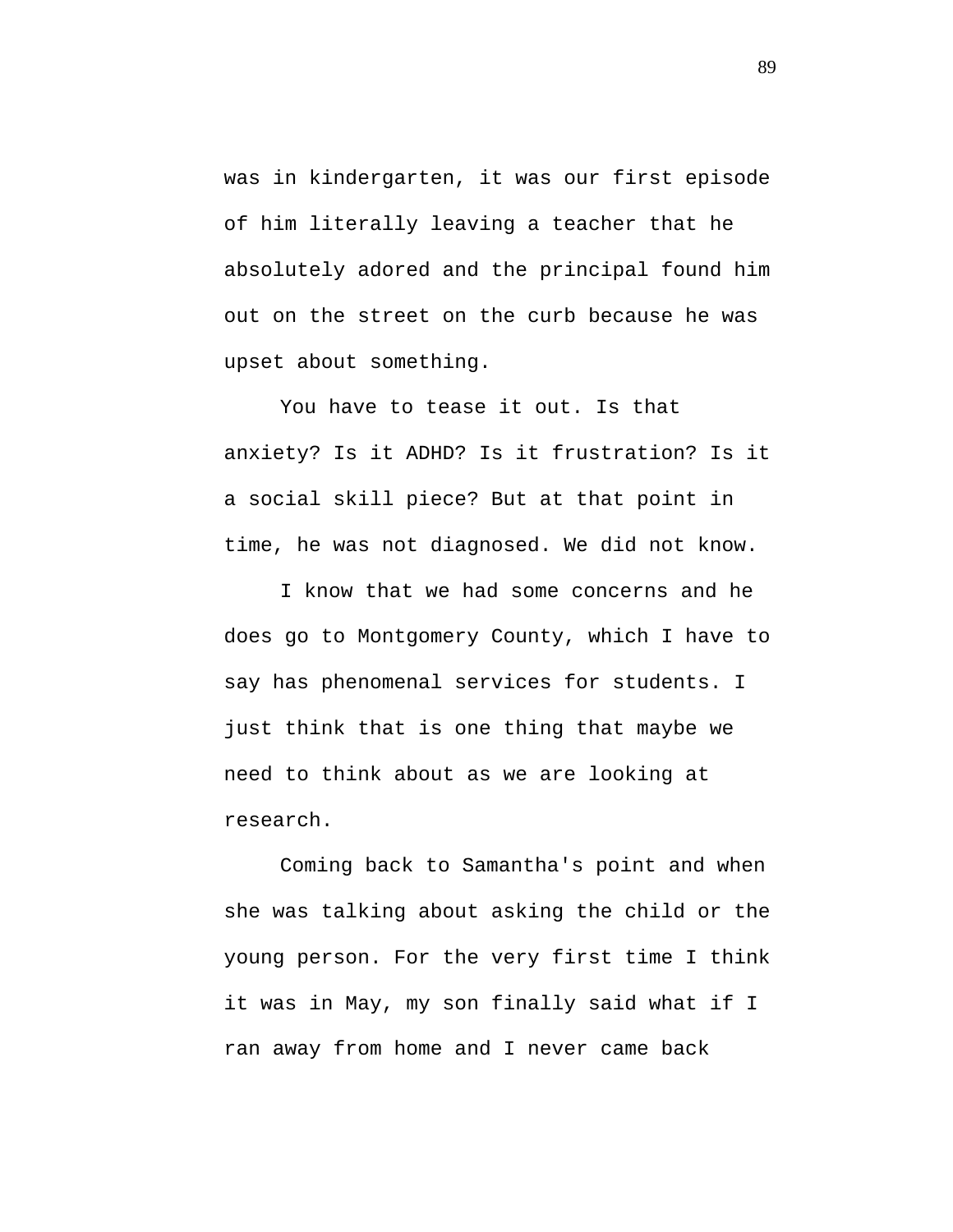was in kindergarten, it was our first episode of him literally leaving a teacher that he absolutely adored and the principal found him out on the street on the curb because he was upset about something.

You have to tease it out. Is that anxiety? Is it ADHD? Is it frustration? Is it a social skill piece? But at that point in time, he was not diagnosed. We did not know.

I know that we had some concerns and he does go to Montgomery County, which I have to say has phenomenal services for students. I just think that is one thing that maybe we need to think about as we are looking at research.

Coming back to Samantha's point and when she was talking about asking the child or the young person. For the very first time I think it was in May, my son finally said what if I ran away from home and I never came back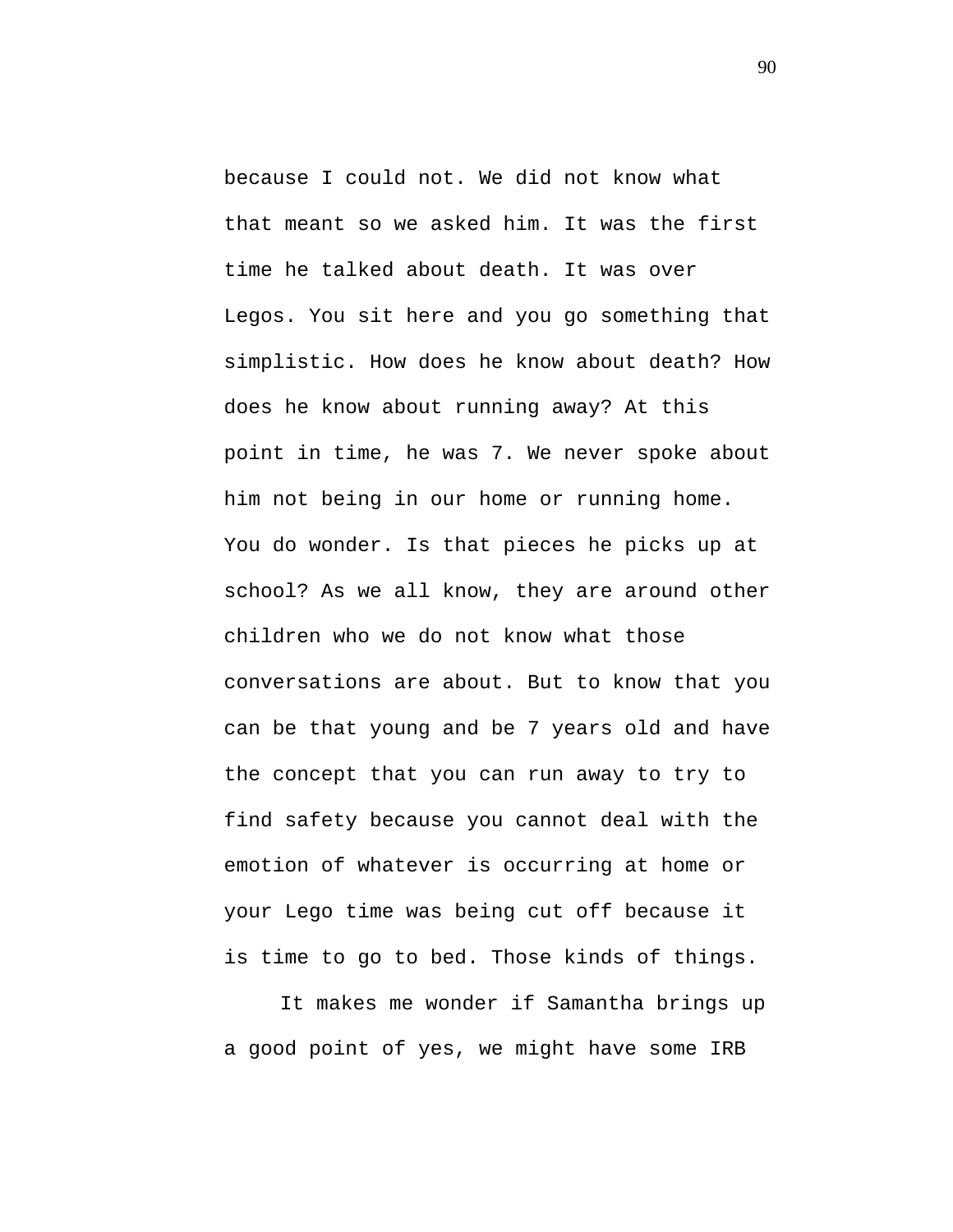because I could not. We did not know what that meant so we asked him. It was the first time he talked about death. It was over Legos. You sit here and you go something that simplistic. How does he know about death? How does he know about running away? At this point in time, he was 7. We never spoke about him not being in our home or running home. You do wonder. Is that pieces he picks up at school? As we all know, they are around other children who we do not know what those conversations are about. But to know that you can be that young and be 7 years old and have the concept that you can run away to try to find safety because you cannot deal with the emotion of whatever is occurring at home or your Lego time was being cut off because it is time to go to bed. Those kinds of things.

It makes me wonder if Samantha brings up a good point of yes, we might have some IRB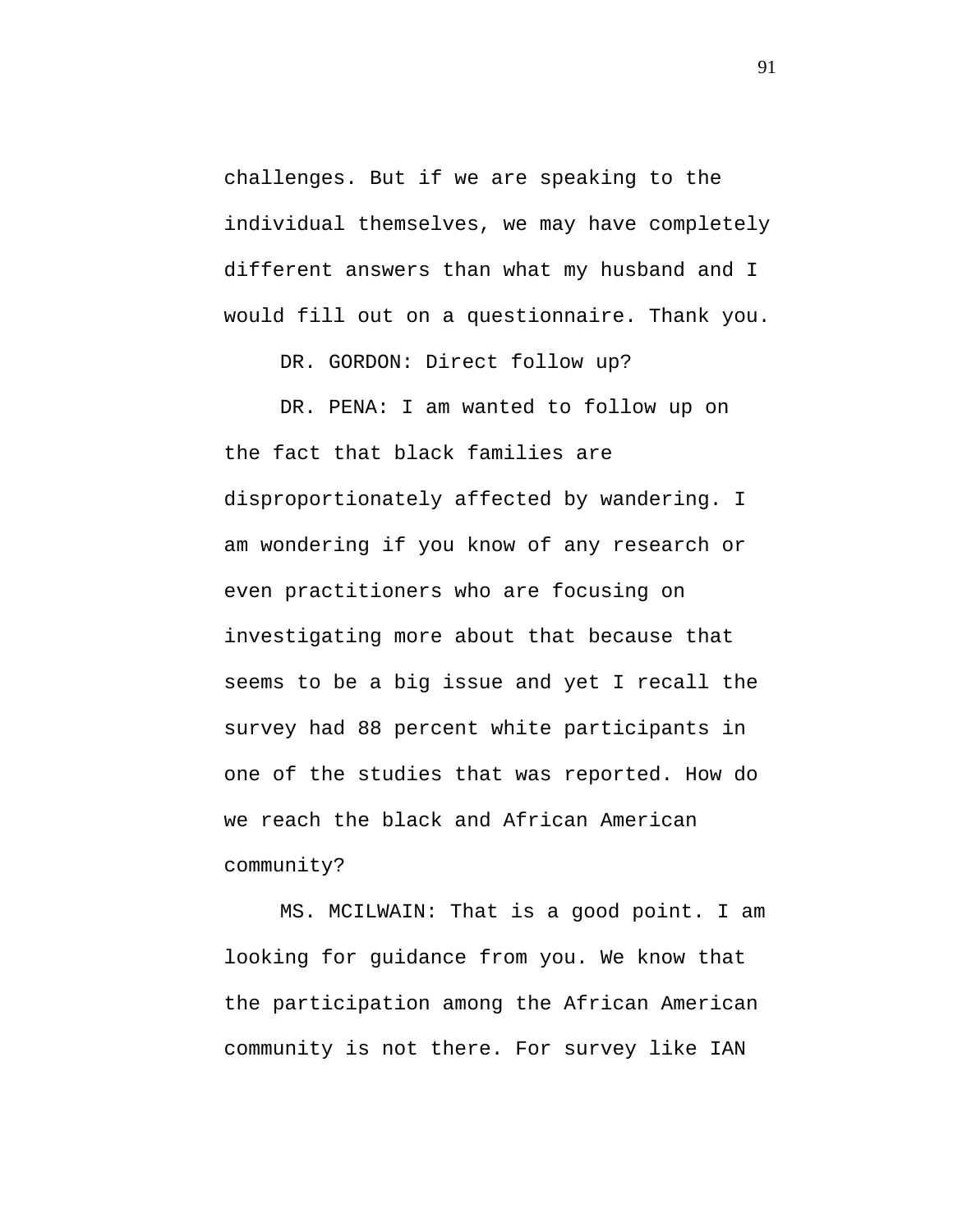challenges. But if we are speaking to the individual themselves, we may have completely different answers than what my husband and I would fill out on a questionnaire. Thank you.

DR. GORDON: Direct follow up?

DR. PENA: I am wanted to follow up on the fact that black families are disproportionately affected by wandering. I am wondering if you know of any research or even practitioners who are focusing on investigating more about that because that seems to be a big issue and yet I recall the survey had 88 percent white participants in one of the studies that was reported. How do we reach the black and African American community?

MS. MCILWAIN: That is a good point. I am looking for guidance from you. We know that the participation among the African American community is not there. For survey like IAN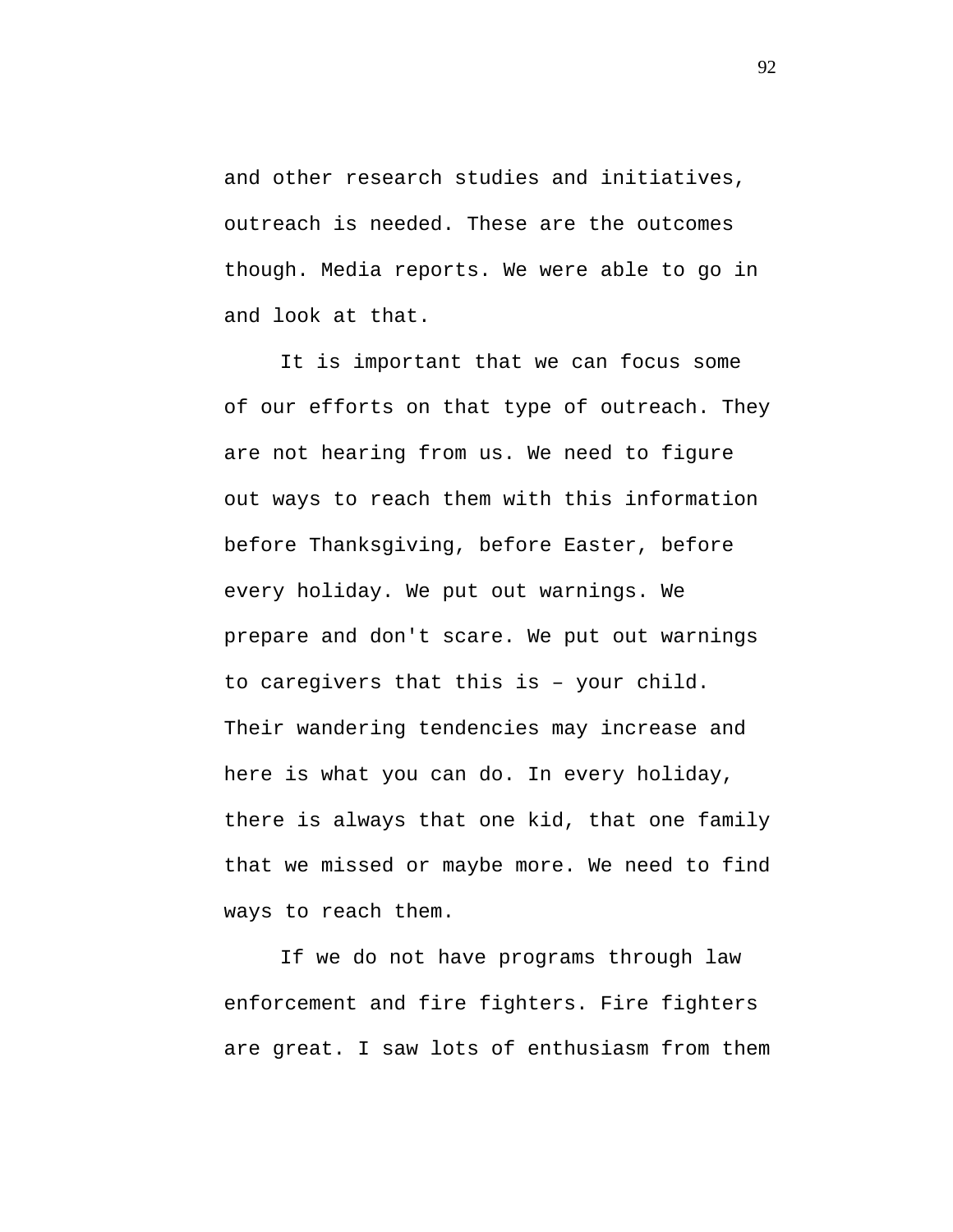and other research studies and initiatives, outreach is needed. These are the outcomes though. Media reports. We were able to go in and look at that.

It is important that we can focus some of our efforts on that type of outreach. They are not hearing from us. We need to figure out ways to reach them with this information before Thanksgiving, before Easter, before every holiday. We put out warnings. We prepare and don't scare. We put out warnings to caregivers that this is – your child. Their wandering tendencies may increase and here is what you can do. In every holiday, there is always that one kid, that one family that we missed or maybe more. We need to find ways to reach them.

If we do not have programs through law enforcement and fire fighters. Fire fighters are great. I saw lots of enthusiasm from them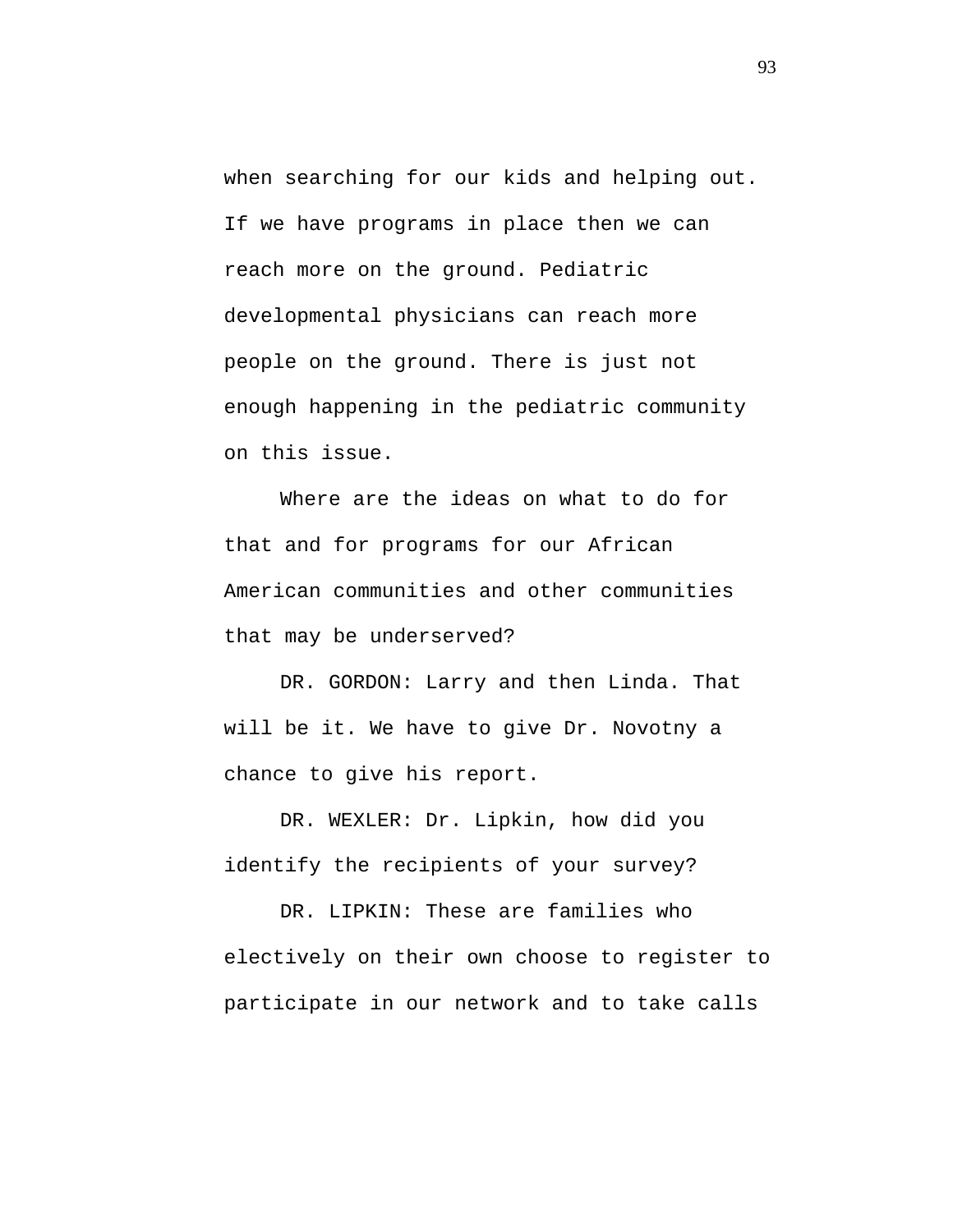when searching for our kids and helping out. If we have programs in place then we can reach more on the ground. Pediatric developmental physicians can reach more people on the ground. There is just not enough happening in the pediatric community on this issue.

Where are the ideas on what to do for that and for programs for our African American communities and other communities that may be underserved?

DR. GORDON: Larry and then Linda. That will be it. We have to give Dr. Novotny a chance to give his report.

DR. WEXLER: Dr. Lipkin, how did you identify the recipients of your survey?

DR. LIPKIN: These are families who electively on their own choose to register to participate in our network and to take calls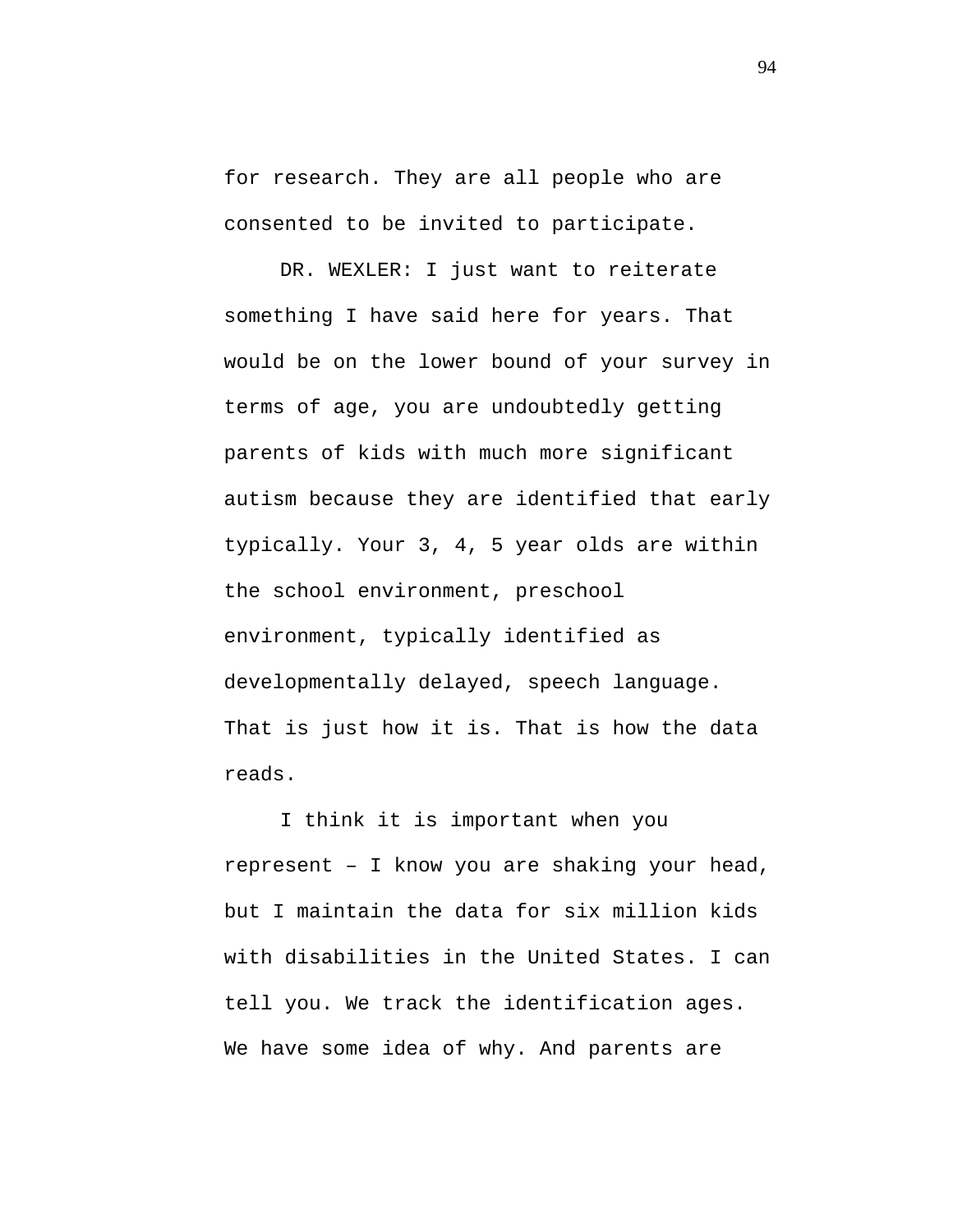for research. They are all people who are consented to be invited to participate.

DR. WEXLER: I just want to reiterate something I have said here for years. That would be on the lower bound of your survey in terms of age, you are undoubtedly getting parents of kids with much more significant autism because they are identified that early typically. Your 3, 4, 5 year olds are within the school environment, preschool environment, typically identified as developmentally delayed, speech language. That is just how it is. That is how the data reads.

I think it is important when you represent – I know you are shaking your head, but I maintain the data for six million kids with disabilities in the United States. I can tell you. We track the identification ages. We have some idea of why. And parents are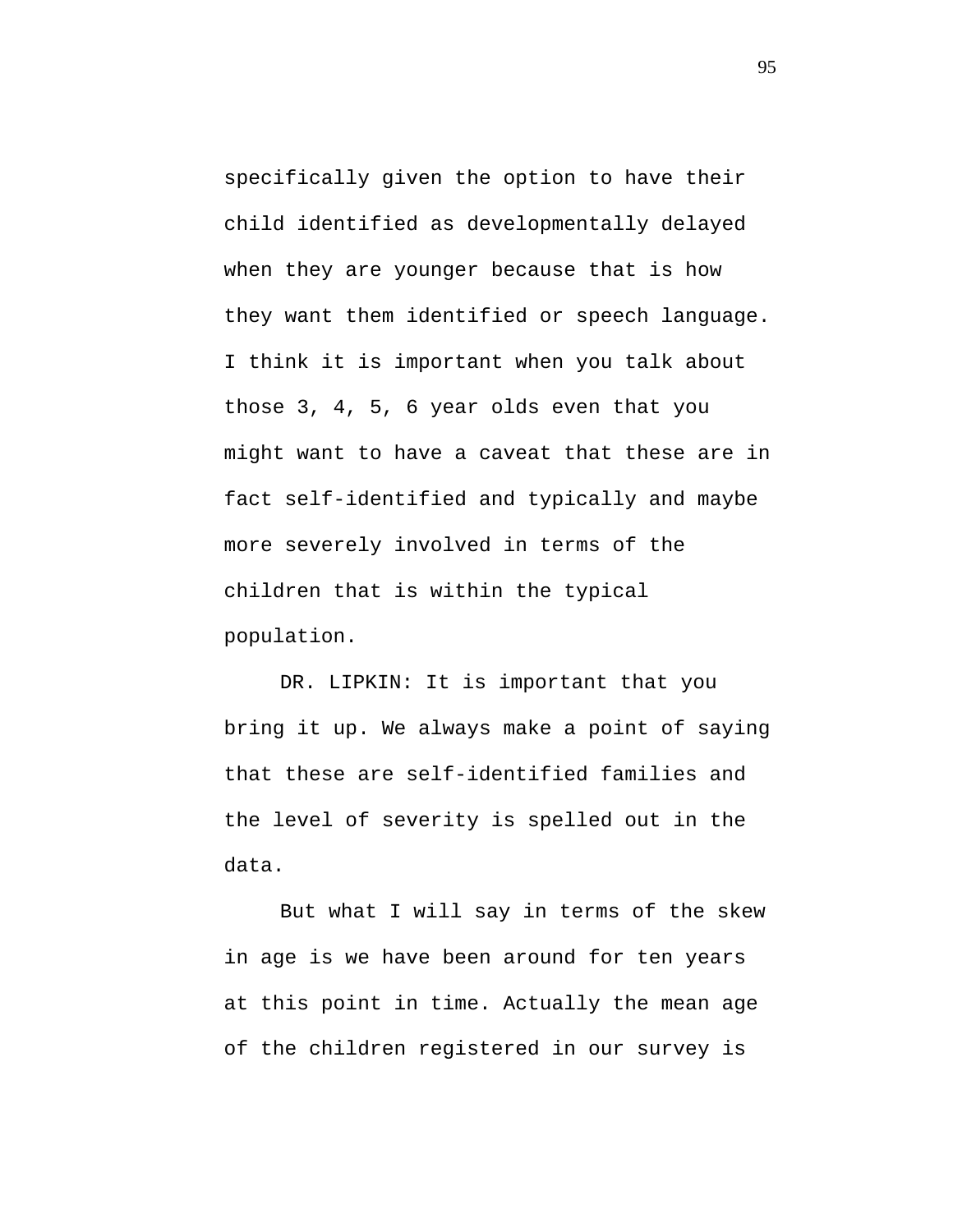specifically given the option to have their child identified as developmentally delayed when they are younger because that is how they want them identified or speech language. I think it is important when you talk about those 3, 4, 5, 6 year olds even that you might want to have a caveat that these are in fact self-identified and typically and maybe more severely involved in terms of the children that is within the typical population.

DR. LIPKIN: It is important that you bring it up. We always make a point of saying that these are self-identified families and the level of severity is spelled out in the data.

But what I will say in terms of the skew in age is we have been around for ten years at this point in time. Actually the mean age of the children registered in our survey is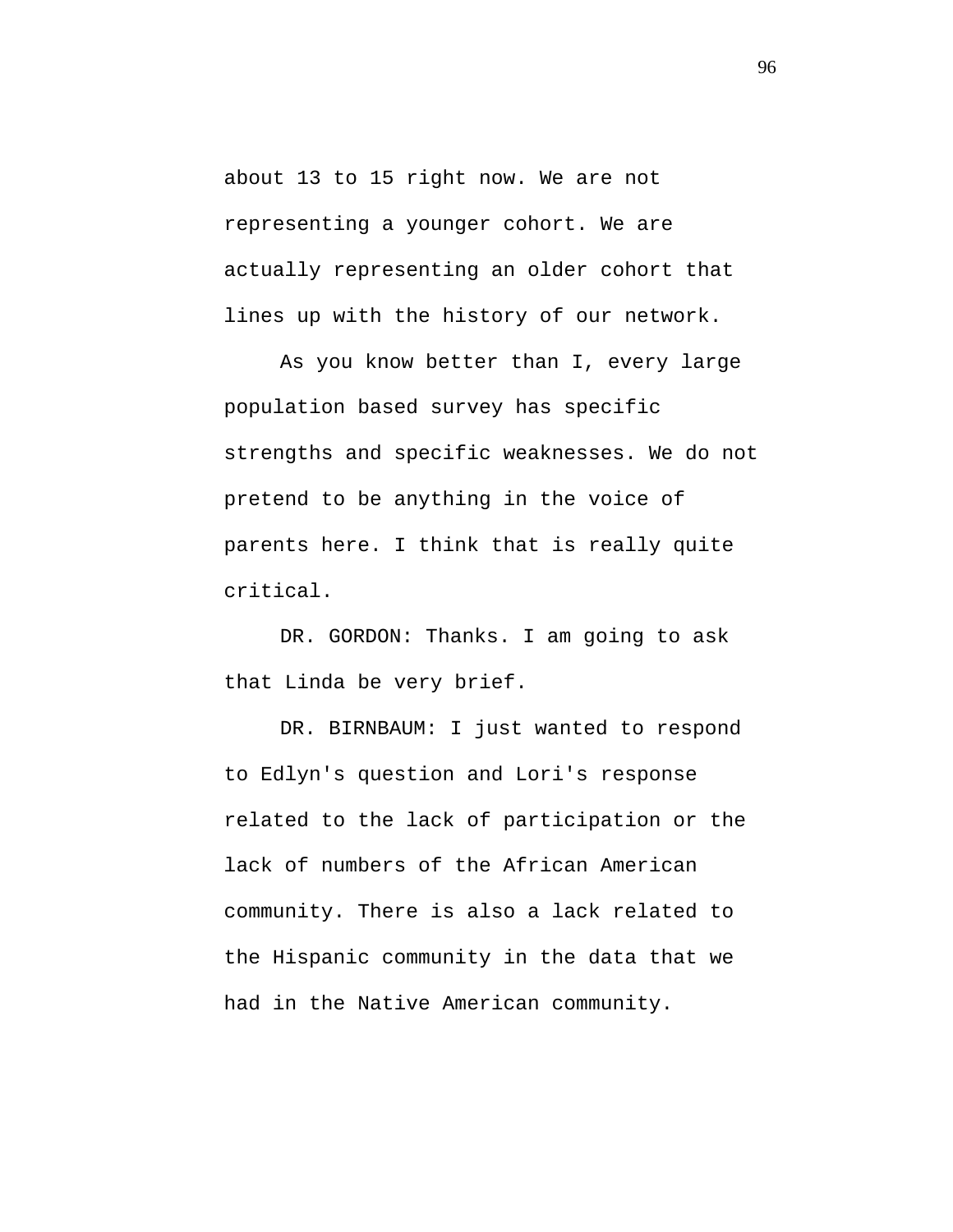about 13 to 15 right now. We are not representing a younger cohort. We are actually representing an older cohort that lines up with the history of our network.

As you know better than I, every large population based survey has specific strengths and specific weaknesses. We do not pretend to be anything in the voice of parents here. I think that is really quite critical.

DR. GORDON: Thanks. I am going to ask that Linda be very brief.

DR. BIRNBAUM: I just wanted to respond to Edlyn's question and Lori's response related to the lack of participation or the lack of numbers of the African American community. There is also a lack related to the Hispanic community in the data that we had in the Native American community.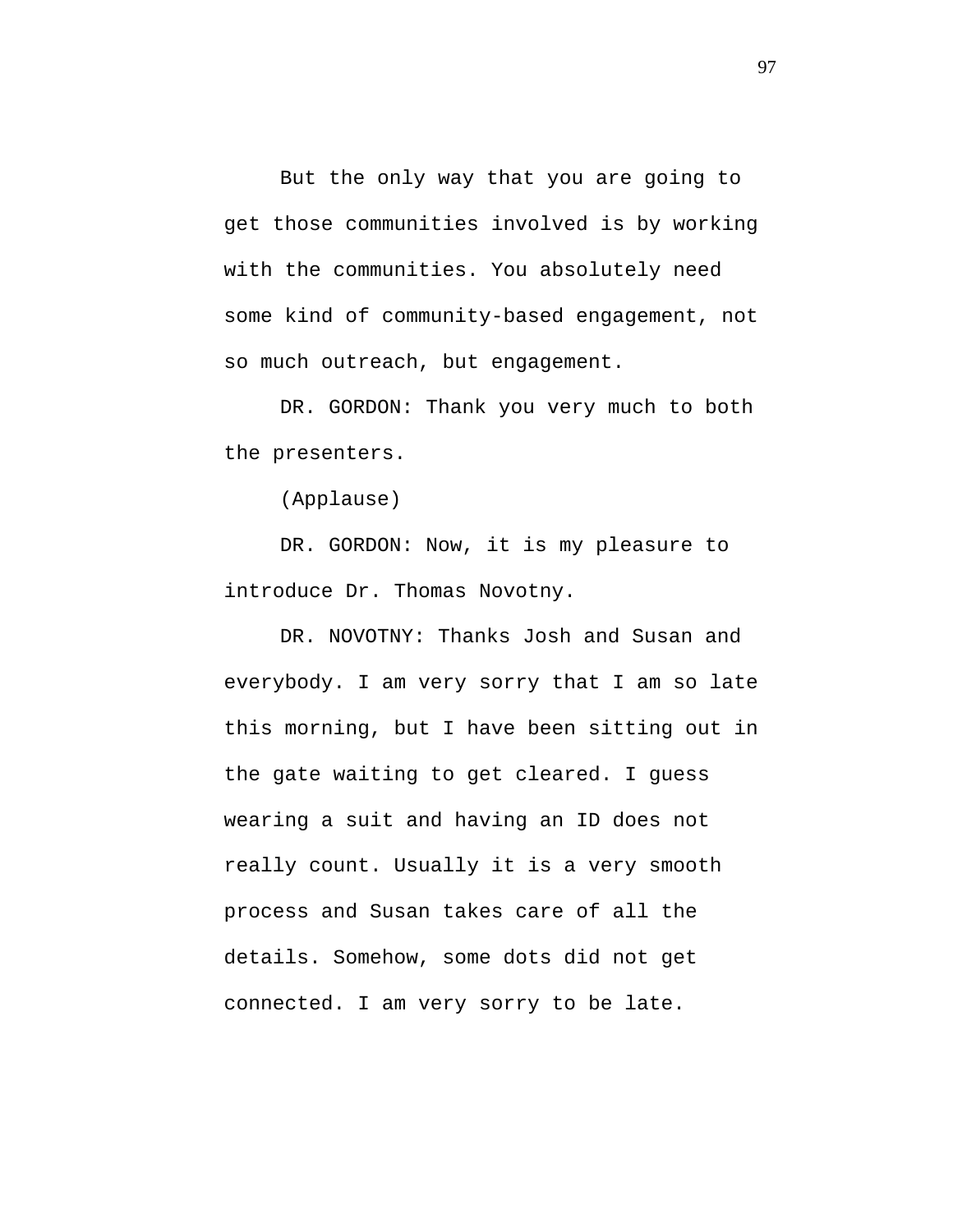But the only way that you are going to get those communities involved is by working with the communities. You absolutely need some kind of community-based engagement, not so much outreach, but engagement.

DR. GORDON: Thank you very much to both the presenters.

(Applause)

DR. GORDON: Now, it is my pleasure to introduce Dr. Thomas Novotny.

DR. NOVOTNY: Thanks Josh and Susan and everybody. I am very sorry that I am so late this morning, but I have been sitting out in the gate waiting to get cleared. I guess wearing a suit and having an ID does not really count. Usually it is a very smooth process and Susan takes care of all the details. Somehow, some dots did not get connected. I am very sorry to be late.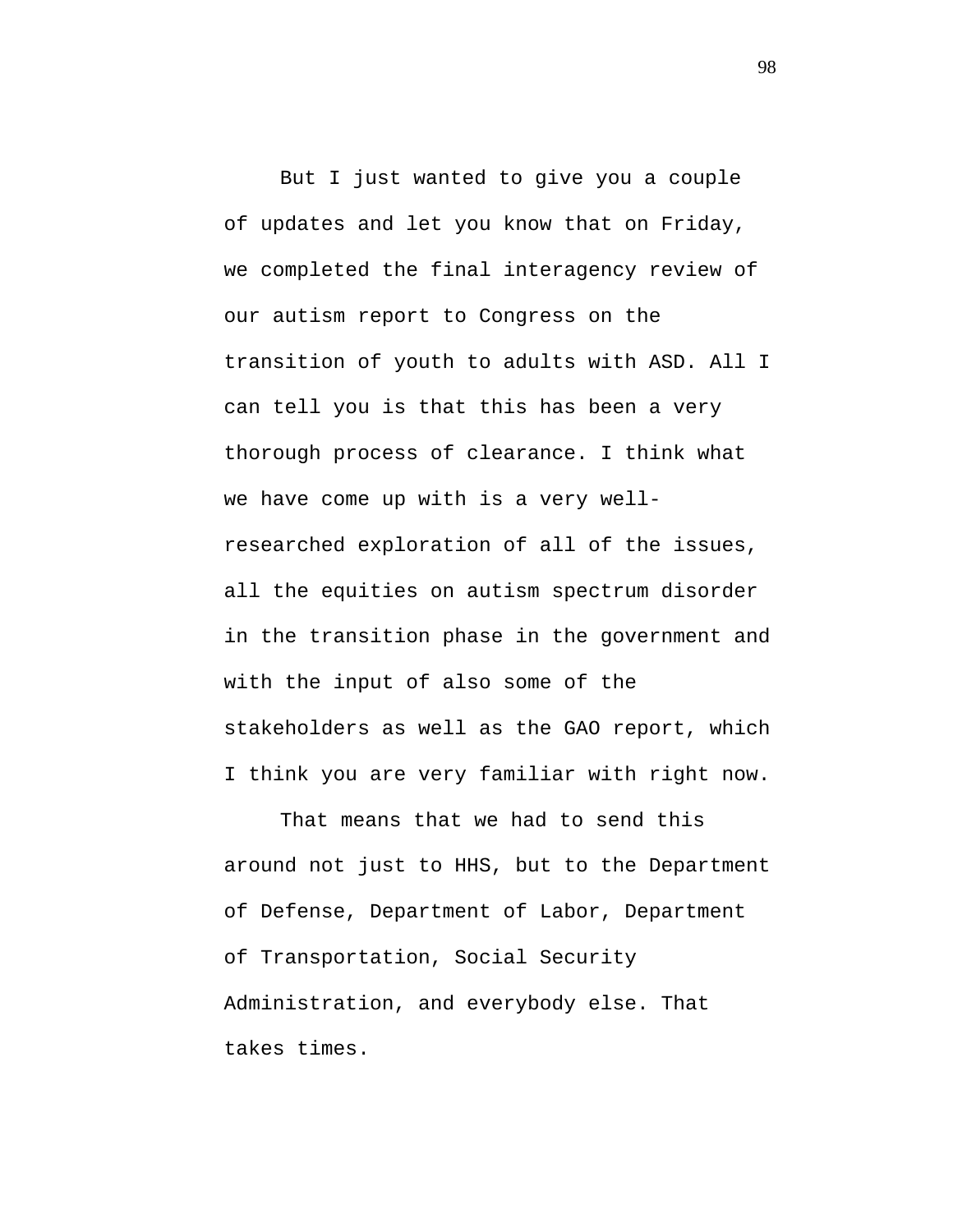But I just wanted to give you a couple of updates and let you know that on Friday, we completed the final interagency review of our autism report to Congress on the transition of youth to adults with ASD. All I can tell you is that this has been a very thorough process of clearance. I think what we have come up with is a very wellresearched exploration of all of the issues, all the equities on autism spectrum disorder in the transition phase in the government and with the input of also some of the stakeholders as well as the GAO report, which I think you are very familiar with right now.

That means that we had to send this around not just to HHS, but to the Department of Defense, Department of Labor, Department of Transportation, Social Security Administration, and everybody else. That takes times.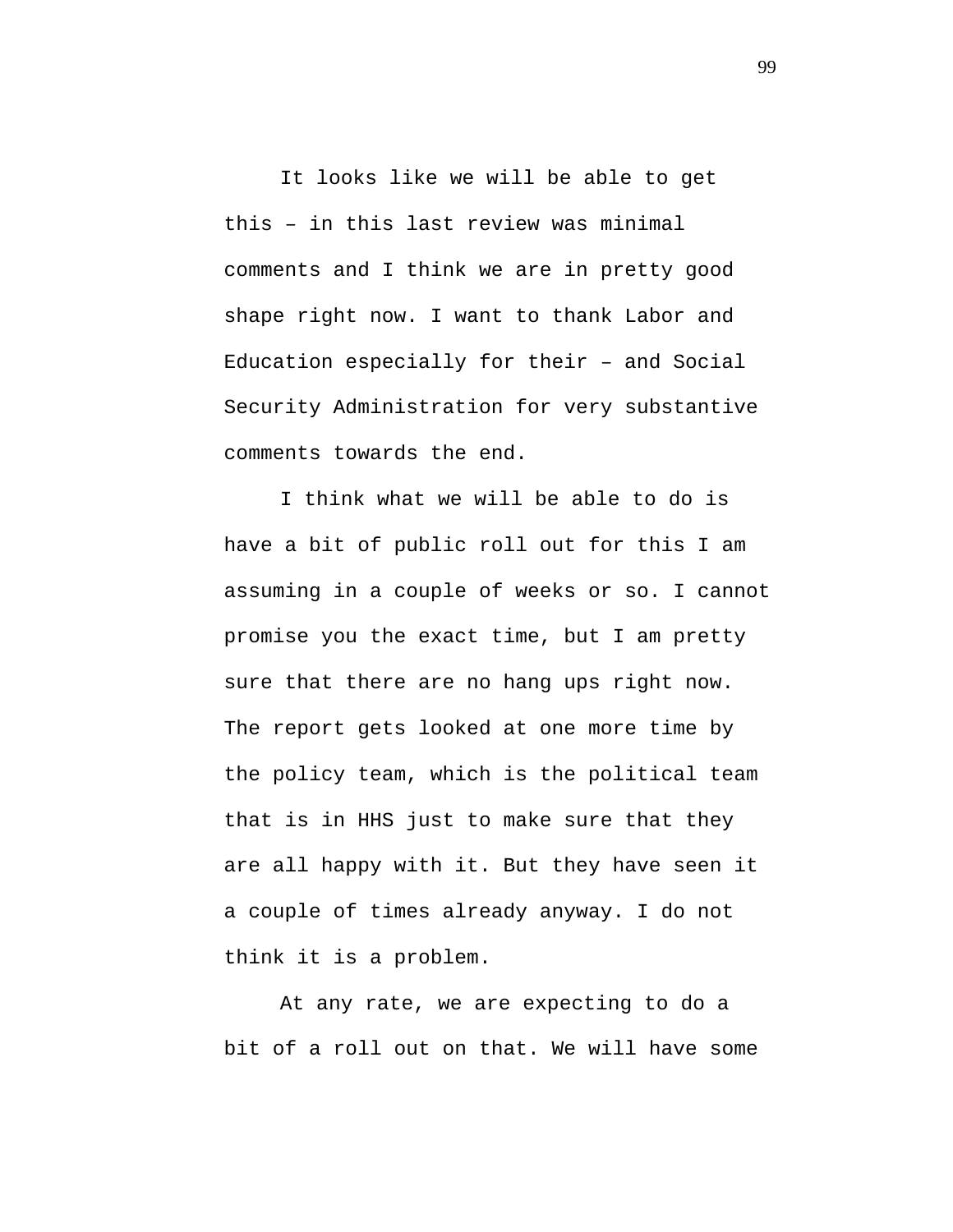It looks like we will be able to get this – in this last review was minimal comments and I think we are in pretty good shape right now. I want to thank Labor and Education especially for their – and Social Security Administration for very substantive comments towards the end.

I think what we will be able to do is have a bit of public roll out for this I am assuming in a couple of weeks or so. I cannot promise you the exact time, but I am pretty sure that there are no hang ups right now. The report gets looked at one more time by the policy team, which is the political team that is in HHS just to make sure that they are all happy with it. But they have seen it a couple of times already anyway. I do not think it is a problem.

At any rate, we are expecting to do a bit of a roll out on that. We will have some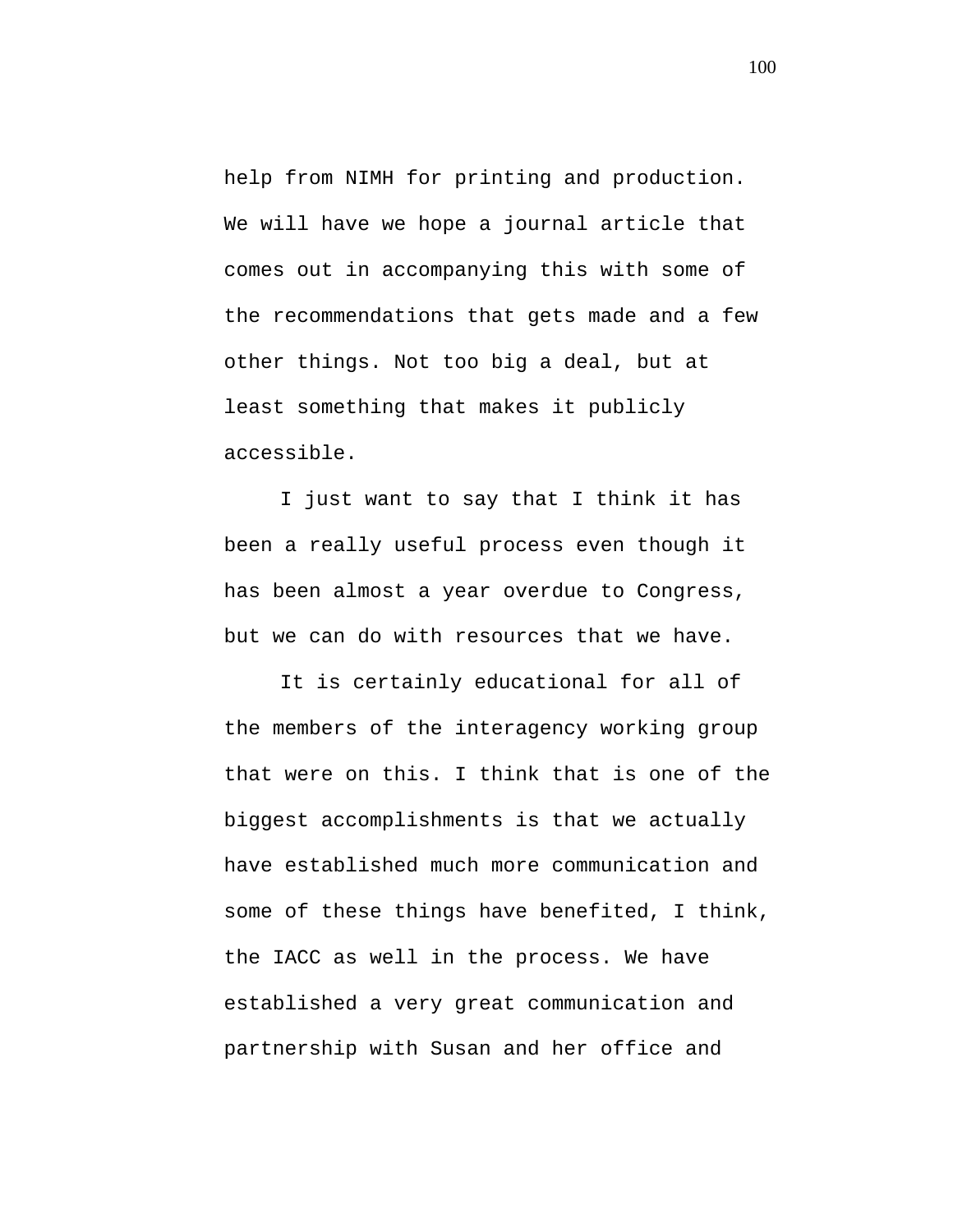help from NIMH for printing and production. We will have we hope a journal article that comes out in accompanying this with some of the recommendations that gets made and a few other things. Not too big a deal, but at least something that makes it publicly accessible.

I just want to say that I think it has been a really useful process even though it has been almost a year overdue to Congress, but we can do with resources that we have.

It is certainly educational for all of the members of the interagency working group that were on this. I think that is one of the biggest accomplishments is that we actually have established much more communication and some of these things have benefited, I think, the IACC as well in the process. We have established a very great communication and partnership with Susan and her office and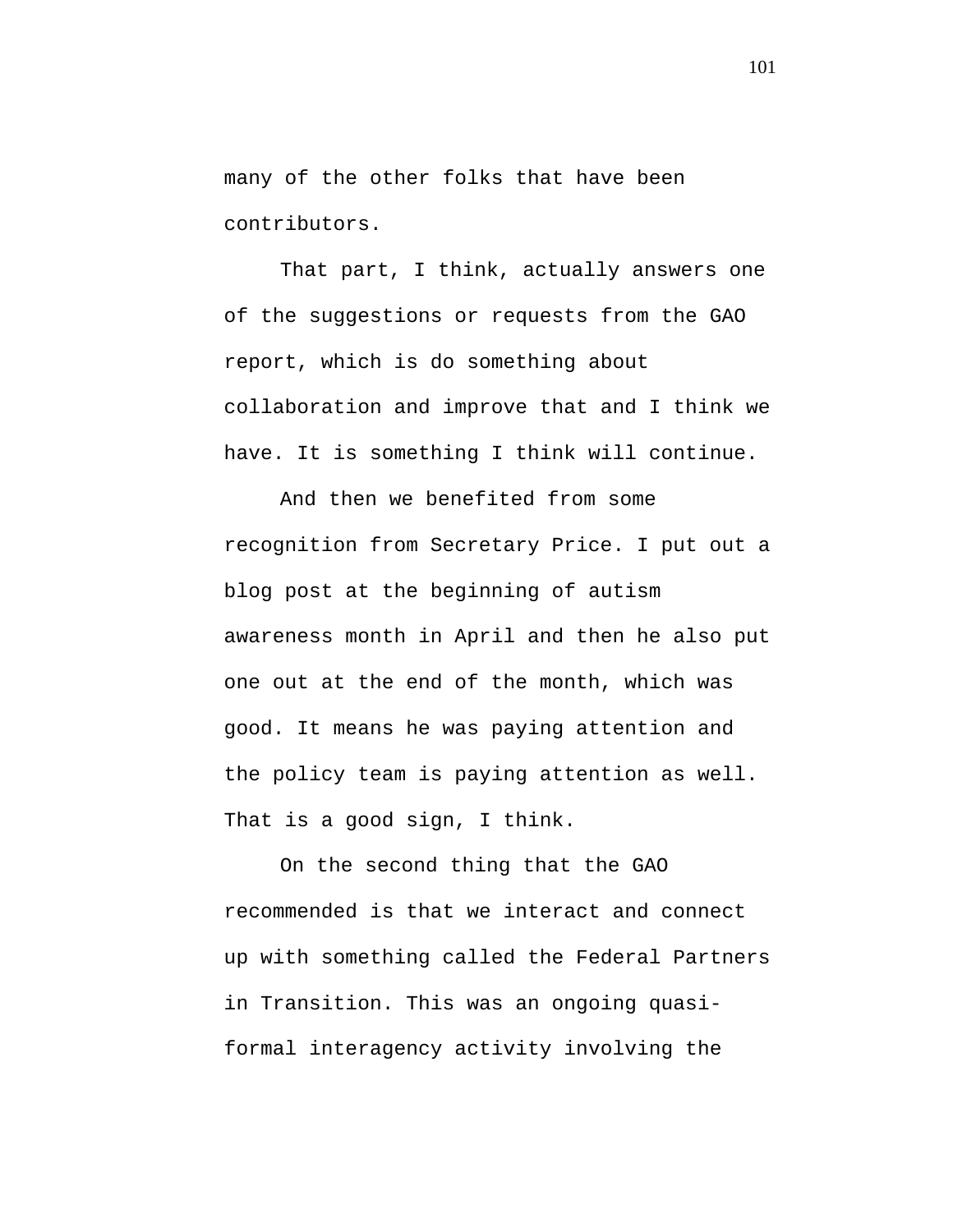many of the other folks that have been contributors.

That part, I think, actually answers one of the suggestions or requests from the GAO report, which is do something about collaboration and improve that and I think we have. It is something I think will continue.

And then we benefited from some recognition from Secretary Price. I put out a blog post at the beginning of autism awareness month in April and then he also put one out at the end of the month, which was good. It means he was paying attention and the policy team is paying attention as well. That is a good sign, I think.

On the second thing that the GAO recommended is that we interact and connect up with something called the Federal Partners in Transition. This was an ongoing quasiformal interagency activity involving the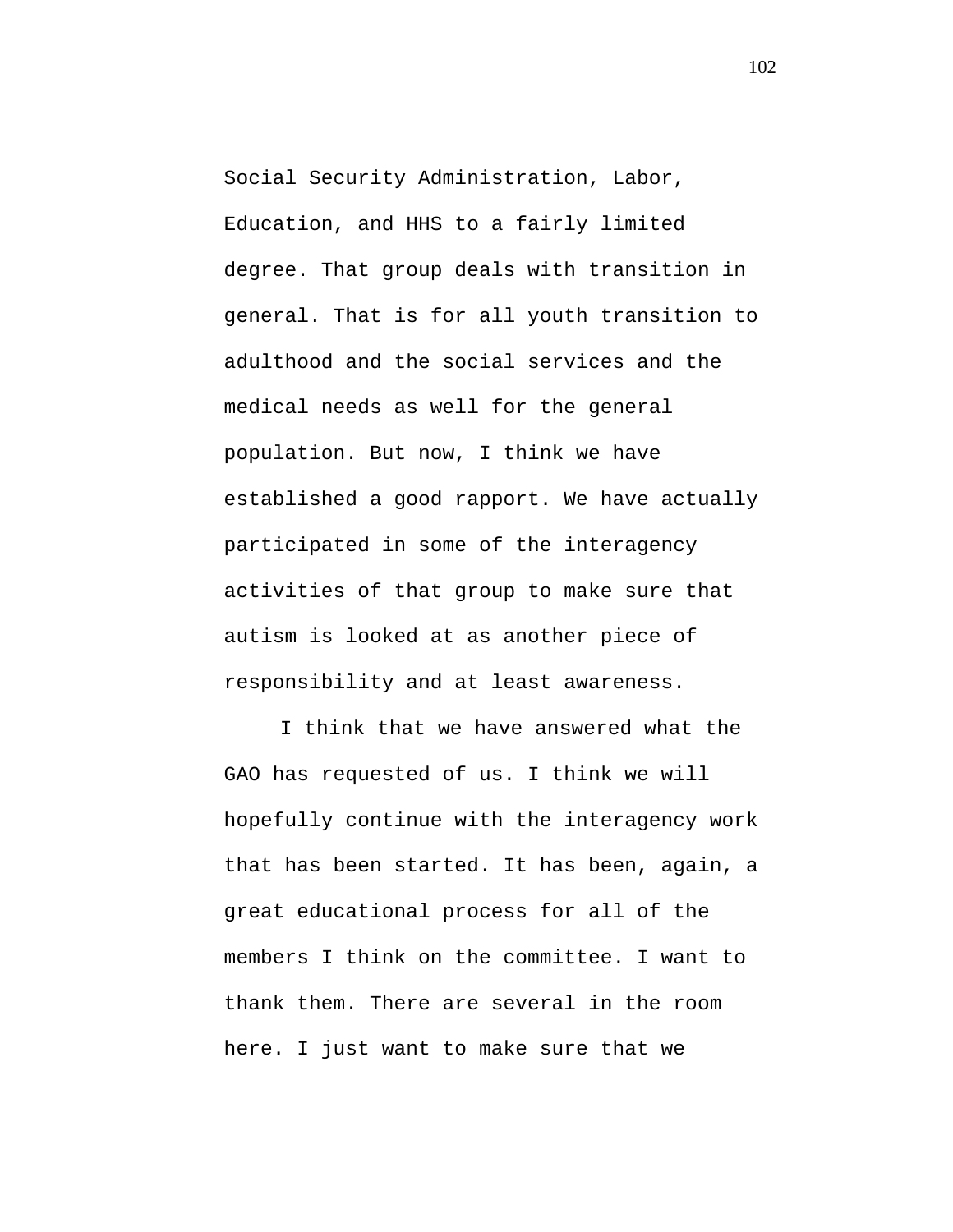Social Security Administration, Labor, Education, and HHS to a fairly limited degree. That group deals with transition in general. That is for all youth transition to adulthood and the social services and the medical needs as well for the general population. But now, I think we have established a good rapport. We have actually participated in some of the interagency activities of that group to make sure that autism is looked at as another piece of responsibility and at least awareness.

I think that we have answered what the GAO has requested of us. I think we will hopefully continue with the interagency work that has been started. It has been, again, a great educational process for all of the members I think on the committee. I want to thank them. There are several in the room here. I just want to make sure that we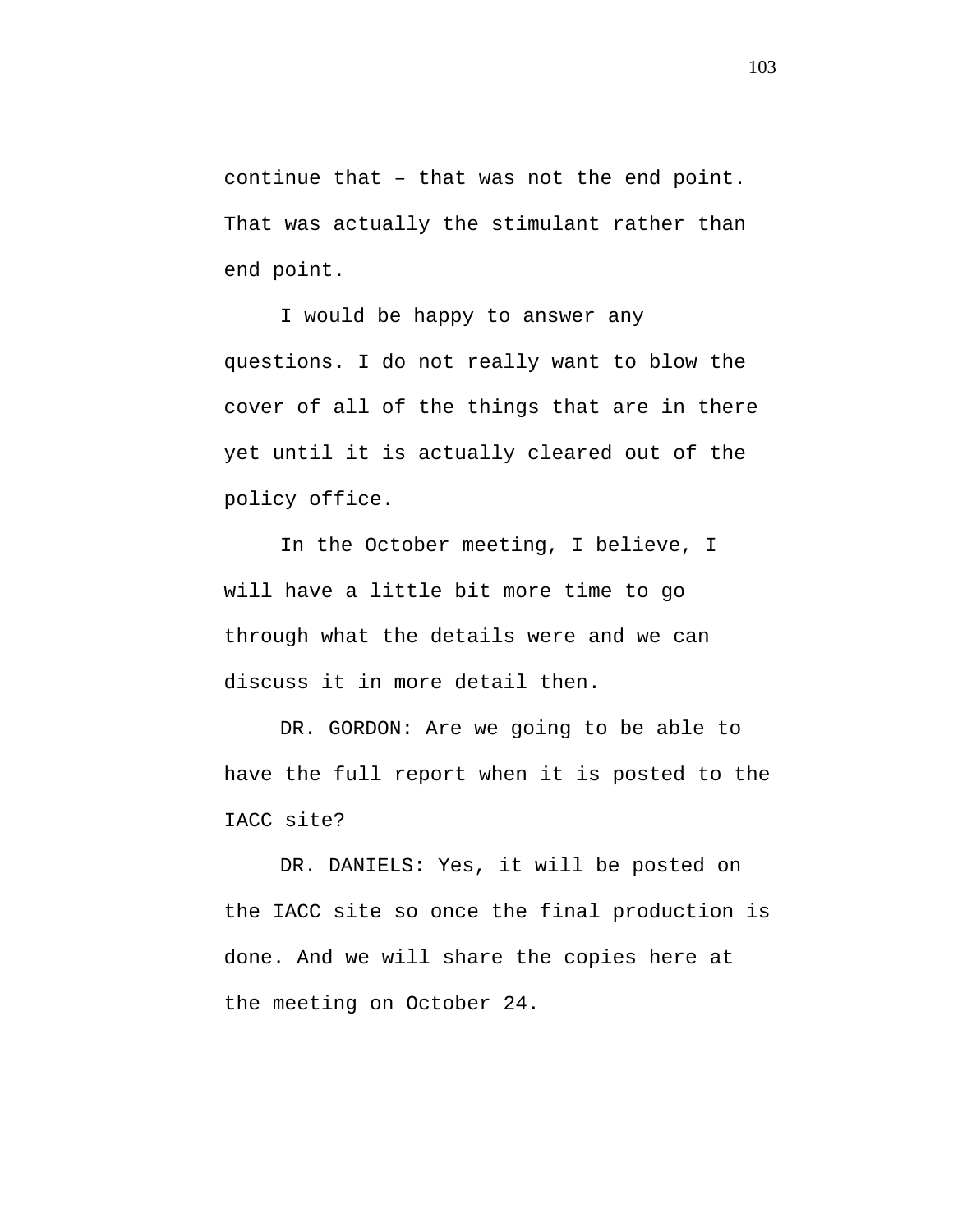continue that – that was not the end point. That was actually the stimulant rather than end point.

I would be happy to answer any questions. I do not really want to blow the cover of all of the things that are in there yet until it is actually cleared out of the policy office.

In the October meeting, I believe, I will have a little bit more time to go through what the details were and we can discuss it in more detail then.

DR. GORDON: Are we going to be able to have the full report when it is posted to the IACC site?

DR. DANIELS: Yes, it will be posted on the IACC site so once the final production is done. And we will share the copies here at the meeting on October 24.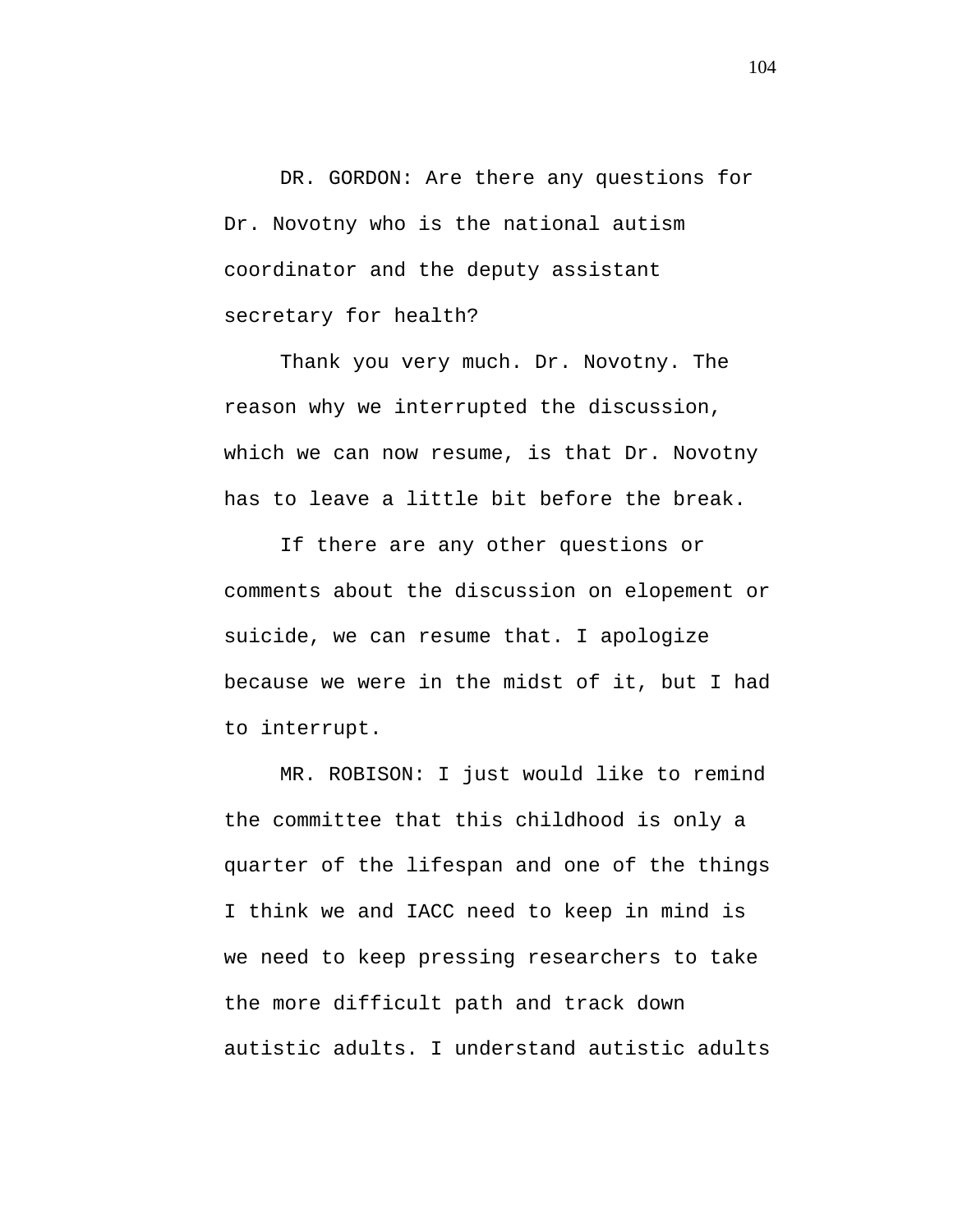DR. GORDON: Are there any questions for Dr. Novotny who is the national autism coordinator and the deputy assistant secretary for health?

Thank you very much. Dr. Novotny. The reason why we interrupted the discussion, which we can now resume, is that Dr. Novotny has to leave a little bit before the break.

If there are any other questions or comments about the discussion on elopement or suicide, we can resume that. I apologize because we were in the midst of it, but I had to interrupt.

MR. ROBISON: I just would like to remind the committee that this childhood is only a quarter of the lifespan and one of the things I think we and IACC need to keep in mind is we need to keep pressing researchers to take the more difficult path and track down autistic adults. I understand autistic adults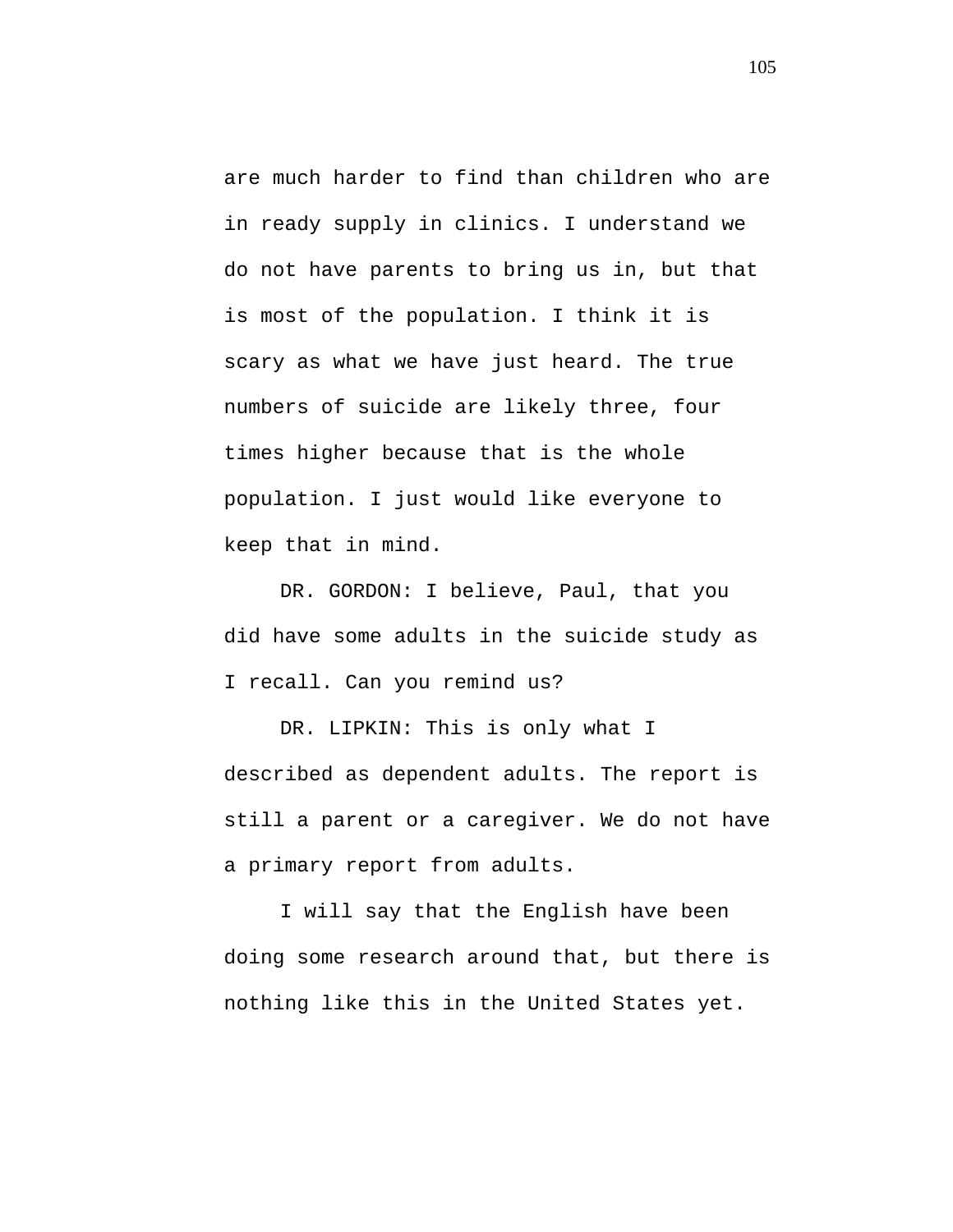are much harder to find than children who are in ready supply in clinics. I understand we do not have parents to bring us in, but that is most of the population. I think it is scary as what we have just heard. The true numbers of suicide are likely three, four times higher because that is the whole population. I just would like everyone to keep that in mind.

DR. GORDON: I believe, Paul, that you did have some adults in the suicide study as I recall. Can you remind us?

DR. LIPKIN: This is only what I described as dependent adults. The report is still a parent or a caregiver. We do not have a primary report from adults.

I will say that the English have been doing some research around that, but there is nothing like this in the United States yet.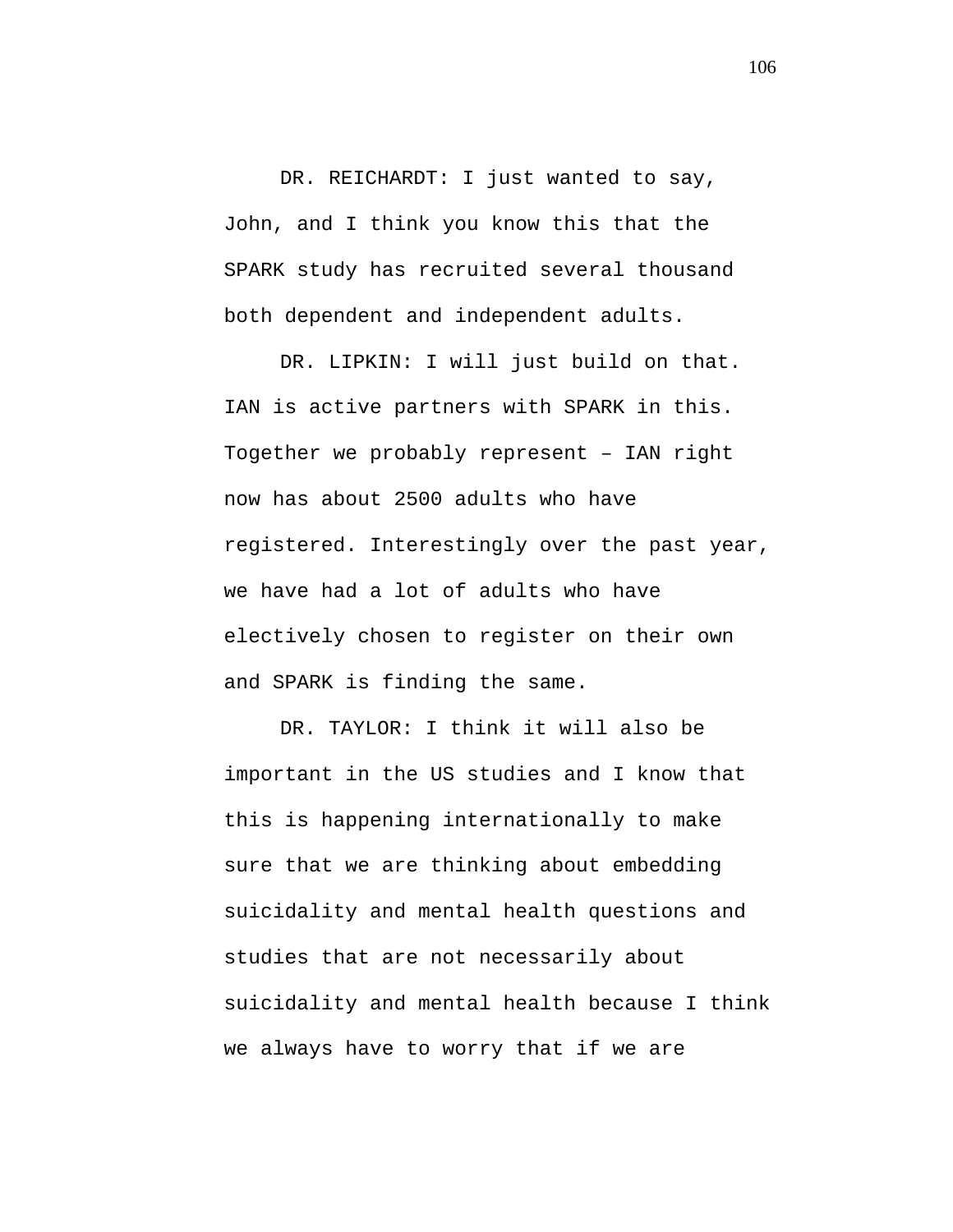DR. REICHARDT: I just wanted to say, John, and I think you know this that the SPARK study has recruited several thousand both dependent and independent adults.

DR. LIPKIN: I will just build on that. IAN is active partners with SPARK in this. Together we probably represent – IAN right now has about 2500 adults who have registered. Interestingly over the past year, we have had a lot of adults who have electively chosen to register on their own and SPARK is finding the same.

DR. TAYLOR: I think it will also be important in the US studies and I know that this is happening internationally to make sure that we are thinking about embedding suicidality and mental health questions and studies that are not necessarily about suicidality and mental health because I think we always have to worry that if we are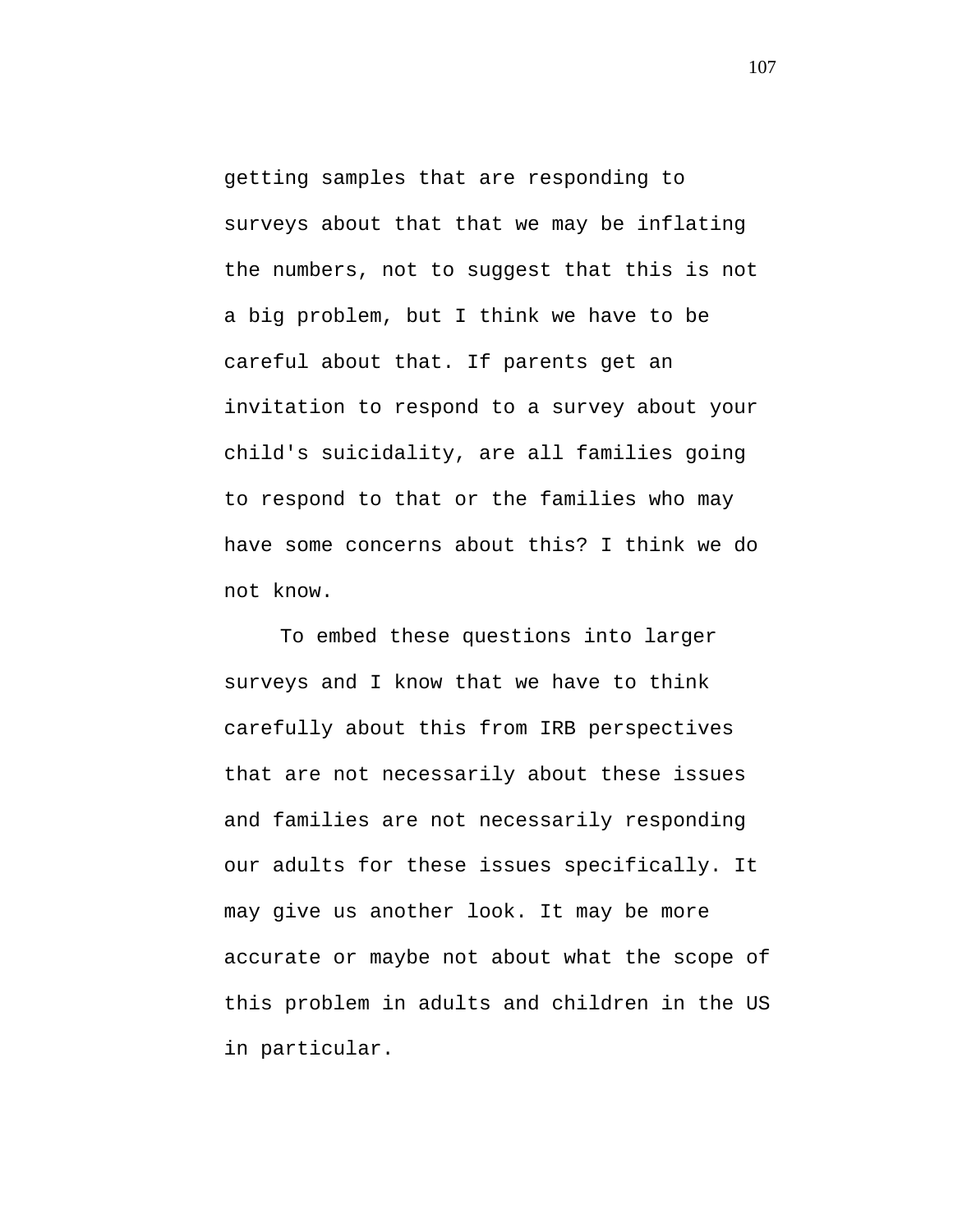getting samples that are responding to surveys about that that we may be inflating the numbers, not to suggest that this is not a big problem, but I think we have to be careful about that. If parents get an invitation to respond to a survey about your child's suicidality, are all families going to respond to that or the families who may have some concerns about this? I think we do not know.

To embed these questions into larger surveys and I know that we have to think carefully about this from IRB perspectives that are not necessarily about these issues and families are not necessarily responding our adults for these issues specifically. It may give us another look. It may be more accurate or maybe not about what the scope of this problem in adults and children in the US in particular.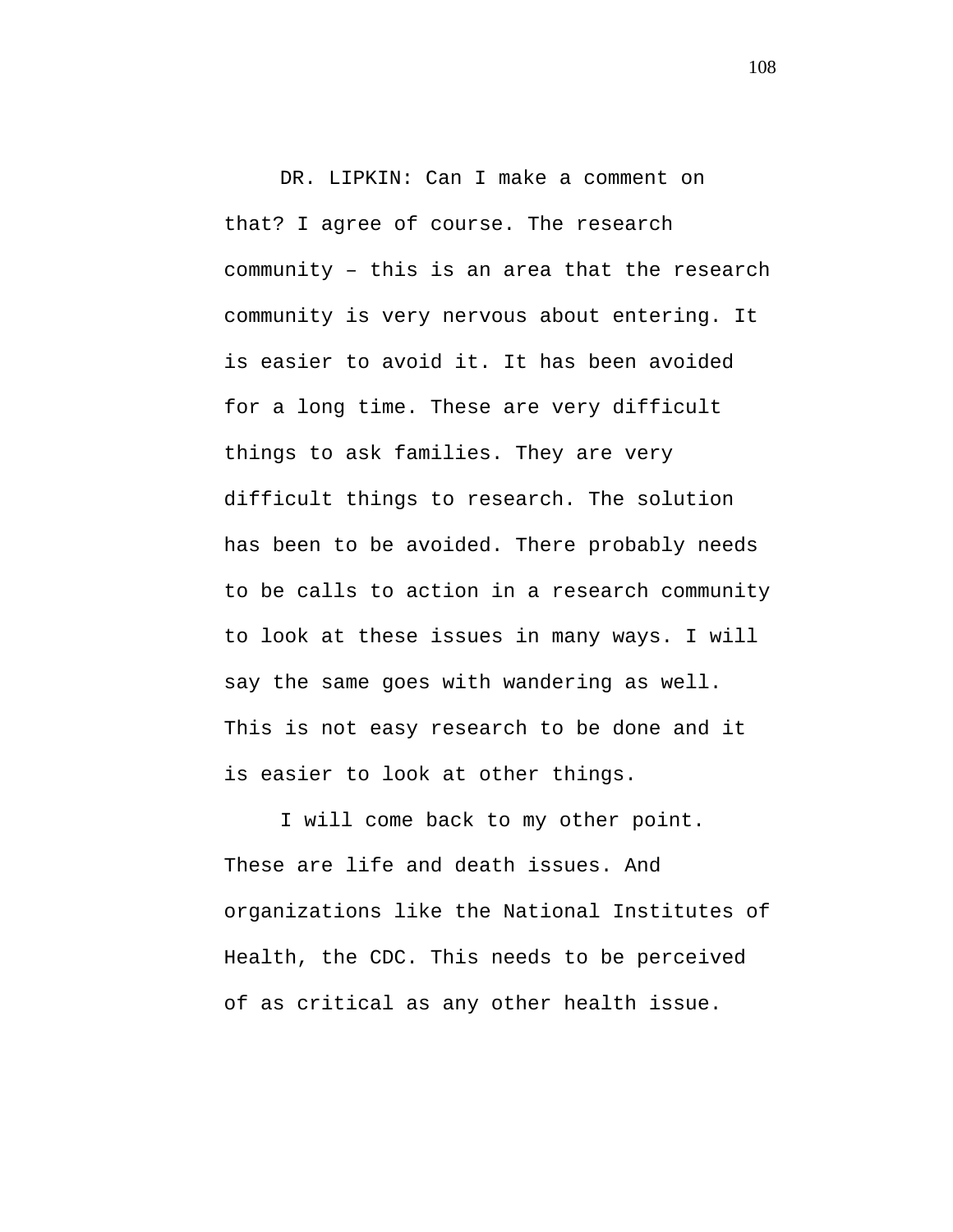DR. LIPKIN: Can I make a comment on that? I agree of course. The research community – this is an area that the research community is very nervous about entering. It is easier to avoid it. It has been avoided for a long time. These are very difficult things to ask families. They are very difficult things to research. The solution has been to be avoided. There probably needs to be calls to action in a research community to look at these issues in many ways. I will say the same goes with wandering as well. This is not easy research to be done and it is easier to look at other things.

I will come back to my other point. These are life and death issues. And organizations like the National Institutes of Health, the CDC. This needs to be perceived of as critical as any other health issue.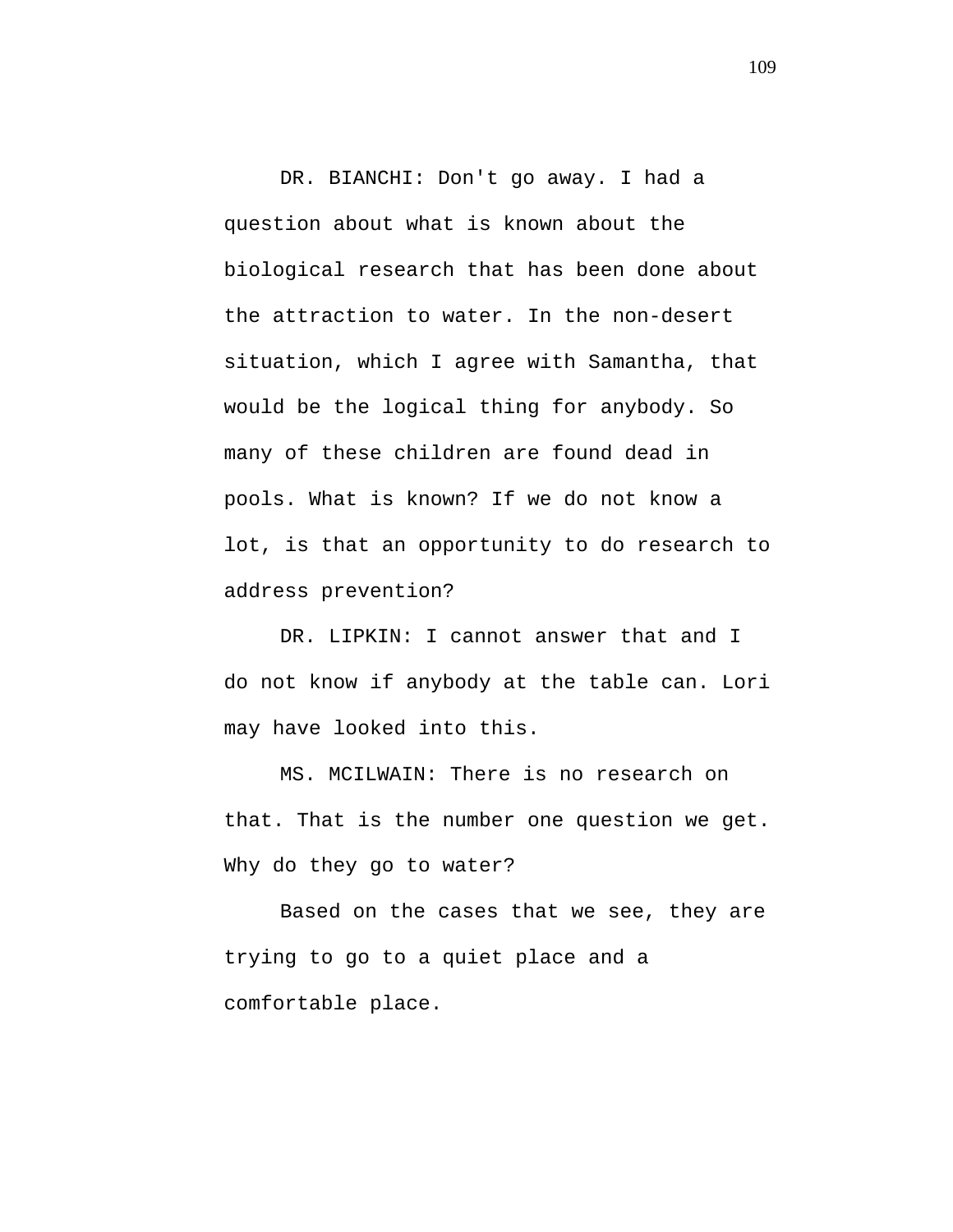DR. BIANCHI: Don't go away. I had a question about what is known about the biological research that has been done about the attraction to water. In the non-desert situation, which I agree with Samantha, that would be the logical thing for anybody. So many of these children are found dead in pools. What is known? If we do not know a lot, is that an opportunity to do research to address prevention?

DR. LIPKIN: I cannot answer that and I do not know if anybody at the table can. Lori may have looked into this.

MS. MCILWAIN: There is no research on that. That is the number one question we get. Why do they go to water?

Based on the cases that we see, they are trying to go to a quiet place and a comfortable place.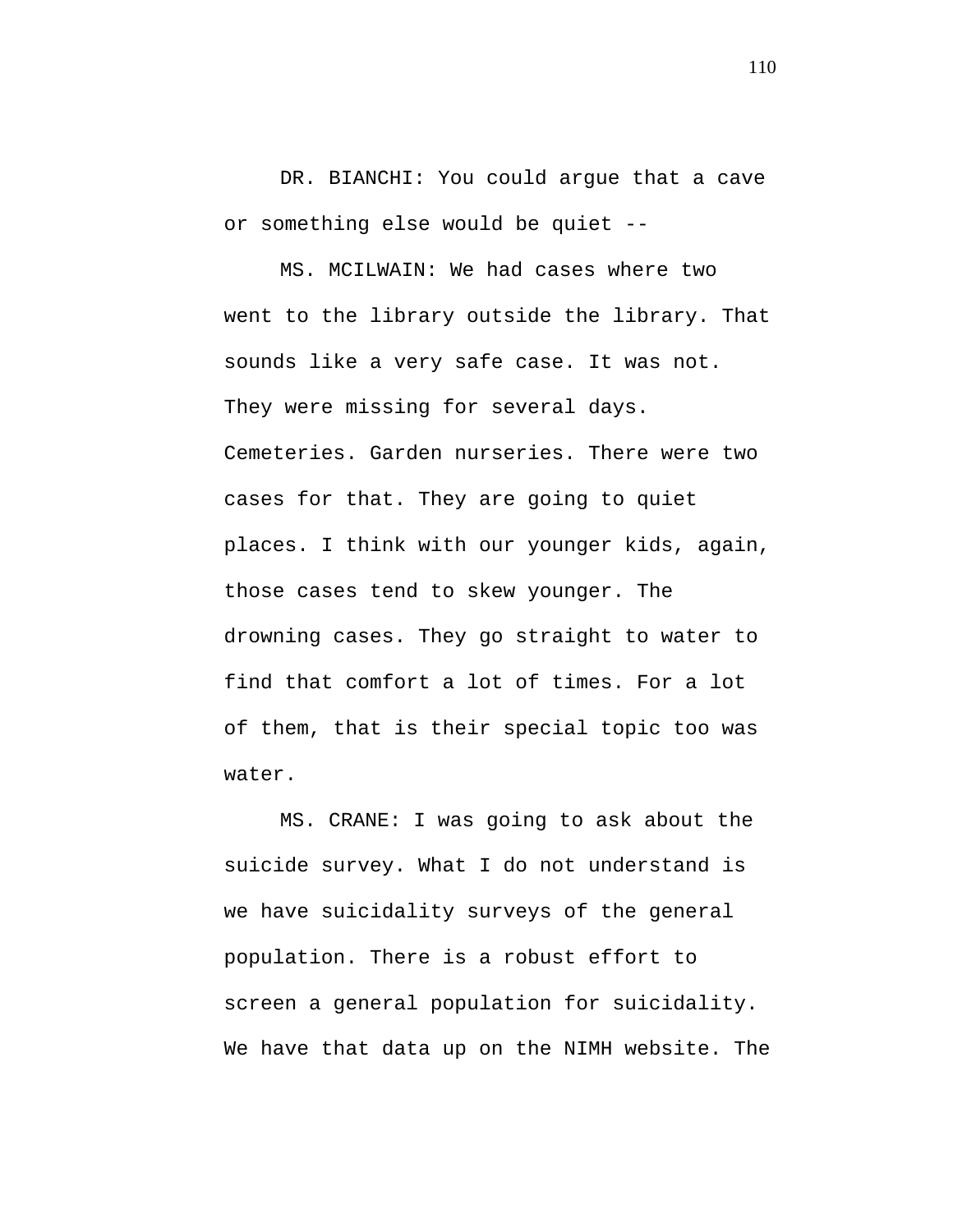DR. BIANCHI: You could argue that a cave or something else would be quiet --

MS. MCILWAIN: We had cases where two went to the library outside the library. That sounds like a very safe case. It was not. They were missing for several days. Cemeteries. Garden nurseries. There were two cases for that. They are going to quiet places. I think with our younger kids, again, those cases tend to skew younger. The drowning cases. They go straight to water to find that comfort a lot of times. For a lot of them, that is their special topic too was water.

MS. CRANE: I was going to ask about the suicide survey. What I do not understand is we have suicidality surveys of the general population. There is a robust effort to screen a general population for suicidality. We have that data up on the NIMH website. The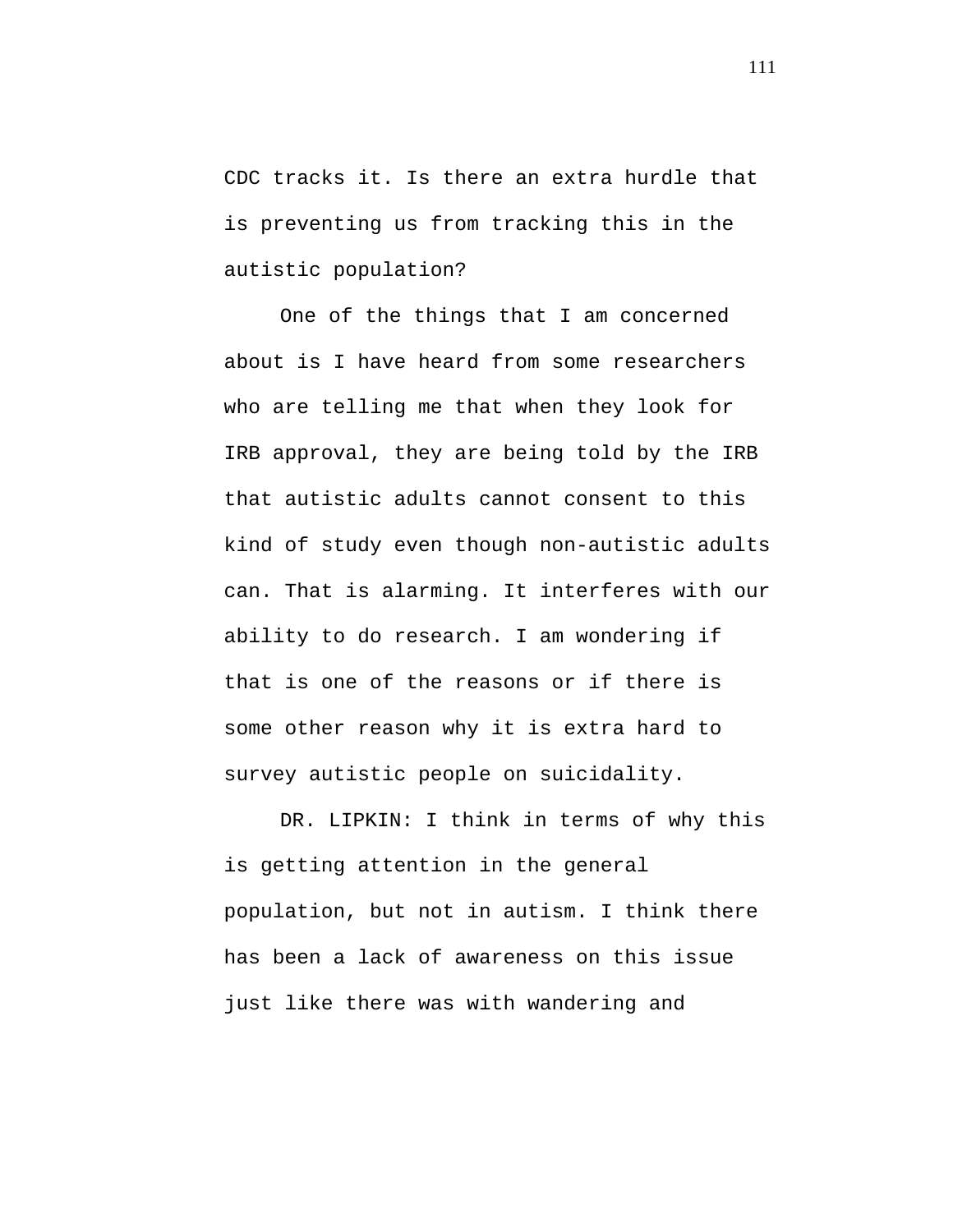CDC tracks it. Is there an extra hurdle that is preventing us from tracking this in the autistic population?

One of the things that I am concerned about is I have heard from some researchers who are telling me that when they look for IRB approval, they are being told by the IRB that autistic adults cannot consent to this kind of study even though non-autistic adults can. That is alarming. It interferes with our ability to do research. I am wondering if that is one of the reasons or if there is some other reason why it is extra hard to survey autistic people on suicidality.

DR. LIPKIN: I think in terms of why this is getting attention in the general population, but not in autism. I think there has been a lack of awareness on this issue just like there was with wandering and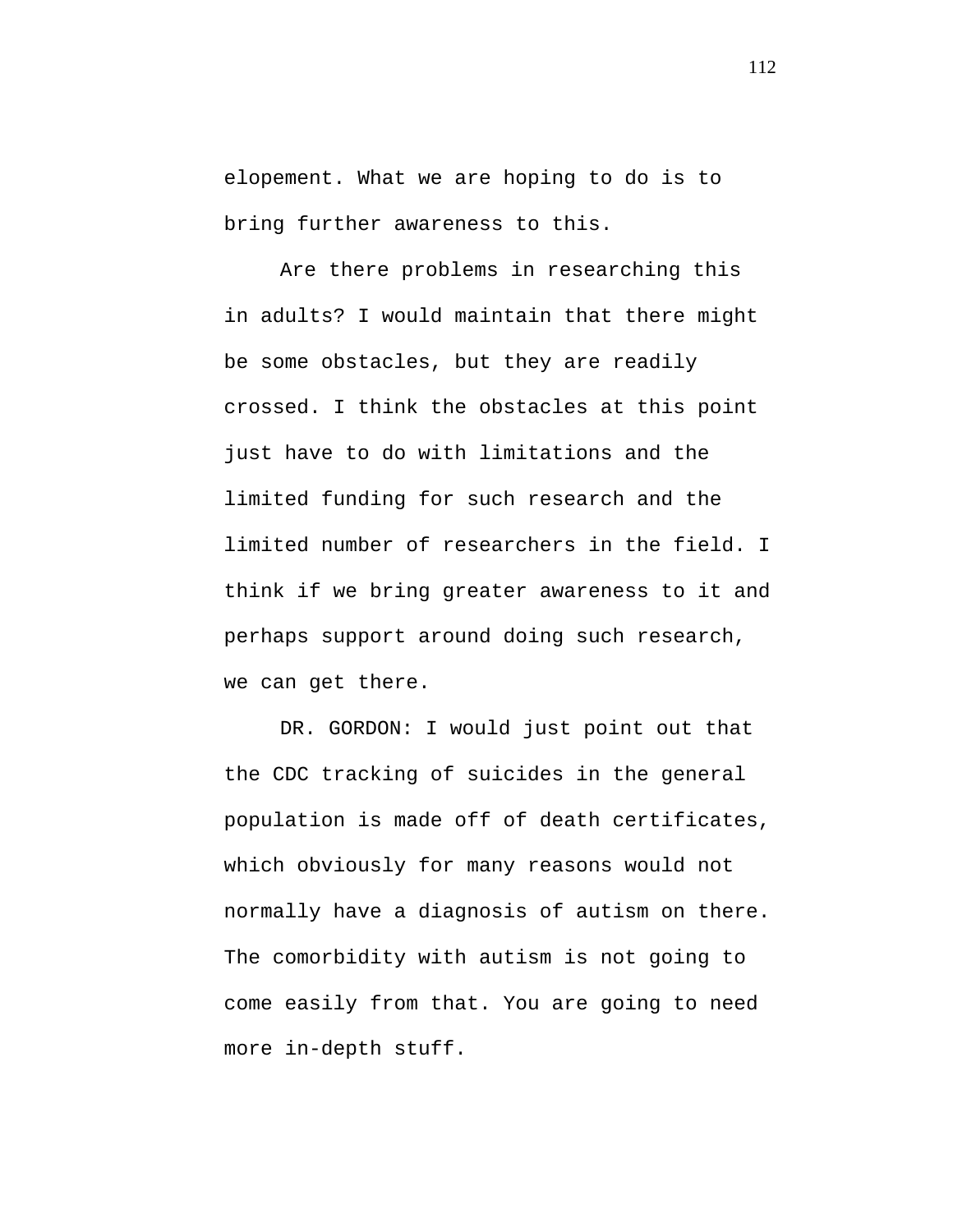elopement. What we are hoping to do is to bring further awareness to this.

Are there problems in researching this in adults? I would maintain that there might be some obstacles, but they are readily crossed. I think the obstacles at this point just have to do with limitations and the limited funding for such research and the limited number of researchers in the field. I think if we bring greater awareness to it and perhaps support around doing such research, we can get there.

DR. GORDON: I would just point out that the CDC tracking of suicides in the general population is made off of death certificates, which obviously for many reasons would not normally have a diagnosis of autism on there. The comorbidity with autism is not going to come easily from that. You are going to need more in-depth stuff.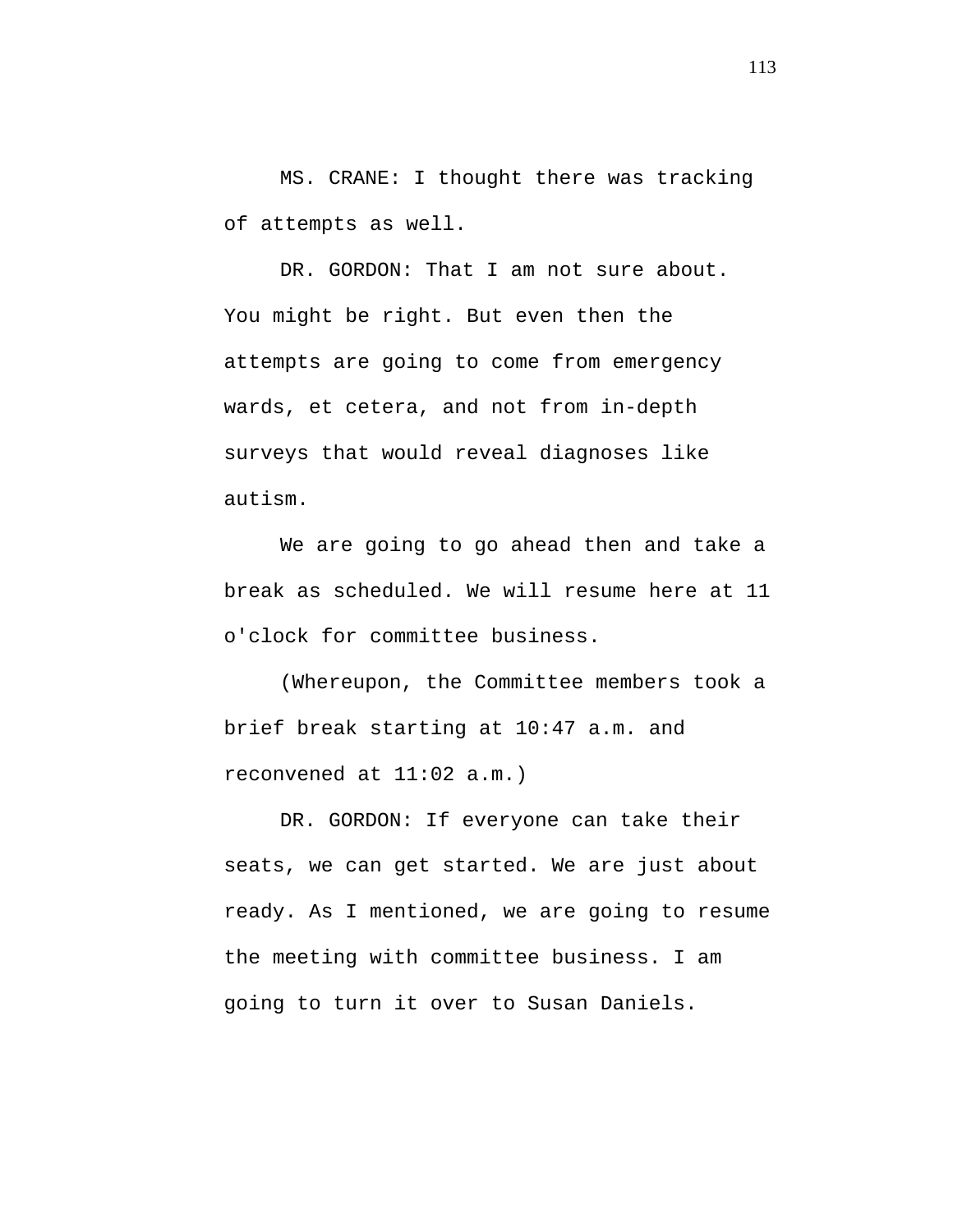MS. CRANE: I thought there was tracking of attempts as well.

DR. GORDON: That I am not sure about. You might be right. But even then the attempts are going to come from emergency wards, et cetera, and not from in-depth surveys that would reveal diagnoses like autism.

We are going to go ahead then and take a break as scheduled. We will resume here at 11 o'clock for committee business.

(Whereupon, the Committee members took a brief break starting at 10:47 a.m. and reconvened at 11:02 a.m.)

DR. GORDON: If everyone can take their seats, we can get started. We are just about ready. As I mentioned, we are going to resume the meeting with committee business. I am going to turn it over to Susan Daniels.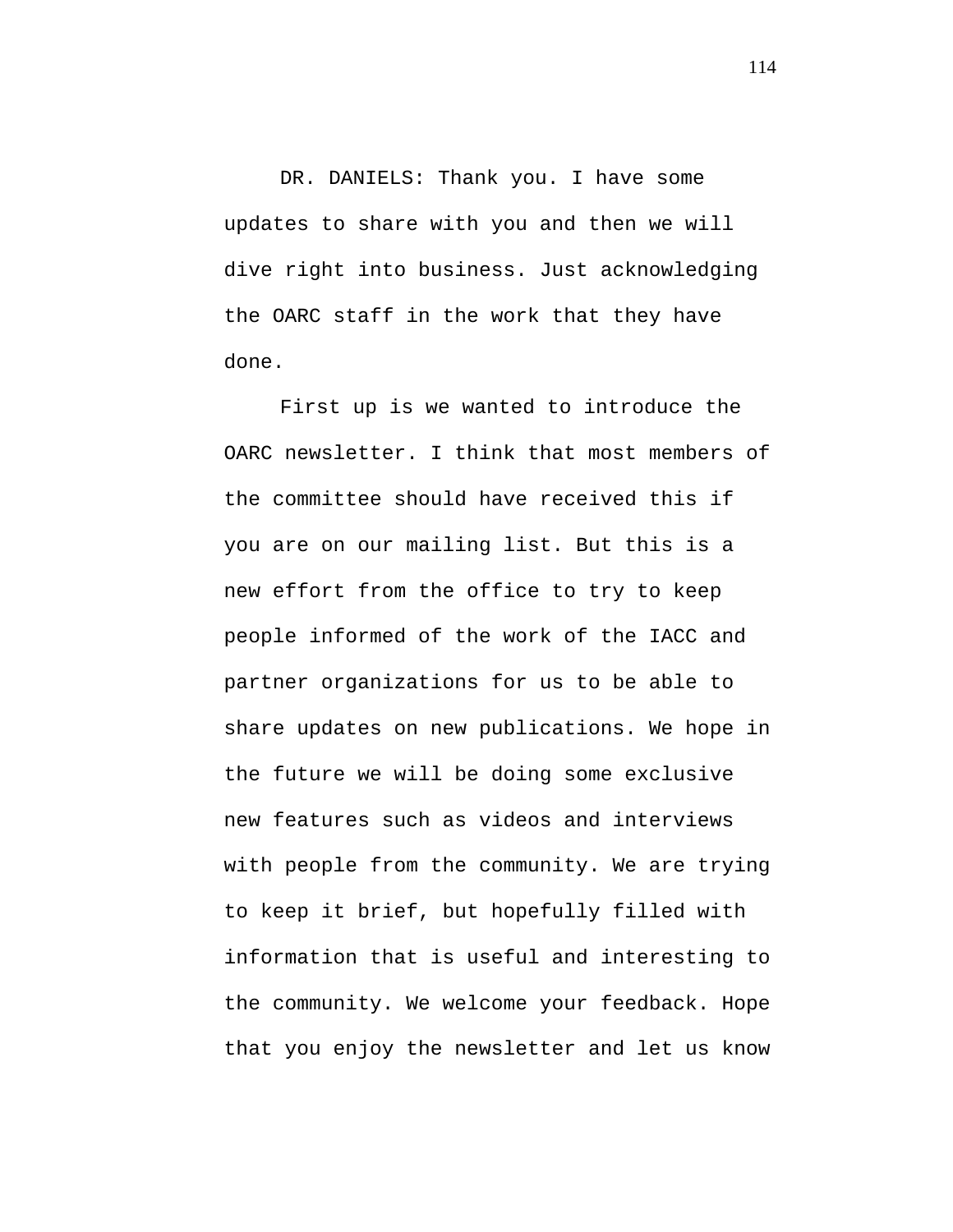DR. DANIELS: Thank you. I have some updates to share with you and then we will dive right into business. Just acknowledging the OARC staff in the work that they have done.

First up is we wanted to introduce the OARC newsletter. I think that most members of the committee should have received this if you are on our mailing list. But this is a new effort from the office to try to keep people informed of the work of the IACC and partner organizations for us to be able to share updates on new publications. We hope in the future we will be doing some exclusive new features such as videos and interviews with people from the community. We are trying to keep it brief, but hopefully filled with information that is useful and interesting to the community. We welcome your feedback. Hope that you enjoy the newsletter and let us know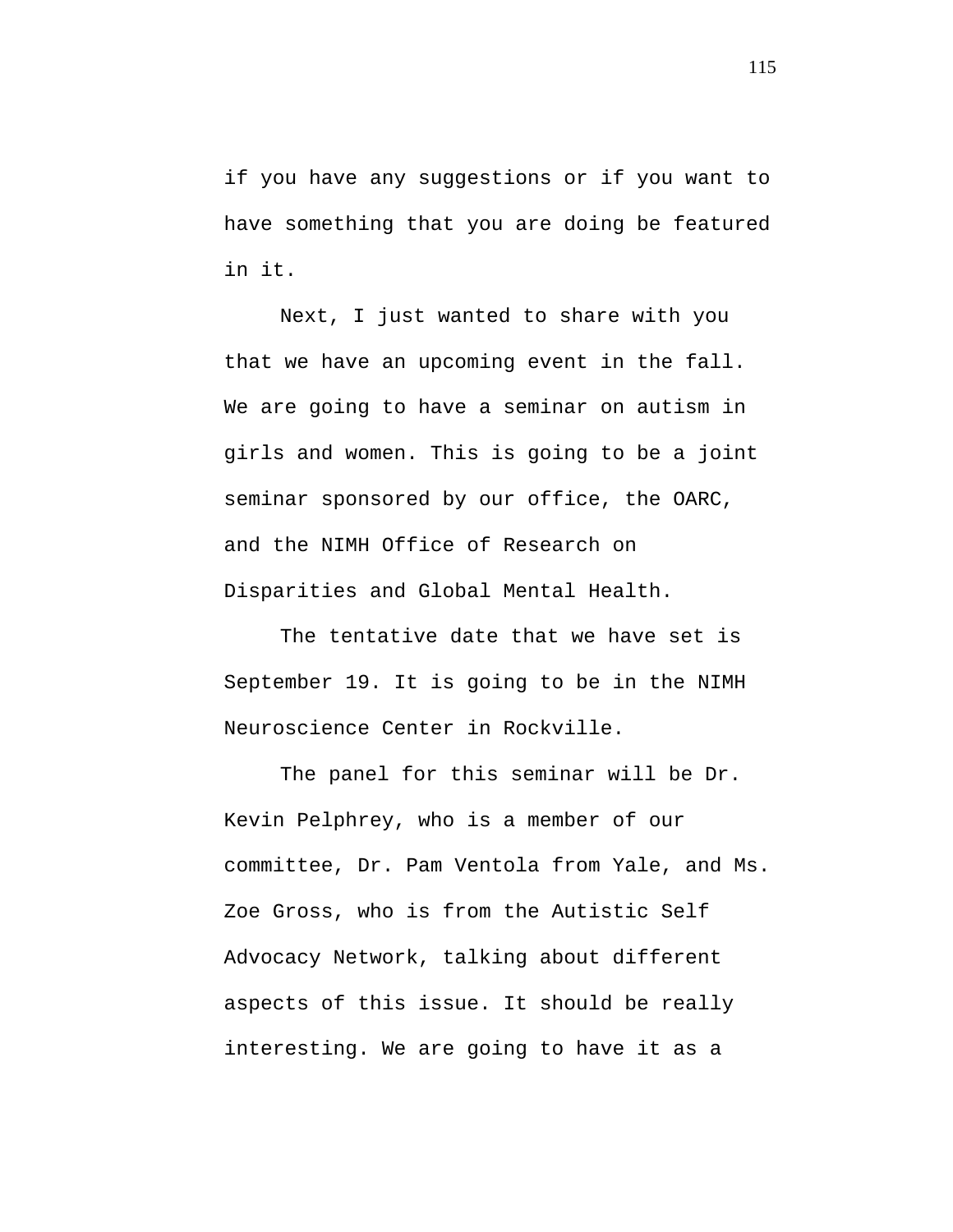if you have any suggestions or if you want to have something that you are doing be featured in it.

Next, I just wanted to share with you that we have an upcoming event in the fall. We are going to have a seminar on autism in girls and women. This is going to be a joint seminar sponsored by our office, the OARC, and the NIMH Office of Research on Disparities and Global Mental Health.

The tentative date that we have set is September 19. It is going to be in the NIMH Neuroscience Center in Rockville.

The panel for this seminar will be Dr. Kevin Pelphrey, who is a member of our committee, Dr. Pam Ventola from Yale, and Ms. Zoe Gross, who is from the Autistic Self Advocacy Network, talking about different aspects of this issue. It should be really interesting. We are going to have it as a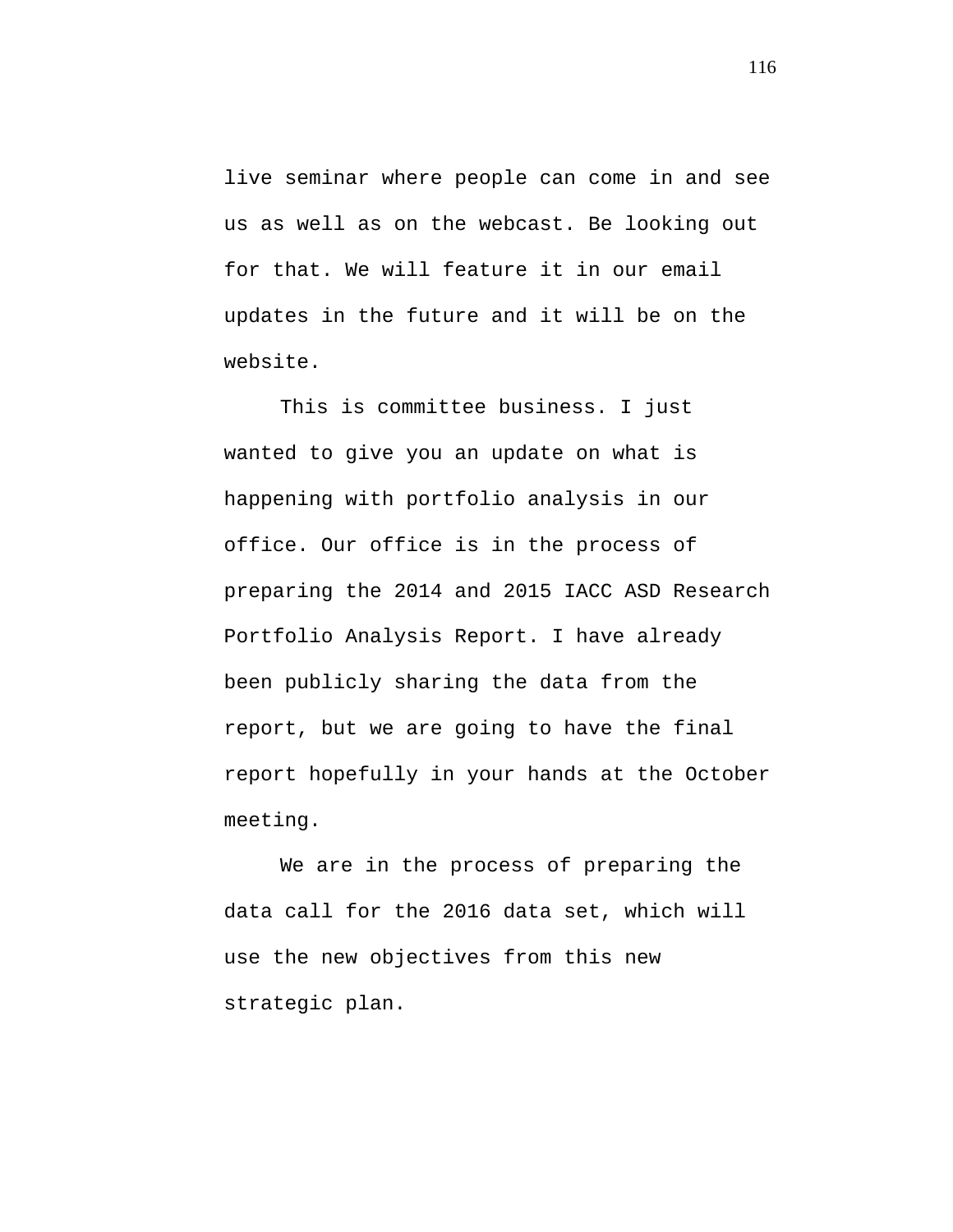live seminar where people can come in and see us as well as on the webcast. Be looking out for that. We will feature it in our email updates in the future and it will be on the website.

This is committee business. I just wanted to give you an update on what is happening with portfolio analysis in our office. Our office is in the process of preparing the 2014 and 2015 IACC ASD Research Portfolio Analysis Report. I have already been publicly sharing the data from the report, but we are going to have the final report hopefully in your hands at the October meeting.

We are in the process of preparing the data call for the 2016 data set, which will use the new objectives from this new strategic plan.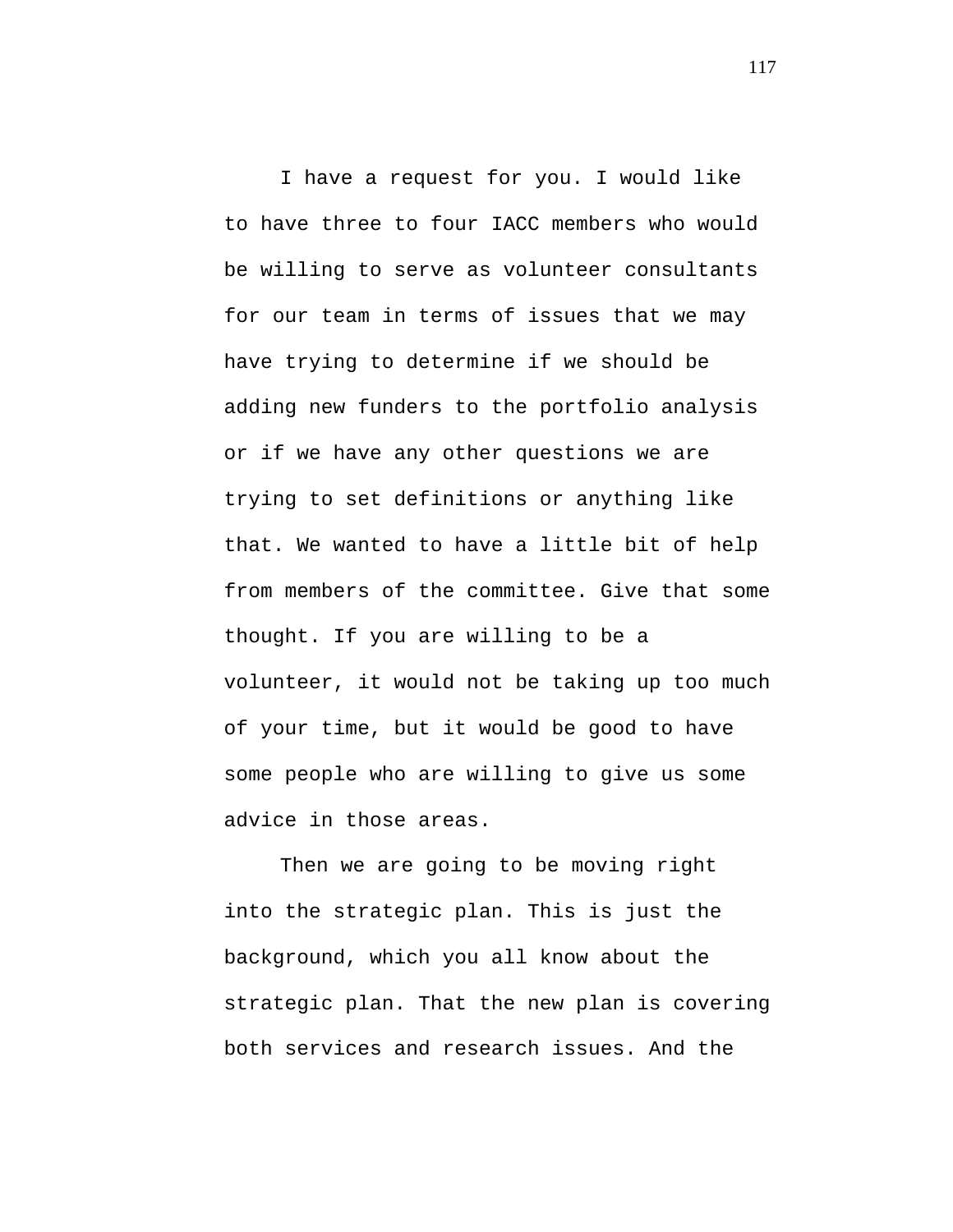I have a request for you. I would like to have three to four IACC members who would be willing to serve as volunteer consultants for our team in terms of issues that we may have trying to determine if we should be adding new funders to the portfolio analysis or if we have any other questions we are trying to set definitions or anything like that. We wanted to have a little bit of help from members of the committee. Give that some thought. If you are willing to be a volunteer, it would not be taking up too much of your time, but it would be good to have some people who are willing to give us some advice in those areas.

Then we are going to be moving right into the strategic plan. This is just the background, which you all know about the strategic plan. That the new plan is covering both services and research issues. And the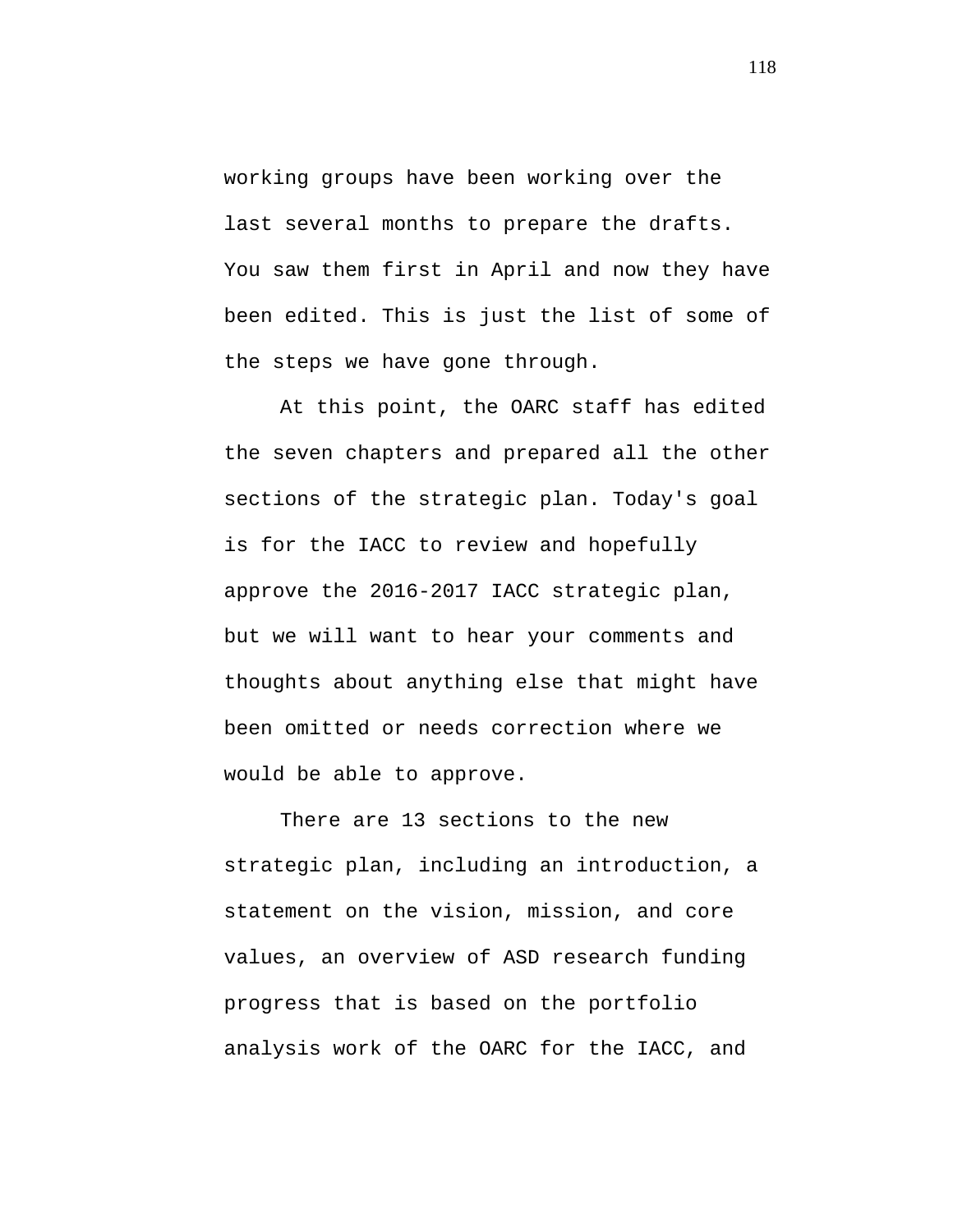working groups have been working over the last several months to prepare the drafts. You saw them first in April and now they have been edited. This is just the list of some of the steps we have gone through.

At this point, the OARC staff has edited the seven chapters and prepared all the other sections of the strategic plan. Today's goal is for the IACC to review and hopefully approve the 2016-2017 IACC strategic plan, but we will want to hear your comments and thoughts about anything else that might have been omitted or needs correction where we would be able to approve.

There are 13 sections to the new strategic plan, including an introduction, a statement on the vision, mission, and core values, an overview of ASD research funding progress that is based on the portfolio analysis work of the OARC for the IACC, and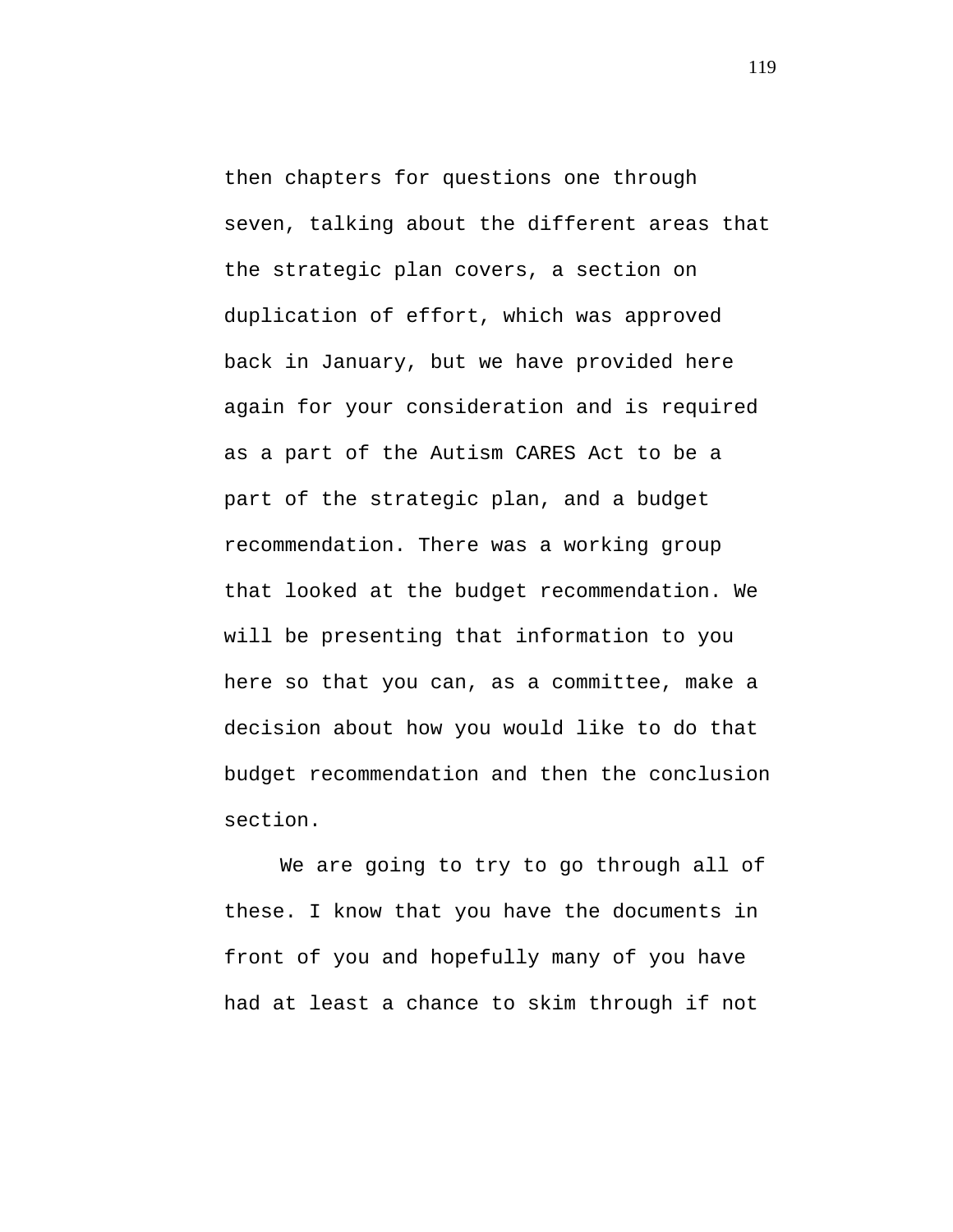then chapters for questions one through seven, talking about the different areas that the strategic plan covers, a section on duplication of effort, which was approved back in January, but we have provided here again for your consideration and is required as a part of the Autism CARES Act to be a part of the strategic plan, and a budget recommendation. There was a working group that looked at the budget recommendation. We will be presenting that information to you here so that you can, as a committee, make a decision about how you would like to do that budget recommendation and then the conclusion section.

We are going to try to go through all of these. I know that you have the documents in front of you and hopefully many of you have had at least a chance to skim through if not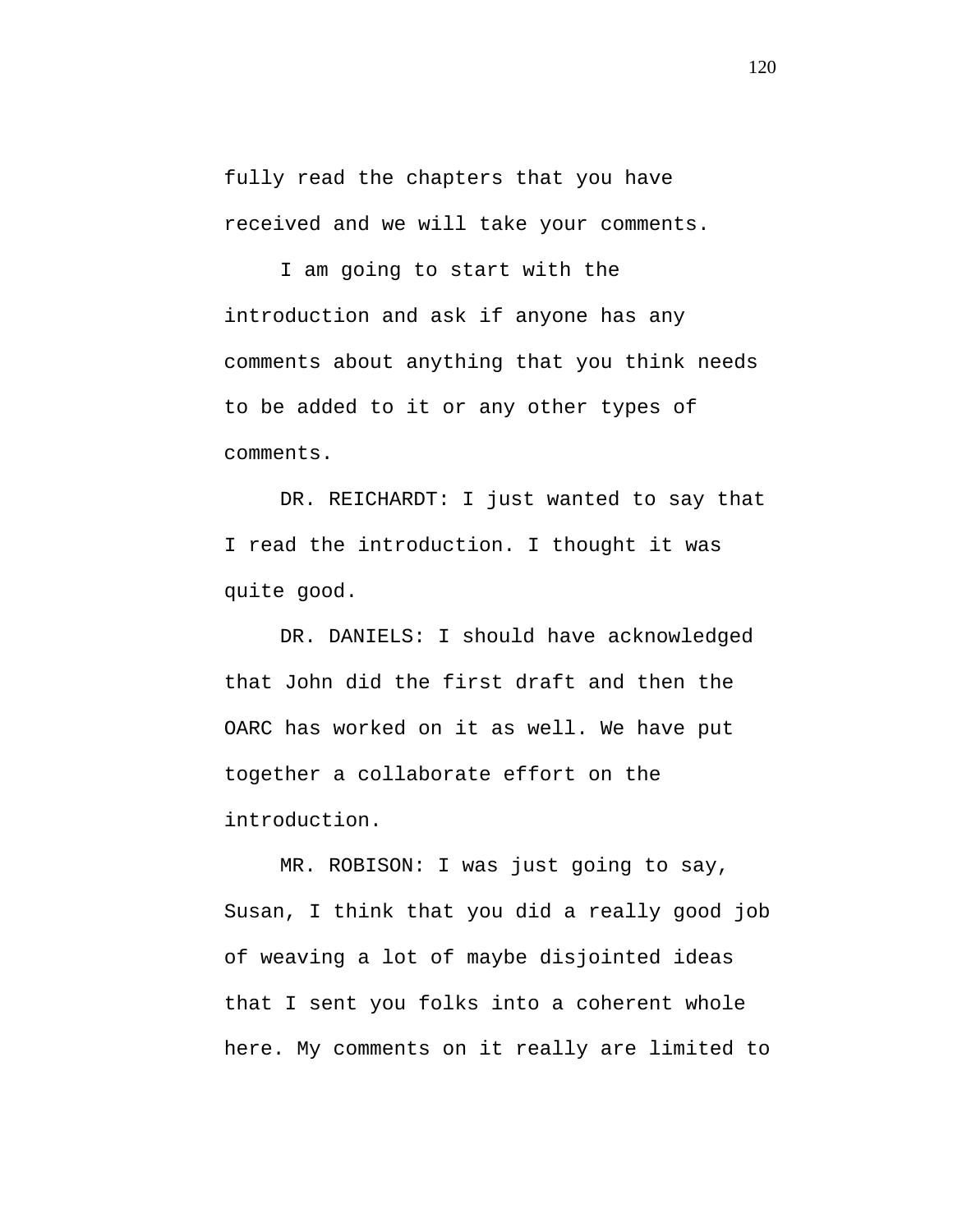fully read the chapters that you have received and we will take your comments.

I am going to start with the introduction and ask if anyone has any comments about anything that you think needs to be added to it or any other types of comments.

DR. REICHARDT: I just wanted to say that I read the introduction. I thought it was quite good.

DR. DANIELS: I should have acknowledged that John did the first draft and then the OARC has worked on it as well. We have put together a collaborate effort on the introduction.

MR. ROBISON: I was just going to say, Susan, I think that you did a really good job of weaving a lot of maybe disjointed ideas that I sent you folks into a coherent whole here. My comments on it really are limited to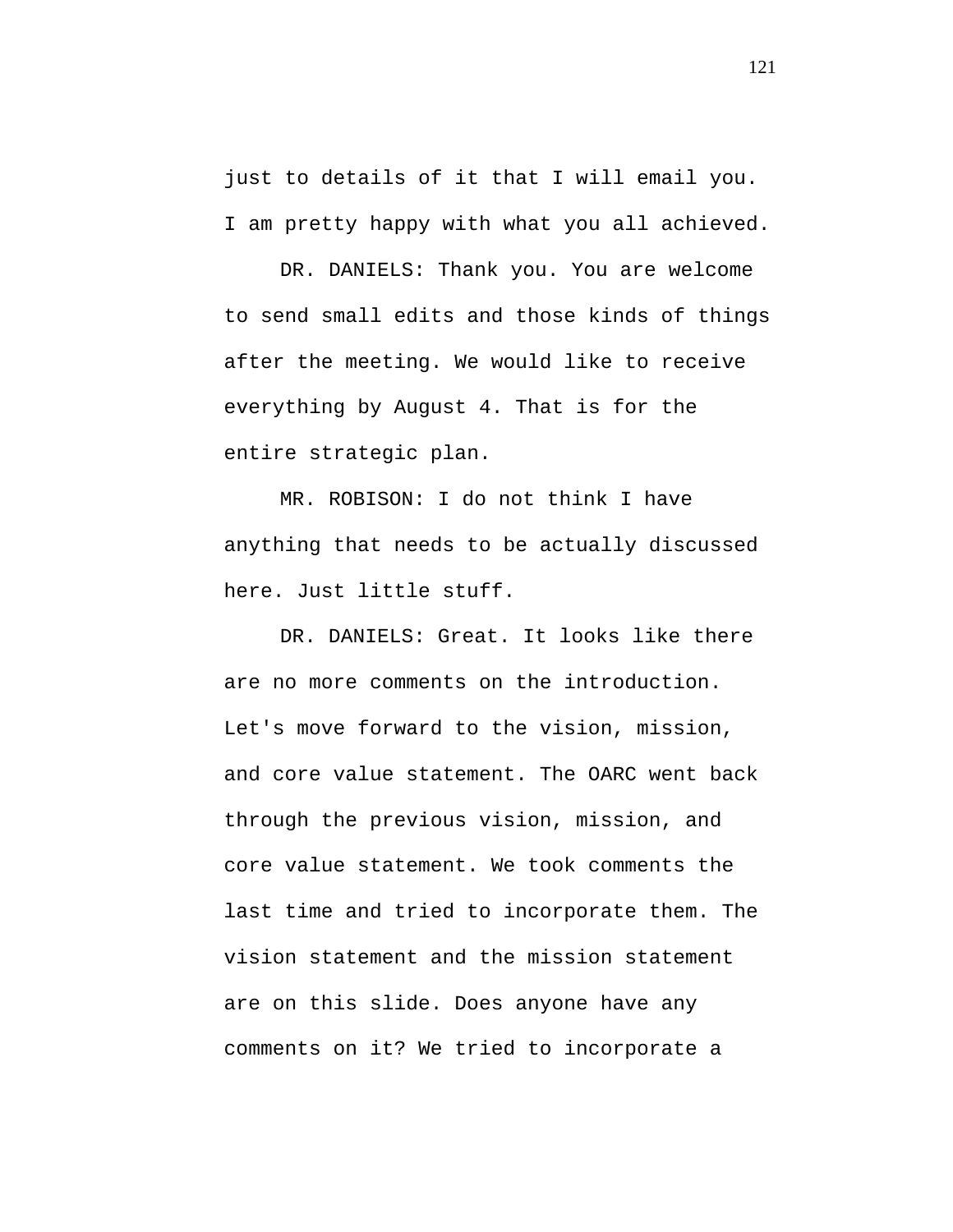just to details of it that I will email you. I am pretty happy with what you all achieved.

DR. DANIELS: Thank you. You are welcome to send small edits and those kinds of things after the meeting. We would like to receive everything by August 4. That is for the entire strategic plan.

MR. ROBISON: I do not think I have anything that needs to be actually discussed here. Just little stuff.

DR. DANIELS: Great. It looks like there are no more comments on the introduction. Let's move forward to the vision, mission, and core value statement. The OARC went back through the previous vision, mission, and core value statement. We took comments the last time and tried to incorporate them. The vision statement and the mission statement are on this slide. Does anyone have any comments on it? We tried to incorporate a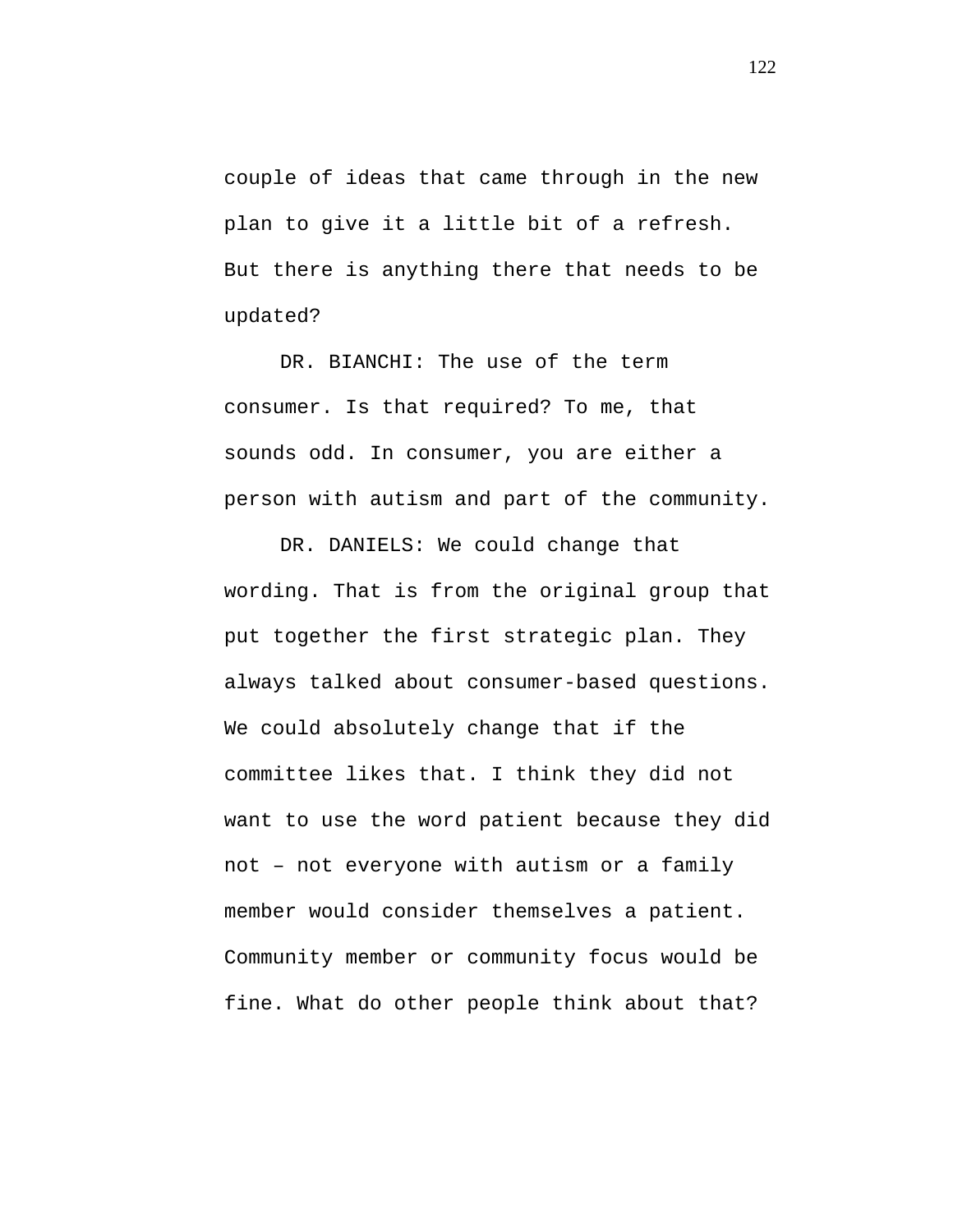couple of ideas that came through in the new plan to give it a little bit of a refresh. But there is anything there that needs to be updated?

DR. BIANCHI: The use of the term consumer. Is that required? To me, that sounds odd. In consumer, you are either a person with autism and part of the community.

DR. DANIELS: We could change that wording. That is from the original group that put together the first strategic plan. They always talked about consumer-based questions. We could absolutely change that if the committee likes that. I think they did not want to use the word patient because they did not – not everyone with autism or a family member would consider themselves a patient. Community member or community focus would be fine. What do other people think about that?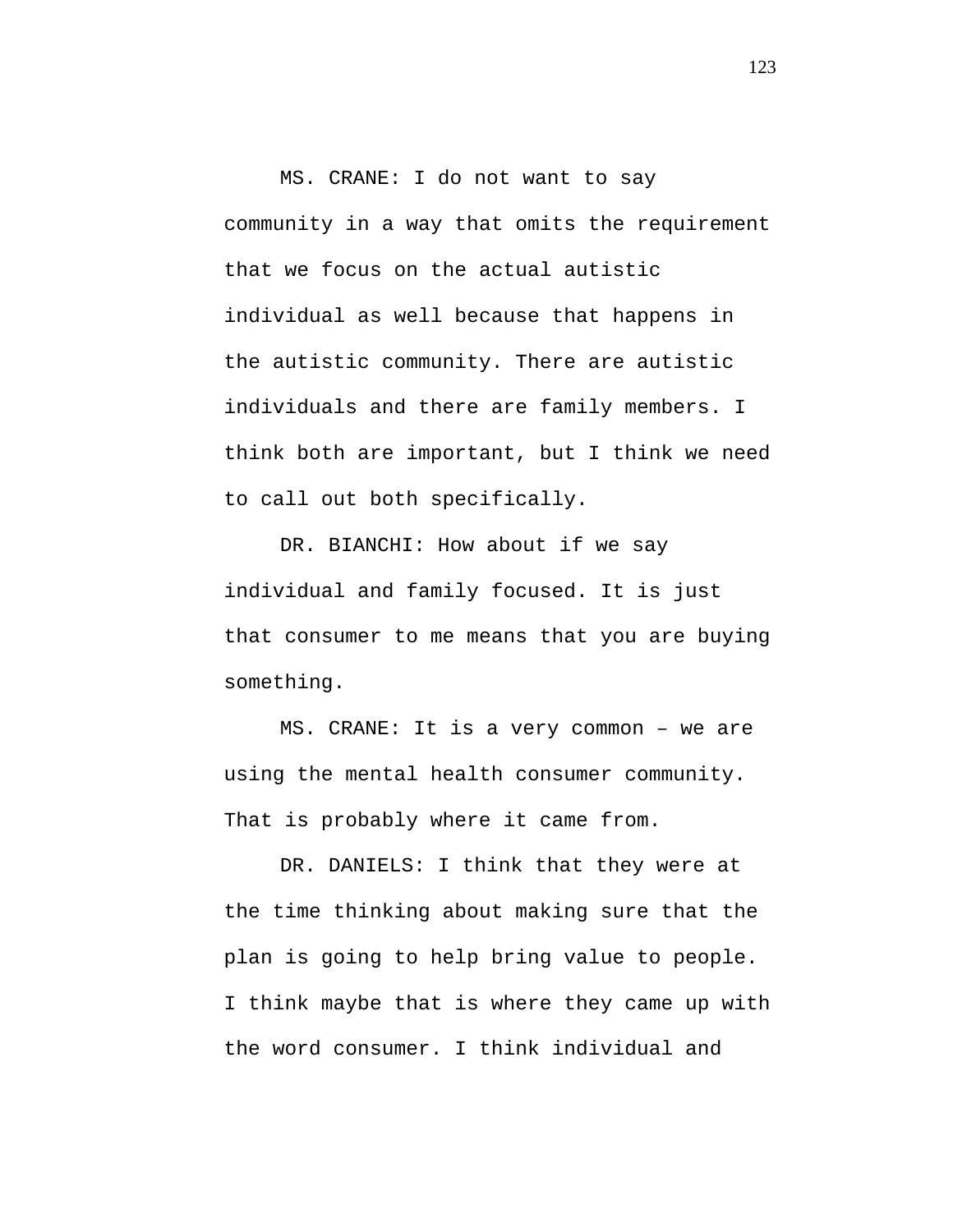MS. CRANE: I do not want to say community in a way that omits the requirement that we focus on the actual autistic individual as well because that happens in the autistic community. There are autistic individuals and there are family members. I think both are important, but I think we need to call out both specifically.

DR. BIANCHI: How about if we say individual and family focused. It is just that consumer to me means that you are buying something.

MS. CRANE: It is a very common – we are using the mental health consumer community. That is probably where it came from.

DR. DANIELS: I think that they were at the time thinking about making sure that the plan is going to help bring value to people. I think maybe that is where they came up with the word consumer. I think individual and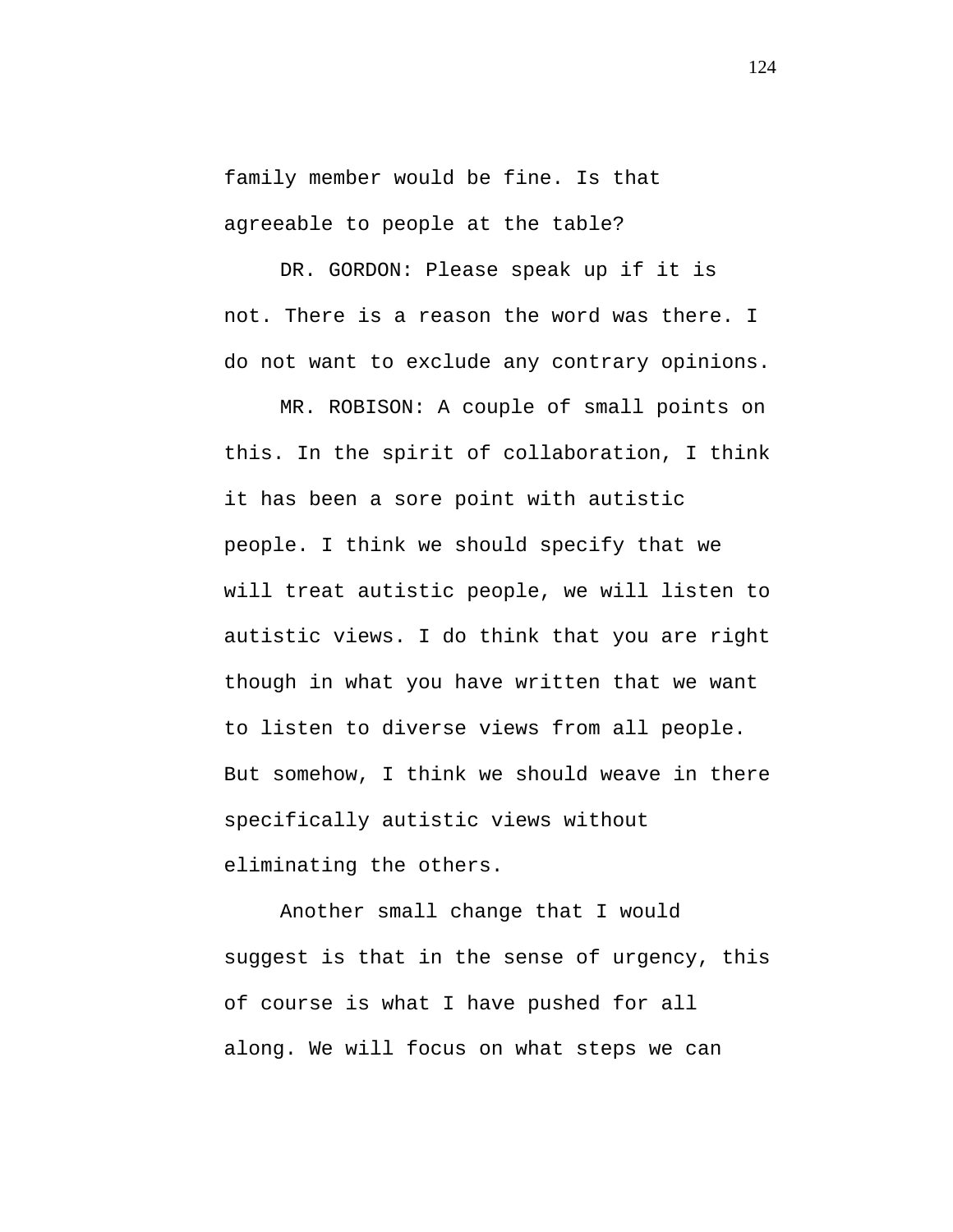family member would be fine. Is that agreeable to people at the table?

DR. GORDON: Please speak up if it is not. There is a reason the word was there. I do not want to exclude any contrary opinions.

MR. ROBISON: A couple of small points on this. In the spirit of collaboration, I think it has been a sore point with autistic people. I think we should specify that we will treat autistic people, we will listen to autistic views. I do think that you are right though in what you have written that we want to listen to diverse views from all people. But somehow, I think we should weave in there specifically autistic views without eliminating the others.

Another small change that I would suggest is that in the sense of urgency, this of course is what I have pushed for all along. We will focus on what steps we can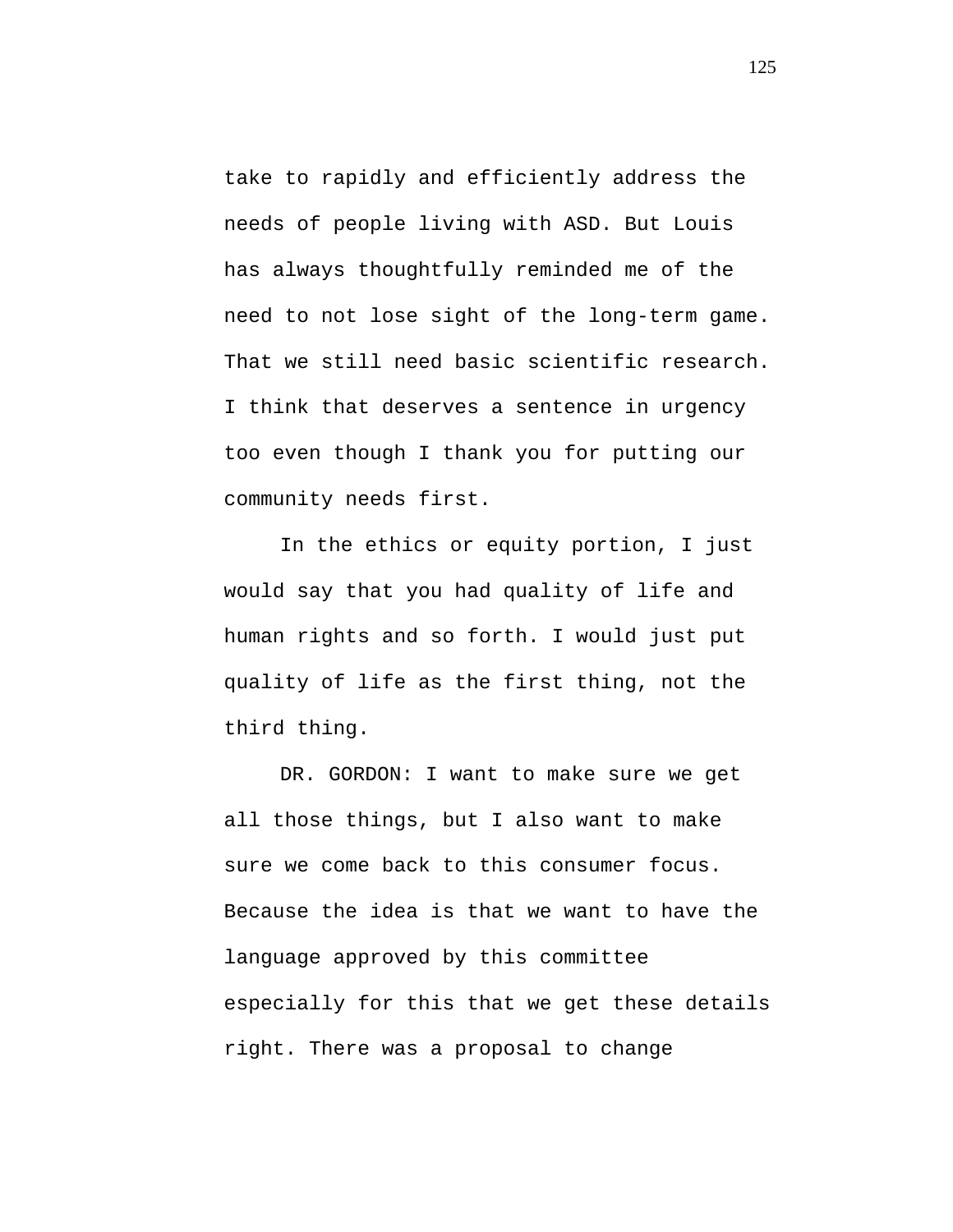take to rapidly and efficiently address the needs of people living with ASD. But Louis has always thoughtfully reminded me of the need to not lose sight of the long-term game. That we still need basic scientific research. I think that deserves a sentence in urgency too even though I thank you for putting our community needs first.

In the ethics or equity portion, I just would say that you had quality of life and human rights and so forth. I would just put quality of life as the first thing, not the third thing.

DR. GORDON: I want to make sure we get all those things, but I also want to make sure we come back to this consumer focus. Because the idea is that we want to have the language approved by this committee especially for this that we get these details right. There was a proposal to change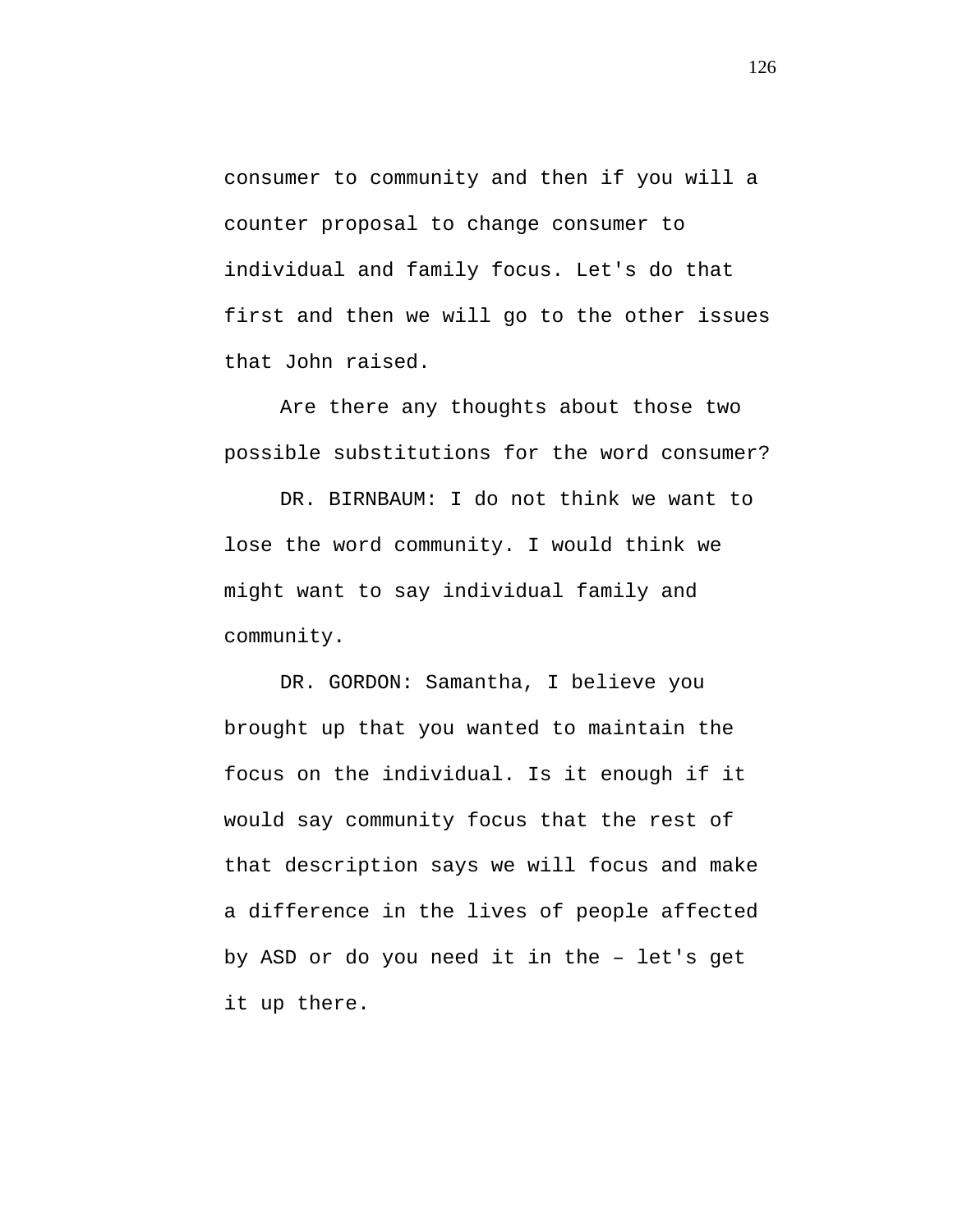consumer to community and then if you will a counter proposal to change consumer to individual and family focus. Let's do that first and then we will go to the other issues that John raised.

Are there any thoughts about those two possible substitutions for the word consumer?

DR. BIRNBAUM: I do not think we want to lose the word community. I would think we might want to say individual family and community.

DR. GORDON: Samantha, I believe you brought up that you wanted to maintain the focus on the individual. Is it enough if it would say community focus that the rest of that description says we will focus and make a difference in the lives of people affected by ASD or do you need it in the – let's get it up there.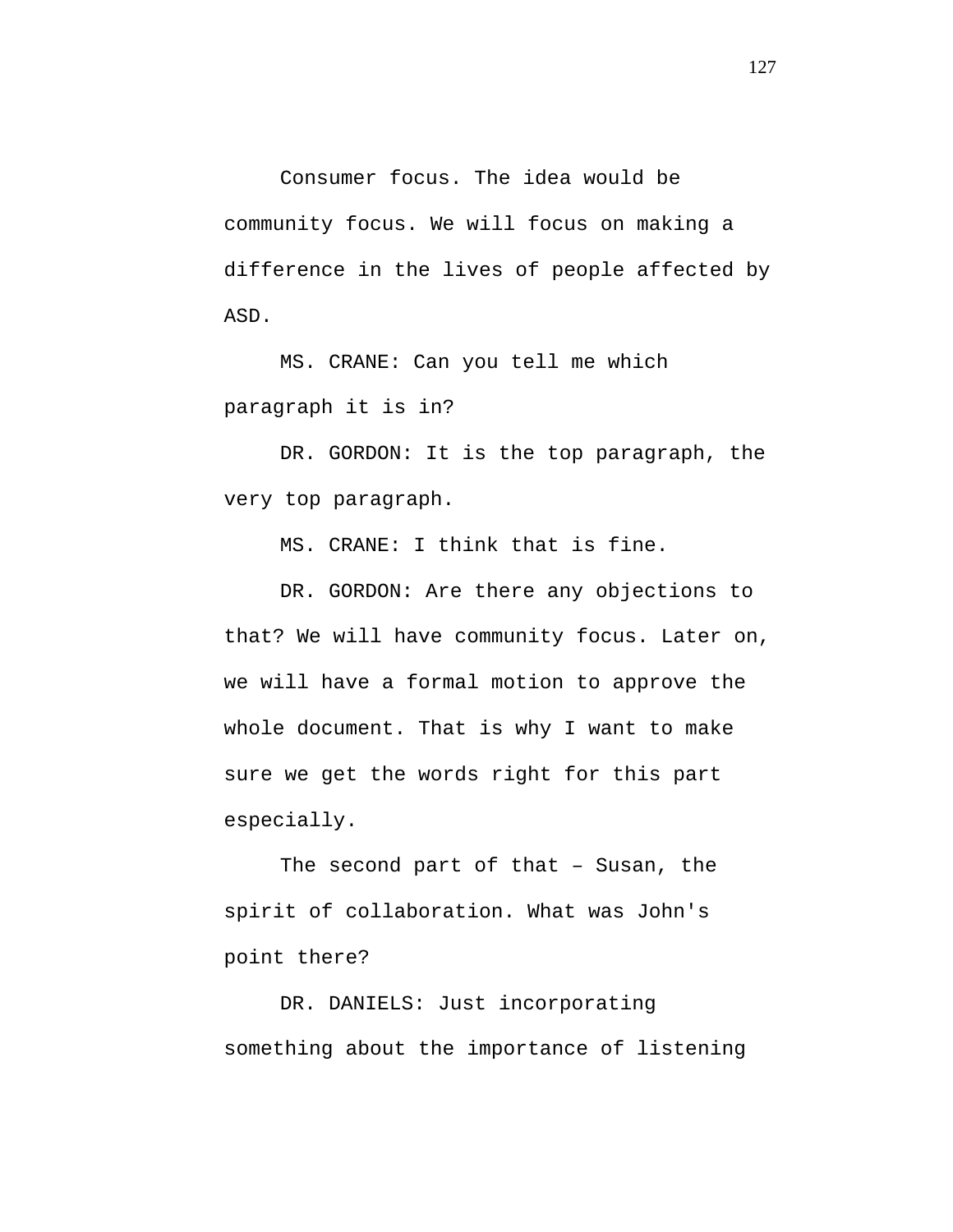Consumer focus. The idea would be community focus. We will focus on making a difference in the lives of people affected by ASD.

MS. CRANE: Can you tell me which paragraph it is in?

DR. GORDON: It is the top paragraph, the very top paragraph.

MS. CRANE: I think that is fine.

DR. GORDON: Are there any objections to that? We will have community focus. Later on, we will have a formal motion to approve the whole document. That is why I want to make sure we get the words right for this part especially.

The second part of that – Susan, the spirit of collaboration. What was John's point there?

DR. DANIELS: Just incorporating something about the importance of listening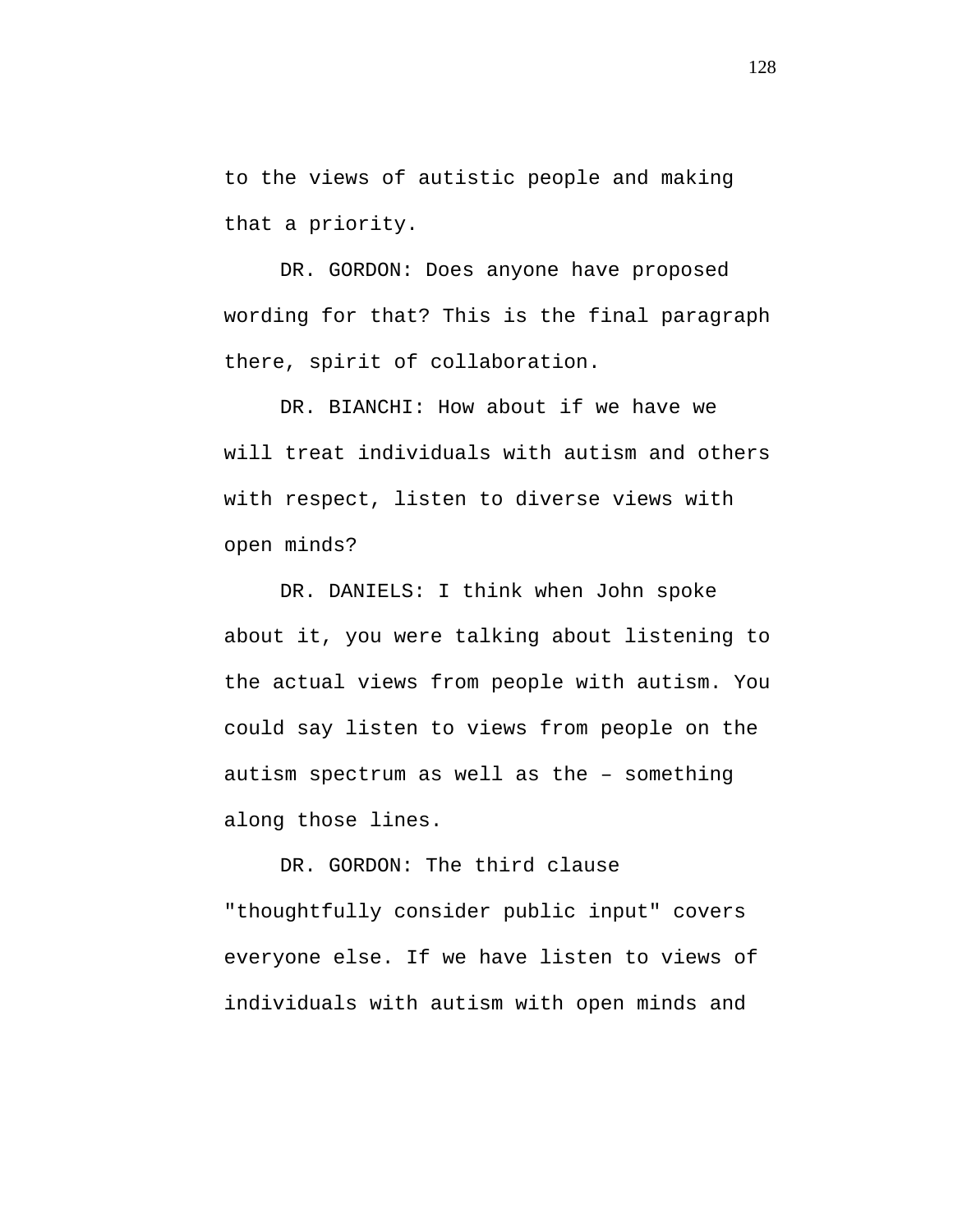to the views of autistic people and making that a priority.

DR. GORDON: Does anyone have proposed wording for that? This is the final paragraph there, spirit of collaboration.

DR. BIANCHI: How about if we have we will treat individuals with autism and others with respect, listen to diverse views with open minds?

DR. DANIELS: I think when John spoke about it, you were talking about listening to the actual views from people with autism. You could say listen to views from people on the autism spectrum as well as the – something along those lines.

DR. GORDON: The third clause "thoughtfully consider public input" covers everyone else. If we have listen to views of individuals with autism with open minds and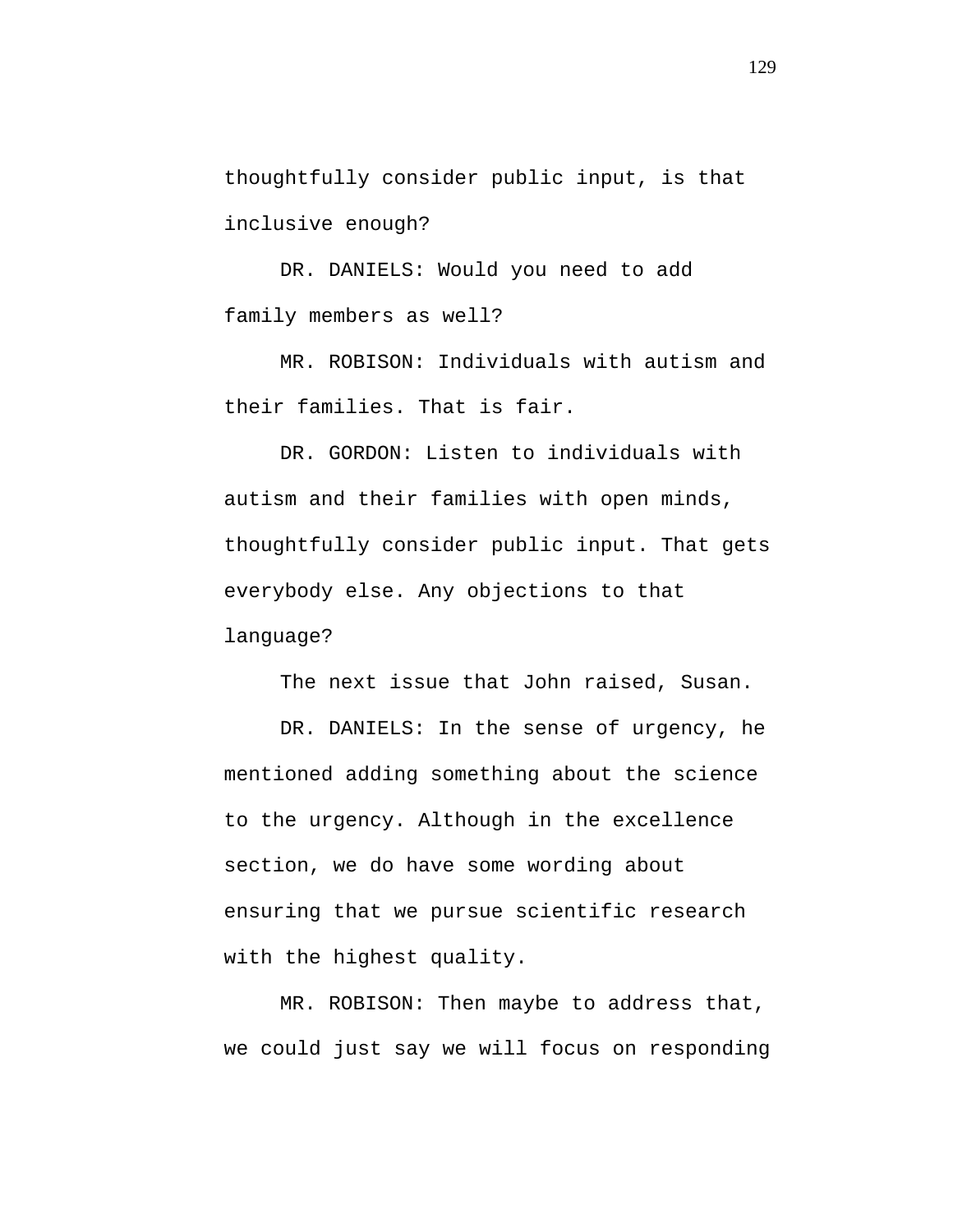thoughtfully consider public input, is that inclusive enough?

DR. DANIELS: Would you need to add family members as well?

MR. ROBISON: Individuals with autism and their families. That is fair.

DR. GORDON: Listen to individuals with autism and their families with open minds, thoughtfully consider public input. That gets everybody else. Any objections to that language?

The next issue that John raised, Susan.

DR. DANIELS: In the sense of urgency, he mentioned adding something about the science to the urgency. Although in the excellence section, we do have some wording about ensuring that we pursue scientific research with the highest quality.

MR. ROBISON: Then maybe to address that, we could just say we will focus on responding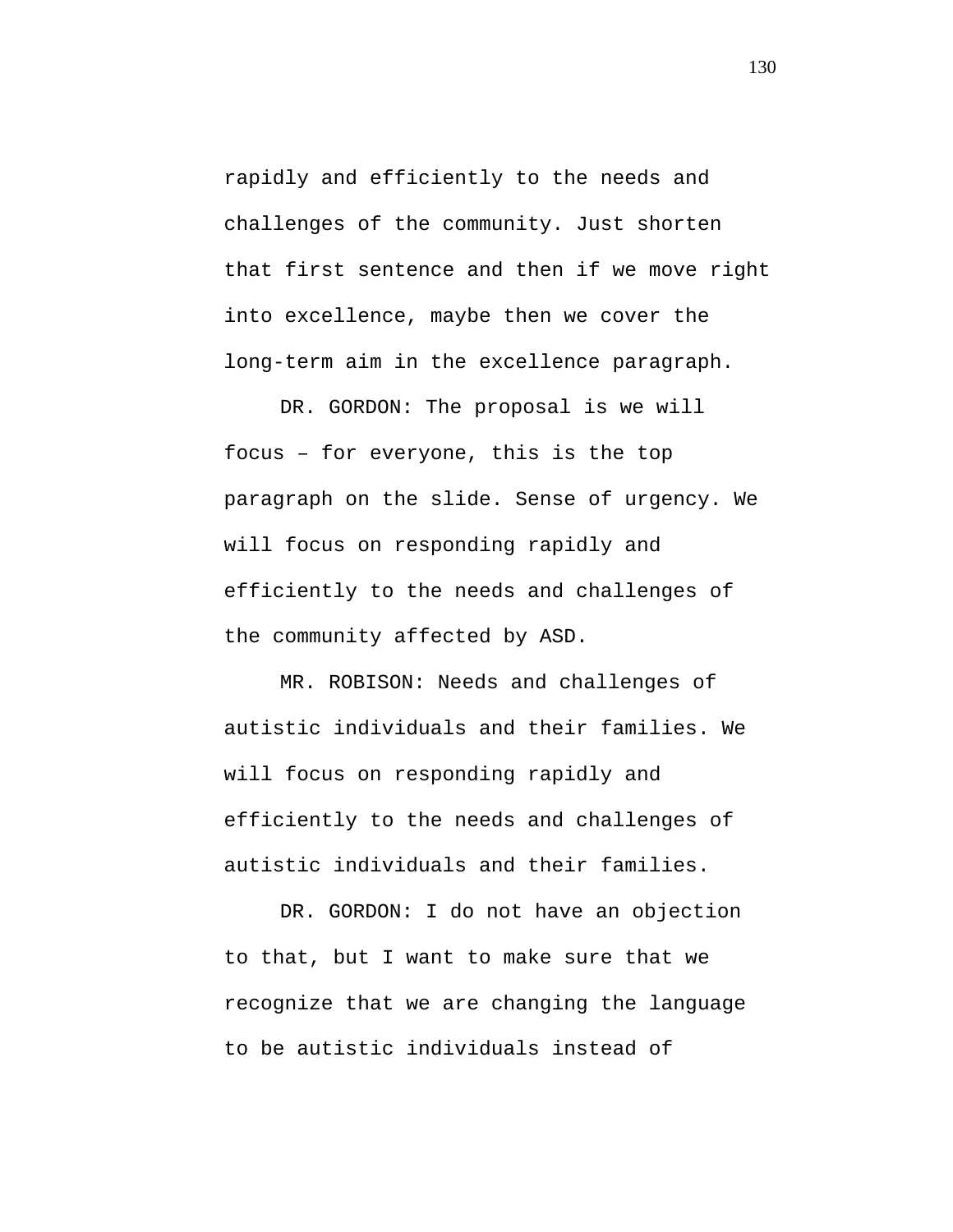rapidly and efficiently to the needs and challenges of the community. Just shorten that first sentence and then if we move right into excellence, maybe then we cover the long-term aim in the excellence paragraph.

DR. GORDON: The proposal is we will focus – for everyone, this is the top paragraph on the slide. Sense of urgency. We will focus on responding rapidly and efficiently to the needs and challenges of the community affected by ASD.

MR. ROBISON: Needs and challenges of autistic individuals and their families. We will focus on responding rapidly and efficiently to the needs and challenges of autistic individuals and their families.

DR. GORDON: I do not have an objection to that, but I want to make sure that we recognize that we are changing the language to be autistic individuals instead of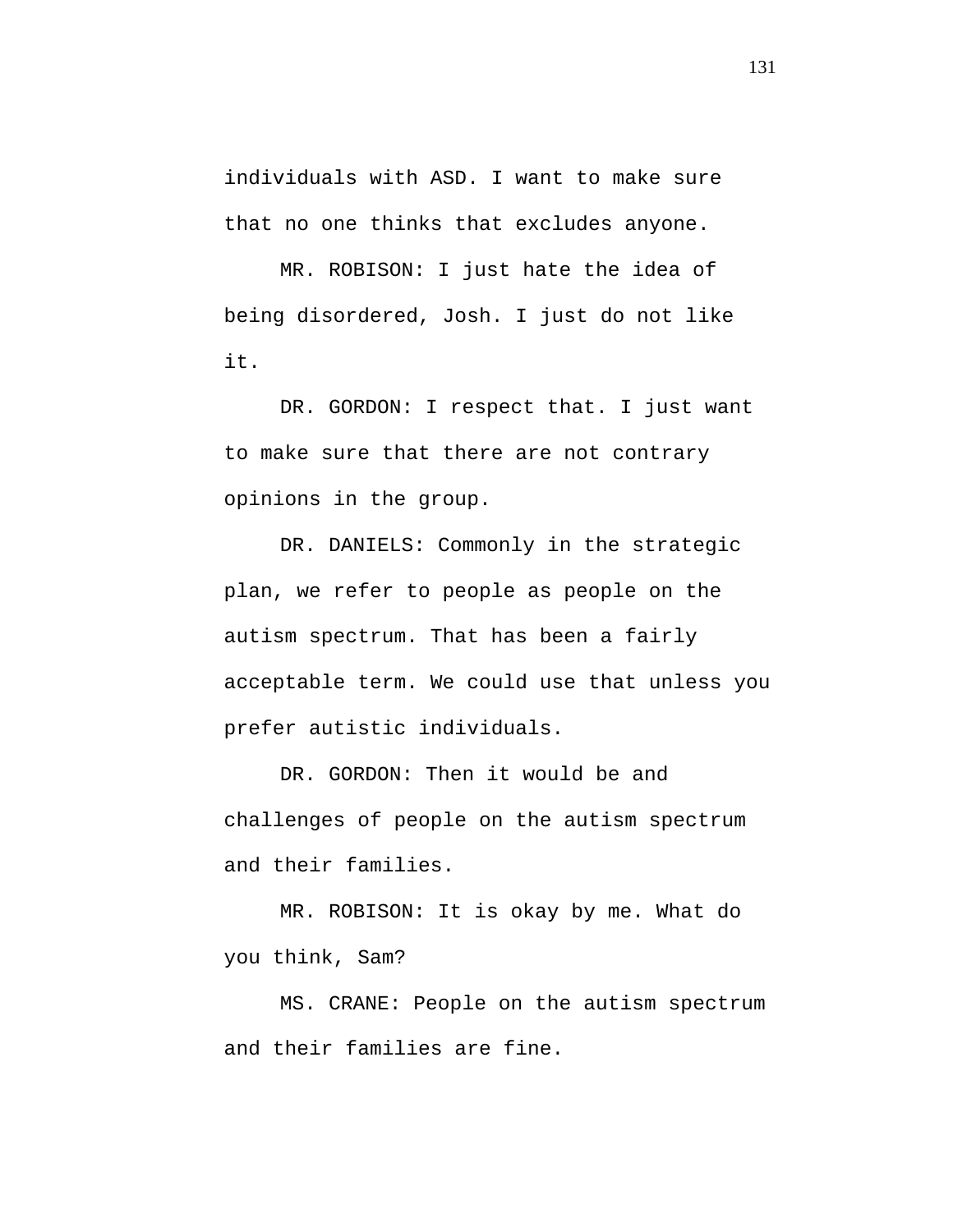individuals with ASD. I want to make sure that no one thinks that excludes anyone.

MR. ROBISON: I just hate the idea of being disordered, Josh. I just do not like it.

DR. GORDON: I respect that. I just want to make sure that there are not contrary opinions in the group.

DR. DANIELS: Commonly in the strategic plan, we refer to people as people on the autism spectrum. That has been a fairly acceptable term. We could use that unless you prefer autistic individuals.

DR. GORDON: Then it would be and challenges of people on the autism spectrum and their families.

MR. ROBISON: It is okay by me. What do you think, Sam?

MS. CRANE: People on the autism spectrum and their families are fine.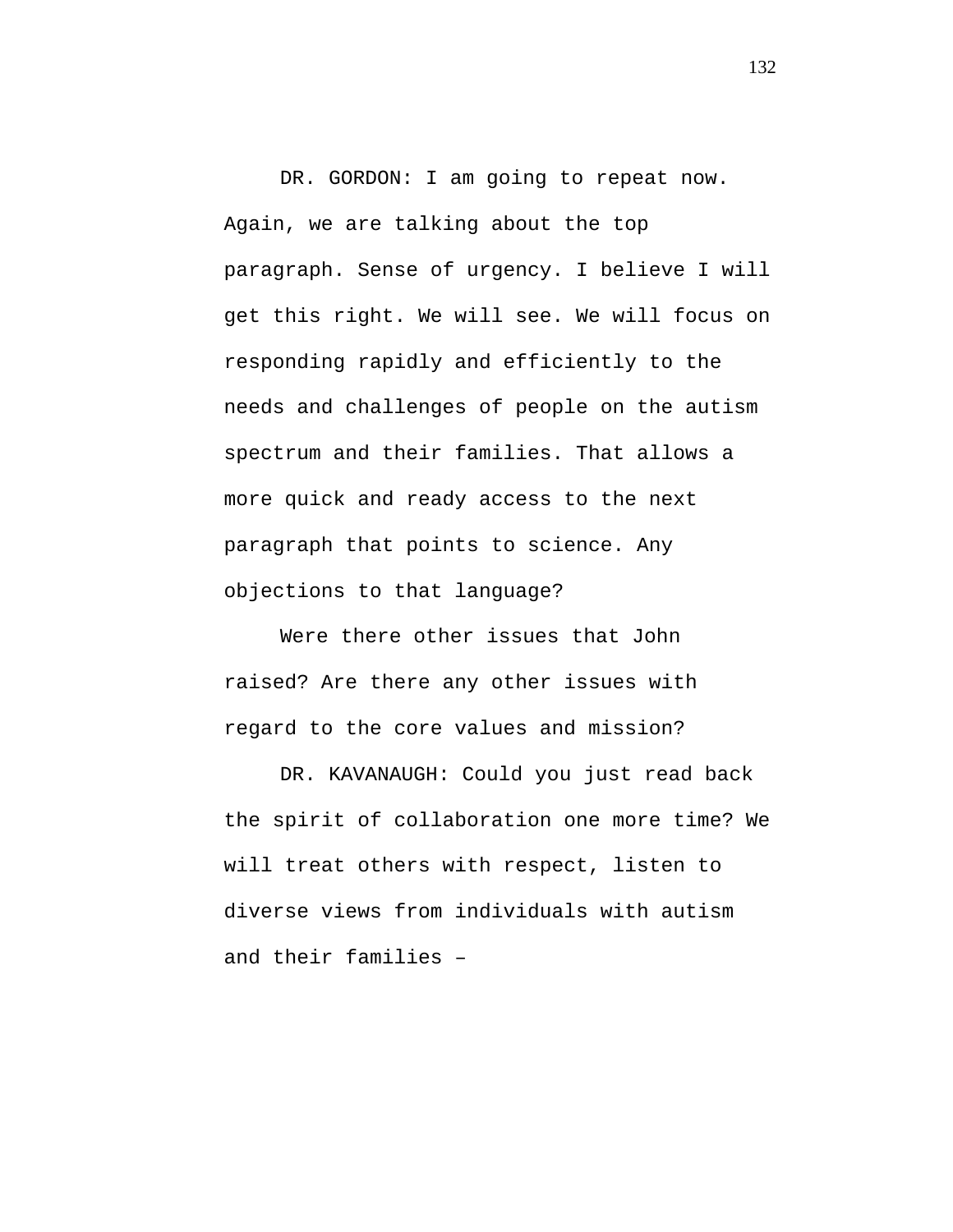DR. GORDON: I am going to repeat now. Again, we are talking about the top paragraph. Sense of urgency. I believe I will get this right. We will see. We will focus on responding rapidly and efficiently to the needs and challenges of people on the autism spectrum and their families. That allows a more quick and ready access to the next paragraph that points to science. Any objections to that language?

Were there other issues that John raised? Are there any other issues with regard to the core values and mission?

DR. KAVANAUGH: Could you just read back the spirit of collaboration one more time? We will treat others with respect, listen to diverse views from individuals with autism and their families –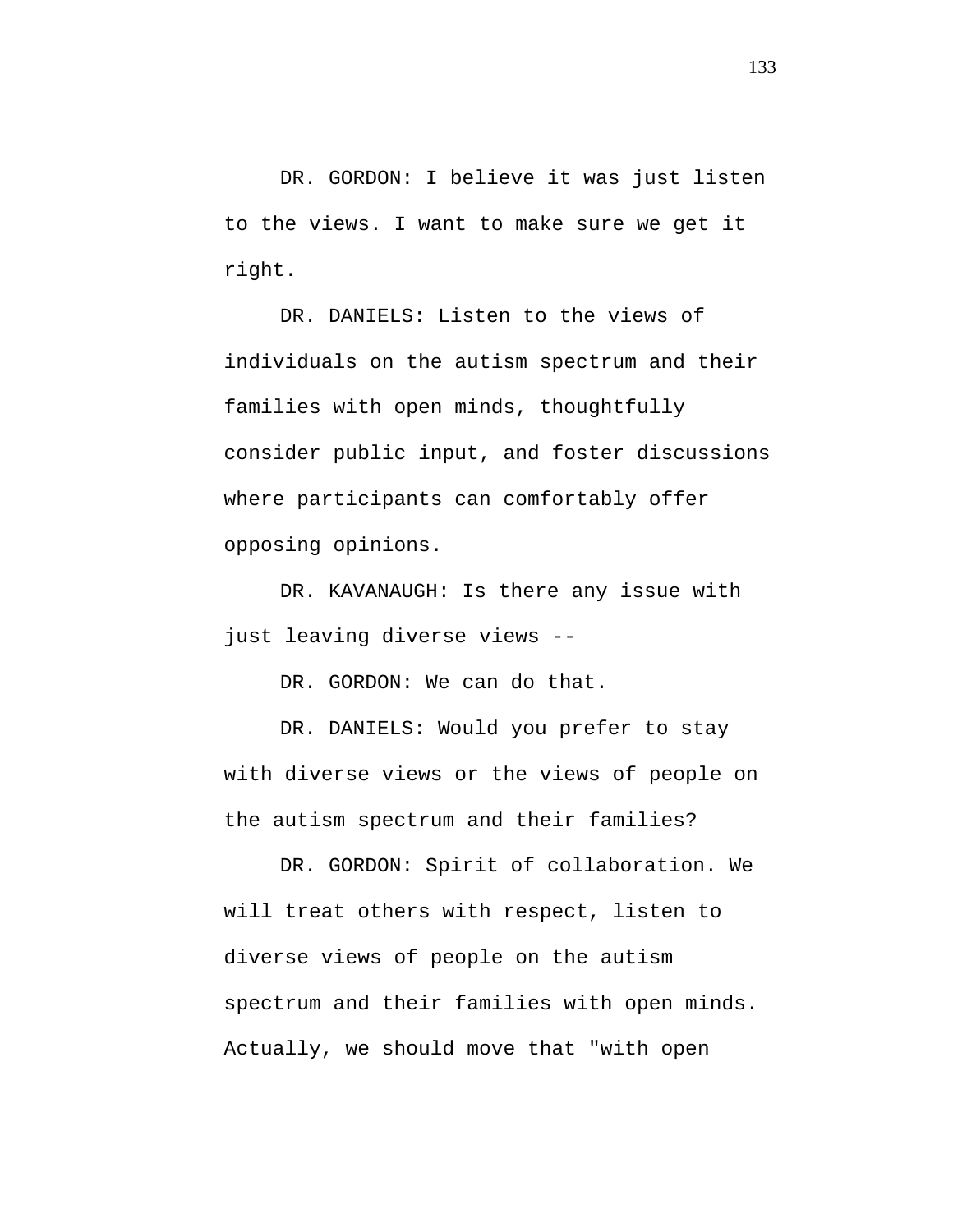DR. GORDON: I believe it was just listen to the views. I want to make sure we get it right.

DR. DANIELS: Listen to the views of individuals on the autism spectrum and their families with open minds, thoughtfully consider public input, and foster discussions where participants can comfortably offer opposing opinions.

DR. KAVANAUGH: Is there any issue with just leaving diverse views --

DR. GORDON: We can do that.

DR. DANIELS: Would you prefer to stay with diverse views or the views of people on the autism spectrum and their families?

DR. GORDON: Spirit of collaboration. We will treat others with respect, listen to diverse views of people on the autism spectrum and their families with open minds. Actually, we should move that "with open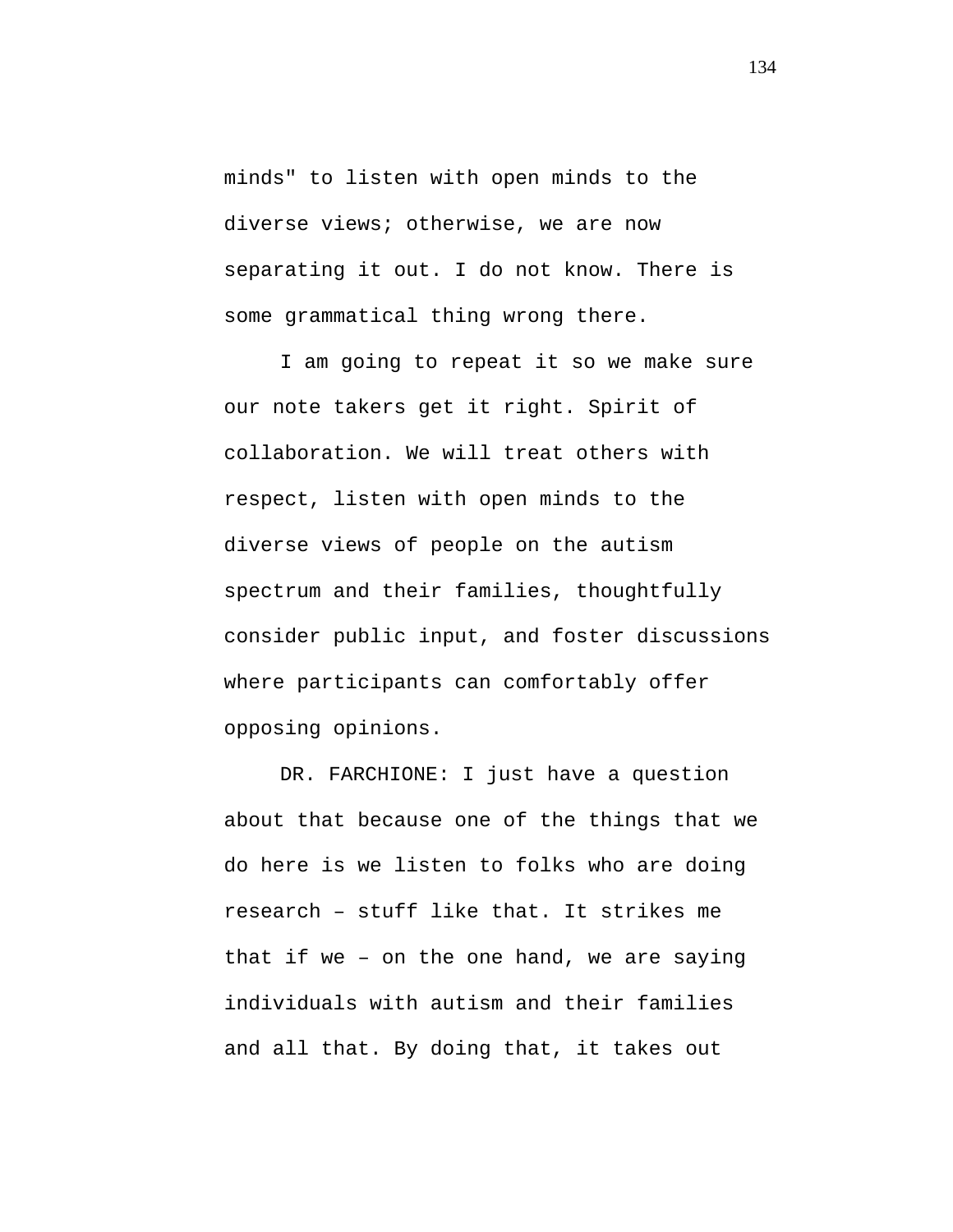minds" to listen with open minds to the diverse views; otherwise, we are now separating it out. I do not know. There is some grammatical thing wrong there.

I am going to repeat it so we make sure our note takers get it right. Spirit of collaboration. We will treat others with respect, listen with open minds to the diverse views of people on the autism spectrum and their families, thoughtfully consider public input, and foster discussions where participants can comfortably offer opposing opinions.

DR. FARCHIONE: I just have a question about that because one of the things that we do here is we listen to folks who are doing research – stuff like that. It strikes me that if we – on the one hand, we are saying individuals with autism and their families and all that. By doing that, it takes out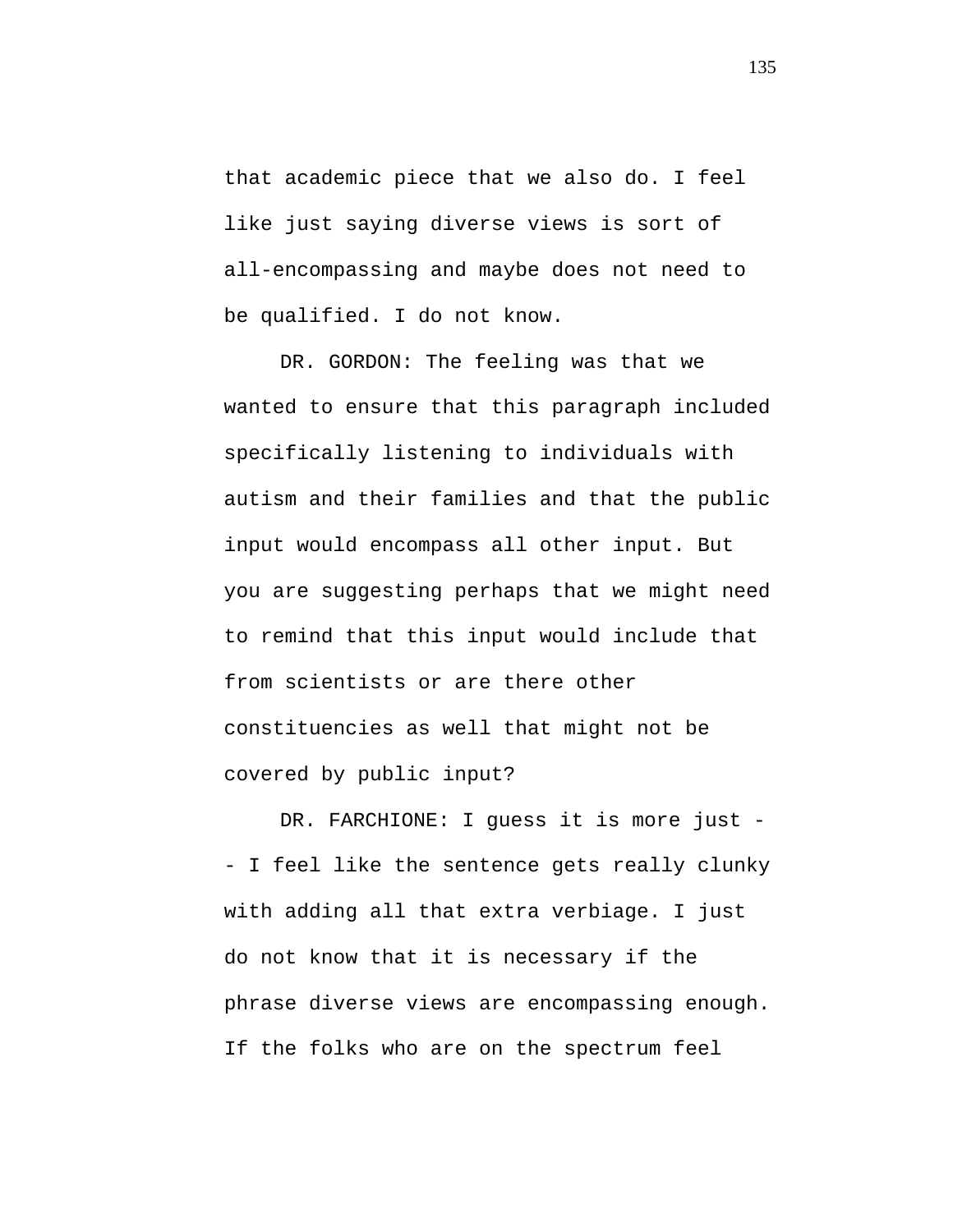that academic piece that we also do. I feel like just saying diverse views is sort of all-encompassing and maybe does not need to be qualified. I do not know.

DR. GORDON: The feeling was that we wanted to ensure that this paragraph included specifically listening to individuals with autism and their families and that the public input would encompass all other input. But you are suggesting perhaps that we might need to remind that this input would include that from scientists or are there other constituencies as well that might not be covered by public input?

DR. FARCHIONE: I guess it is more just -- I feel like the sentence gets really clunky with adding all that extra verbiage. I just do not know that it is necessary if the phrase diverse views are encompassing enough. If the folks who are on the spectrum feel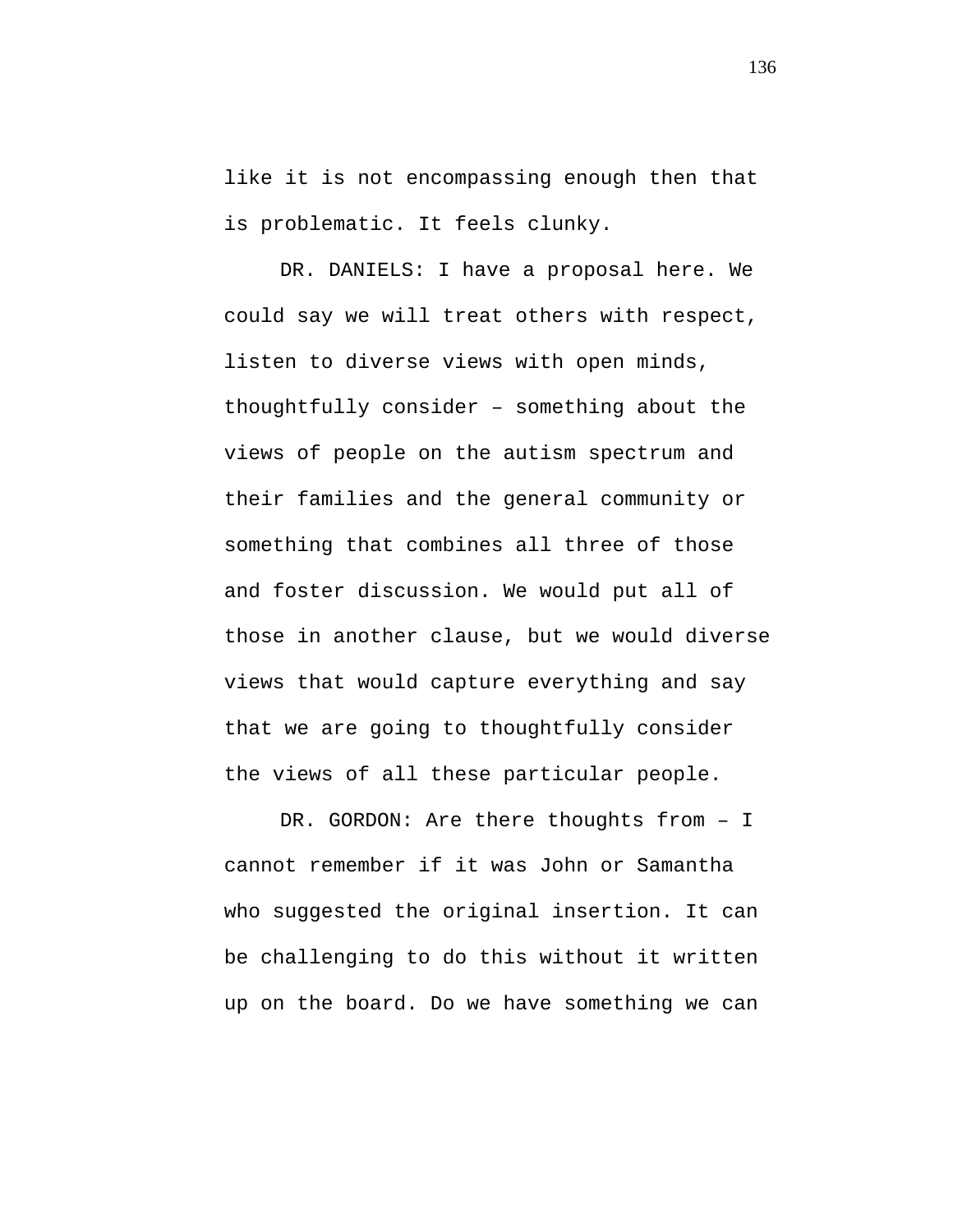like it is not encompassing enough then that is problematic. It feels clunky.

DR. DANIELS: I have a proposal here. We could say we will treat others with respect, listen to diverse views with open minds, thoughtfully consider – something about the views of people on the autism spectrum and their families and the general community or something that combines all three of those and foster discussion. We would put all of those in another clause, but we would diverse views that would capture everything and say that we are going to thoughtfully consider the views of all these particular people.

DR. GORDON: Are there thoughts from – I cannot remember if it was John or Samantha who suggested the original insertion. It can be challenging to do this without it written up on the board. Do we have something we can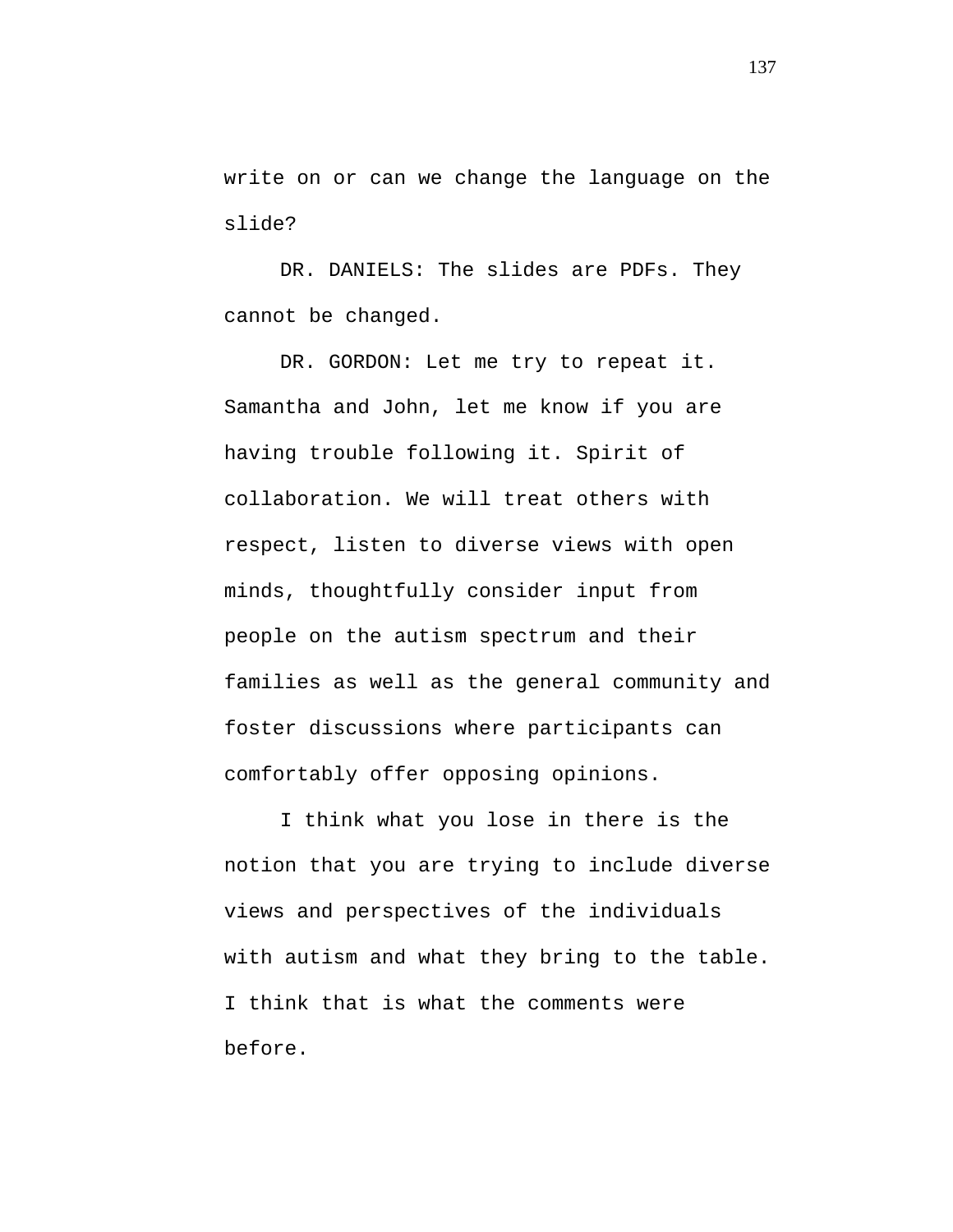write on or can we change the language on the slide?

DR. DANIELS: The slides are PDFs. They cannot be changed.

DR. GORDON: Let me try to repeat it. Samantha and John, let me know if you are having trouble following it. Spirit of collaboration. We will treat others with respect, listen to diverse views with open minds, thoughtfully consider input from people on the autism spectrum and their families as well as the general community and foster discussions where participants can comfortably offer opposing opinions.

I think what you lose in there is the notion that you are trying to include diverse views and perspectives of the individuals with autism and what they bring to the table. I think that is what the comments were before.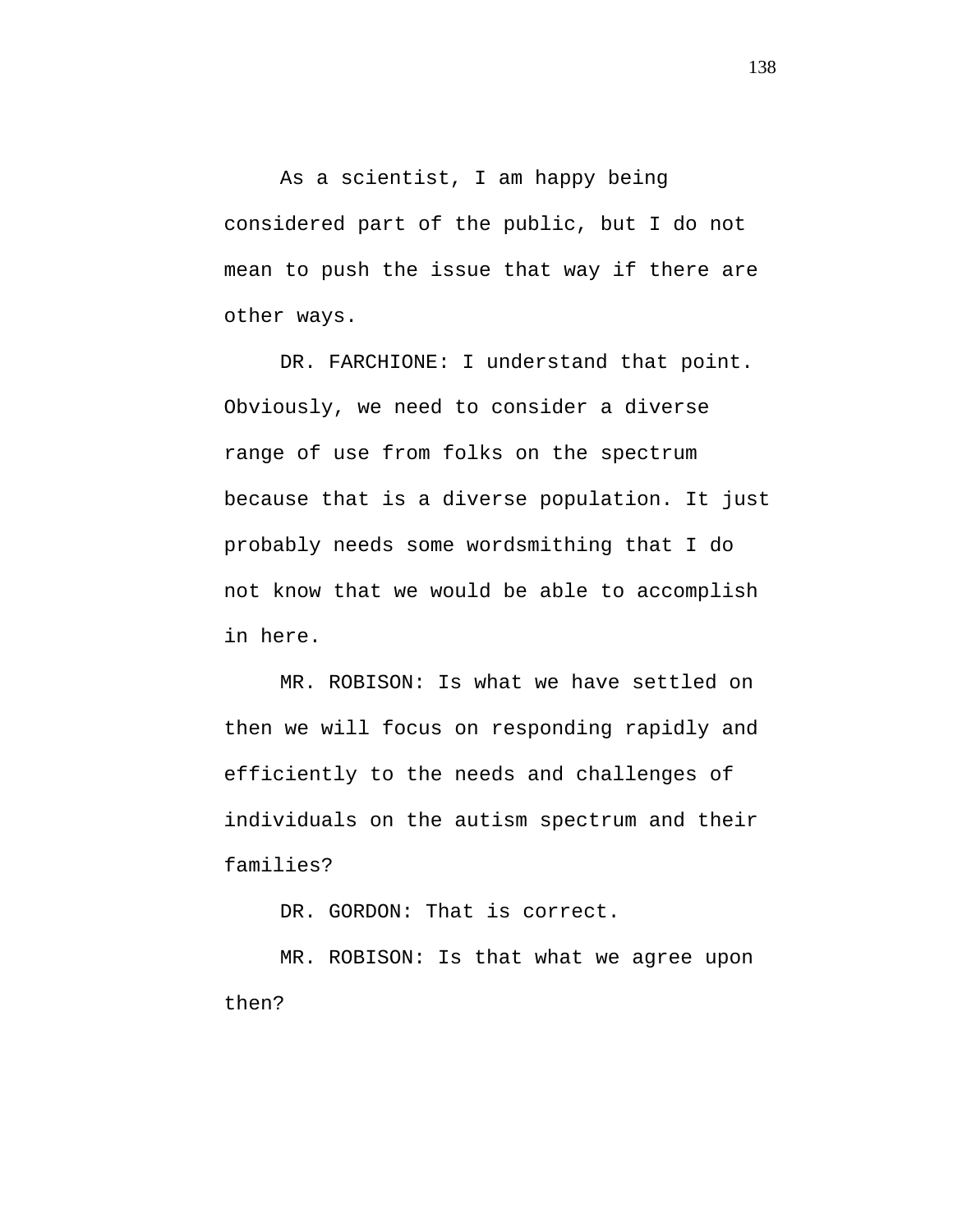As a scientist, I am happy being considered part of the public, but I do not mean to push the issue that way if there are other ways.

DR. FARCHIONE: I understand that point. Obviously, we need to consider a diverse range of use from folks on the spectrum because that is a diverse population. It just probably needs some wordsmithing that I do not know that we would be able to accomplish in here.

MR. ROBISON: Is what we have settled on then we will focus on responding rapidly and efficiently to the needs and challenges of individuals on the autism spectrum and their families?

DR. GORDON: That is correct.

MR. ROBISON: Is that what we agree upon then?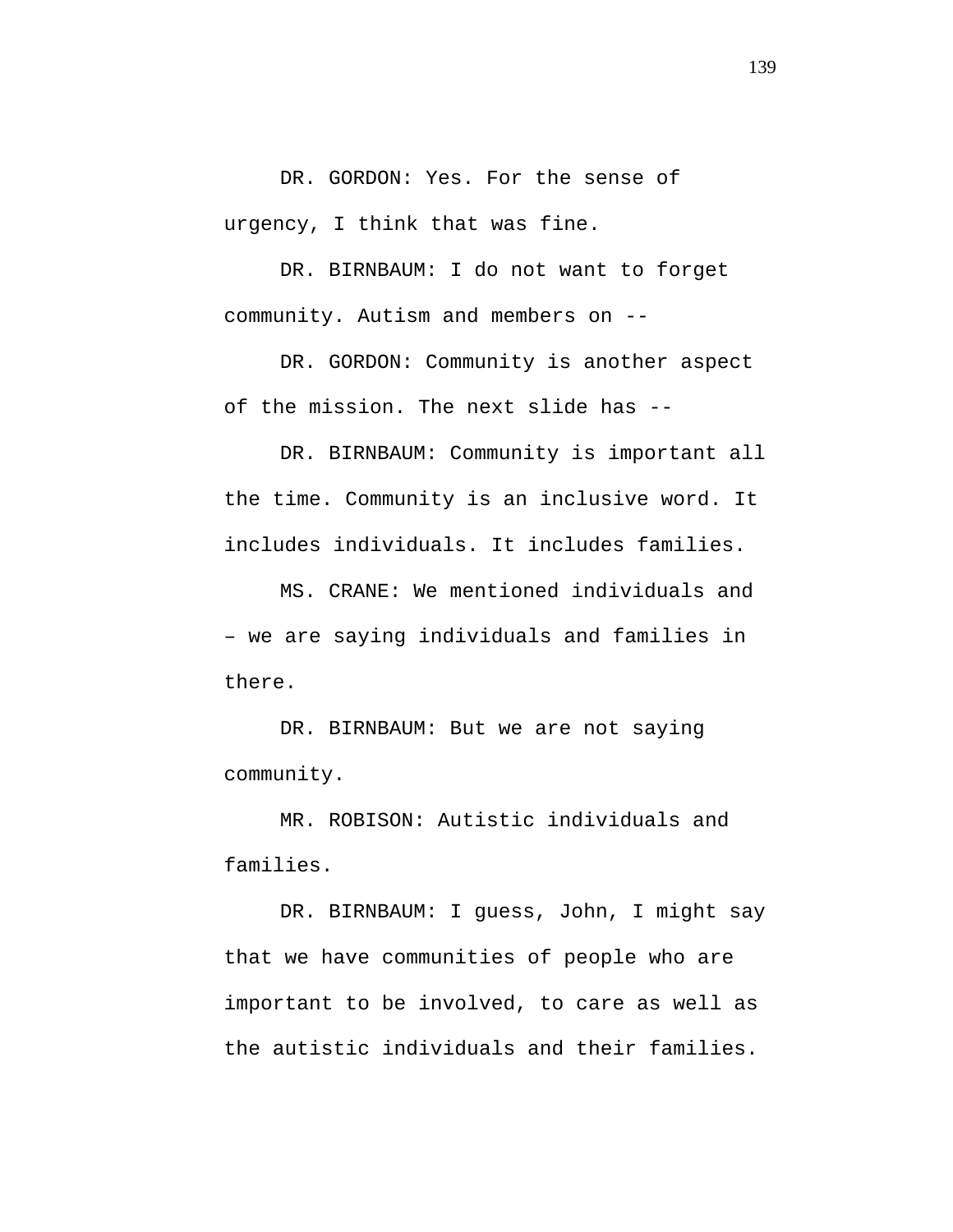DR. GORDON: Yes. For the sense of urgency, I think that was fine.

DR. BIRNBAUM: I do not want to forget community. Autism and members on --

DR. GORDON: Community is another aspect of the mission. The next slide has --

DR. BIRNBAUM: Community is important all the time. Community is an inclusive word. It includes individuals. It includes families.

MS. CRANE: We mentioned individuals and – we are saying individuals and families in there.

DR. BIRNBAUM: But we are not saying community.

MR. ROBISON: Autistic individuals and families.

DR. BIRNBAUM: I guess, John, I might say that we have communities of people who are important to be involved, to care as well as the autistic individuals and their families.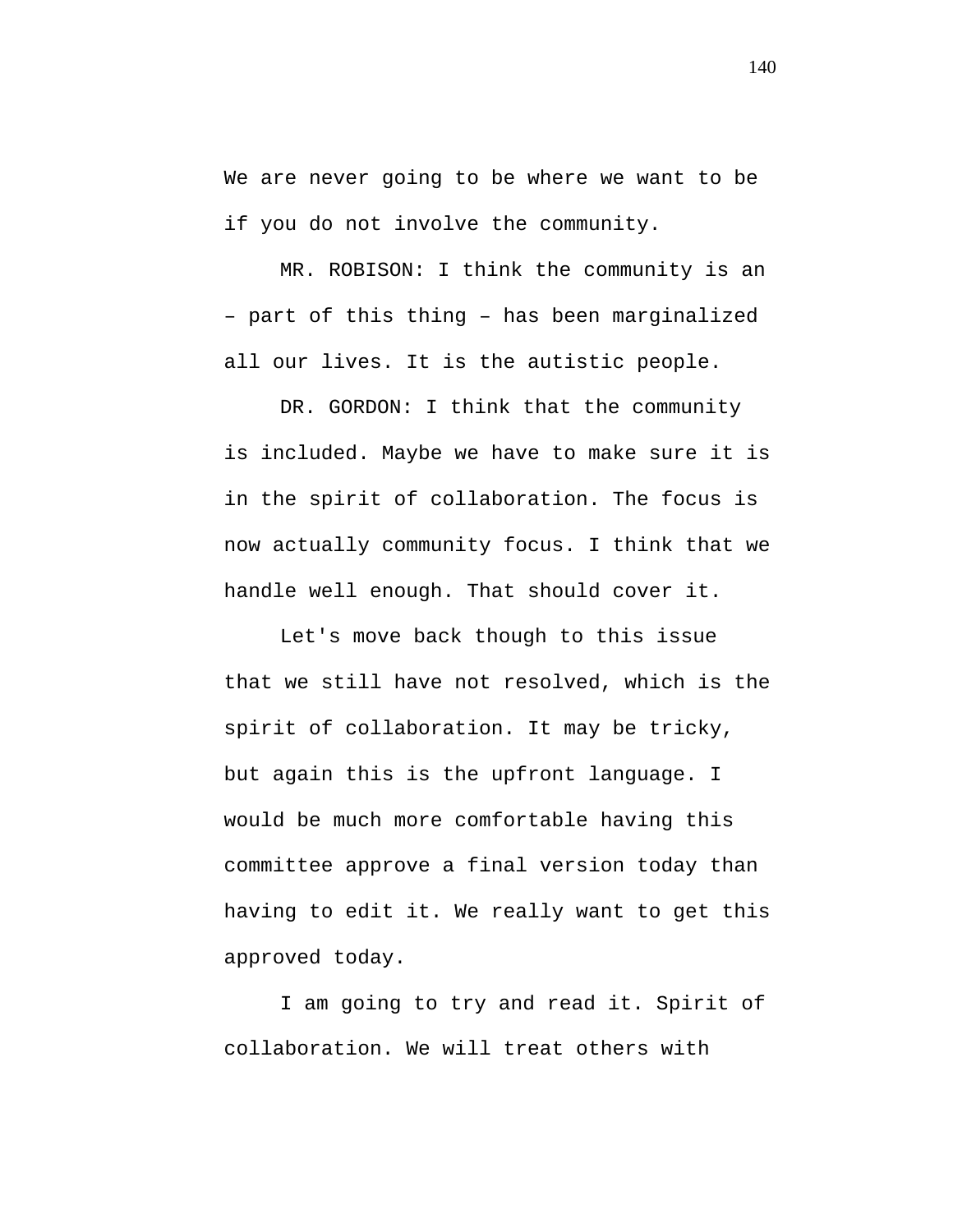We are never going to be where we want to be if you do not involve the community.

MR. ROBISON: I think the community is an – part of this thing – has been marginalized all our lives. It is the autistic people.

DR. GORDON: I think that the community is included. Maybe we have to make sure it is in the spirit of collaboration. The focus is now actually community focus. I think that we handle well enough. That should cover it.

Let's move back though to this issue that we still have not resolved, which is the spirit of collaboration. It may be tricky, but again this is the upfront language. I would be much more comfortable having this committee approve a final version today than having to edit it. We really want to get this approved today.

I am going to try and read it. Spirit of collaboration. We will treat others with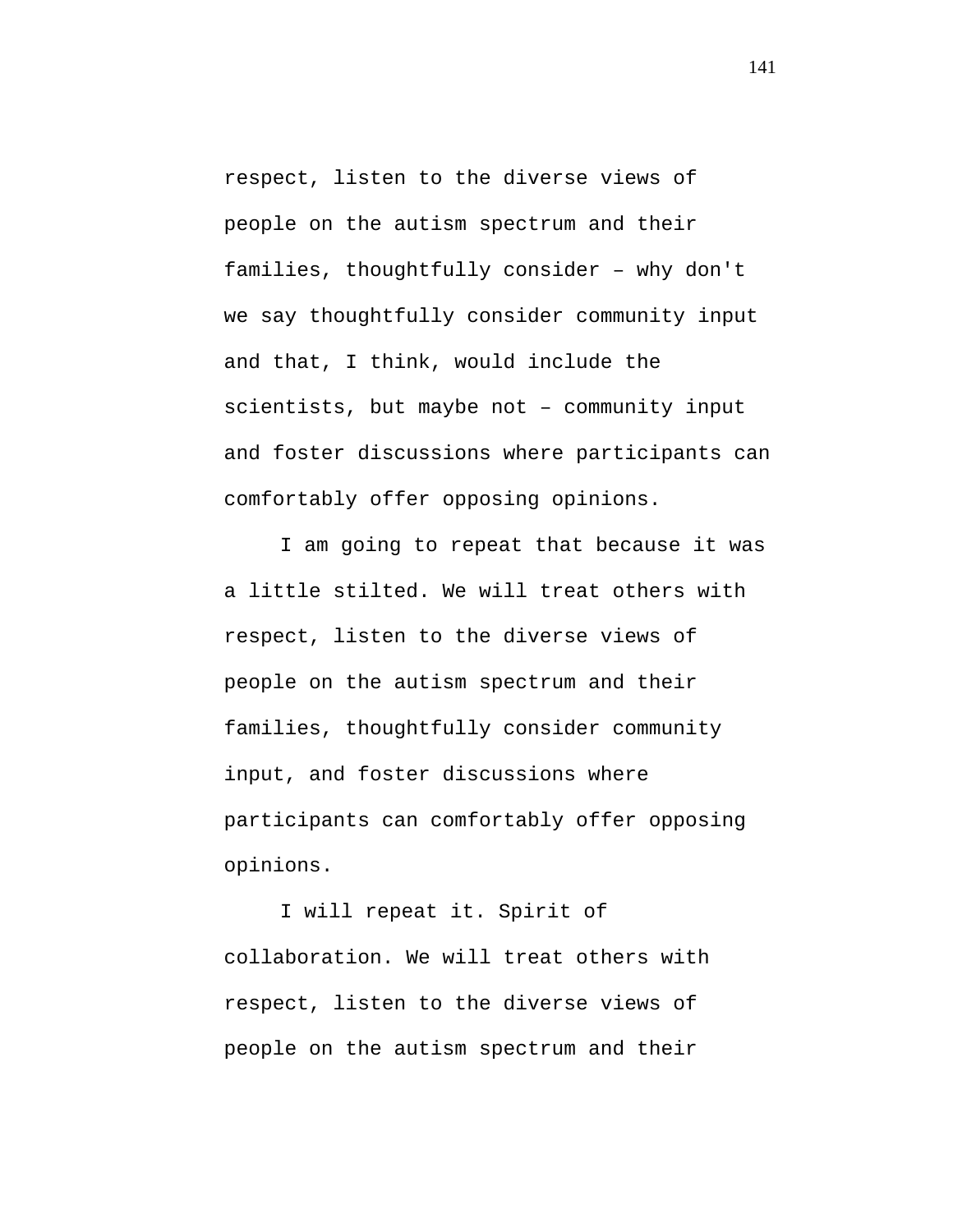respect, listen to the diverse views of people on the autism spectrum and their families, thoughtfully consider – why don't we say thoughtfully consider community input and that, I think, would include the scientists, but maybe not – community input and foster discussions where participants can comfortably offer opposing opinions.

I am going to repeat that because it was a little stilted. We will treat others with respect, listen to the diverse views of people on the autism spectrum and their families, thoughtfully consider community input, and foster discussions where participants can comfortably offer opposing opinions.

I will repeat it. Spirit of collaboration. We will treat others with respect, listen to the diverse views of people on the autism spectrum and their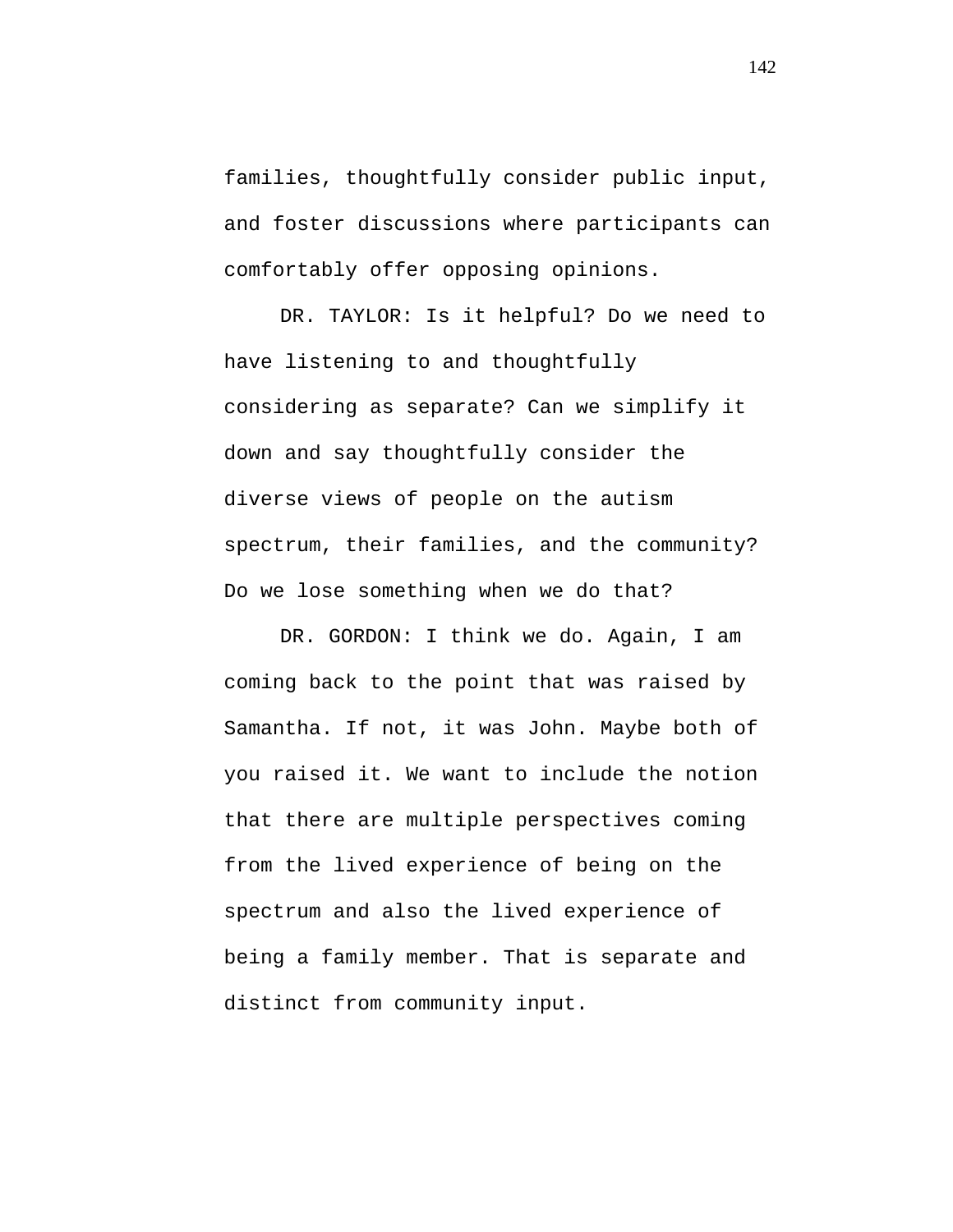families, thoughtfully consider public input, and foster discussions where participants can comfortably offer opposing opinions.

DR. TAYLOR: Is it helpful? Do we need to have listening to and thoughtfully considering as separate? Can we simplify it down and say thoughtfully consider the diverse views of people on the autism spectrum, their families, and the community? Do we lose something when we do that?

DR. GORDON: I think we do. Again, I am coming back to the point that was raised by Samantha. If not, it was John. Maybe both of you raised it. We want to include the notion that there are multiple perspectives coming from the lived experience of being on the spectrum and also the lived experience of being a family member. That is separate and distinct from community input.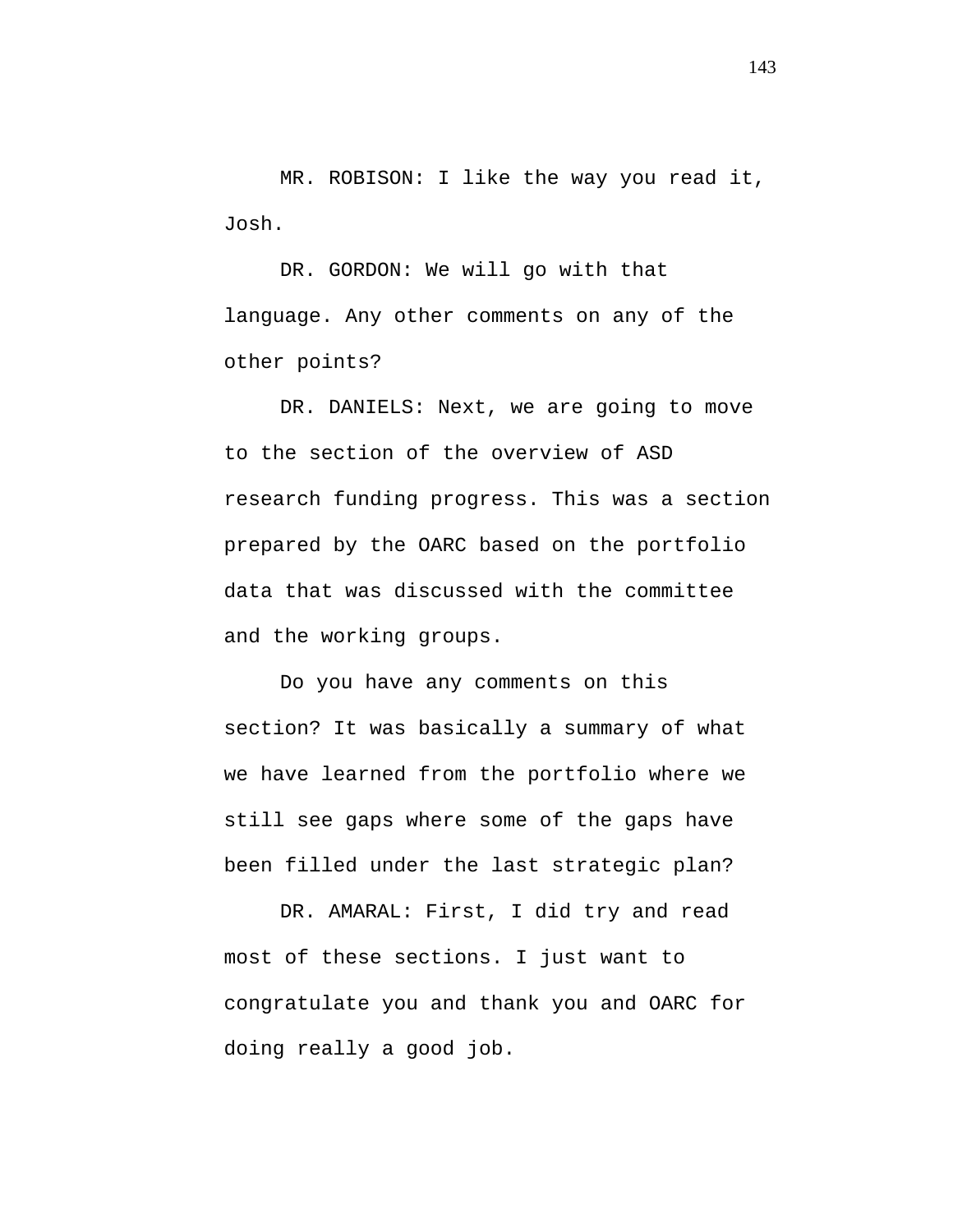MR. ROBISON: I like the way you read it, Josh.

DR. GORDON: We will go with that language. Any other comments on any of the other points?

DR. DANIELS: Next, we are going to move to the section of the overview of ASD research funding progress. This was a section prepared by the OARC based on the portfolio data that was discussed with the committee and the working groups.

Do you have any comments on this section? It was basically a summary of what we have learned from the portfolio where we still see gaps where some of the gaps have been filled under the last strategic plan?

DR. AMARAL: First, I did try and read most of these sections. I just want to congratulate you and thank you and OARC for doing really a good job.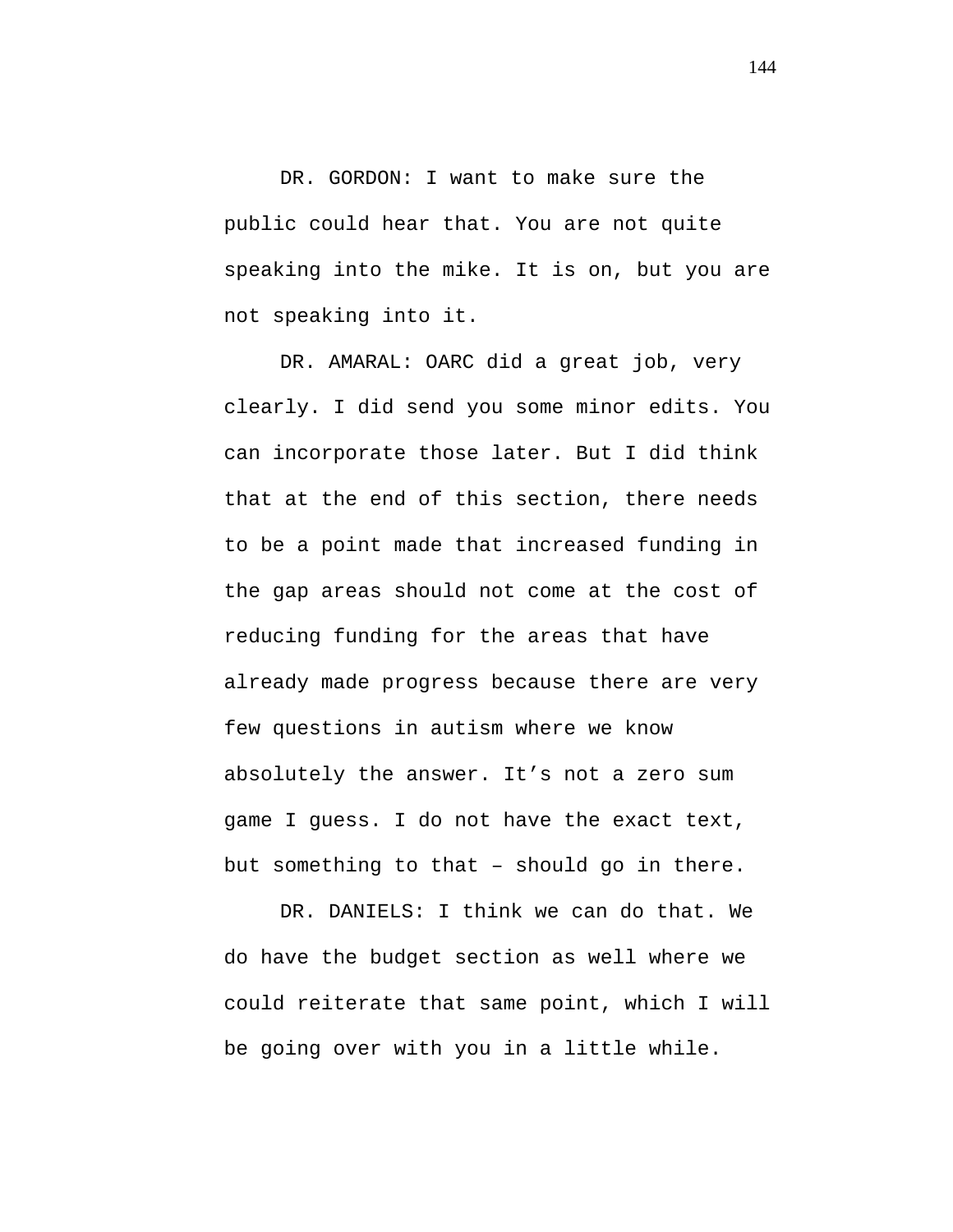DR. GORDON: I want to make sure the public could hear that. You are not quite speaking into the mike. It is on, but you are not speaking into it.

DR. AMARAL: OARC did a great job, very clearly. I did send you some minor edits. You can incorporate those later. But I did think that at the end of this section, there needs to be a point made that increased funding in the gap areas should not come at the cost of reducing funding for the areas that have already made progress because there are very few questions in autism where we know absolutely the answer. It's not a zero sum game I guess. I do not have the exact text, but something to that – should go in there.

DR. DANIELS: I think we can do that. We do have the budget section as well where we could reiterate that same point, which I will be going over with you in a little while.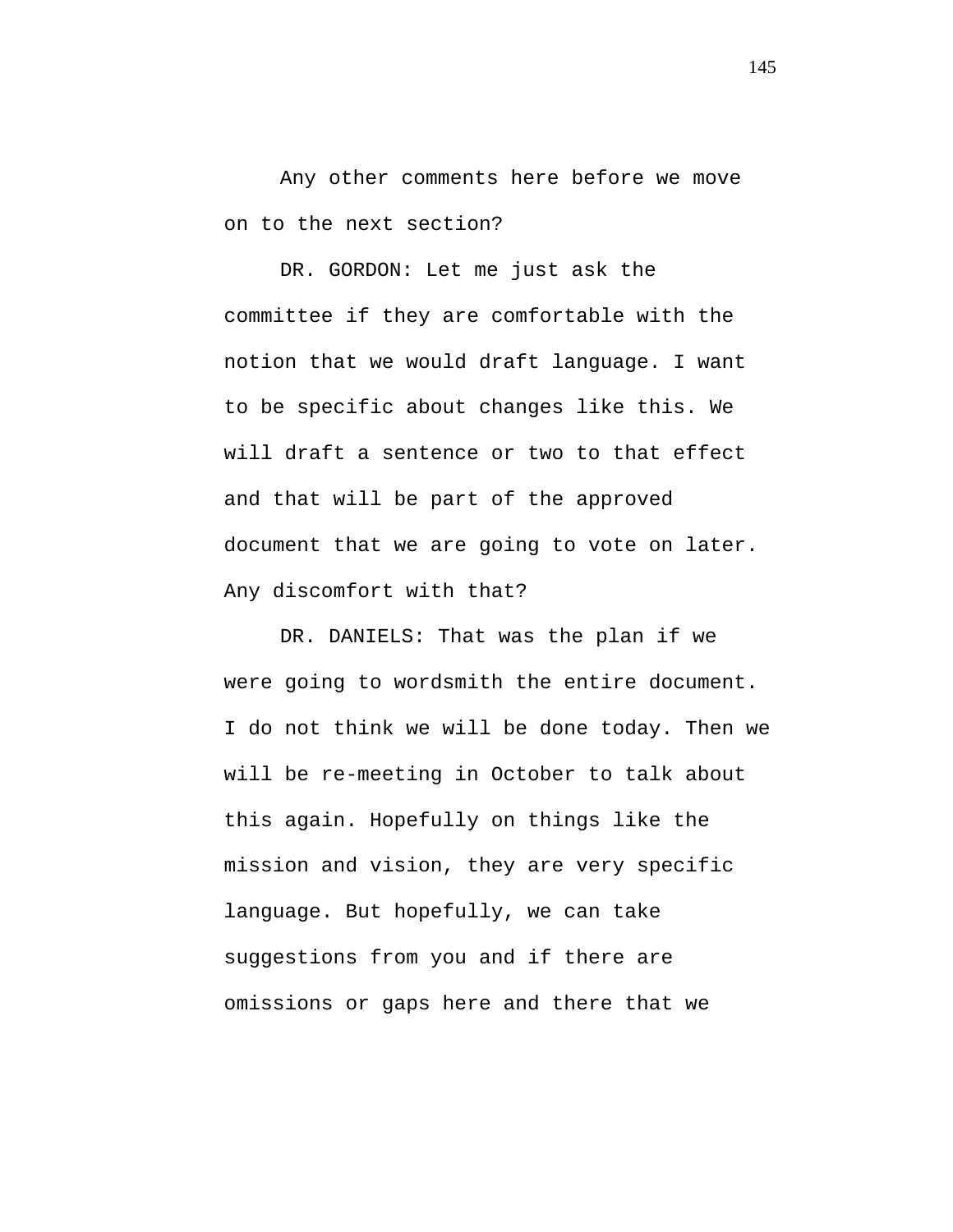Any other comments here before we move on to the next section?

DR. GORDON: Let me just ask the committee if they are comfortable with the notion that we would draft language. I want to be specific about changes like this. We will draft a sentence or two to that effect and that will be part of the approved document that we are going to vote on later. Any discomfort with that?

DR. DANIELS: That was the plan if we were going to wordsmith the entire document. I do not think we will be done today. Then we will be re-meeting in October to talk about this again. Hopefully on things like the mission and vision, they are very specific language. But hopefully, we can take suggestions from you and if there are omissions or gaps here and there that we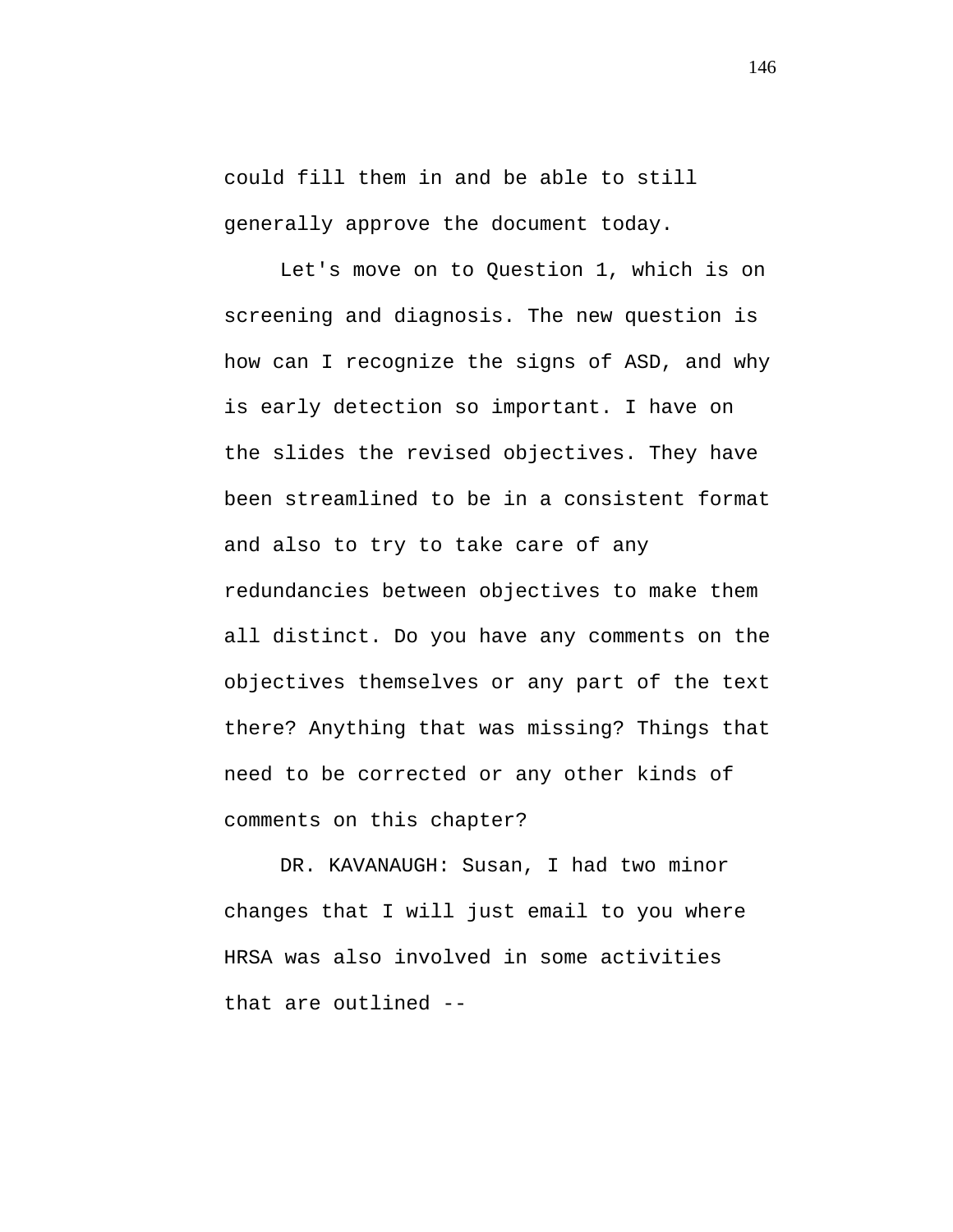could fill them in and be able to still generally approve the document today.

Let's move on to Question 1, which is on screening and diagnosis. The new question is how can I recognize the signs of ASD, and why is early detection so important. I have on the slides the revised objectives. They have been streamlined to be in a consistent format and also to try to take care of any redundancies between objectives to make them all distinct. Do you have any comments on the objectives themselves or any part of the text there? Anything that was missing? Things that need to be corrected or any other kinds of comments on this chapter?

DR. KAVANAUGH: Susan, I had two minor changes that I will just email to you where HRSA was also involved in some activities that are outlined --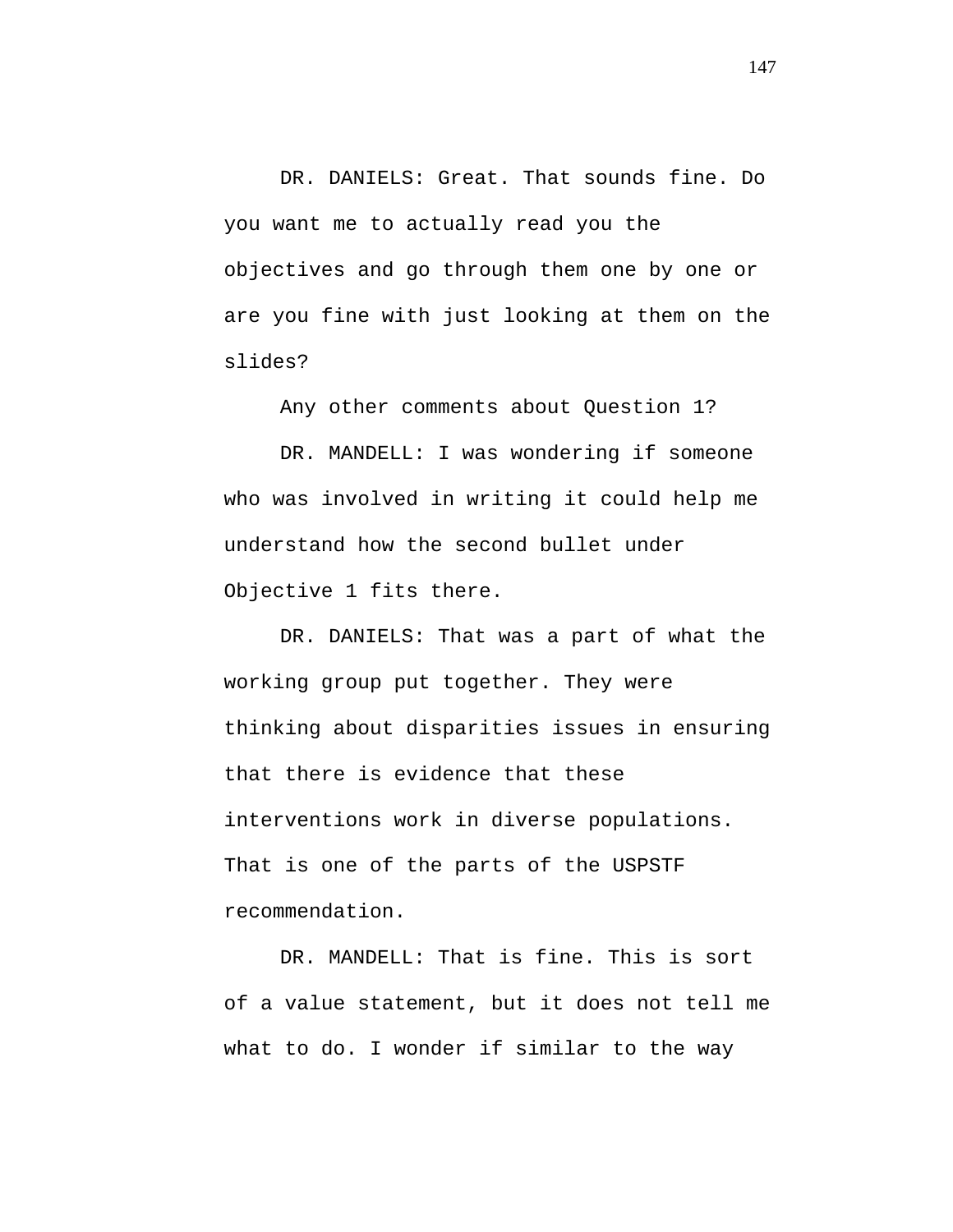DR. DANIELS: Great. That sounds fine. Do you want me to actually read you the objectives and go through them one by one or are you fine with just looking at them on the slides?

Any other comments about Question 1?

DR. MANDELL: I was wondering if someone who was involved in writing it could help me understand how the second bullet under Objective 1 fits there.

DR. DANIELS: That was a part of what the working group put together. They were thinking about disparities issues in ensuring that there is evidence that these interventions work in diverse populations. That is one of the parts of the USPSTF recommendation.

DR. MANDELL: That is fine. This is sort of a value statement, but it does not tell me what to do. I wonder if similar to the way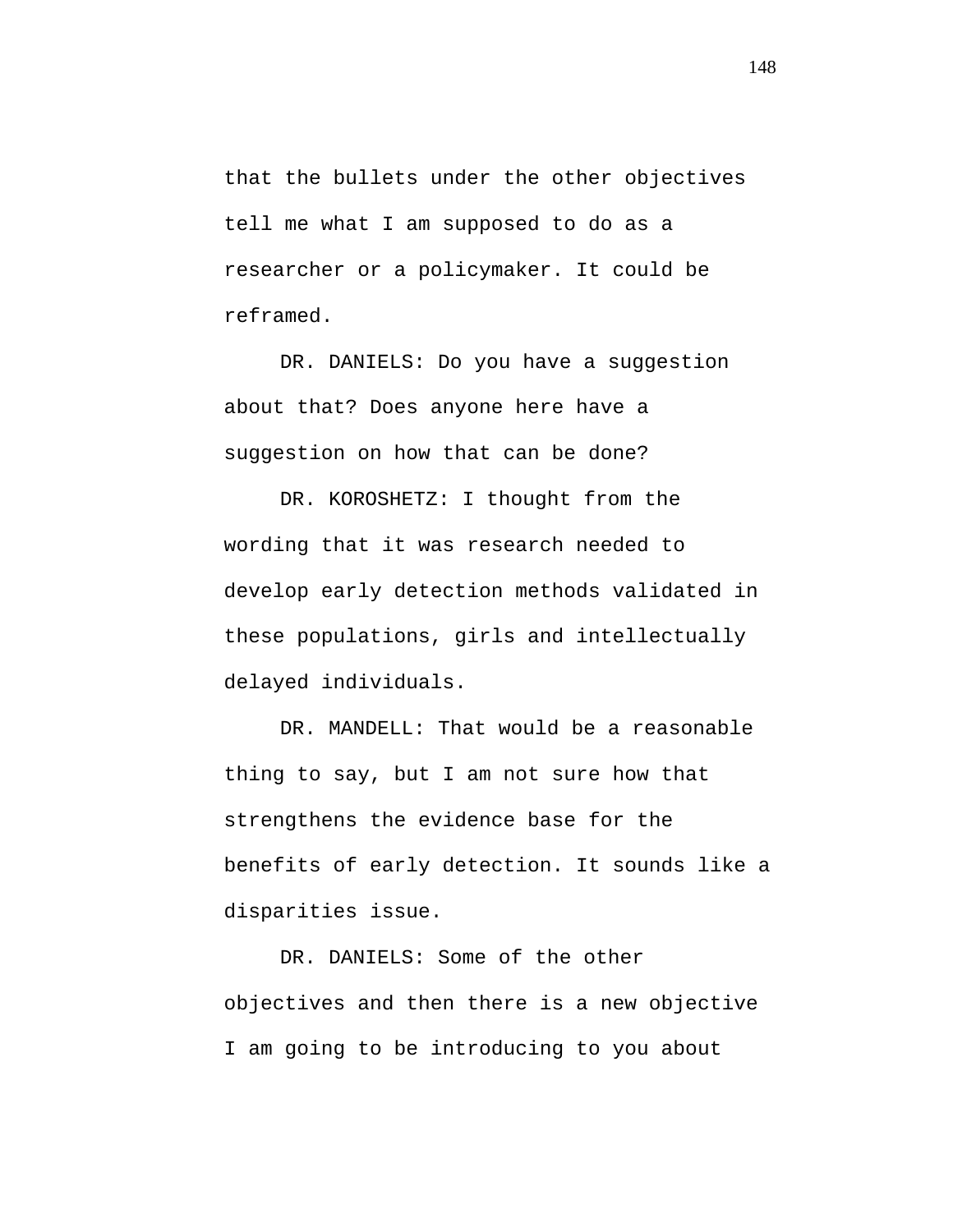that the bullets under the other objectives tell me what I am supposed to do as a researcher or a policymaker. It could be reframed.

DR. DANIELS: Do you have a suggestion about that? Does anyone here have a suggestion on how that can be done?

DR. KOROSHETZ: I thought from the wording that it was research needed to develop early detection methods validated in these populations, girls and intellectually delayed individuals.

DR. MANDELL: That would be a reasonable thing to say, but I am not sure how that strengthens the evidence base for the benefits of early detection. It sounds like a disparities issue.

DR. DANIELS: Some of the other objectives and then there is a new objective I am going to be introducing to you about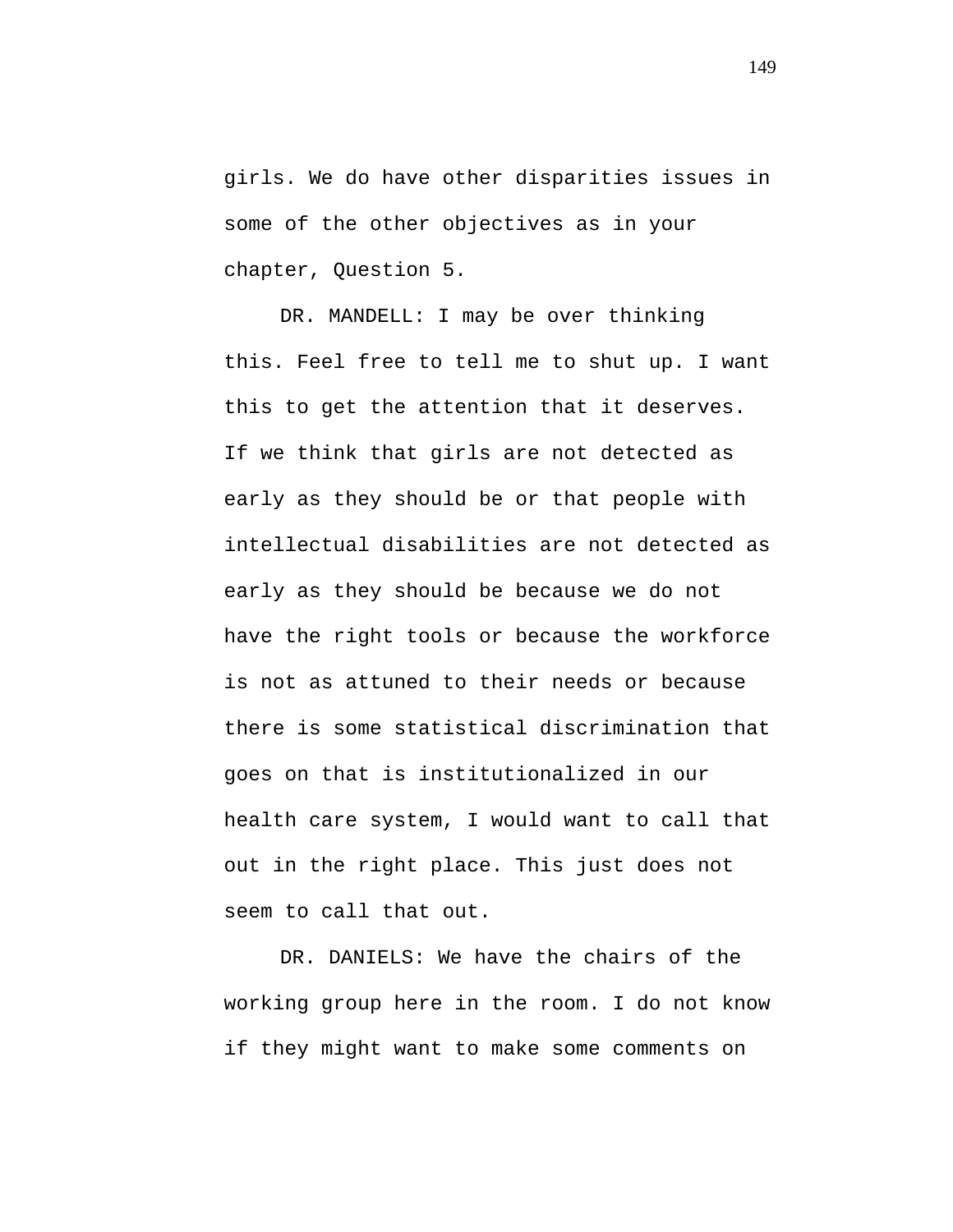girls. We do have other disparities issues in some of the other objectives as in your chapter, Question 5.

DR. MANDELL: I may be over thinking this. Feel free to tell me to shut up. I want this to get the attention that it deserves. If we think that girls are not detected as early as they should be or that people with intellectual disabilities are not detected as early as they should be because we do not have the right tools or because the workforce is not as attuned to their needs or because there is some statistical discrimination that goes on that is institutionalized in our health care system, I would want to call that out in the right place. This just does not seem to call that out.

DR. DANIELS: We have the chairs of the working group here in the room. I do not know if they might want to make some comments on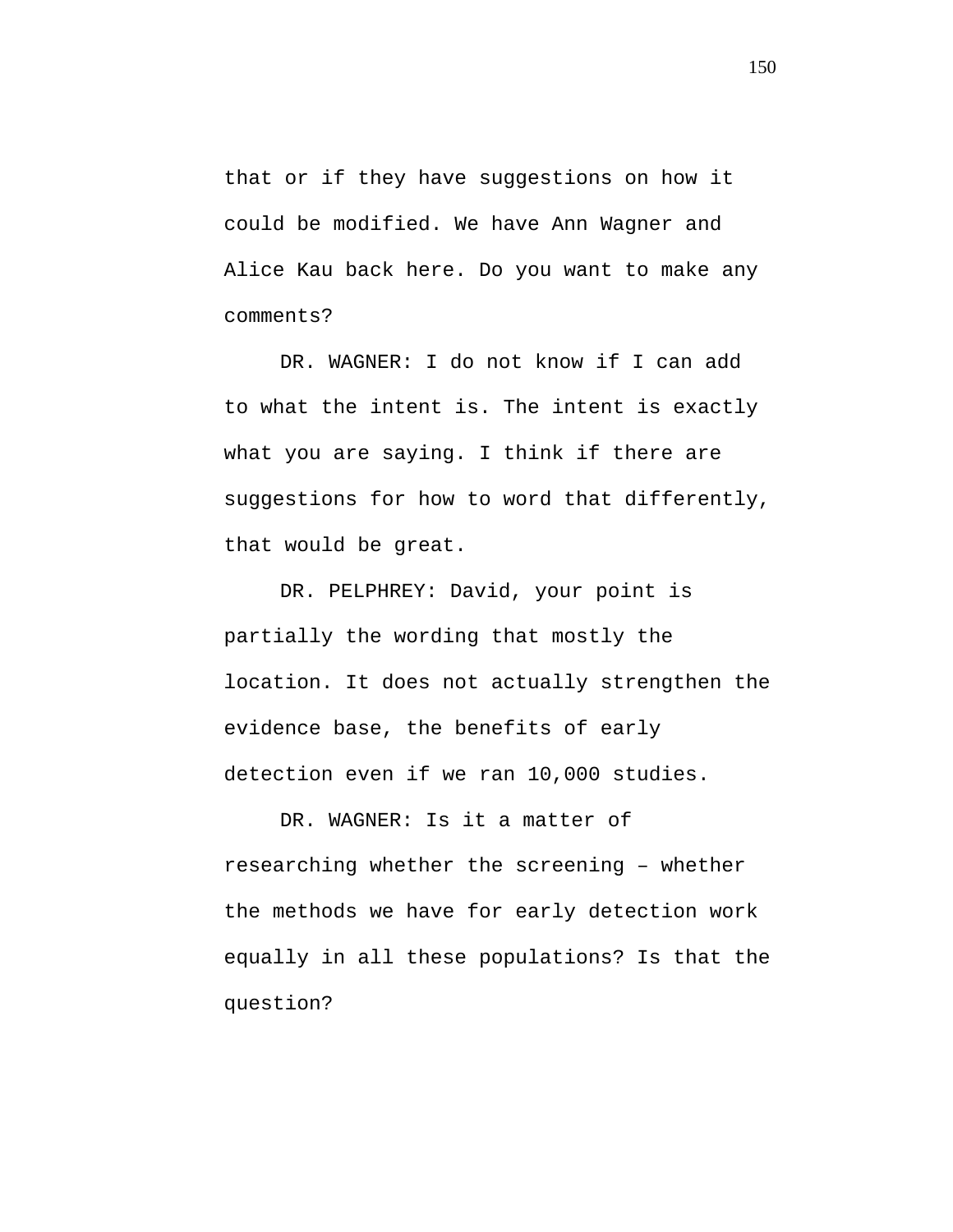that or if they have suggestions on how it could be modified. We have Ann Wagner and Alice Kau back here. Do you want to make any comments?

DR. WAGNER: I do not know if I can add to what the intent is. The intent is exactly what you are saying. I think if there are suggestions for how to word that differently, that would be great.

DR. PELPHREY: David, your point is partially the wording that mostly the location. It does not actually strengthen the evidence base, the benefits of early detection even if we ran 10,000 studies.

DR. WAGNER: Is it a matter of researching whether the screening – whether the methods we have for early detection work equally in all these populations? Is that the question?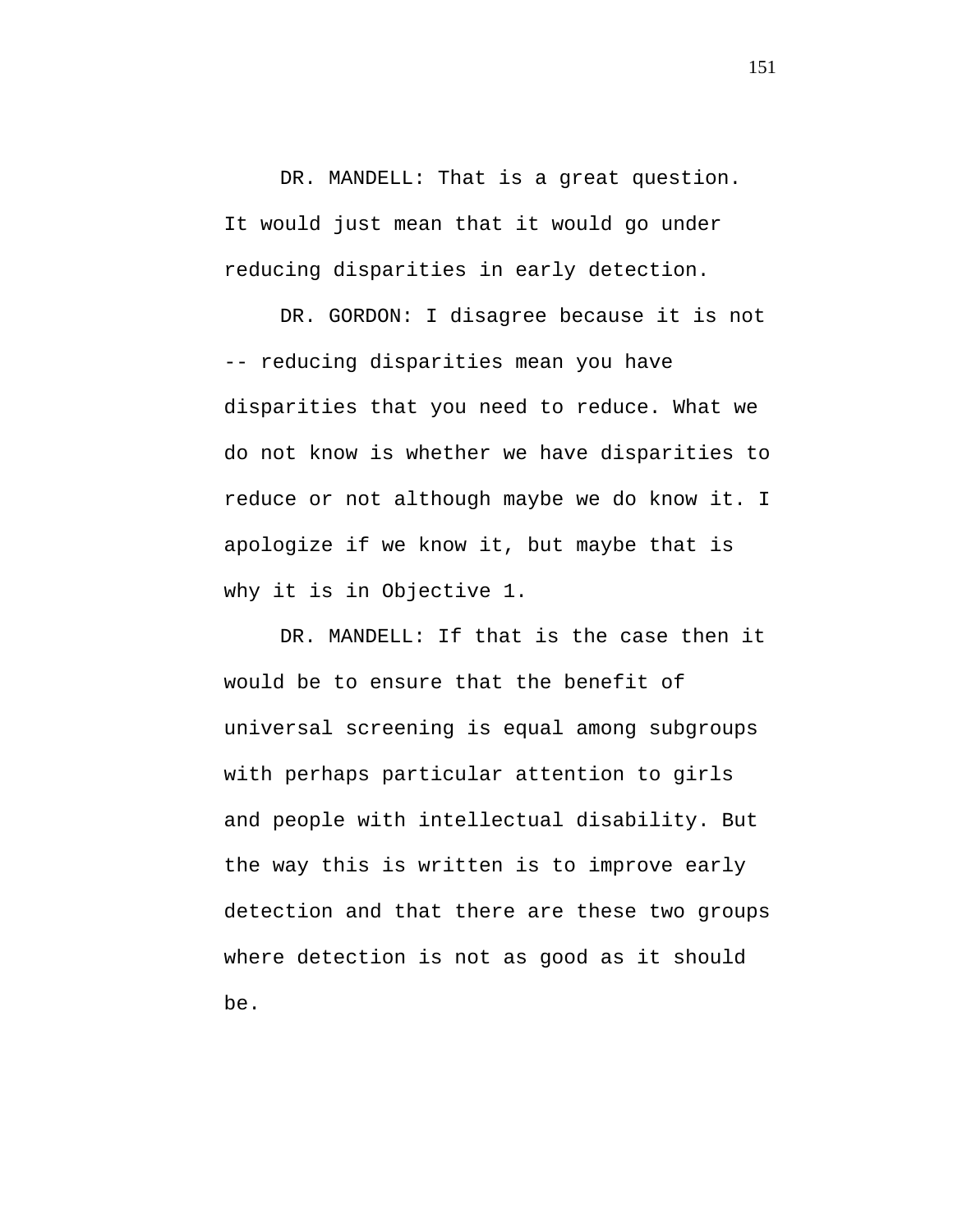DR. MANDELL: That is a great question. It would just mean that it would go under reducing disparities in early detection.

DR. GORDON: I disagree because it is not -- reducing disparities mean you have disparities that you need to reduce. What we do not know is whether we have disparities to reduce or not although maybe we do know it. I apologize if we know it, but maybe that is why it is in Objective 1.

DR. MANDELL: If that is the case then it would be to ensure that the benefit of universal screening is equal among subgroups with perhaps particular attention to girls and people with intellectual disability. But the way this is written is to improve early detection and that there are these two groups where detection is not as good as it should be.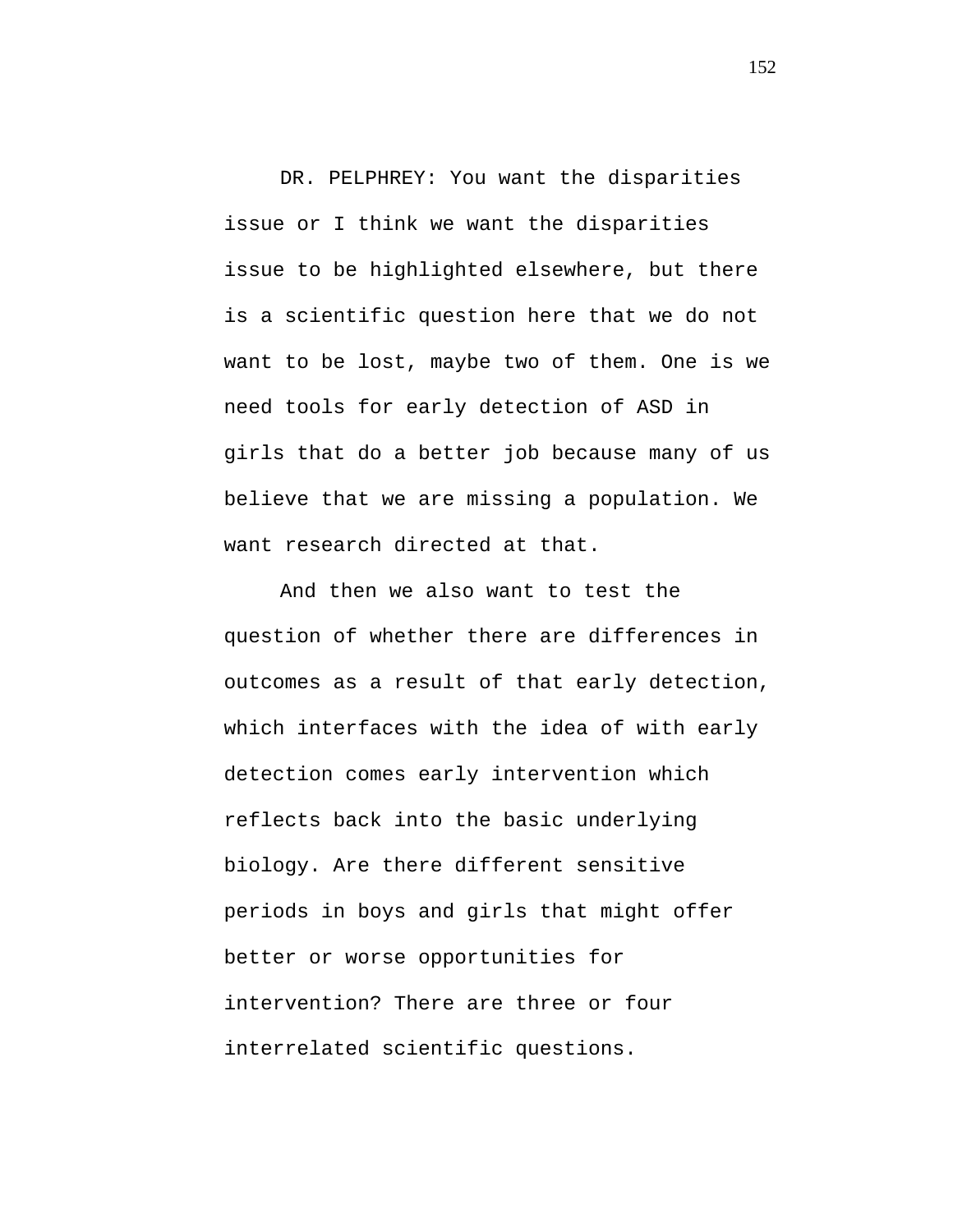DR. PELPHREY: You want the disparities issue or I think we want the disparities issue to be highlighted elsewhere, but there is a scientific question here that we do not want to be lost, maybe two of them. One is we need tools for early detection of ASD in girls that do a better job because many of us believe that we are missing a population. We want research directed at that.

And then we also want to test the question of whether there are differences in outcomes as a result of that early detection, which interfaces with the idea of with early detection comes early intervention which reflects back into the basic underlying biology. Are there different sensitive periods in boys and girls that might offer better or worse opportunities for intervention? There are three or four interrelated scientific questions.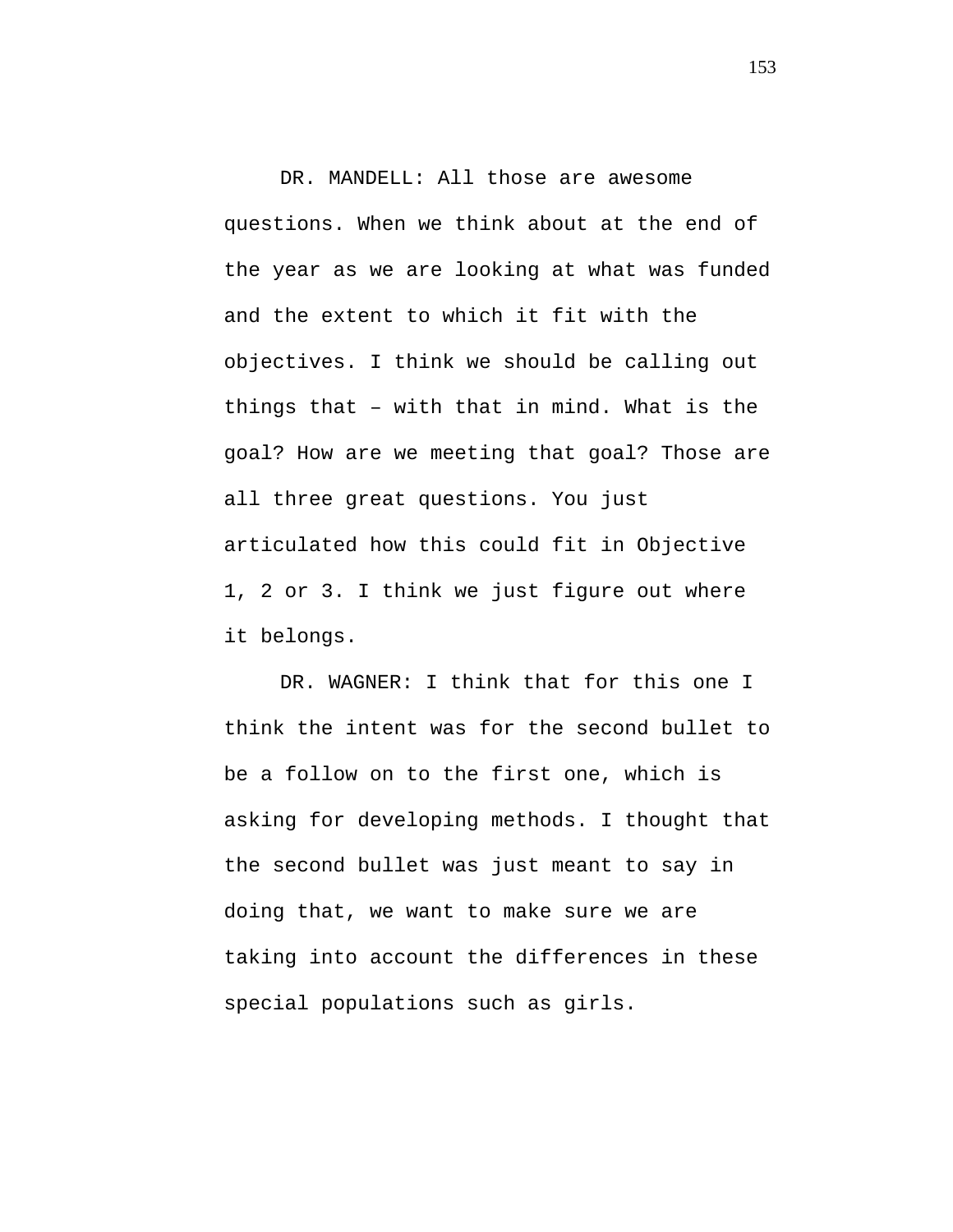DR. MANDELL: All those are awesome questions. When we think about at the end of the year as we are looking at what was funded and the extent to which it fit with the objectives. I think we should be calling out things that – with that in mind. What is the goal? How are we meeting that goal? Those are all three great questions. You just articulated how this could fit in Objective 1, 2 or 3. I think we just figure out where it belongs.

DR. WAGNER: I think that for this one I think the intent was for the second bullet to be a follow on to the first one, which is asking for developing methods. I thought that the second bullet was just meant to say in doing that, we want to make sure we are taking into account the differences in these special populations such as girls.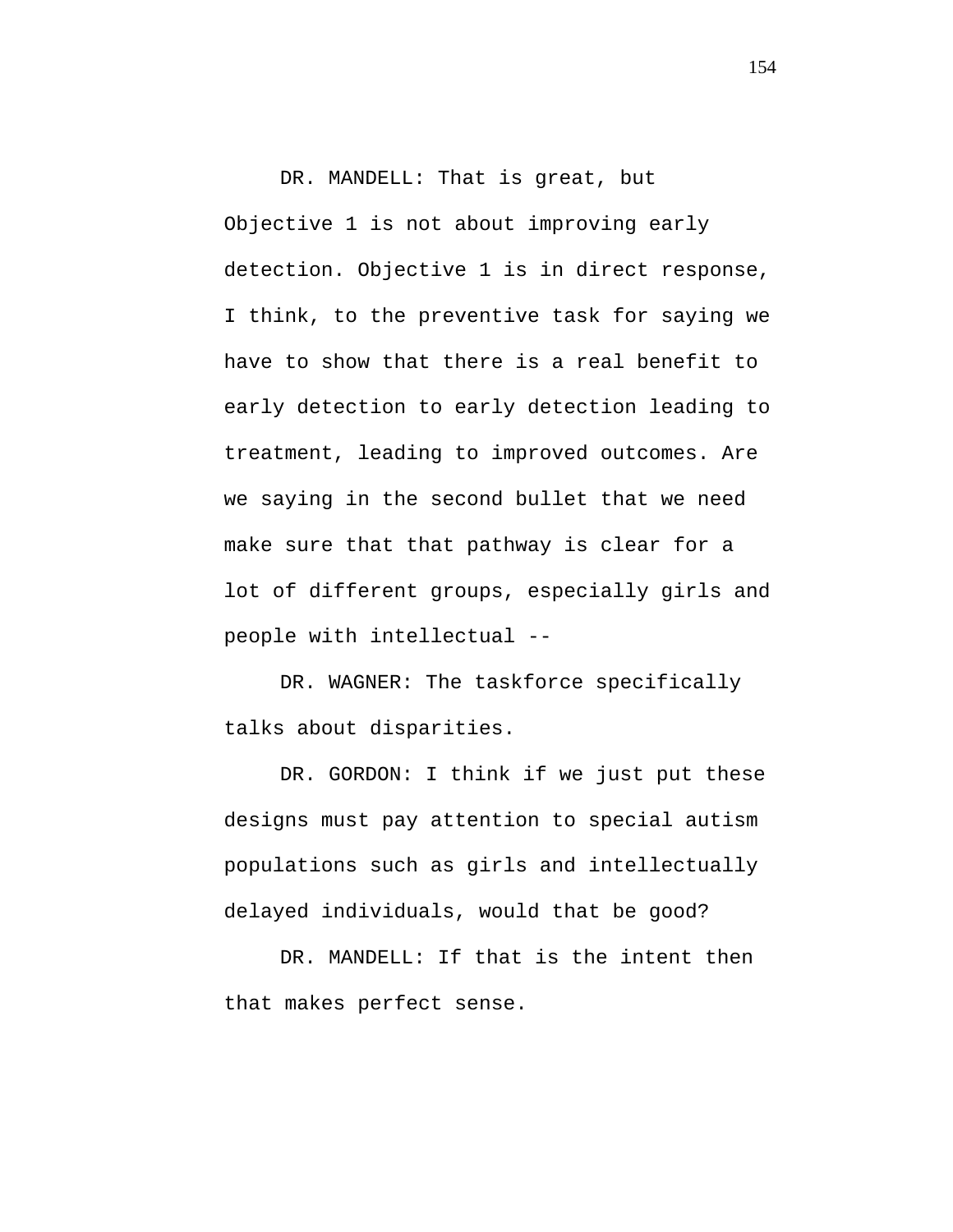DR. MANDELL: That is great, but Objective 1 is not about improving early detection. Objective 1 is in direct response, I think, to the preventive task for saying we have to show that there is a real benefit to early detection to early detection leading to treatment, leading to improved outcomes. Are we saying in the second bullet that we need make sure that that pathway is clear for a lot of different groups, especially girls and people with intellectual --

DR. WAGNER: The taskforce specifically talks about disparities.

DR. GORDON: I think if we just put these designs must pay attention to special autism populations such as girls and intellectually delayed individuals, would that be good?

DR. MANDELL: If that is the intent then that makes perfect sense.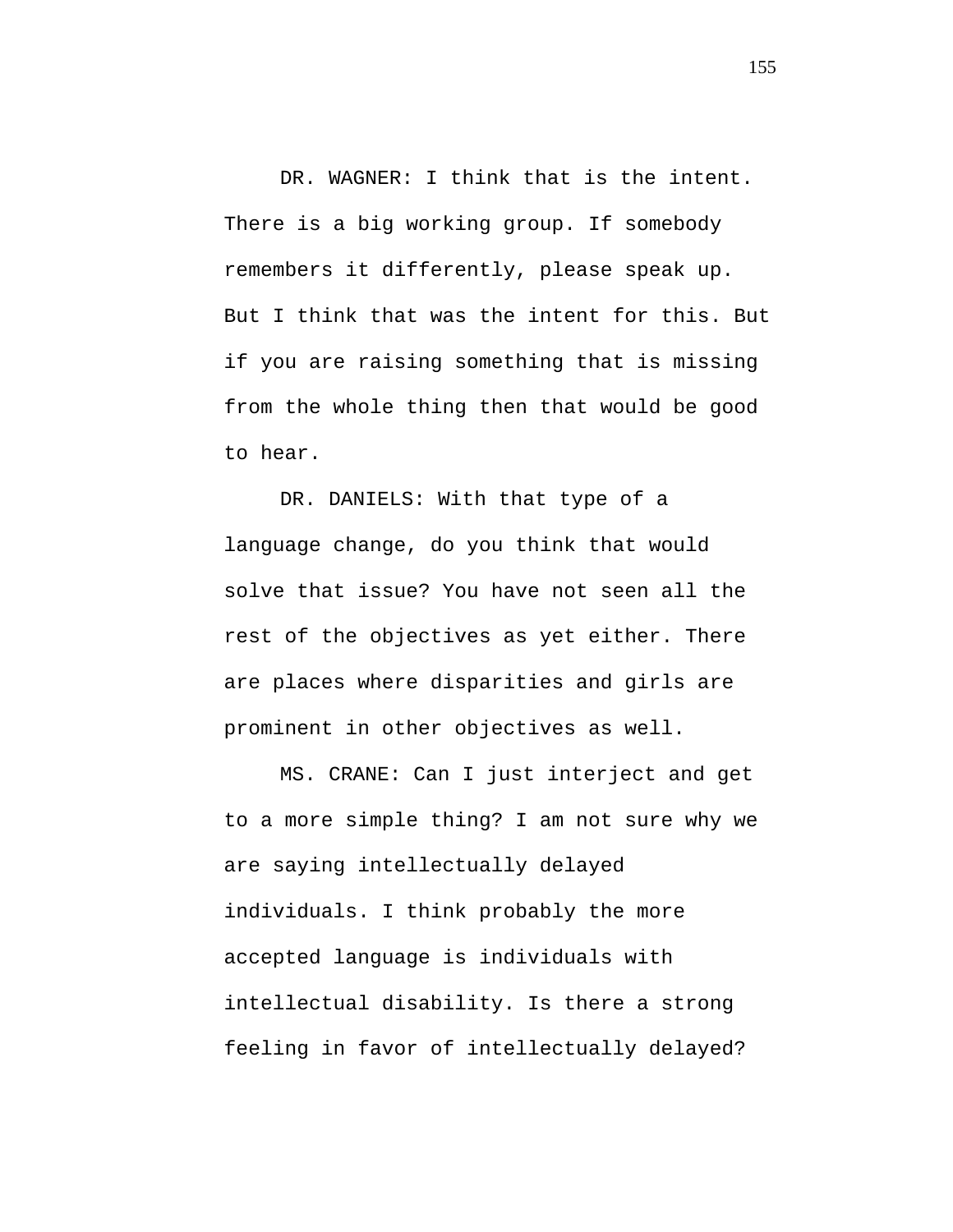DR. WAGNER: I think that is the intent. There is a big working group. If somebody remembers it differently, please speak up. But I think that was the intent for this. But if you are raising something that is missing from the whole thing then that would be good to hear.

DR. DANIELS: With that type of a language change, do you think that would solve that issue? You have not seen all the rest of the objectives as yet either. There are places where disparities and girls are prominent in other objectives as well.

MS. CRANE: Can I just interject and get to a more simple thing? I am not sure why we are saying intellectually delayed individuals. I think probably the more accepted language is individuals with intellectual disability. Is there a strong feeling in favor of intellectually delayed?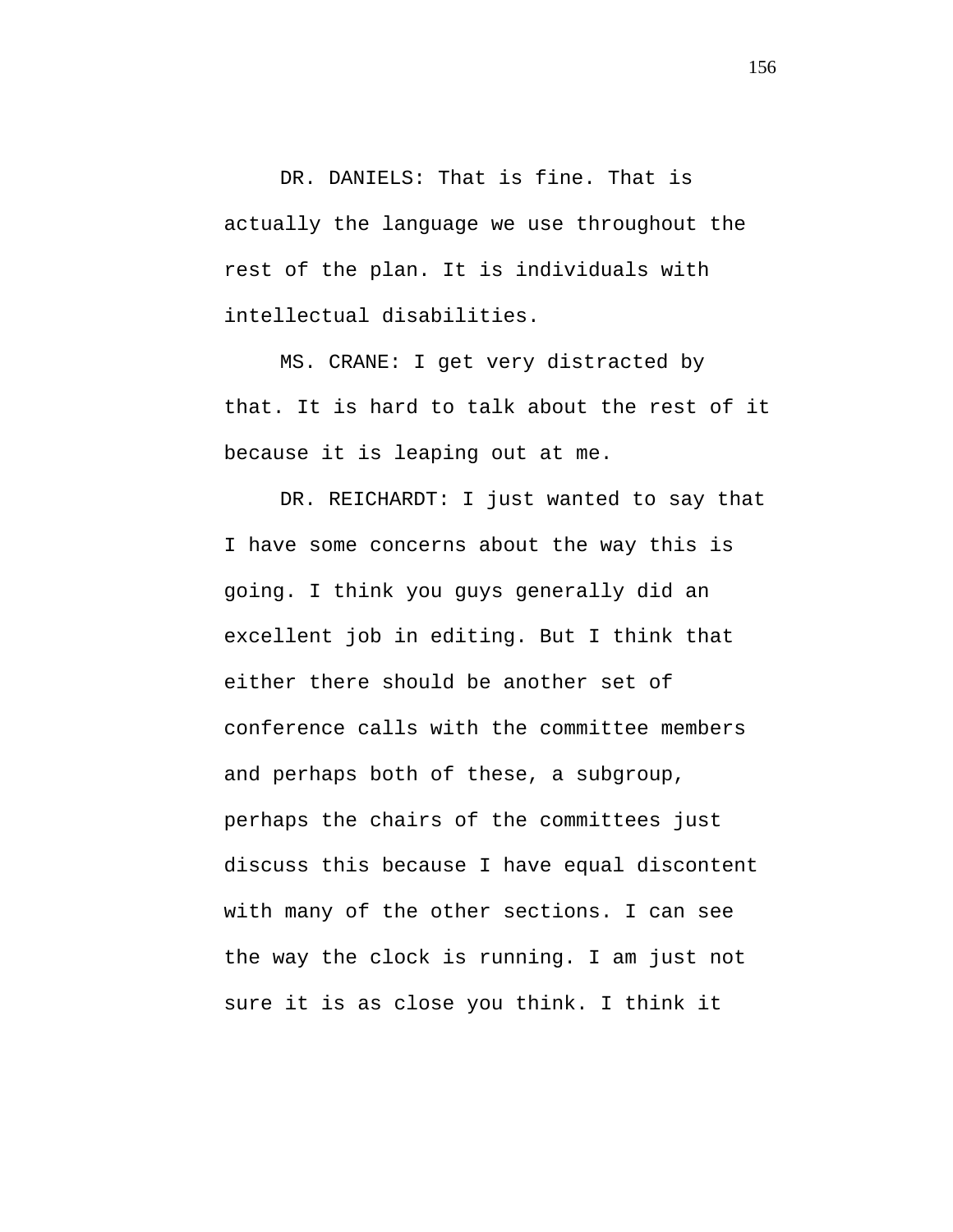DR. DANIELS: That is fine. That is actually the language we use throughout the rest of the plan. It is individuals with intellectual disabilities.

MS. CRANE: I get very distracted by that. It is hard to talk about the rest of it because it is leaping out at me.

DR. REICHARDT: I just wanted to say that I have some concerns about the way this is going. I think you guys generally did an excellent job in editing. But I think that either there should be another set of conference calls with the committee members and perhaps both of these, a subgroup, perhaps the chairs of the committees just discuss this because I have equal discontent with many of the other sections. I can see the way the clock is running. I am just not sure it is as close you think. I think it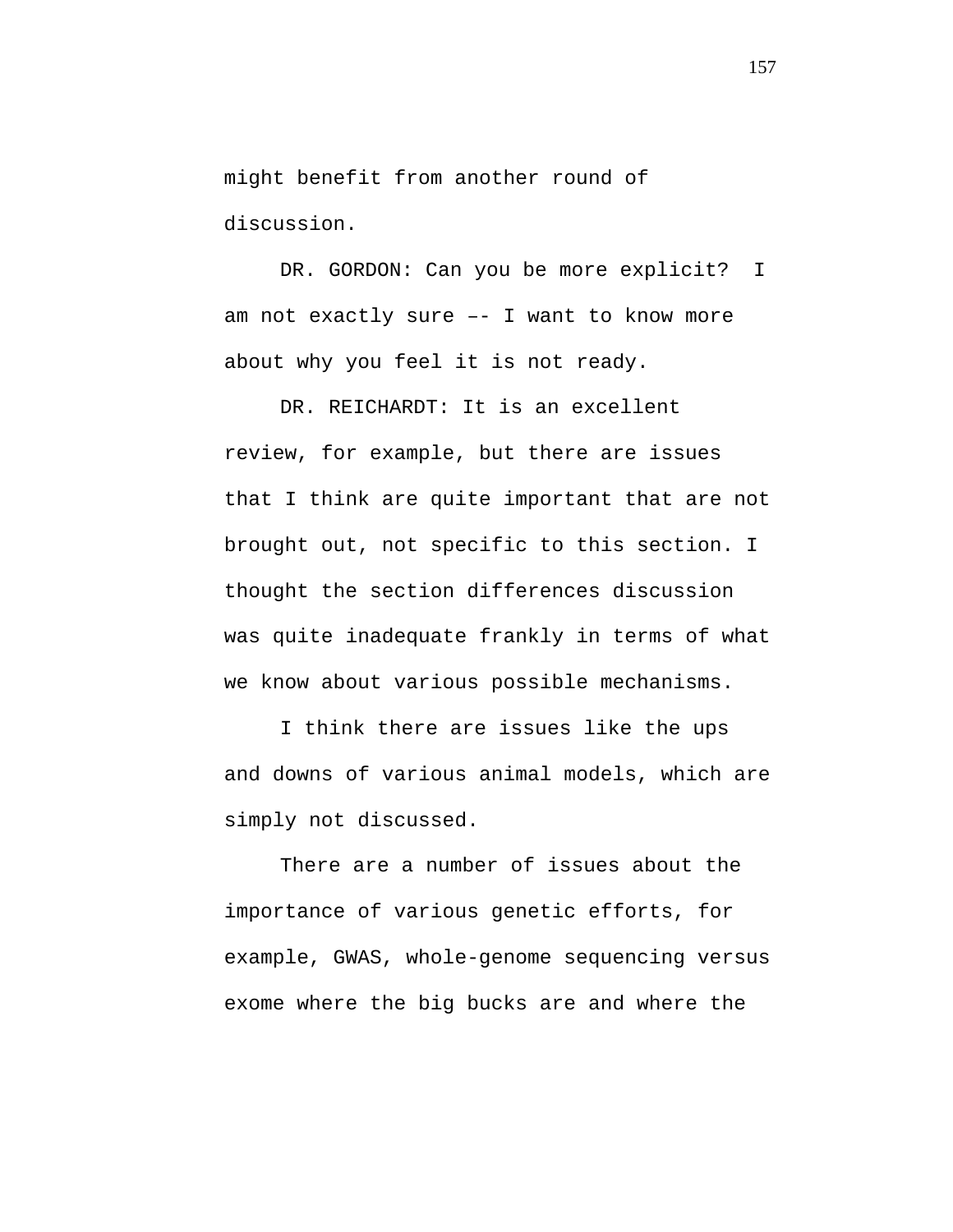might benefit from another round of discussion.

DR. GORDON: Can you be more explicit? I am not exactly sure –- I want to know more about why you feel it is not ready.

DR. REICHARDT: It is an excellent review, for example, but there are issues that I think are quite important that are not brought out, not specific to this section. I thought the section differences discussion was quite inadequate frankly in terms of what we know about various possible mechanisms.

I think there are issues like the ups and downs of various animal models, which are simply not discussed.

There are a number of issues about the importance of various genetic efforts, for example, GWAS, whole-genome sequencing versus exome where the big bucks are and where the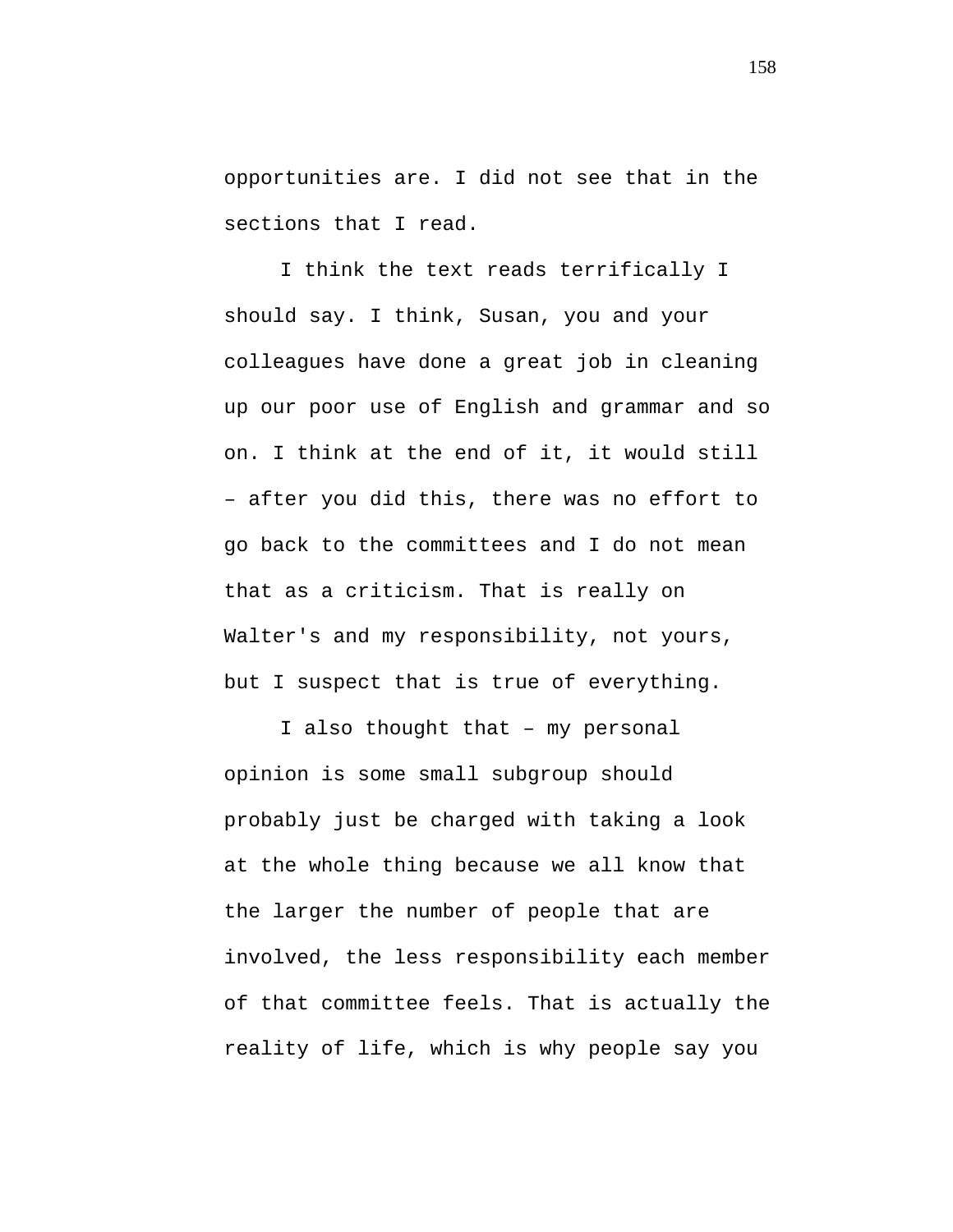opportunities are. I did not see that in the sections that I read.

I think the text reads terrifically I should say. I think, Susan, you and your colleagues have done a great job in cleaning up our poor use of English and grammar and so on. I think at the end of it, it would still – after you did this, there was no effort to go back to the committees and I do not mean that as a criticism. That is really on Walter's and my responsibility, not yours, but I suspect that is true of everything.

I also thought that – my personal opinion is some small subgroup should probably just be charged with taking a look at the whole thing because we all know that the larger the number of people that are involved, the less responsibility each member of that committee feels. That is actually the reality of life, which is why people say you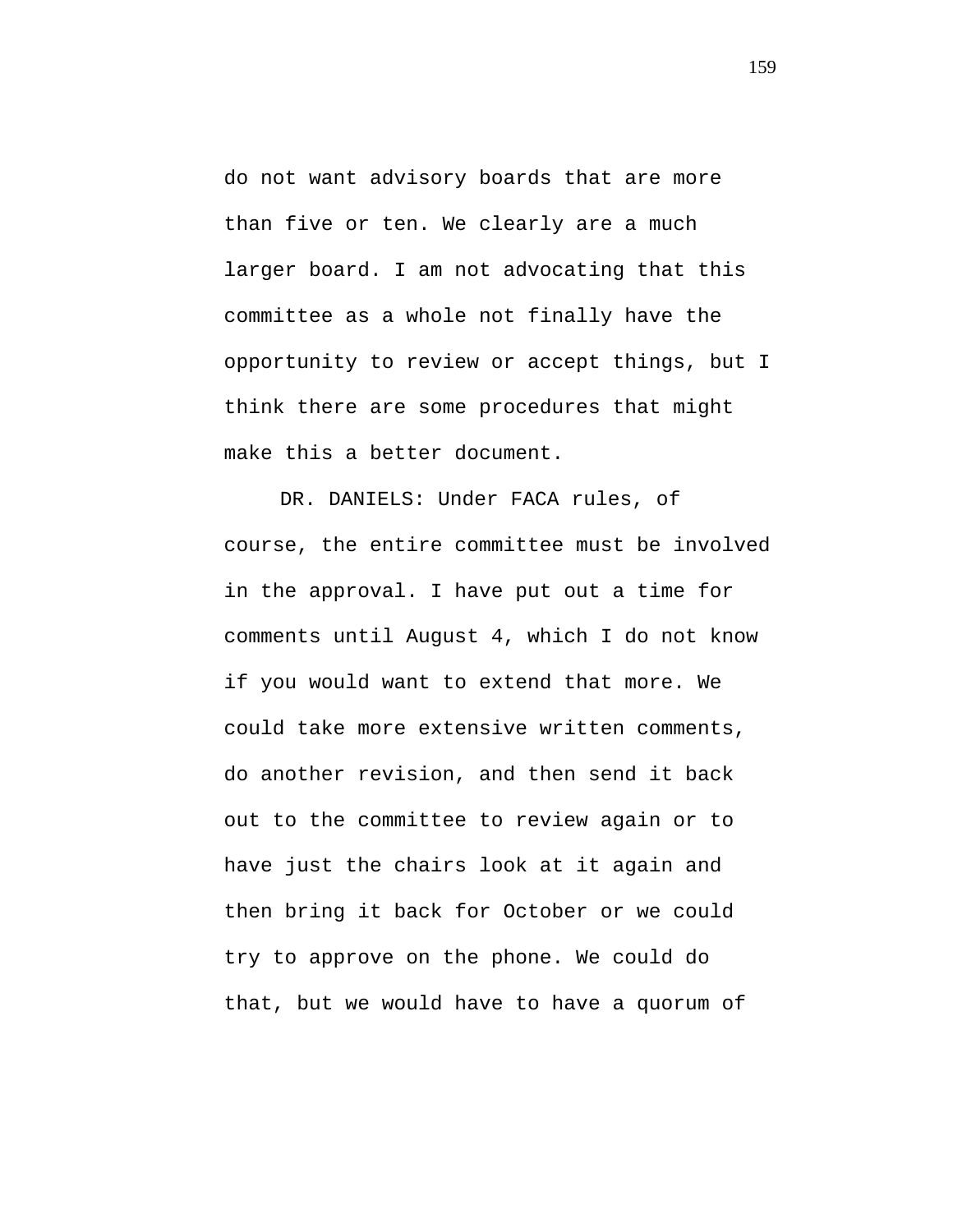do not want advisory boards that are more than five or ten. We clearly are a much larger board. I am not advocating that this committee as a whole not finally have the opportunity to review or accept things, but I think there are some procedures that might make this a better document.

DR. DANIELS: Under FACA rules, of course, the entire committee must be involved in the approval. I have put out a time for comments until August 4, which I do not know if you would want to extend that more. We could take more extensive written comments, do another revision, and then send it back out to the committee to review again or to have just the chairs look at it again and then bring it back for October or we could try to approve on the phone. We could do that, but we would have to have a quorum of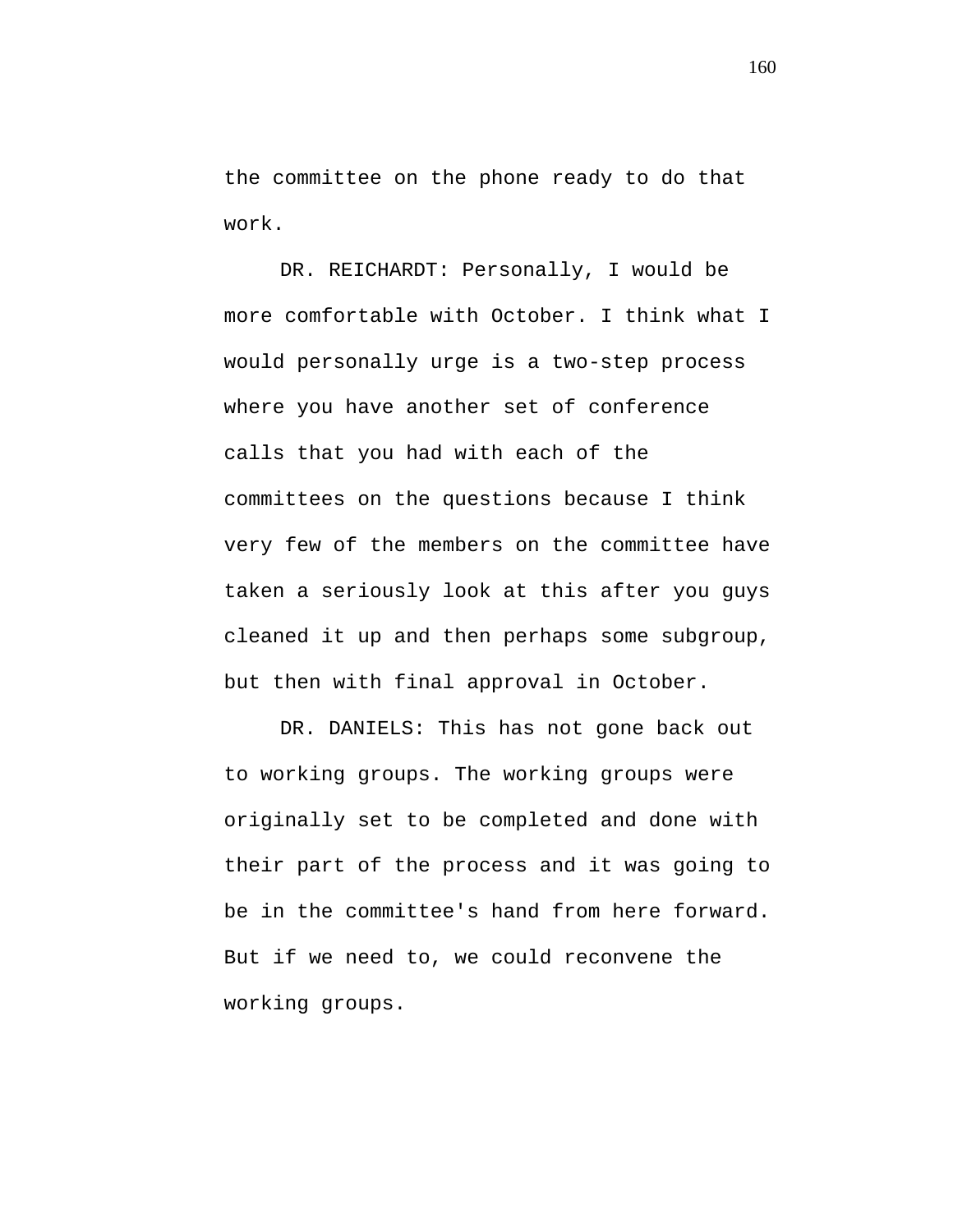the committee on the phone ready to do that work.

DR. REICHARDT: Personally, I would be more comfortable with October. I think what I would personally urge is a two-step process where you have another set of conference calls that you had with each of the committees on the questions because I think very few of the members on the committee have taken a seriously look at this after you guys cleaned it up and then perhaps some subgroup, but then with final approval in October.

DR. DANIELS: This has not gone back out to working groups. The working groups were originally set to be completed and done with their part of the process and it was going to be in the committee's hand from here forward. But if we need to, we could reconvene the working groups.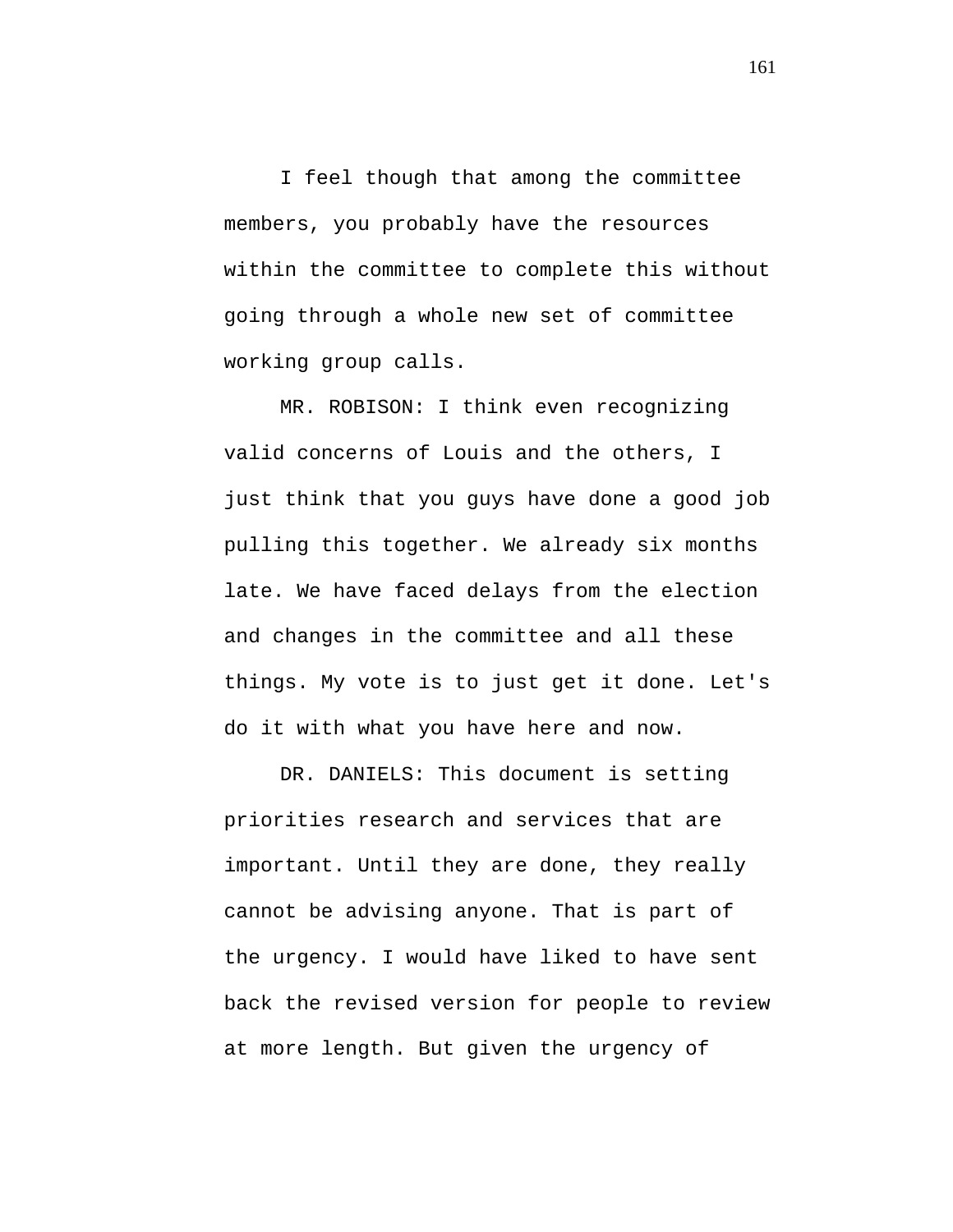I feel though that among the committee members, you probably have the resources within the committee to complete this without going through a whole new set of committee working group calls.

MR. ROBISON: I think even recognizing valid concerns of Louis and the others, I just think that you guys have done a good job pulling this together. We already six months late. We have faced delays from the election and changes in the committee and all these things. My vote is to just get it done. Let's do it with what you have here and now.

DR. DANIELS: This document is setting priorities research and services that are important. Until they are done, they really cannot be advising anyone. That is part of the urgency. I would have liked to have sent back the revised version for people to review at more length. But given the urgency of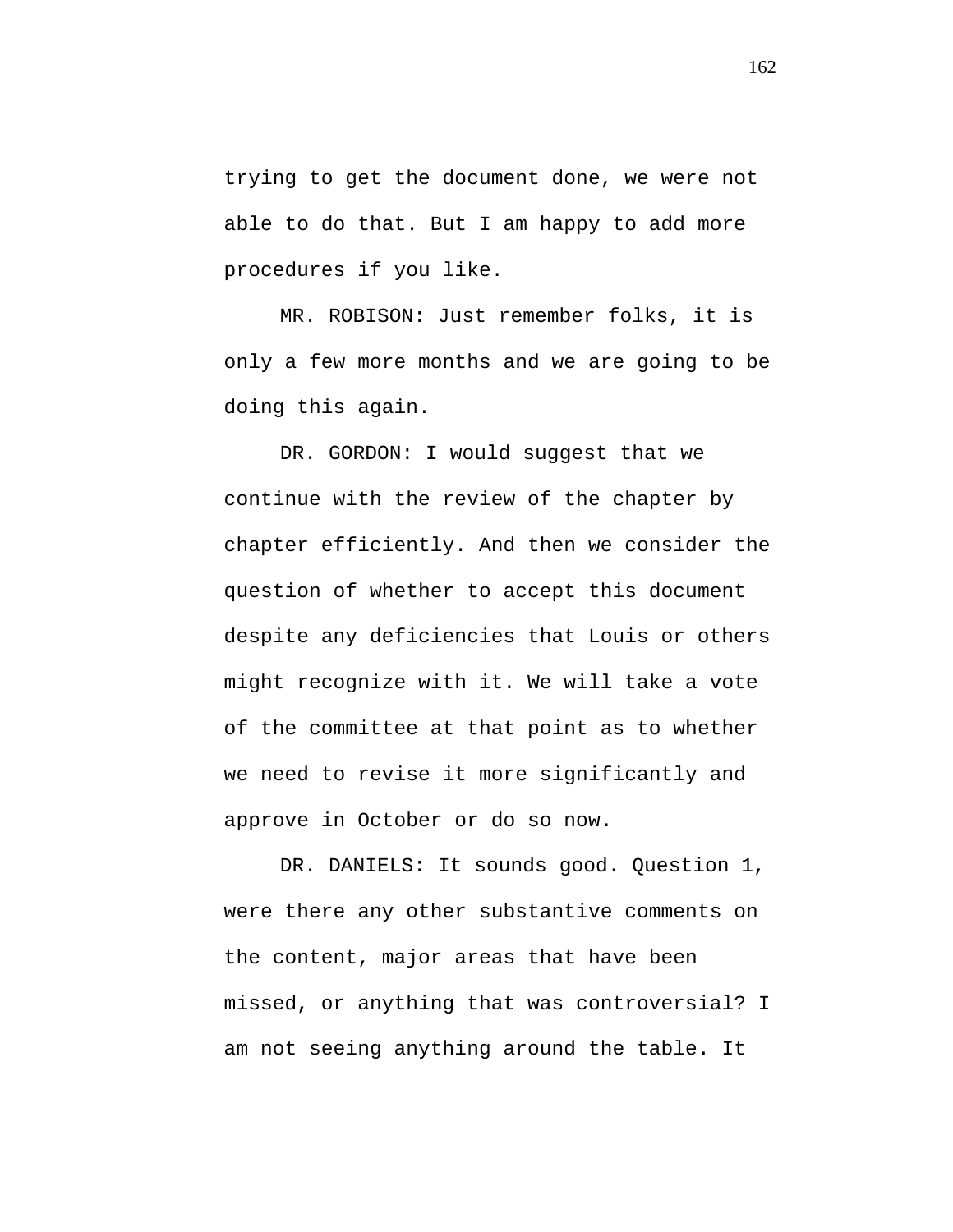trying to get the document done, we were not able to do that. But I am happy to add more procedures if you like.

MR. ROBISON: Just remember folks, it is only a few more months and we are going to be doing this again.

DR. GORDON: I would suggest that we continue with the review of the chapter by chapter efficiently. And then we consider the question of whether to accept this document despite any deficiencies that Louis or others might recognize with it. We will take a vote of the committee at that point as to whether we need to revise it more significantly and approve in October or do so now.

DR. DANIELS: It sounds good. Question 1, were there any other substantive comments on the content, major areas that have been missed, or anything that was controversial? I am not seeing anything around the table. It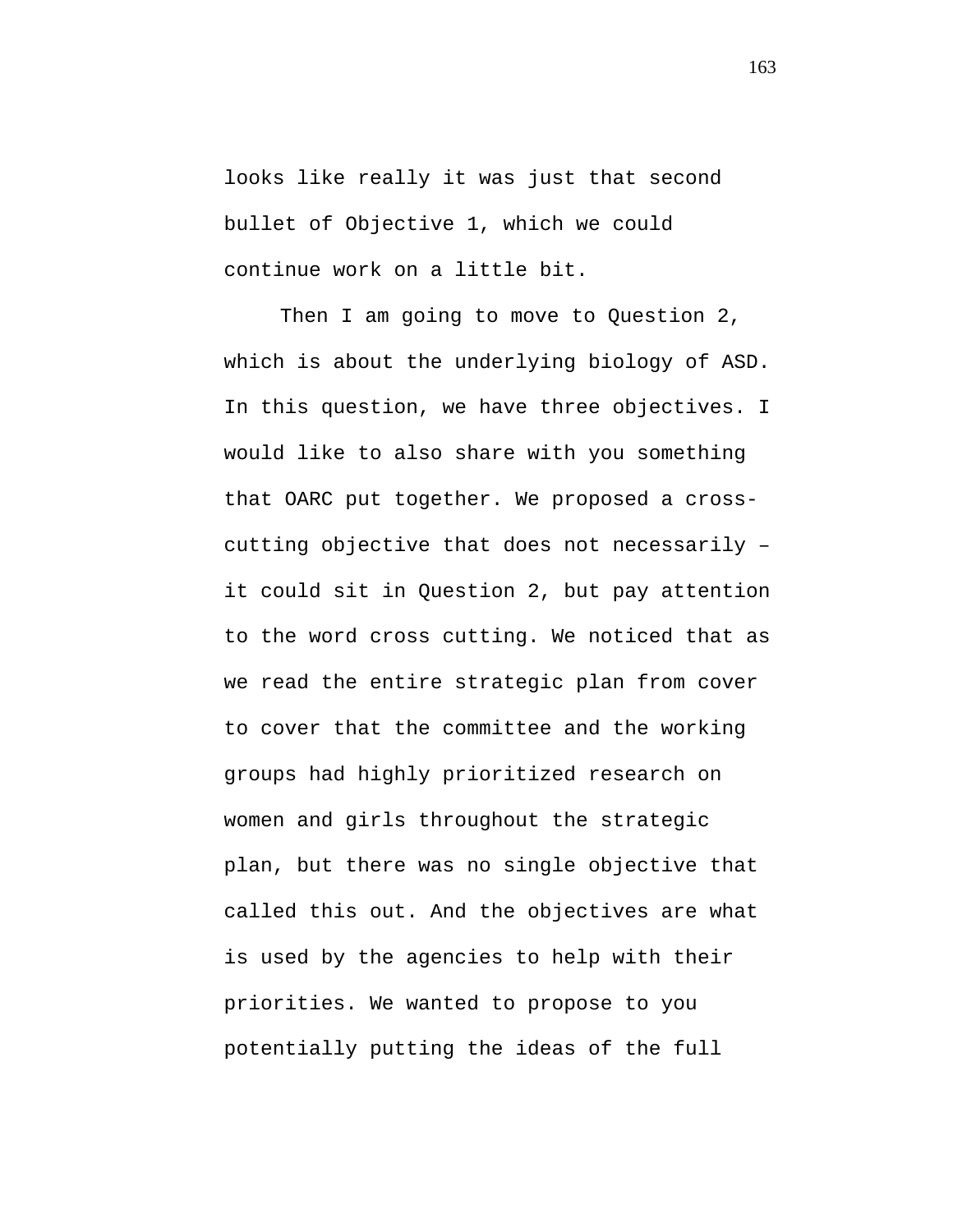looks like really it was just that second bullet of Objective 1, which we could continue work on a little bit.

Then I am going to move to Question 2, which is about the underlying biology of ASD. In this question, we have three objectives. I would like to also share with you something that OARC put together. We proposed a crosscutting objective that does not necessarily – it could sit in Question 2, but pay attention to the word cross cutting. We noticed that as we read the entire strategic plan from cover to cover that the committee and the working groups had highly prioritized research on women and girls throughout the strategic plan, but there was no single objective that called this out. And the objectives are what is used by the agencies to help with their priorities. We wanted to propose to you potentially putting the ideas of the full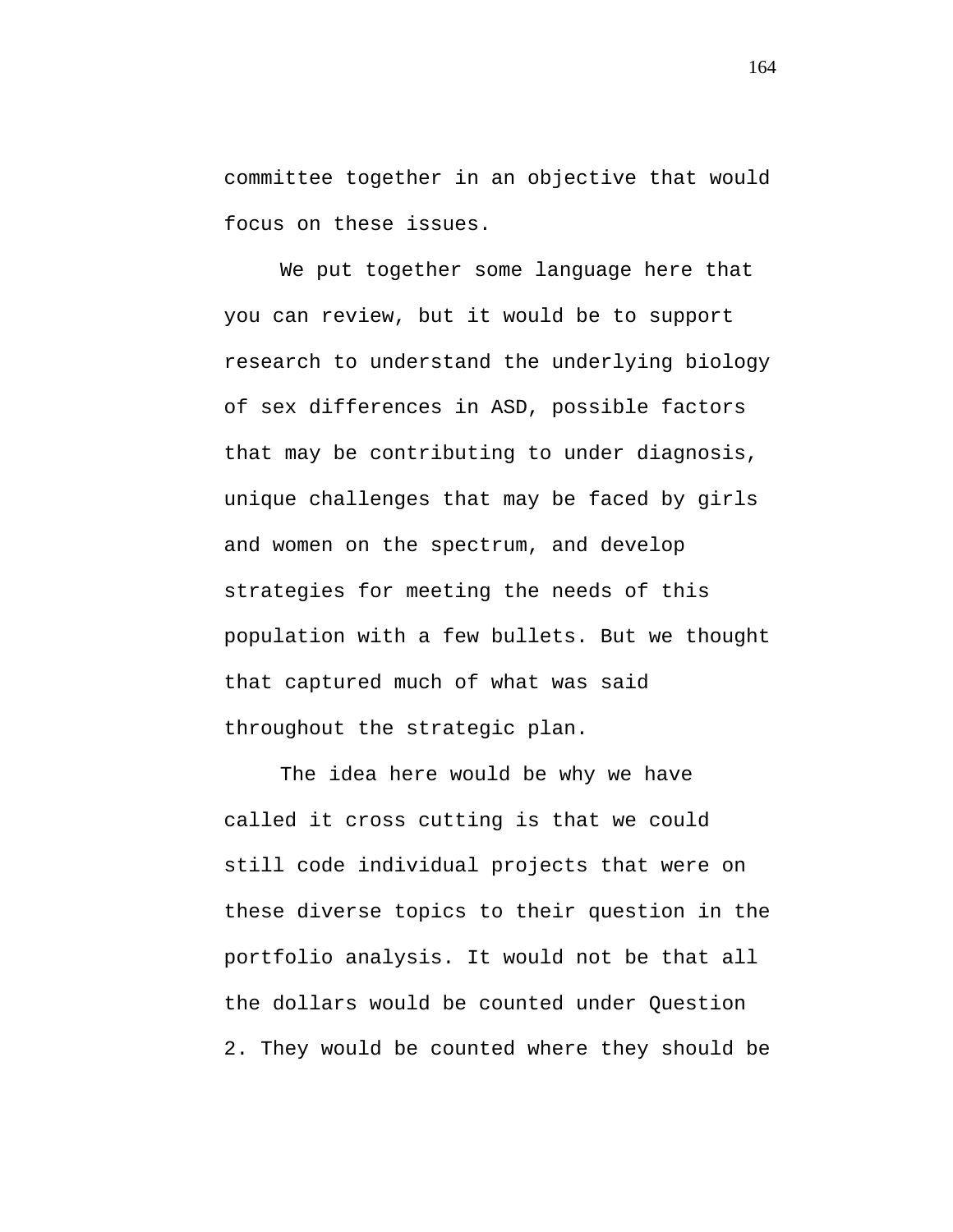committee together in an objective that would focus on these issues.

We put together some language here that you can review, but it would be to support research to understand the underlying biology of sex differences in ASD, possible factors that may be contributing to under diagnosis, unique challenges that may be faced by girls and women on the spectrum, and develop strategies for meeting the needs of this population with a few bullets. But we thought that captured much of what was said throughout the strategic plan.

The idea here would be why we have called it cross cutting is that we could still code individual projects that were on these diverse topics to their question in the portfolio analysis. It would not be that all the dollars would be counted under Question 2. They would be counted where they should be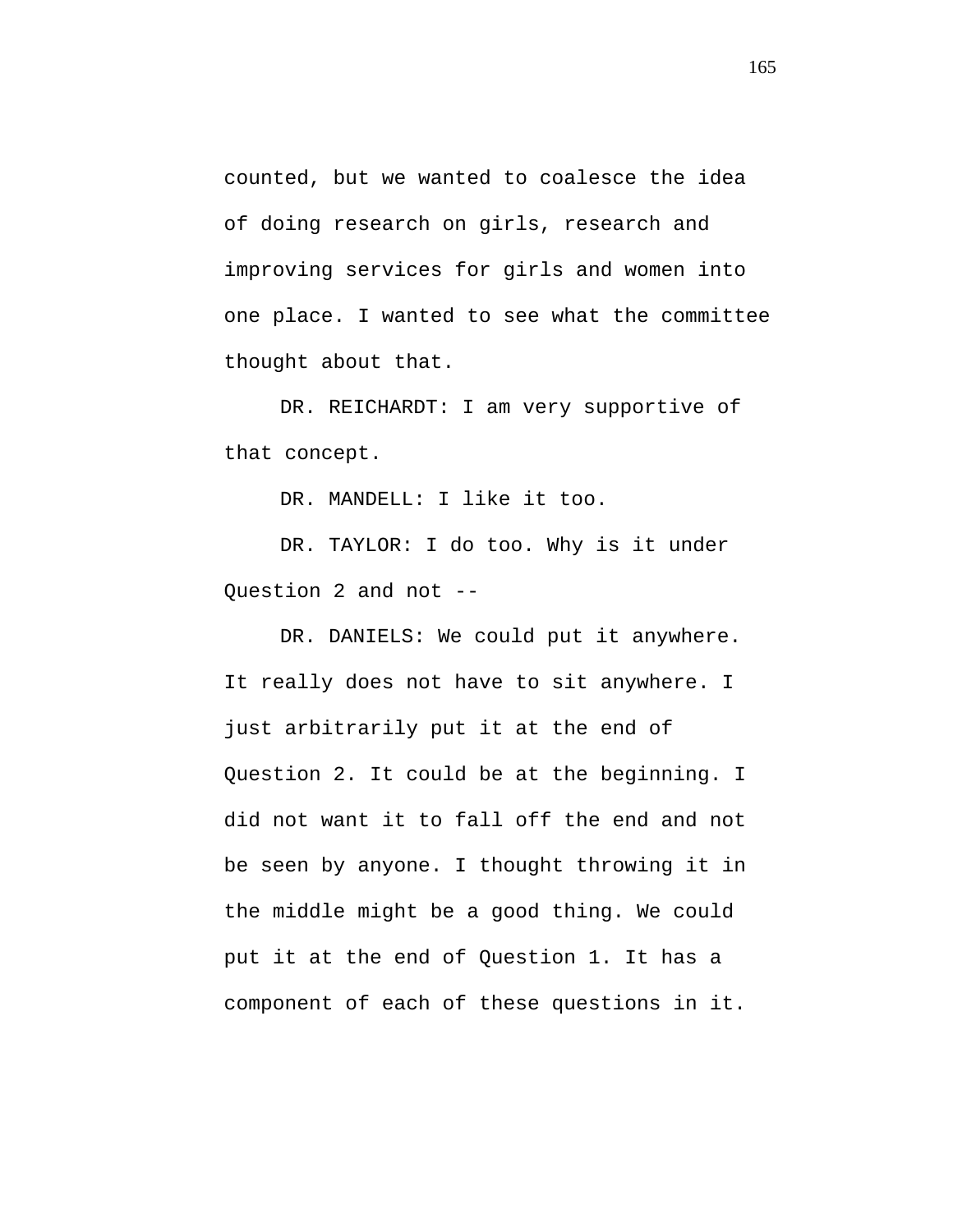counted, but we wanted to coalesce the idea of doing research on girls, research and improving services for girls and women into one place. I wanted to see what the committee thought about that.

DR. REICHARDT: I am very supportive of that concept.

DR. MANDELL: I like it too.

DR. TAYLOR: I do too. Why is it under Question 2 and not --

DR. DANIELS: We could put it anywhere. It really does not have to sit anywhere. I just arbitrarily put it at the end of Question 2. It could be at the beginning. I did not want it to fall off the end and not be seen by anyone. I thought throwing it in the middle might be a good thing. We could put it at the end of Question 1. It has a component of each of these questions in it.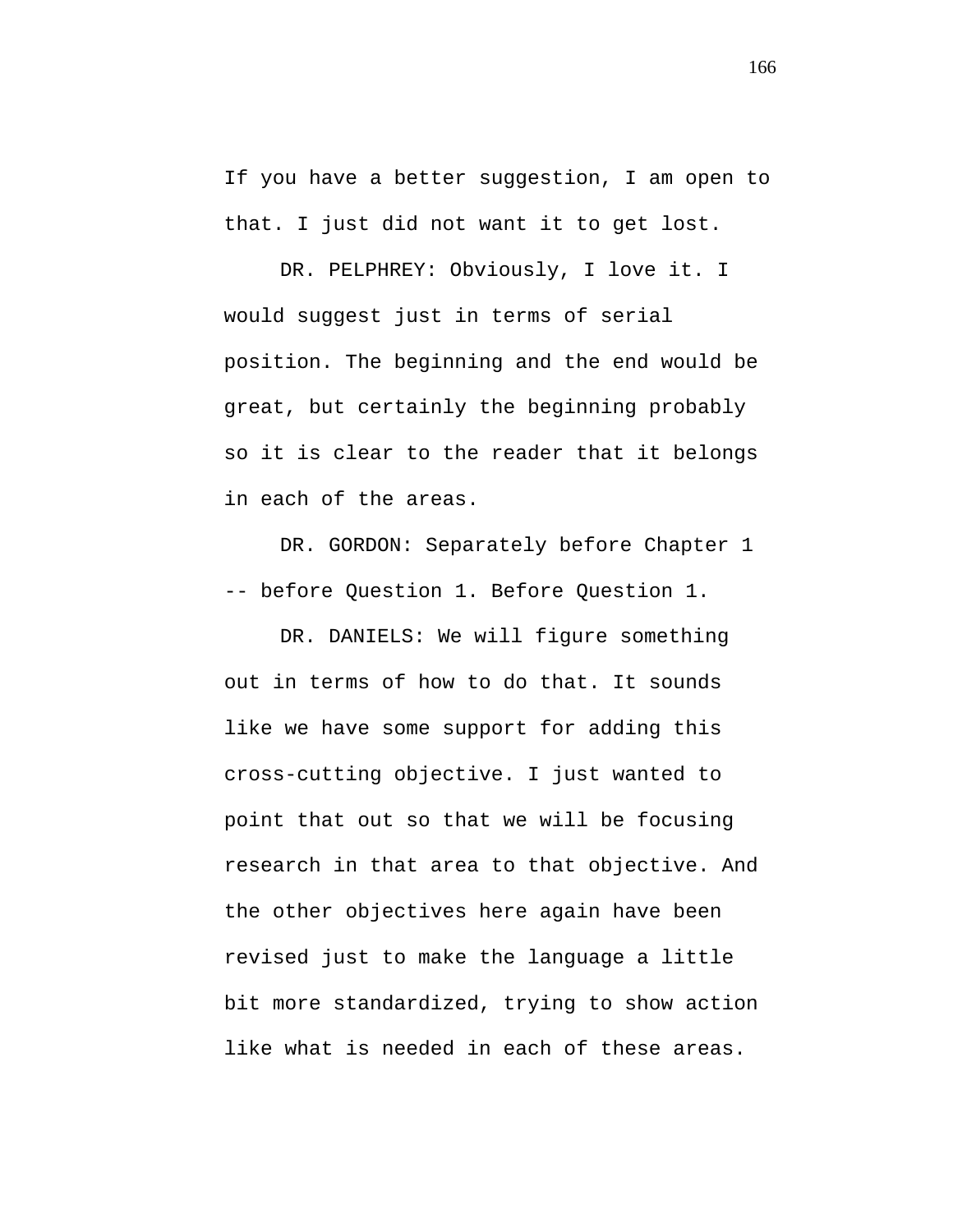If you have a better suggestion, I am open to that. I just did not want it to get lost.

DR. PELPHREY: Obviously, I love it. I would suggest just in terms of serial position. The beginning and the end would be great, but certainly the beginning probably so it is clear to the reader that it belongs in each of the areas.

DR. GORDON: Separately before Chapter 1 -- before Question 1. Before Question 1.

DR. DANIELS: We will figure something out in terms of how to do that. It sounds like we have some support for adding this cross-cutting objective. I just wanted to point that out so that we will be focusing research in that area to that objective. And the other objectives here again have been revised just to make the language a little bit more standardized, trying to show action like what is needed in each of these areas.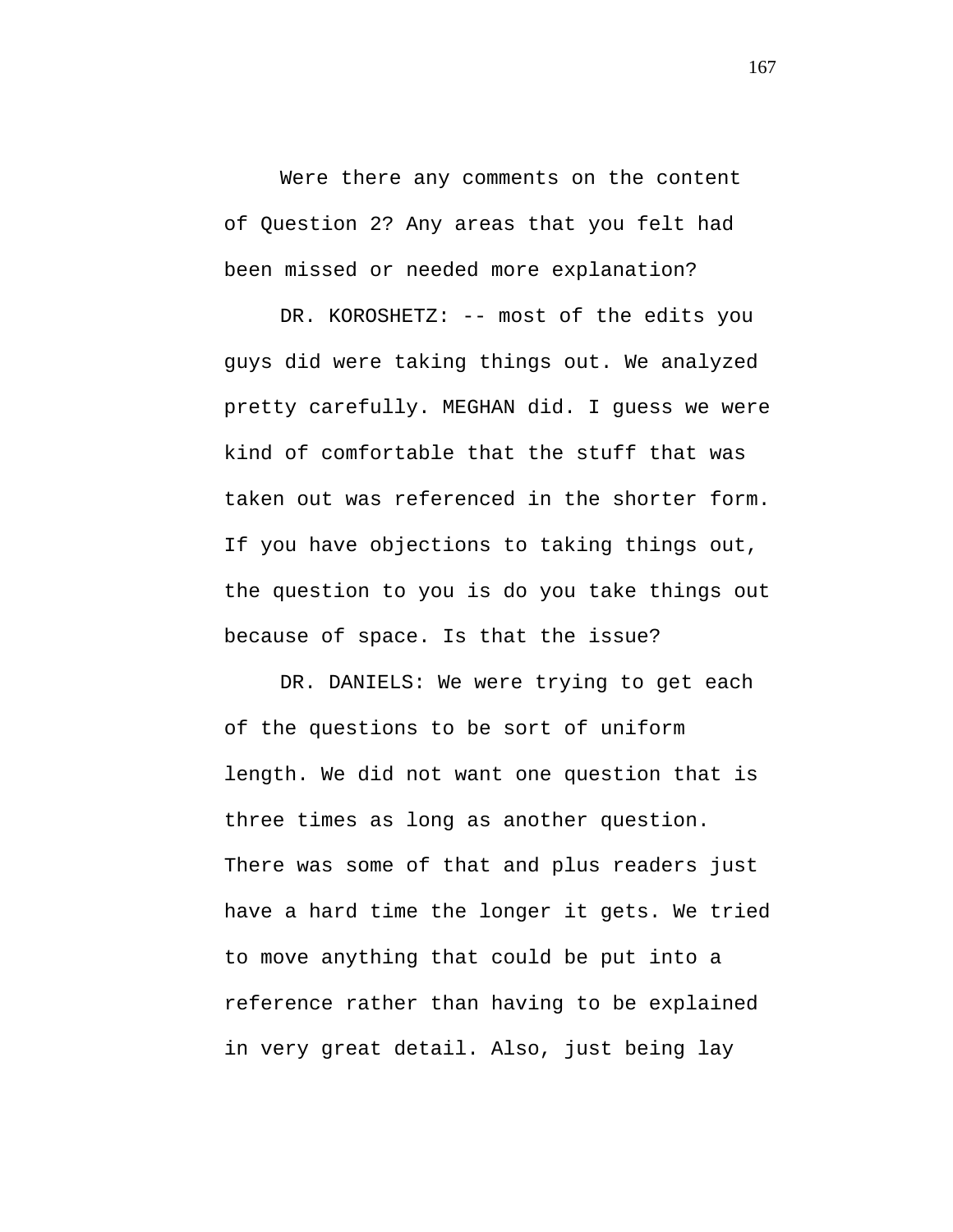Were there any comments on the content of Question 2? Any areas that you felt had been missed or needed more explanation?

DR. KOROSHETZ: -- most of the edits you guys did were taking things out. We analyzed pretty carefully. MEGHAN did. I guess we were kind of comfortable that the stuff that was taken out was referenced in the shorter form. If you have objections to taking things out, the question to you is do you take things out because of space. Is that the issue?

DR. DANIELS: We were trying to get each of the questions to be sort of uniform length. We did not want one question that is three times as long as another question. There was some of that and plus readers just have a hard time the longer it gets. We tried to move anything that could be put into a reference rather than having to be explained in very great detail. Also, just being lay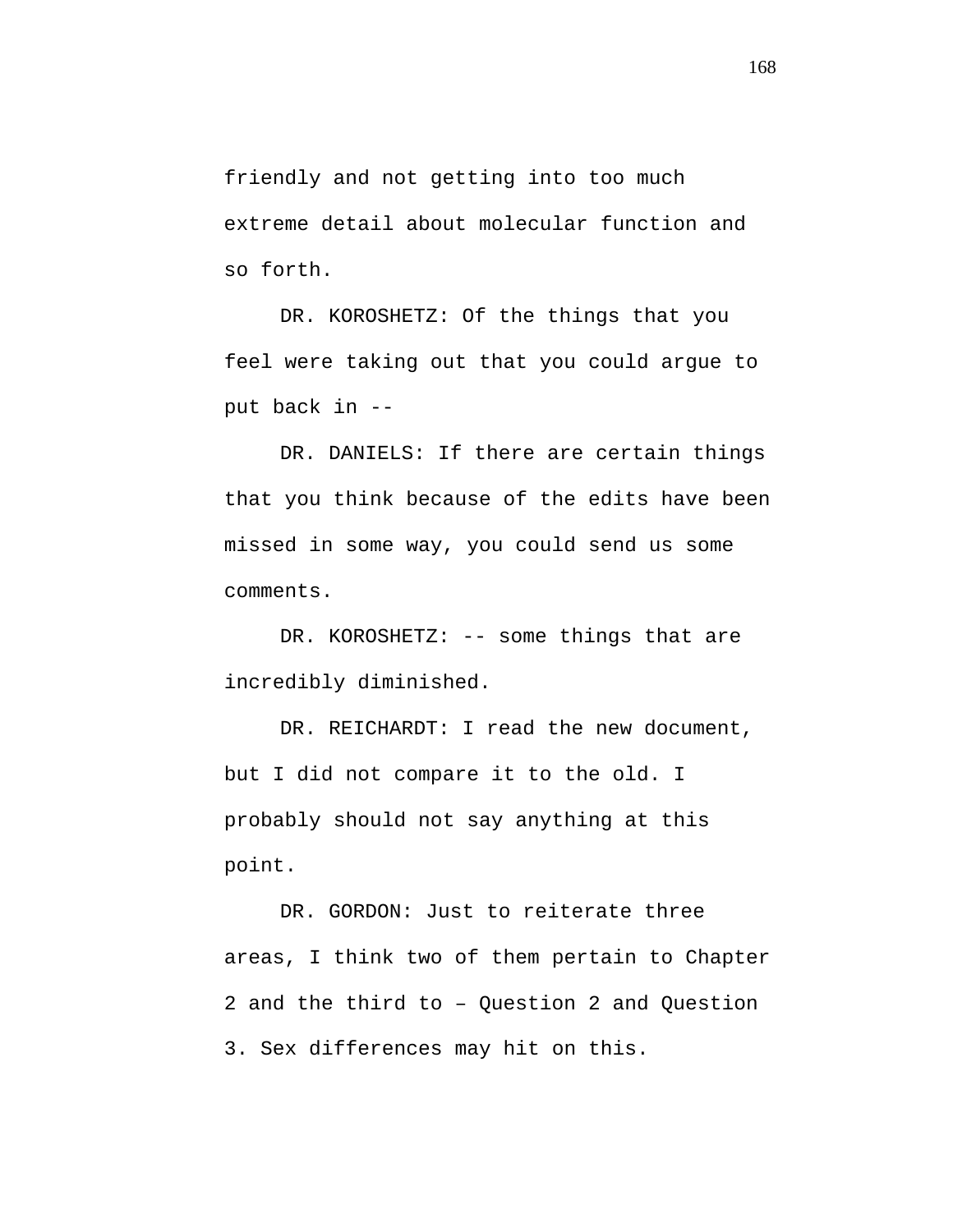friendly and not getting into too much extreme detail about molecular function and so forth.

DR. KOROSHETZ: Of the things that you feel were taking out that you could argue to put back in --

DR. DANIELS: If there are certain things that you think because of the edits have been missed in some way, you could send us some comments.

DR. KOROSHETZ: -- some things that are incredibly diminished.

DR. REICHARDT: I read the new document, but I did not compare it to the old. I probably should not say anything at this point.

DR. GORDON: Just to reiterate three areas, I think two of them pertain to Chapter 2 and the third to – Question 2 and Question 3. Sex differences may hit on this.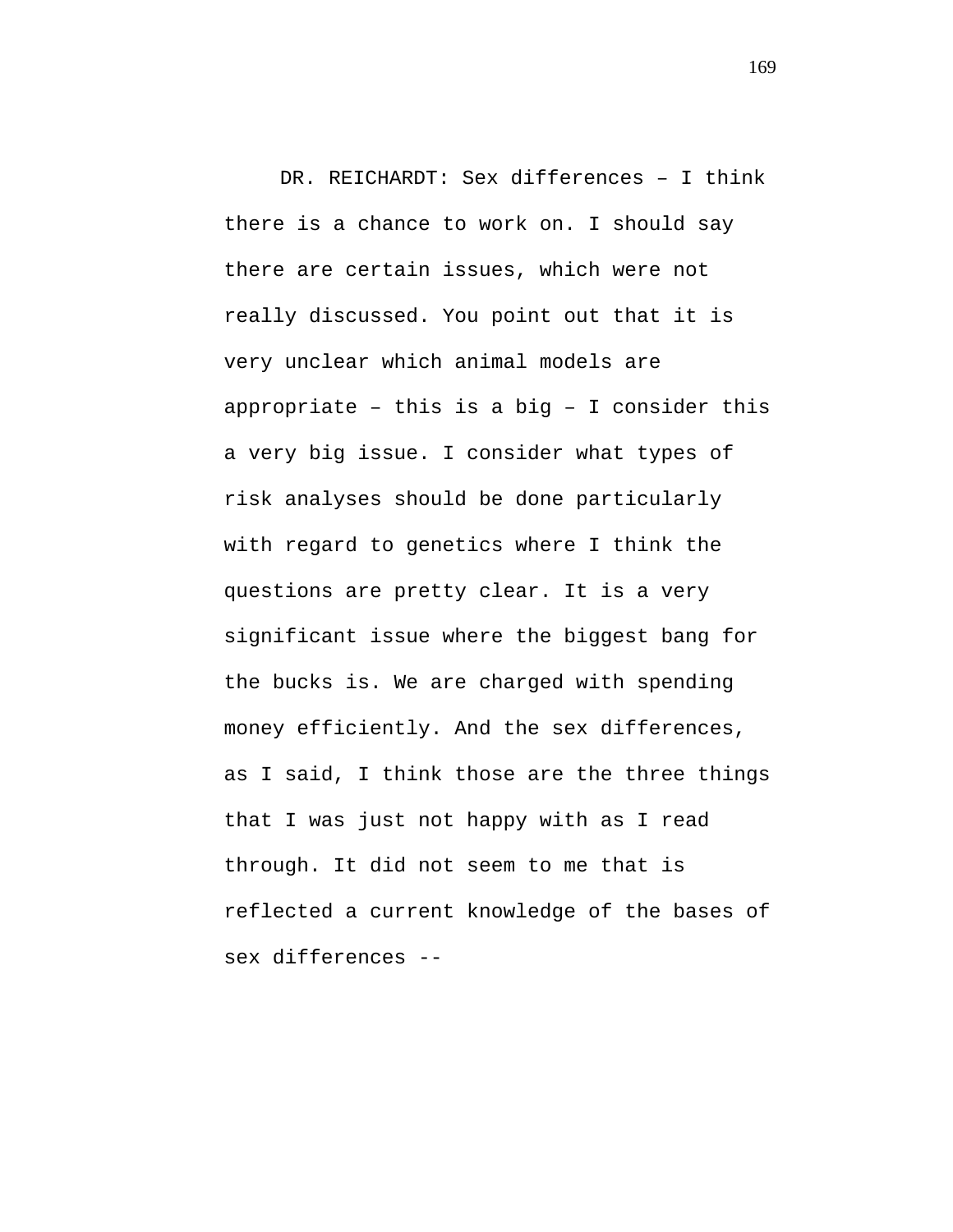DR. REICHARDT: Sex differences – I think there is a chance to work on. I should say there are certain issues, which were not really discussed. You point out that it is very unclear which animal models are appropriate – this is a big – I consider this a very big issue. I consider what types of risk analyses should be done particularly with regard to genetics where I think the questions are pretty clear. It is a very significant issue where the biggest bang for the bucks is. We are charged with spending money efficiently. And the sex differences, as I said, I think those are the three things that I was just not happy with as I read through. It did not seem to me that is reflected a current knowledge of the bases of sex differences --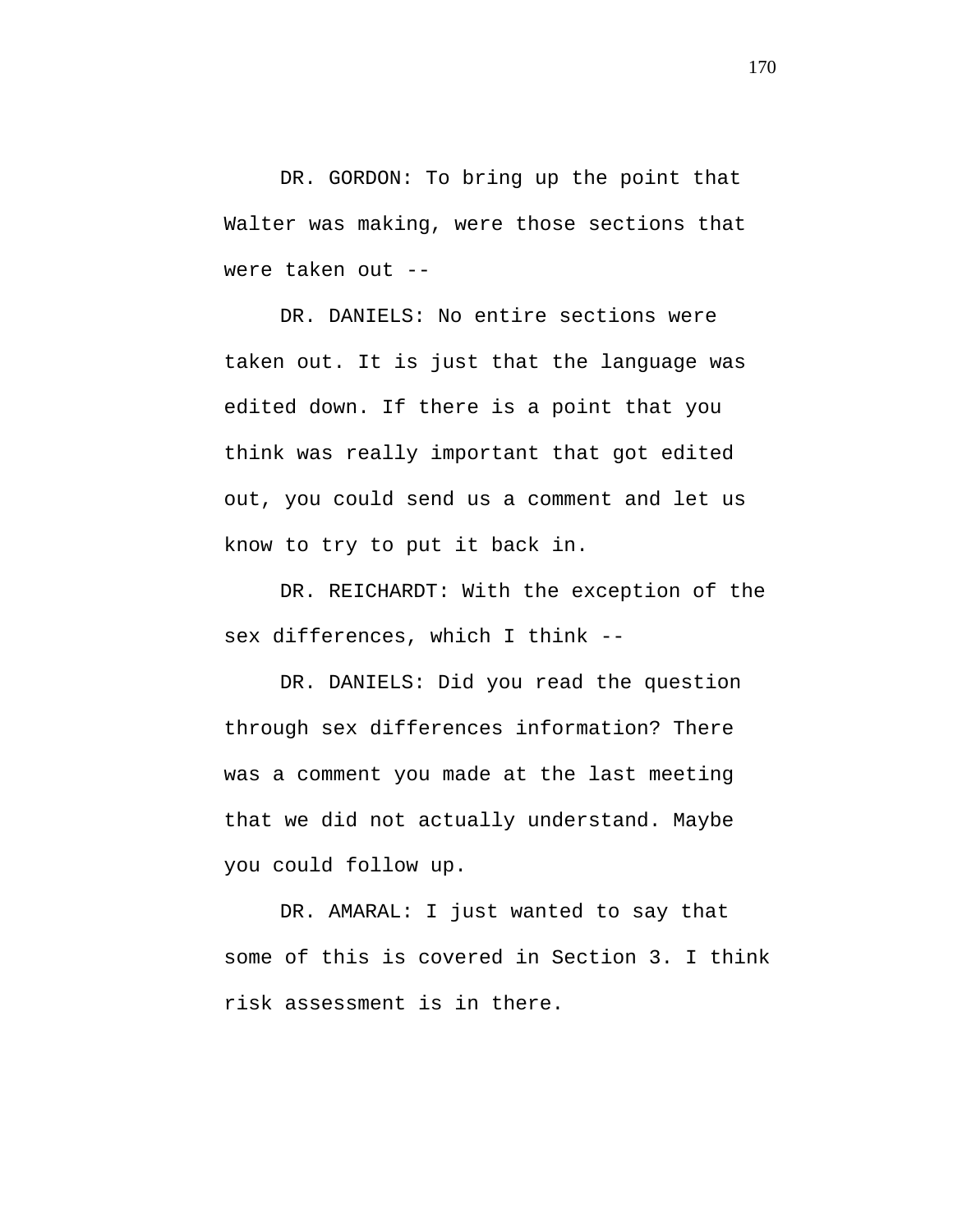DR. GORDON: To bring up the point that Walter was making, were those sections that were taken out --

DR. DANIELS: No entire sections were taken out. It is just that the language was edited down. If there is a point that you think was really important that got edited out, you could send us a comment and let us know to try to put it back in.

DR. REICHARDT: With the exception of the sex differences, which I think --

DR. DANIELS: Did you read the question through sex differences information? There was a comment you made at the last meeting that we did not actually understand. Maybe you could follow up.

DR. AMARAL: I just wanted to say that some of this is covered in Section 3. I think risk assessment is in there.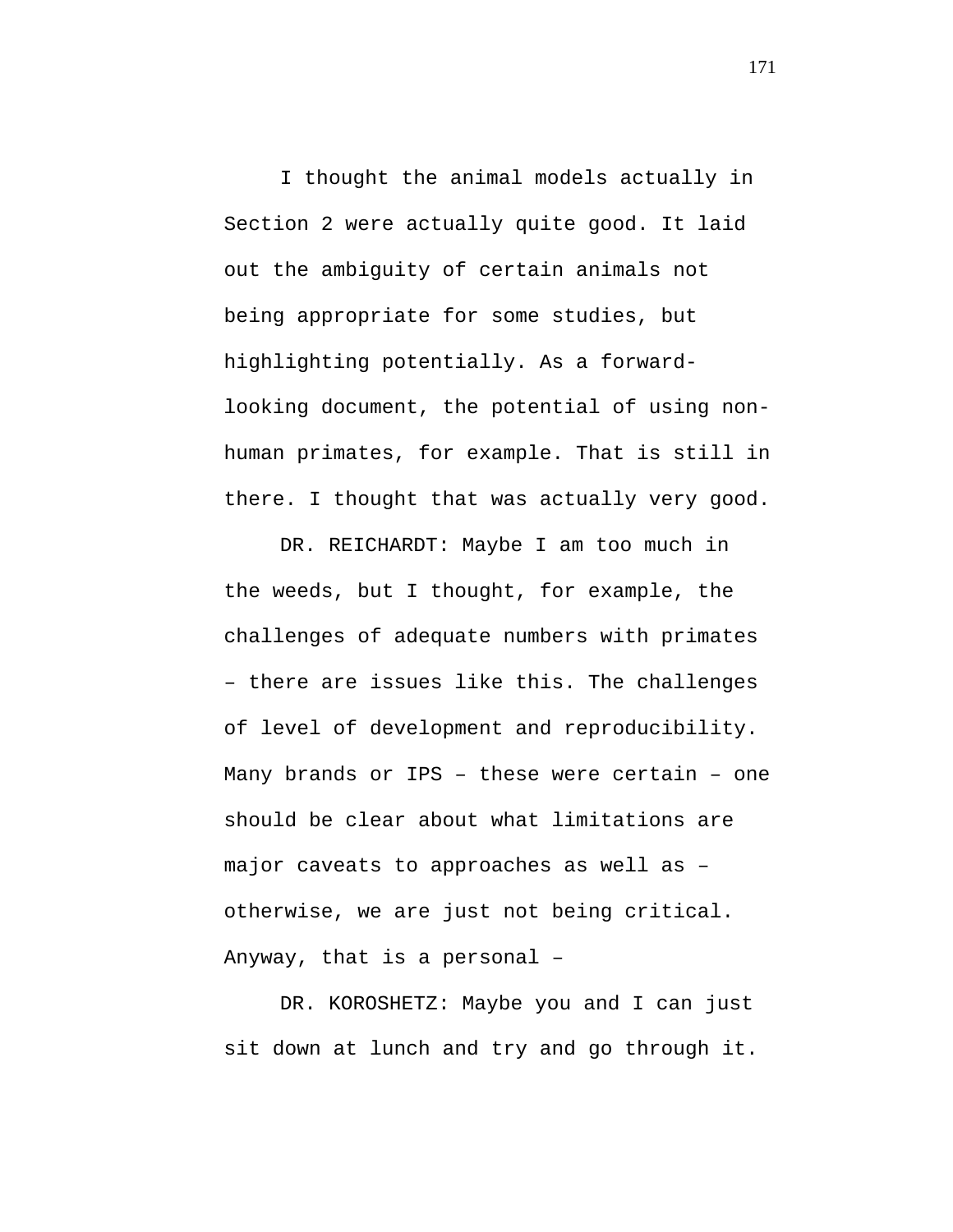I thought the animal models actually in Section 2 were actually quite good. It laid out the ambiguity of certain animals not being appropriate for some studies, but highlighting potentially. As a forwardlooking document, the potential of using nonhuman primates, for example. That is still in there. I thought that was actually very good.

DR. REICHARDT: Maybe I am too much in the weeds, but I thought, for example, the challenges of adequate numbers with primates – there are issues like this. The challenges of level of development and reproducibility. Many brands or IPS – these were certain – one should be clear about what limitations are major caveats to approaches as well as – otherwise, we are just not being critical. Anyway, that is a personal –

DR. KOROSHETZ: Maybe you and I can just sit down at lunch and try and go through it.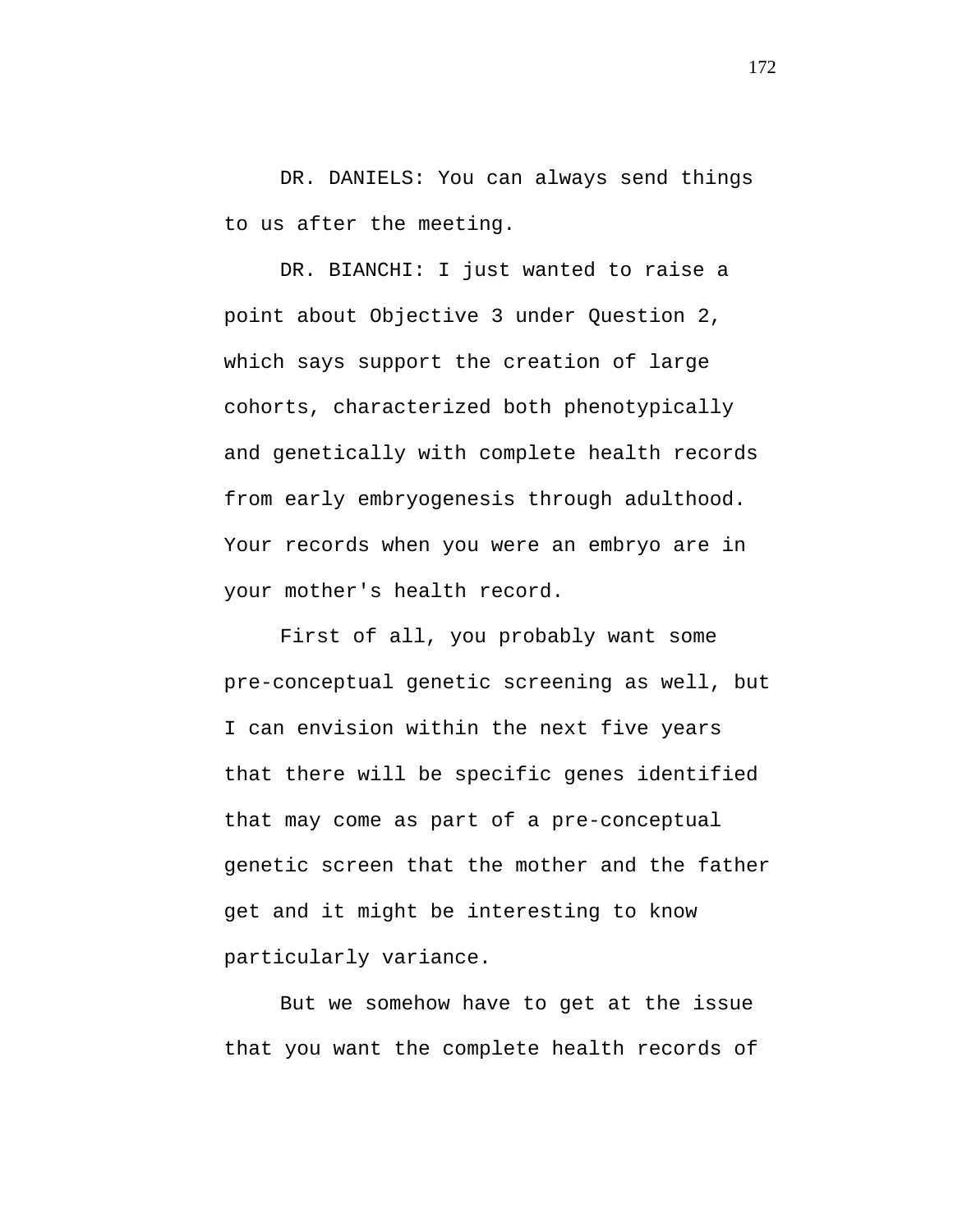DR. DANIELS: You can always send things to us after the meeting.

DR. BIANCHI: I just wanted to raise a point about Objective 3 under Question 2, which says support the creation of large cohorts, characterized both phenotypically and genetically with complete health records from early embryogenesis through adulthood. Your records when you were an embryo are in your mother's health record.

First of all, you probably want some pre-conceptual genetic screening as well, but I can envision within the next five years that there will be specific genes identified that may come as part of a pre-conceptual genetic screen that the mother and the father get and it might be interesting to know particularly variance.

But we somehow have to get at the issue that you want the complete health records of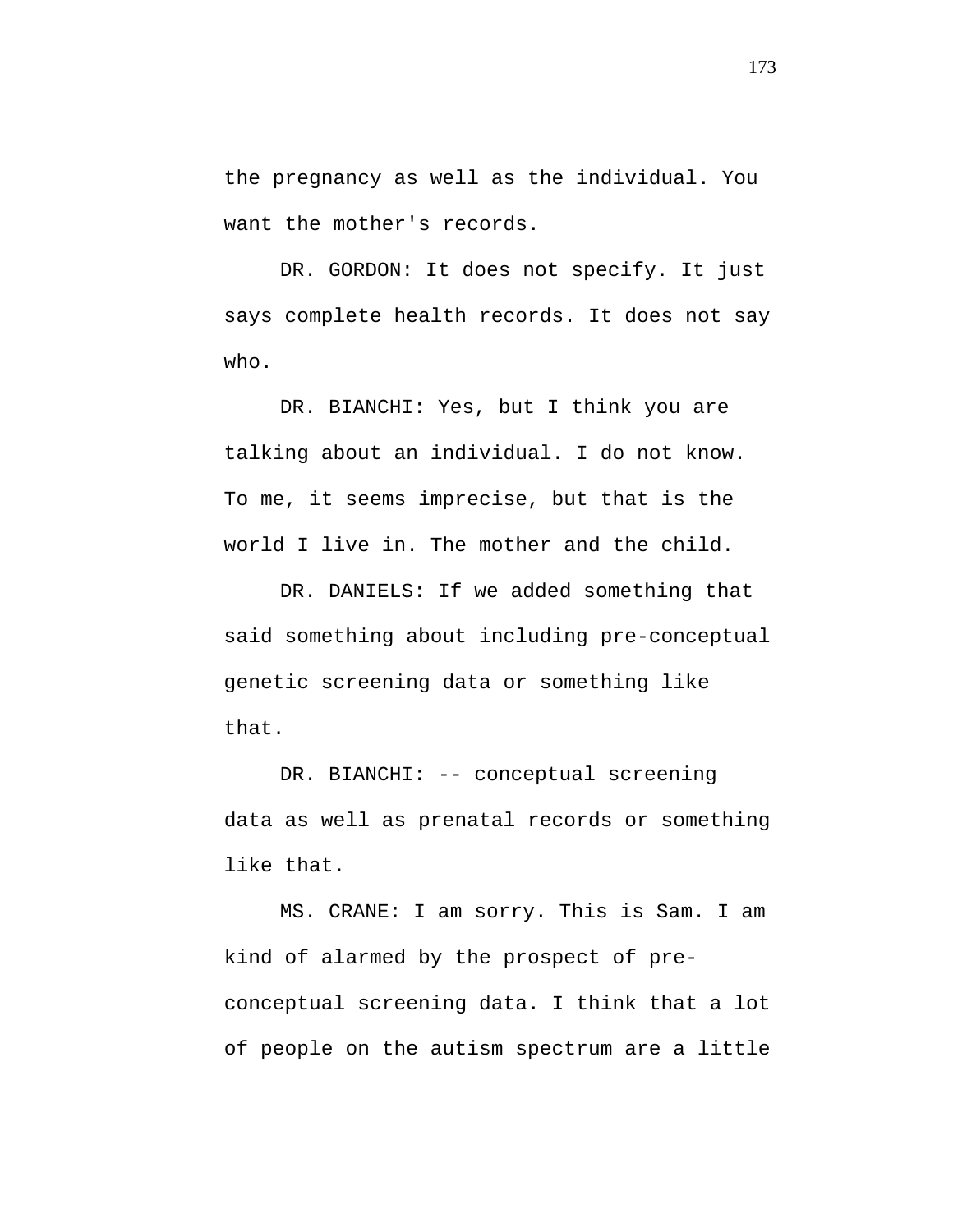the pregnancy as well as the individual. You want the mother's records.

DR. GORDON: It does not specify. It just says complete health records. It does not say who.

DR. BIANCHI: Yes, but I think you are talking about an individual. I do not know. To me, it seems imprecise, but that is the world I live in. The mother and the child.

DR. DANIELS: If we added something that said something about including pre-conceptual genetic screening data or something like that.

DR. BIANCHI: -- conceptual screening data as well as prenatal records or something like that.

MS. CRANE: I am sorry. This is Sam. I am kind of alarmed by the prospect of preconceptual screening data. I think that a lot of people on the autism spectrum are a little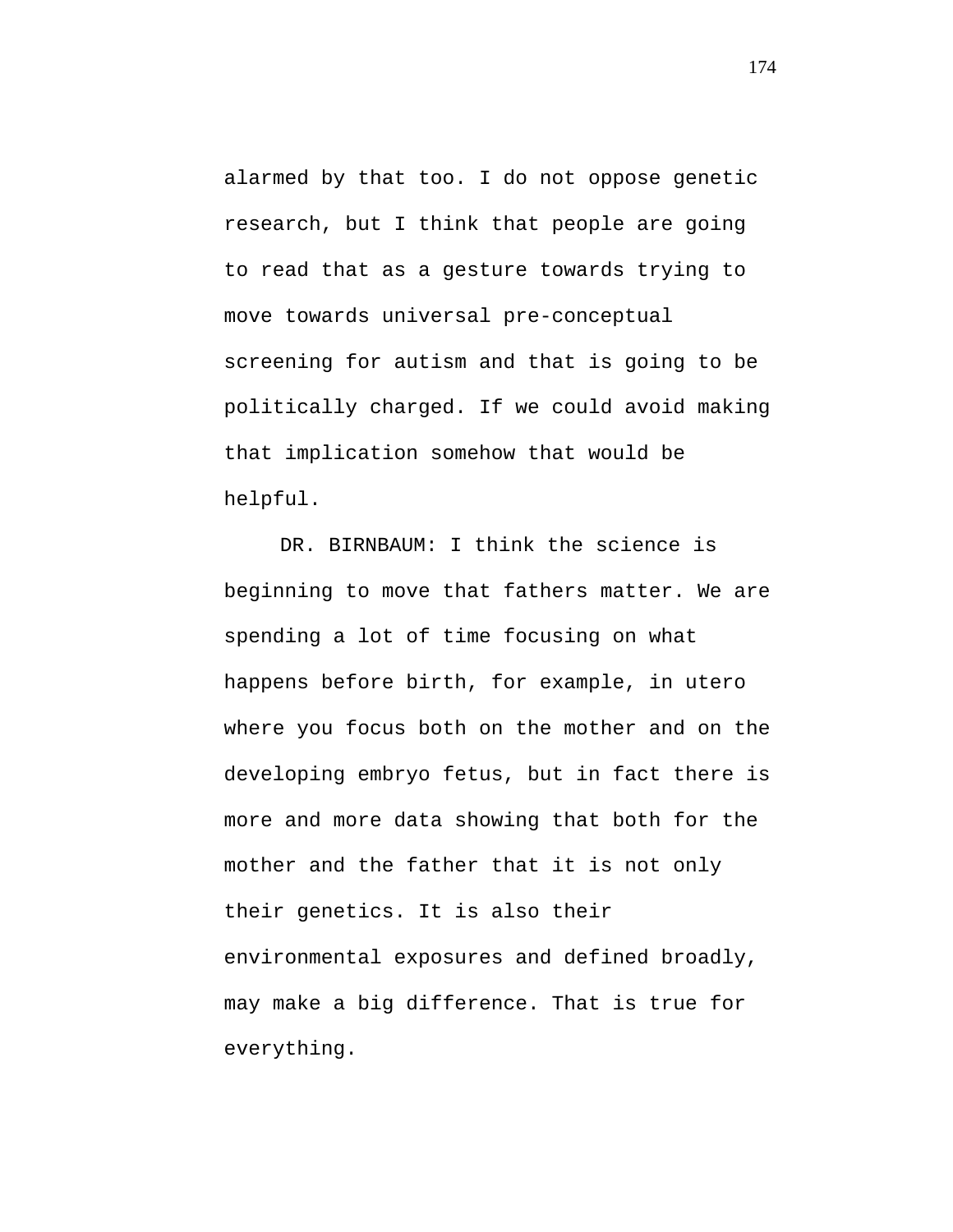alarmed by that too. I do not oppose genetic research, but I think that people are going to read that as a gesture towards trying to move towards universal pre-conceptual screening for autism and that is going to be politically charged. If we could avoid making that implication somehow that would be helpful.

DR. BIRNBAUM: I think the science is beginning to move that fathers matter. We are spending a lot of time focusing on what happens before birth, for example, in utero where you focus both on the mother and on the developing embryo fetus, but in fact there is more and more data showing that both for the mother and the father that it is not only their genetics. It is also their environmental exposures and defined broadly, may make a big difference. That is true for everything.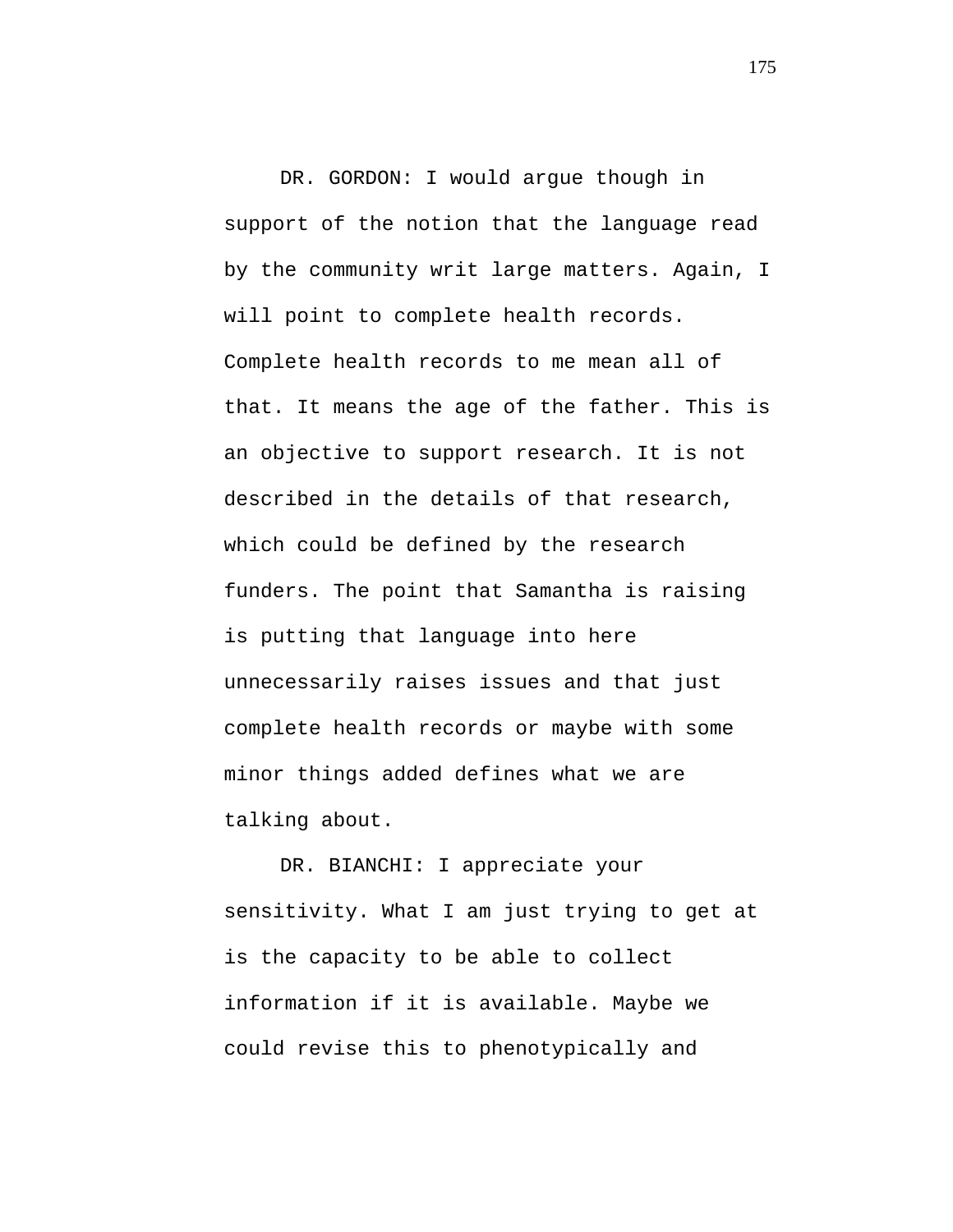DR. GORDON: I would argue though in support of the notion that the language read by the community writ large matters. Again, I will point to complete health records. Complete health records to me mean all of that. It means the age of the father. This is an objective to support research. It is not described in the details of that research, which could be defined by the research funders. The point that Samantha is raising is putting that language into here unnecessarily raises issues and that just complete health records or maybe with some minor things added defines what we are talking about.

DR. BIANCHI: I appreciate your sensitivity. What I am just trying to get at is the capacity to be able to collect information if it is available. Maybe we could revise this to phenotypically and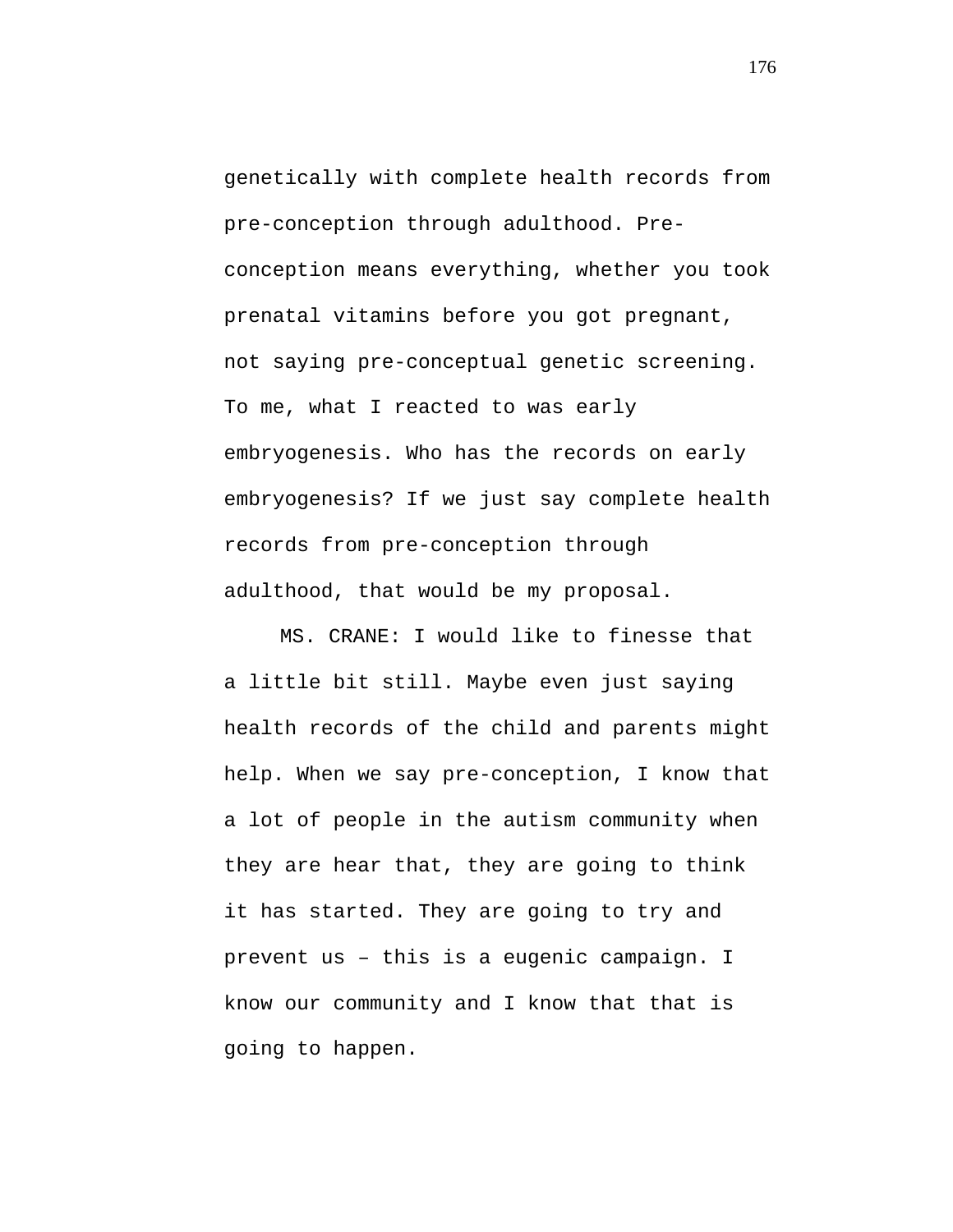genetically with complete health records from pre-conception through adulthood. Preconception means everything, whether you took prenatal vitamins before you got pregnant, not saying pre-conceptual genetic screening. To me, what I reacted to was early embryogenesis. Who has the records on early embryogenesis? If we just say complete health records from pre-conception through adulthood, that would be my proposal.

MS. CRANE: I would like to finesse that a little bit still. Maybe even just saying health records of the child and parents might help. When we say pre-conception, I know that a lot of people in the autism community when they are hear that, they are going to think it has started. They are going to try and prevent us – this is a eugenic campaign. I know our community and I know that that is going to happen.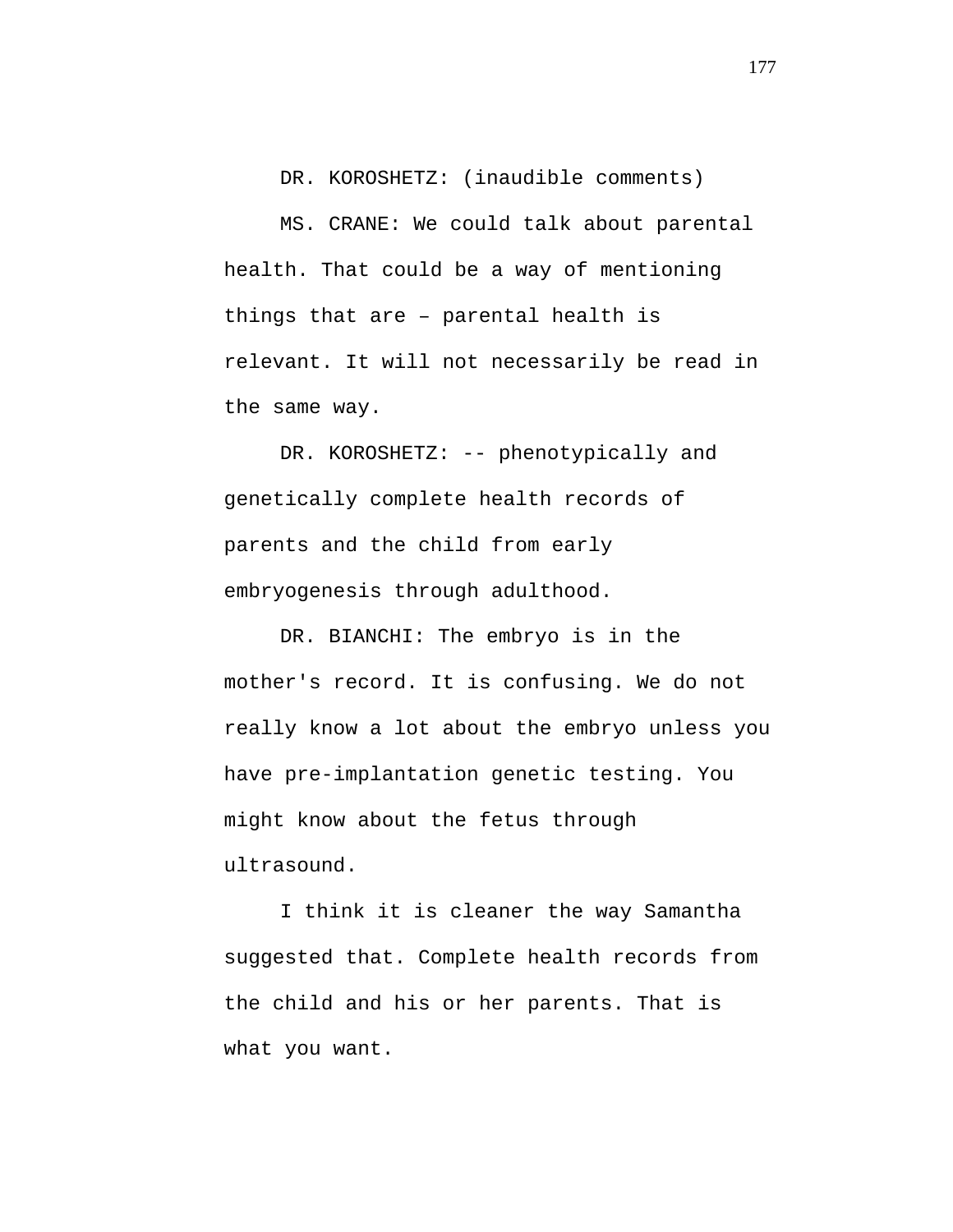DR. KOROSHETZ: (inaudible comments) MS. CRANE: We could talk about parental health. That could be a way of mentioning things that are – parental health is relevant. It will not necessarily be read in the same way.

DR. KOROSHETZ: -- phenotypically and genetically complete health records of parents and the child from early embryogenesis through adulthood.

DR. BIANCHI: The embryo is in the mother's record. It is confusing. We do not really know a lot about the embryo unless you have pre-implantation genetic testing. You might know about the fetus through ultrasound.

I think it is cleaner the way Samantha suggested that. Complete health records from the child and his or her parents. That is what you want.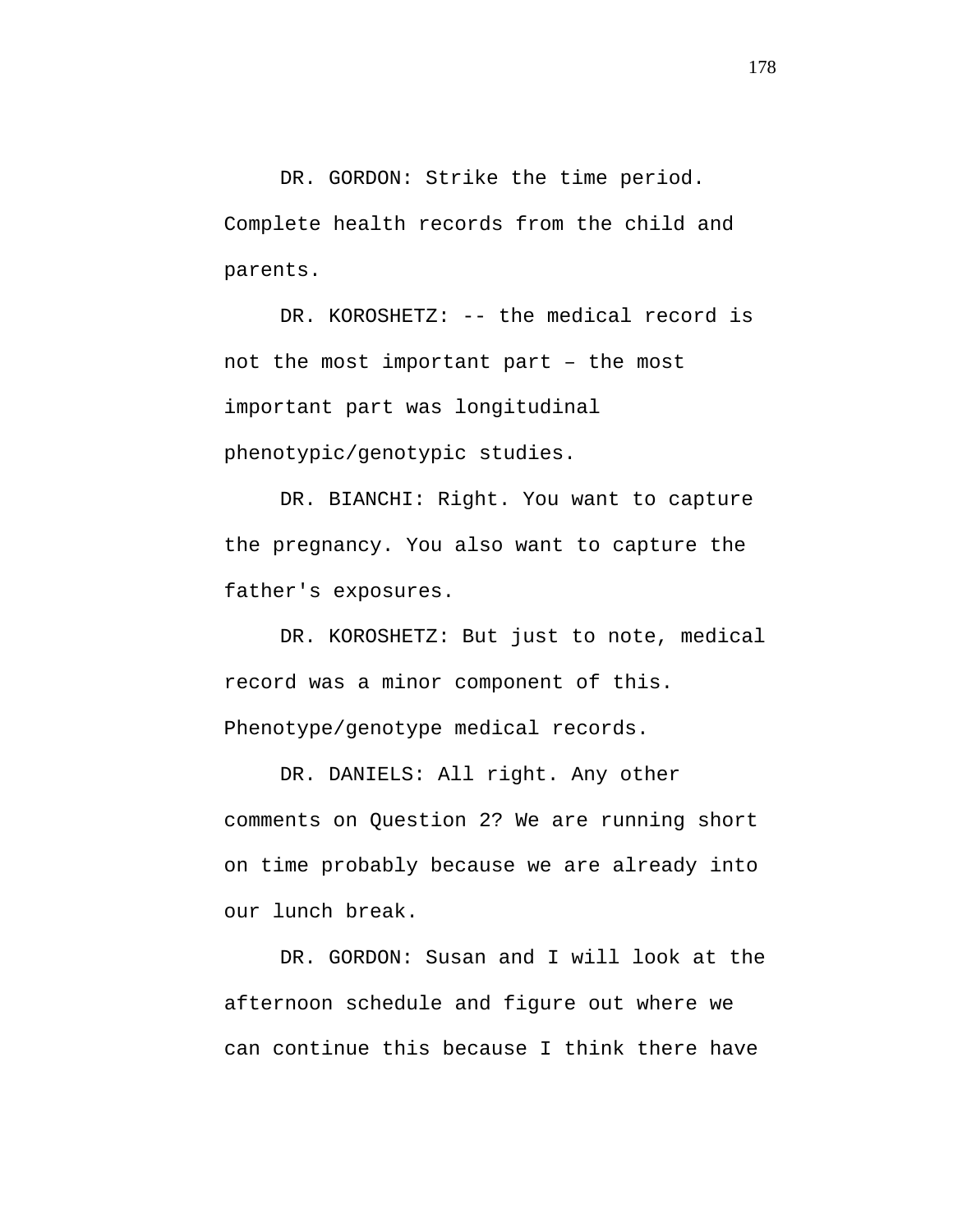DR. GORDON: Strike the time period. Complete health records from the child and parents.

DR. KOROSHETZ: -- the medical record is not the most important part – the most important part was longitudinal phenotypic/genotypic studies.

DR. BIANCHI: Right. You want to capture the pregnancy. You also want to capture the father's exposures.

DR. KOROSHETZ: But just to note, medical record was a minor component of this. Phenotype/genotype medical records.

DR. DANIELS: All right. Any other comments on Question 2? We are running short on time probably because we are already into our lunch break.

DR. GORDON: Susan and I will look at the afternoon schedule and figure out where we can continue this because I think there have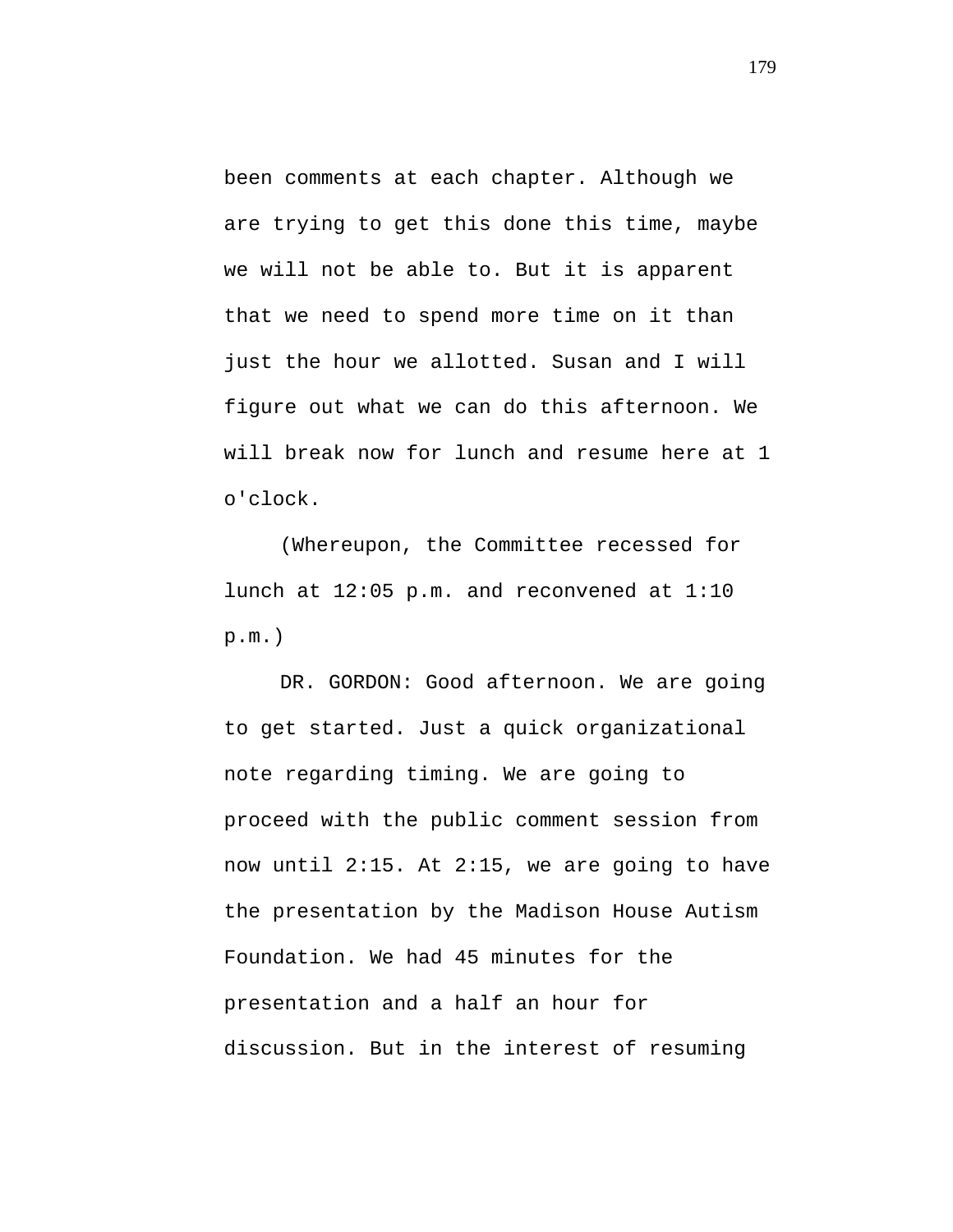been comments at each chapter. Although we are trying to get this done this time, maybe we will not be able to. But it is apparent that we need to spend more time on it than just the hour we allotted. Susan and I will figure out what we can do this afternoon. We will break now for lunch and resume here at 1 o'clock.

(Whereupon, the Committee recessed for lunch at 12:05 p.m. and reconvened at 1:10 p.m.)

DR. GORDON: Good afternoon. We are going to get started. Just a quick organizational note regarding timing. We are going to proceed with the public comment session from now until 2:15. At 2:15, we are going to have the presentation by the Madison House Autism Foundation. We had 45 minutes for the presentation and a half an hour for discussion. But in the interest of resuming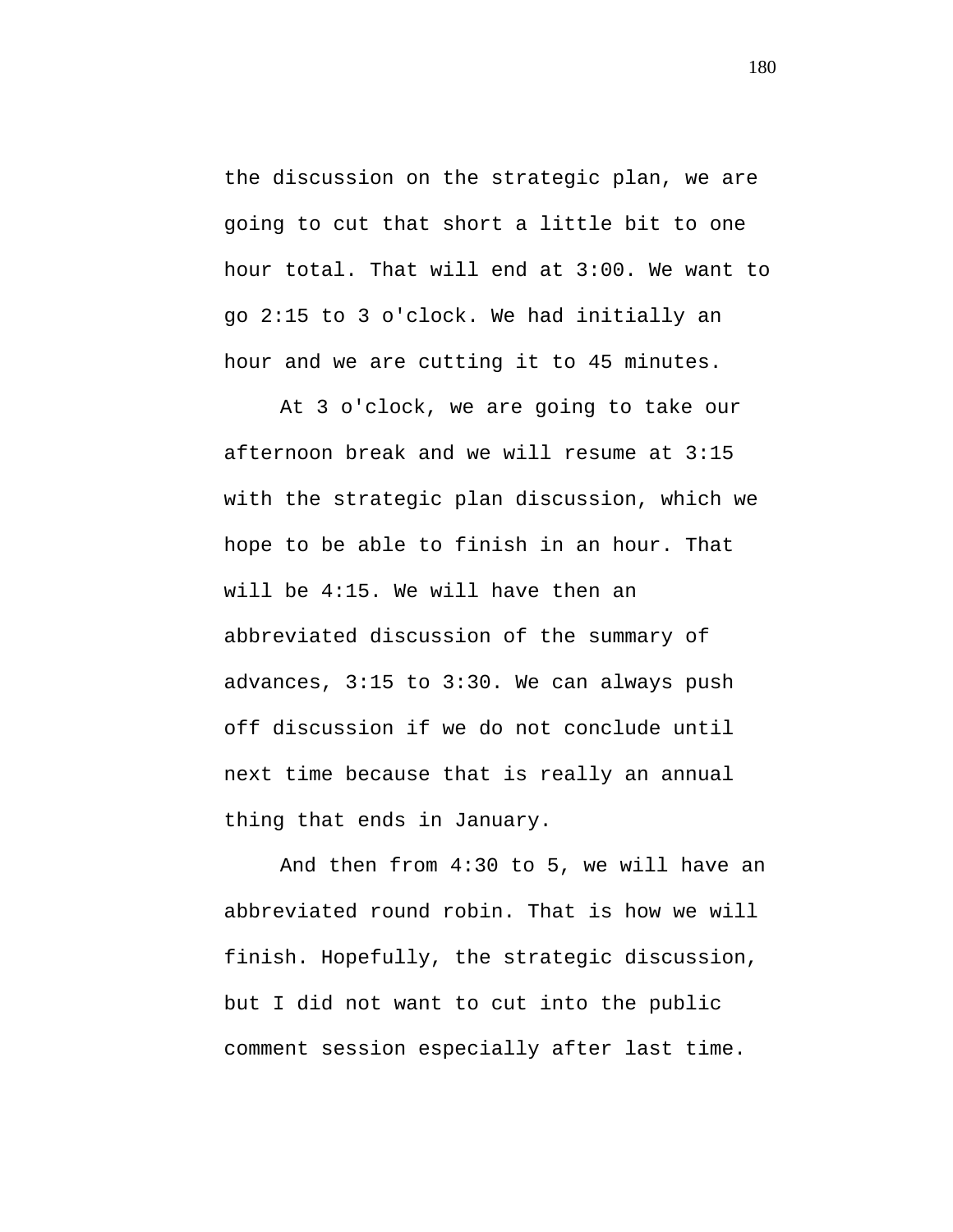the discussion on the strategic plan, we are going to cut that short a little bit to one hour total. That will end at 3:00. We want to go 2:15 to 3 o'clock. We had initially an hour and we are cutting it to 45 minutes.

At 3 o'clock, we are going to take our afternoon break and we will resume at 3:15 with the strategic plan discussion, which we hope to be able to finish in an hour. That will be 4:15. We will have then an abbreviated discussion of the summary of advances, 3:15 to 3:30. We can always push off discussion if we do not conclude until next time because that is really an annual thing that ends in January.

And then from 4:30 to 5, we will have an abbreviated round robin. That is how we will finish. Hopefully, the strategic discussion, but I did not want to cut into the public comment session especially after last time.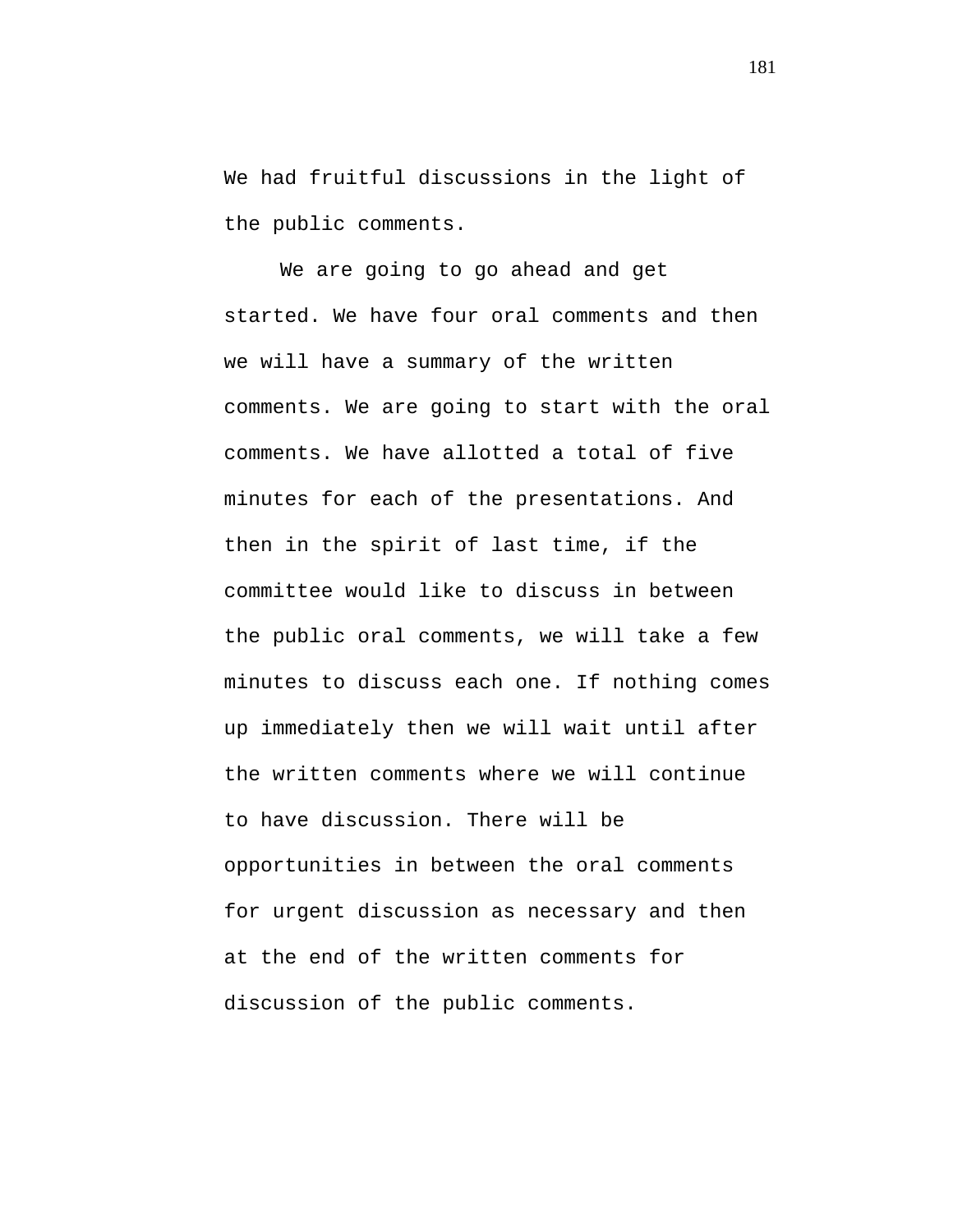We had fruitful discussions in the light of the public comments.

We are going to go ahead and get started. We have four oral comments and then we will have a summary of the written comments. We are going to start with the oral comments. We have allotted a total of five minutes for each of the presentations. And then in the spirit of last time, if the committee would like to discuss in between the public oral comments, we will take a few minutes to discuss each one. If nothing comes up immediately then we will wait until after the written comments where we will continue to have discussion. There will be opportunities in between the oral comments for urgent discussion as necessary and then at the end of the written comments for discussion of the public comments.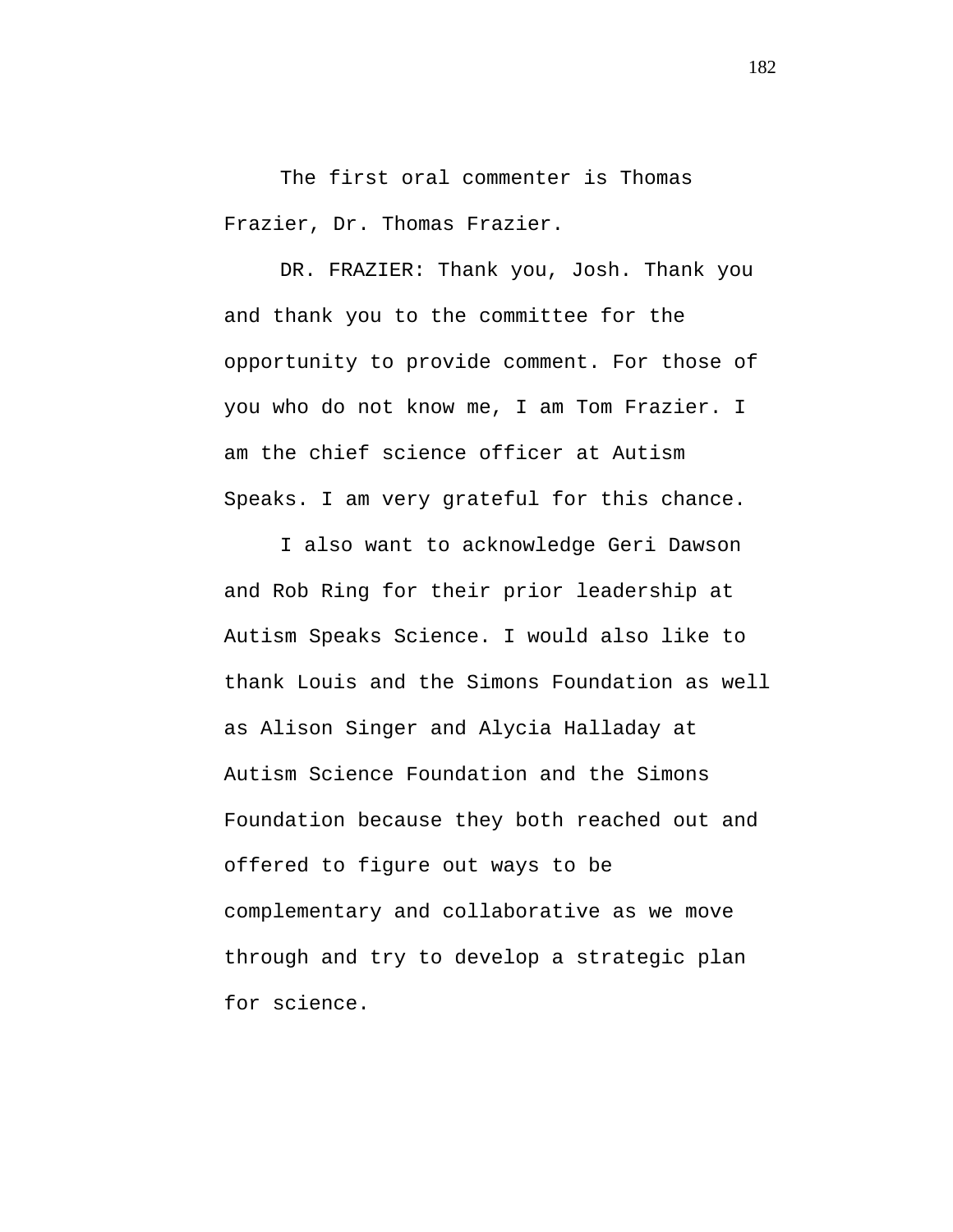The first oral commenter is Thomas Frazier, Dr. Thomas Frazier.

DR. FRAZIER: Thank you, Josh. Thank you and thank you to the committee for the opportunity to provide comment. For those of you who do not know me, I am Tom Frazier. I am the chief science officer at Autism Speaks. I am very grateful for this chance.

I also want to acknowledge Geri Dawson and Rob Ring for their prior leadership at Autism Speaks Science. I would also like to thank Louis and the Simons Foundation as well as Alison Singer and Alycia Halladay at Autism Science Foundation and the Simons Foundation because they both reached out and offered to figure out ways to be complementary and collaborative as we move through and try to develop a strategic plan for science.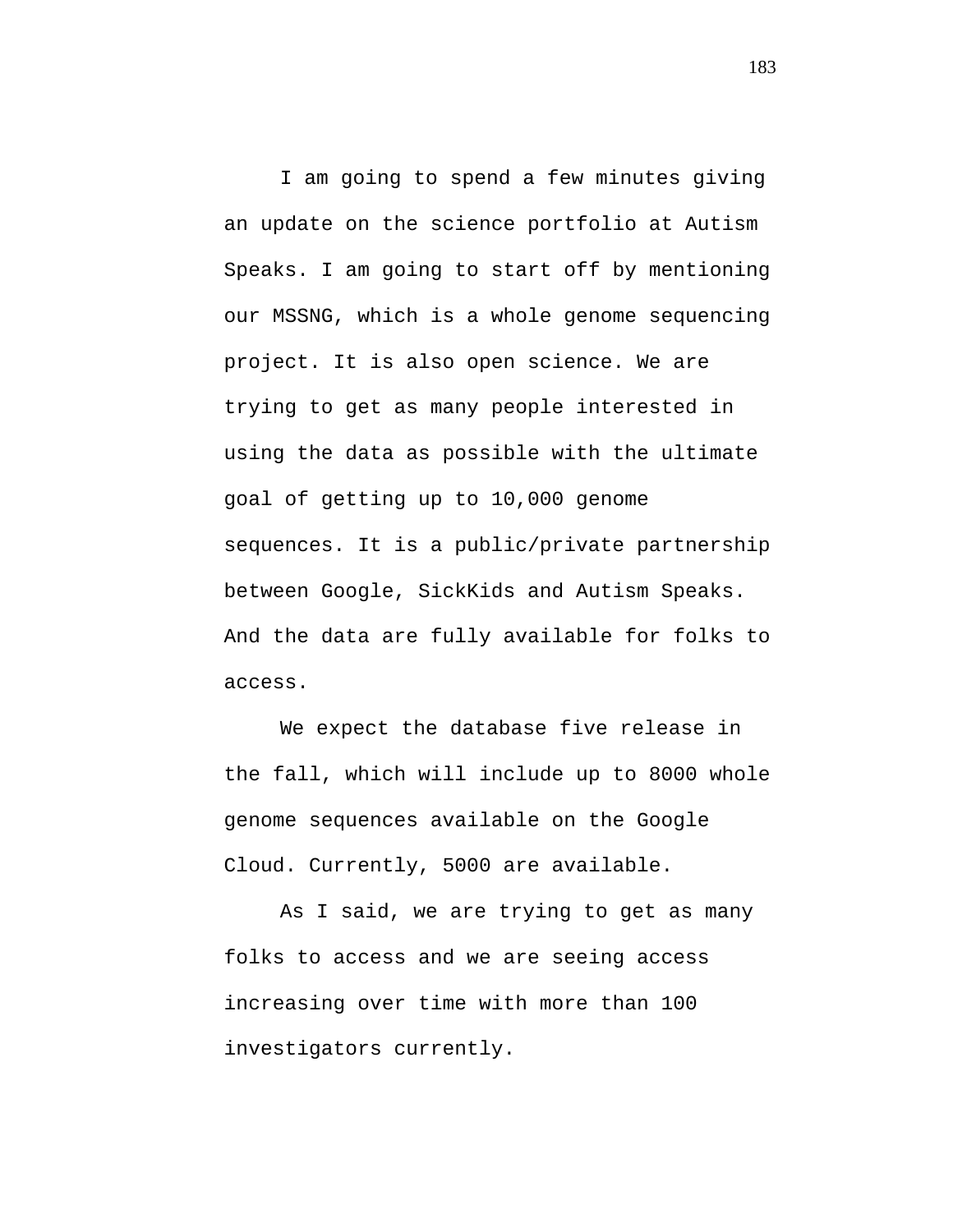I am going to spend a few minutes giving an update on the science portfolio at Autism Speaks. I am going to start off by mentioning our MSSNG, which is a whole genome sequencing project. It is also open science. We are trying to get as many people interested in using the data as possible with the ultimate goal of getting up to 10,000 genome sequences. It is a public/private partnership between Google, SickKids and Autism Speaks. And the data are fully available for folks to access.

We expect the database five release in the fall, which will include up to 8000 whole genome sequences available on the Google Cloud. Currently, 5000 are available.

As I said, we are trying to get as many folks to access and we are seeing access increasing over time with more than 100 investigators currently.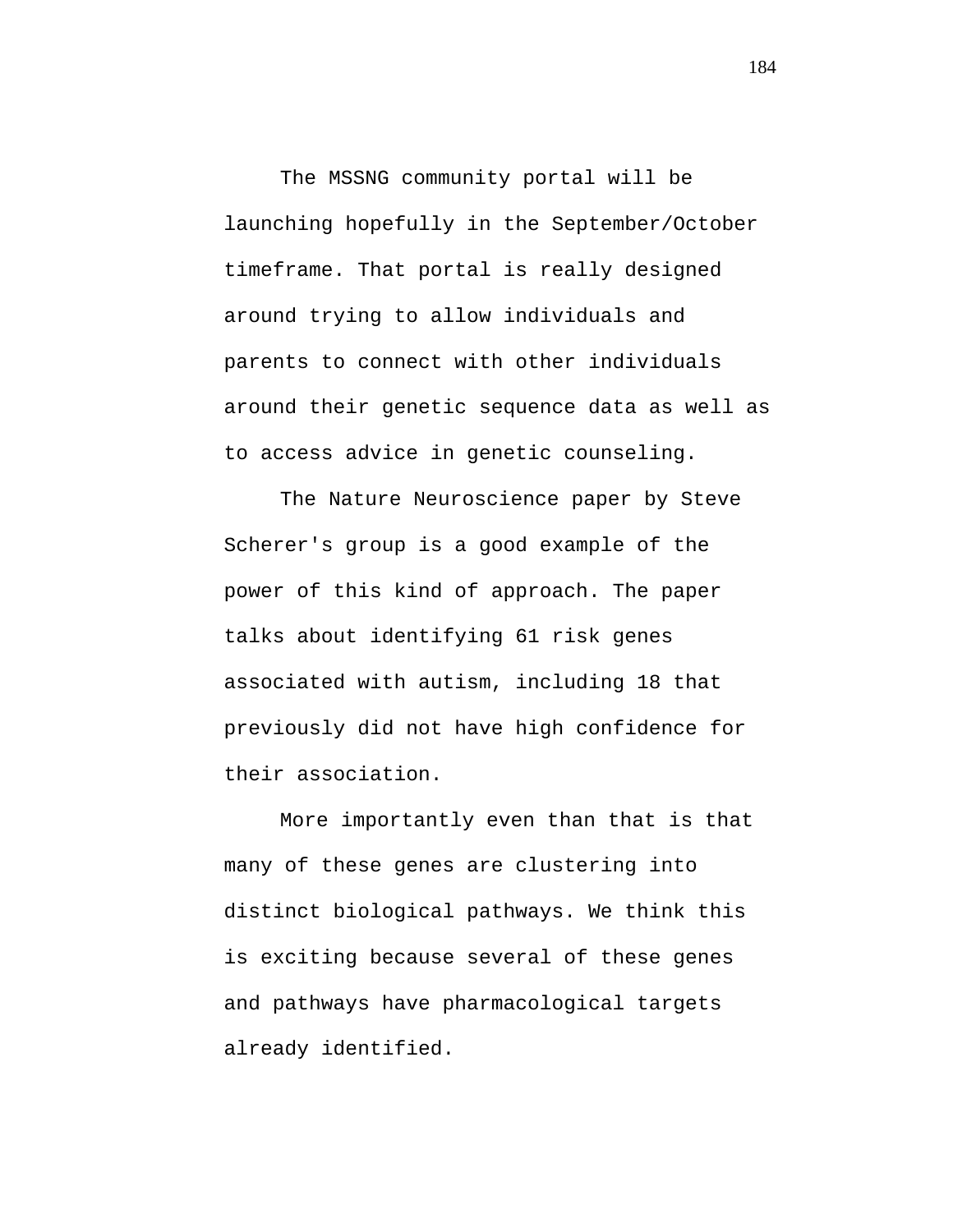The MSSNG community portal will be launching hopefully in the September/October timeframe. That portal is really designed around trying to allow individuals and parents to connect with other individuals around their genetic sequence data as well as to access advice in genetic counseling.

The Nature Neuroscience paper by Steve Scherer's group is a good example of the power of this kind of approach. The paper talks about identifying 61 risk genes associated with autism, including 18 that previously did not have high confidence for their association.

More importantly even than that is that many of these genes are clustering into distinct biological pathways. We think this is exciting because several of these genes and pathways have pharmacological targets already identified.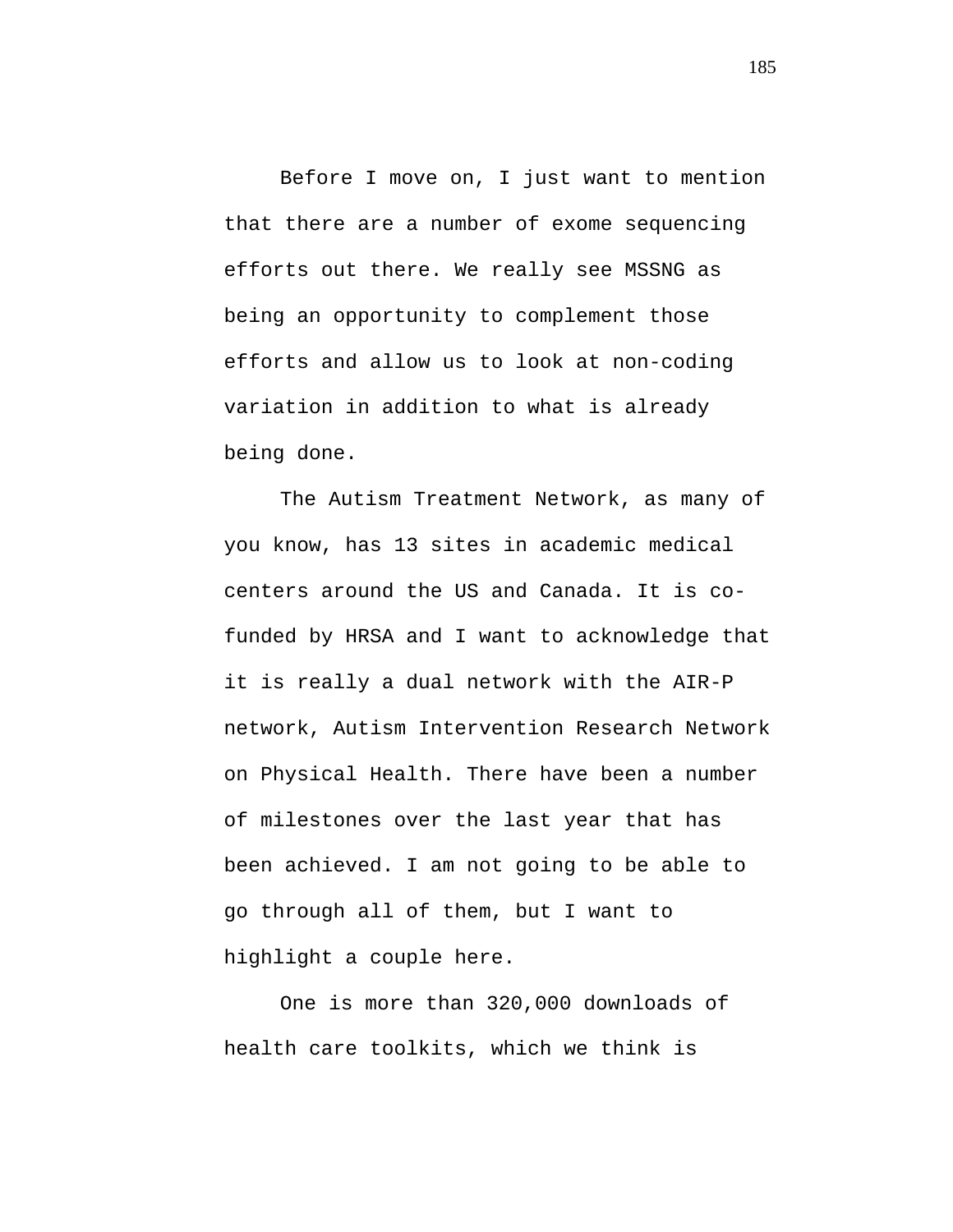Before I move on, I just want to mention that there are a number of exome sequencing efforts out there. We really see MSSNG as being an opportunity to complement those efforts and allow us to look at non-coding variation in addition to what is already being done.

The Autism Treatment Network, as many of you know, has 13 sites in academic medical centers around the US and Canada. It is cofunded by HRSA and I want to acknowledge that it is really a dual network with the AIR-P network, Autism Intervention Research Network on Physical Health. There have been a number of milestones over the last year that has been achieved. I am not going to be able to go through all of them, but I want to highlight a couple here.

One is more than 320,000 downloads of health care toolkits, which we think is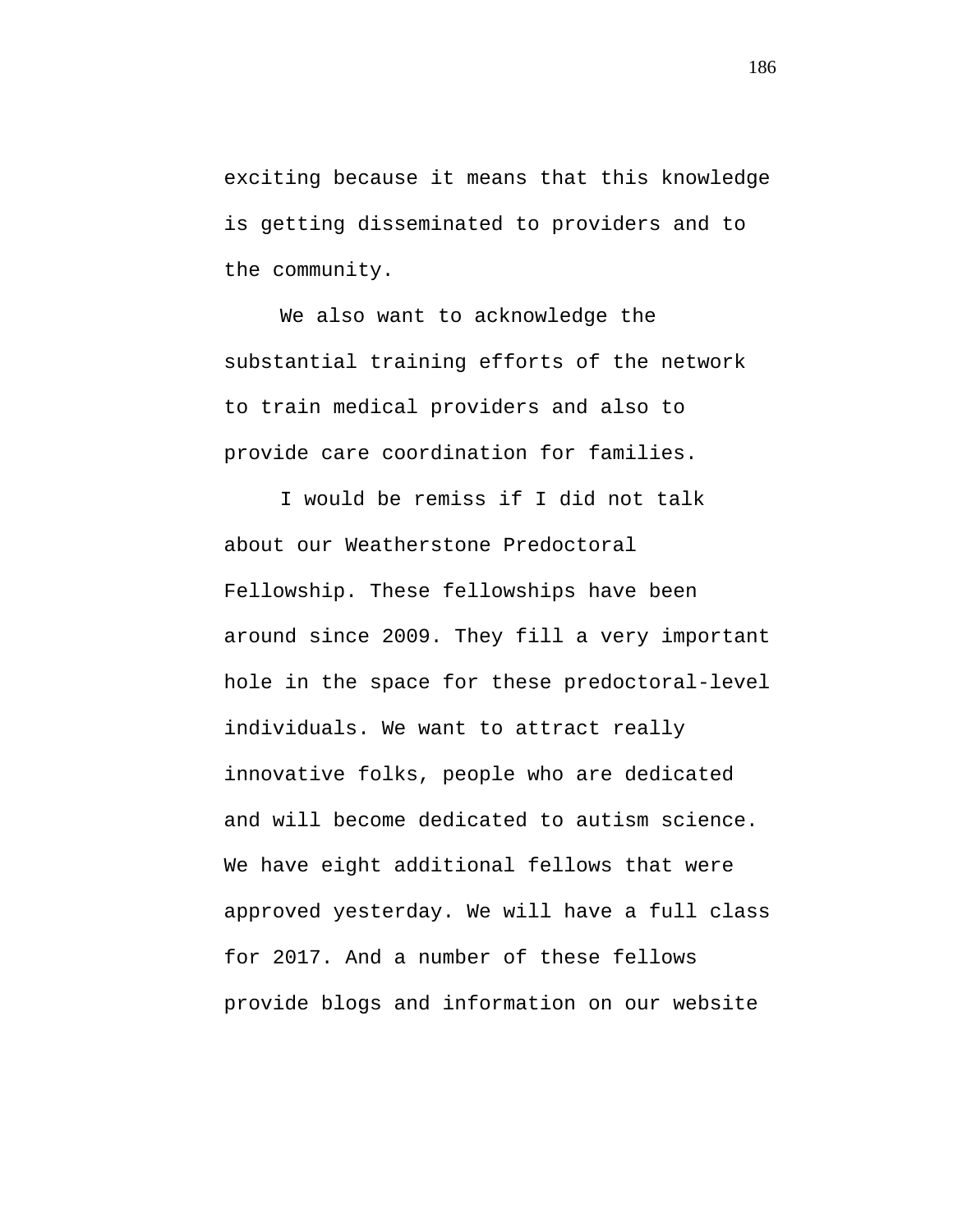exciting because it means that this knowledge is getting disseminated to providers and to the community.

We also want to acknowledge the substantial training efforts of the network to train medical providers and also to provide care coordination for families.

I would be remiss if I did not talk about our Weatherstone Predoctoral Fellowship. These fellowships have been around since 2009. They fill a very important hole in the space for these predoctoral-level individuals. We want to attract really innovative folks, people who are dedicated and will become dedicated to autism science. We have eight additional fellows that were approved yesterday. We will have a full class for 2017. And a number of these fellows provide blogs and information on our website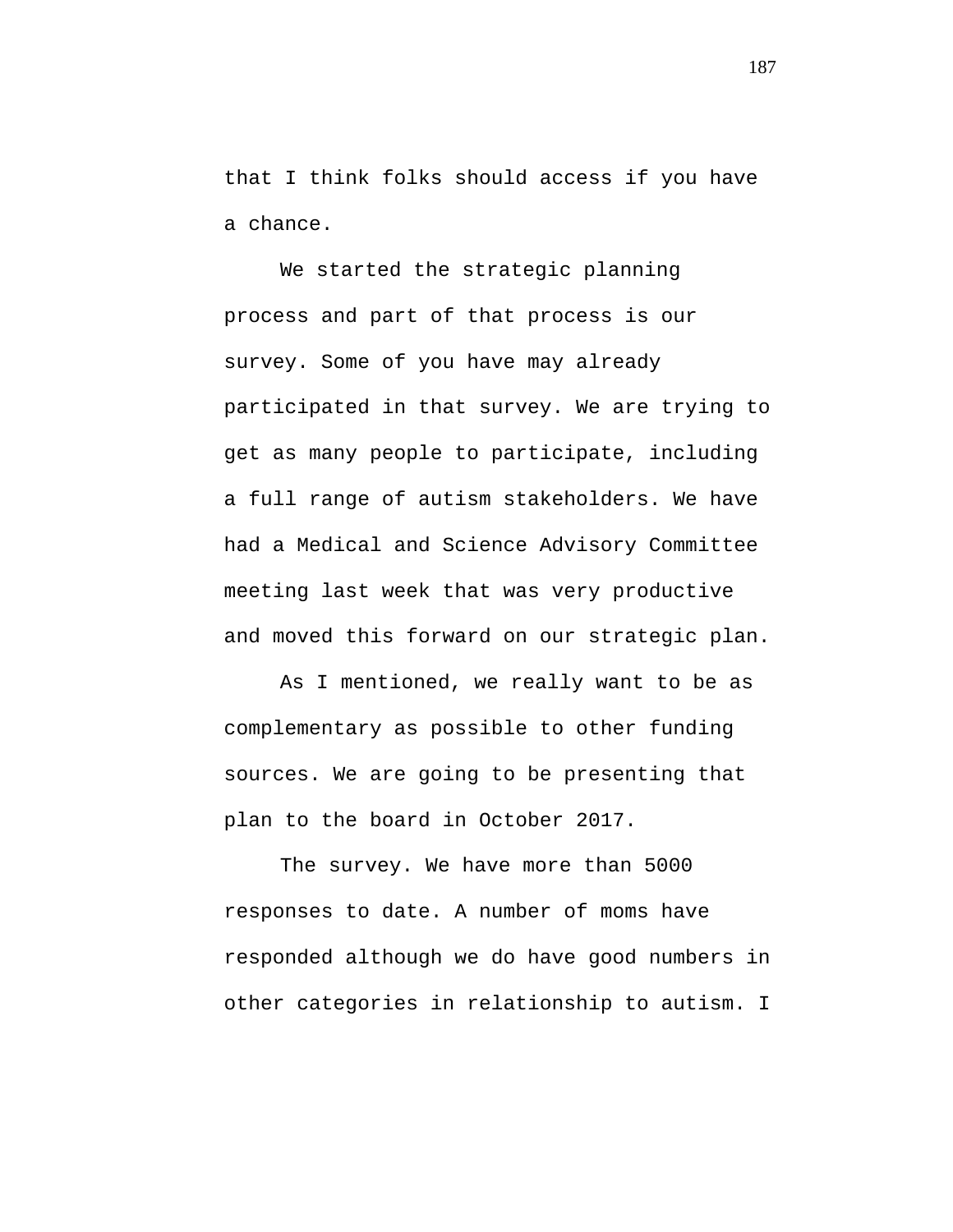that I think folks should access if you have a chance.

We started the strategic planning process and part of that process is our survey. Some of you have may already participated in that survey. We are trying to get as many people to participate, including a full range of autism stakeholders. We have had a Medical and Science Advisory Committee meeting last week that was very productive and moved this forward on our strategic plan.

As I mentioned, we really want to be as complementary as possible to other funding sources. We are going to be presenting that plan to the board in October 2017.

The survey. We have more than 5000 responses to date. A number of moms have responded although we do have good numbers in other categories in relationship to autism. I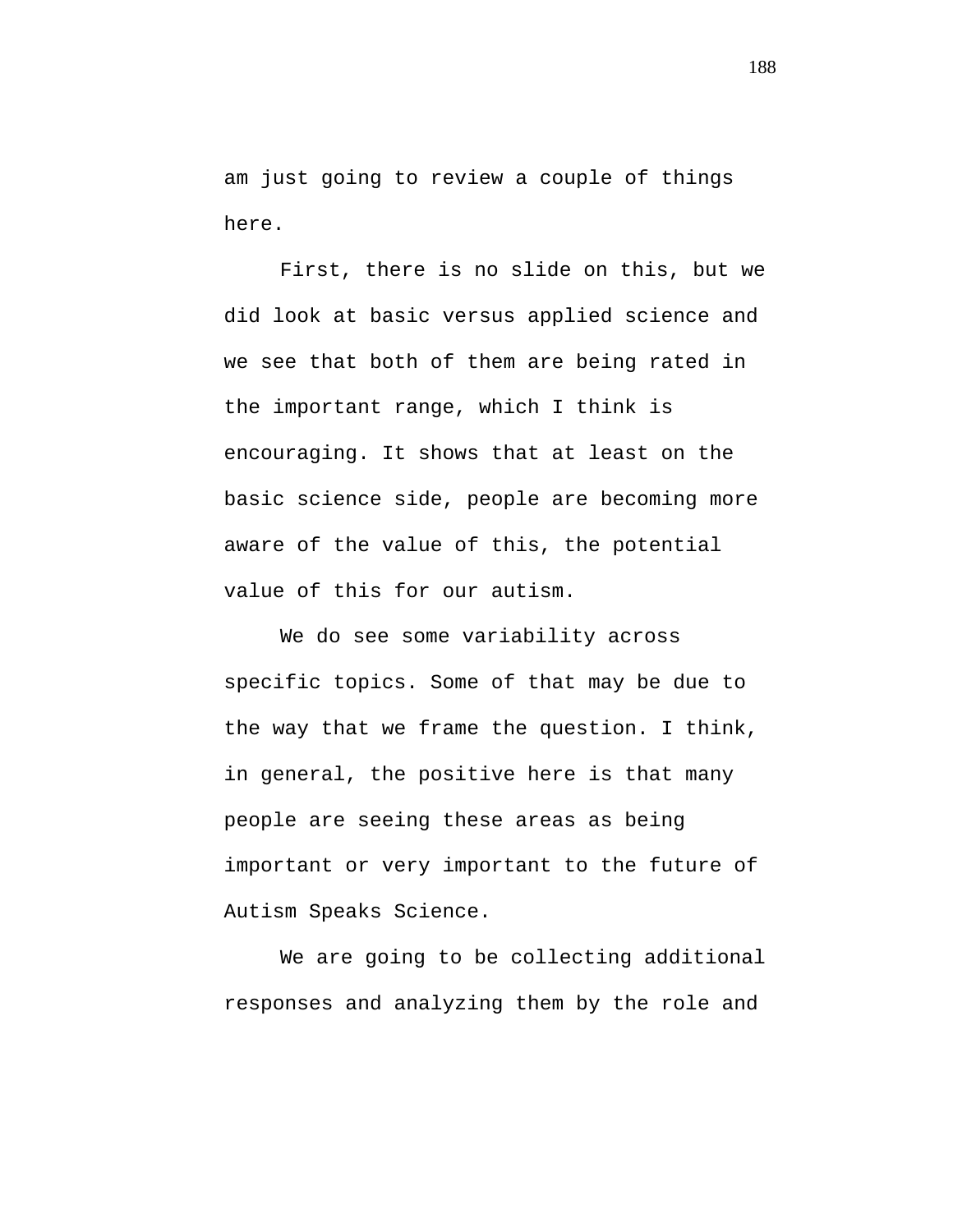am just going to review a couple of things here.

First, there is no slide on this, but we did look at basic versus applied science and we see that both of them are being rated in the important range, which I think is encouraging. It shows that at least on the basic science side, people are becoming more aware of the value of this, the potential value of this for our autism.

We do see some variability across specific topics. Some of that may be due to the way that we frame the question. I think, in general, the positive here is that many people are seeing these areas as being important or very important to the future of Autism Speaks Science.

We are going to be collecting additional responses and analyzing them by the role and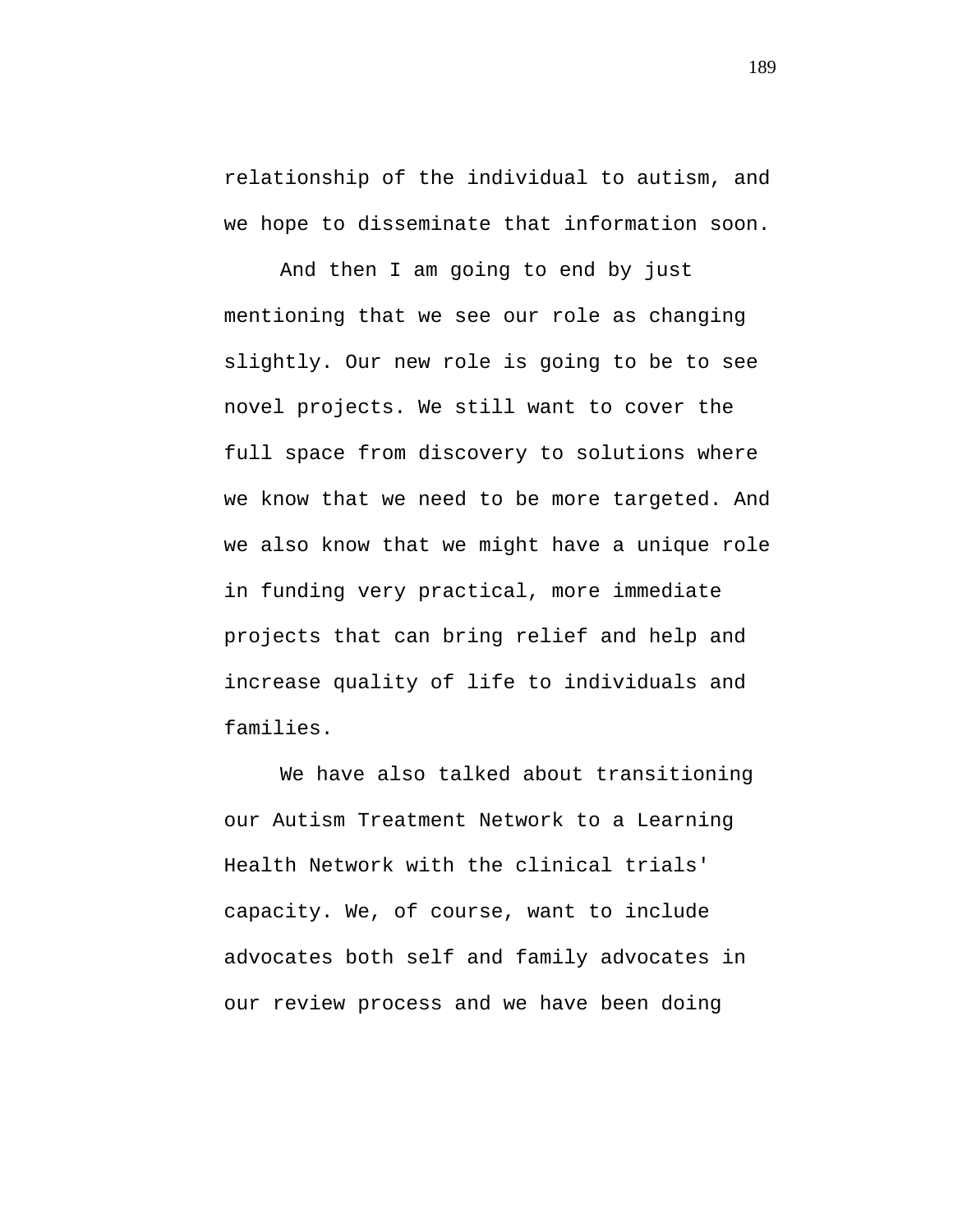relationship of the individual to autism, and we hope to disseminate that information soon.

And then I am going to end by just mentioning that we see our role as changing slightly. Our new role is going to be to see novel projects. We still want to cover the full space from discovery to solutions where we know that we need to be more targeted. And we also know that we might have a unique role in funding very practical, more immediate projects that can bring relief and help and increase quality of life to individuals and families.

We have also talked about transitioning our Autism Treatment Network to a Learning Health Network with the clinical trials' capacity. We, of course, want to include advocates both self and family advocates in our review process and we have been doing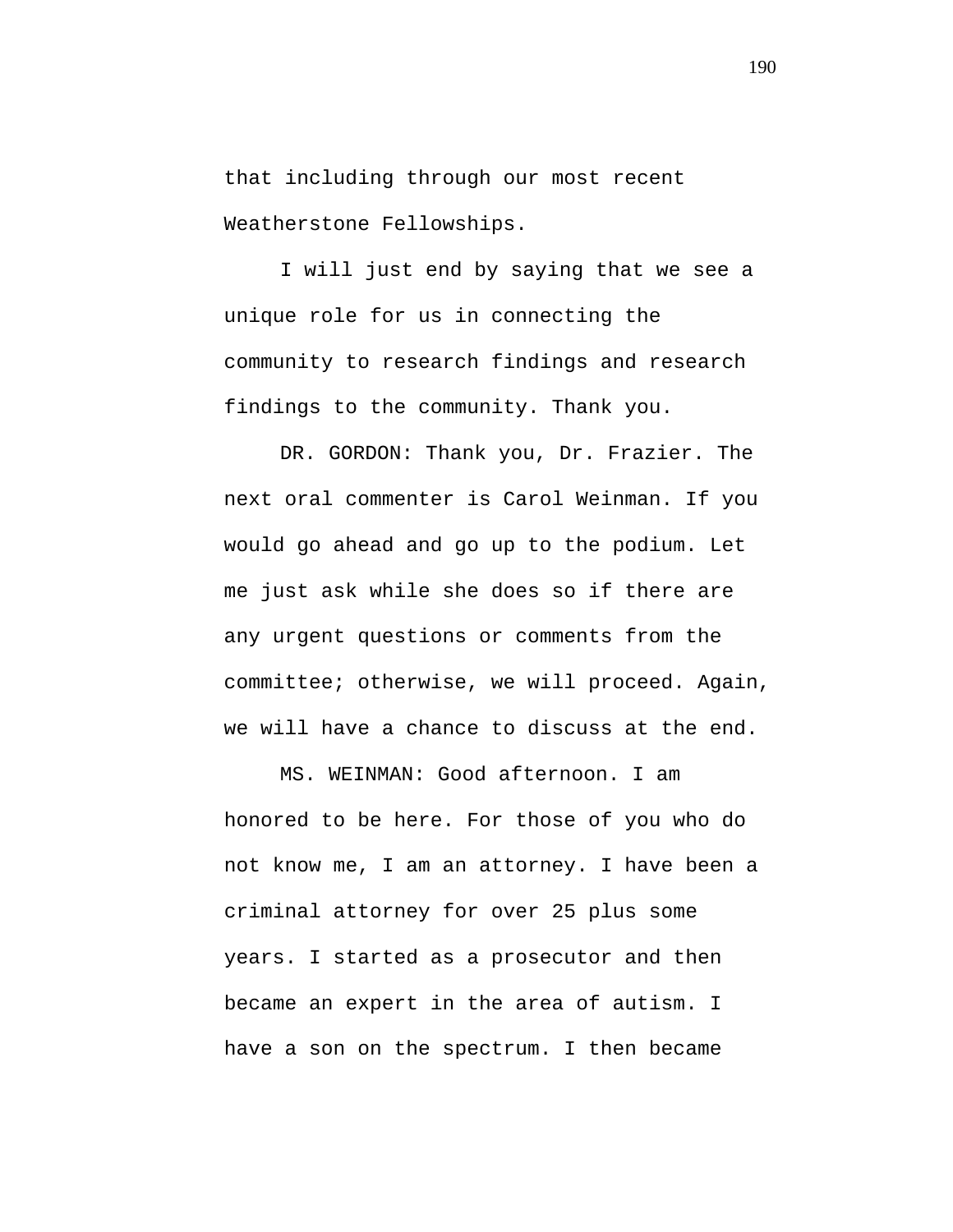that including through our most recent Weatherstone Fellowships.

I will just end by saying that we see a unique role for us in connecting the community to research findings and research findings to the community. Thank you.

DR. GORDON: Thank you, Dr. Frazier. The next oral commenter is Carol Weinman. If you would go ahead and go up to the podium. Let me just ask while she does so if there are any urgent questions or comments from the committee; otherwise, we will proceed. Again, we will have a chance to discuss at the end.

MS. WEINMAN: Good afternoon. I am honored to be here. For those of you who do not know me, I am an attorney. I have been a criminal attorney for over 25 plus some years. I started as a prosecutor and then became an expert in the area of autism. I have a son on the spectrum. I then became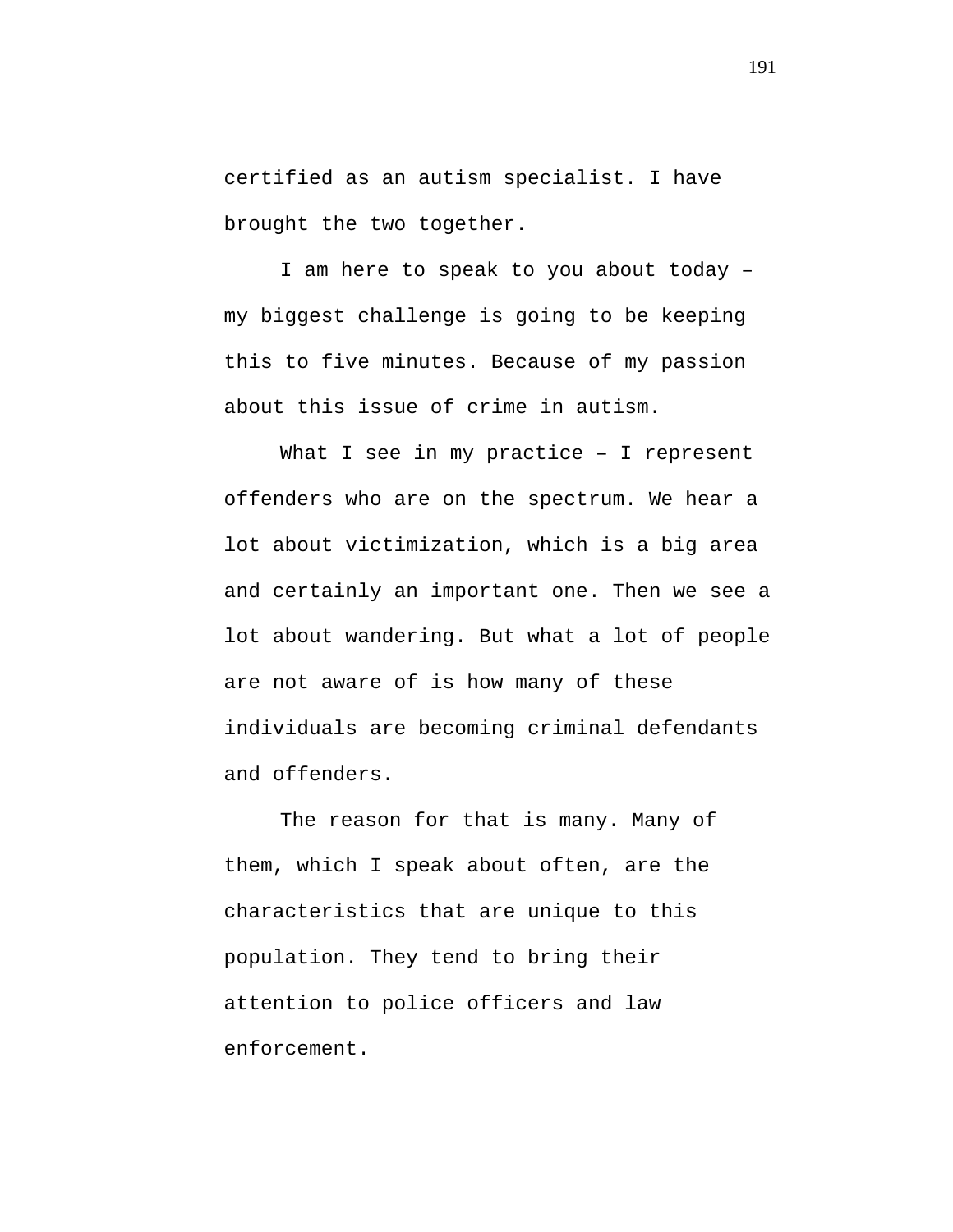certified as an autism specialist. I have brought the two together.

I am here to speak to you about today – my biggest challenge is going to be keeping this to five minutes. Because of my passion about this issue of crime in autism.

What I see in my practice - I represent offenders who are on the spectrum. We hear a lot about victimization, which is a big area and certainly an important one. Then we see a lot about wandering. But what a lot of people are not aware of is how many of these individuals are becoming criminal defendants and offenders.

The reason for that is many. Many of them, which I speak about often, are the characteristics that are unique to this population. They tend to bring their attention to police officers and law enforcement.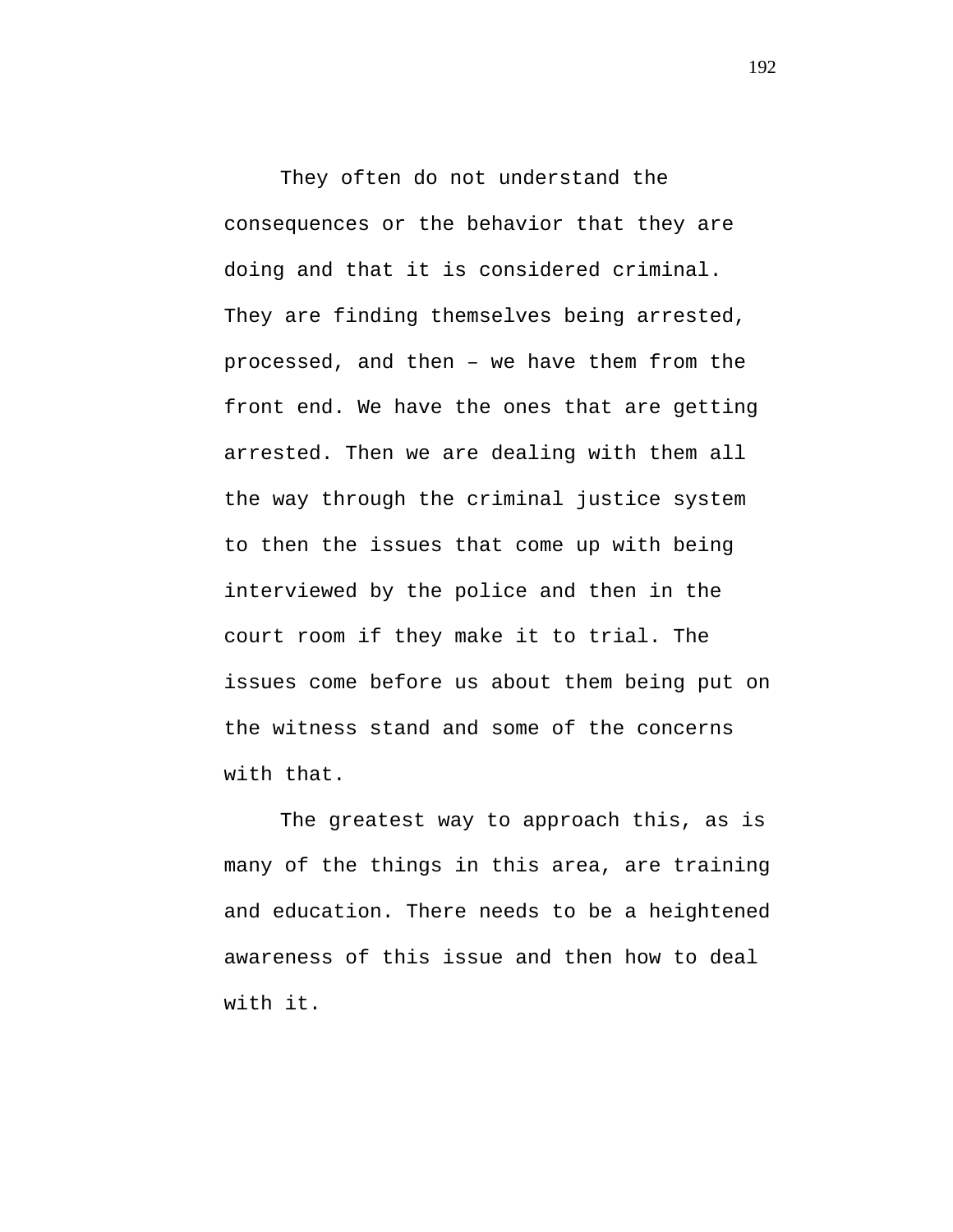They often do not understand the consequences or the behavior that they are doing and that it is considered criminal. They are finding themselves being arrested, processed, and then – we have them from the front end. We have the ones that are getting arrested. Then we are dealing with them all the way through the criminal justice system to then the issues that come up with being interviewed by the police and then in the court room if they make it to trial. The issues come before us about them being put on the witness stand and some of the concerns with that.

The greatest way to approach this, as is many of the things in this area, are training and education. There needs to be a heightened awareness of this issue and then how to deal with it.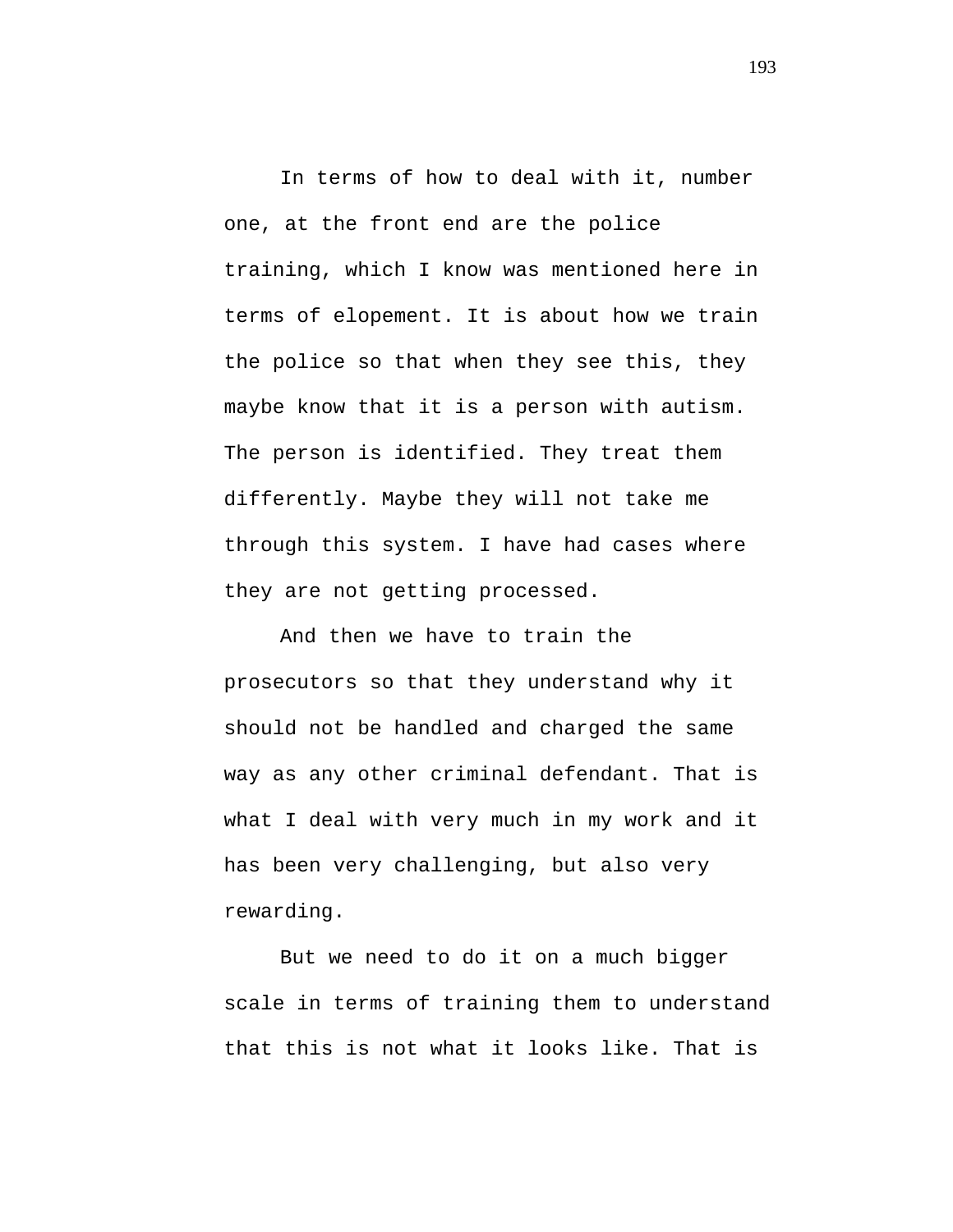In terms of how to deal with it, number one, at the front end are the police training, which I know was mentioned here in terms of elopement. It is about how we train the police so that when they see this, they maybe know that it is a person with autism. The person is identified. They treat them differently. Maybe they will not take me through this system. I have had cases where they are not getting processed.

And then we have to train the prosecutors so that they understand why it should not be handled and charged the same way as any other criminal defendant. That is what I deal with very much in my work and it has been very challenging, but also very rewarding.

But we need to do it on a much bigger scale in terms of training them to understand that this is not what it looks like. That is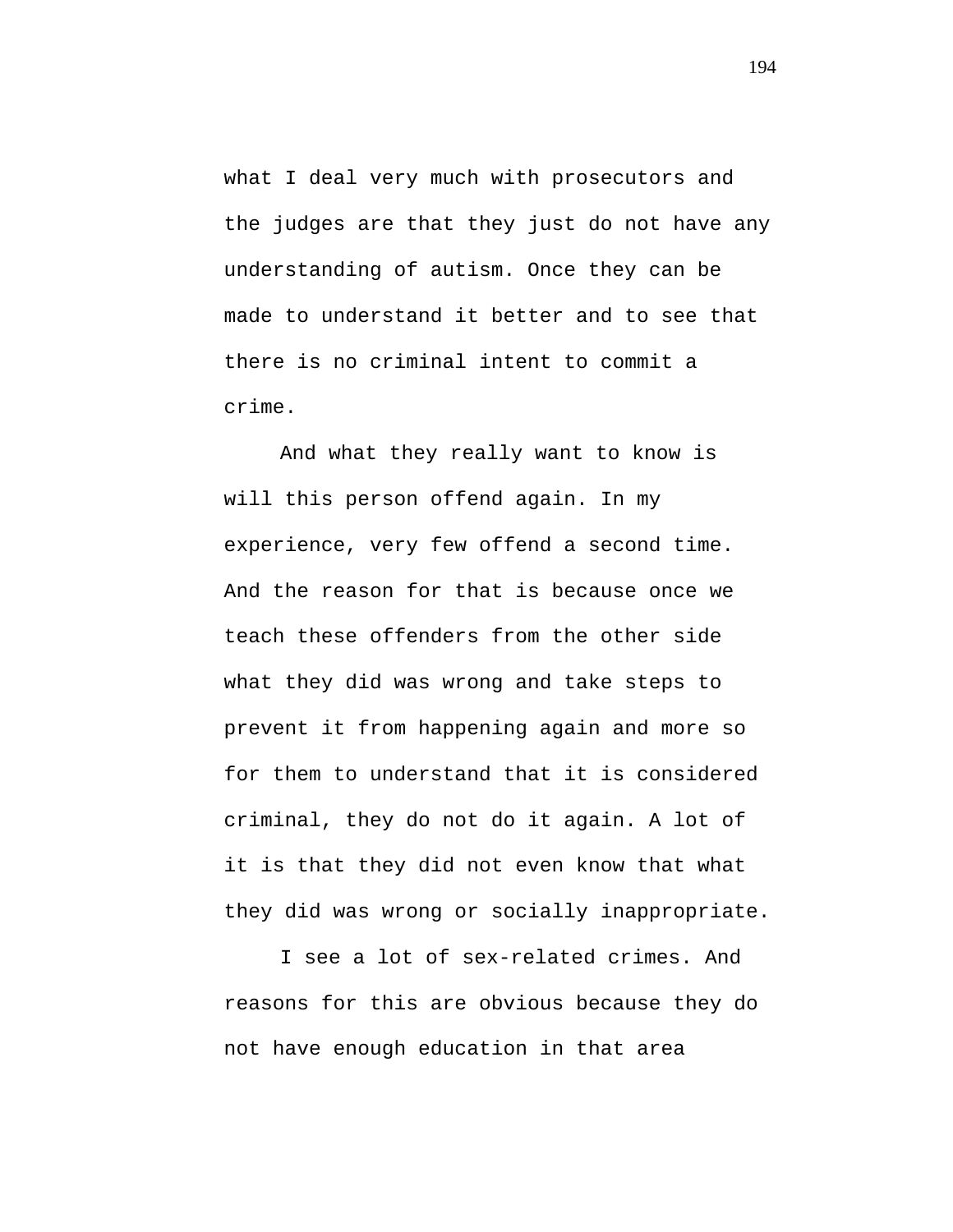what I deal very much with prosecutors and the judges are that they just do not have any understanding of autism. Once they can be made to understand it better and to see that there is no criminal intent to commit a crime.

And what they really want to know is will this person offend again. In my experience, very few offend a second time. And the reason for that is because once we teach these offenders from the other side what they did was wrong and take steps to prevent it from happening again and more so for them to understand that it is considered criminal, they do not do it again. A lot of it is that they did not even know that what they did was wrong or socially inappropriate.

I see a lot of sex-related crimes. And reasons for this are obvious because they do not have enough education in that area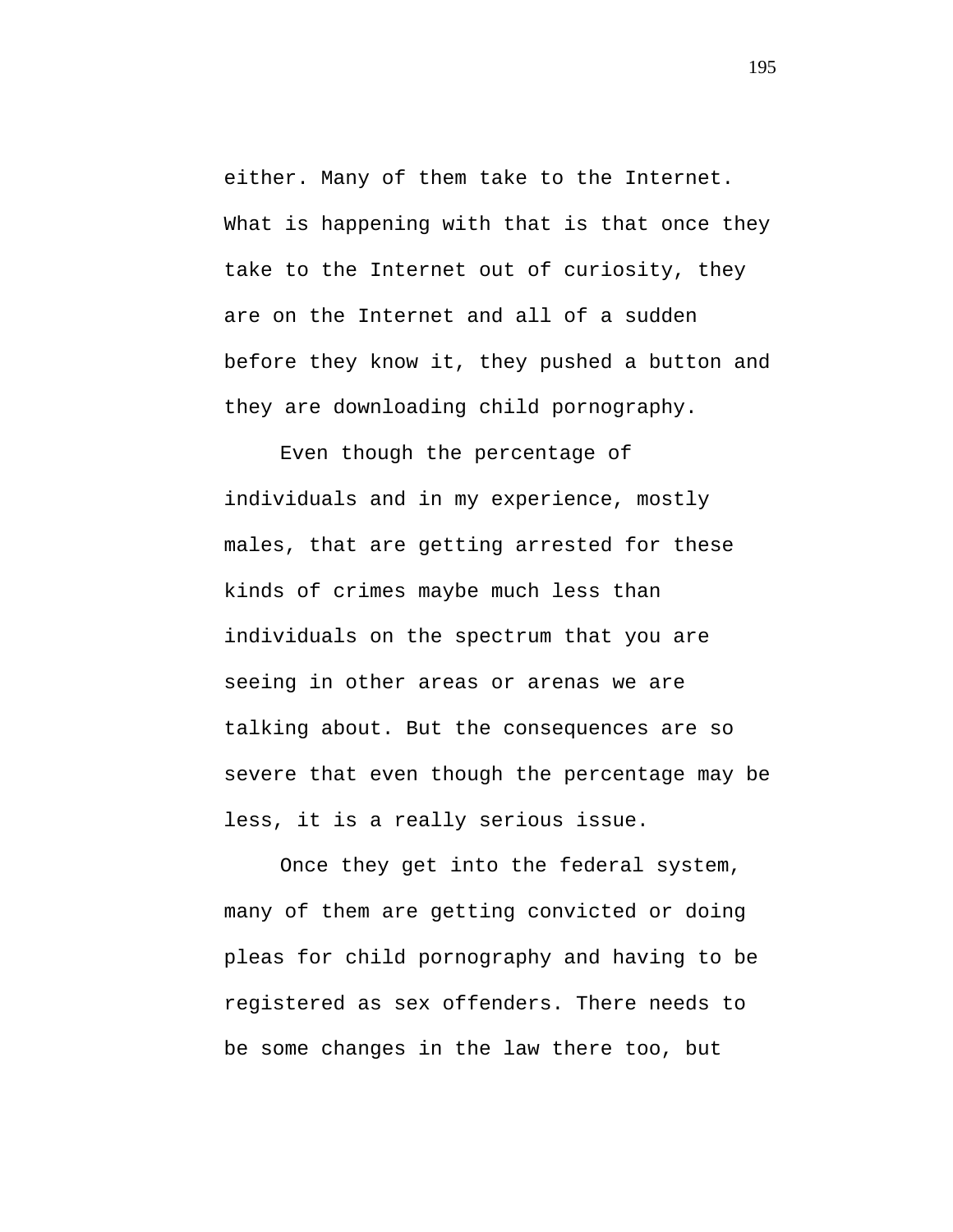either. Many of them take to the Internet. What is happening with that is that once they take to the Internet out of curiosity, they are on the Internet and all of a sudden before they know it, they pushed a button and they are downloading child pornography.

Even though the percentage of individuals and in my experience, mostly males, that are getting arrested for these kinds of crimes maybe much less than individuals on the spectrum that you are seeing in other areas or arenas we are talking about. But the consequences are so severe that even though the percentage may be less, it is a really serious issue.

Once they get into the federal system, many of them are getting convicted or doing pleas for child pornography and having to be registered as sex offenders. There needs to be some changes in the law there too, but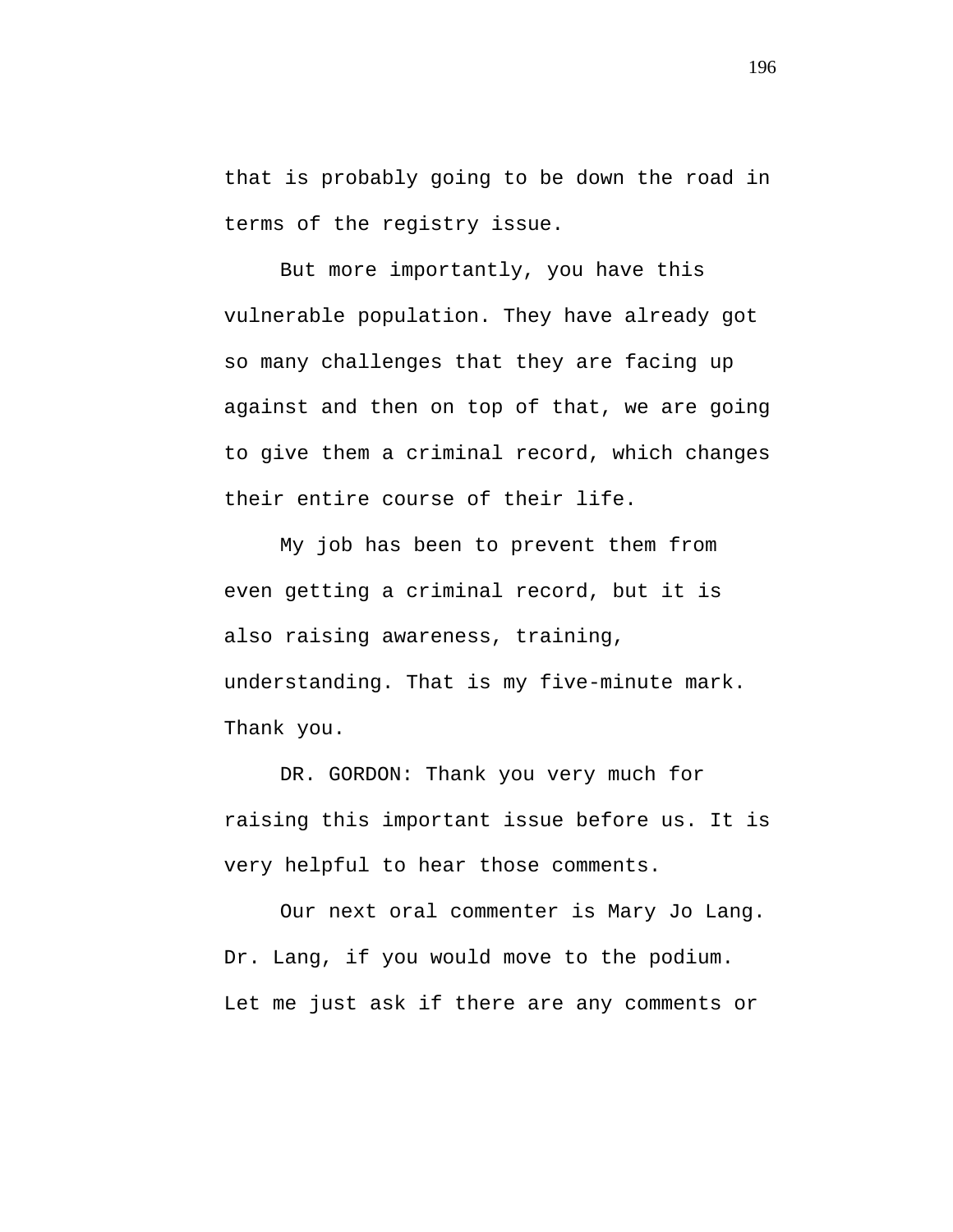that is probably going to be down the road in terms of the registry issue.

But more importantly, you have this vulnerable population. They have already got so many challenges that they are facing up against and then on top of that, we are going to give them a criminal record, which changes their entire course of their life.

My job has been to prevent them from even getting a criminal record, but it is also raising awareness, training, understanding. That is my five-minute mark. Thank you.

DR. GORDON: Thank you very much for raising this important issue before us. It is very helpful to hear those comments.

Our next oral commenter is Mary Jo Lang. Dr. Lang, if you would move to the podium. Let me just ask if there are any comments or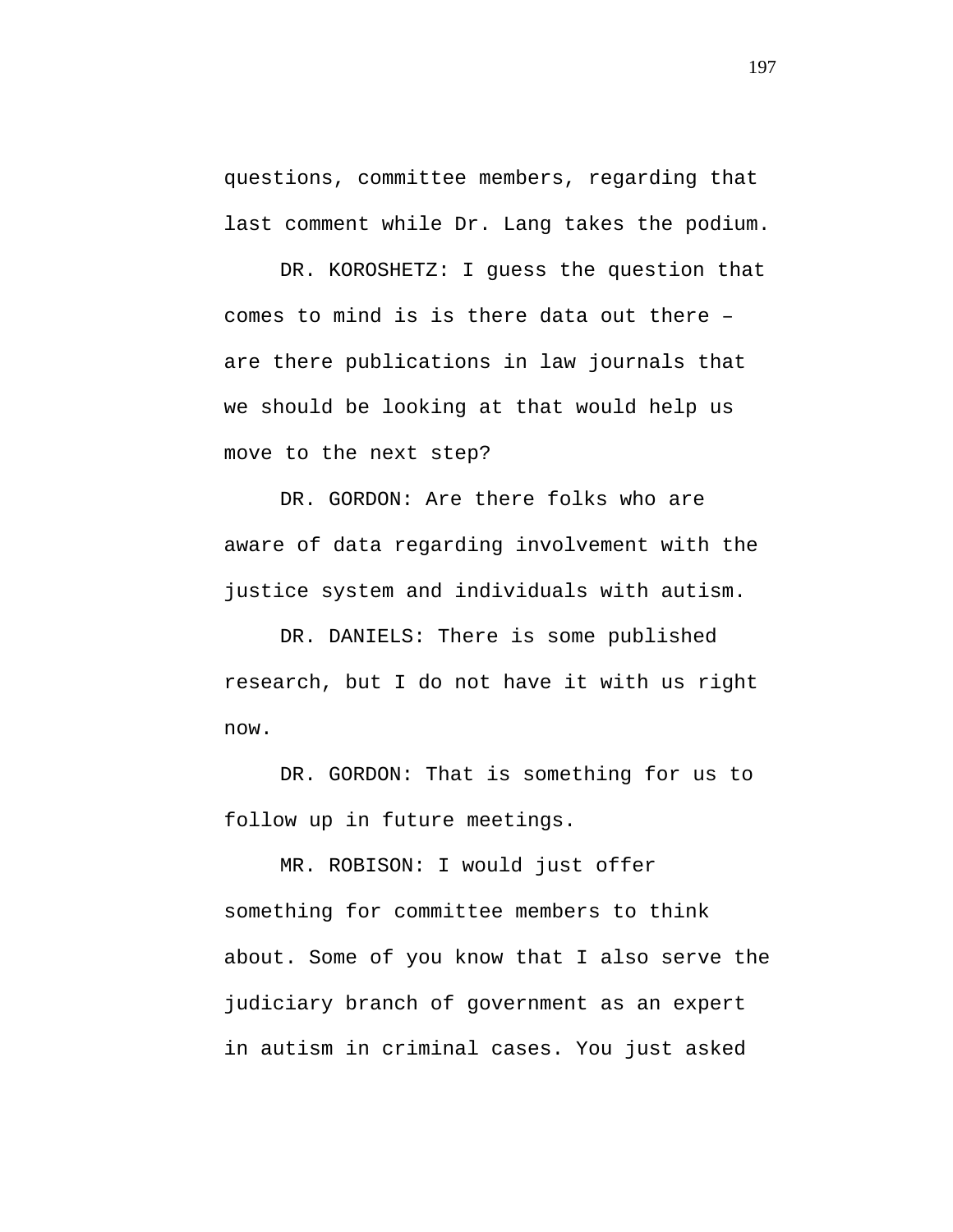questions, committee members, regarding that last comment while Dr. Lang takes the podium.

DR. KOROSHETZ: I guess the question that comes to mind is is there data out there – are there publications in law journals that we should be looking at that would help us move to the next step?

DR. GORDON: Are there folks who are aware of data regarding involvement with the justice system and individuals with autism.

DR. DANIELS: There is some published research, but I do not have it with us right now.

DR. GORDON: That is something for us to follow up in future meetings.

MR. ROBISON: I would just offer something for committee members to think about. Some of you know that I also serve the judiciary branch of government as an expert in autism in criminal cases. You just asked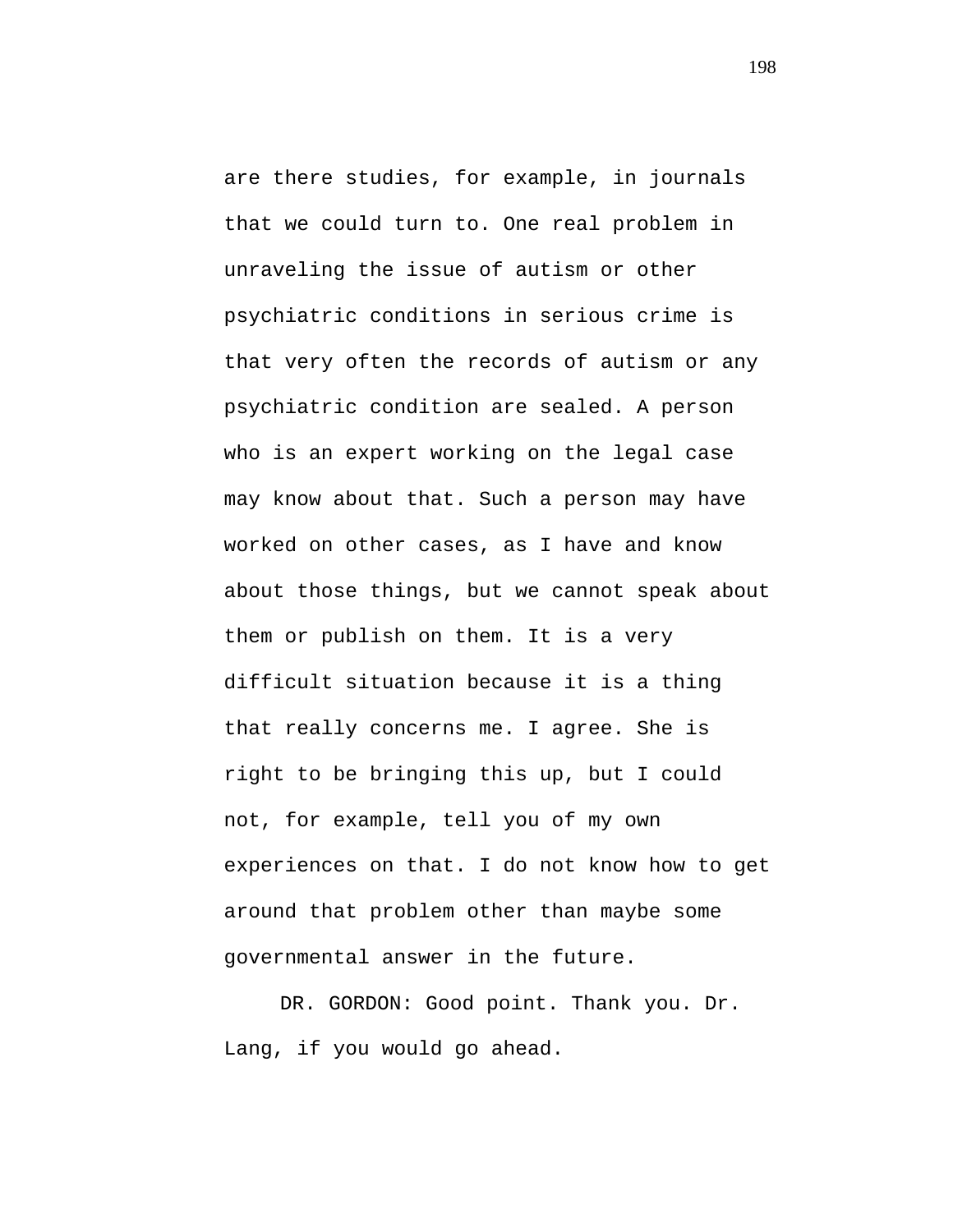are there studies, for example, in journals that we could turn to. One real problem in unraveling the issue of autism or other psychiatric conditions in serious crime is that very often the records of autism or any psychiatric condition are sealed. A person who is an expert working on the legal case may know about that. Such a person may have worked on other cases, as I have and know about those things, but we cannot speak about them or publish on them. It is a very difficult situation because it is a thing that really concerns me. I agree. She is right to be bringing this up, but I could not, for example, tell you of my own experiences on that. I do not know how to get around that problem other than maybe some governmental answer in the future.

DR. GORDON: Good point. Thank you. Dr. Lang, if you would go ahead.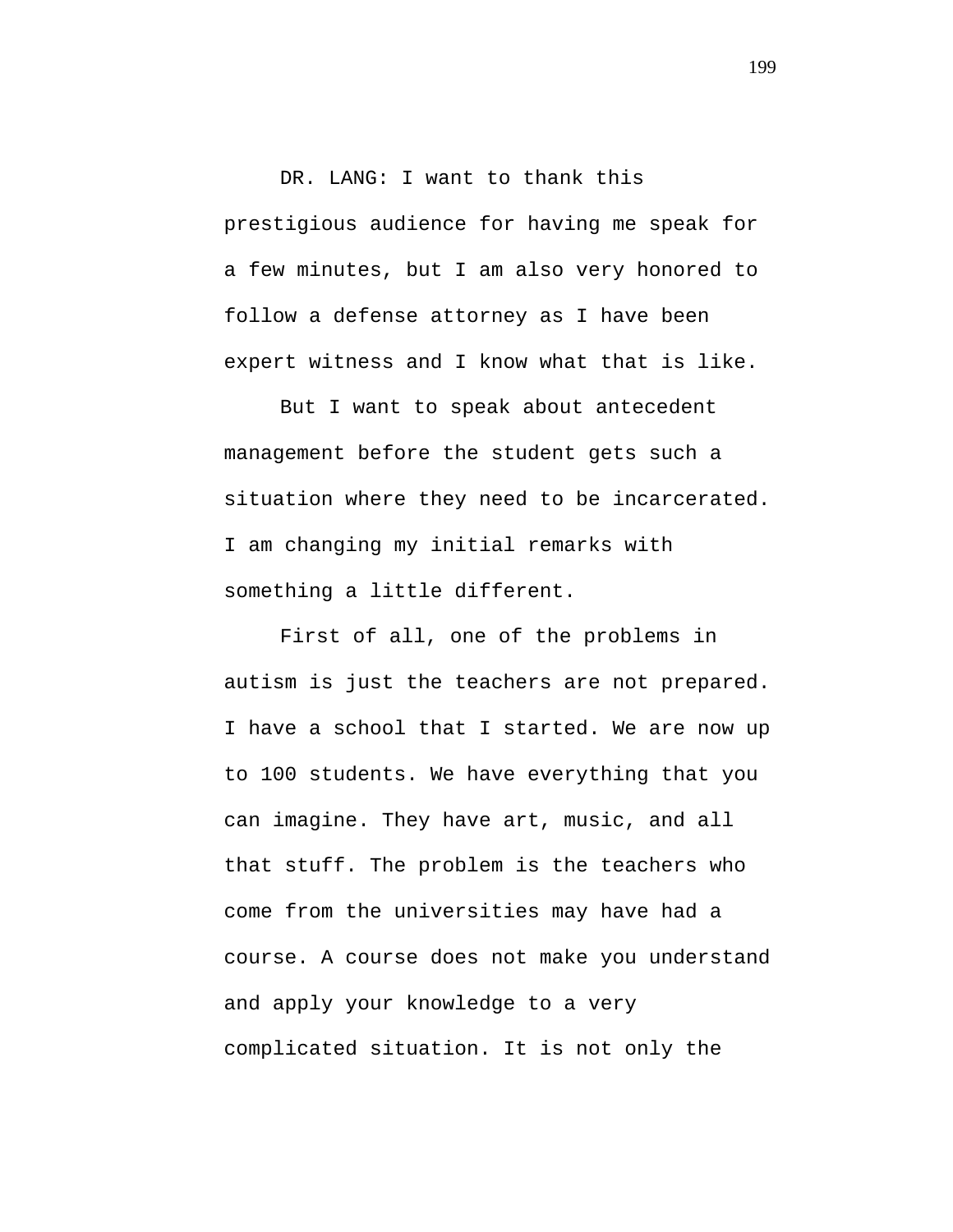## DR. LANG: I want to thank this

prestigious audience for having me speak for a few minutes, but I am also very honored to follow a defense attorney as I have been expert witness and I know what that is like.

But I want to speak about antecedent management before the student gets such a situation where they need to be incarcerated. I am changing my initial remarks with something a little different.

First of all, one of the problems in autism is just the teachers are not prepared. I have a school that I started. We are now up to 100 students. We have everything that you can imagine. They have art, music, and all that stuff. The problem is the teachers who come from the universities may have had a course. A course does not make you understand and apply your knowledge to a very complicated situation. It is not only the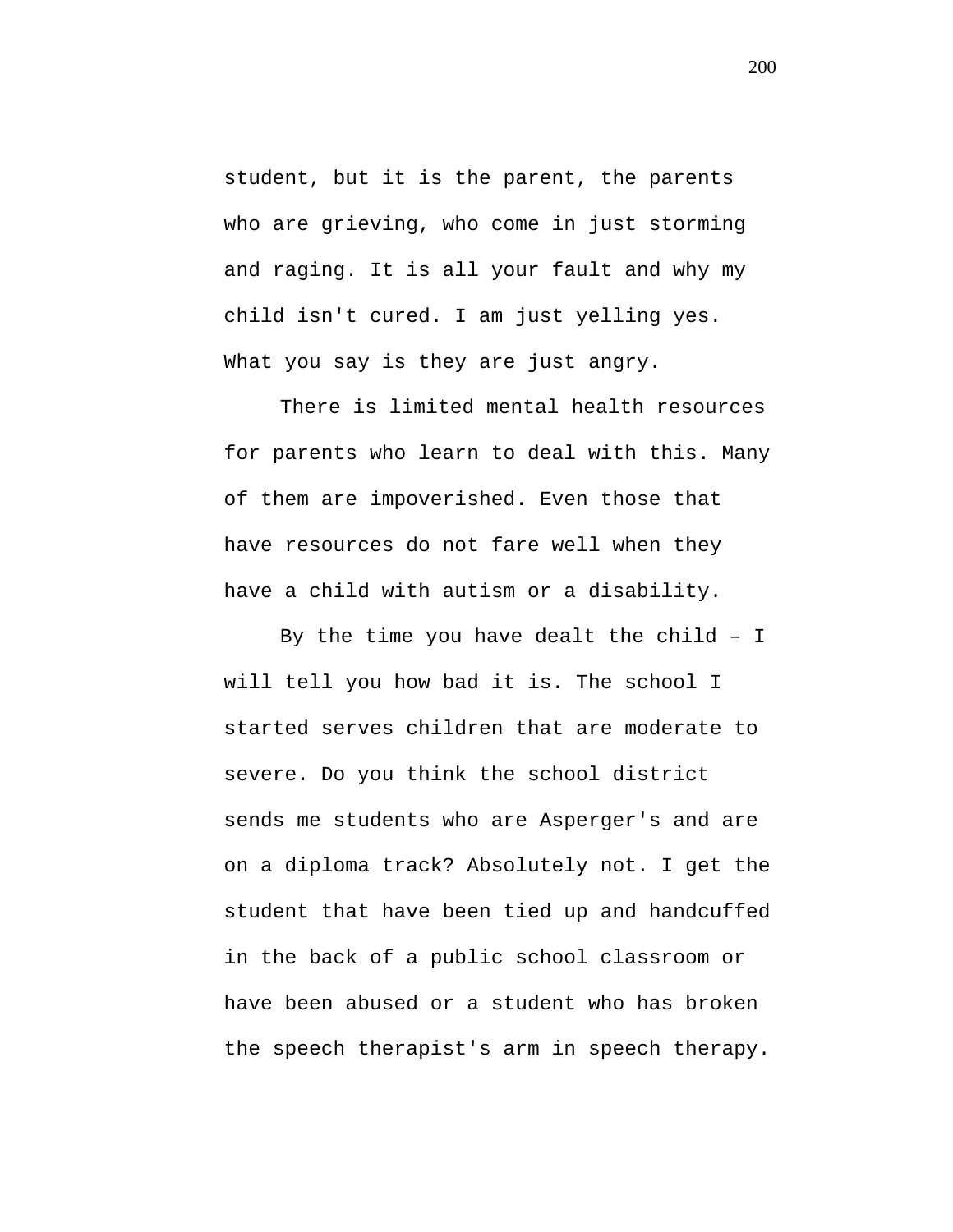student, but it is the parent, the parents who are grieving, who come in just storming and raging. It is all your fault and why my child isn't cured. I am just yelling yes. What you say is they are just angry.

There is limited mental health resources for parents who learn to deal with this. Many of them are impoverished. Even those that have resources do not fare well when they have a child with autism or a disability.

By the time you have dealt the child – I will tell you how bad it is. The school I started serves children that are moderate to severe. Do you think the school district sends me students who are Asperger's and are on a diploma track? Absolutely not. I get the student that have been tied up and handcuffed in the back of a public school classroom or have been abused or a student who has broken the speech therapist's arm in speech therapy.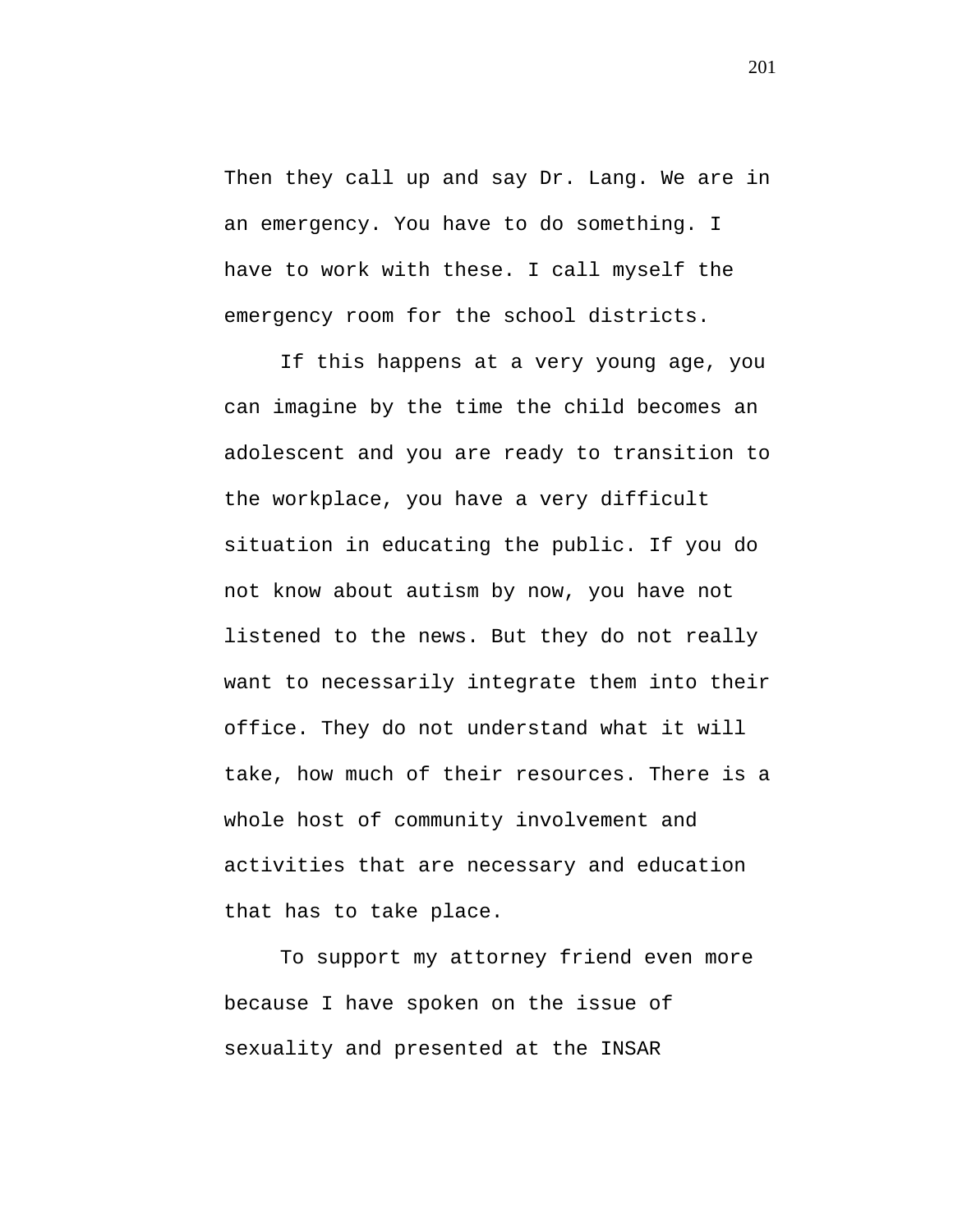Then they call up and say Dr. Lang. We are in an emergency. You have to do something. I have to work with these. I call myself the emergency room for the school districts.

If this happens at a very young age, you can imagine by the time the child becomes an adolescent and you are ready to transition to the workplace, you have a very difficult situation in educating the public. If you do not know about autism by now, you have not listened to the news. But they do not really want to necessarily integrate them into their office. They do not understand what it will take, how much of their resources. There is a whole host of community involvement and activities that are necessary and education that has to take place.

To support my attorney friend even more because I have spoken on the issue of sexuality and presented at the INSAR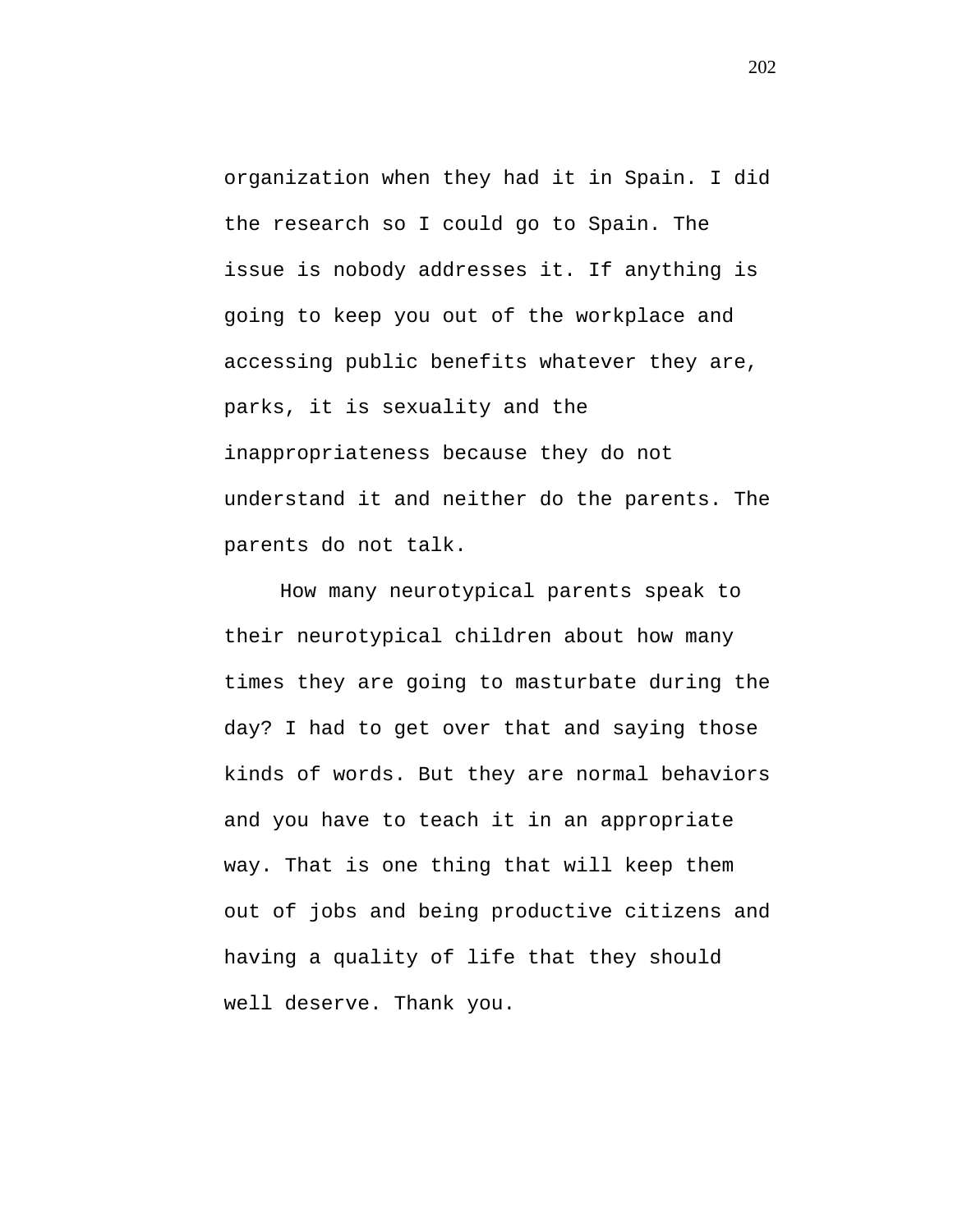organization when they had it in Spain. I did the research so I could go to Spain. The issue is nobody addresses it. If anything is going to keep you out of the workplace and accessing public benefits whatever they are, parks, it is sexuality and the inappropriateness because they do not understand it and neither do the parents. The parents do not talk.

How many neurotypical parents speak to their neurotypical children about how many times they are going to masturbate during the day? I had to get over that and saying those kinds of words. But they are normal behaviors and you have to teach it in an appropriate way. That is one thing that will keep them out of jobs and being productive citizens and having a quality of life that they should well deserve. Thank you.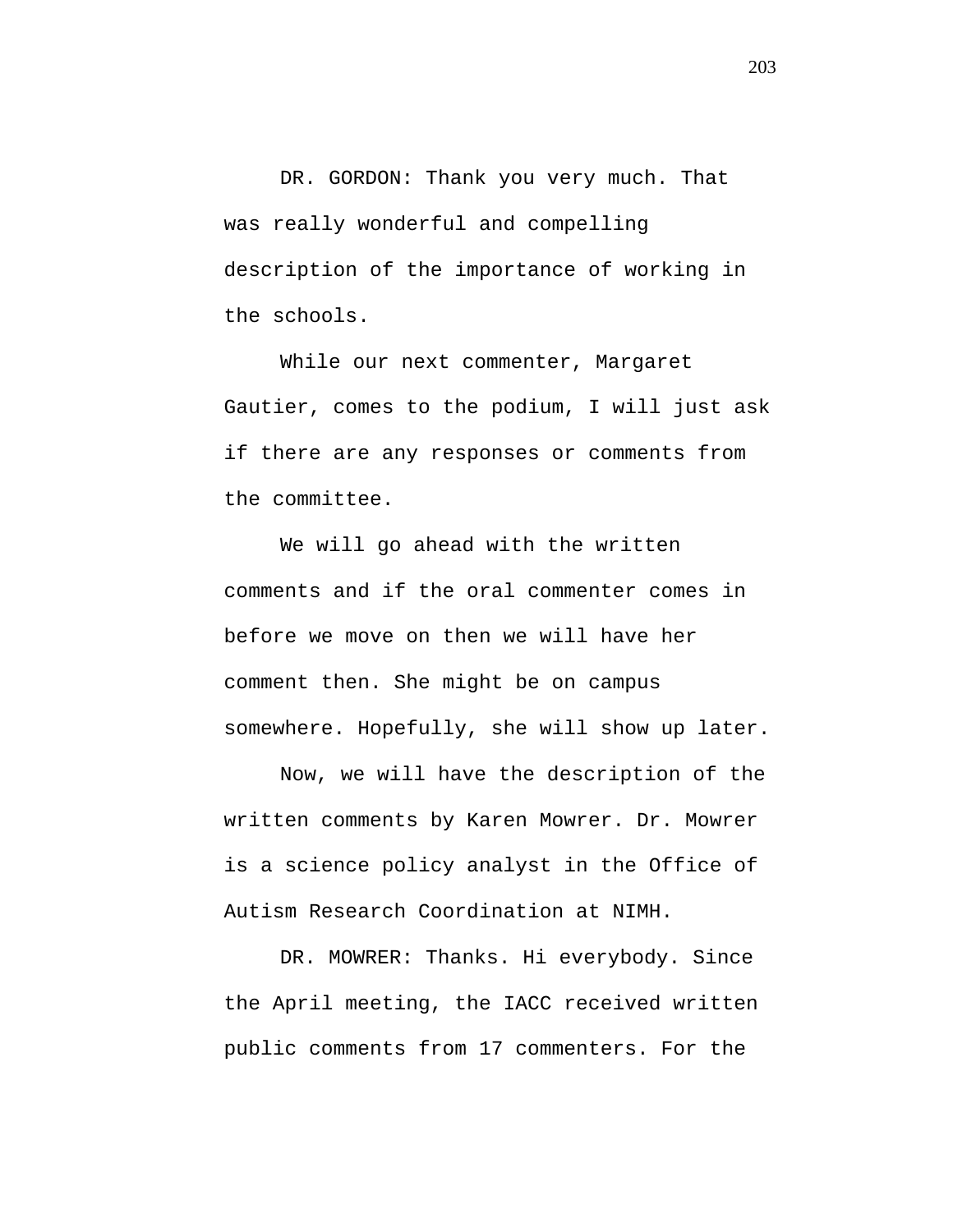DR. GORDON: Thank you very much. That was really wonderful and compelling description of the importance of working in the schools.

While our next commenter, Margaret Gautier, comes to the podium, I will just ask if there are any responses or comments from the committee.

We will go ahead with the written comments and if the oral commenter comes in before we move on then we will have her comment then. She might be on campus somewhere. Hopefully, she will show up later.

Now, we will have the description of the written comments by Karen Mowrer. Dr. Mowrer is a science policy analyst in the Office of Autism Research Coordination at NIMH.

DR. MOWRER: Thanks. Hi everybody. Since the April meeting, the IACC received written public comments from 17 commenters. For the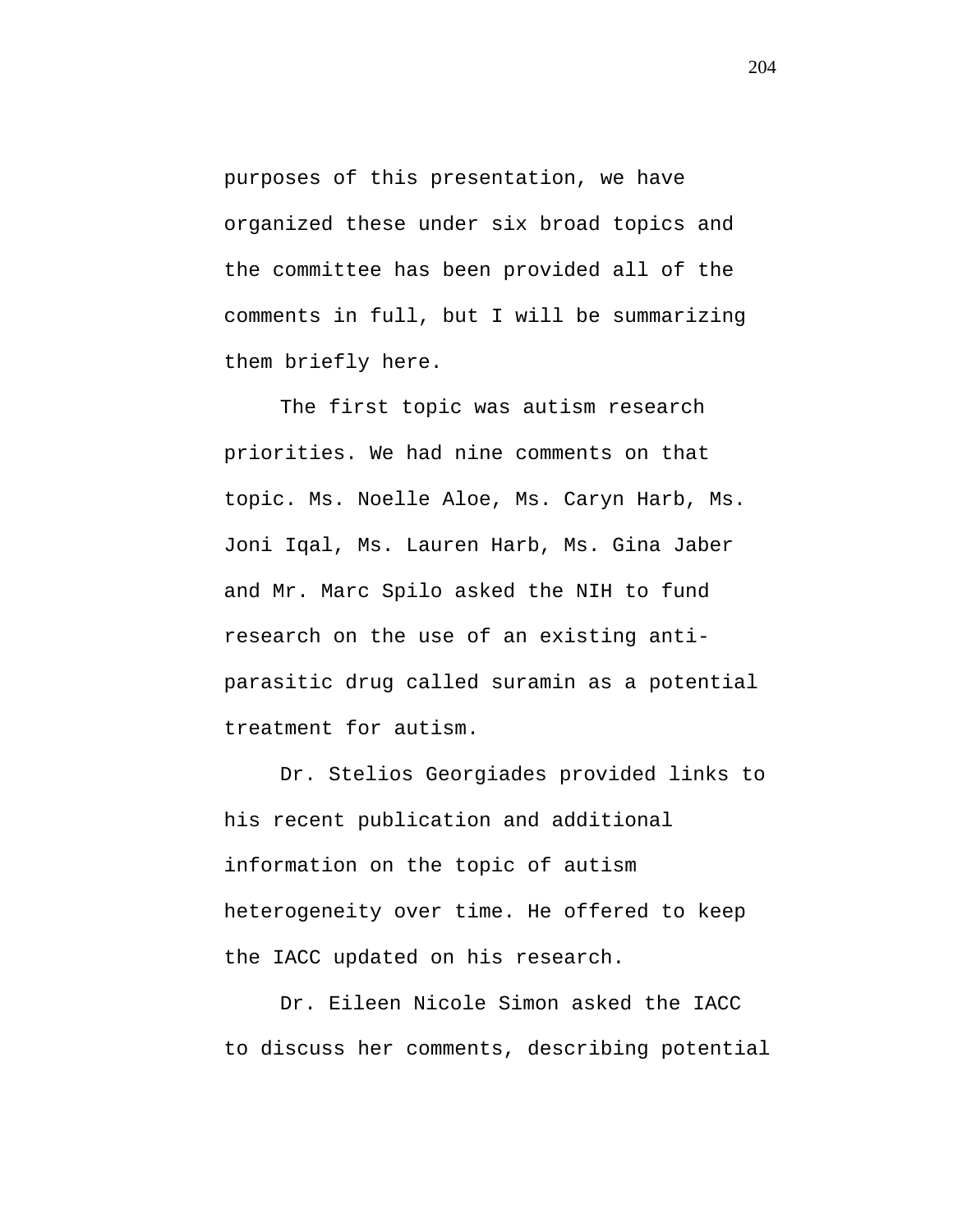purposes of this presentation, we have organized these under six broad topics and the committee has been provided all of the comments in full, but I will be summarizing them briefly here.

The first topic was autism research priorities. We had nine comments on that topic. Ms. Noelle Aloe, Ms. Caryn Harb, Ms. Joni Iqal, Ms. Lauren Harb, Ms. Gina Jaber and Mr. Marc Spilo asked the NIH to fund research on the use of an existing antiparasitic drug called suramin as a potential treatment for autism.

Dr. Stelios Georgiades provided links to his recent publication and additional information on the topic of autism heterogeneity over time. He offered to keep the IACC updated on his research.

Dr. Eileen Nicole Simon asked the IACC to discuss her comments, describing potential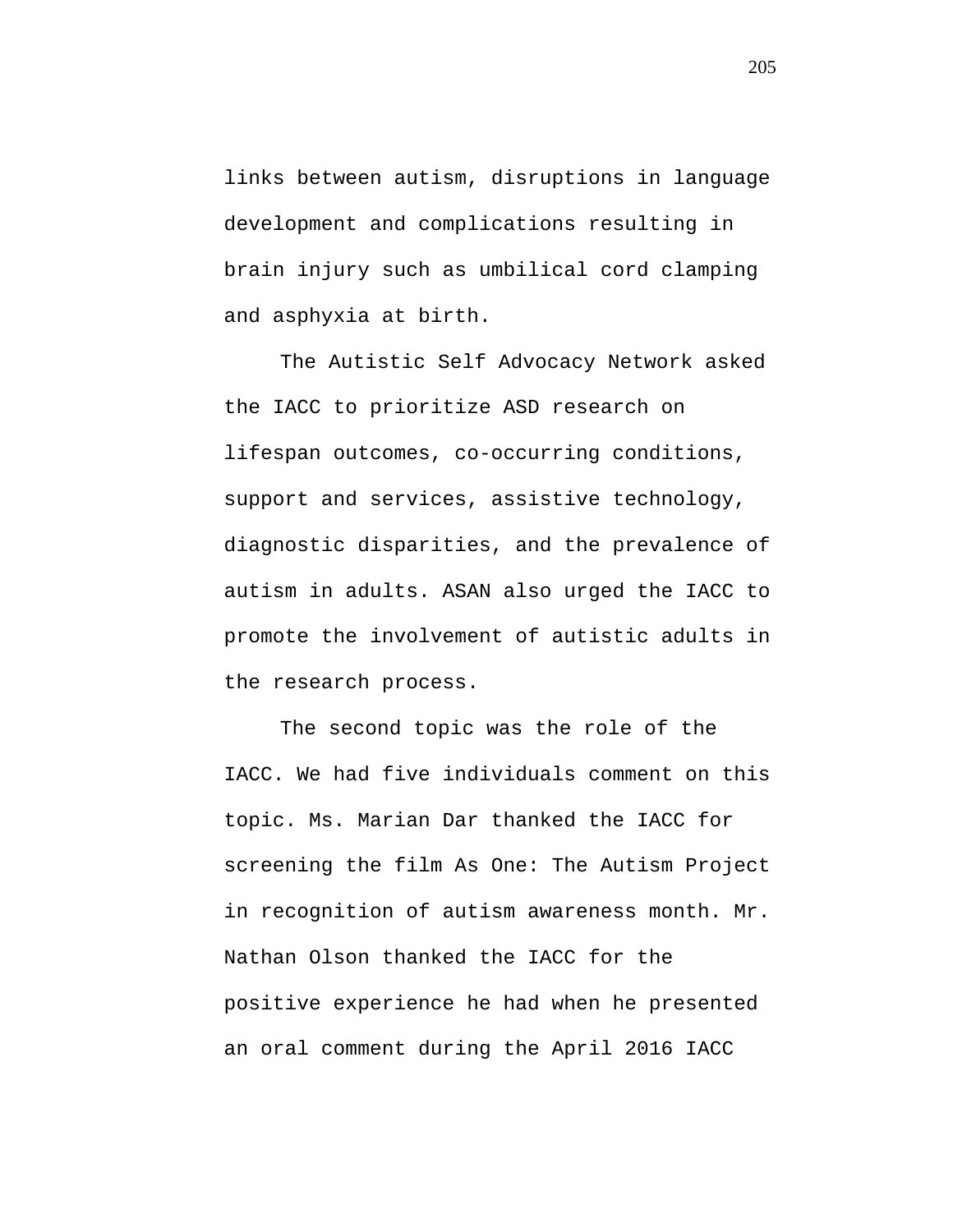links between autism, disruptions in language development and complications resulting in brain injury such as umbilical cord clamping and asphyxia at birth.

The Autistic Self Advocacy Network asked the IACC to prioritize ASD research on lifespan outcomes, co-occurring conditions, support and services, assistive technology, diagnostic disparities, and the prevalence of autism in adults. ASAN also urged the IACC to promote the involvement of autistic adults in the research process.

The second topic was the role of the IACC. We had five individuals comment on this topic. Ms. Marian Dar thanked the IACC for screening the film As One: The Autism Project in recognition of autism awareness month. Mr. Nathan Olson thanked the IACC for the positive experience he had when he presented an oral comment during the April 2016 IACC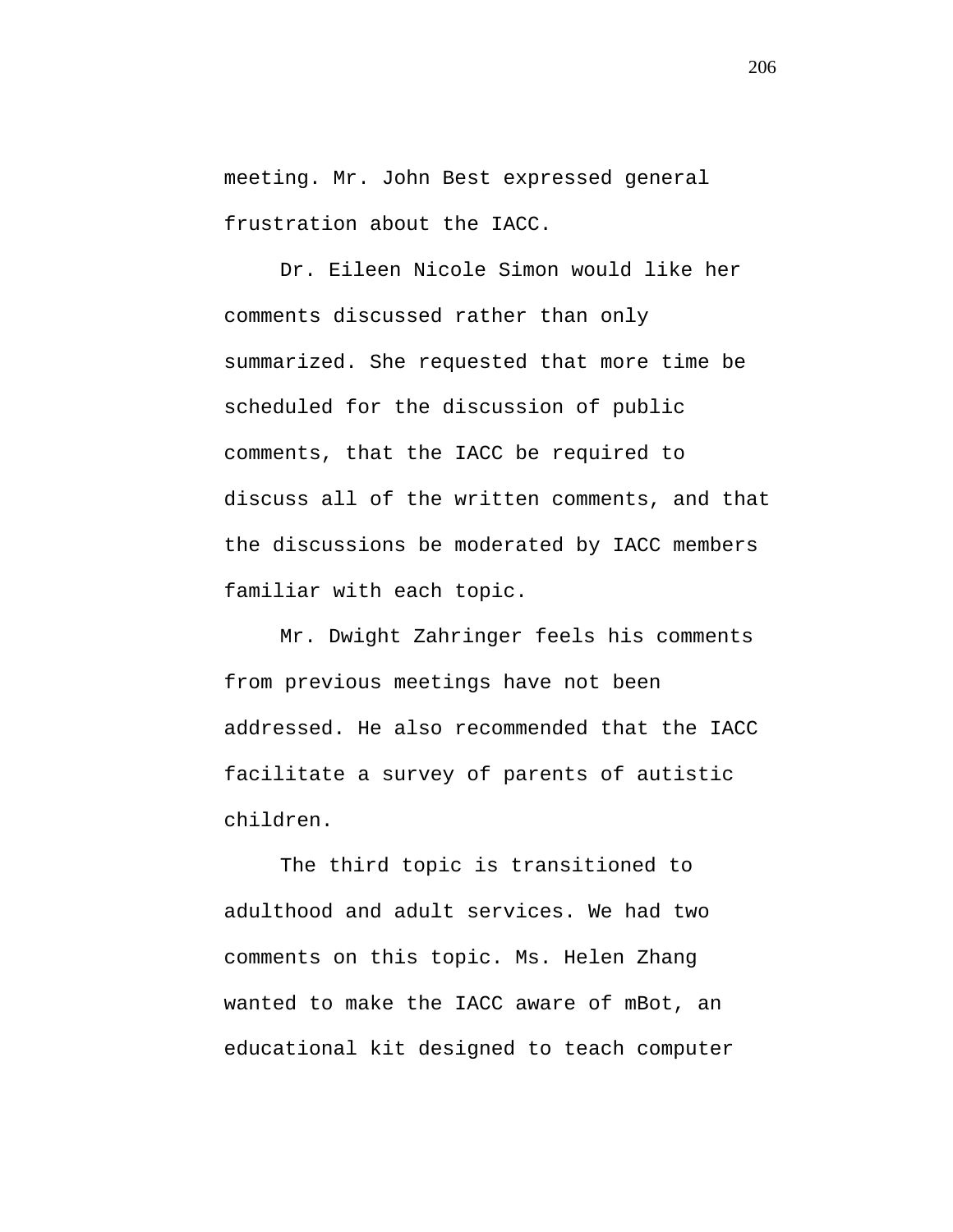meeting. Mr. John Best expressed general frustration about the IACC.

Dr. Eileen Nicole Simon would like her comments discussed rather than only summarized. She requested that more time be scheduled for the discussion of public comments, that the IACC be required to discuss all of the written comments, and that the discussions be moderated by IACC members familiar with each topic.

Mr. Dwight Zahringer feels his comments from previous meetings have not been addressed. He also recommended that the IACC facilitate a survey of parents of autistic children.

The third topic is transitioned to adulthood and adult services. We had two comments on this topic. Ms. Helen Zhang wanted to make the IACC aware of mBot, an educational kit designed to teach computer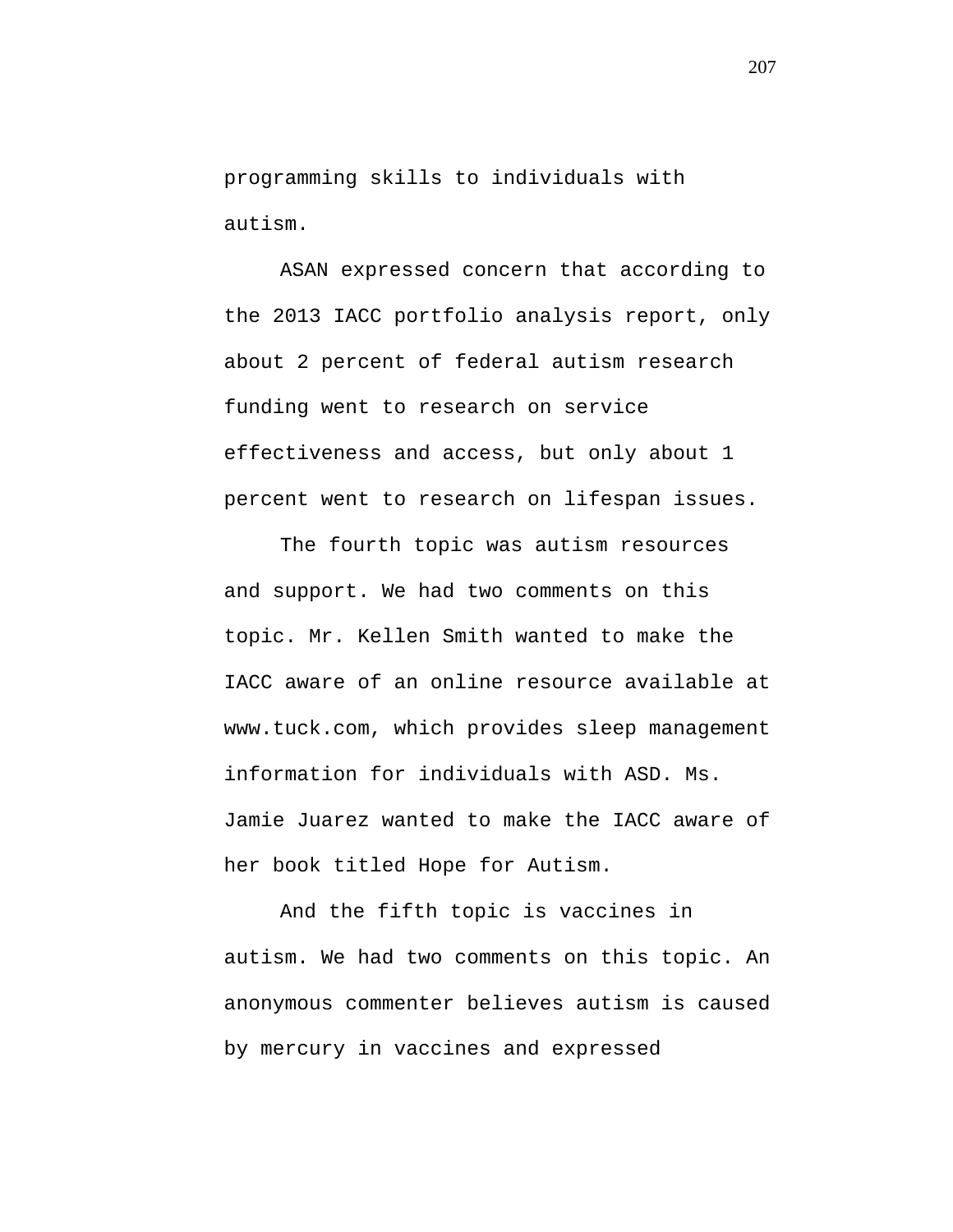programming skills to individuals with autism.

ASAN expressed concern that according to the 2013 IACC portfolio analysis report, only about 2 percent of federal autism research funding went to research on service effectiveness and access, but only about 1 percent went to research on lifespan issues.

The fourth topic was autism resources and support. We had two comments on this topic. Mr. Kellen Smith wanted to make the IACC aware of an online resource available at www.tuck.com, which provides sleep management information for individuals with ASD. Ms. Jamie Juarez wanted to make the IACC aware of her book titled Hope for Autism.

And the fifth topic is vaccines in autism. We had two comments on this topic. An anonymous commenter believes autism is caused by mercury in vaccines and expressed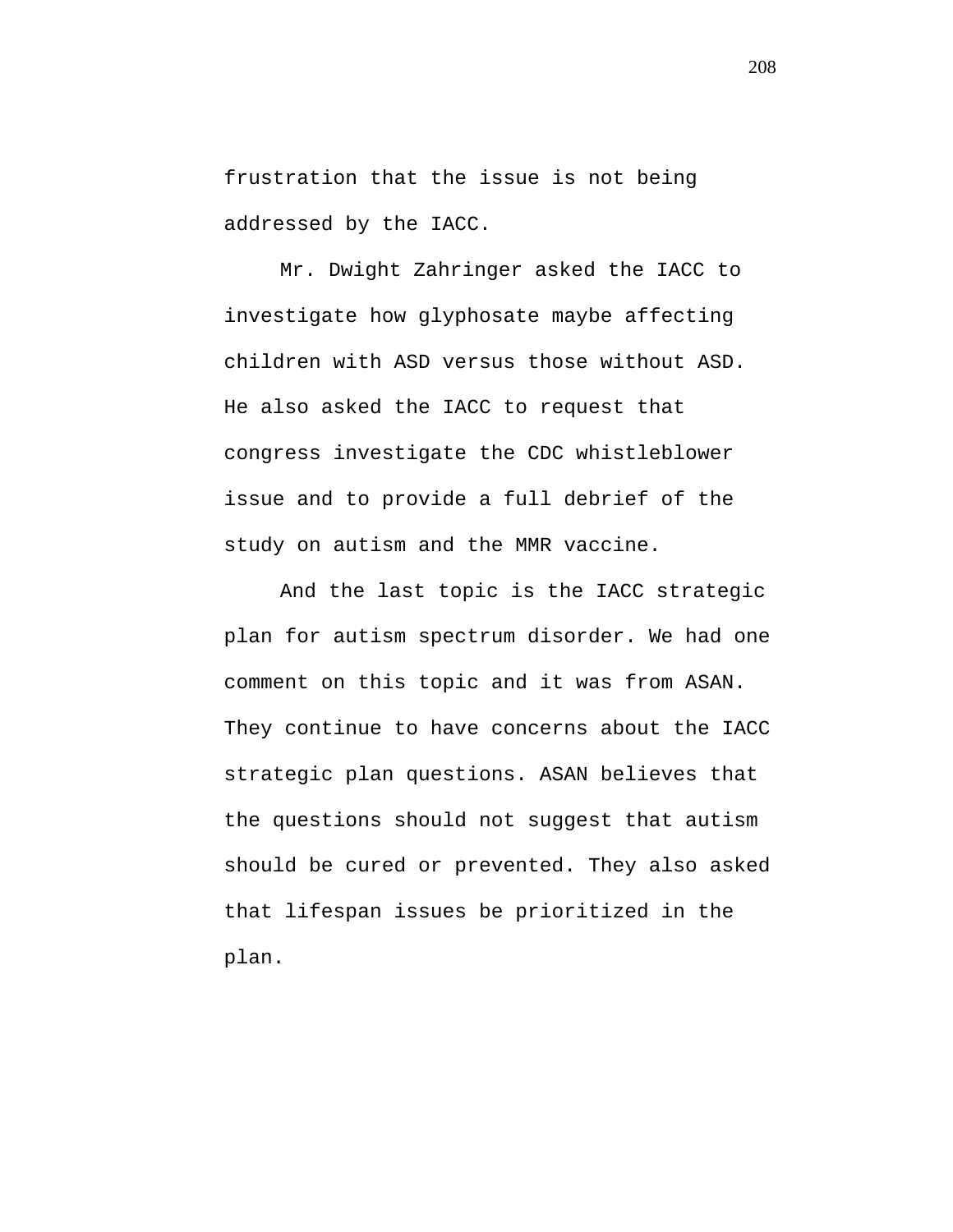frustration that the issue is not being addressed by the IACC.

Mr. Dwight Zahringer asked the IACC to investigate how glyphosate maybe affecting children with ASD versus those without ASD. He also asked the IACC to request that congress investigate the CDC whistleblower issue and to provide a full debrief of the study on autism and the MMR vaccine.

And the last topic is the IACC strategic plan for autism spectrum disorder. We had one comment on this topic and it was from ASAN. They continue to have concerns about the IACC strategic plan questions. ASAN believes that the questions should not suggest that autism should be cured or prevented. They also asked that lifespan issues be prioritized in the plan.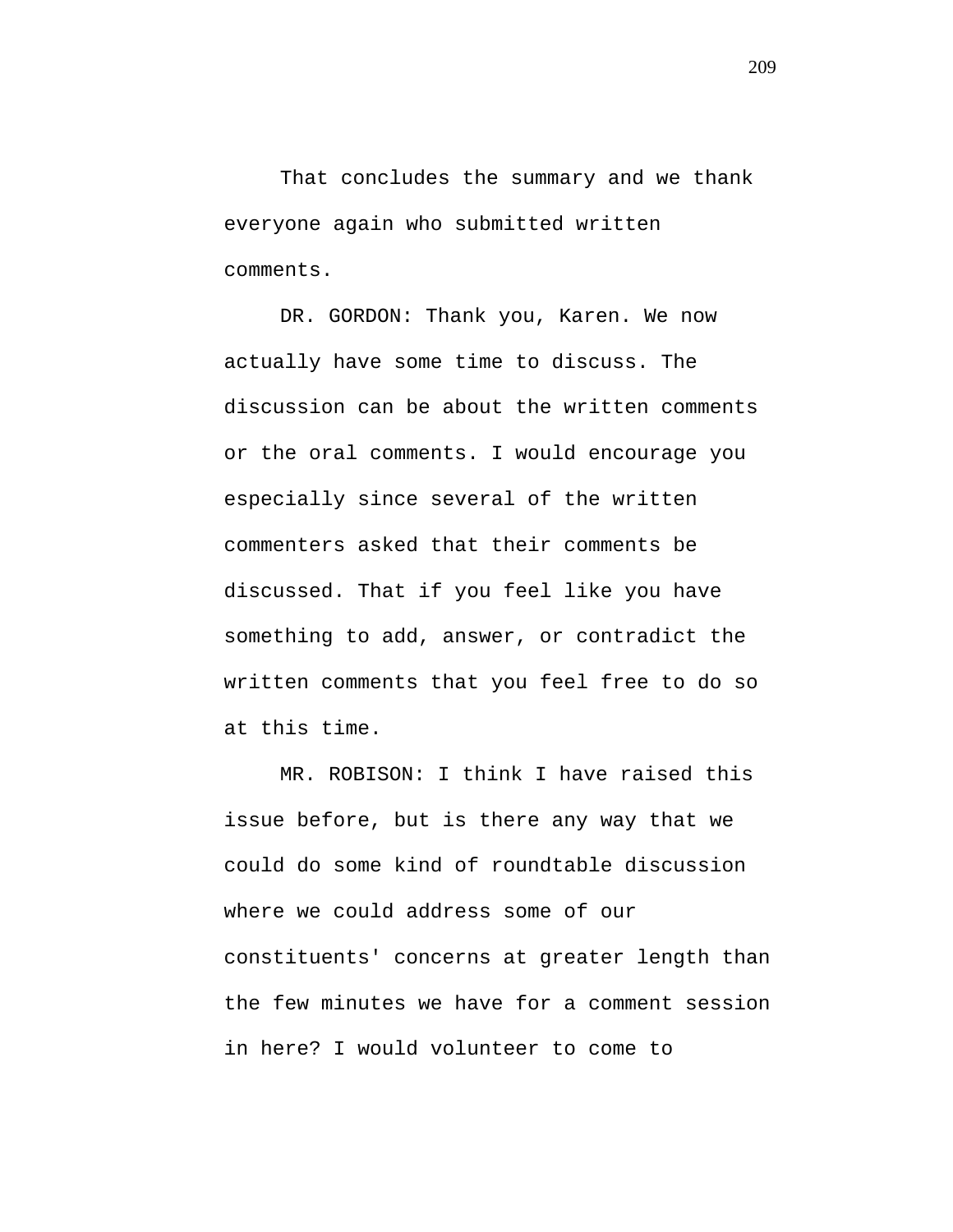That concludes the summary and we thank everyone again who submitted written comments.

DR. GORDON: Thank you, Karen. We now actually have some time to discuss. The discussion can be about the written comments or the oral comments. I would encourage you especially since several of the written commenters asked that their comments be discussed. That if you feel like you have something to add, answer, or contradict the written comments that you feel free to do so at this time.

MR. ROBISON: I think I have raised this issue before, but is there any way that we could do some kind of roundtable discussion where we could address some of our constituents' concerns at greater length than the few minutes we have for a comment session in here? I would volunteer to come to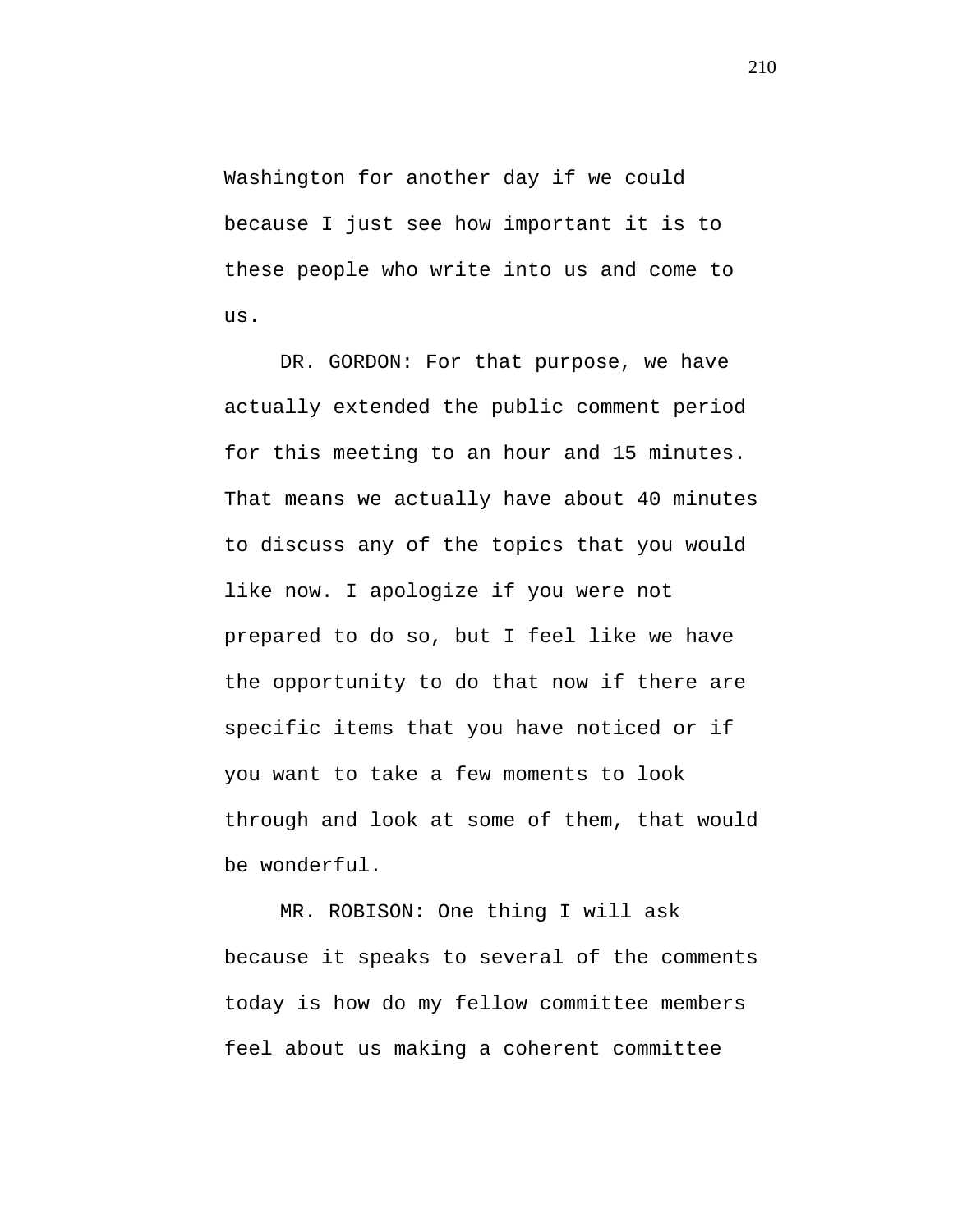Washington for another day if we could because I just see how important it is to these people who write into us and come to us.

DR. GORDON: For that purpose, we have actually extended the public comment period for this meeting to an hour and 15 minutes. That means we actually have about 40 minutes to discuss any of the topics that you would like now. I apologize if you were not prepared to do so, but I feel like we have the opportunity to do that now if there are specific items that you have noticed or if you want to take a few moments to look through and look at some of them, that would be wonderful.

MR. ROBISON: One thing I will ask because it speaks to several of the comments today is how do my fellow committee members feel about us making a coherent committee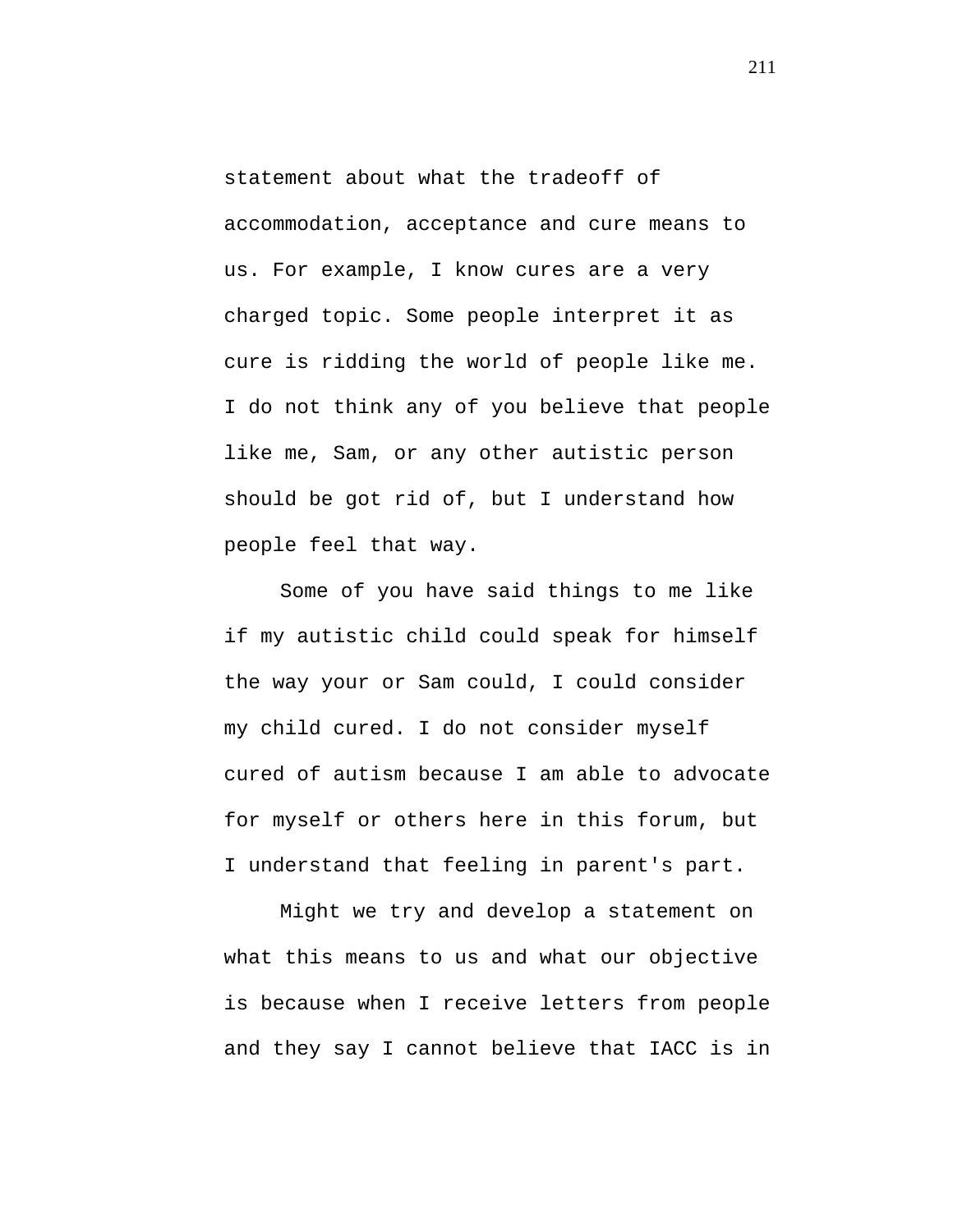statement about what the tradeoff of accommodation, acceptance and cure means to us. For example, I know cures are a very charged topic. Some people interpret it as cure is ridding the world of people like me. I do not think any of you believe that people like me, Sam, or any other autistic person should be got rid of, but I understand how people feel that way.

Some of you have said things to me like if my autistic child could speak for himself the way your or Sam could, I could consider my child cured. I do not consider myself cured of autism because I am able to advocate for myself or others here in this forum, but I understand that feeling in parent's part.

Might we try and develop a statement on what this means to us and what our objective is because when I receive letters from people and they say I cannot believe that IACC is in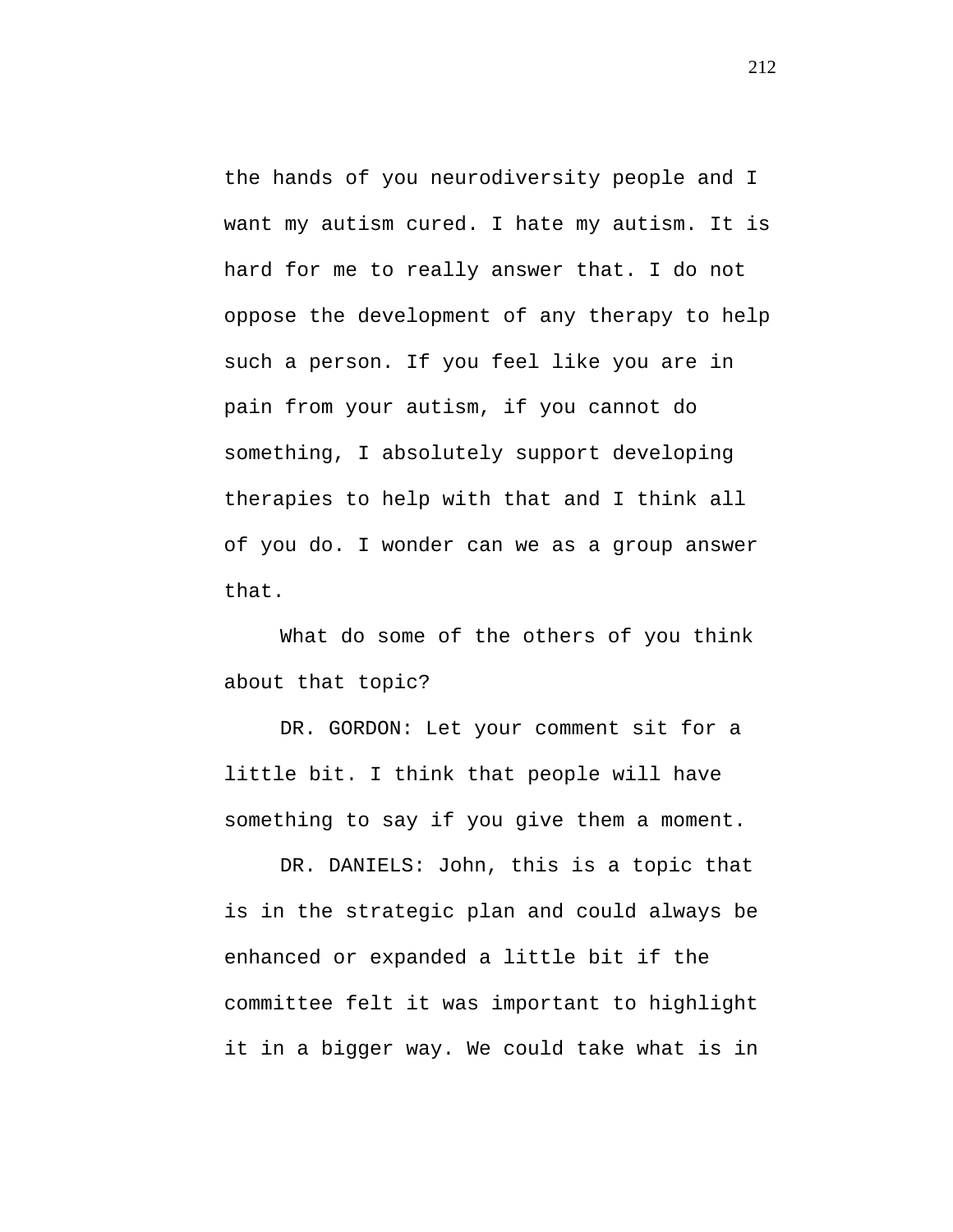the hands of you neurodiversity people and I want my autism cured. I hate my autism. It is hard for me to really answer that. I do not oppose the development of any therapy to help such a person. If you feel like you are in pain from your autism, if you cannot do something, I absolutely support developing therapies to help with that and I think all of you do. I wonder can we as a group answer that.

What do some of the others of you think about that topic?

DR. GORDON: Let your comment sit for a little bit. I think that people will have something to say if you give them a moment.

DR. DANIELS: John, this is a topic that is in the strategic plan and could always be enhanced or expanded a little bit if the committee felt it was important to highlight it in a bigger way. We could take what is in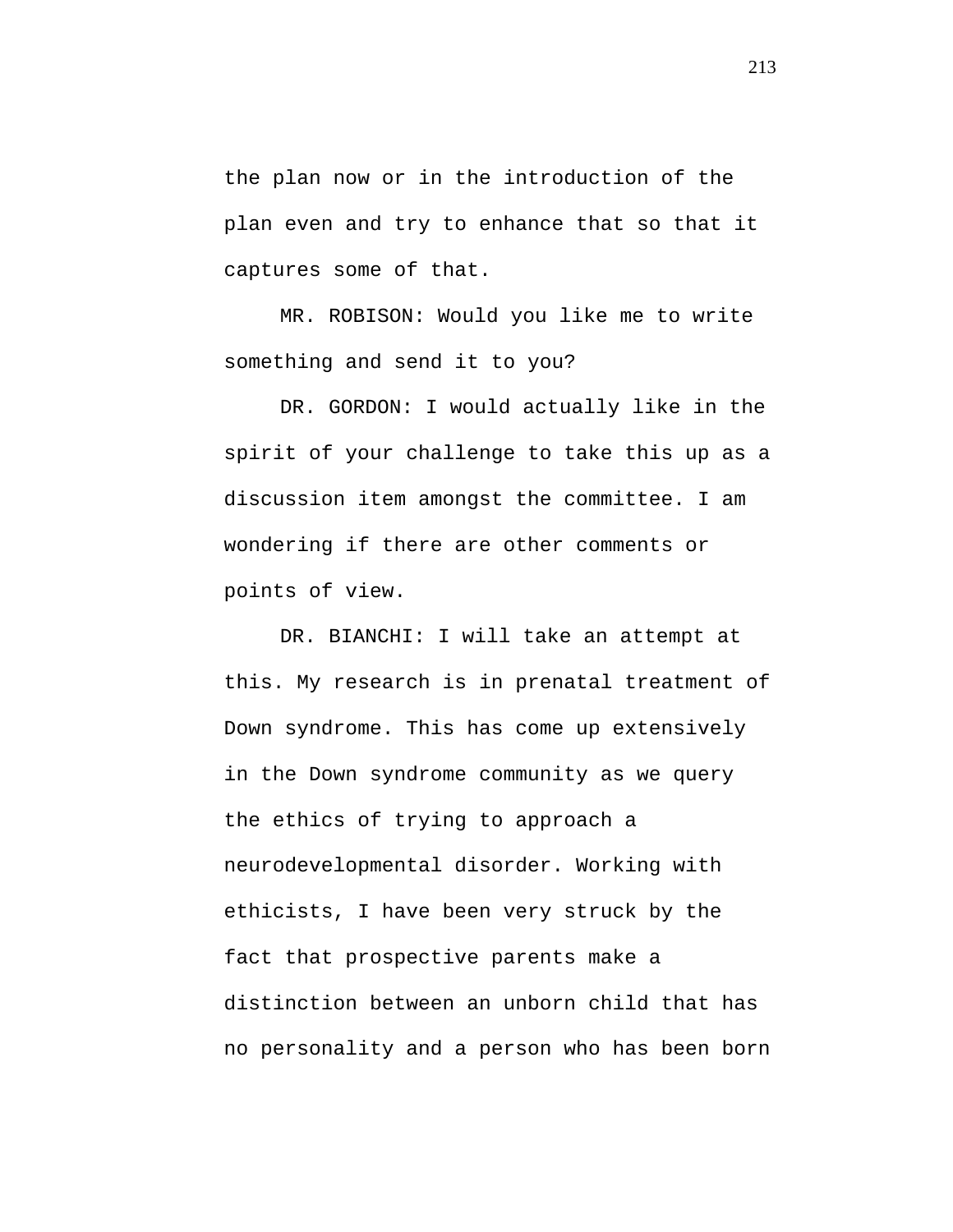the plan now or in the introduction of the plan even and try to enhance that so that it captures some of that.

MR. ROBISON: Would you like me to write something and send it to you?

DR. GORDON: I would actually like in the spirit of your challenge to take this up as a discussion item amongst the committee. I am wondering if there are other comments or points of view.

DR. BIANCHI: I will take an attempt at this. My research is in prenatal treatment of Down syndrome. This has come up extensively in the Down syndrome community as we query the ethics of trying to approach a neurodevelopmental disorder. Working with ethicists, I have been very struck by the fact that prospective parents make a distinction between an unborn child that has no personality and a person who has been born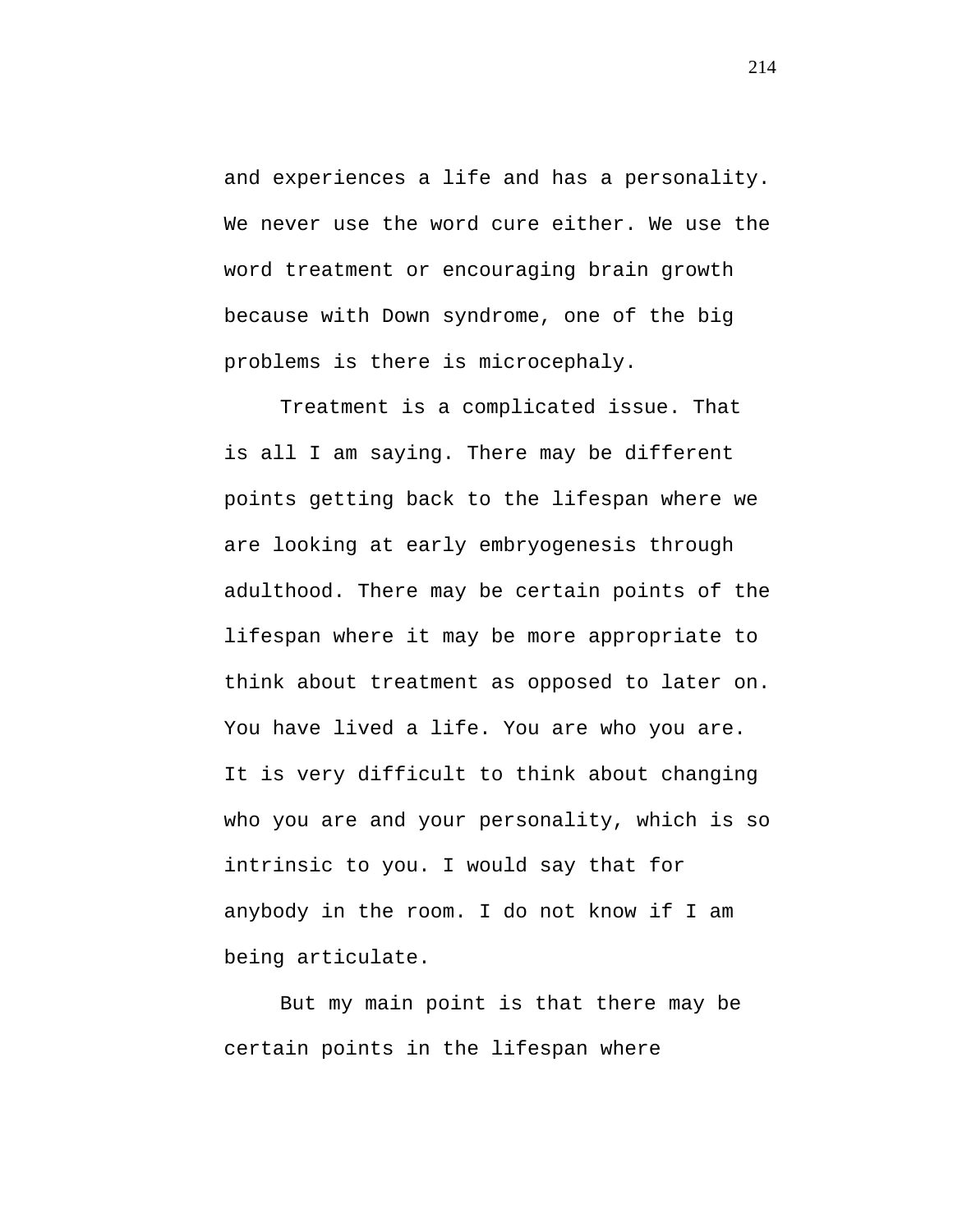and experiences a life and has a personality. We never use the word cure either. We use the word treatment or encouraging brain growth because with Down syndrome, one of the big problems is there is microcephaly.

Treatment is a complicated issue. That is all I am saying. There may be different points getting back to the lifespan where we are looking at early embryogenesis through adulthood. There may be certain points of the lifespan where it may be more appropriate to think about treatment as opposed to later on. You have lived a life. You are who you are. It is very difficult to think about changing who you are and your personality, which is so intrinsic to you. I would say that for anybody in the room. I do not know if I am being articulate.

But my main point is that there may be certain points in the lifespan where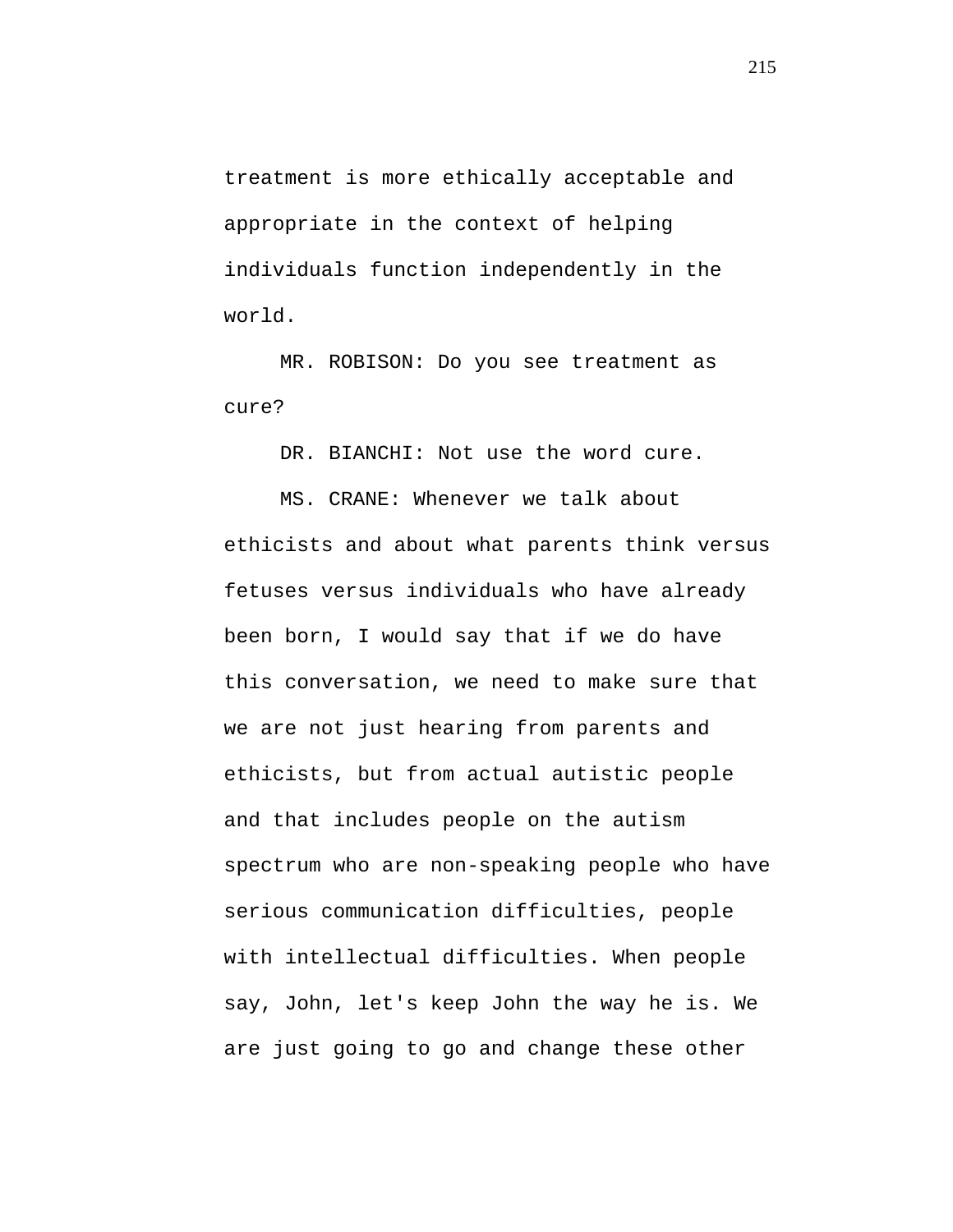treatment is more ethically acceptable and appropriate in the context of helping individuals function independently in the world.

MR. ROBISON: Do you see treatment as cure?

DR. BIANCHI: Not use the word cure.

MS. CRANE: Whenever we talk about ethicists and about what parents think versus fetuses versus individuals who have already been born, I would say that if we do have this conversation, we need to make sure that we are not just hearing from parents and ethicists, but from actual autistic people and that includes people on the autism spectrum who are non-speaking people who have serious communication difficulties, people with intellectual difficulties. When people say, John, let's keep John the way he is. We are just going to go and change these other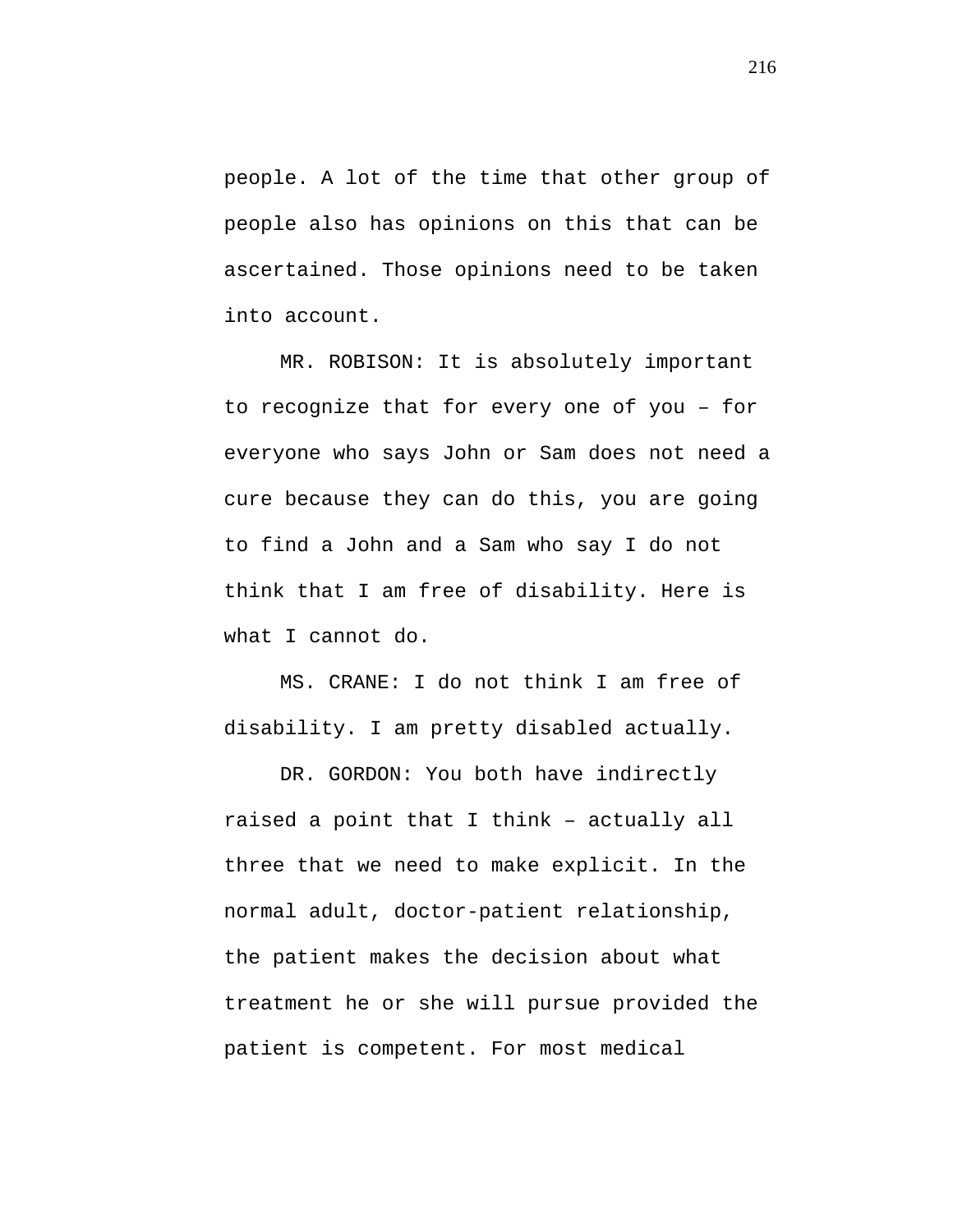people. A lot of the time that other group of people also has opinions on this that can be ascertained. Those opinions need to be taken into account.

MR. ROBISON: It is absolutely important to recognize that for every one of you – for everyone who says John or Sam does not need a cure because they can do this, you are going to find a John and a Sam who say I do not think that I am free of disability. Here is what I cannot do.

MS. CRANE: I do not think I am free of disability. I am pretty disabled actually.

DR. GORDON: You both have indirectly raised a point that I think – actually all three that we need to make explicit. In the normal adult, doctor-patient relationship, the patient makes the decision about what treatment he or she will pursue provided the patient is competent. For most medical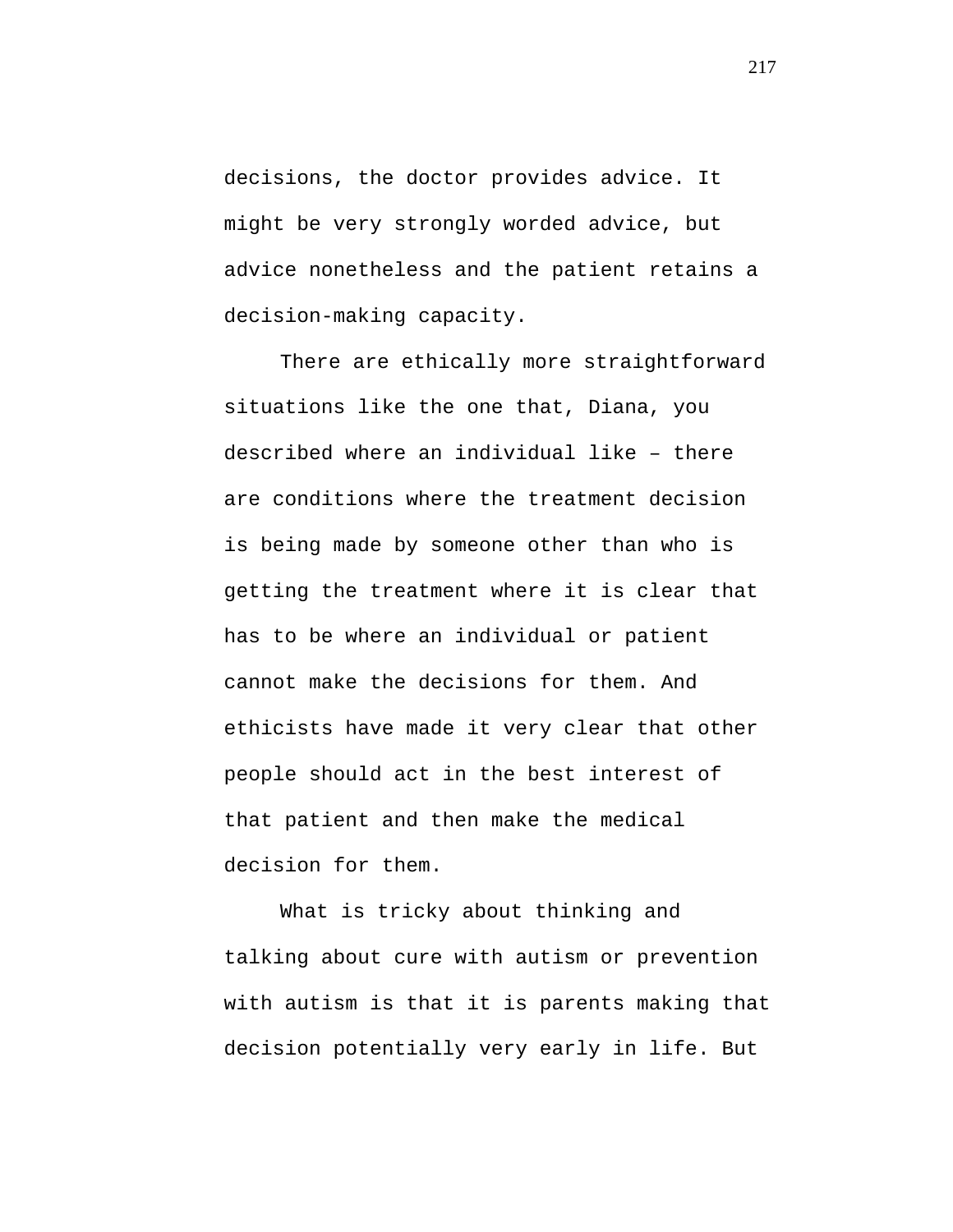decisions, the doctor provides advice. It might be very strongly worded advice, but advice nonetheless and the patient retains a decision-making capacity.

There are ethically more straightforward situations like the one that, Diana, you described where an individual like – there are conditions where the treatment decision is being made by someone other than who is getting the treatment where it is clear that has to be where an individual or patient cannot make the decisions for them. And ethicists have made it very clear that other people should act in the best interest of that patient and then make the medical decision for them.

What is tricky about thinking and talking about cure with autism or prevention with autism is that it is parents making that decision potentially very early in life. But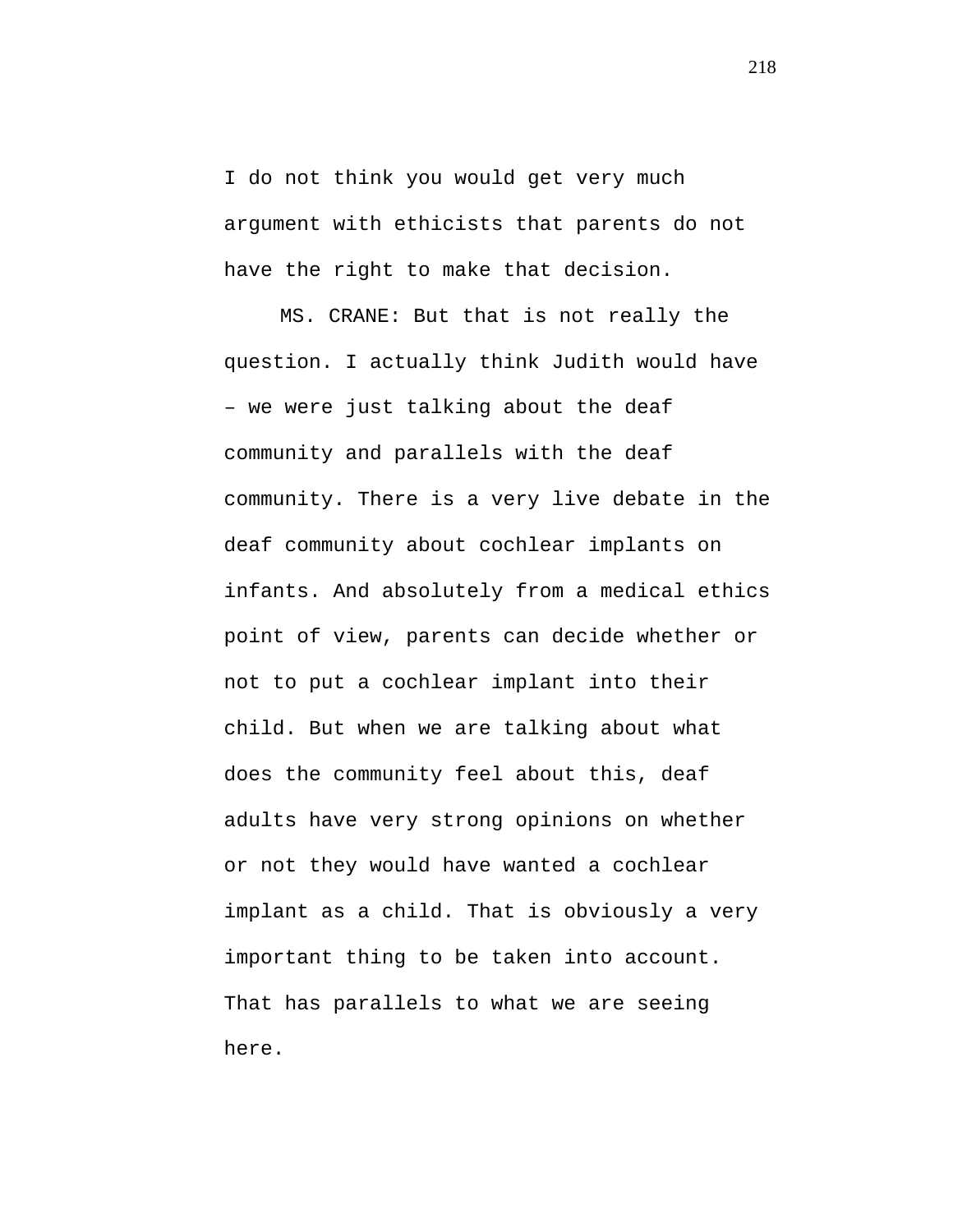I do not think you would get very much argument with ethicists that parents do not have the right to make that decision.

MS. CRANE: But that is not really the question. I actually think Judith would have – we were just talking about the deaf community and parallels with the deaf community. There is a very live debate in the deaf community about cochlear implants on infants. And absolutely from a medical ethics point of view, parents can decide whether or not to put a cochlear implant into their child. But when we are talking about what does the community feel about this, deaf adults have very strong opinions on whether or not they would have wanted a cochlear implant as a child. That is obviously a very important thing to be taken into account. That has parallels to what we are seeing here.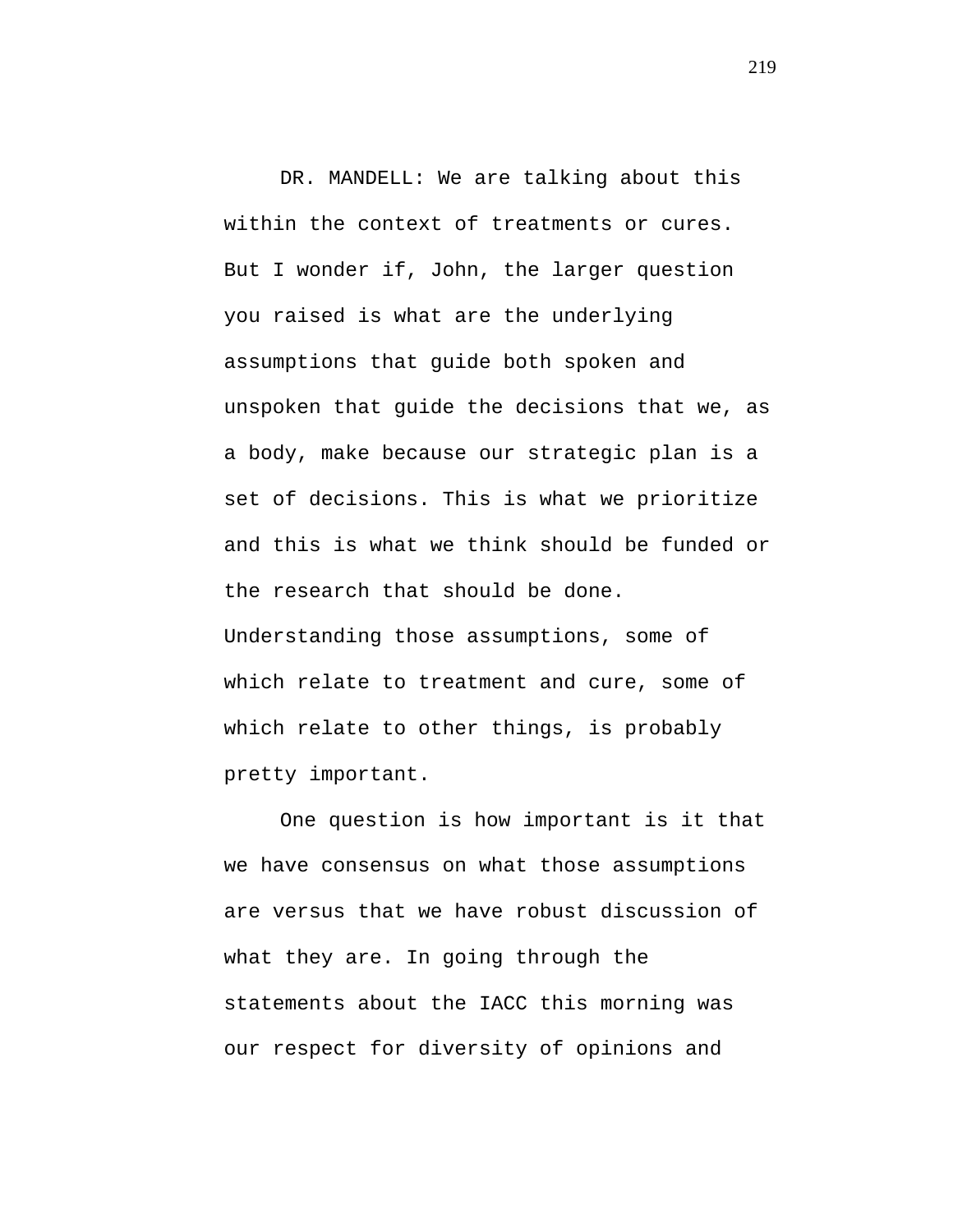DR. MANDELL: We are talking about this within the context of treatments or cures. But I wonder if, John, the larger question you raised is what are the underlying assumptions that guide both spoken and unspoken that guide the decisions that we, as a body, make because our strategic plan is a set of decisions. This is what we prioritize and this is what we think should be funded or the research that should be done. Understanding those assumptions, some of which relate to treatment and cure, some of which relate to other things, is probably pretty important.

One question is how important is it that we have consensus on what those assumptions are versus that we have robust discussion of what they are. In going through the statements about the IACC this morning was our respect for diversity of opinions and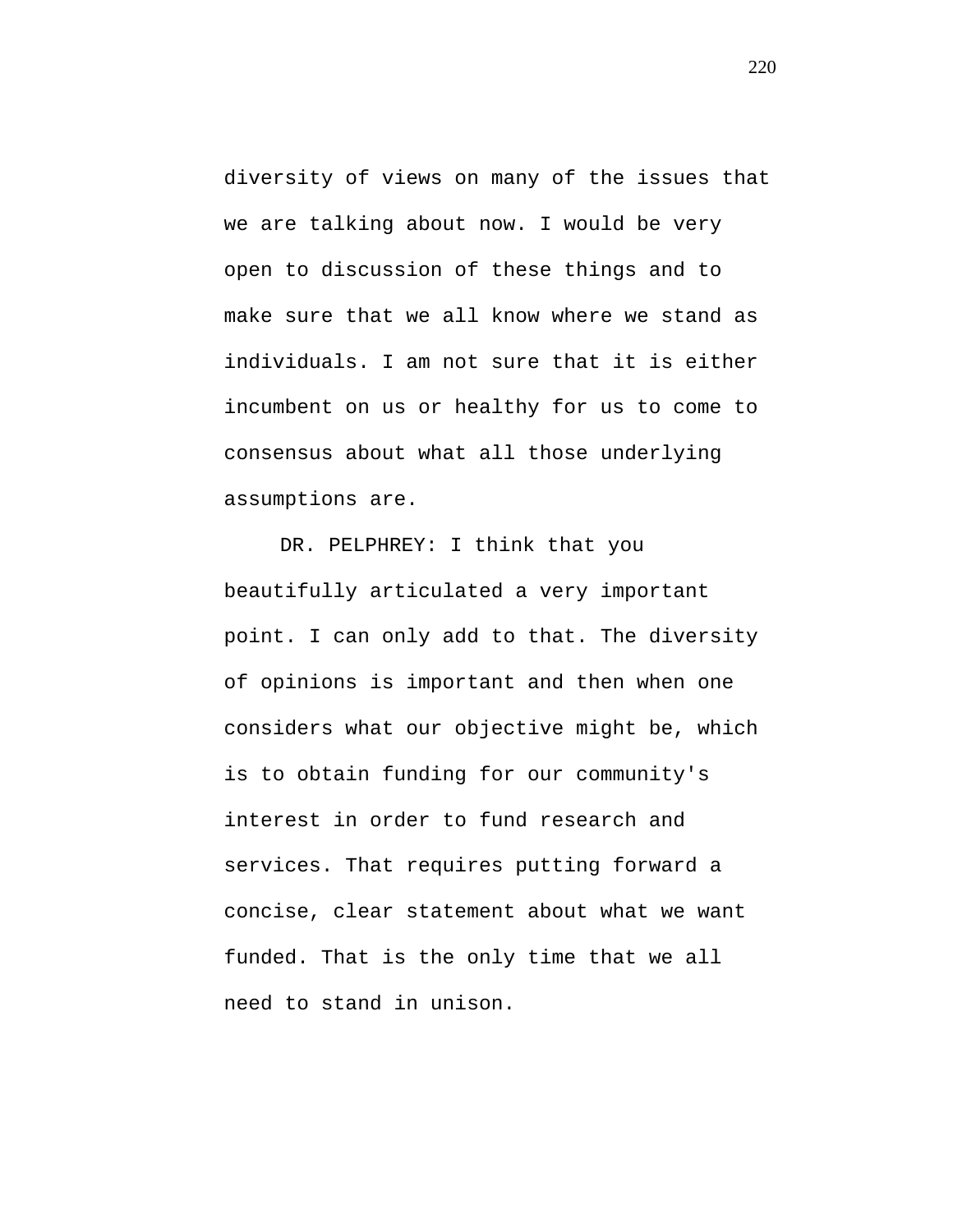diversity of views on many of the issues that we are talking about now. I would be very open to discussion of these things and to make sure that we all know where we stand as individuals. I am not sure that it is either incumbent on us or healthy for us to come to consensus about what all those underlying assumptions are.

DR. PELPHREY: I think that you beautifully articulated a very important point. I can only add to that. The diversity of opinions is important and then when one considers what our objective might be, which is to obtain funding for our community's interest in order to fund research and services. That requires putting forward a concise, clear statement about what we want funded. That is the only time that we all need to stand in unison.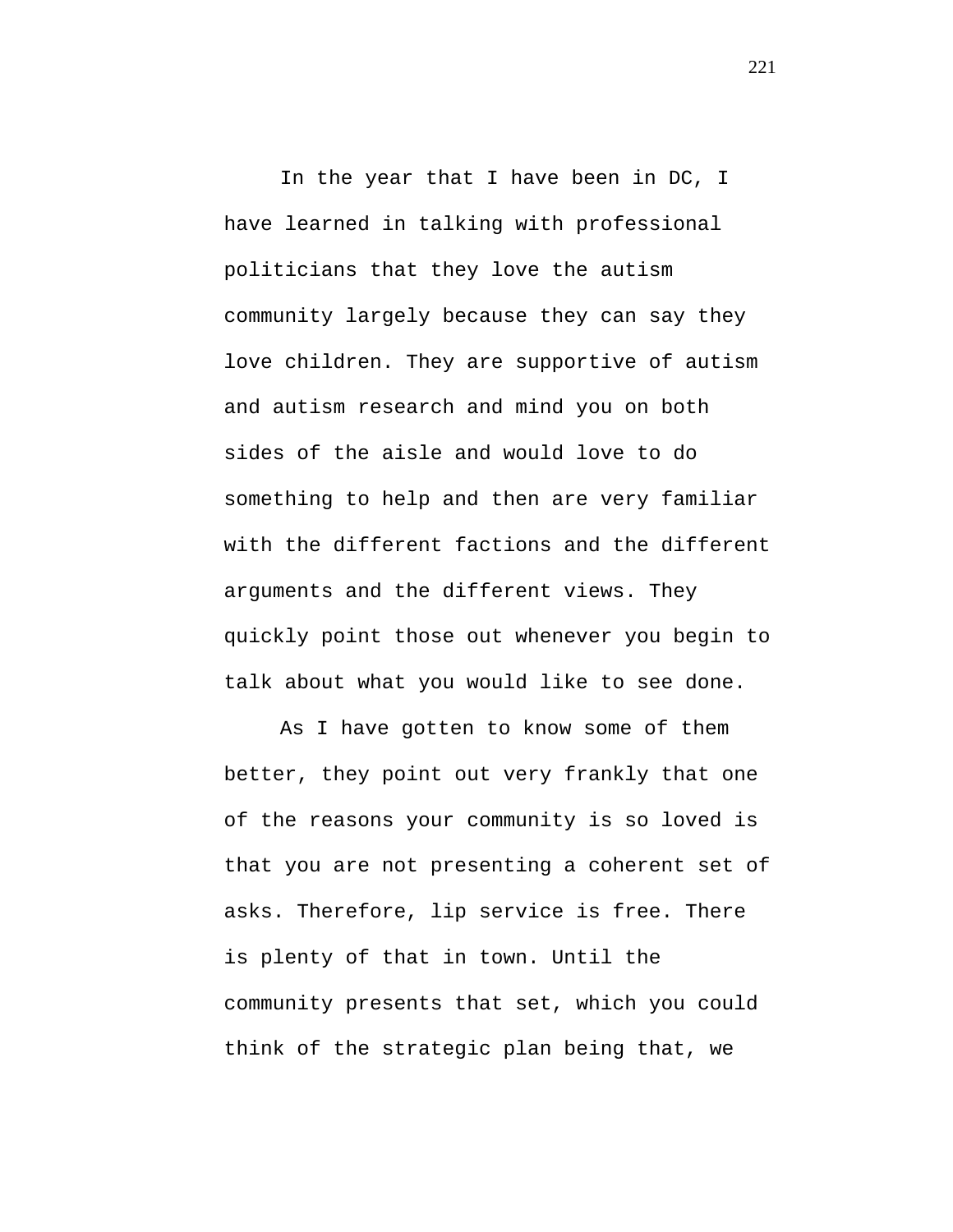In the year that I have been in DC, I have learned in talking with professional politicians that they love the autism community largely because they can say they love children. They are supportive of autism and autism research and mind you on both sides of the aisle and would love to do something to help and then are very familiar with the different factions and the different arguments and the different views. They quickly point those out whenever you begin to talk about what you would like to see done.

As I have gotten to know some of them better, they point out very frankly that one of the reasons your community is so loved is that you are not presenting a coherent set of asks. Therefore, lip service is free. There is plenty of that in town. Until the community presents that set, which you could think of the strategic plan being that, we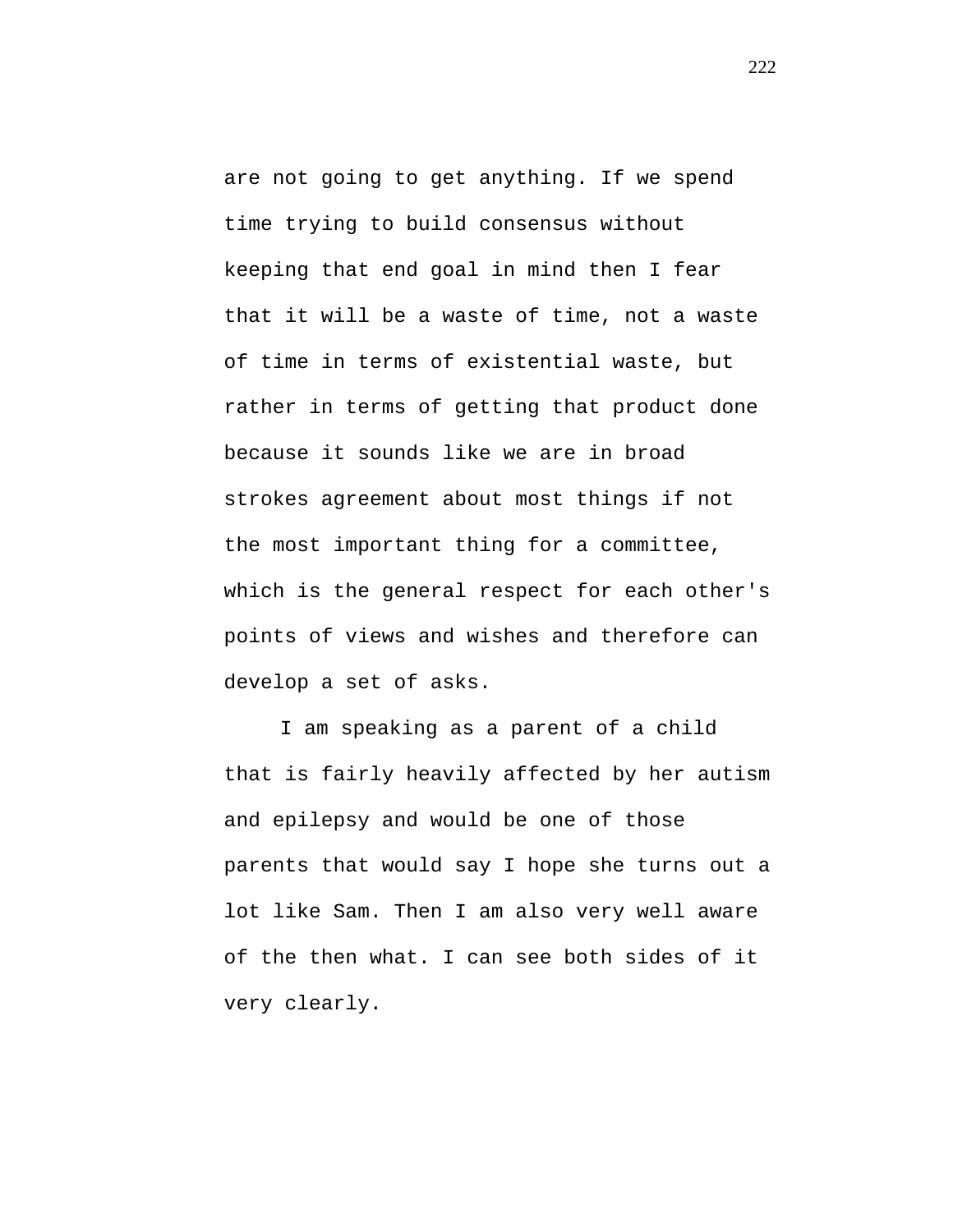are not going to get anything. If we spend time trying to build consensus without keeping that end goal in mind then I fear that it will be a waste of time, not a waste of time in terms of existential waste, but rather in terms of getting that product done because it sounds like we are in broad strokes agreement about most things if not the most important thing for a committee, which is the general respect for each other's points of views and wishes and therefore can develop a set of asks.

I am speaking as a parent of a child that is fairly heavily affected by her autism and epilepsy and would be one of those parents that would say I hope she turns out a lot like Sam. Then I am also very well aware of the then what. I can see both sides of it very clearly.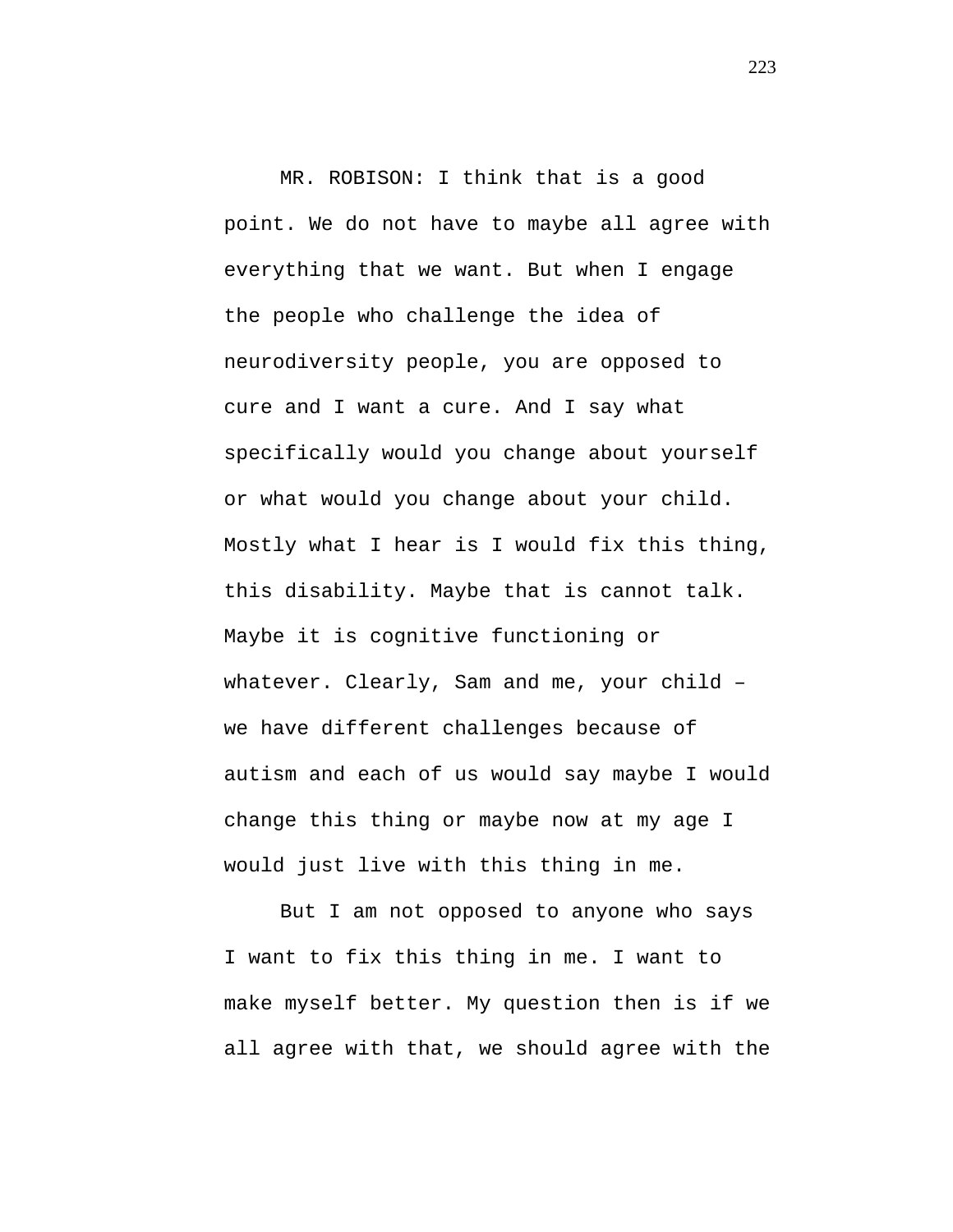MR. ROBISON: I think that is a good point. We do not have to maybe all agree with everything that we want. But when I engage the people who challenge the idea of neurodiversity people, you are opposed to cure and I want a cure. And I say what specifically would you change about yourself or what would you change about your child. Mostly what I hear is I would fix this thing, this disability. Maybe that is cannot talk. Maybe it is cognitive functioning or whatever. Clearly, Sam and me, your child – we have different challenges because of autism and each of us would say maybe I would change this thing or maybe now at my age I would just live with this thing in me.

But I am not opposed to anyone who says I want to fix this thing in me. I want to make myself better. My question then is if we all agree with that, we should agree with the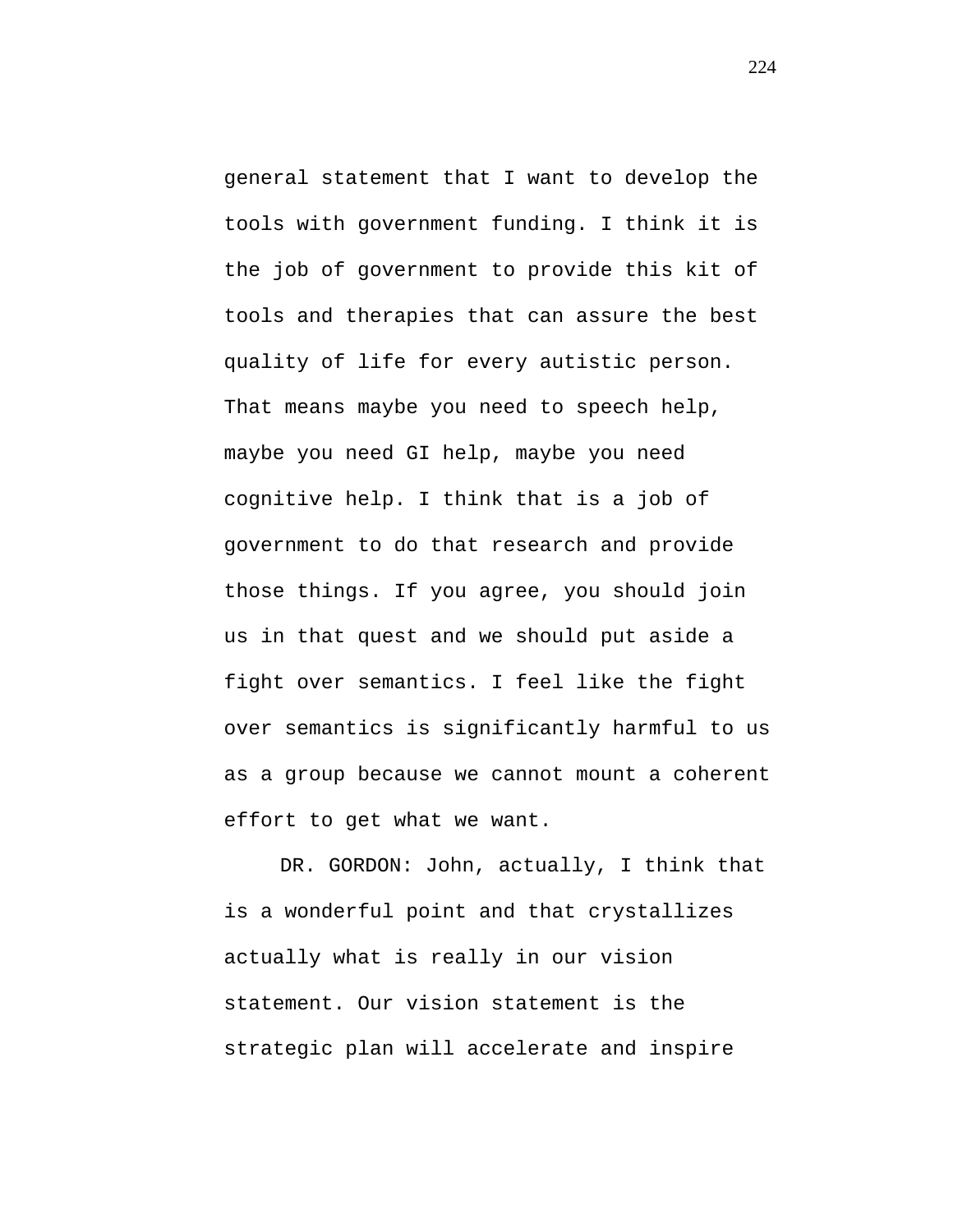general statement that I want to develop the tools with government funding. I think it is the job of government to provide this kit of tools and therapies that can assure the best quality of life for every autistic person. That means maybe you need to speech help, maybe you need GI help, maybe you need cognitive help. I think that is a job of government to do that research and provide those things. If you agree, you should join us in that quest and we should put aside a fight over semantics. I feel like the fight over semantics is significantly harmful to us as a group because we cannot mount a coherent effort to get what we want.

DR. GORDON: John, actually, I think that is a wonderful point and that crystallizes actually what is really in our vision statement. Our vision statement is the strategic plan will accelerate and inspire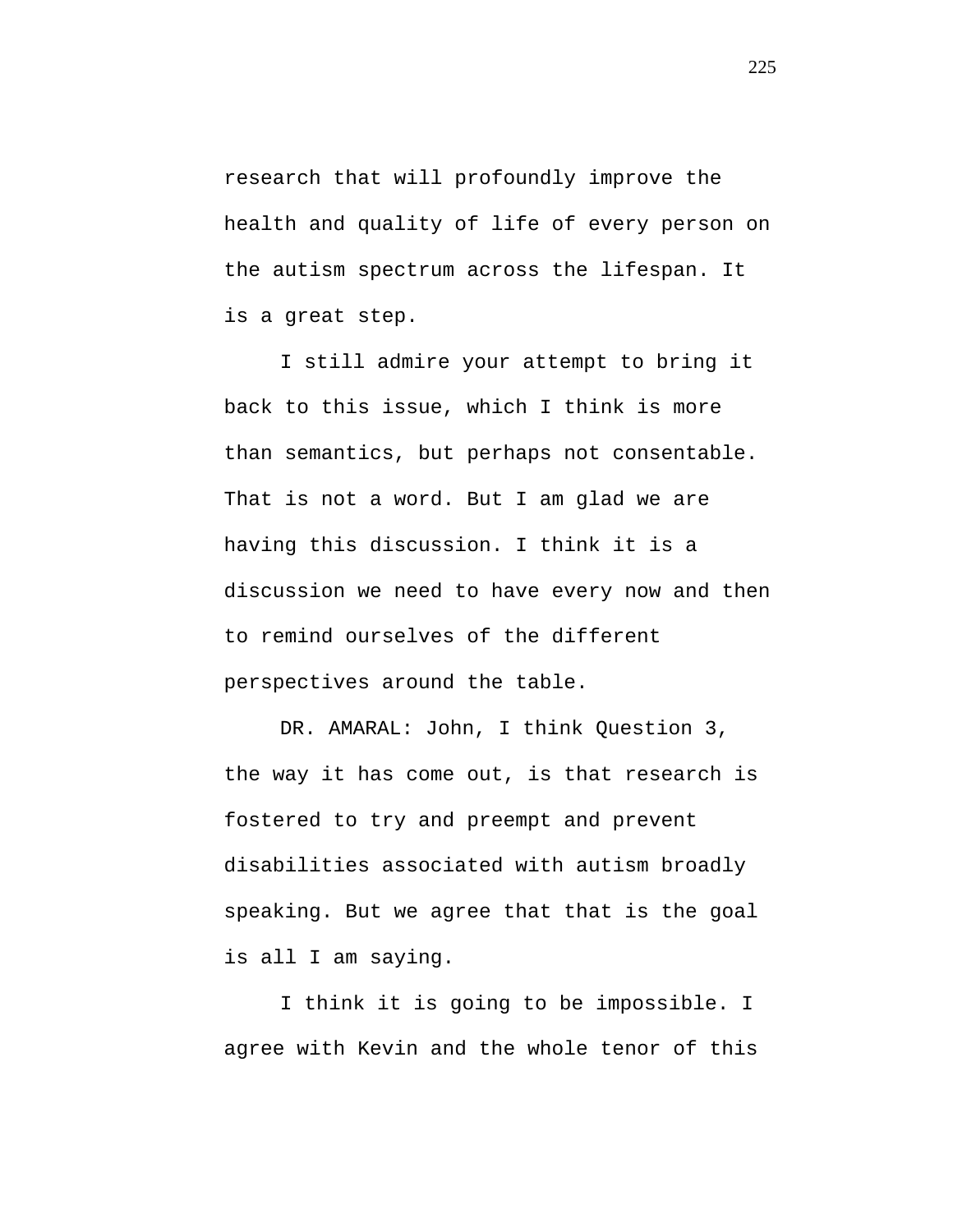research that will profoundly improve the health and quality of life of every person on the autism spectrum across the lifespan. It is a great step.

I still admire your attempt to bring it back to this issue, which I think is more than semantics, but perhaps not consentable. That is not a word. But I am glad we are having this discussion. I think it is a discussion we need to have every now and then to remind ourselves of the different perspectives around the table.

DR. AMARAL: John, I think Question 3, the way it has come out, is that research is fostered to try and preempt and prevent disabilities associated with autism broadly speaking. But we agree that that is the goal is all I am saying.

I think it is going to be impossible. I agree with Kevin and the whole tenor of this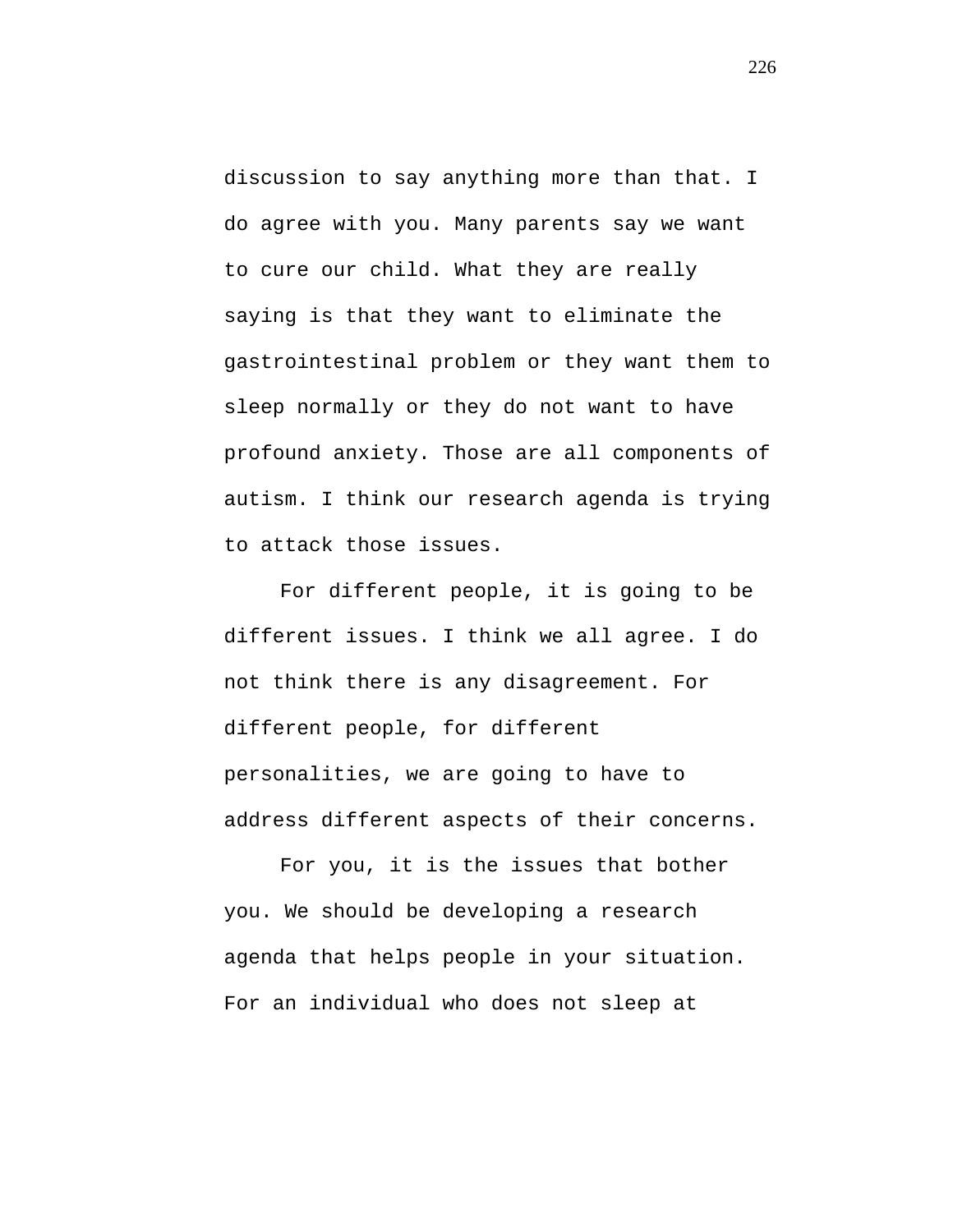discussion to say anything more than that. I do agree with you. Many parents say we want to cure our child. What they are really saying is that they want to eliminate the gastrointestinal problem or they want them to sleep normally or they do not want to have profound anxiety. Those are all components of autism. I think our research agenda is trying to attack those issues.

For different people, it is going to be different issues. I think we all agree. I do not think there is any disagreement. For different people, for different personalities, we are going to have to address different aspects of their concerns.

For you, it is the issues that bother you. We should be developing a research agenda that helps people in your situation. For an individual who does not sleep at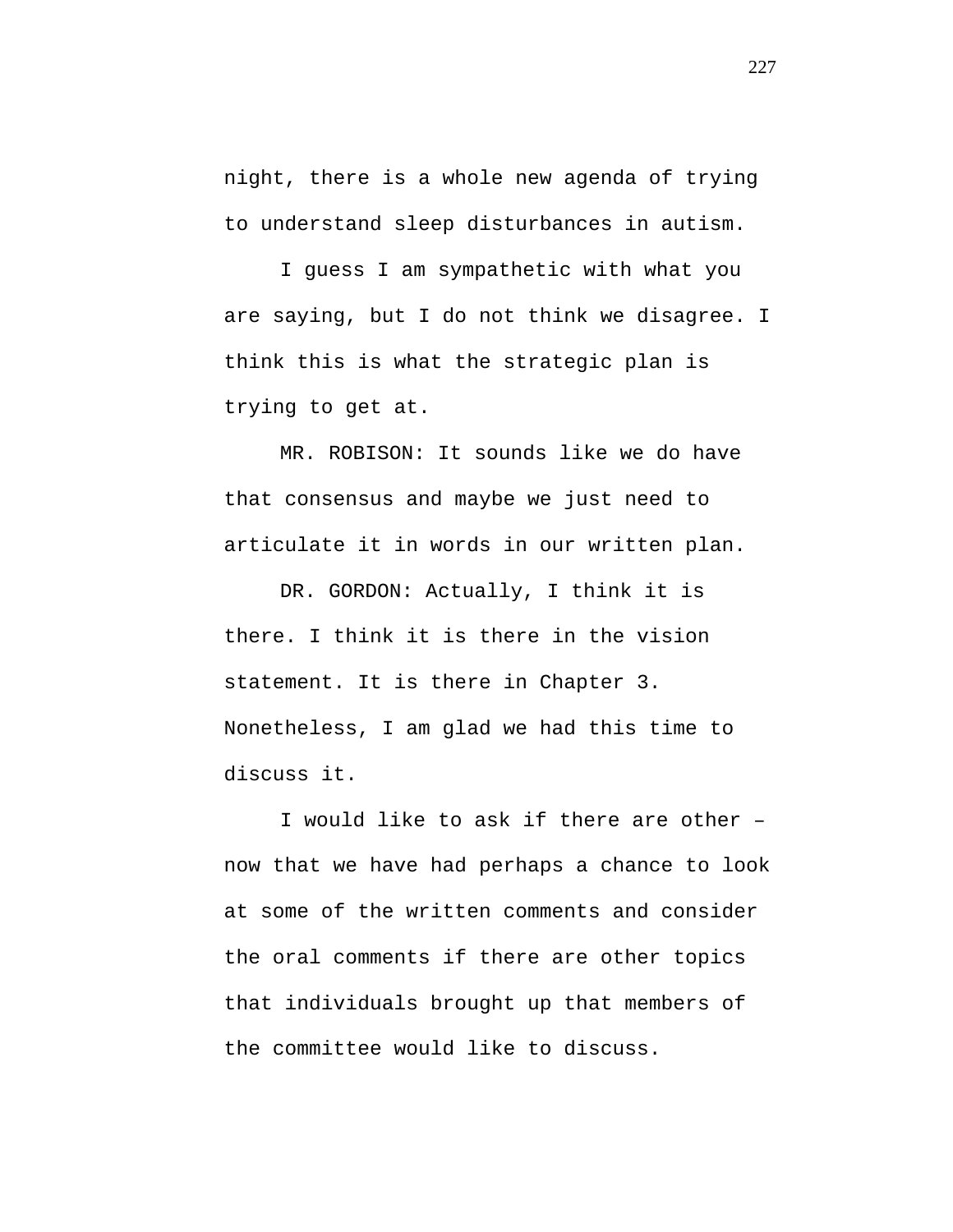night, there is a whole new agenda of trying to understand sleep disturbances in autism.

I guess I am sympathetic with what you are saying, but I do not think we disagree. I think this is what the strategic plan is trying to get at.

MR. ROBISON: It sounds like we do have that consensus and maybe we just need to articulate it in words in our written plan.

DR. GORDON: Actually, I think it is there. I think it is there in the vision statement. It is there in Chapter 3. Nonetheless, I am glad we had this time to discuss it.

I would like to ask if there are other – now that we have had perhaps a chance to look at some of the written comments and consider the oral comments if there are other topics that individuals brought up that members of the committee would like to discuss.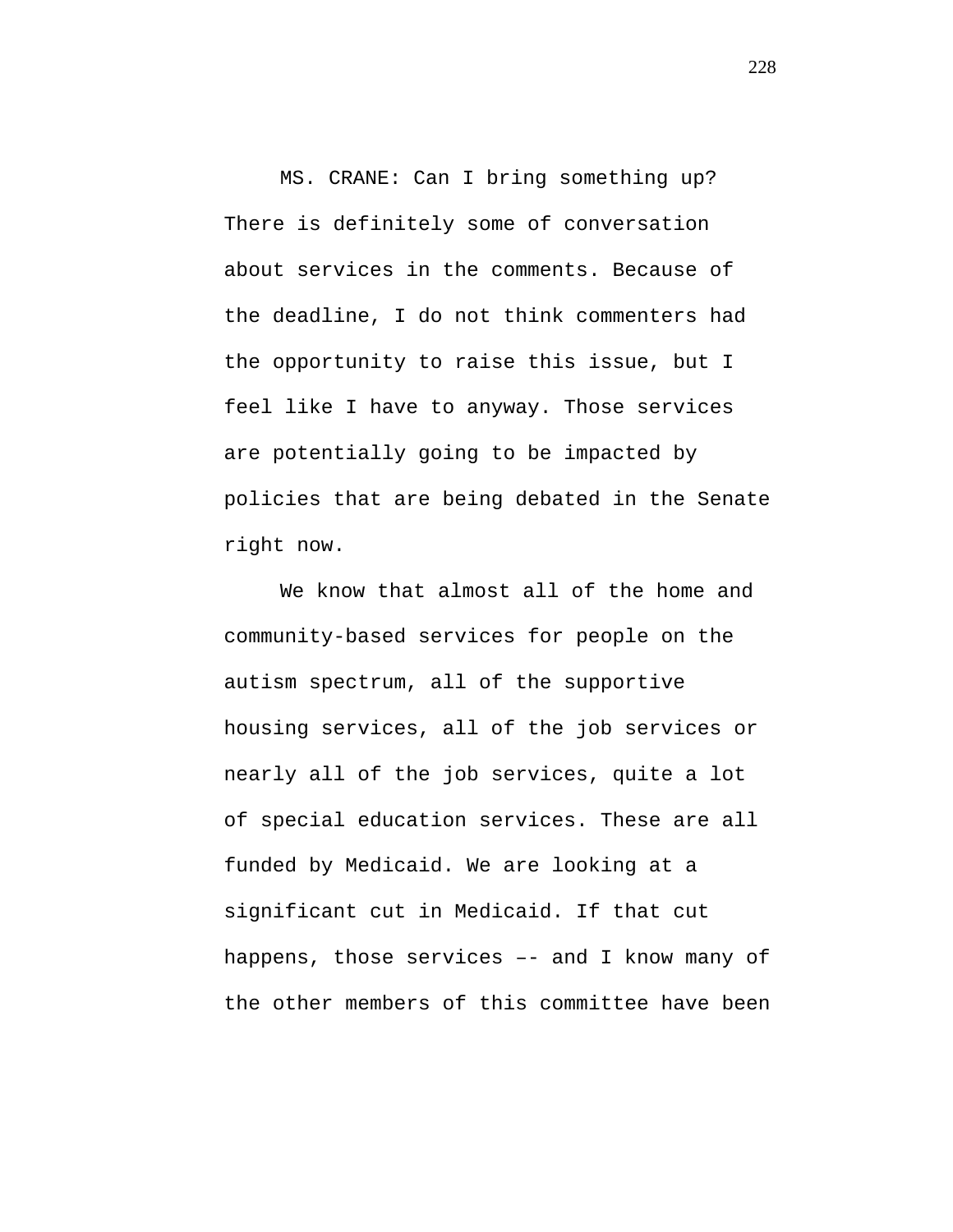MS. CRANE: Can I bring something up? There is definitely some of conversation about services in the comments. Because of the deadline, I do not think commenters had the opportunity to raise this issue, but I feel like I have to anyway. Those services are potentially going to be impacted by policies that are being debated in the Senate right now.

We know that almost all of the home and community-based services for people on the autism spectrum, all of the supportive housing services, all of the job services or nearly all of the job services, quite a lot of special education services. These are all funded by Medicaid. We are looking at a significant cut in Medicaid. If that cut happens, those services –- and I know many of the other members of this committee have been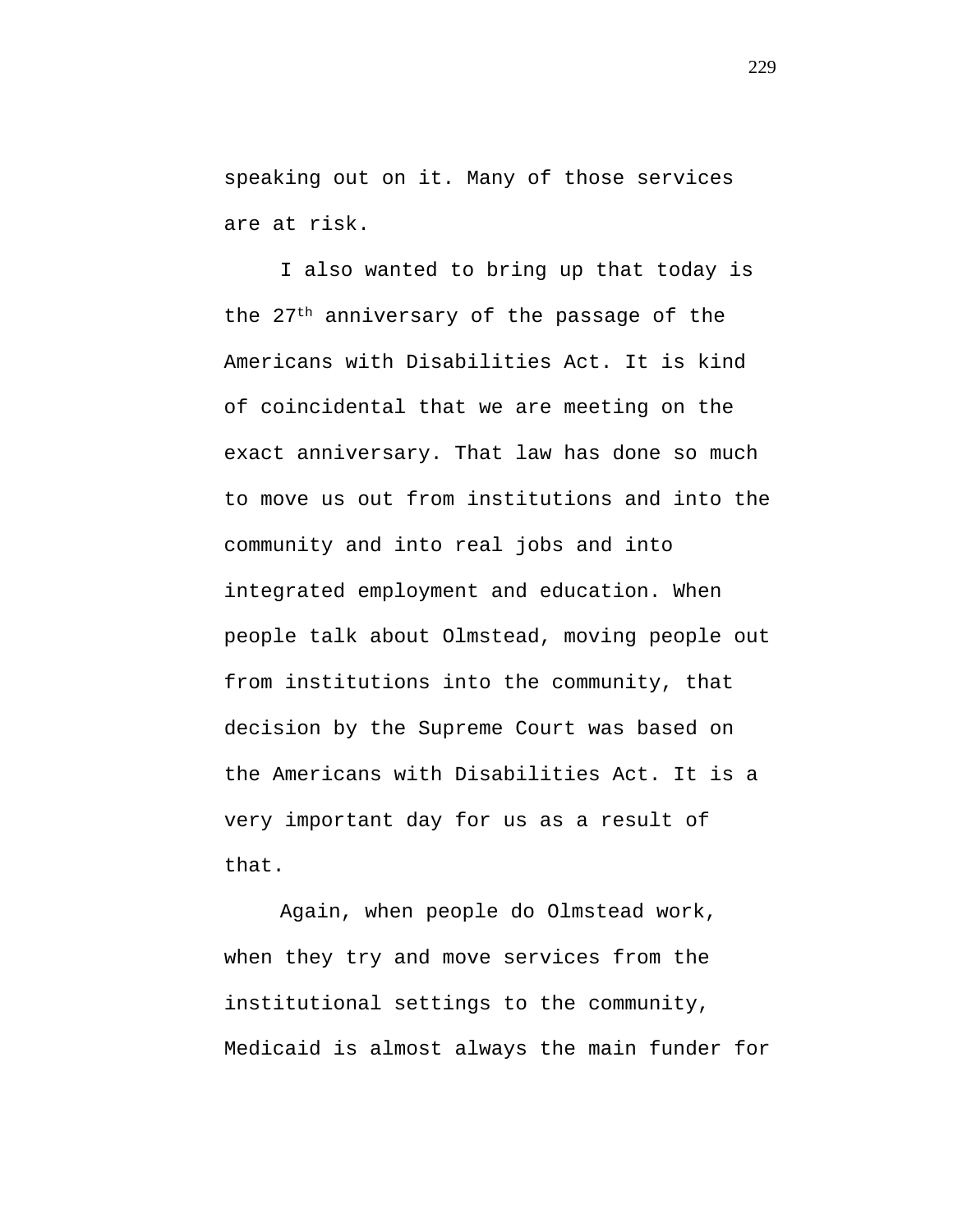speaking out on it. Many of those services are at risk.

I also wanted to bring up that today is the 27th anniversary of the passage of the Americans with Disabilities Act. It is kind of coincidental that we are meeting on the exact anniversary. That law has done so much to move us out from institutions and into the community and into real jobs and into integrated employment and education. When people talk about Olmstead, moving people out from institutions into the community, that decision by the Supreme Court was based on the Americans with Disabilities Act. It is a very important day for us as a result of that.

Again, when people do Olmstead work, when they try and move services from the institutional settings to the community, Medicaid is almost always the main funder for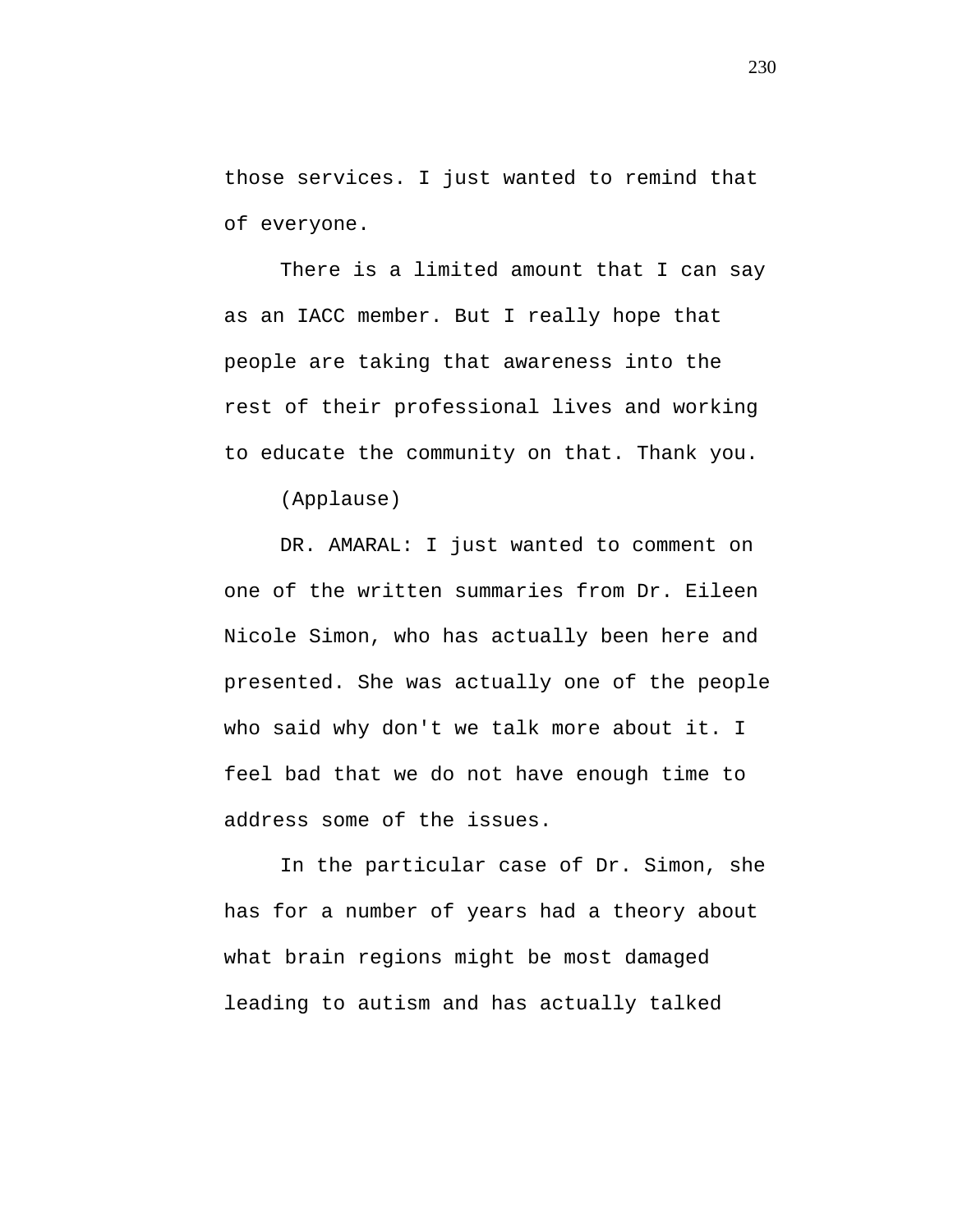those services. I just wanted to remind that of everyone.

There is a limited amount that I can say as an IACC member. But I really hope that people are taking that awareness into the rest of their professional lives and working to educate the community on that. Thank you.

(Applause)

DR. AMARAL: I just wanted to comment on one of the written summaries from Dr. Eileen Nicole Simon, who has actually been here and presented. She was actually one of the people who said why don't we talk more about it. I feel bad that we do not have enough time to address some of the issues.

In the particular case of Dr. Simon, she has for a number of years had a theory about what brain regions might be most damaged leading to autism and has actually talked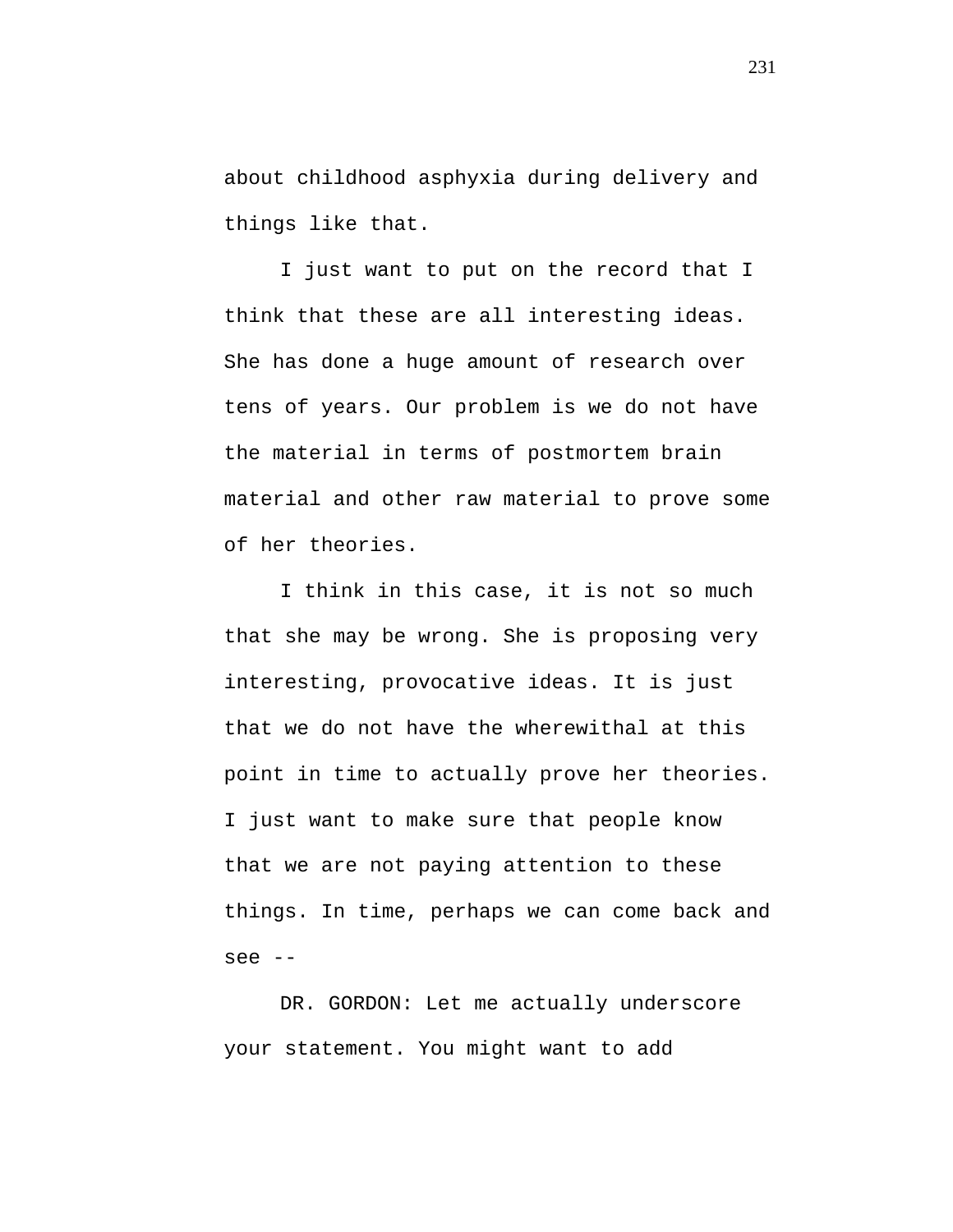about childhood asphyxia during delivery and things like that.

I just want to put on the record that I think that these are all interesting ideas. She has done a huge amount of research over tens of years. Our problem is we do not have the material in terms of postmortem brain material and other raw material to prove some of her theories.

I think in this case, it is not so much that she may be wrong. She is proposing very interesting, provocative ideas. It is just that we do not have the wherewithal at this point in time to actually prove her theories. I just want to make sure that people know that we are not paying attention to these things. In time, perhaps we can come back and see --

DR. GORDON: Let me actually underscore your statement. You might want to add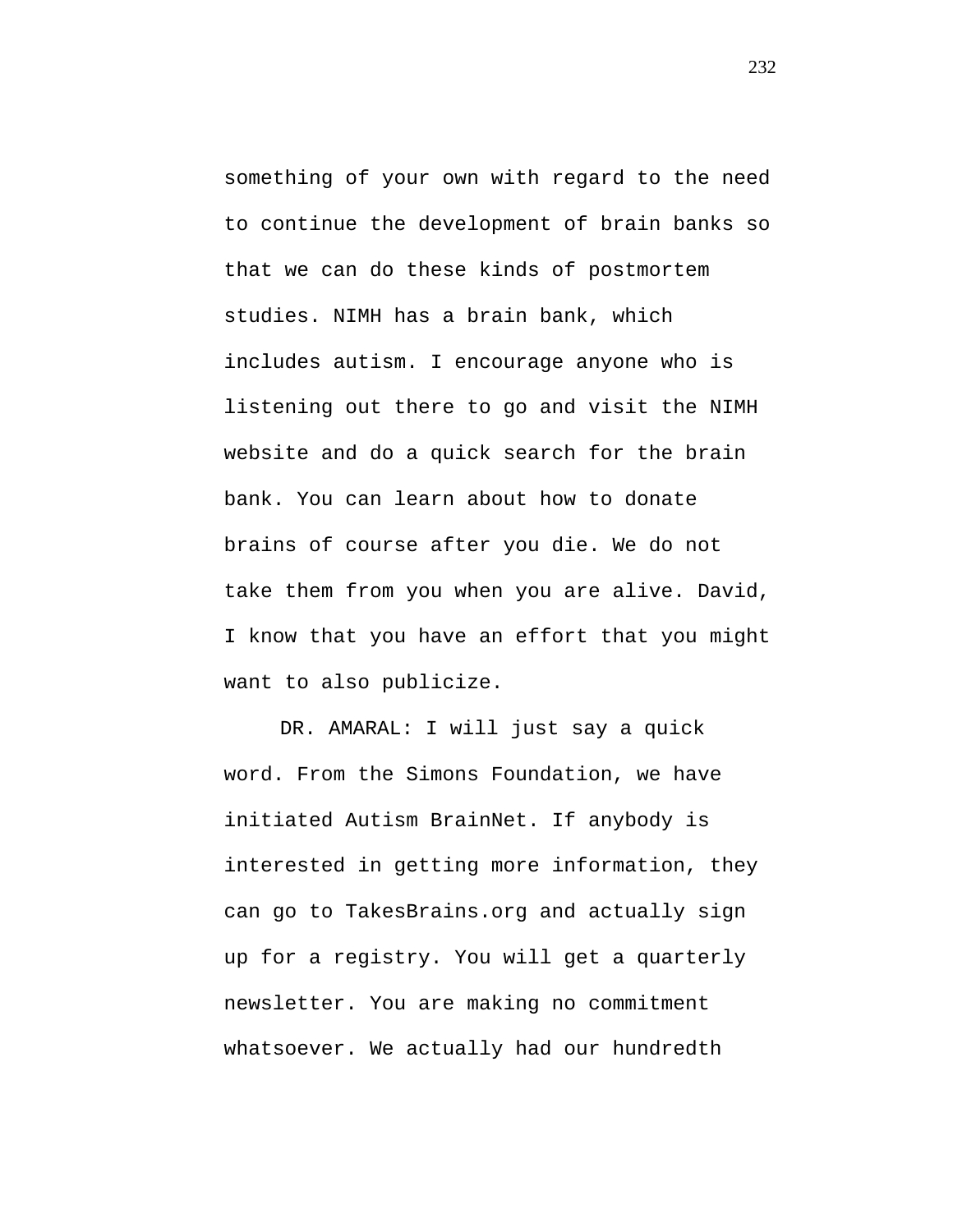something of your own with regard to the need to continue the development of brain banks so that we can do these kinds of postmortem studies. NIMH has a brain bank, which includes autism. I encourage anyone who is listening out there to go and visit the NIMH website and do a quick search for the brain bank. You can learn about how to donate brains of course after you die. We do not take them from you when you are alive. David, I know that you have an effort that you might want to also publicize.

DR. AMARAL: I will just say a quick word. From the Simons Foundation, we have initiated Autism BrainNet. If anybody is interested in getting more information, they can go to TakesBrains.org and actually sign up for a registry. You will get a quarterly newsletter. You are making no commitment whatsoever. We actually had our hundredth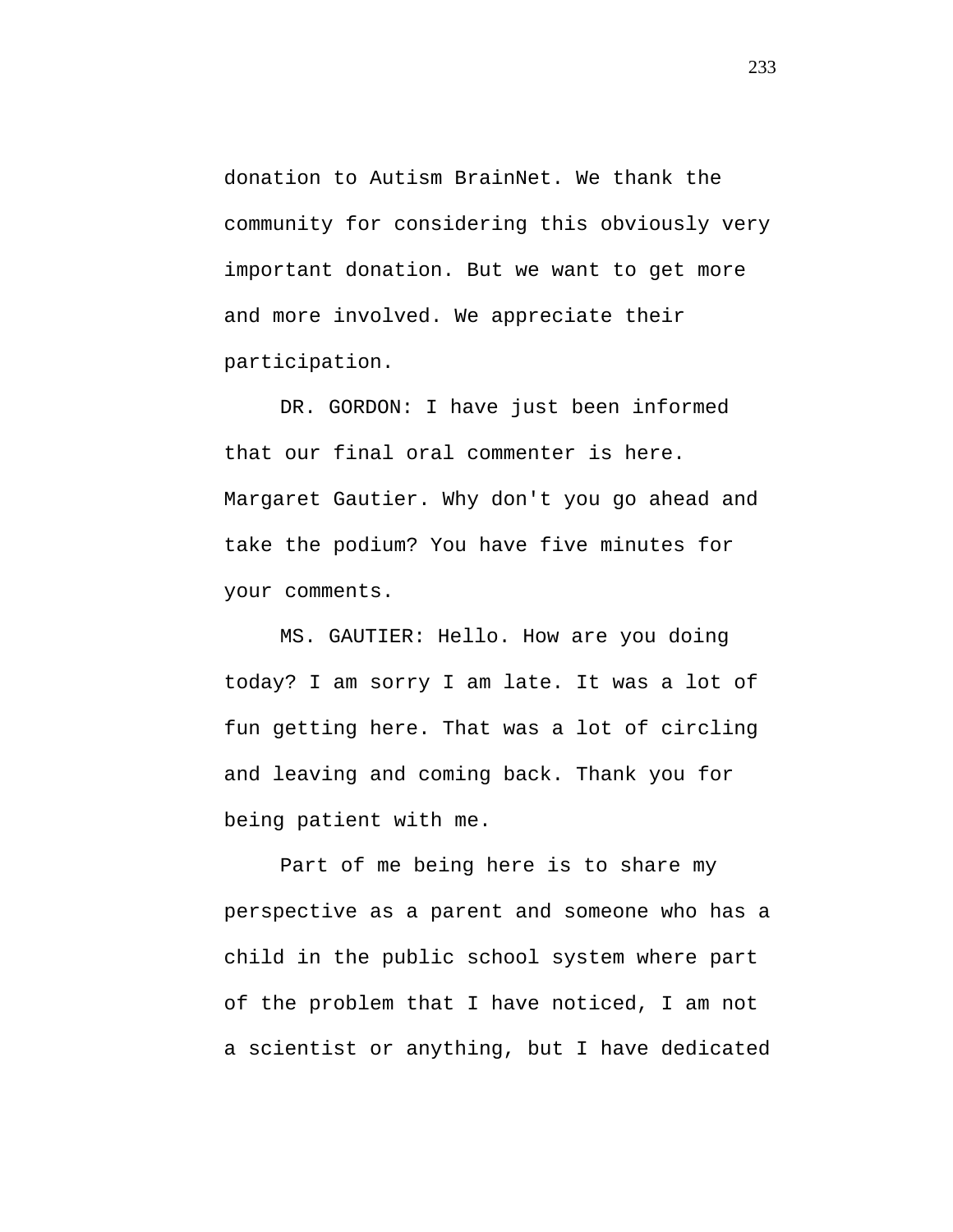donation to Autism BrainNet. We thank the community for considering this obviously very important donation. But we want to get more and more involved. We appreciate their participation.

DR. GORDON: I have just been informed that our final oral commenter is here. Margaret Gautier. Why don't you go ahead and take the podium? You have five minutes for your comments.

MS. GAUTIER: Hello. How are you doing today? I am sorry I am late. It was a lot of fun getting here. That was a lot of circling and leaving and coming back. Thank you for being patient with me.

Part of me being here is to share my perspective as a parent and someone who has a child in the public school system where part of the problem that I have noticed, I am not a scientist or anything, but I have dedicated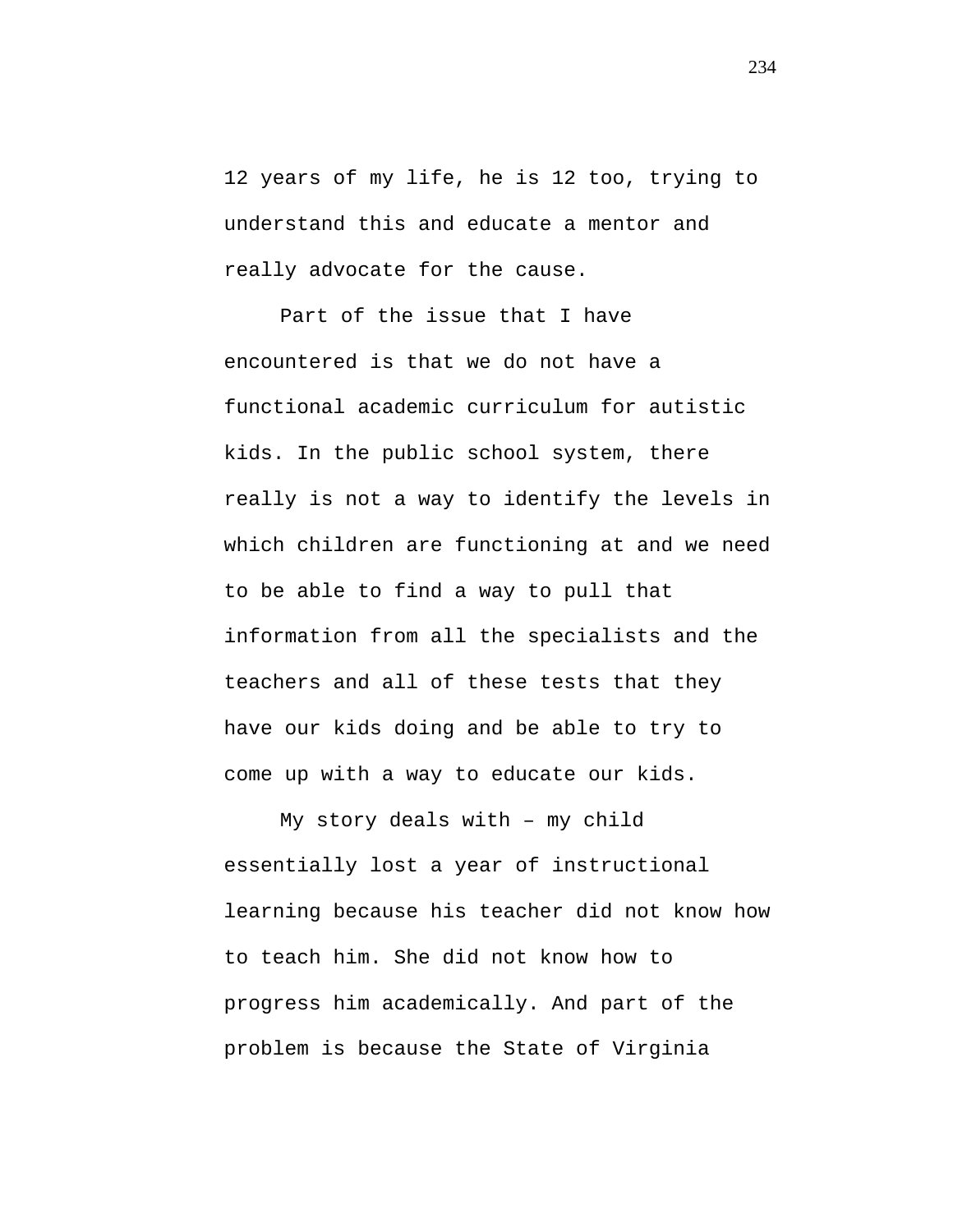12 years of my life, he is 12 too, trying to understand this and educate a mentor and really advocate for the cause.

Part of the issue that I have encountered is that we do not have a functional academic curriculum for autistic kids. In the public school system, there really is not a way to identify the levels in which children are functioning at and we need to be able to find a way to pull that information from all the specialists and the teachers and all of these tests that they have our kids doing and be able to try to come up with a way to educate our kids.

My story deals with – my child essentially lost a year of instructional learning because his teacher did not know how to teach him. She did not know how to progress him academically. And part of the problem is because the State of Virginia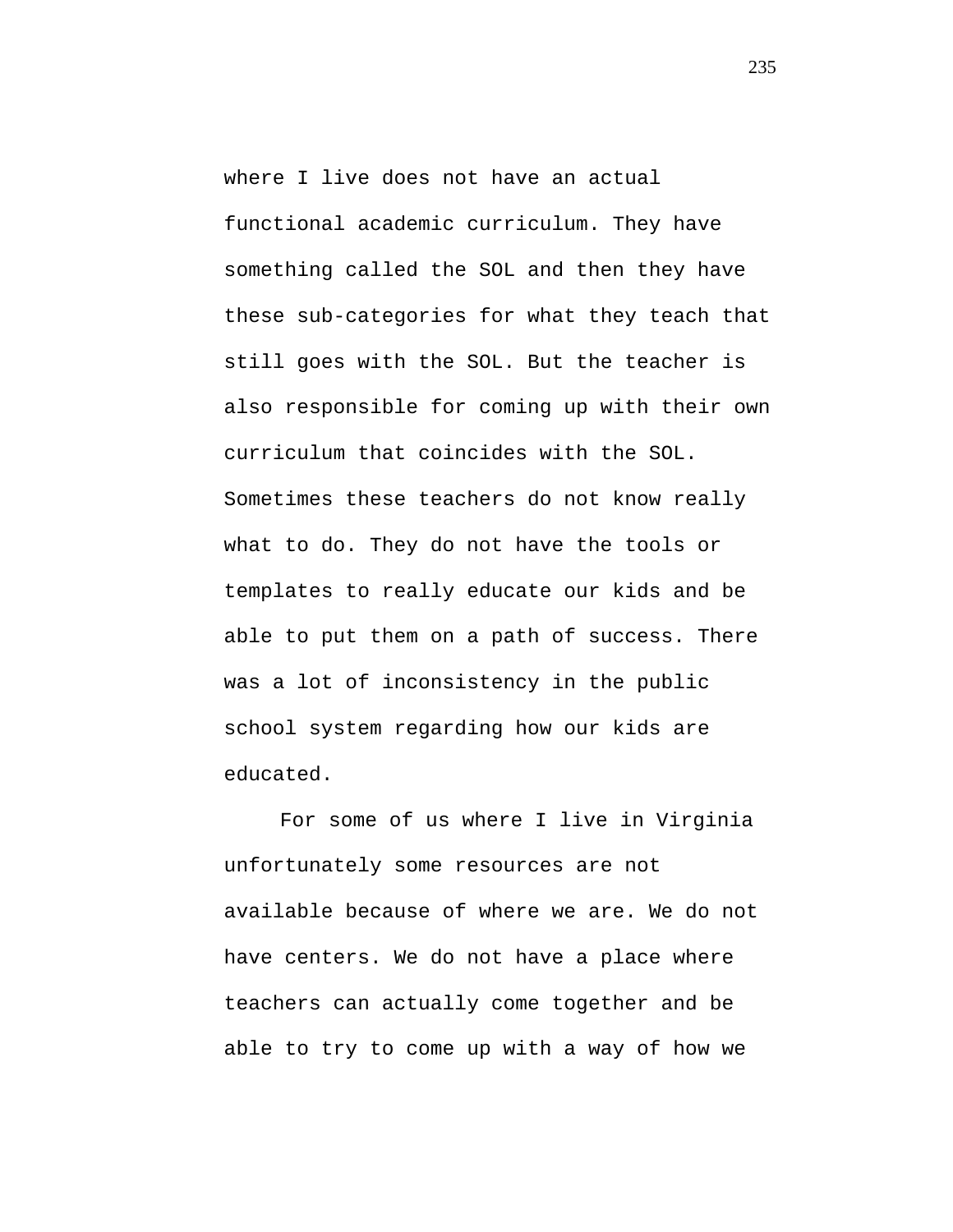where I live does not have an actual functional academic curriculum. They have something called the SOL and then they have these sub-categories for what they teach that still goes with the SOL. But the teacher is also responsible for coming up with their own curriculum that coincides with the SOL. Sometimes these teachers do not know really what to do. They do not have the tools or templates to really educate our kids and be able to put them on a path of success. There was a lot of inconsistency in the public school system regarding how our kids are educated.

For some of us where I live in Virginia unfortunately some resources are not available because of where we are. We do not have centers. We do not have a place where teachers can actually come together and be able to try to come up with a way of how we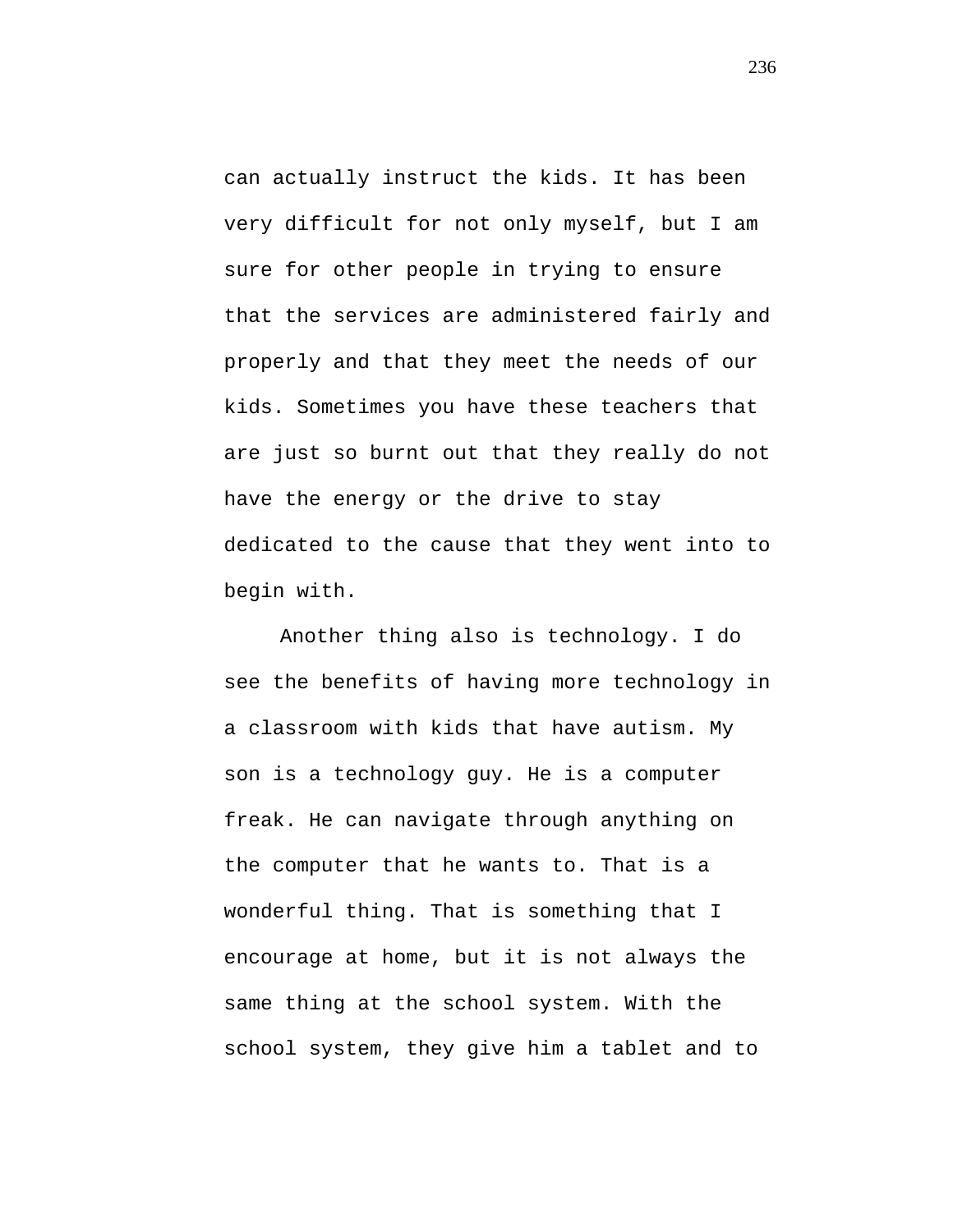can actually instruct the kids. It has been very difficult for not only myself, but I am sure for other people in trying to ensure that the services are administered fairly and properly and that they meet the needs of our kids. Sometimes you have these teachers that are just so burnt out that they really do not have the energy or the drive to stay dedicated to the cause that they went into to begin with.

Another thing also is technology. I do see the benefits of having more technology in a classroom with kids that have autism. My son is a technology guy. He is a computer freak. He can navigate through anything on the computer that he wants to. That is a wonderful thing. That is something that I encourage at home, but it is not always the same thing at the school system. With the school system, they give him a tablet and to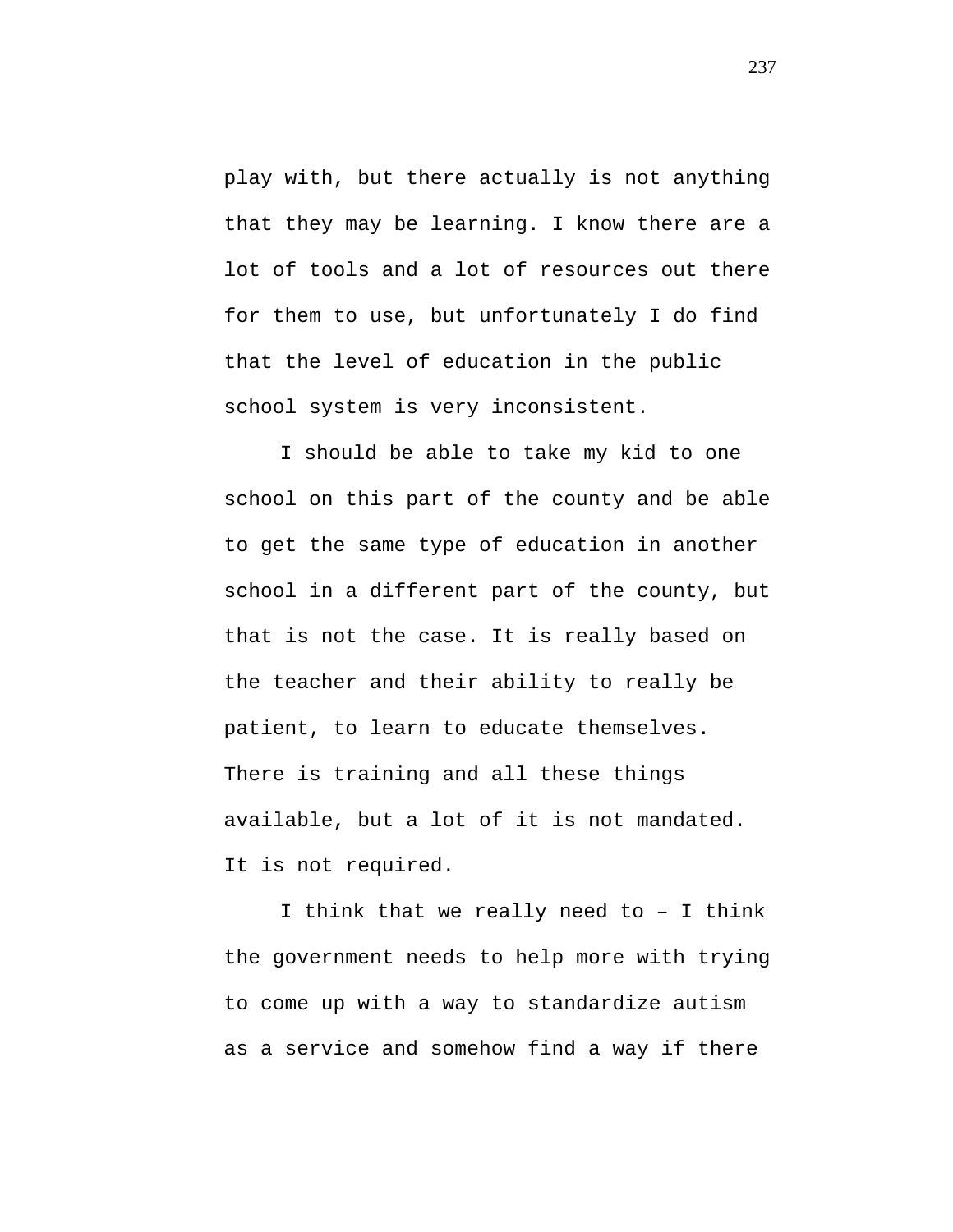play with, but there actually is not anything that they may be learning. I know there are a lot of tools and a lot of resources out there for them to use, but unfortunately I do find that the level of education in the public school system is very inconsistent.

I should be able to take my kid to one school on this part of the county and be able to get the same type of education in another school in a different part of the county, but that is not the case. It is really based on the teacher and their ability to really be patient, to learn to educate themselves. There is training and all these things available, but a lot of it is not mandated. It is not required.

I think that we really need to – I think the government needs to help more with trying to come up with a way to standardize autism as a service and somehow find a way if there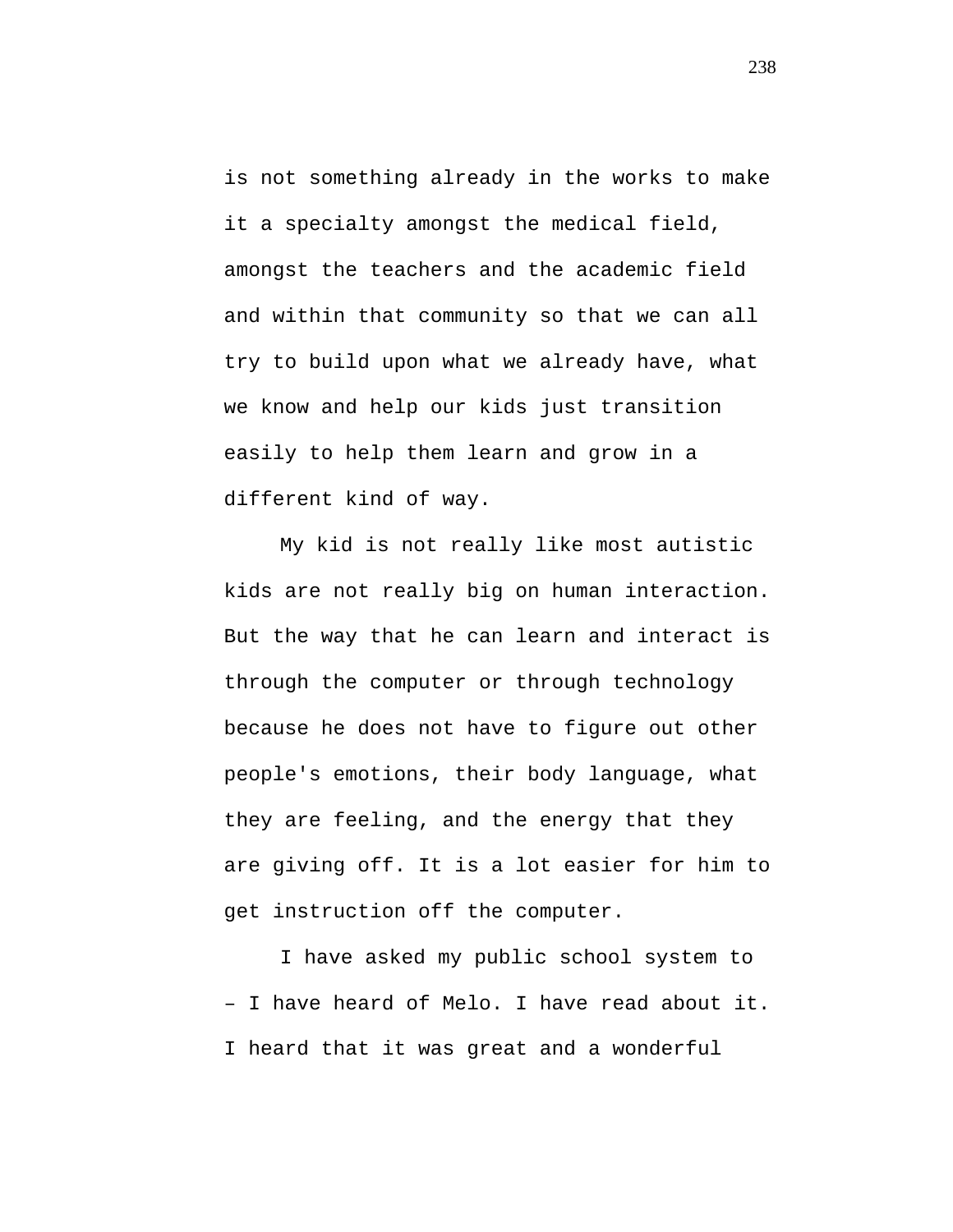is not something already in the works to make it a specialty amongst the medical field, amongst the teachers and the academic field and within that community so that we can all try to build upon what we already have, what we know and help our kids just transition easily to help them learn and grow in a different kind of way.

My kid is not really like most autistic kids are not really big on human interaction. But the way that he can learn and interact is through the computer or through technology because he does not have to figure out other people's emotions, their body language, what they are feeling, and the energy that they are giving off. It is a lot easier for him to get instruction off the computer.

I have asked my public school system to – I have heard of Melo. I have read about it. I heard that it was great and a wonderful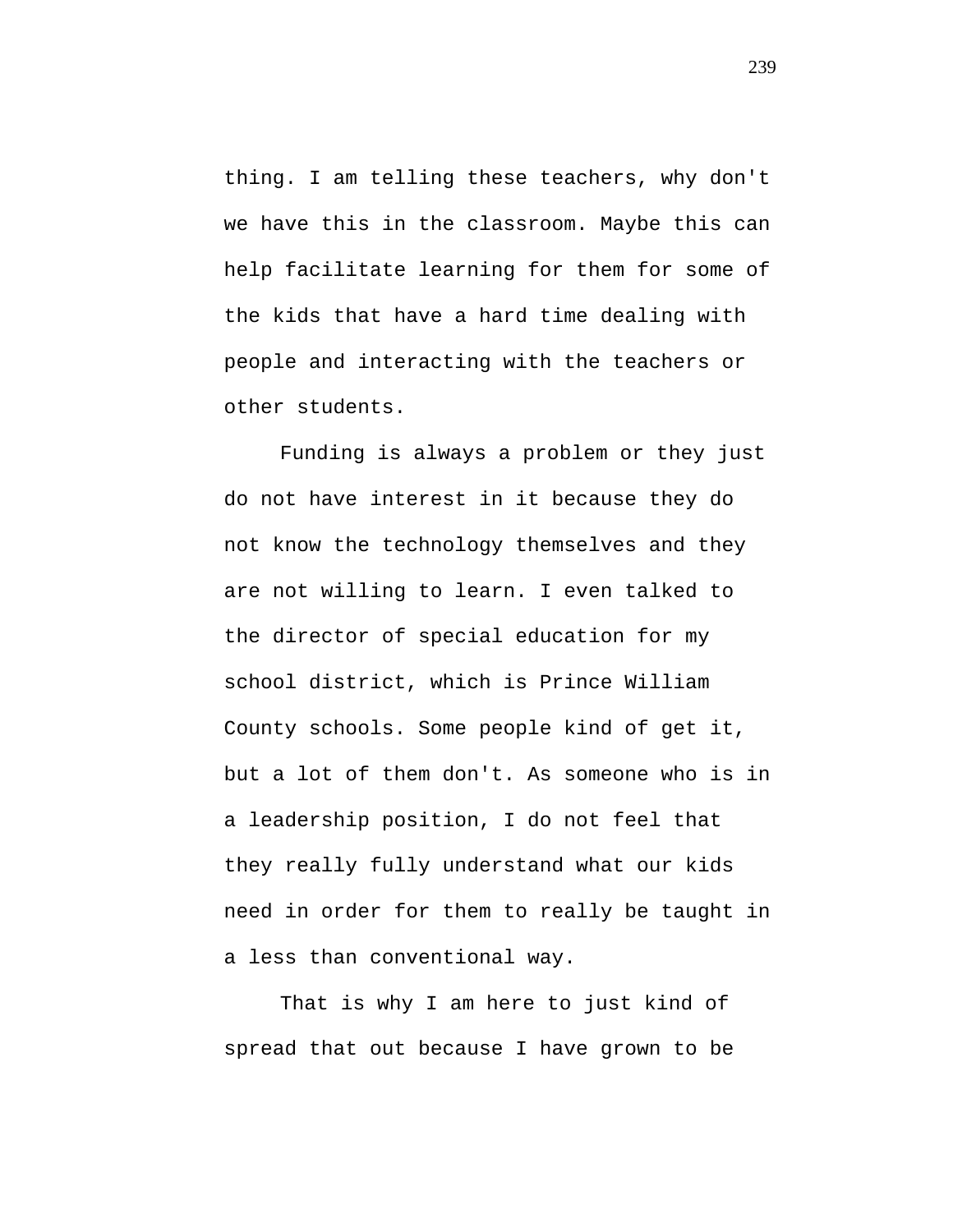thing. I am telling these teachers, why don't we have this in the classroom. Maybe this can help facilitate learning for them for some of the kids that have a hard time dealing with people and interacting with the teachers or other students.

Funding is always a problem or they just do not have interest in it because they do not know the technology themselves and they are not willing to learn. I even talked to the director of special education for my school district, which is Prince William County schools. Some people kind of get it, but a lot of them don't. As someone who is in a leadership position, I do not feel that they really fully understand what our kids need in order for them to really be taught in a less than conventional way.

That is why I am here to just kind of spread that out because I have grown to be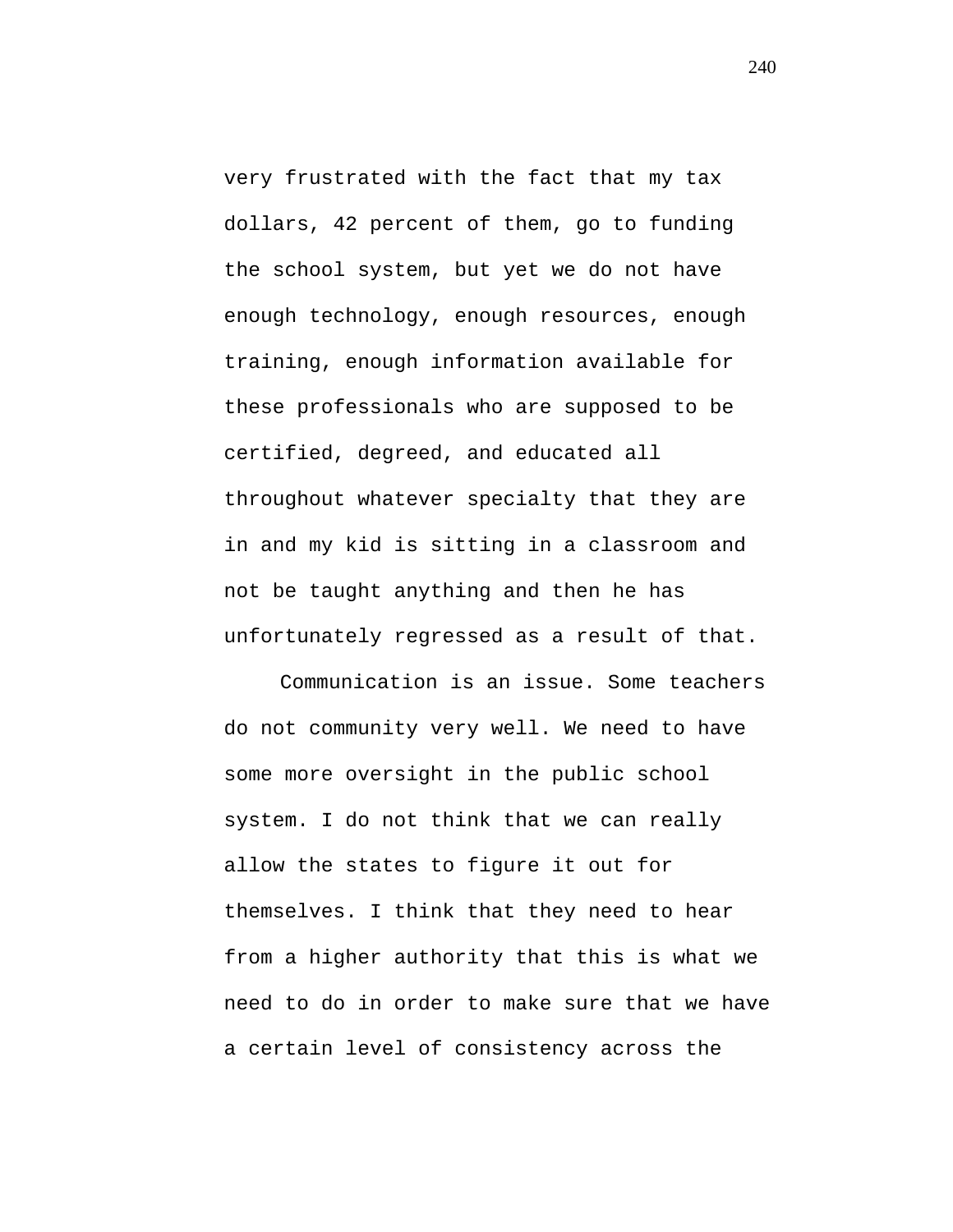very frustrated with the fact that my tax dollars, 42 percent of them, go to funding the school system, but yet we do not have enough technology, enough resources, enough training, enough information available for these professionals who are supposed to be certified, degreed, and educated all throughout whatever specialty that they are in and my kid is sitting in a classroom and not be taught anything and then he has unfortunately regressed as a result of that.

Communication is an issue. Some teachers do not community very well. We need to have some more oversight in the public school system. I do not think that we can really allow the states to figure it out for themselves. I think that they need to hear from a higher authority that this is what we need to do in order to make sure that we have a certain level of consistency across the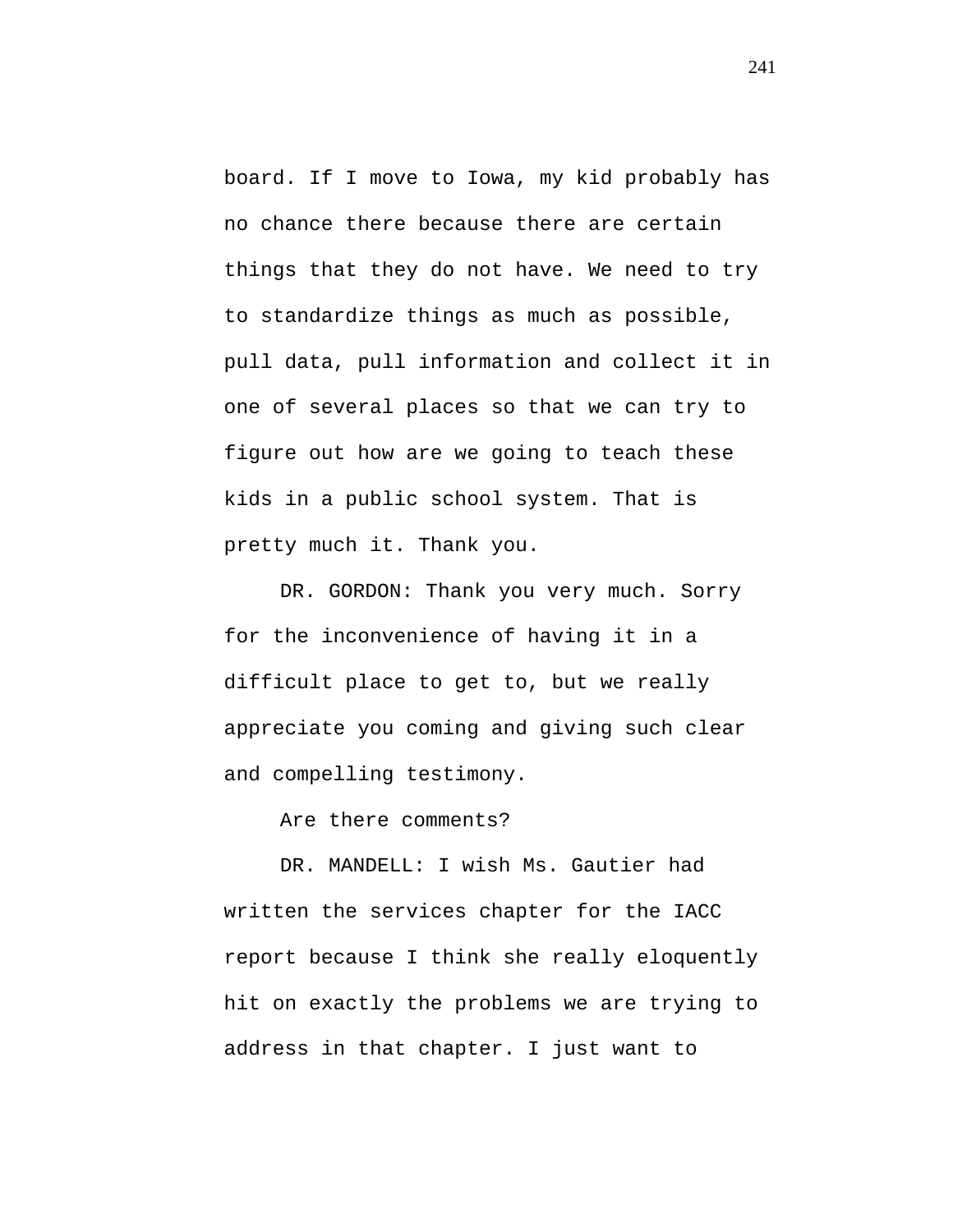board. If I move to Iowa, my kid probably has no chance there because there are certain things that they do not have. We need to try to standardize things as much as possible, pull data, pull information and collect it in one of several places so that we can try to figure out how are we going to teach these kids in a public school system. That is pretty much it. Thank you.

DR. GORDON: Thank you very much. Sorry for the inconvenience of having it in a difficult place to get to, but we really appreciate you coming and giving such clear and compelling testimony.

Are there comments?

DR. MANDELL: I wish Ms. Gautier had written the services chapter for the IACC report because I think she really eloquently hit on exactly the problems we are trying to address in that chapter. I just want to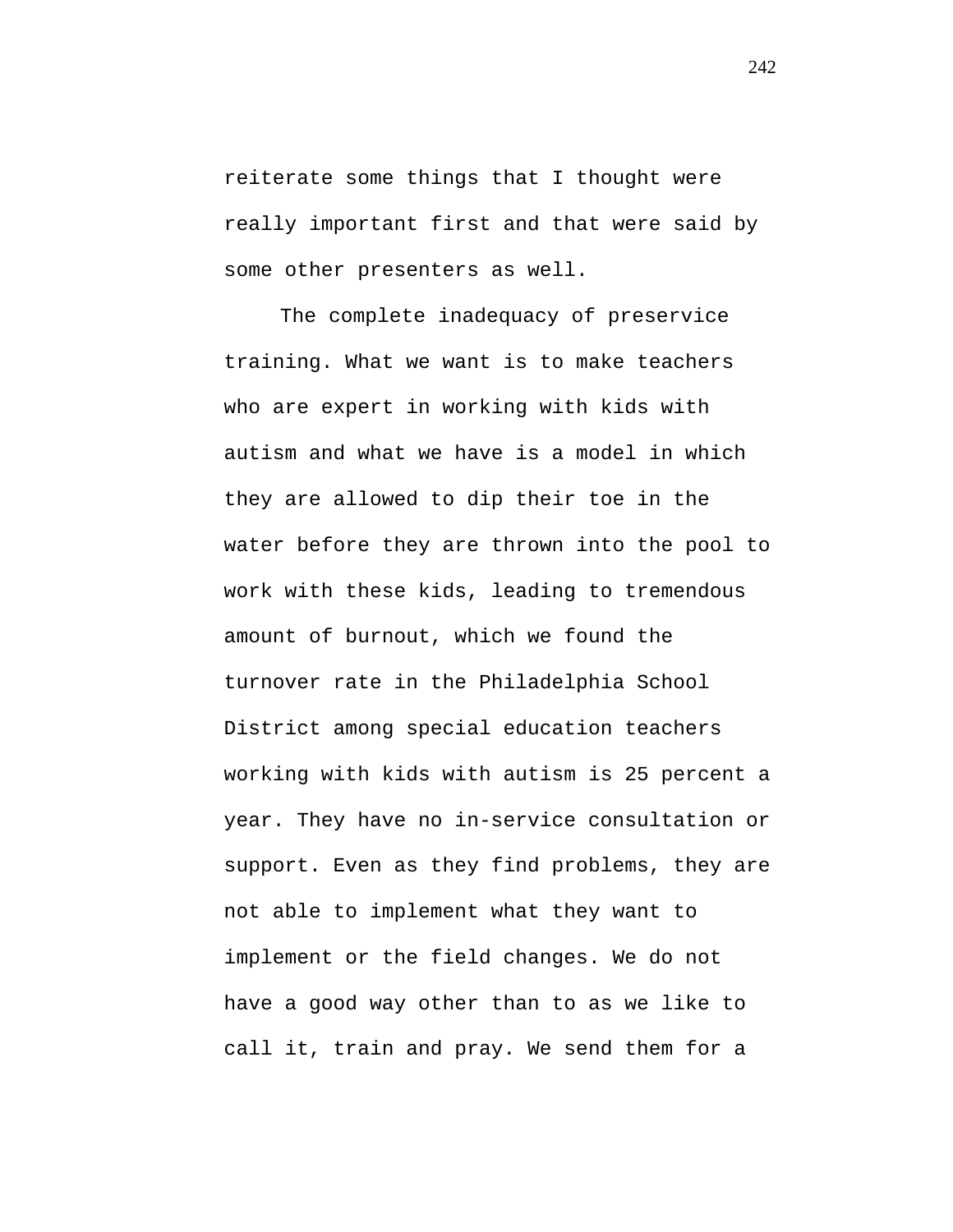reiterate some things that I thought were really important first and that were said by some other presenters as well.

The complete inadequacy of preservice training. What we want is to make teachers who are expert in working with kids with autism and what we have is a model in which they are allowed to dip their toe in the water before they are thrown into the pool to work with these kids, leading to tremendous amount of burnout, which we found the turnover rate in the Philadelphia School District among special education teachers working with kids with autism is 25 percent a year. They have no in-service consultation or support. Even as they find problems, they are not able to implement what they want to implement or the field changes. We do not have a good way other than to as we like to call it, train and pray. We send them for a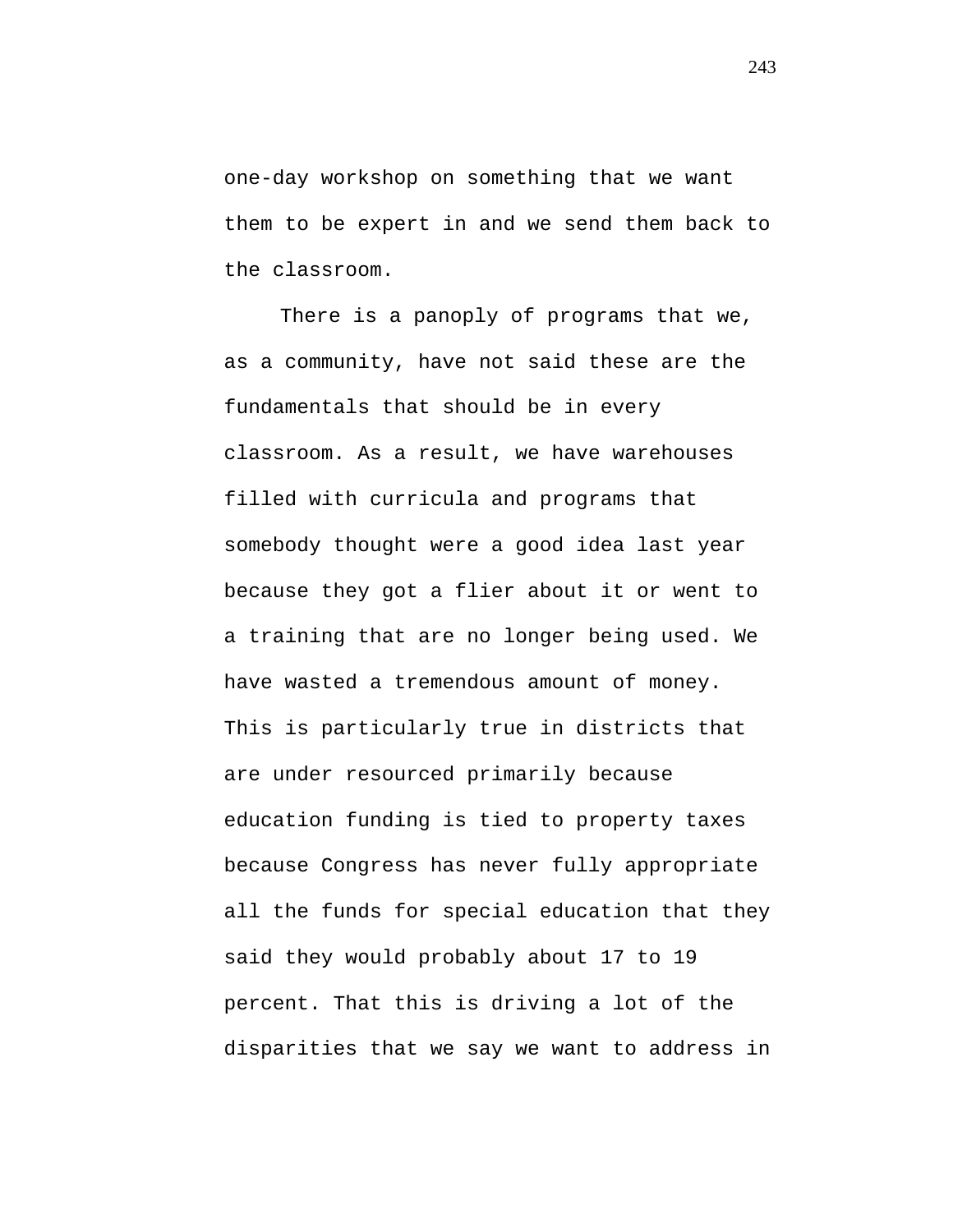one-day workshop on something that we want them to be expert in and we send them back to the classroom.

There is a panoply of programs that we, as a community, have not said these are the fundamentals that should be in every classroom. As a result, we have warehouses filled with curricula and programs that somebody thought were a good idea last year because they got a flier about it or went to a training that are no longer being used. We have wasted a tremendous amount of money. This is particularly true in districts that are under resourced primarily because education funding is tied to property taxes because Congress has never fully appropriate all the funds for special education that they said they would probably about 17 to 19 percent. That this is driving a lot of the disparities that we say we want to address in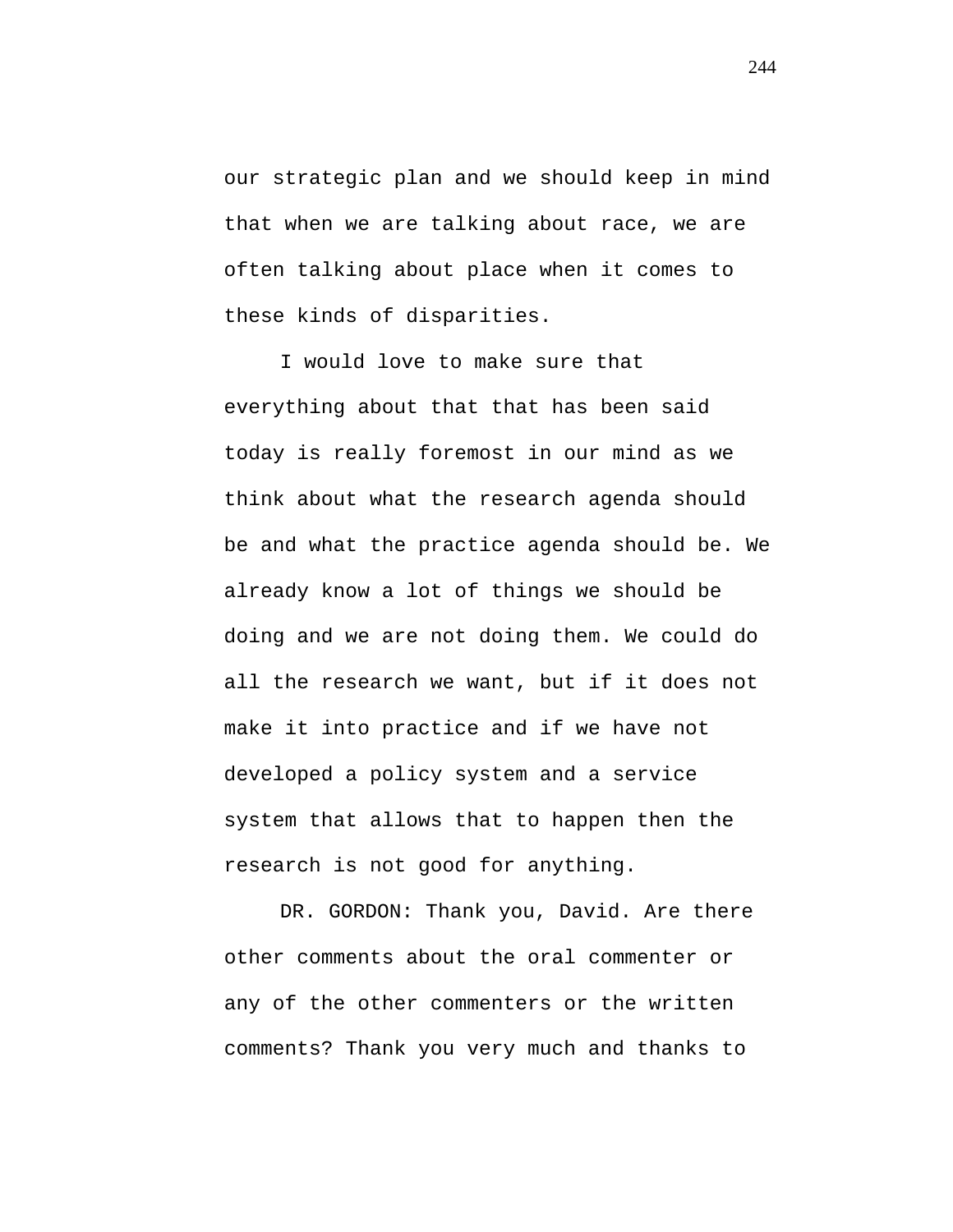our strategic plan and we should keep in mind that when we are talking about race, we are often talking about place when it comes to these kinds of disparities.

I would love to make sure that everything about that that has been said today is really foremost in our mind as we think about what the research agenda should be and what the practice agenda should be. We already know a lot of things we should be doing and we are not doing them. We could do all the research we want, but if it does not make it into practice and if we have not developed a policy system and a service system that allows that to happen then the research is not good for anything.

DR. GORDON: Thank you, David. Are there other comments about the oral commenter or any of the other commenters or the written comments? Thank you very much and thanks to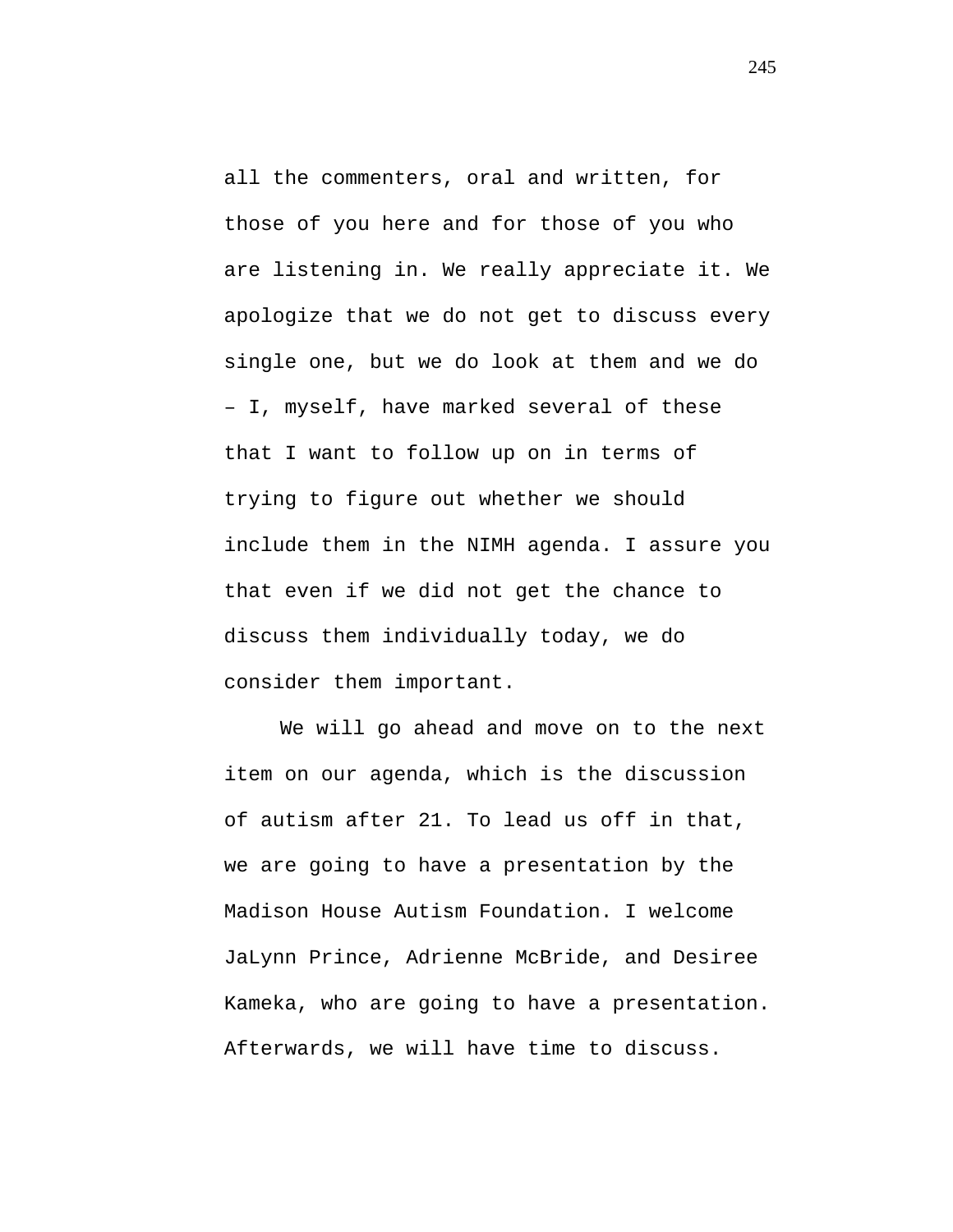all the commenters, oral and written, for those of you here and for those of you who are listening in. We really appreciate it. We apologize that we do not get to discuss every single one, but we do look at them and we do – I, myself, have marked several of these that I want to follow up on in terms of trying to figure out whether we should include them in the NIMH agenda. I assure you that even if we did not get the chance to discuss them individually today, we do consider them important.

We will go ahead and move on to the next item on our agenda, which is the discussion of autism after 21. To lead us off in that, we are going to have a presentation by the Madison House Autism Foundation. I welcome JaLynn Prince, Adrienne McBride, and Desiree Kameka, who are going to have a presentation. Afterwards, we will have time to discuss.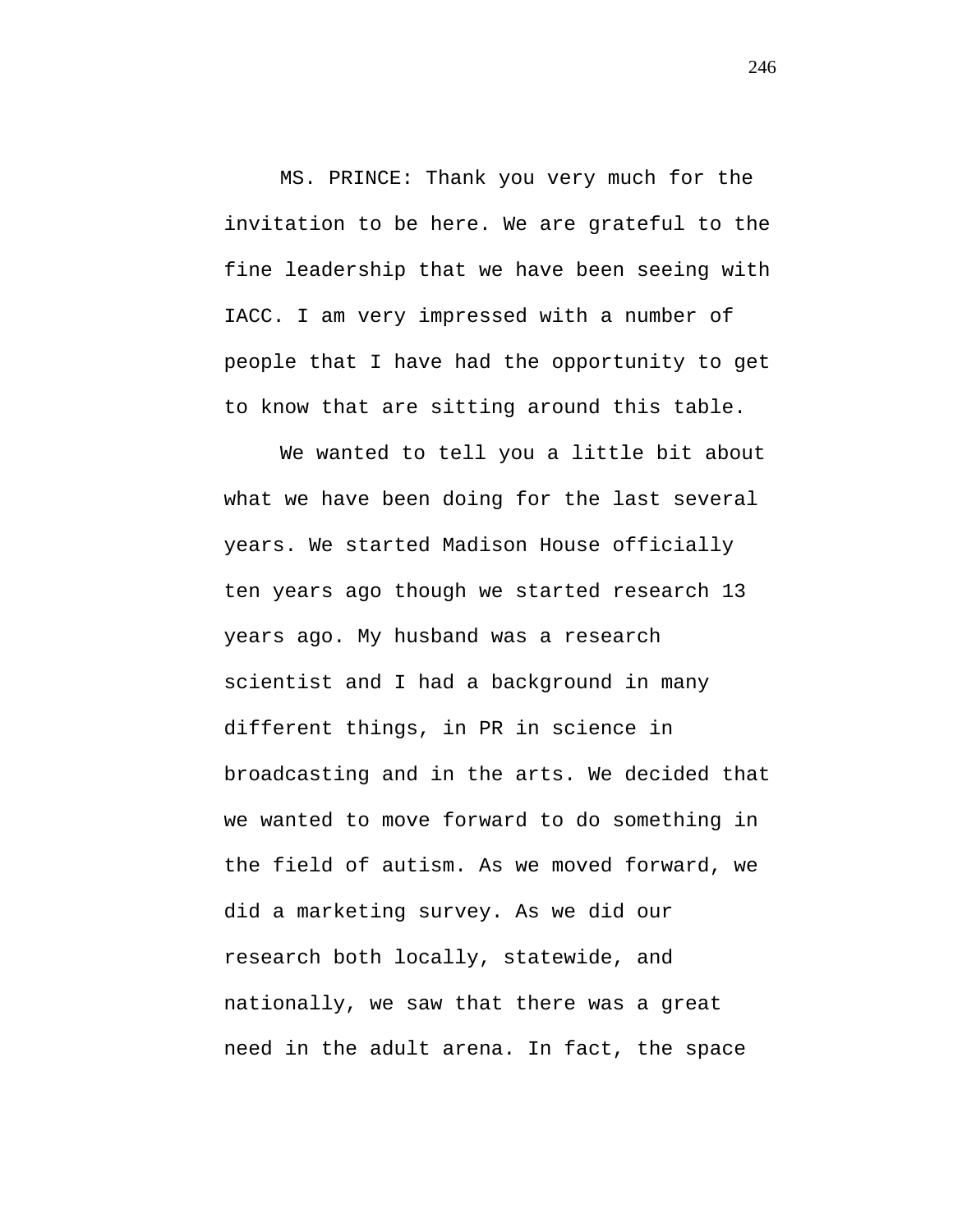MS. PRINCE: Thank you very much for the invitation to be here. We are grateful to the fine leadership that we have been seeing with IACC. I am very impressed with a number of people that I have had the opportunity to get to know that are sitting around this table.

We wanted to tell you a little bit about what we have been doing for the last several years. We started Madison House officially ten years ago though we started research 13 years ago. My husband was a research scientist and I had a background in many different things, in PR in science in broadcasting and in the arts. We decided that we wanted to move forward to do something in the field of autism. As we moved forward, we did a marketing survey. As we did our research both locally, statewide, and nationally, we saw that there was a great need in the adult arena. In fact, the space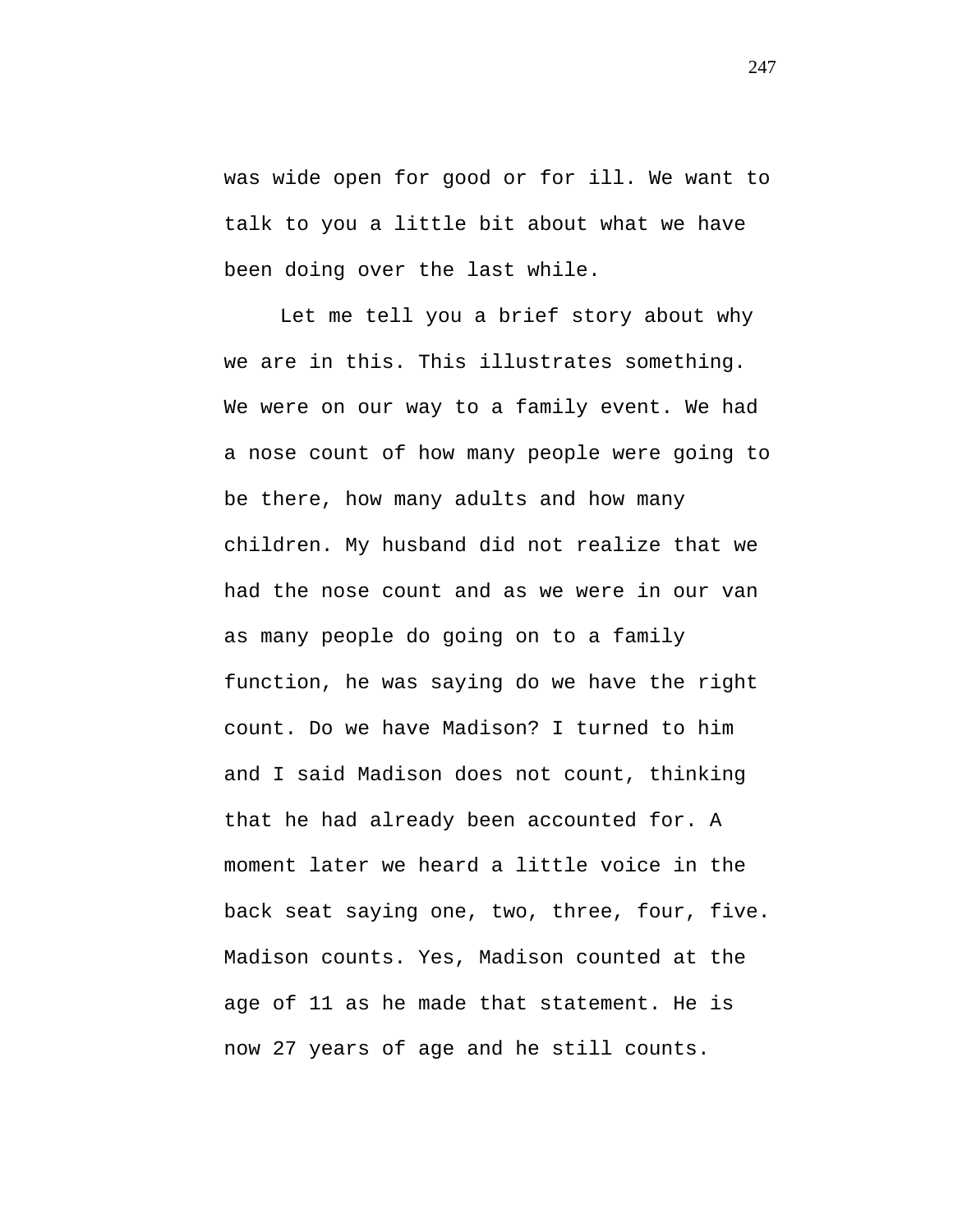was wide open for good or for ill. We want to talk to you a little bit about what we have been doing over the last while.

Let me tell you a brief story about why we are in this. This illustrates something. We were on our way to a family event. We had a nose count of how many people were going to be there, how many adults and how many children. My husband did not realize that we had the nose count and as we were in our van as many people do going on to a family function, he was saying do we have the right count. Do we have Madison? I turned to him and I said Madison does not count, thinking that he had already been accounted for. A moment later we heard a little voice in the back seat saying one, two, three, four, five. Madison counts. Yes, Madison counted at the age of 11 as he made that statement. He is now 27 years of age and he still counts.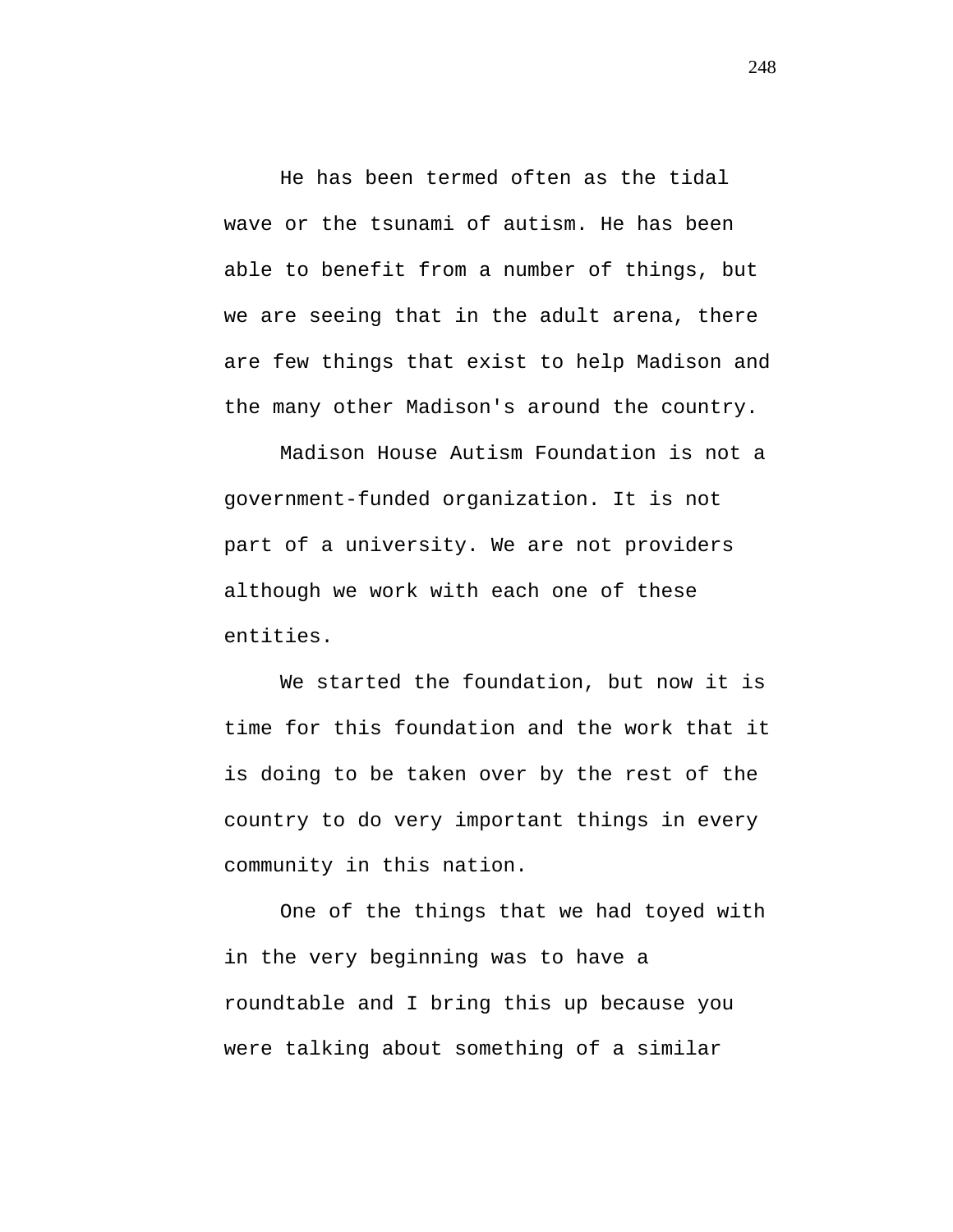He has been termed often as the tidal wave or the tsunami of autism. He has been able to benefit from a number of things, but we are seeing that in the adult arena, there are few things that exist to help Madison and the many other Madison's around the country.

Madison House Autism Foundation is not a government-funded organization. It is not part of a university. We are not providers although we work with each one of these entities.

We started the foundation, but now it is time for this foundation and the work that it is doing to be taken over by the rest of the country to do very important things in every community in this nation.

One of the things that we had toyed with in the very beginning was to have a roundtable and I bring this up because you were talking about something of a similar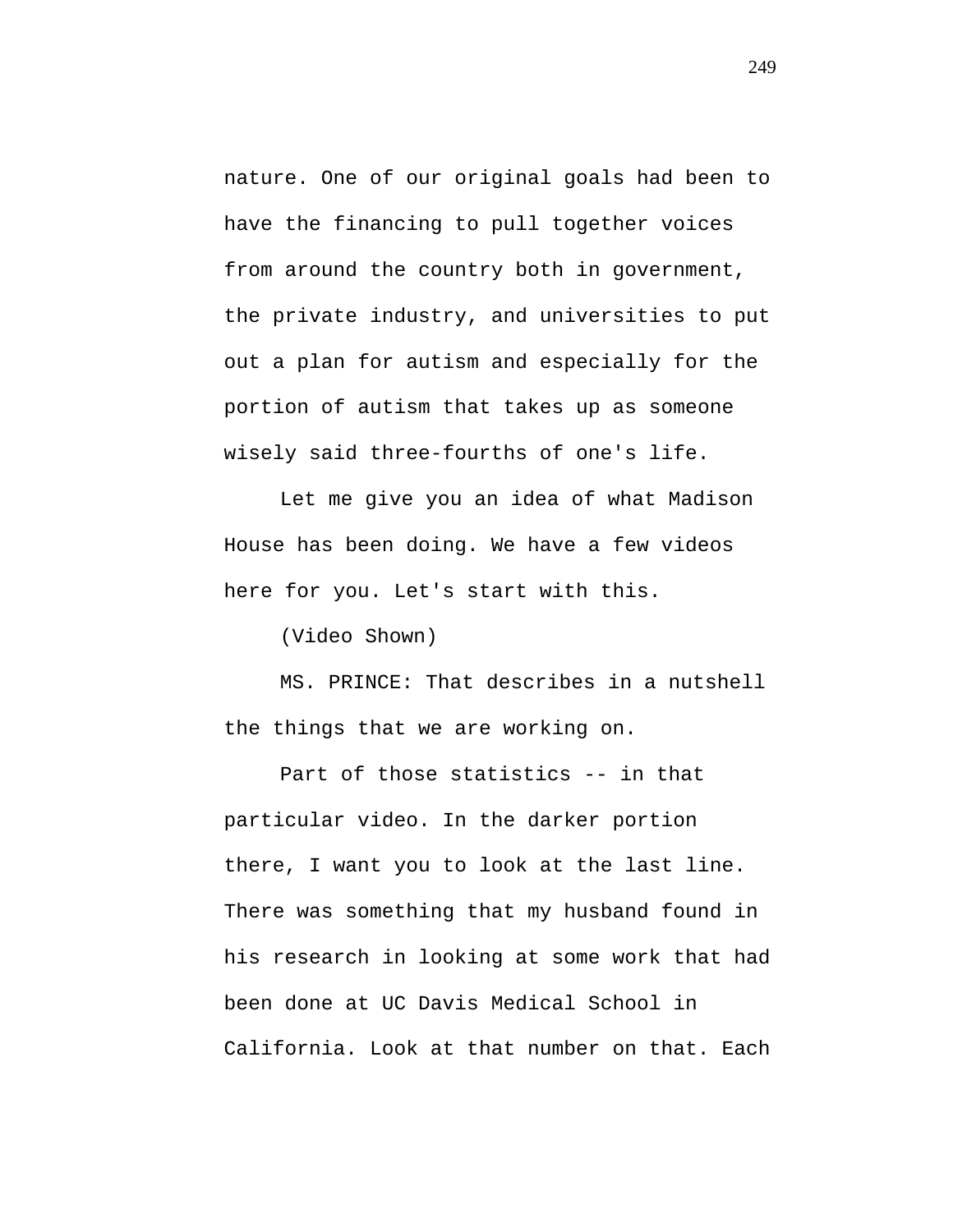nature. One of our original goals had been to have the financing to pull together voices from around the country both in government, the private industry, and universities to put out a plan for autism and especially for the portion of autism that takes up as someone wisely said three-fourths of one's life.

Let me give you an idea of what Madison House has been doing. We have a few videos here for you. Let's start with this.

(Video Shown)

MS. PRINCE: That describes in a nutshell the things that we are working on.

Part of those statistics -- in that particular video. In the darker portion there, I want you to look at the last line. There was something that my husband found in his research in looking at some work that had been done at UC Davis Medical School in California. Look at that number on that. Each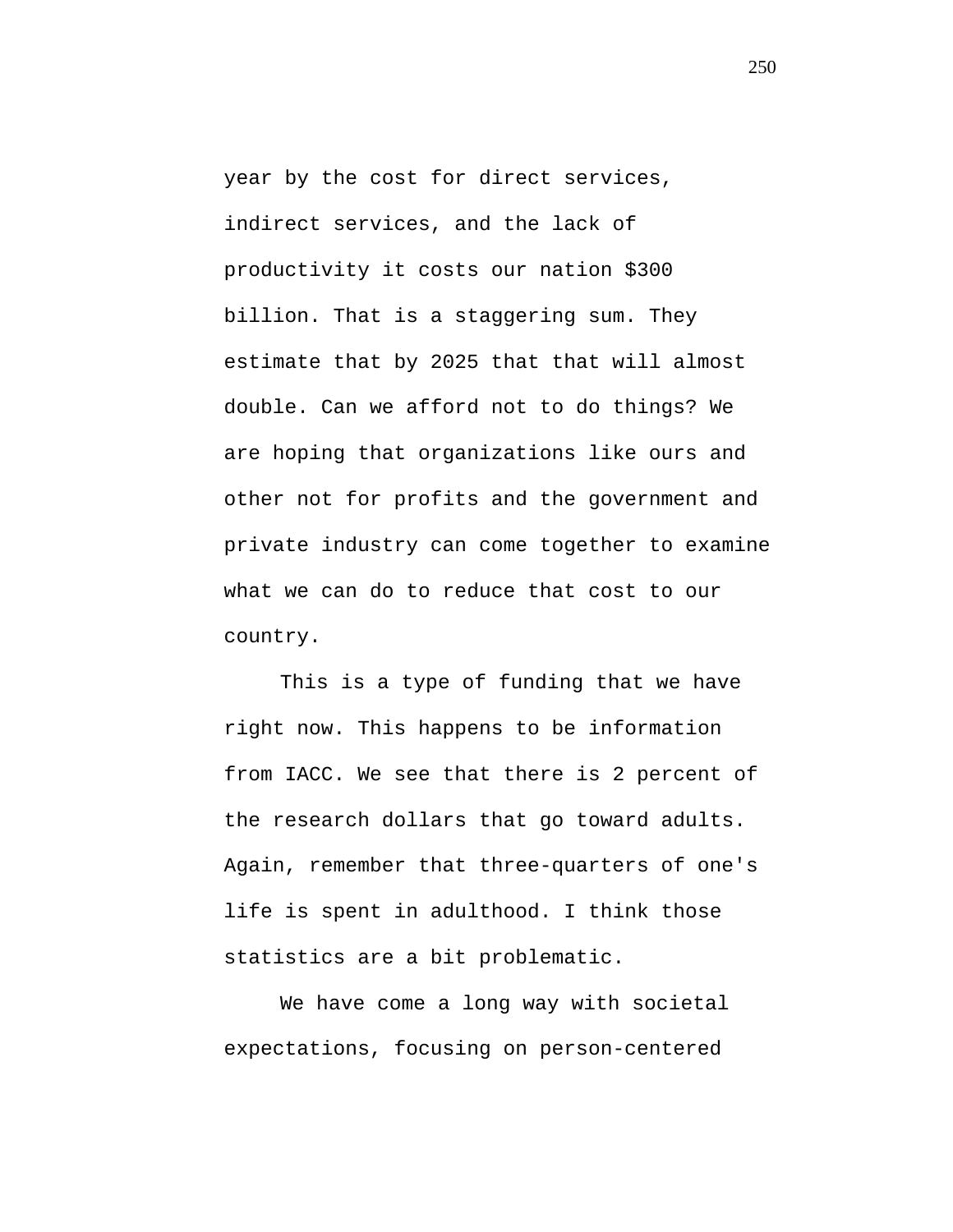year by the cost for direct services, indirect services, and the lack of productivity it costs our nation \$300 billion. That is a staggering sum. They estimate that by 2025 that that will almost double. Can we afford not to do things? We are hoping that organizations like ours and other not for profits and the government and private industry can come together to examine what we can do to reduce that cost to our country.

This is a type of funding that we have right now. This happens to be information from IACC. We see that there is 2 percent of the research dollars that go toward adults. Again, remember that three-quarters of one's life is spent in adulthood. I think those statistics are a bit problematic.

We have come a long way with societal expectations, focusing on person-centered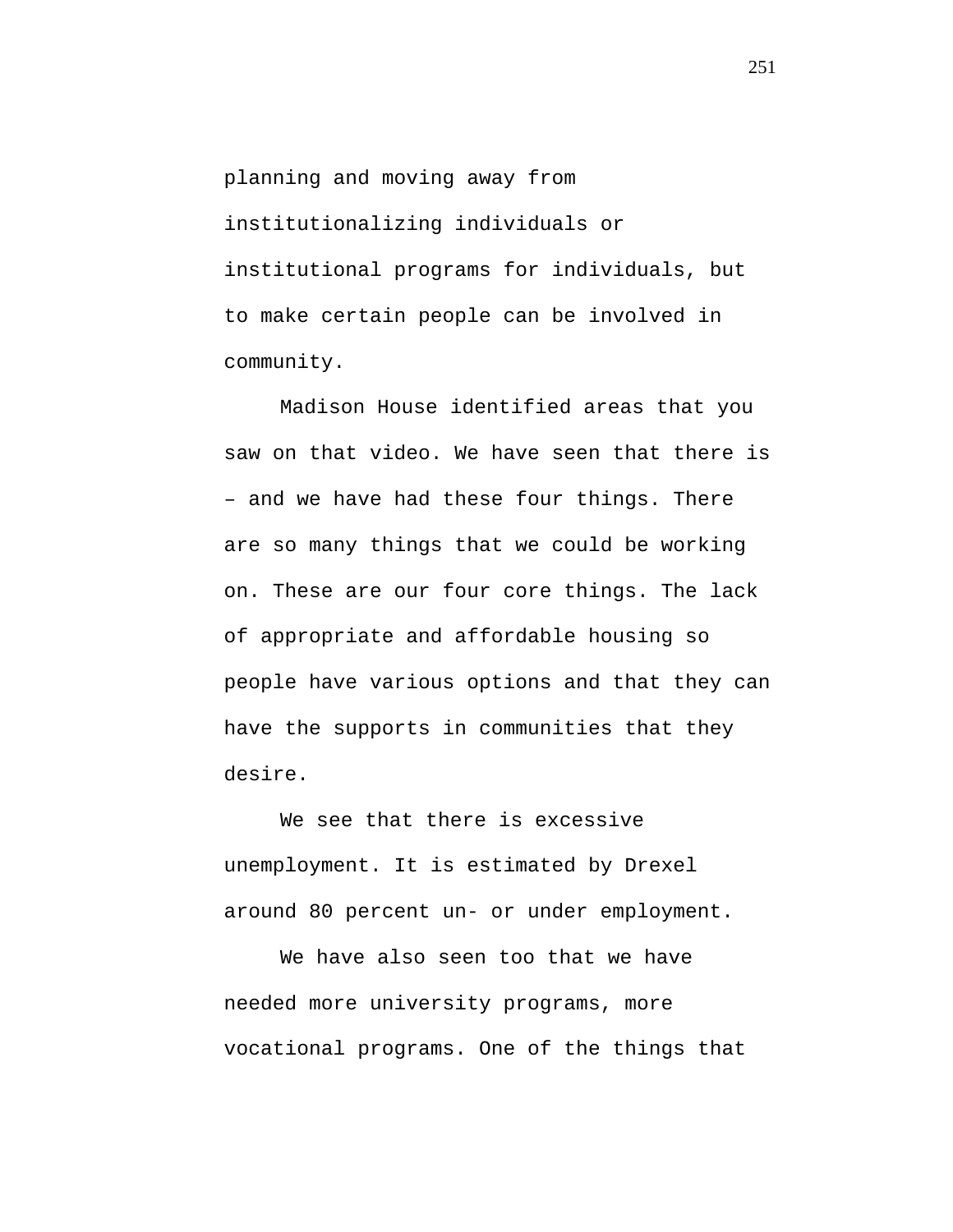planning and moving away from institutionalizing individuals or institutional programs for individuals, but to make certain people can be involved in community.

Madison House identified areas that you saw on that video. We have seen that there is – and we have had these four things. There are so many things that we could be working on. These are our four core things. The lack of appropriate and affordable housing so people have various options and that they can have the supports in communities that they desire.

We see that there is excessive unemployment. It is estimated by Drexel around 80 percent un- or under employment.

We have also seen too that we have needed more university programs, more vocational programs. One of the things that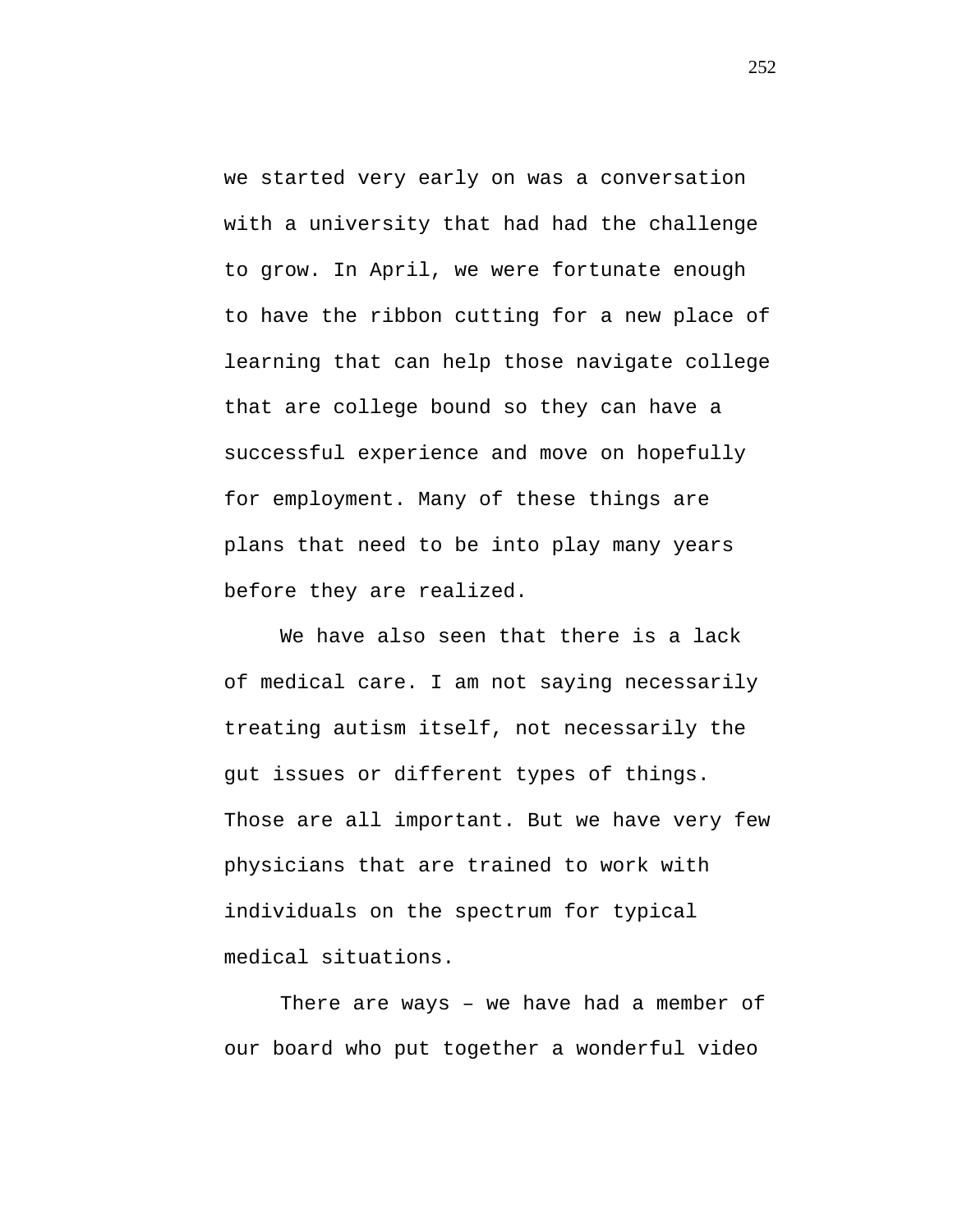we started very early on was a conversation with a university that had had the challenge to grow. In April, we were fortunate enough to have the ribbon cutting for a new place of learning that can help those navigate college that are college bound so they can have a successful experience and move on hopefully for employment. Many of these things are plans that need to be into play many years before they are realized.

We have also seen that there is a lack of medical care. I am not saying necessarily treating autism itself, not necessarily the gut issues or different types of things. Those are all important. But we have very few physicians that are trained to work with individuals on the spectrum for typical medical situations.

There are ways – we have had a member of our board who put together a wonderful video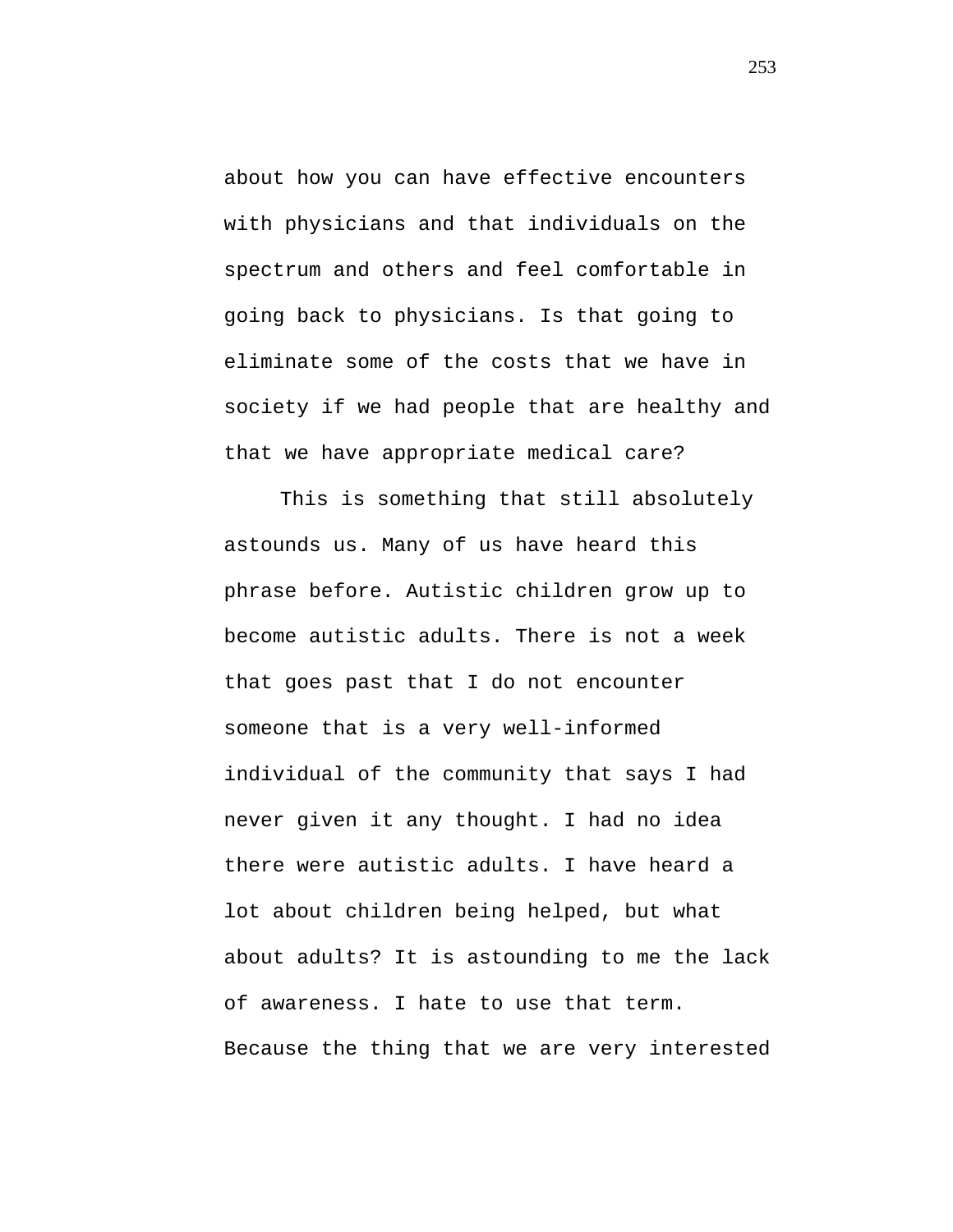about how you can have effective encounters with physicians and that individuals on the spectrum and others and feel comfortable in going back to physicians. Is that going to eliminate some of the costs that we have in society if we had people that are healthy and that we have appropriate medical care?

This is something that still absolutely astounds us. Many of us have heard this phrase before. Autistic children grow up to become autistic adults. There is not a week that goes past that I do not encounter someone that is a very well-informed individual of the community that says I had never given it any thought. I had no idea there were autistic adults. I have heard a lot about children being helped, but what about adults? It is astounding to me the lack of awareness. I hate to use that term. Because the thing that we are very interested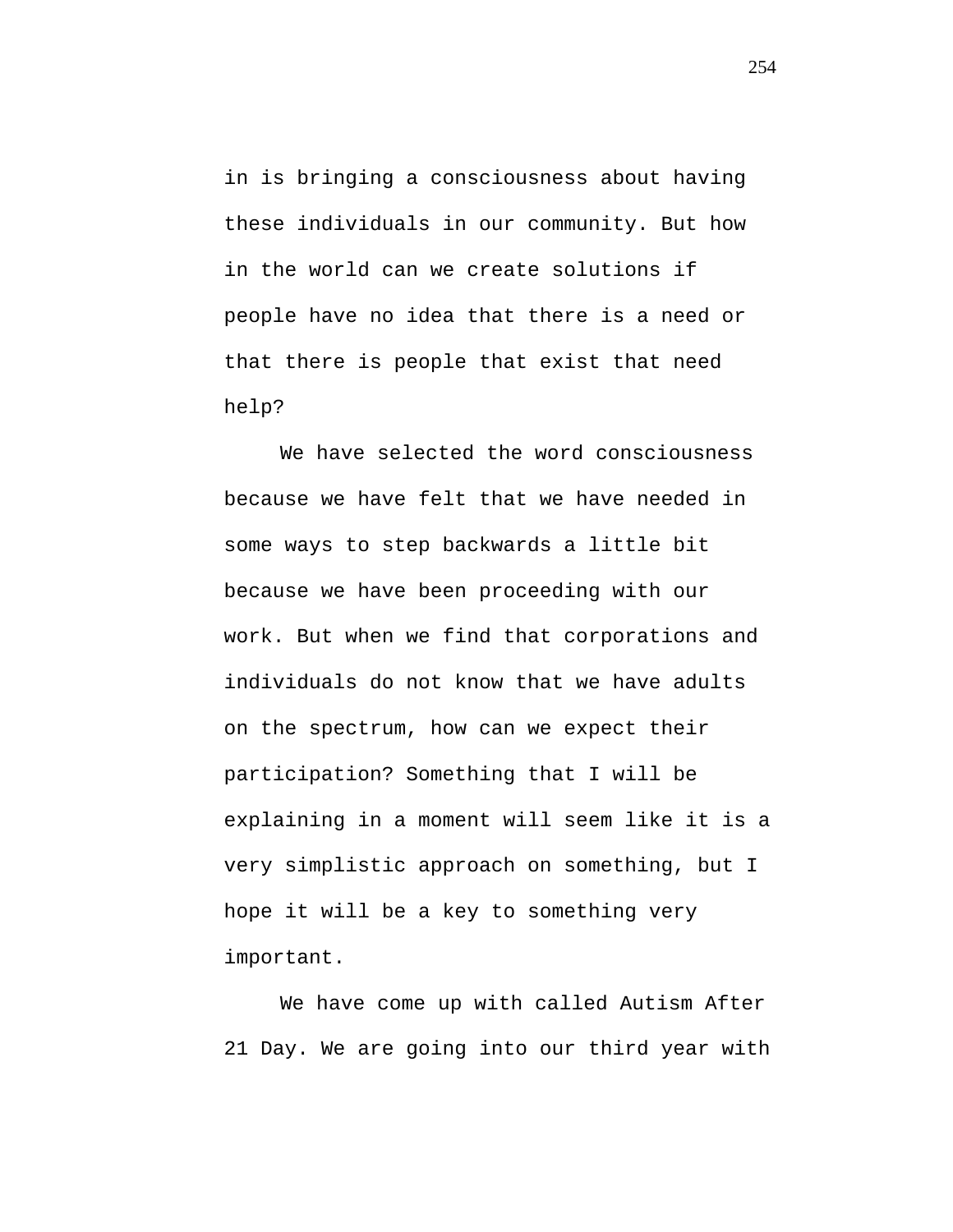in is bringing a consciousness about having these individuals in our community. But how in the world can we create solutions if people have no idea that there is a need or that there is people that exist that need help?

We have selected the word consciousness because we have felt that we have needed in some ways to step backwards a little bit because we have been proceeding with our work. But when we find that corporations and individuals do not know that we have adults on the spectrum, how can we expect their participation? Something that I will be explaining in a moment will seem like it is a very simplistic approach on something, but I hope it will be a key to something very important.

We have come up with called Autism After 21 Day. We are going into our third year with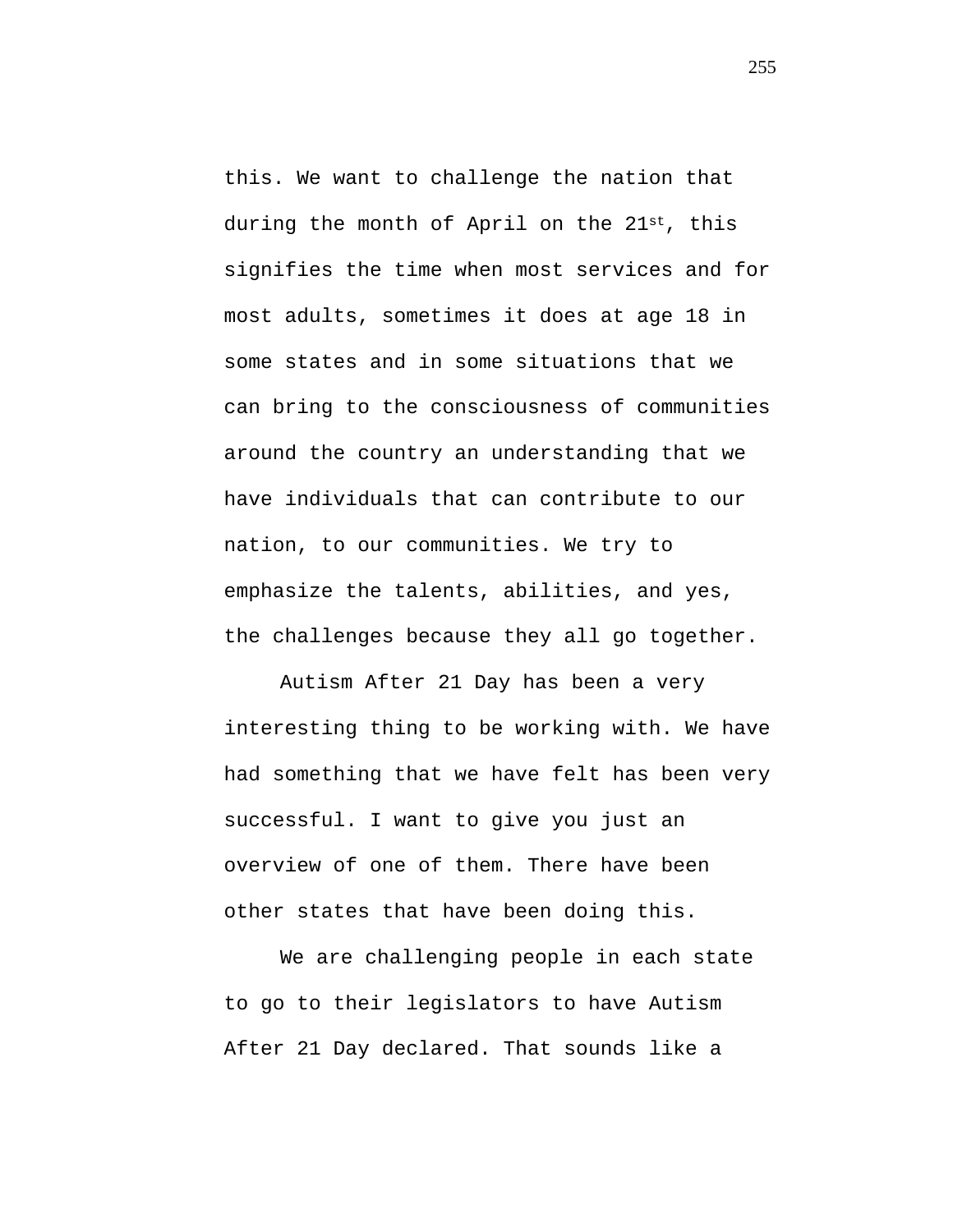this. We want to challenge the nation that during the month of April on the 21st, this signifies the time when most services and for most adults, sometimes it does at age 18 in some states and in some situations that we can bring to the consciousness of communities around the country an understanding that we have individuals that can contribute to our nation, to our communities. We try to emphasize the talents, abilities, and yes, the challenges because they all go together.

Autism After 21 Day has been a very interesting thing to be working with. We have had something that we have felt has been very successful. I want to give you just an overview of one of them. There have been other states that have been doing this.

We are challenging people in each state to go to their legislators to have Autism After 21 Day declared. That sounds like a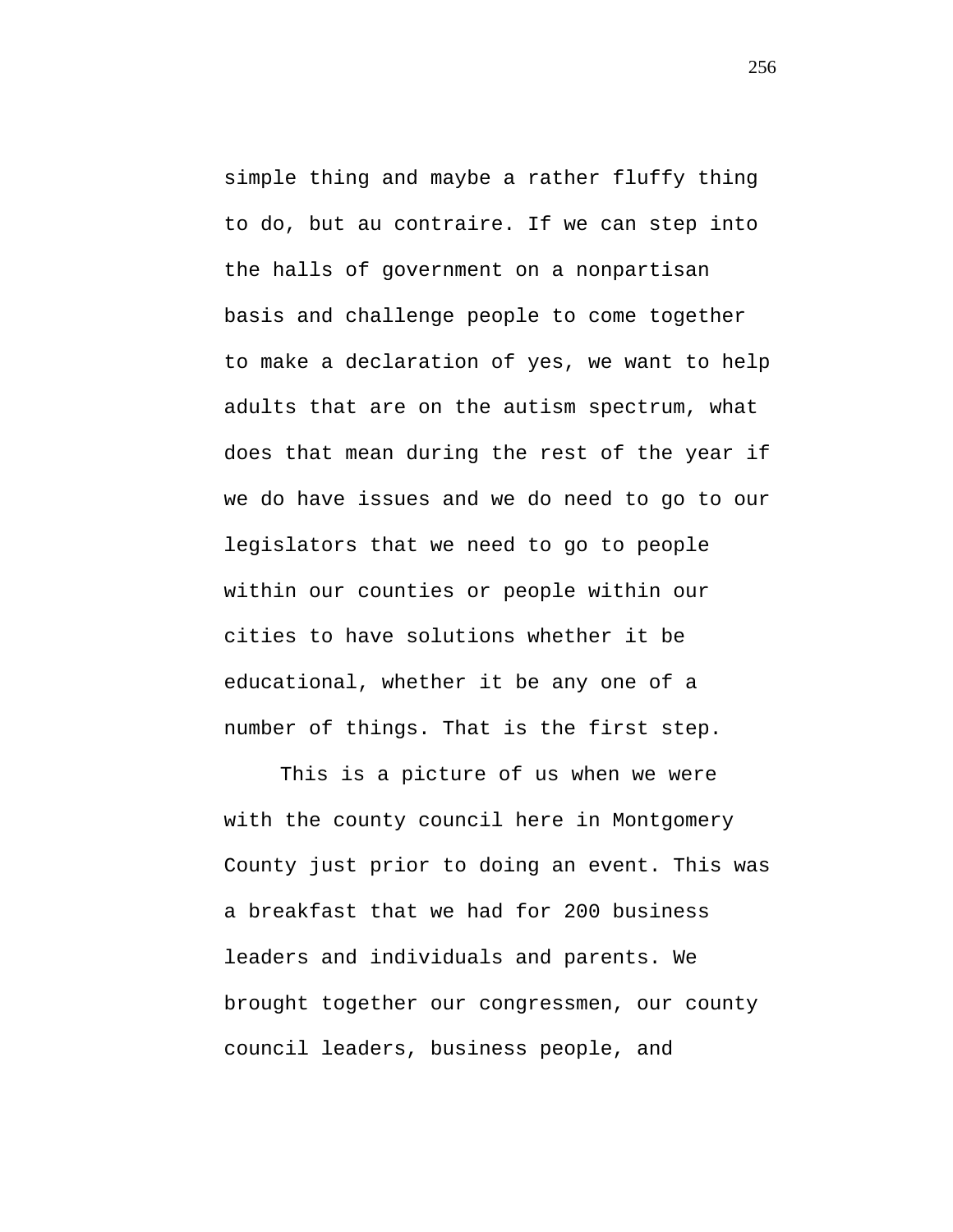simple thing and maybe a rather fluffy thing to do, but au contraire. If we can step into the halls of government on a nonpartisan basis and challenge people to come together to make a declaration of yes, we want to help adults that are on the autism spectrum, what does that mean during the rest of the year if we do have issues and we do need to go to our legislators that we need to go to people within our counties or people within our cities to have solutions whether it be educational, whether it be any one of a number of things. That is the first step.

This is a picture of us when we were with the county council here in Montgomery County just prior to doing an event. This was a breakfast that we had for 200 business leaders and individuals and parents. We brought together our congressmen, our county council leaders, business people, and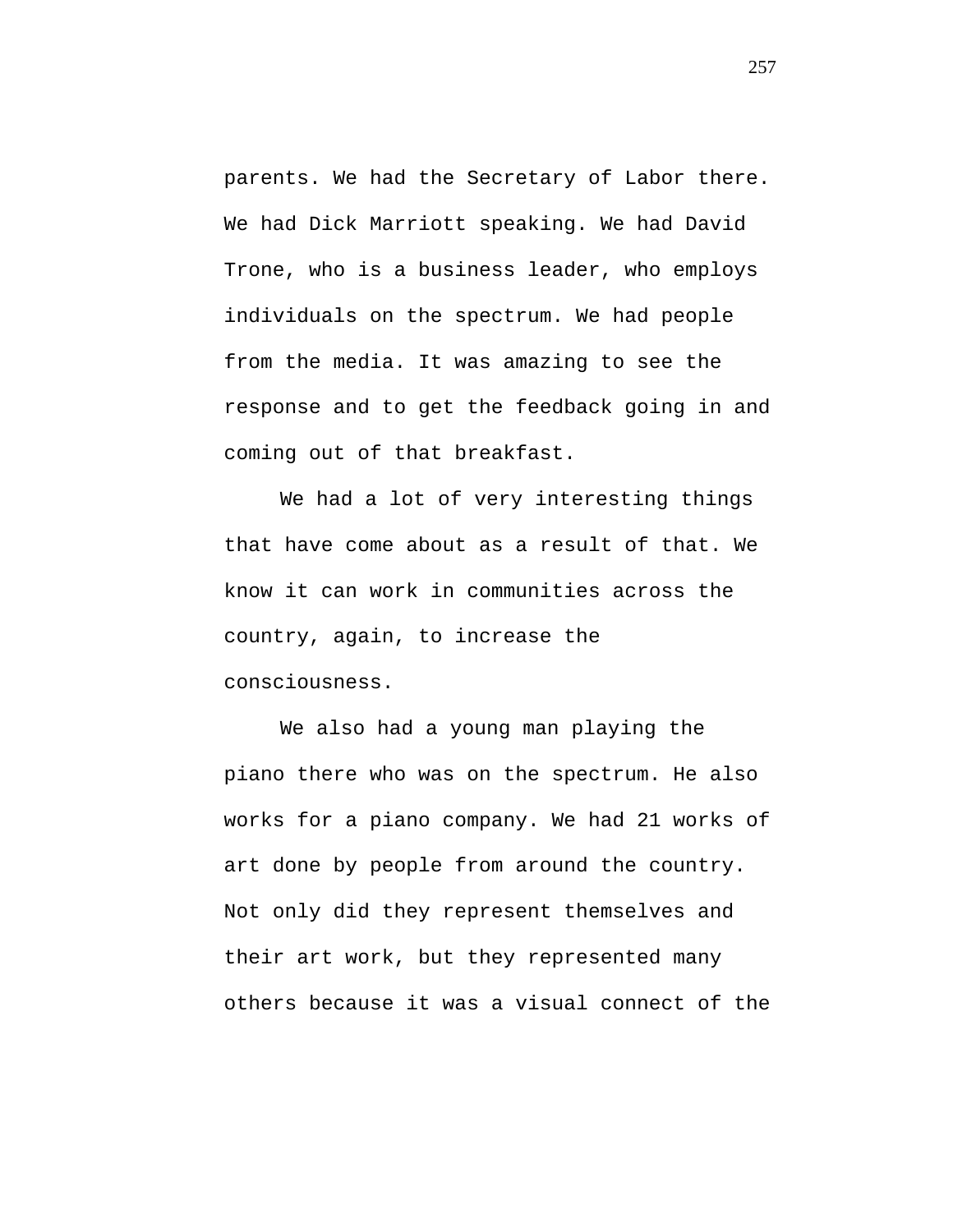parents. We had the Secretary of Labor there. We had Dick Marriott speaking. We had David Trone, who is a business leader, who employs individuals on the spectrum. We had people from the media. It was amazing to see the response and to get the feedback going in and coming out of that breakfast.

We had a lot of very interesting things that have come about as a result of that. We know it can work in communities across the country, again, to increase the consciousness.

We also had a young man playing the piano there who was on the spectrum. He also works for a piano company. We had 21 works of art done by people from around the country. Not only did they represent themselves and their art work, but they represented many others because it was a visual connect of the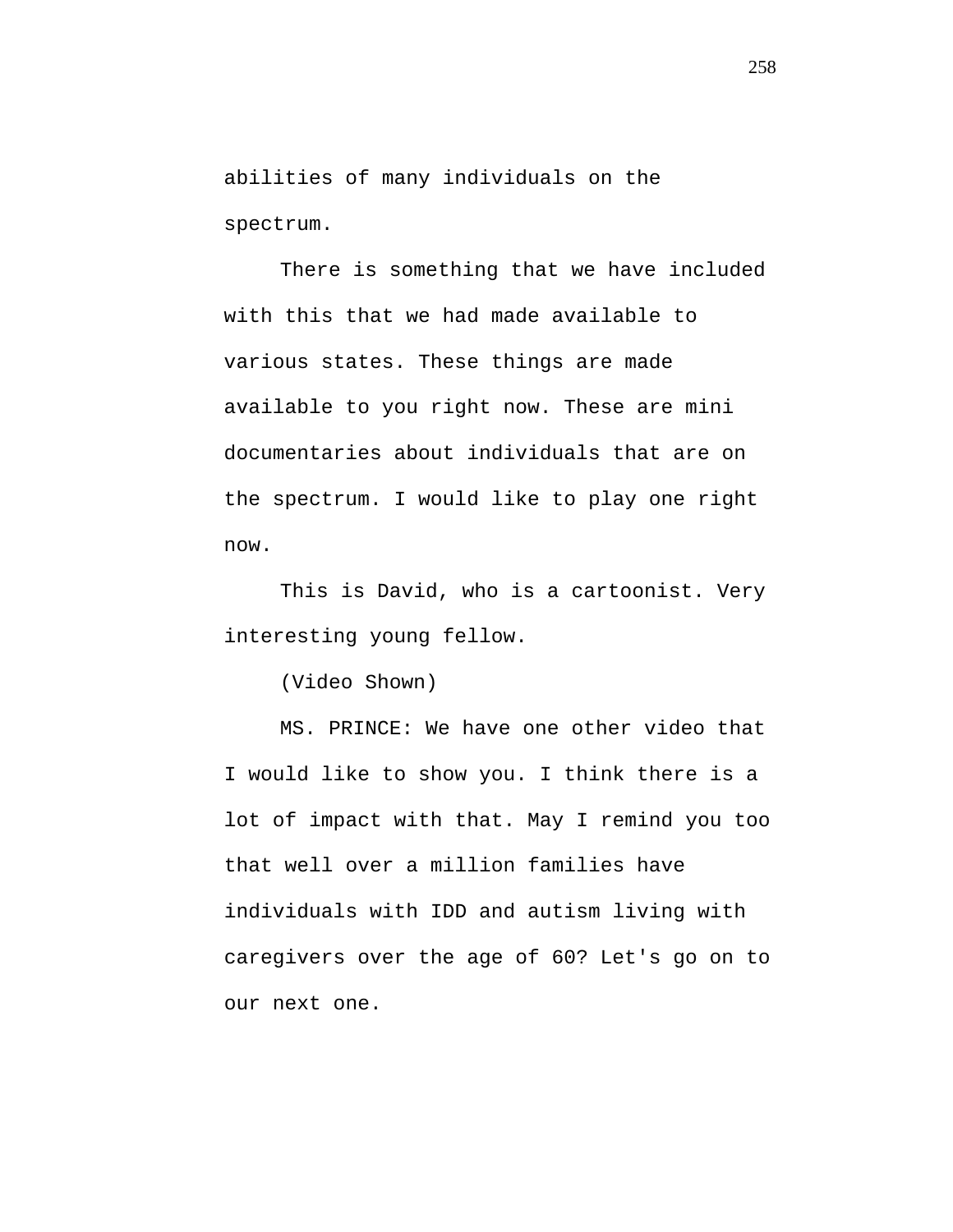abilities of many individuals on the spectrum.

There is something that we have included with this that we had made available to various states. These things are made available to you right now. These are mini documentaries about individuals that are on the spectrum. I would like to play one right now.

This is David, who is a cartoonist. Very interesting young fellow.

(Video Shown)

MS. PRINCE: We have one other video that I would like to show you. I think there is a lot of impact with that. May I remind you too that well over a million families have individuals with IDD and autism living with caregivers over the age of 60? Let's go on to our next one.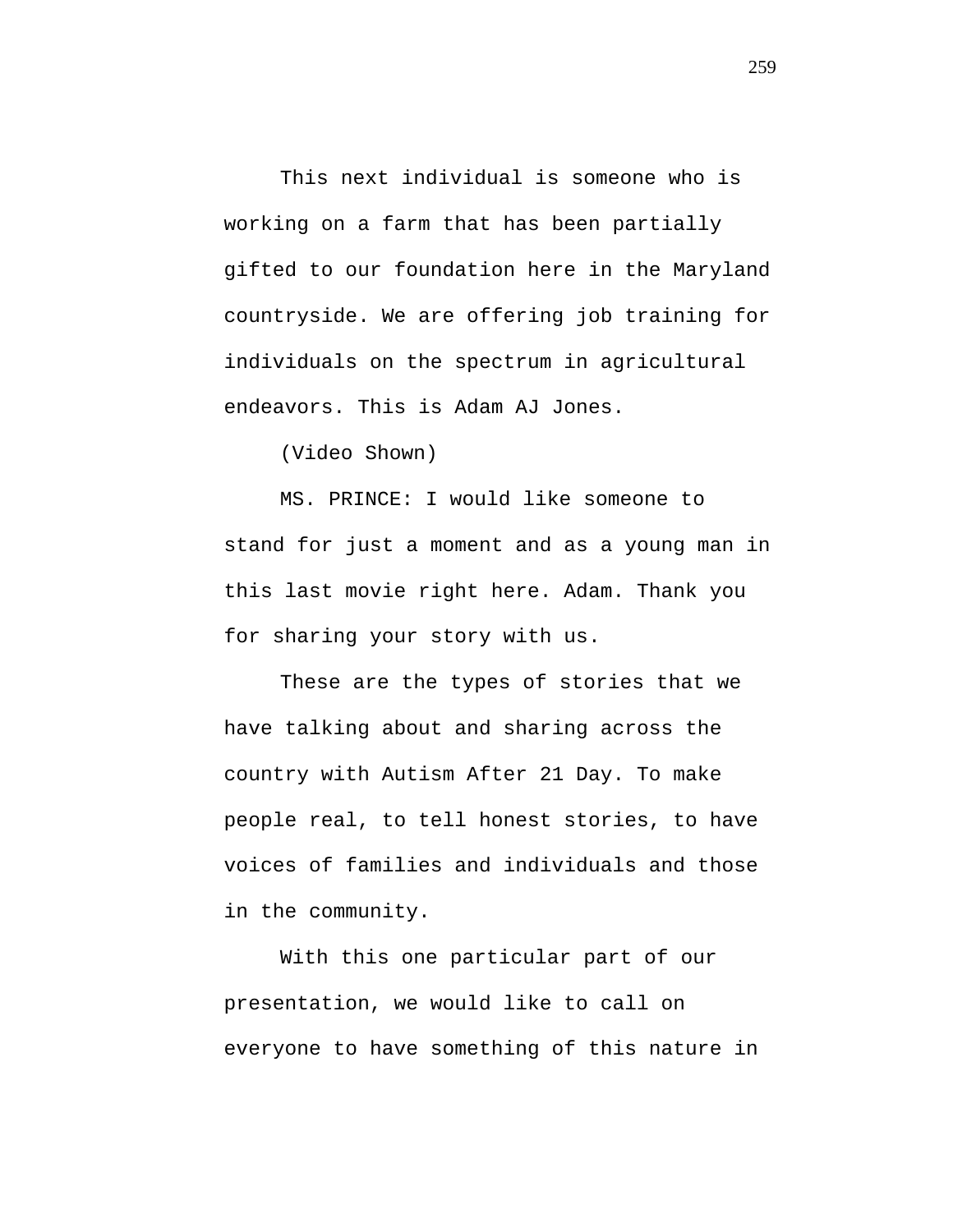This next individual is someone who is working on a farm that has been partially gifted to our foundation here in the Maryland countryside. We are offering job training for individuals on the spectrum in agricultural endeavors. This is Adam AJ Jones.

(Video Shown)

MS. PRINCE: I would like someone to stand for just a moment and as a young man in this last movie right here. Adam. Thank you for sharing your story with us.

These are the types of stories that we have talking about and sharing across the country with Autism After 21 Day. To make people real, to tell honest stories, to have voices of families and individuals and those in the community.

With this one particular part of our presentation, we would like to call on everyone to have something of this nature in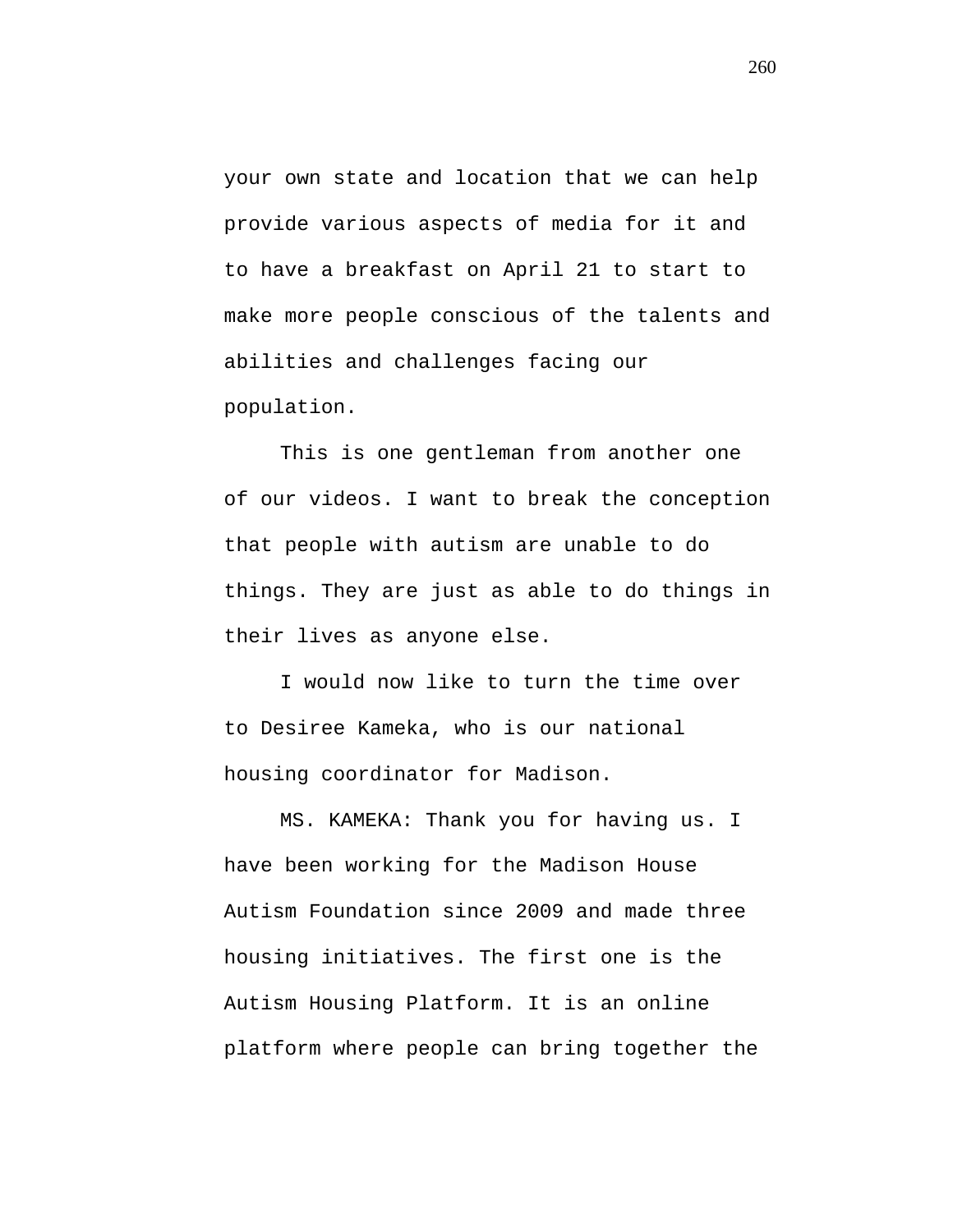your own state and location that we can help provide various aspects of media for it and to have a breakfast on April 21 to start to make more people conscious of the talents and abilities and challenges facing our population.

This is one gentleman from another one of our videos. I want to break the conception that people with autism are unable to do things. They are just as able to do things in their lives as anyone else.

I would now like to turn the time over to Desiree Kameka, who is our national housing coordinator for Madison.

MS. KAMEKA: Thank you for having us. I have been working for the Madison House Autism Foundation since 2009 and made three housing initiatives. The first one is the Autism Housing Platform. It is an online platform where people can bring together the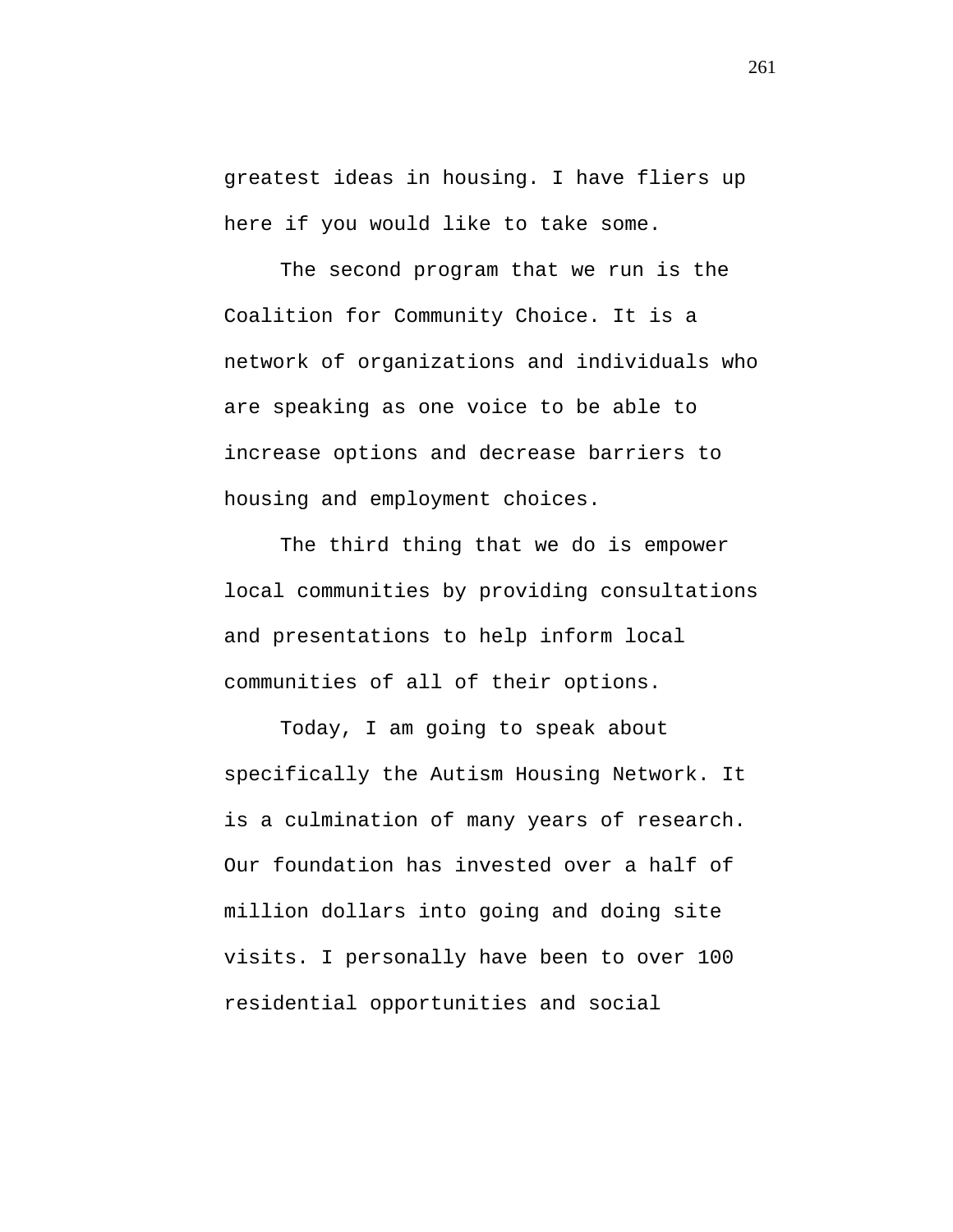greatest ideas in housing. I have fliers up here if you would like to take some.

The second program that we run is the Coalition for Community Choice. It is a network of organizations and individuals who are speaking as one voice to be able to increase options and decrease barriers to housing and employment choices.

The third thing that we do is empower local communities by providing consultations and presentations to help inform local communities of all of their options.

Today, I am going to speak about specifically the Autism Housing Network. It is a culmination of many years of research. Our foundation has invested over a half of million dollars into going and doing site visits. I personally have been to over 100 residential opportunities and social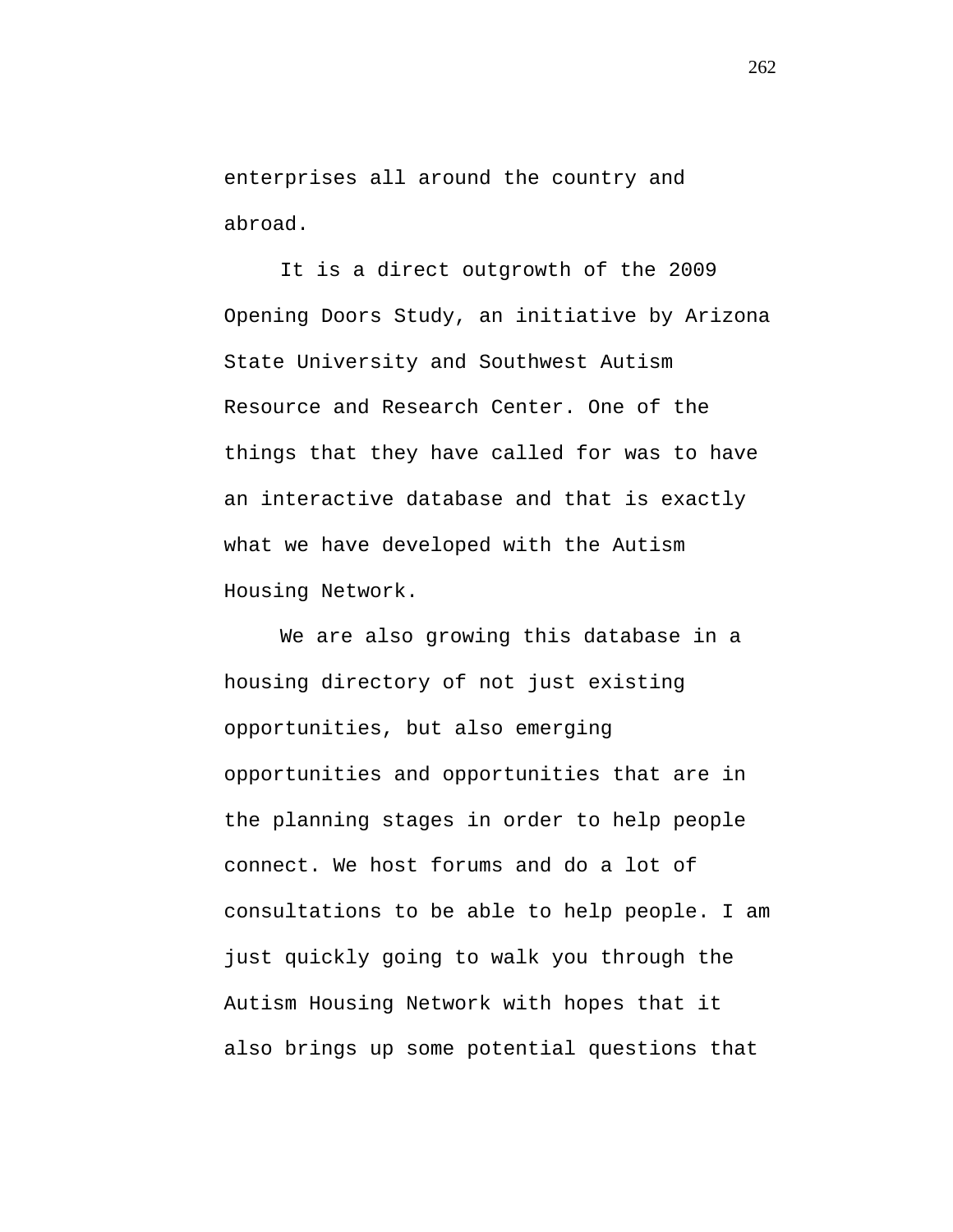enterprises all around the country and abroad.

It is a direct outgrowth of the 2009 Opening Doors Study, an initiative by Arizona State University and Southwest Autism Resource and Research Center. One of the things that they have called for was to have an interactive database and that is exactly what we have developed with the Autism Housing Network.

We are also growing this database in a housing directory of not just existing opportunities, but also emerging opportunities and opportunities that are in the planning stages in order to help people connect. We host forums and do a lot of consultations to be able to help people. I am just quickly going to walk you through the Autism Housing Network with hopes that it also brings up some potential questions that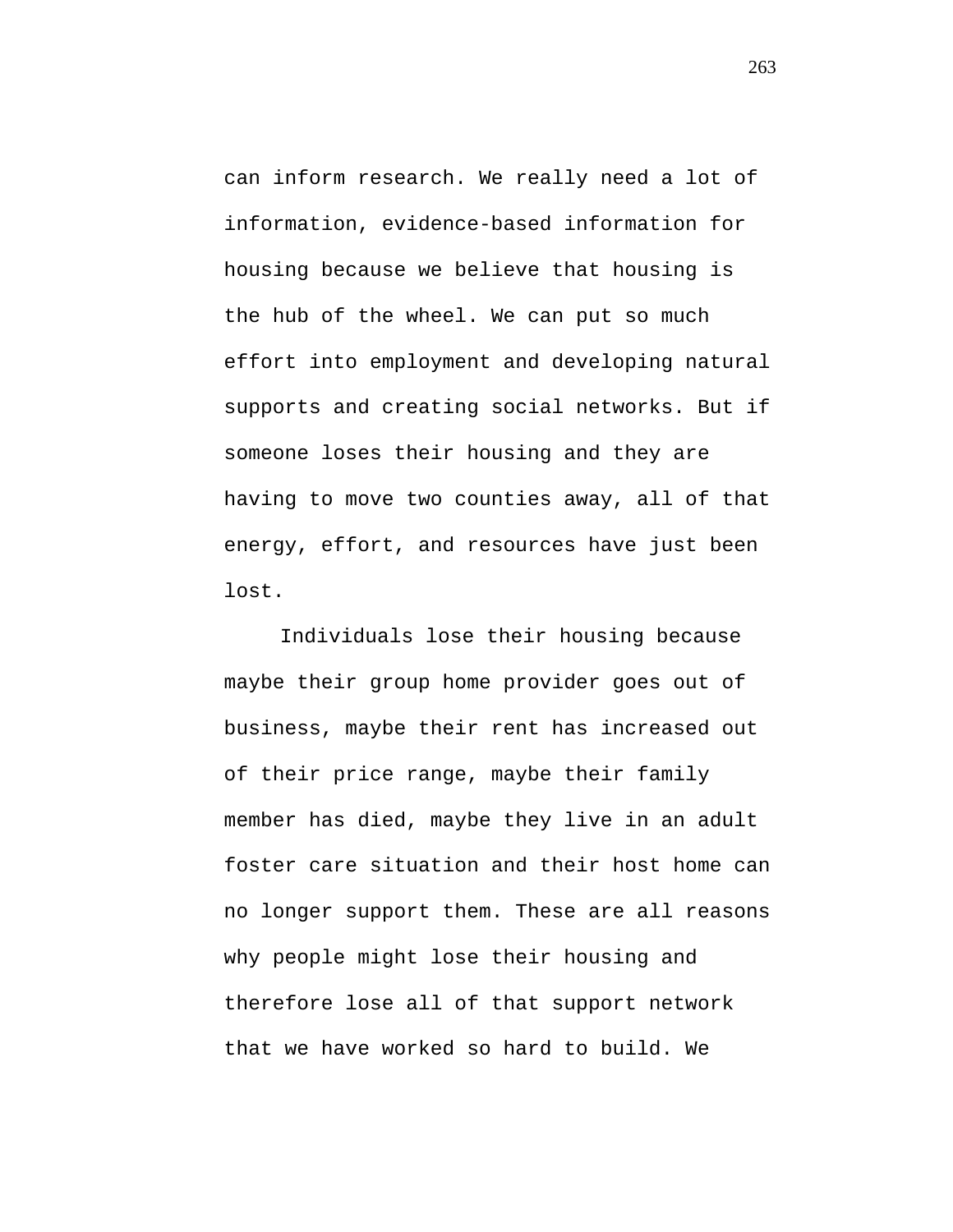can inform research. We really need a lot of information, evidence-based information for housing because we believe that housing is the hub of the wheel. We can put so much effort into employment and developing natural supports and creating social networks. But if someone loses their housing and they are having to move two counties away, all of that energy, effort, and resources have just been lost.

Individuals lose their housing because maybe their group home provider goes out of business, maybe their rent has increased out of their price range, maybe their family member has died, maybe they live in an adult foster care situation and their host home can no longer support them. These are all reasons why people might lose their housing and therefore lose all of that support network that we have worked so hard to build. We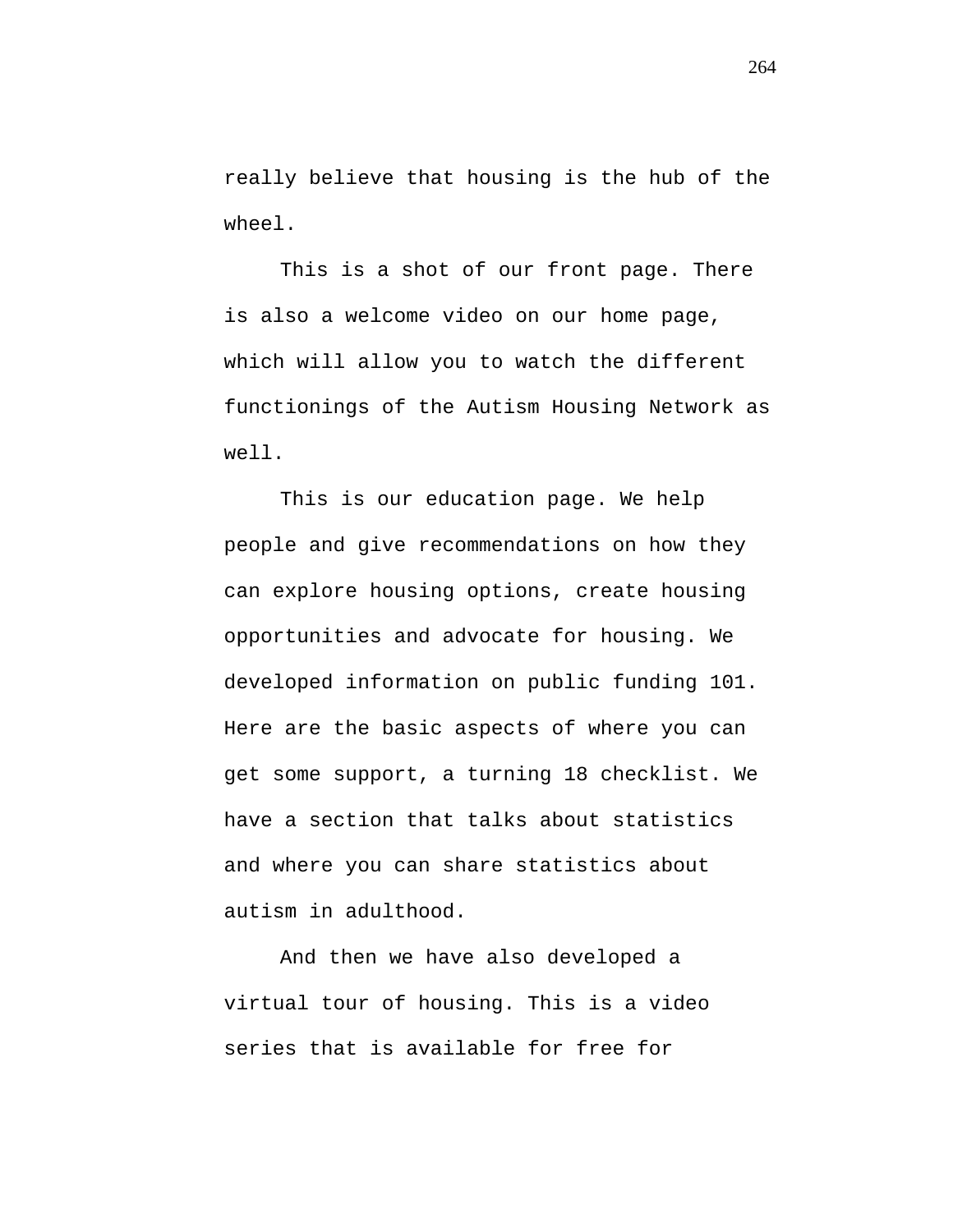really believe that housing is the hub of the wheel.

This is a shot of our front page. There is also a welcome video on our home page, which will allow you to watch the different functionings of the Autism Housing Network as well.

This is our education page. We help people and give recommendations on how they can explore housing options, create housing opportunities and advocate for housing. We developed information on public funding 101. Here are the basic aspects of where you can get some support, a turning 18 checklist. We have a section that talks about statistics and where you can share statistics about autism in adulthood.

And then we have also developed a virtual tour of housing. This is a video series that is available for free for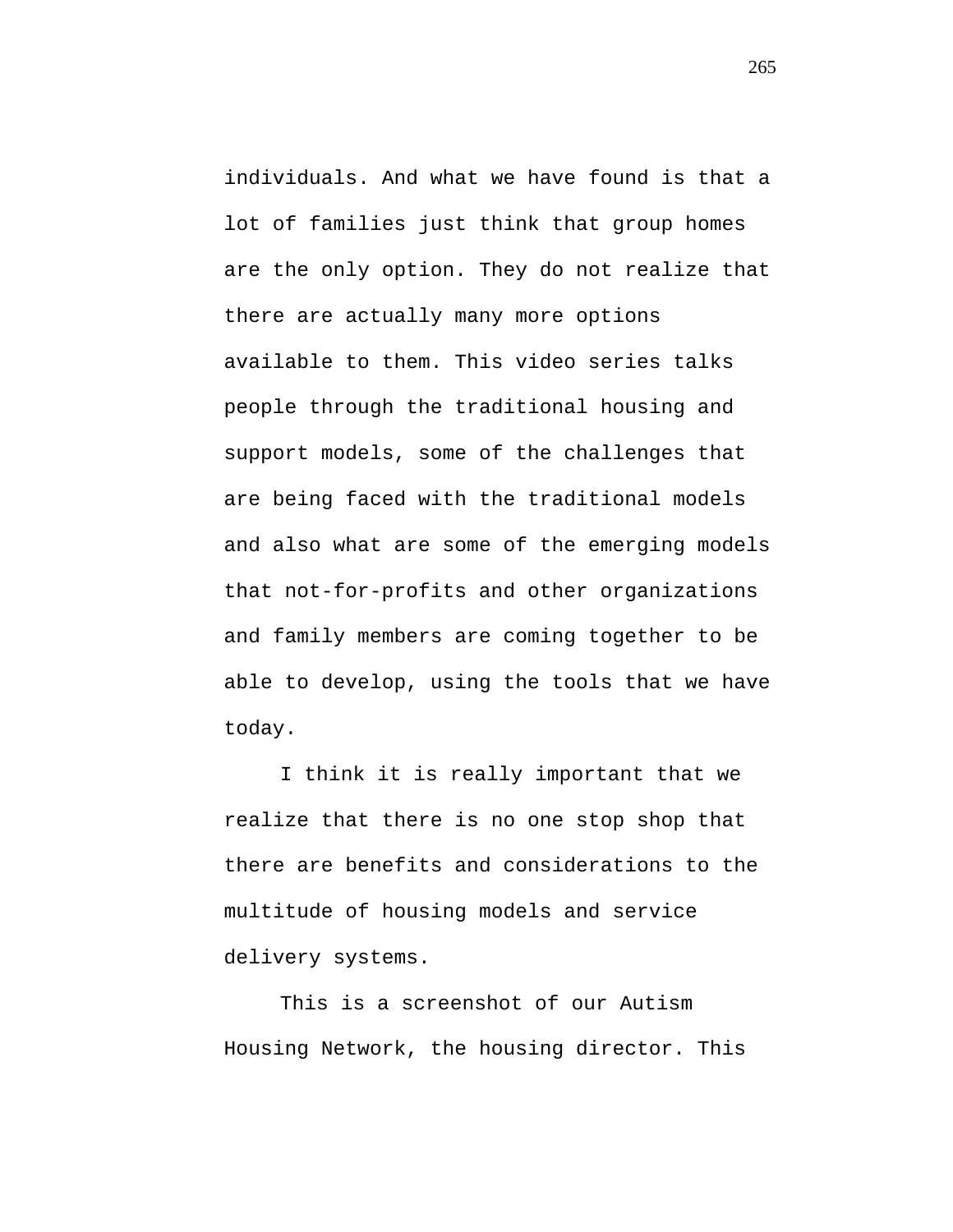individuals. And what we have found is that a lot of families just think that group homes are the only option. They do not realize that there are actually many more options available to them. This video series talks people through the traditional housing and support models, some of the challenges that are being faced with the traditional models and also what are some of the emerging models that not-for-profits and other organizations and family members are coming together to be able to develop, using the tools that we have today.

I think it is really important that we realize that there is no one stop shop that there are benefits and considerations to the multitude of housing models and service delivery systems.

This is a screenshot of our Autism Housing Network, the housing director. This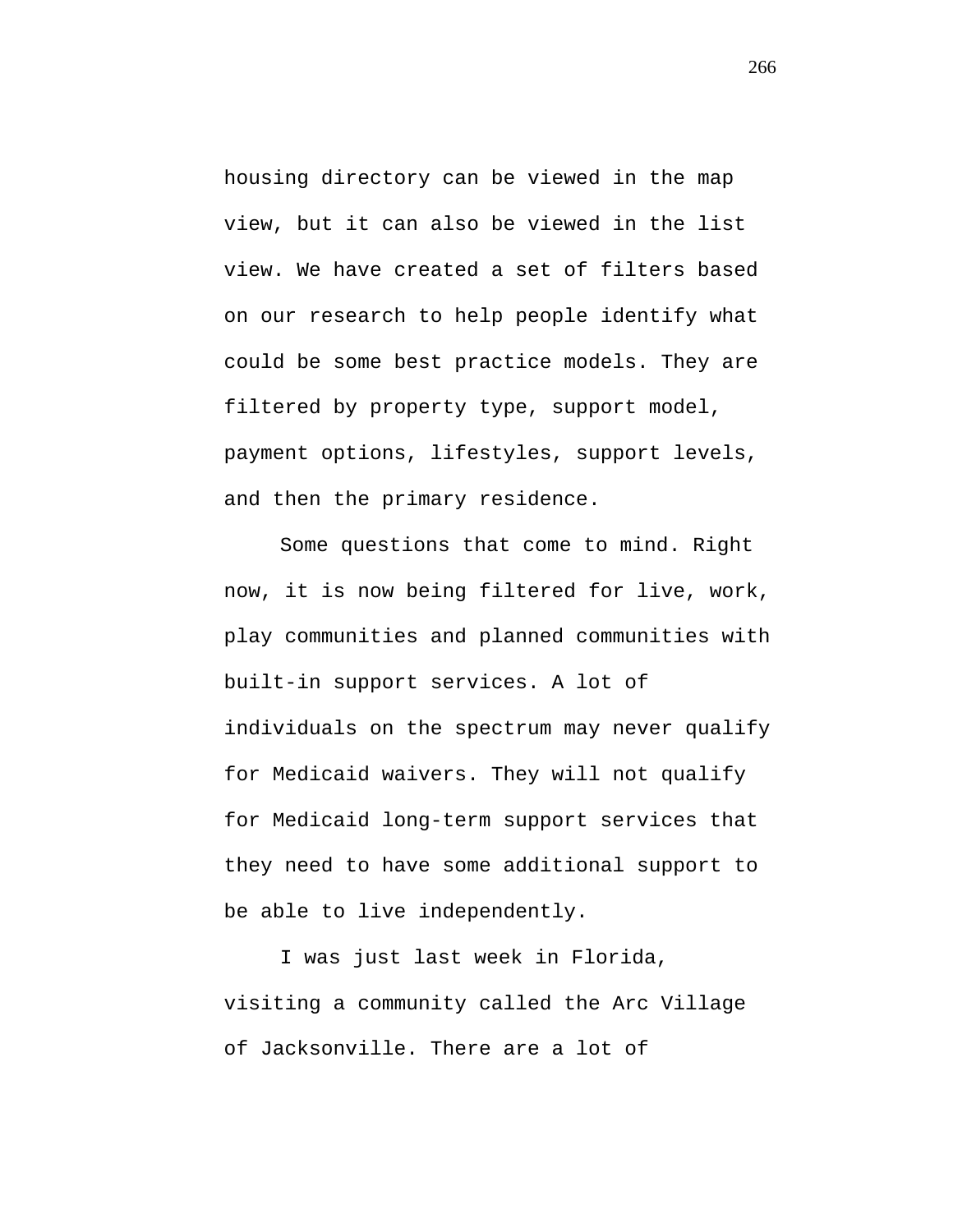housing directory can be viewed in the map view, but it can also be viewed in the list view. We have created a set of filters based on our research to help people identify what could be some best practice models. They are filtered by property type, support model, payment options, lifestyles, support levels, and then the primary residence.

Some questions that come to mind. Right now, it is now being filtered for live, work, play communities and planned communities with built-in support services. A lot of individuals on the spectrum may never qualify for Medicaid waivers. They will not qualify for Medicaid long-term support services that they need to have some additional support to be able to live independently.

I was just last week in Florida, visiting a community called the Arc Village of Jacksonville. There are a lot of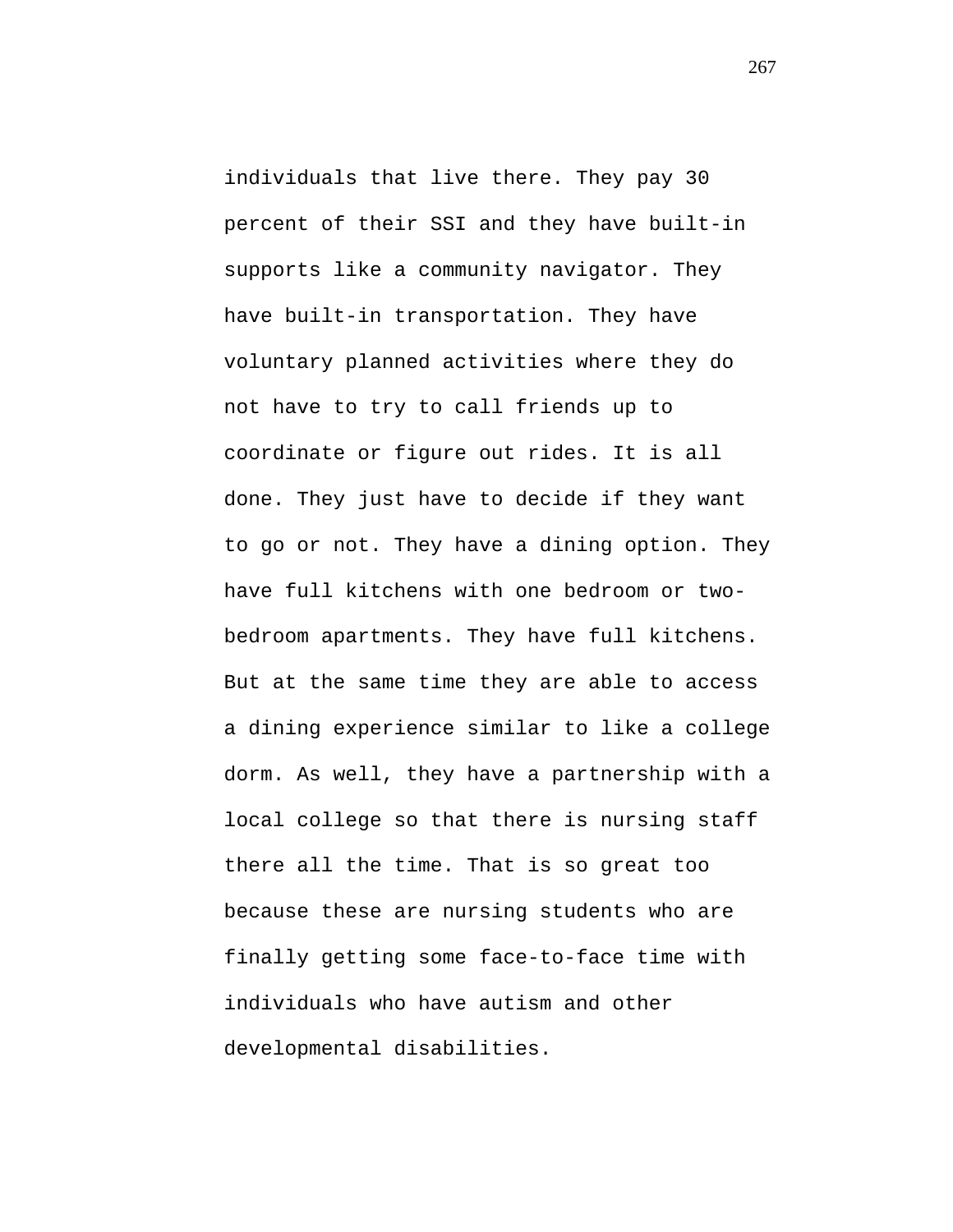individuals that live there. They pay 30 percent of their SSI and they have built-in supports like a community navigator. They have built-in transportation. They have voluntary planned activities where they do not have to try to call friends up to coordinate or figure out rides. It is all done. They just have to decide if they want to go or not. They have a dining option. They have full kitchens with one bedroom or twobedroom apartments. They have full kitchens. But at the same time they are able to access a dining experience similar to like a college dorm. As well, they have a partnership with a local college so that there is nursing staff there all the time. That is so great too because these are nursing students who are finally getting some face-to-face time with individuals who have autism and other developmental disabilities.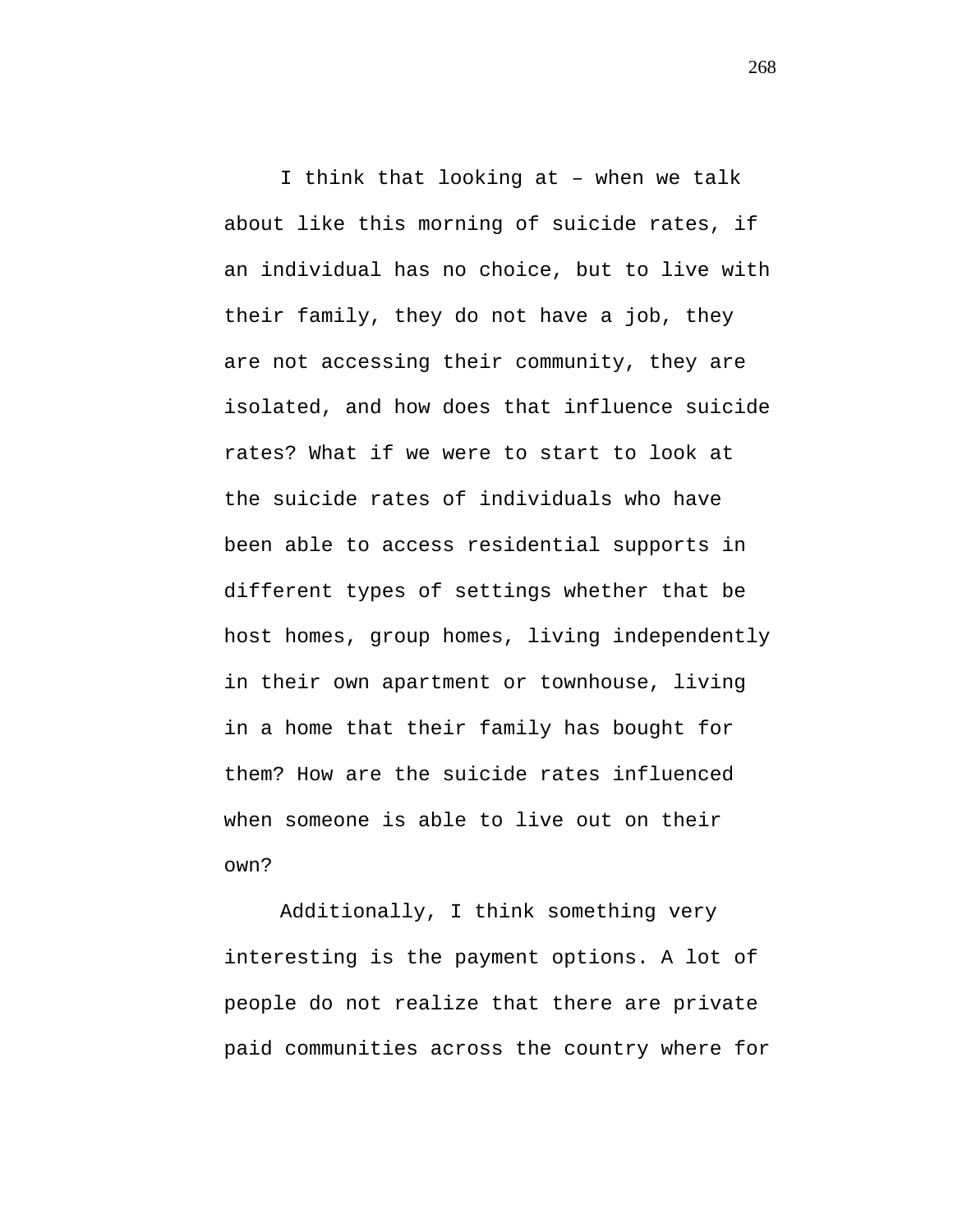I think that looking at – when we talk about like this morning of suicide rates, if an individual has no choice, but to live with their family, they do not have a job, they are not accessing their community, they are isolated, and how does that influence suicide rates? What if we were to start to look at the suicide rates of individuals who have been able to access residential supports in different types of settings whether that be host homes, group homes, living independently in their own apartment or townhouse, living in a home that their family has bought for them? How are the suicide rates influenced when someone is able to live out on their own?

Additionally, I think something very interesting is the payment options. A lot of people do not realize that there are private paid communities across the country where for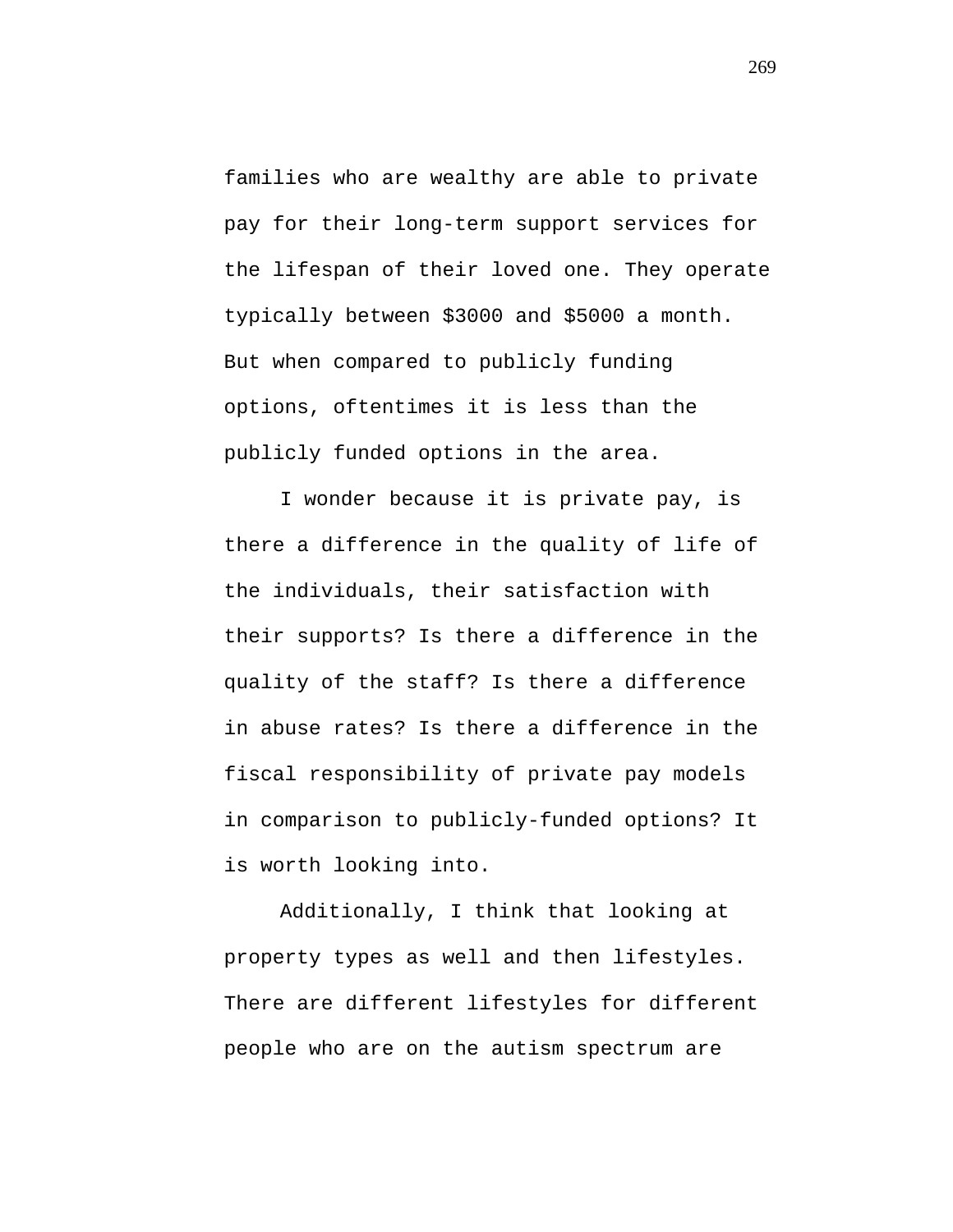families who are wealthy are able to private pay for their long-term support services for the lifespan of their loved one. They operate typically between \$3000 and \$5000 a month. But when compared to publicly funding options, oftentimes it is less than the publicly funded options in the area.

I wonder because it is private pay, is there a difference in the quality of life of the individuals, their satisfaction with their supports? Is there a difference in the quality of the staff? Is there a difference in abuse rates? Is there a difference in the fiscal responsibility of private pay models in comparison to publicly-funded options? It is worth looking into.

Additionally, I think that looking at property types as well and then lifestyles. There are different lifestyles for different people who are on the autism spectrum are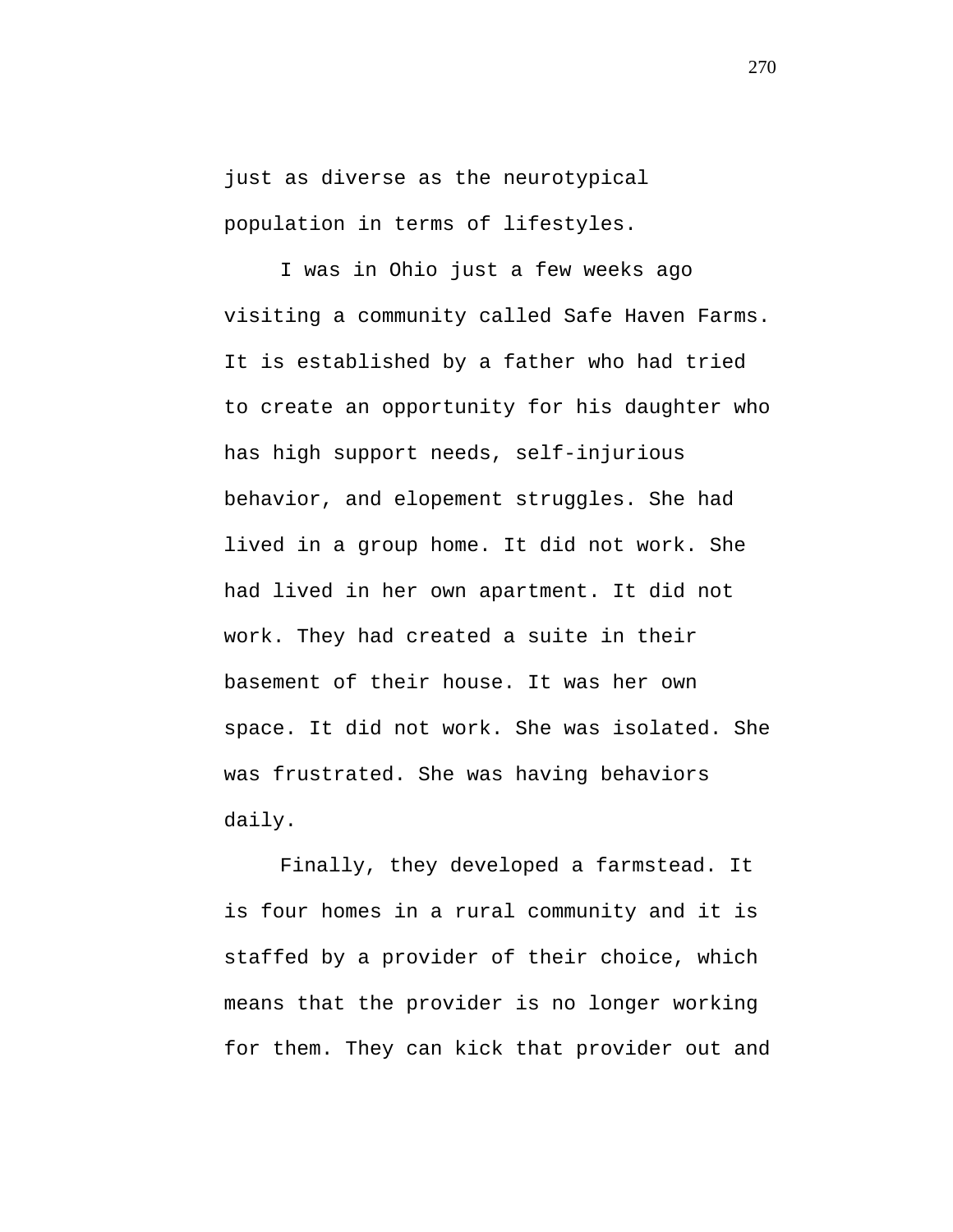just as diverse as the neurotypical population in terms of lifestyles.

I was in Ohio just a few weeks ago visiting a community called Safe Haven Farms. It is established by a father who had tried to create an opportunity for his daughter who has high support needs, self-injurious behavior, and elopement struggles. She had lived in a group home. It did not work. She had lived in her own apartment. It did not work. They had created a suite in their basement of their house. It was her own space. It did not work. She was isolated. She was frustrated. She was having behaviors daily.

Finally, they developed a farmstead. It is four homes in a rural community and it is staffed by a provider of their choice, which means that the provider is no longer working for them. They can kick that provider out and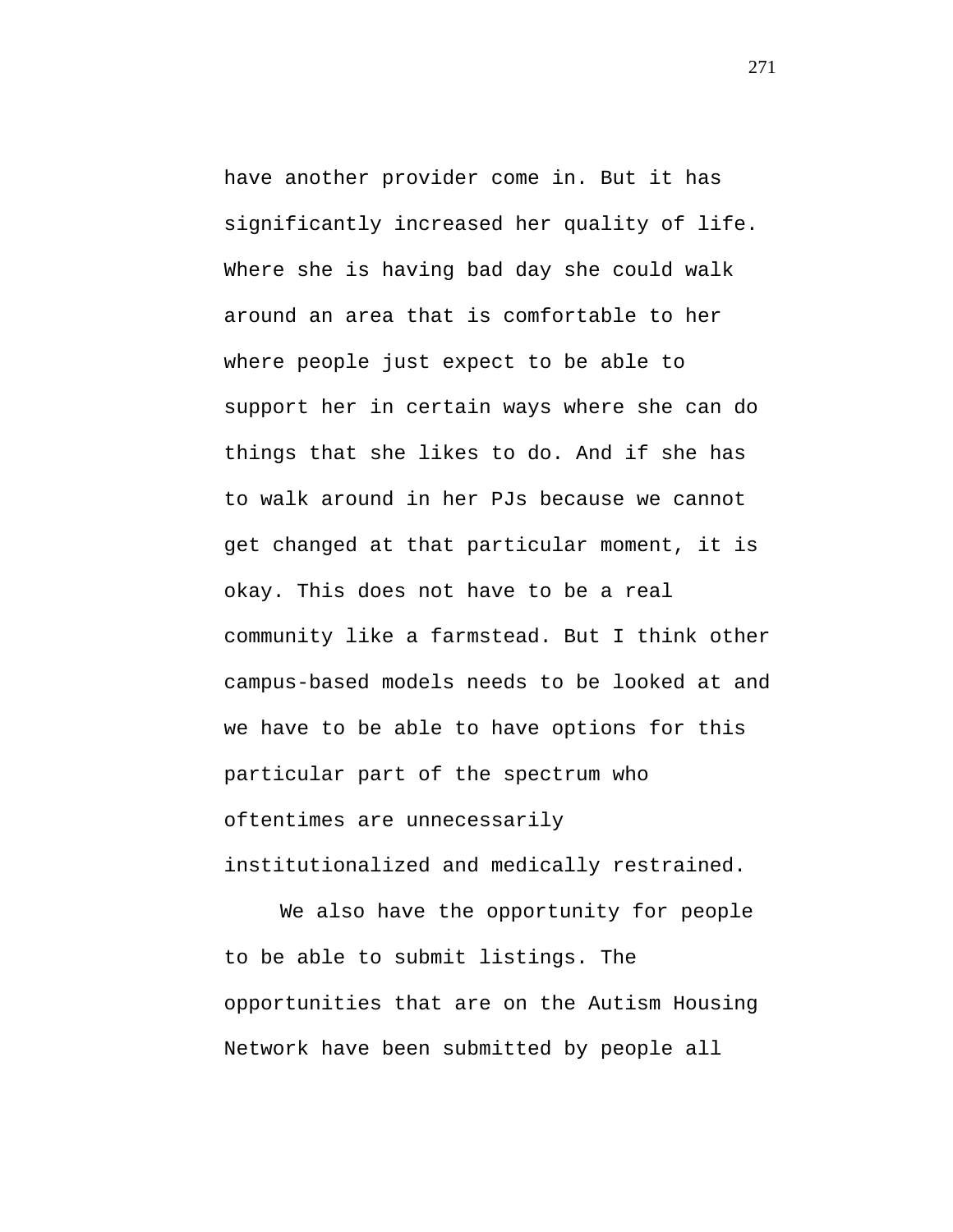have another provider come in. But it has significantly increased her quality of life. Where she is having bad day she could walk around an area that is comfortable to her where people just expect to be able to support her in certain ways where she can do things that she likes to do. And if she has to walk around in her PJs because we cannot get changed at that particular moment, it is okay. This does not have to be a real community like a farmstead. But I think other campus-based models needs to be looked at and we have to be able to have options for this particular part of the spectrum who oftentimes are unnecessarily

institutionalized and medically restrained.

We also have the opportunity for people to be able to submit listings. The opportunities that are on the Autism Housing Network have been submitted by people all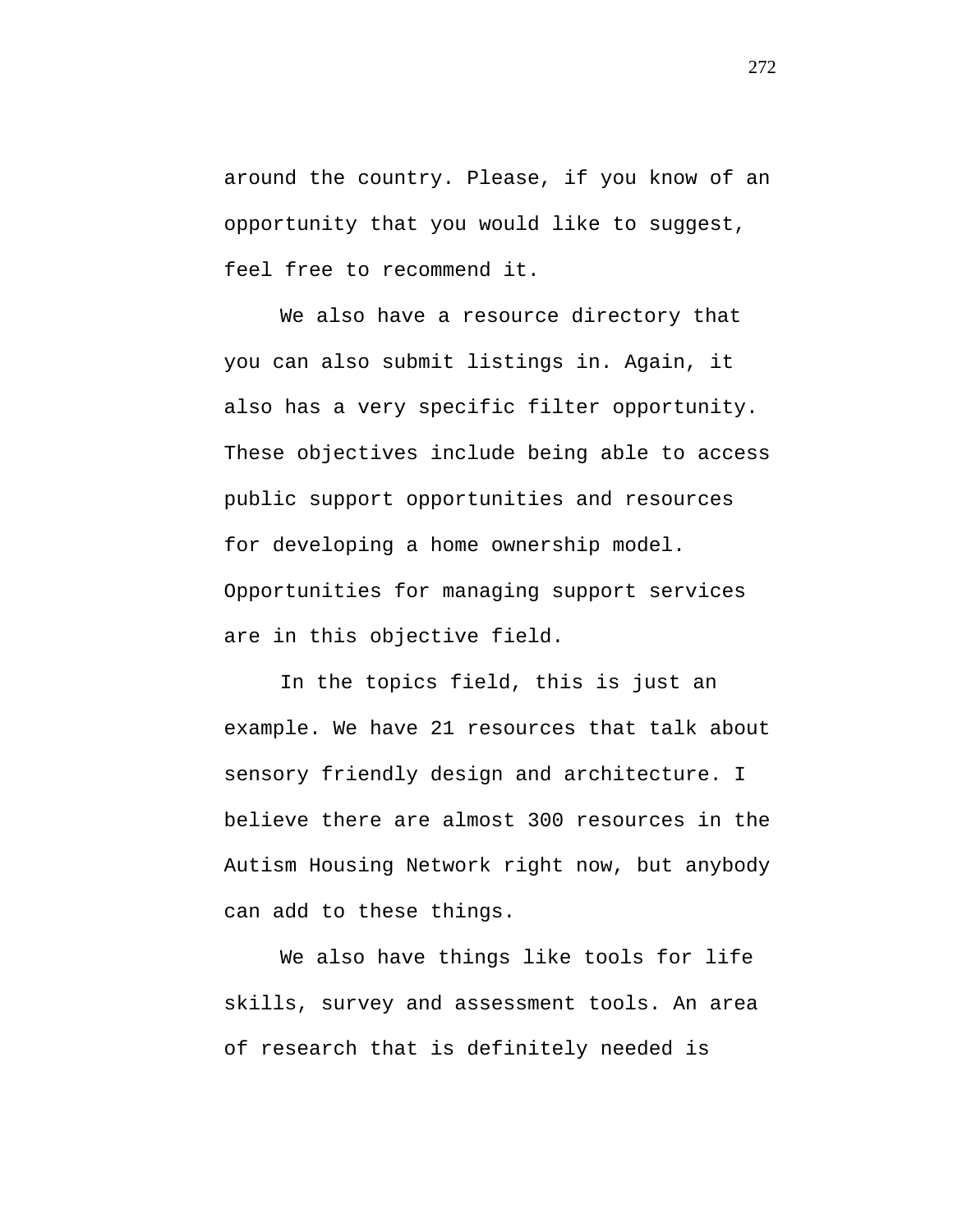around the country. Please, if you know of an opportunity that you would like to suggest, feel free to recommend it.

We also have a resource directory that you can also submit listings in. Again, it also has a very specific filter opportunity. These objectives include being able to access public support opportunities and resources for developing a home ownership model. Opportunities for managing support services are in this objective field.

In the topics field, this is just an example. We have 21 resources that talk about sensory friendly design and architecture. I believe there are almost 300 resources in the Autism Housing Network right now, but anybody can add to these things.

We also have things like tools for life skills, survey and assessment tools. An area of research that is definitely needed is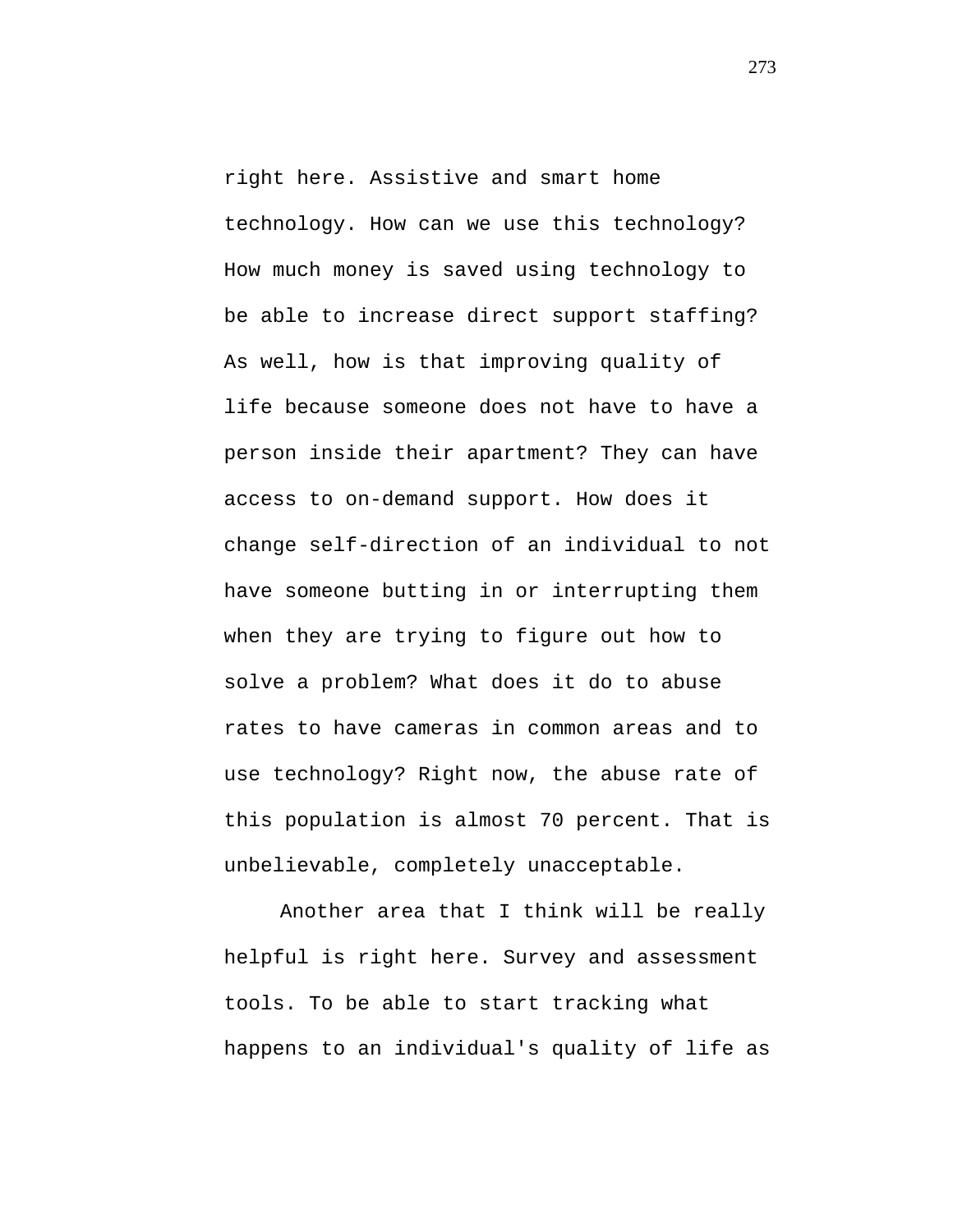right here. Assistive and smart home technology. How can we use this technology? How much money is saved using technology to be able to increase direct support staffing? As well, how is that improving quality of life because someone does not have to have a person inside their apartment? They can have access to on-demand support. How does it change self-direction of an individual to not have someone butting in or interrupting them when they are trying to figure out how to solve a problem? What does it do to abuse rates to have cameras in common areas and to use technology? Right now, the abuse rate of this population is almost 70 percent. That is unbelievable, completely unacceptable.

Another area that I think will be really helpful is right here. Survey and assessment tools. To be able to start tracking what happens to an individual's quality of life as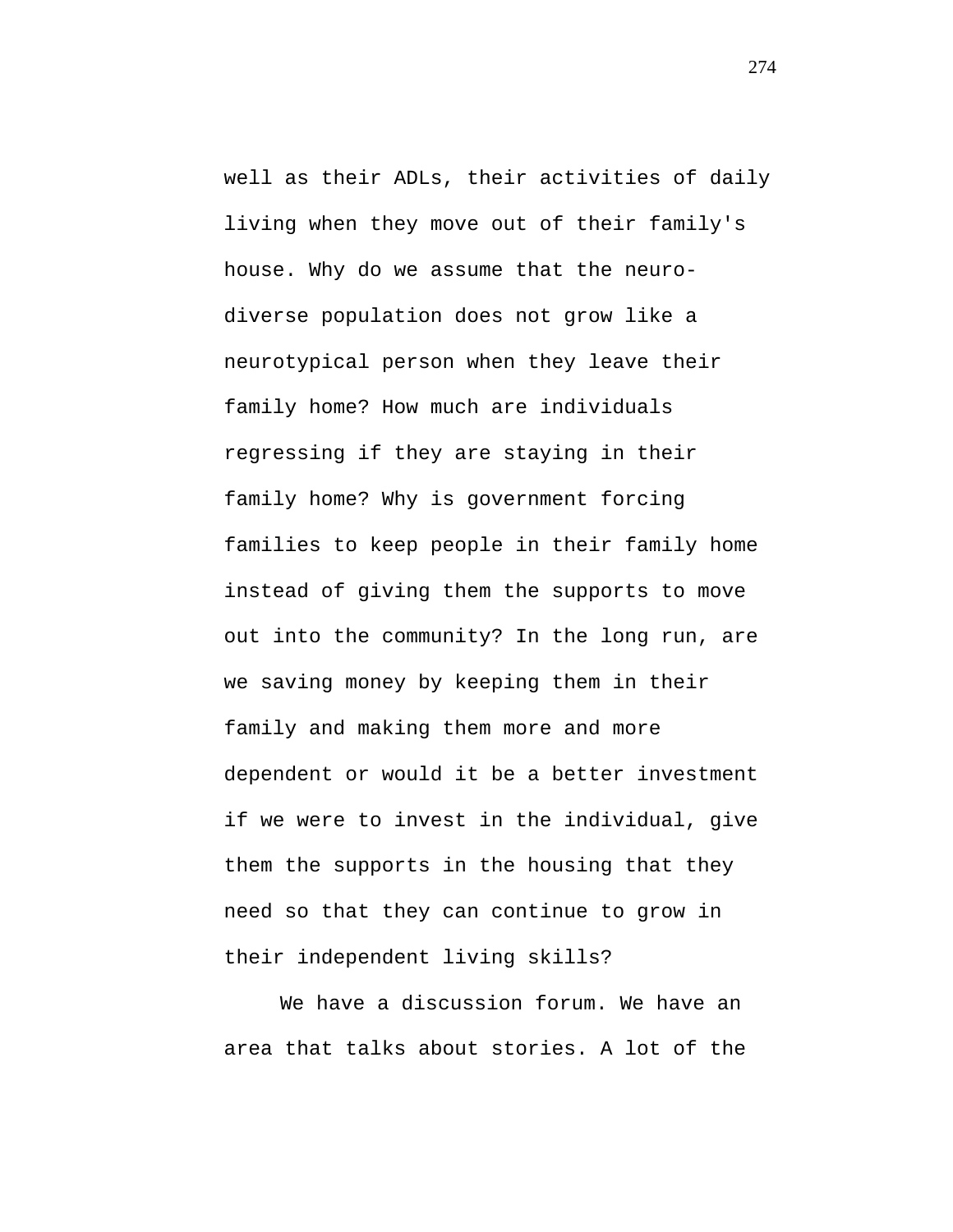well as their ADLs, their activities of daily living when they move out of their family's house. Why do we assume that the neurodiverse population does not grow like a neurotypical person when they leave their family home? How much are individuals regressing if they are staying in their family home? Why is government forcing families to keep people in their family home instead of giving them the supports to move out into the community? In the long run, are we saving money by keeping them in their family and making them more and more dependent or would it be a better investment if we were to invest in the individual, give them the supports in the housing that they need so that they can continue to grow in their independent living skills?

We have a discussion forum. We have an area that talks about stories. A lot of the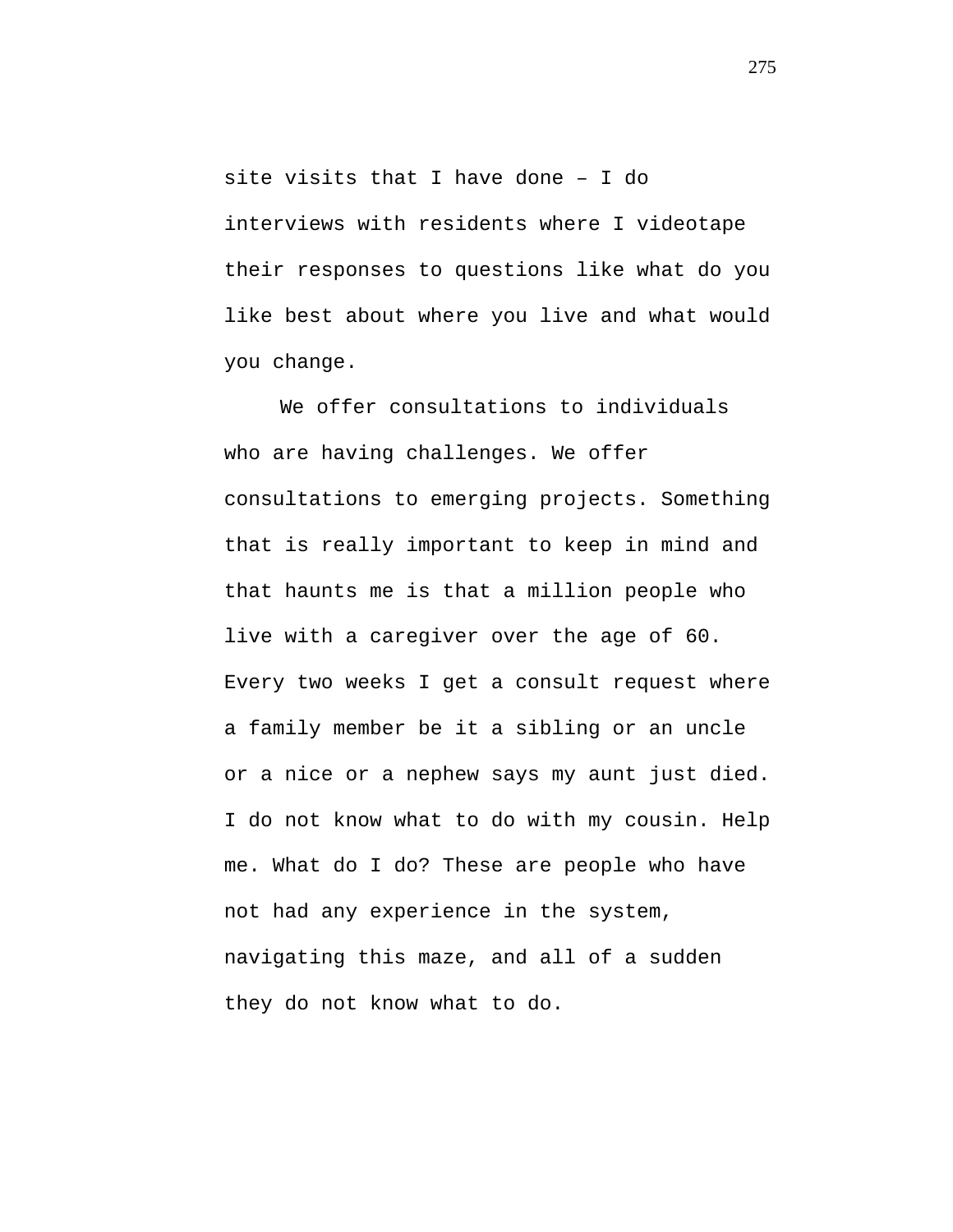site visits that I have done – I do interviews with residents where I videotape their responses to questions like what do you like best about where you live and what would you change.

We offer consultations to individuals who are having challenges. We offer consultations to emerging projects. Something that is really important to keep in mind and that haunts me is that a million people who live with a caregiver over the age of 60. Every two weeks I get a consult request where a family member be it a sibling or an uncle or a nice or a nephew says my aunt just died. I do not know what to do with my cousin. Help me. What do I do? These are people who have not had any experience in the system, navigating this maze, and all of a sudden they do not know what to do.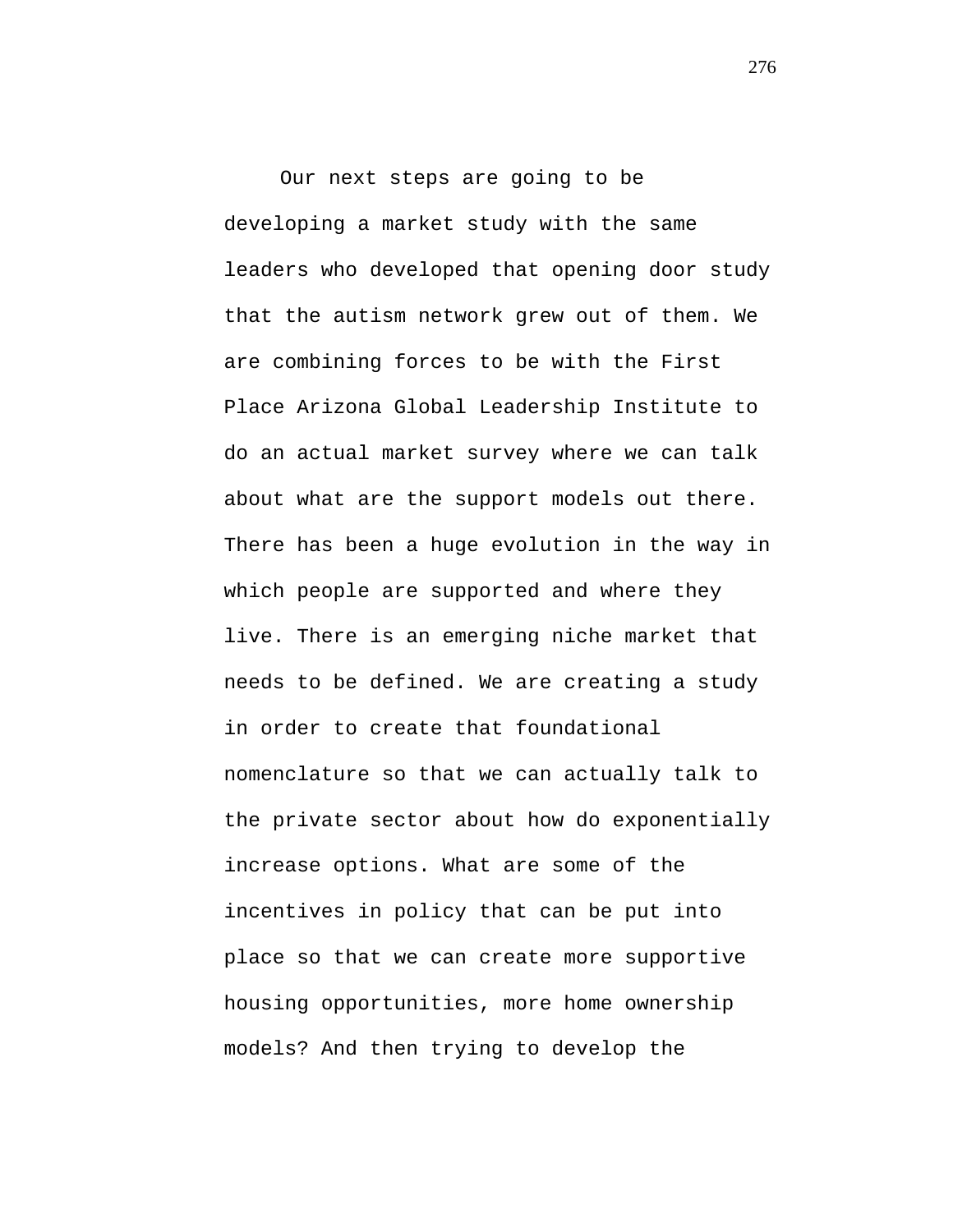Our next steps are going to be developing a market study with the same leaders who developed that opening door study that the autism network grew out of them. We are combining forces to be with the First Place Arizona Global Leadership Institute to do an actual market survey where we can talk about what are the support models out there. There has been a huge evolution in the way in which people are supported and where they live. There is an emerging niche market that needs to be defined. We are creating a study in order to create that foundational nomenclature so that we can actually talk to the private sector about how do exponentially increase options. What are some of the incentives in policy that can be put into place so that we can create more supportive housing opportunities, more home ownership models? And then trying to develop the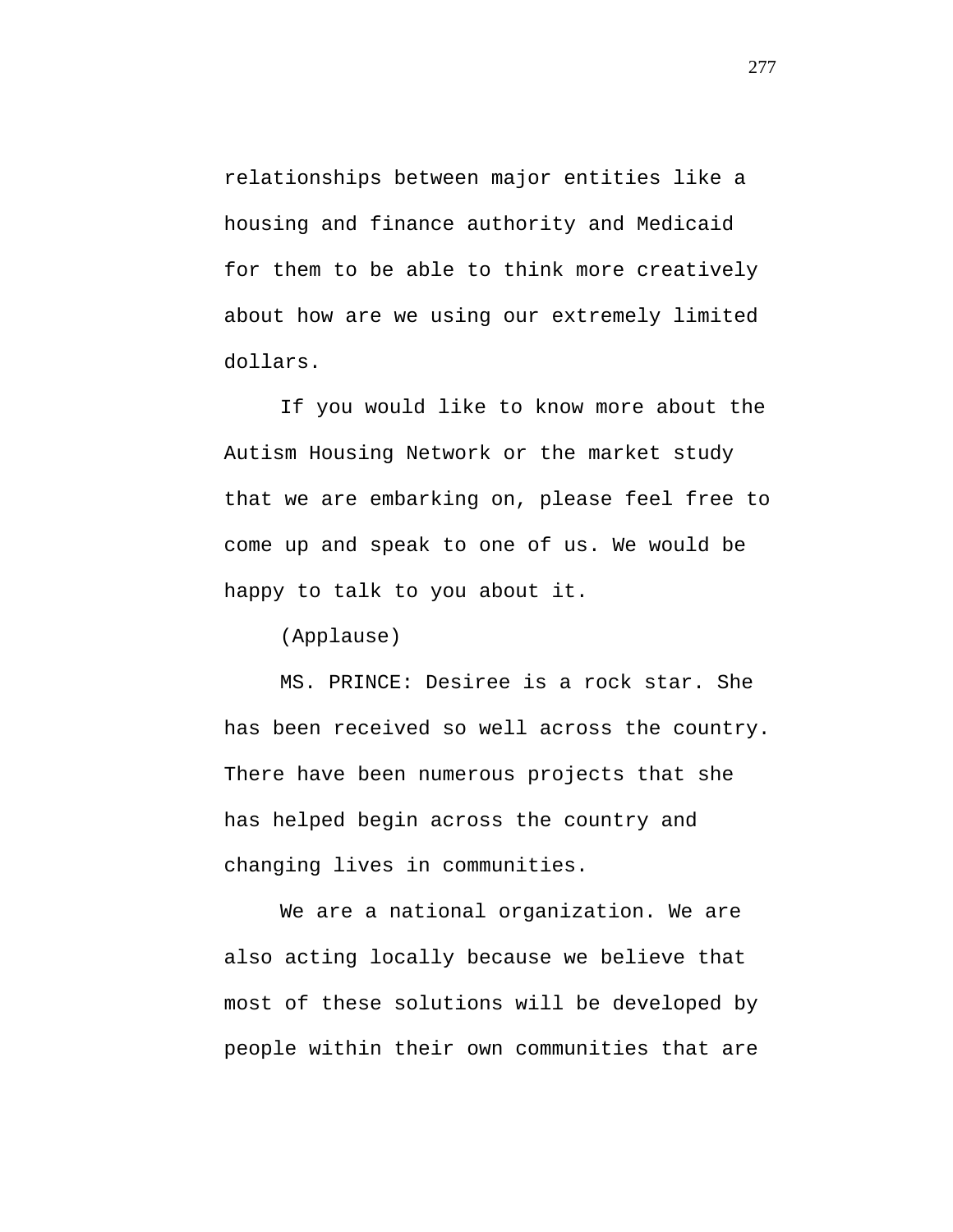relationships between major entities like a housing and finance authority and Medicaid for them to be able to think more creatively about how are we using our extremely limited dollars.

If you would like to know more about the Autism Housing Network or the market study that we are embarking on, please feel free to come up and speak to one of us. We would be happy to talk to you about it.

(Applause)

MS. PRINCE: Desiree is a rock star. She has been received so well across the country. There have been numerous projects that she has helped begin across the country and changing lives in communities.

We are a national organization. We are also acting locally because we believe that most of these solutions will be developed by people within their own communities that are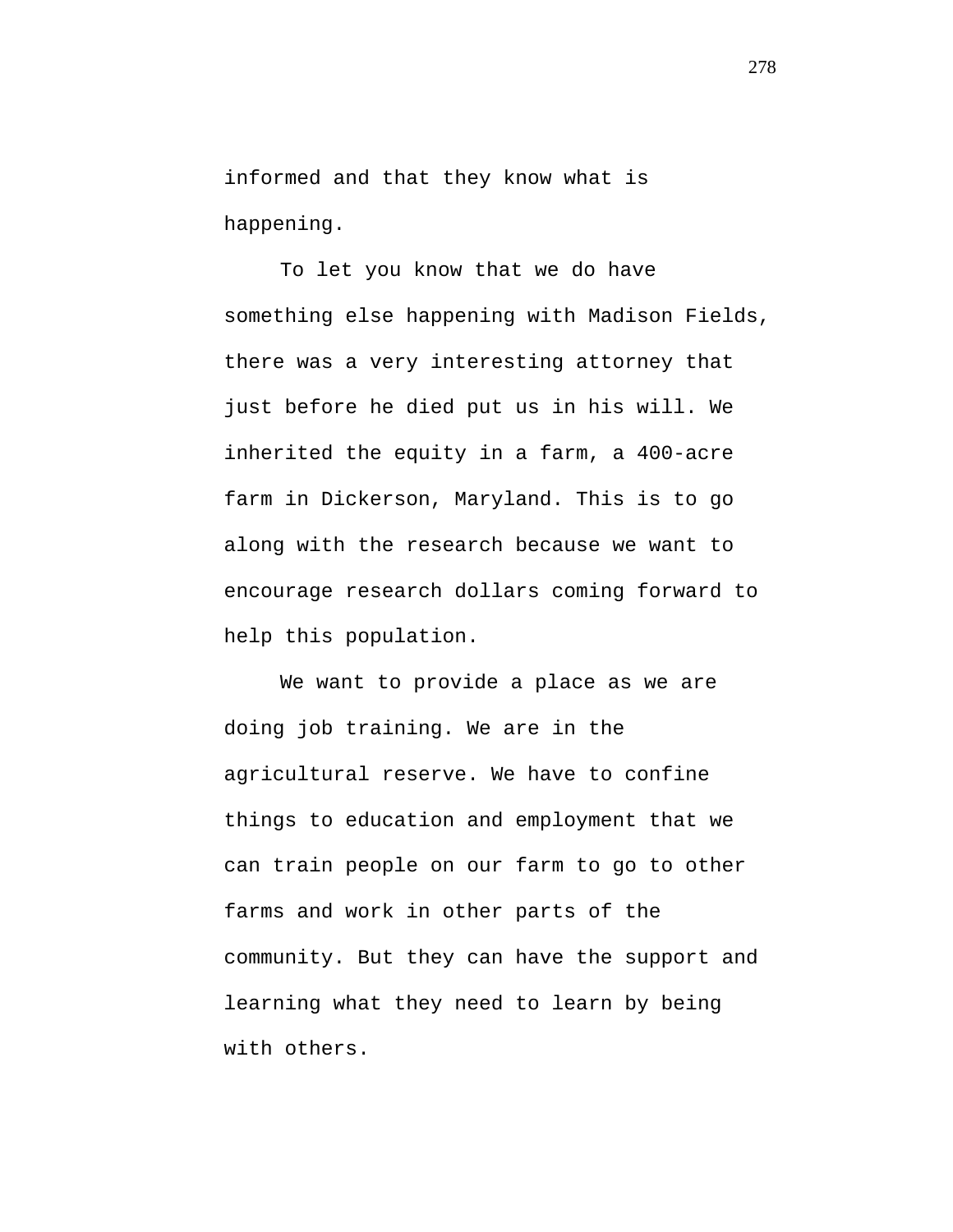informed and that they know what is happening.

To let you know that we do have something else happening with Madison Fields, there was a very interesting attorney that just before he died put us in his will. We inherited the equity in a farm, a 400-acre farm in Dickerson, Maryland. This is to go along with the research because we want to encourage research dollars coming forward to help this population.

We want to provide a place as we are doing job training. We are in the agricultural reserve. We have to confine things to education and employment that we can train people on our farm to go to other farms and work in other parts of the community. But they can have the support and learning what they need to learn by being with others.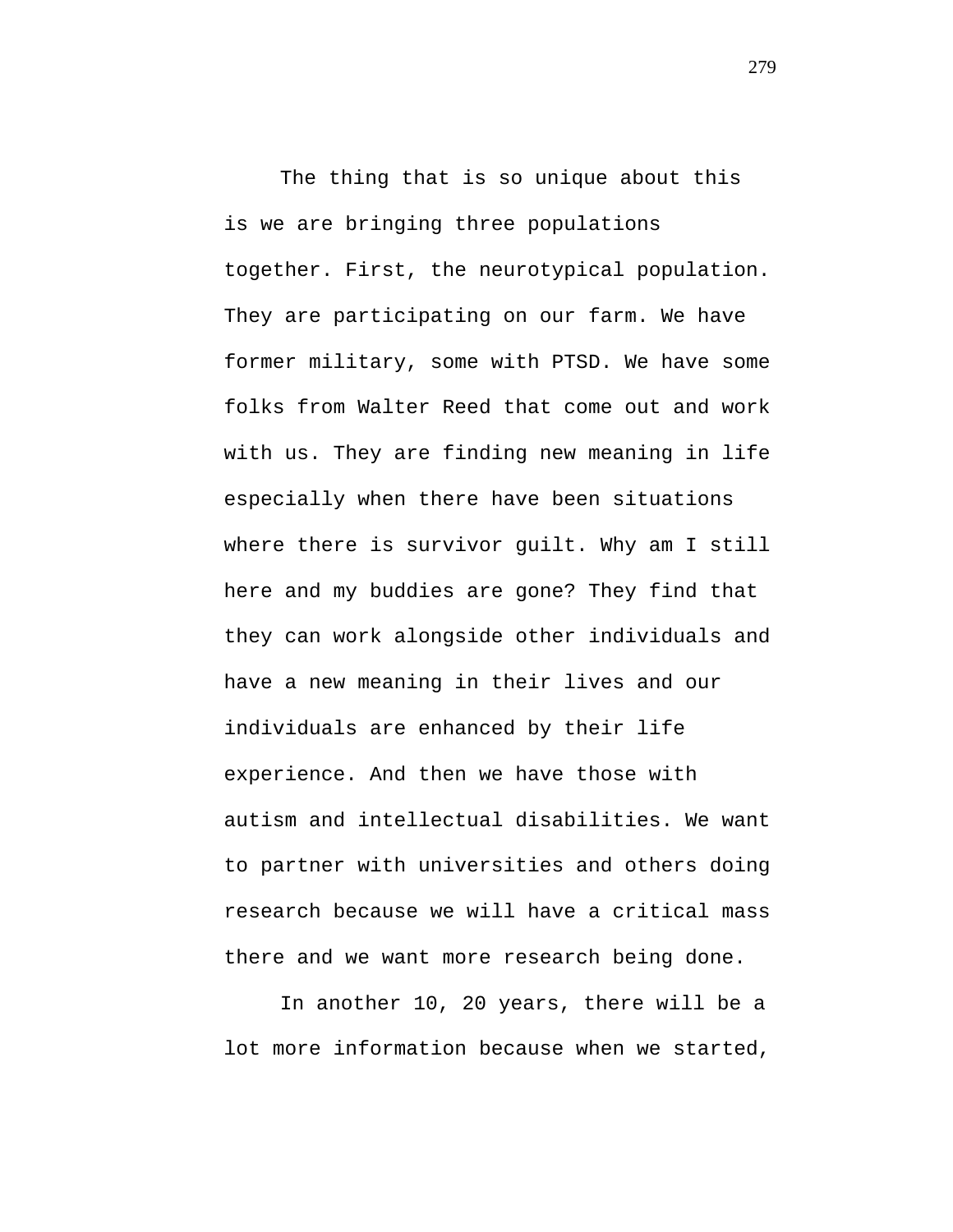The thing that is so unique about this is we are bringing three populations together. First, the neurotypical population. They are participating on our farm. We have former military, some with PTSD. We have some folks from Walter Reed that come out and work with us. They are finding new meaning in life especially when there have been situations where there is survivor guilt. Why am I still here and my buddies are gone? They find that they can work alongside other individuals and have a new meaning in their lives and our individuals are enhanced by their life experience. And then we have those with autism and intellectual disabilities. We want to partner with universities and others doing research because we will have a critical mass there and we want more research being done.

In another 10, 20 years, there will be a lot more information because when we started,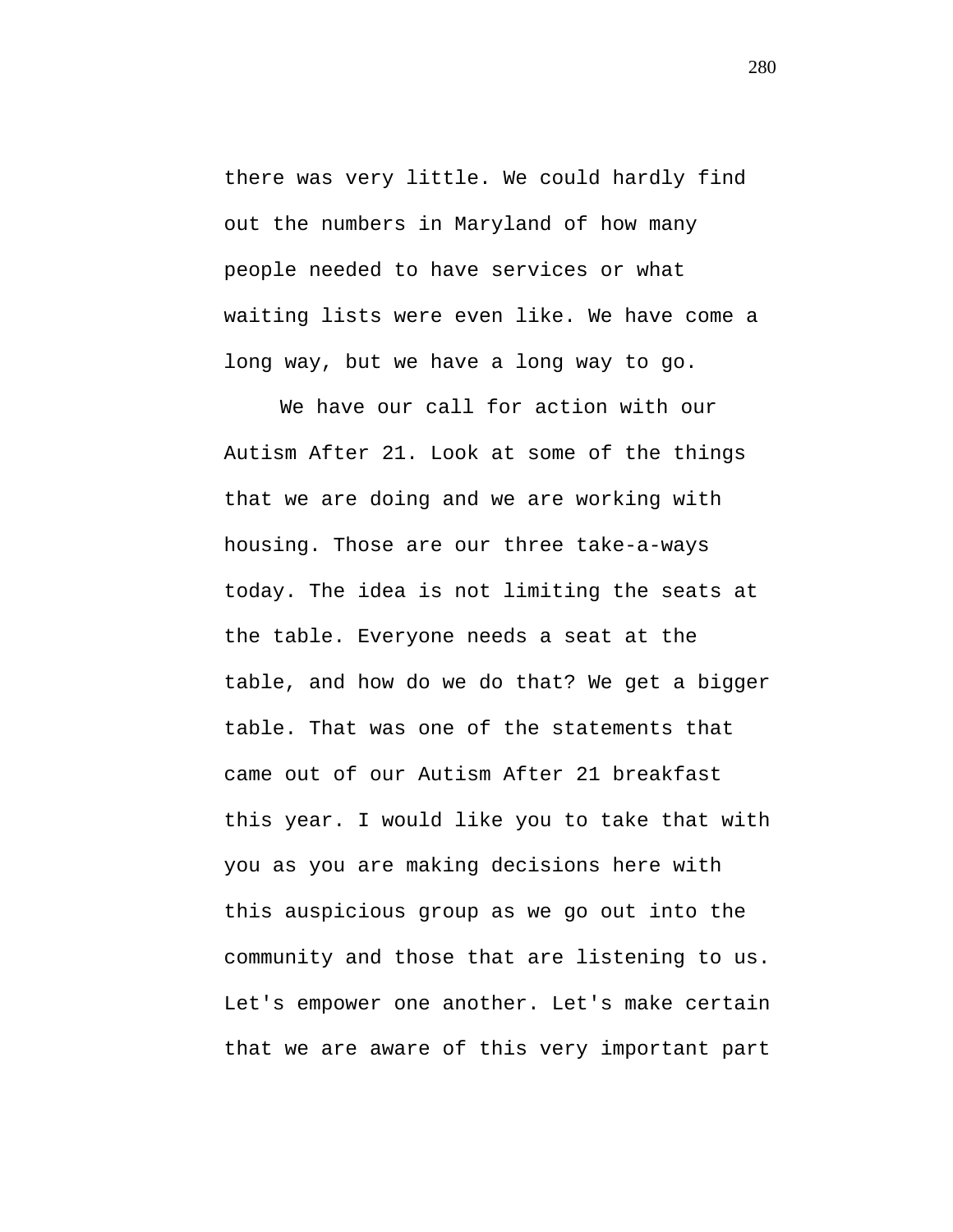there was very little. We could hardly find out the numbers in Maryland of how many people needed to have services or what waiting lists were even like. We have come a long way, but we have a long way to go.

We have our call for action with our Autism After 21. Look at some of the things that we are doing and we are working with housing. Those are our three take-a-ways today. The idea is not limiting the seats at the table. Everyone needs a seat at the table, and how do we do that? We get a bigger table. That was one of the statements that came out of our Autism After 21 breakfast this year. I would like you to take that with you as you are making decisions here with this auspicious group as we go out into the community and those that are listening to us. Let's empower one another. Let's make certain that we are aware of this very important part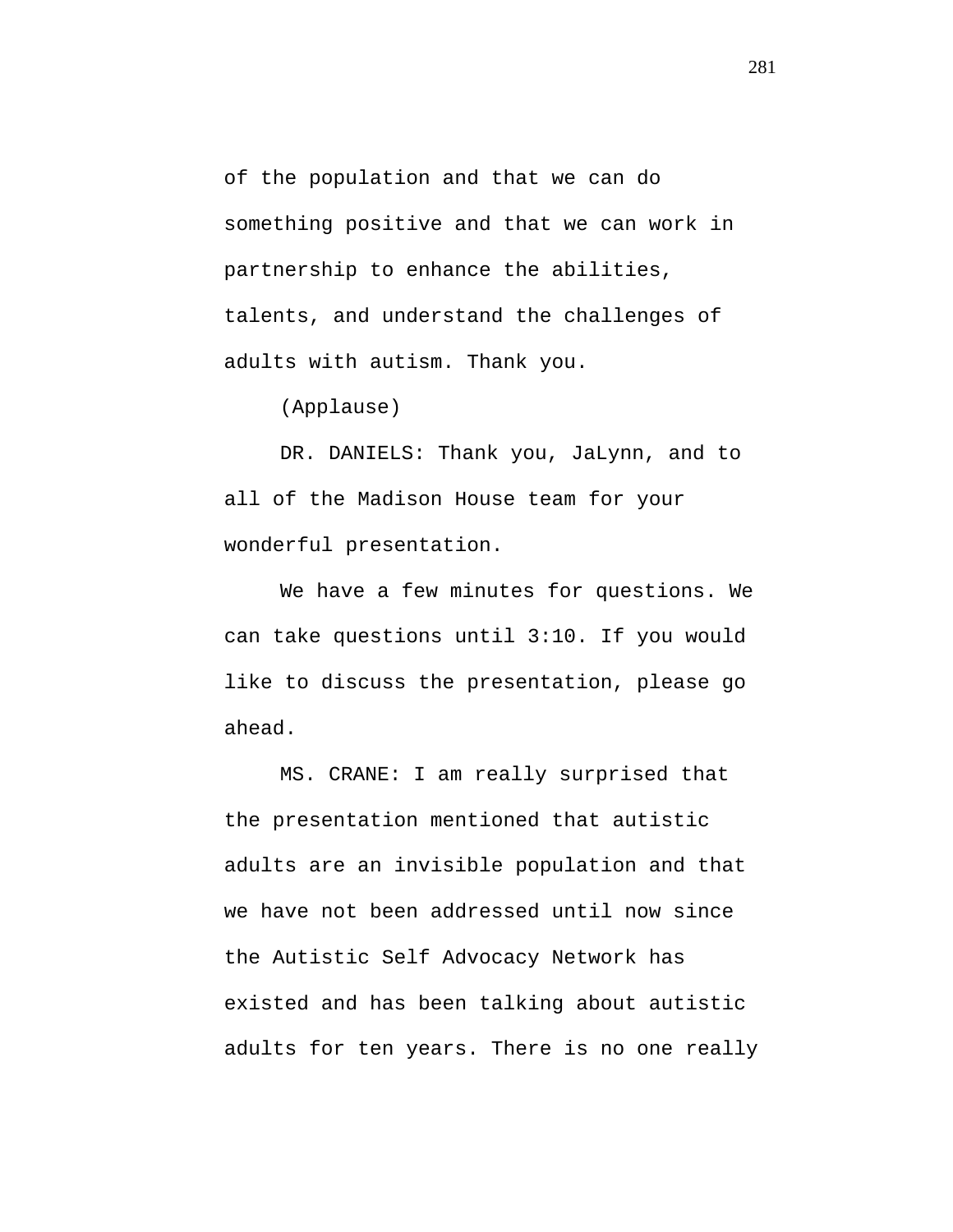of the population and that we can do something positive and that we can work in partnership to enhance the abilities, talents, and understand the challenges of adults with autism. Thank you.

(Applause)

DR. DANIELS: Thank you, JaLynn, and to all of the Madison House team for your wonderful presentation.

We have a few minutes for questions. We can take questions until 3:10. If you would like to discuss the presentation, please go ahead.

MS. CRANE: I am really surprised that the presentation mentioned that autistic adults are an invisible population and that we have not been addressed until now since the Autistic Self Advocacy Network has existed and has been talking about autistic adults for ten years. There is no one really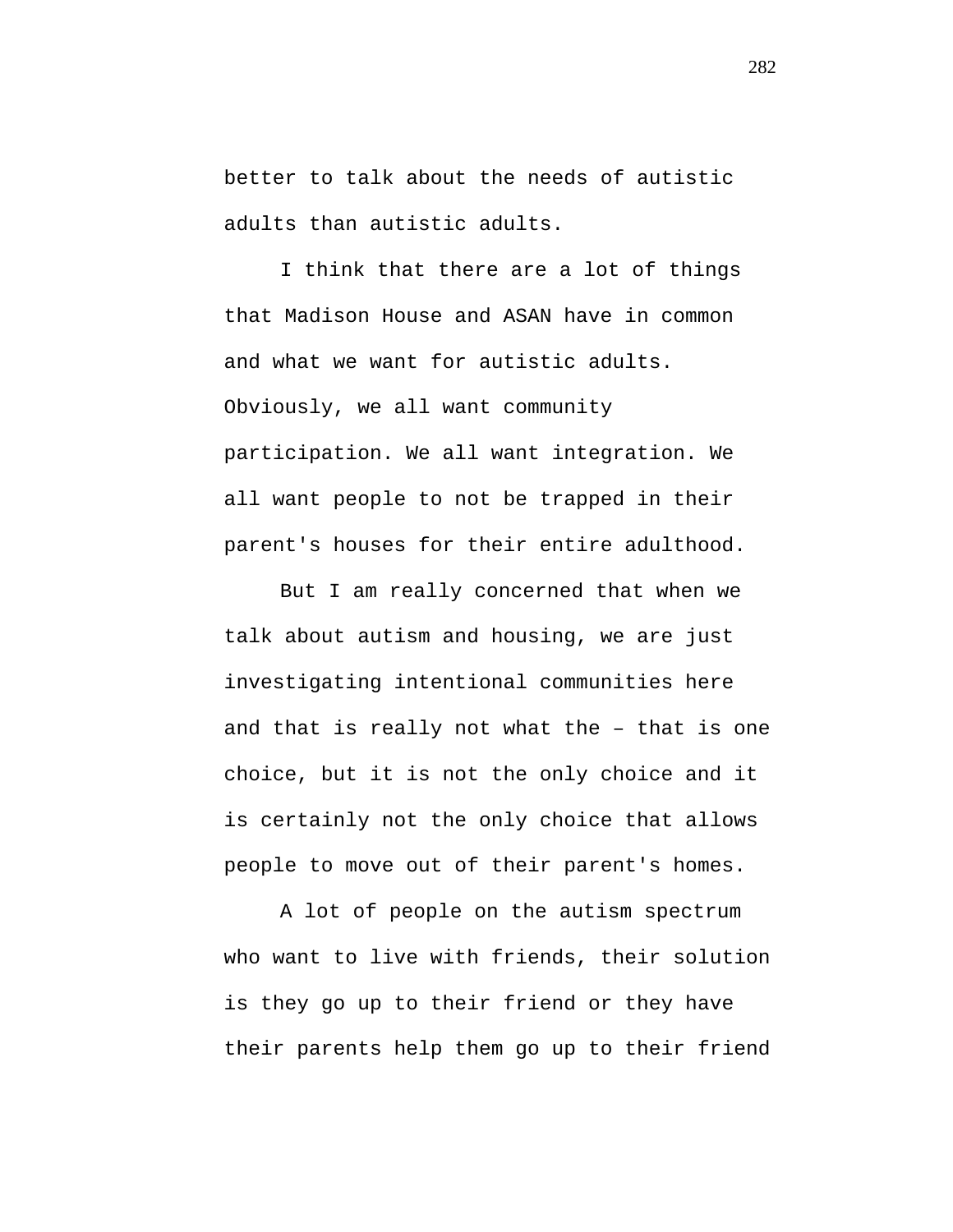better to talk about the needs of autistic adults than autistic adults.

I think that there are a lot of things that Madison House and ASAN have in common and what we want for autistic adults. Obviously, we all want community participation. We all want integration. We all want people to not be trapped in their parent's houses for their entire adulthood.

But I am really concerned that when we talk about autism and housing, we are just investigating intentional communities here and that is really not what the – that is one choice, but it is not the only choice and it is certainly not the only choice that allows people to move out of their parent's homes.

A lot of people on the autism spectrum who want to live with friends, their solution is they go up to their friend or they have their parents help them go up to their friend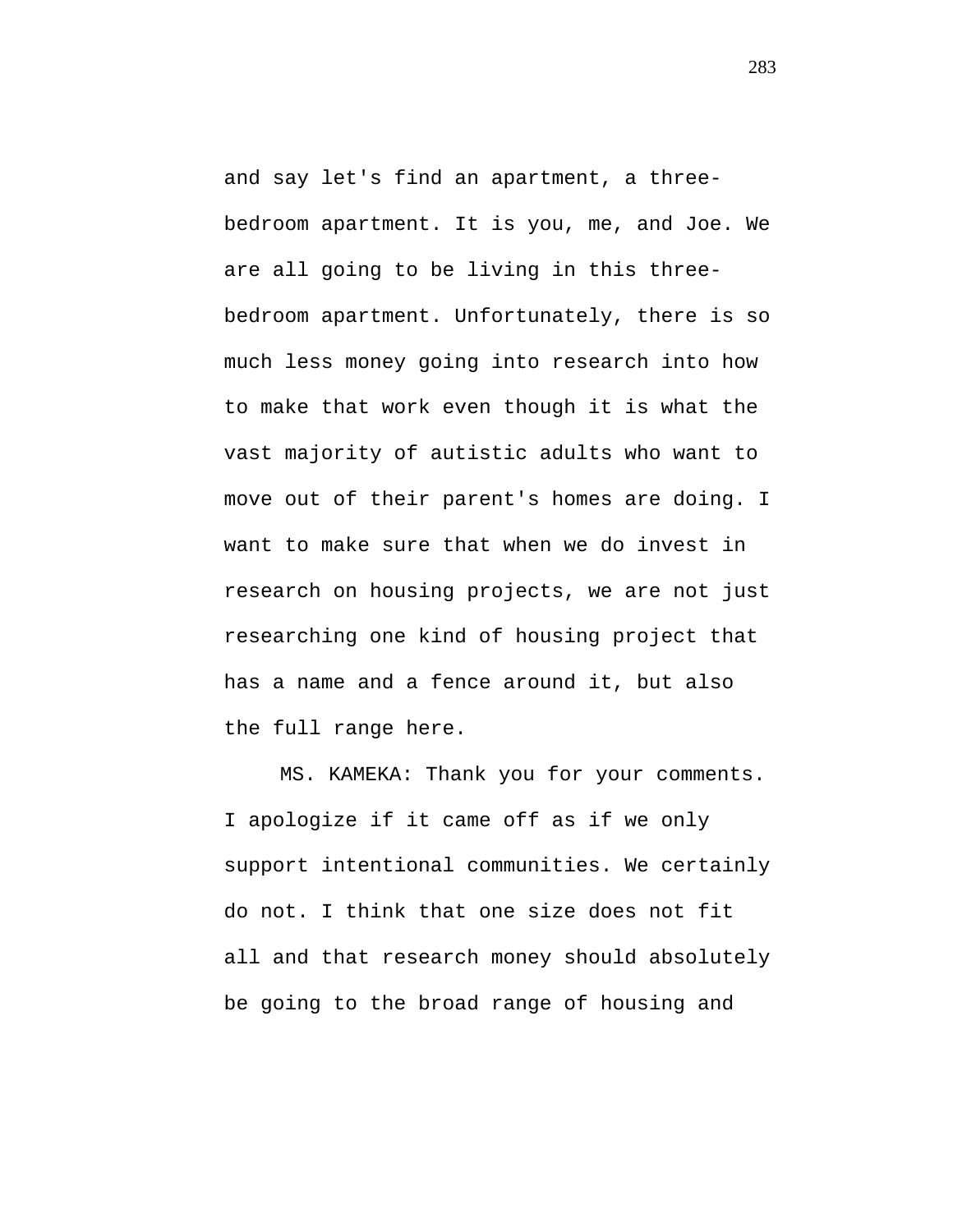and say let's find an apartment, a threebedroom apartment. It is you, me, and Joe. We are all going to be living in this threebedroom apartment. Unfortunately, there is so much less money going into research into how to make that work even though it is what the vast majority of autistic adults who want to move out of their parent's homes are doing. I want to make sure that when we do invest in research on housing projects, we are not just researching one kind of housing project that has a name and a fence around it, but also the full range here.

MS. KAMEKA: Thank you for your comments. I apologize if it came off as if we only support intentional communities. We certainly do not. I think that one size does not fit all and that research money should absolutely be going to the broad range of housing and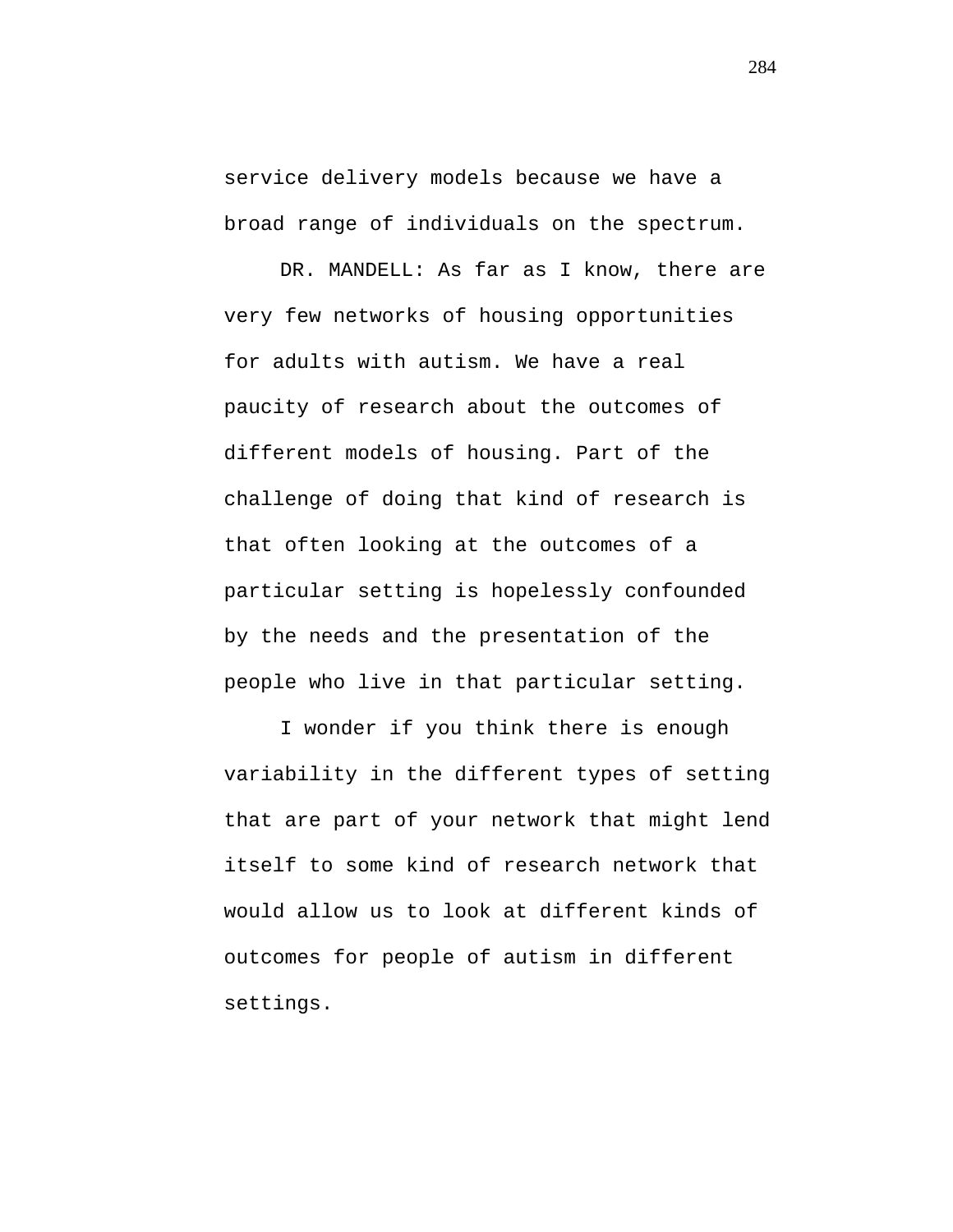service delivery models because we have a broad range of individuals on the spectrum.

DR. MANDELL: As far as I know, there are very few networks of housing opportunities for adults with autism. We have a real paucity of research about the outcomes of different models of housing. Part of the challenge of doing that kind of research is that often looking at the outcomes of a particular setting is hopelessly confounded by the needs and the presentation of the people who live in that particular setting.

I wonder if you think there is enough variability in the different types of setting that are part of your network that might lend itself to some kind of research network that would allow us to look at different kinds of outcomes for people of autism in different settings.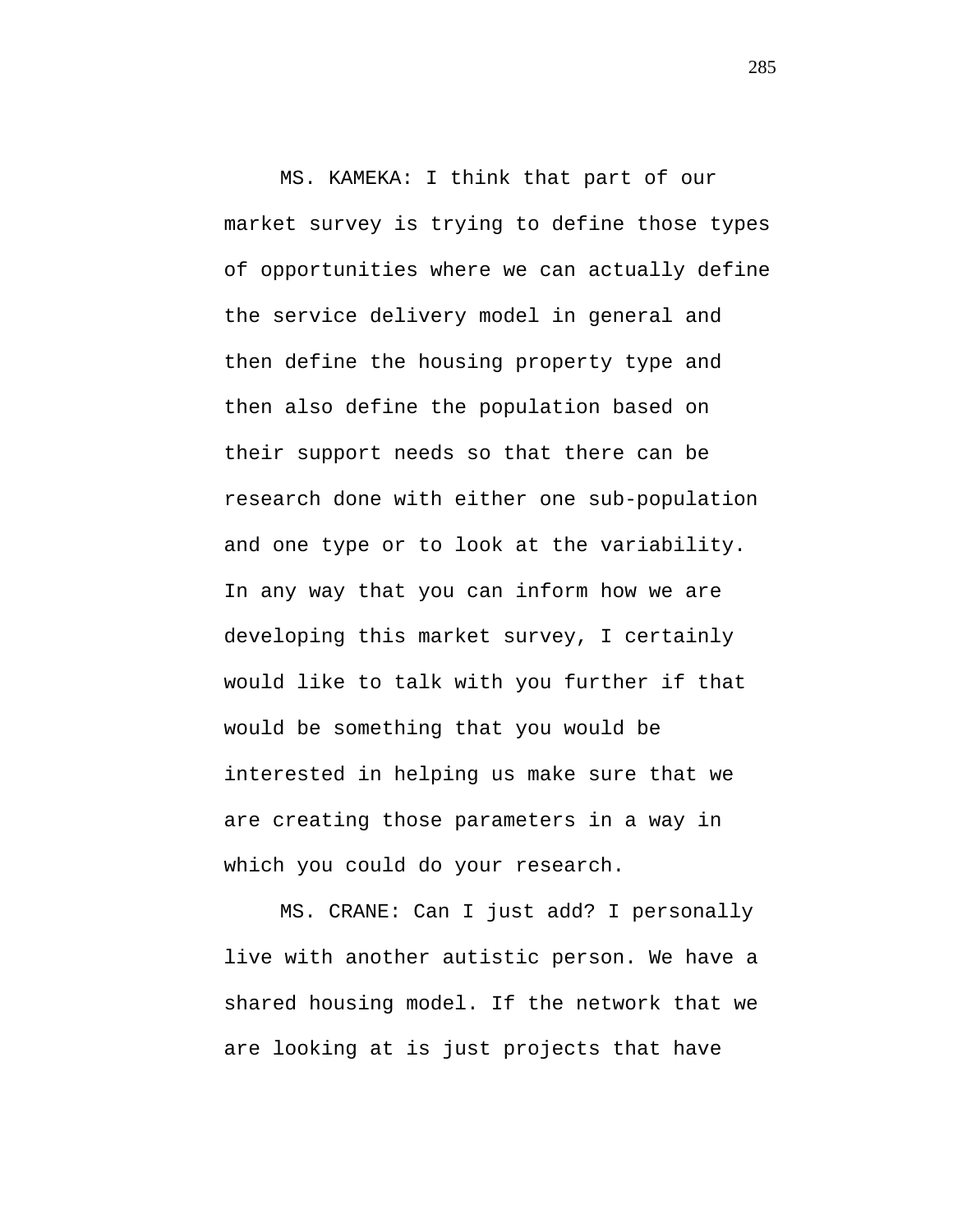MS. KAMEKA: I think that part of our market survey is trying to define those types of opportunities where we can actually define the service delivery model in general and then define the housing property type and then also define the population based on their support needs so that there can be research done with either one sub-population and one type or to look at the variability. In any way that you can inform how we are developing this market survey, I certainly would like to talk with you further if that would be something that you would be interested in helping us make sure that we are creating those parameters in a way in which you could do your research.

MS. CRANE: Can I just add? I personally live with another autistic person. We have a shared housing model. If the network that we are looking at is just projects that have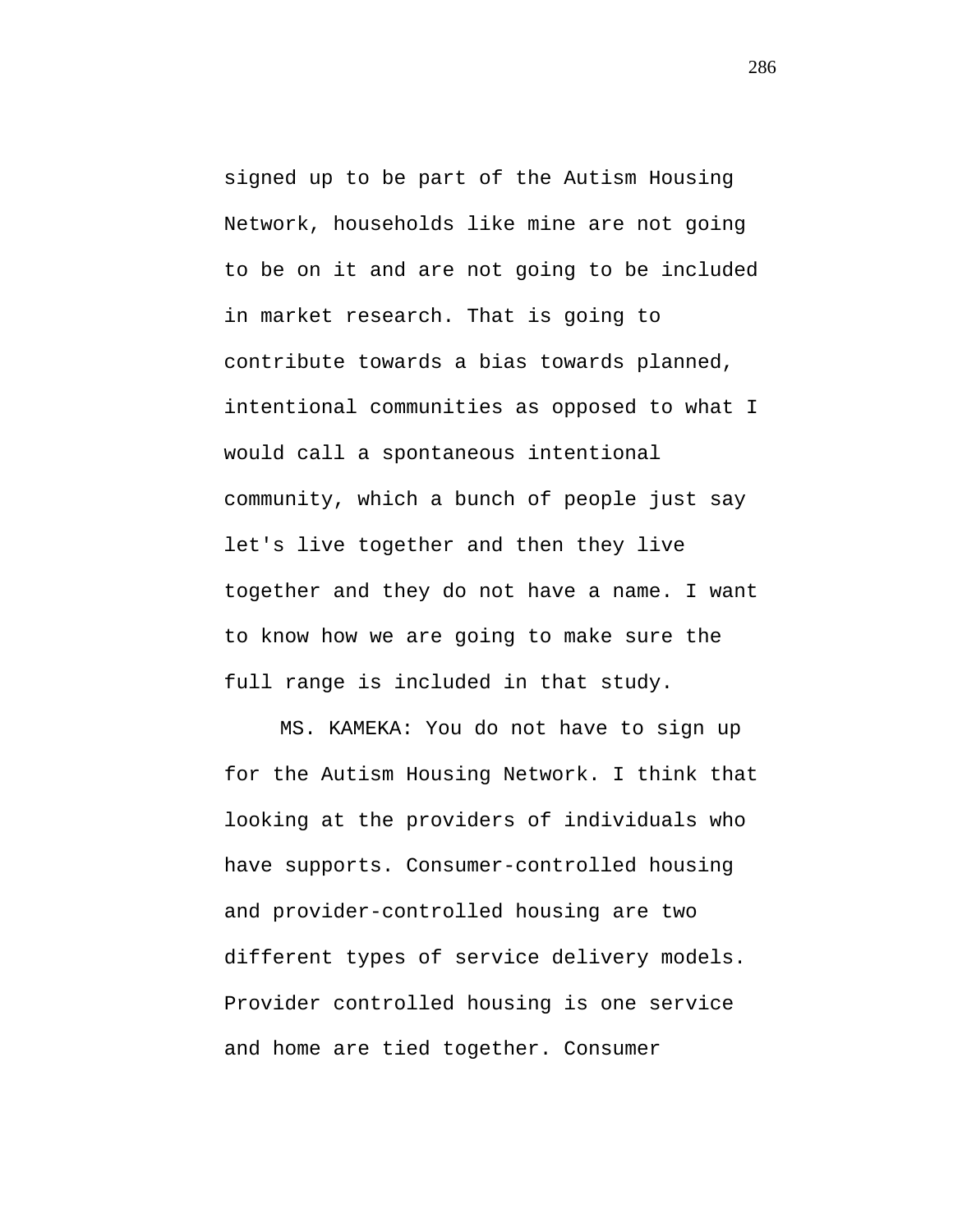signed up to be part of the Autism Housing Network, households like mine are not going to be on it and are not going to be included in market research. That is going to contribute towards a bias towards planned, intentional communities as opposed to what I would call a spontaneous intentional community, which a bunch of people just say let's live together and then they live together and they do not have a name. I want to know how we are going to make sure the full range is included in that study.

MS. KAMEKA: You do not have to sign up for the Autism Housing Network. I think that looking at the providers of individuals who have supports. Consumer-controlled housing and provider-controlled housing are two different types of service delivery models. Provider controlled housing is one service and home are tied together. Consumer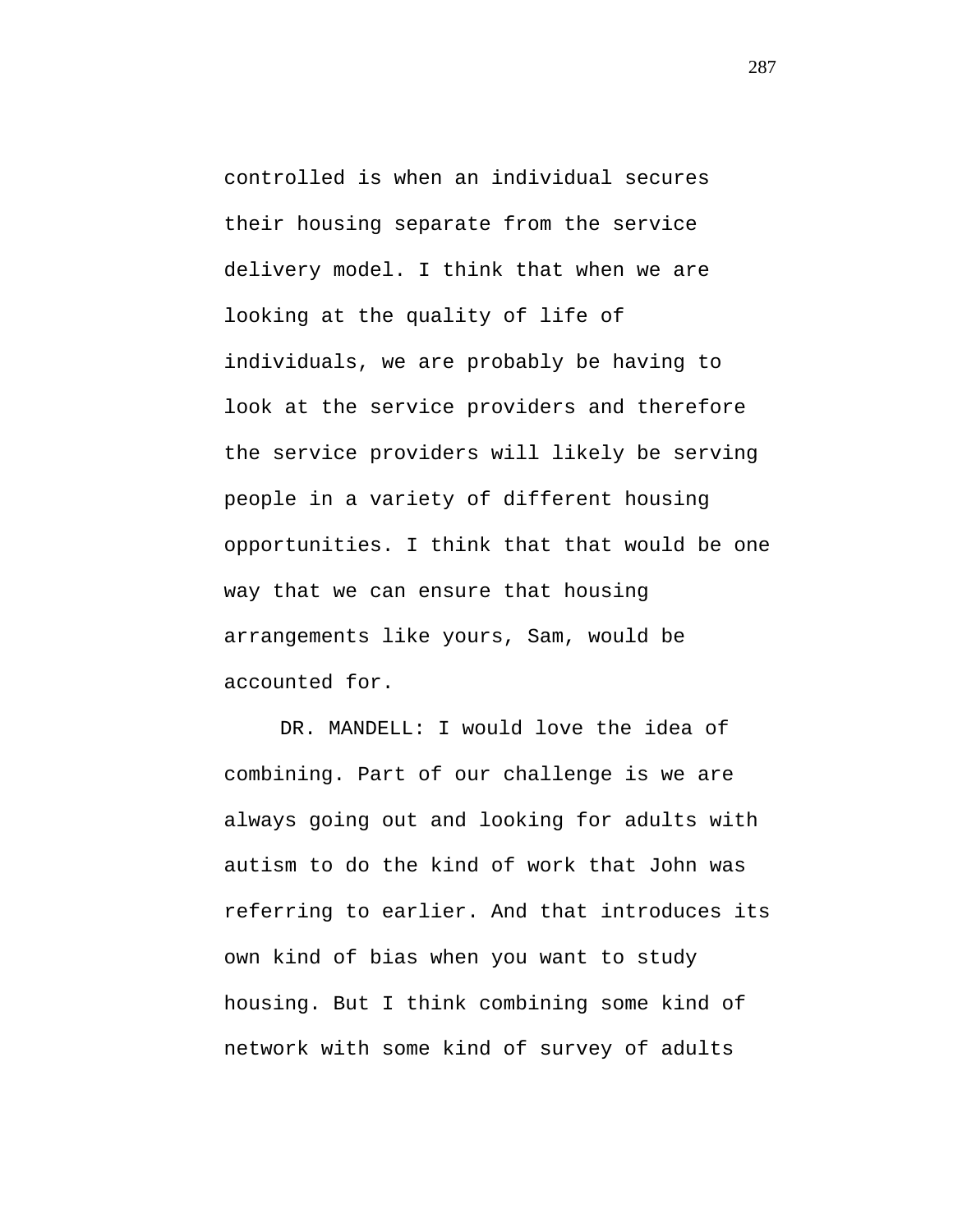controlled is when an individual secures their housing separate from the service delivery model. I think that when we are looking at the quality of life of individuals, we are probably be having to look at the service providers and therefore the service providers will likely be serving people in a variety of different housing opportunities. I think that that would be one way that we can ensure that housing arrangements like yours, Sam, would be accounted for.

DR. MANDELL: I would love the idea of combining. Part of our challenge is we are always going out and looking for adults with autism to do the kind of work that John was referring to earlier. And that introduces its own kind of bias when you want to study housing. But I think combining some kind of network with some kind of survey of adults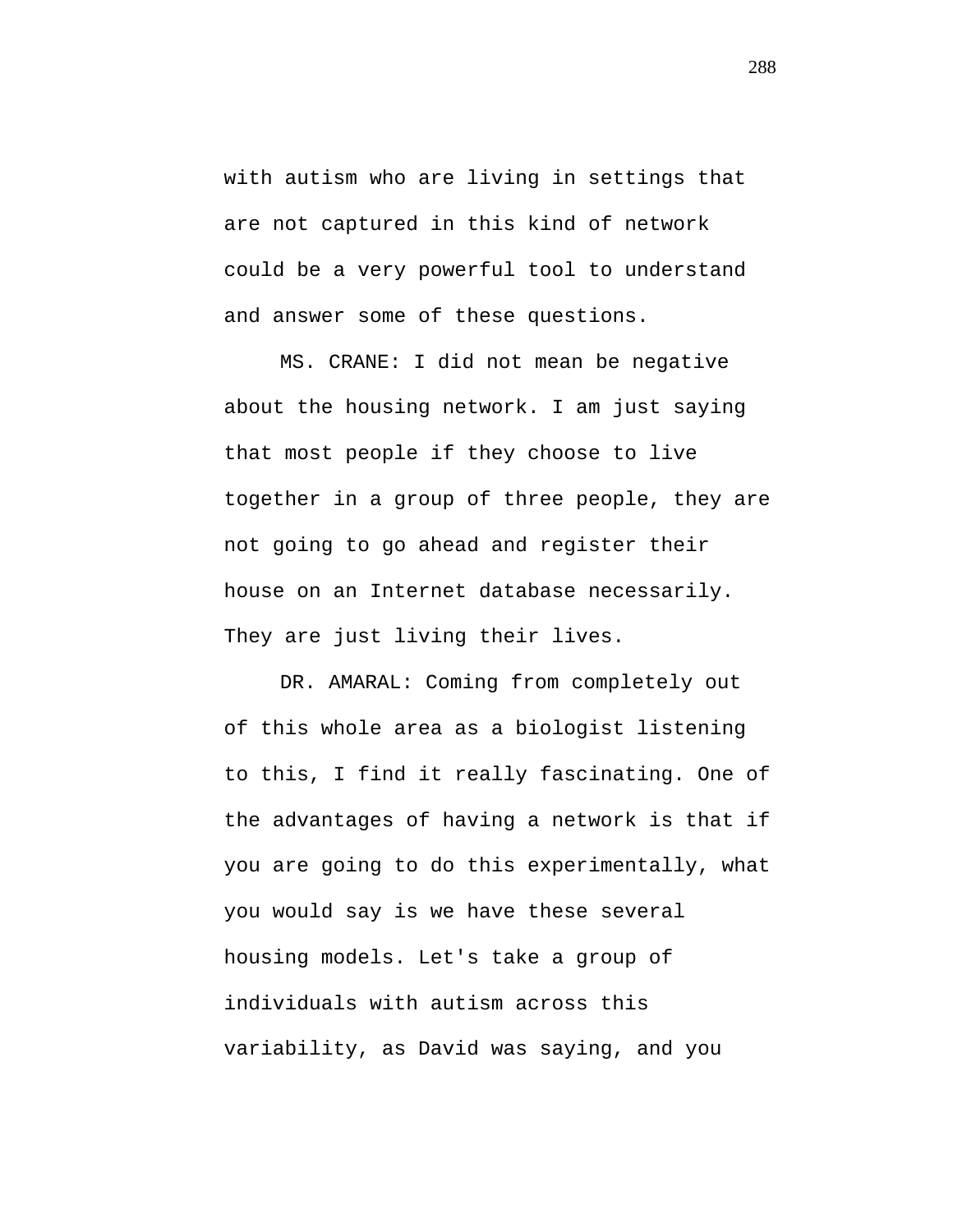with autism who are living in settings that are not captured in this kind of network could be a very powerful tool to understand and answer some of these questions.

MS. CRANE: I did not mean be negative about the housing network. I am just saying that most people if they choose to live together in a group of three people, they are not going to go ahead and register their house on an Internet database necessarily. They are just living their lives.

DR. AMARAL: Coming from completely out of this whole area as a biologist listening to this, I find it really fascinating. One of the advantages of having a network is that if you are going to do this experimentally, what you would say is we have these several housing models. Let's take a group of individuals with autism across this variability, as David was saying, and you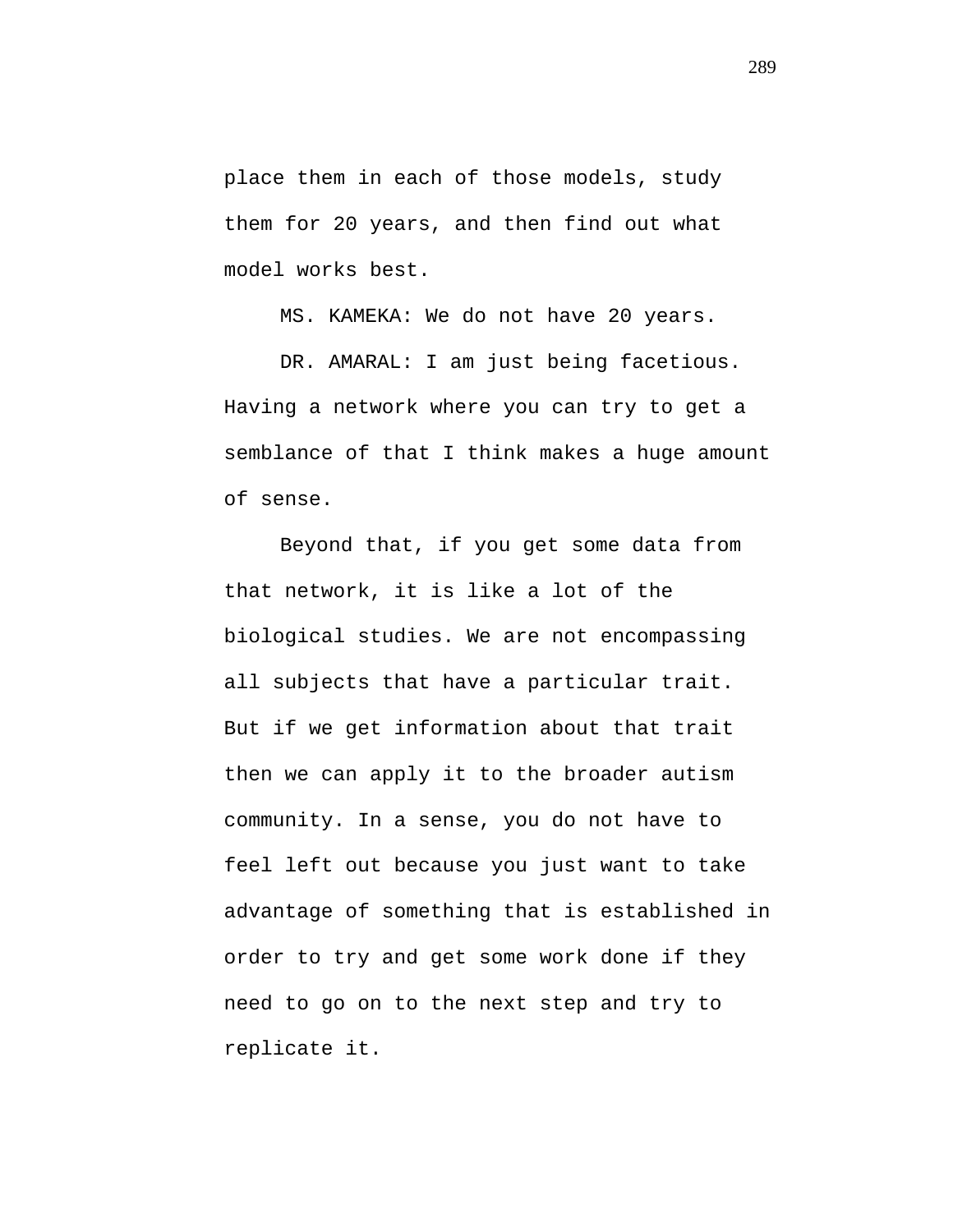place them in each of those models, study them for 20 years, and then find out what model works best.

MS. KAMEKA: We do not have 20 years.

DR. AMARAL: I am just being facetious. Having a network where you can try to get a semblance of that I think makes a huge amount of sense.

Beyond that, if you get some data from that network, it is like a lot of the biological studies. We are not encompassing all subjects that have a particular trait. But if we get information about that trait then we can apply it to the broader autism community. In a sense, you do not have to feel left out because you just want to take advantage of something that is established in order to try and get some work done if they need to go on to the next step and try to replicate it.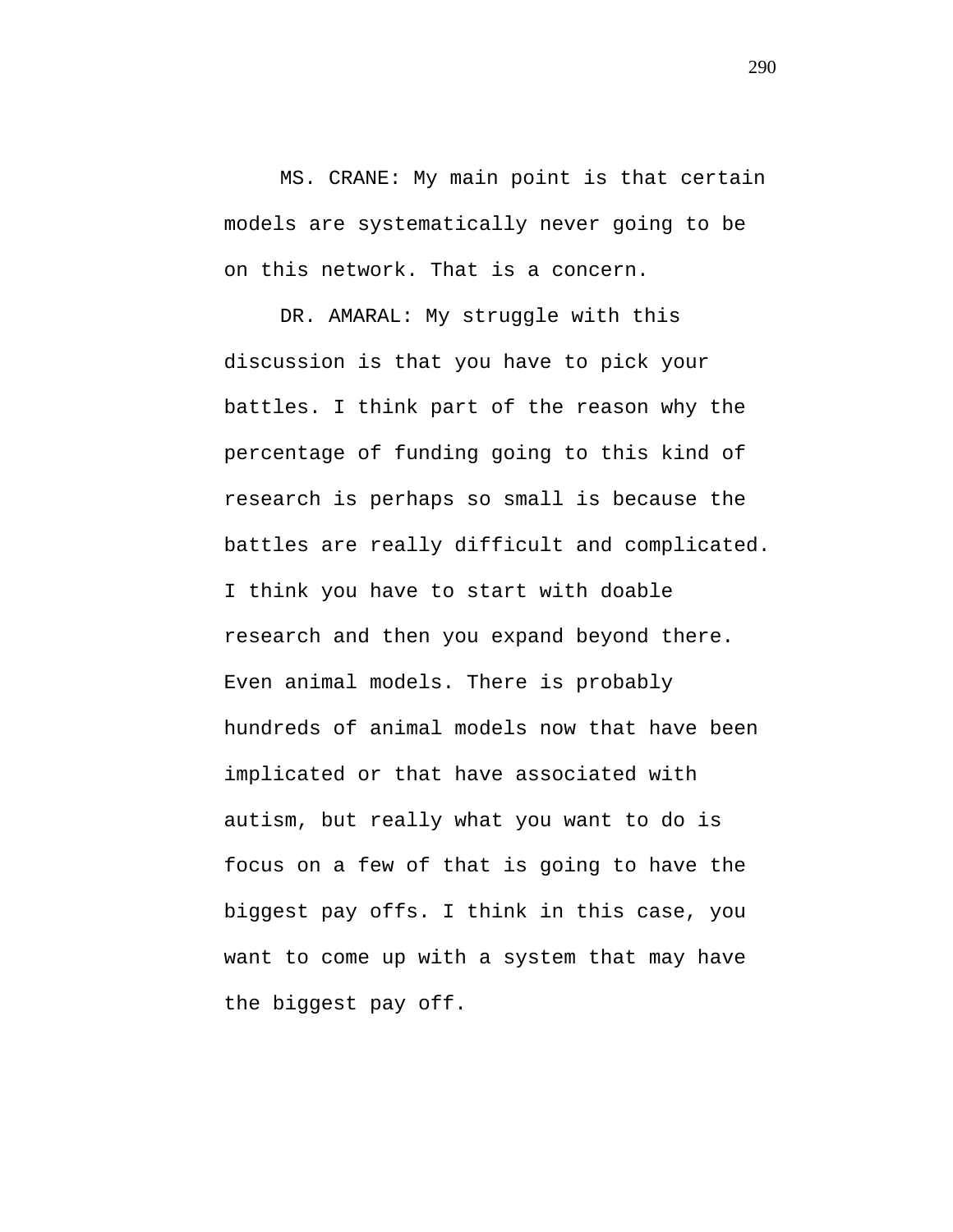MS. CRANE: My main point is that certain models are systematically never going to be on this network. That is a concern.

DR. AMARAL: My struggle with this discussion is that you have to pick your battles. I think part of the reason why the percentage of funding going to this kind of research is perhaps so small is because the battles are really difficult and complicated. I think you have to start with doable research and then you expand beyond there. Even animal models. There is probably hundreds of animal models now that have been implicated or that have associated with autism, but really what you want to do is focus on a few of that is going to have the biggest pay offs. I think in this case, you want to come up with a system that may have the biggest pay off.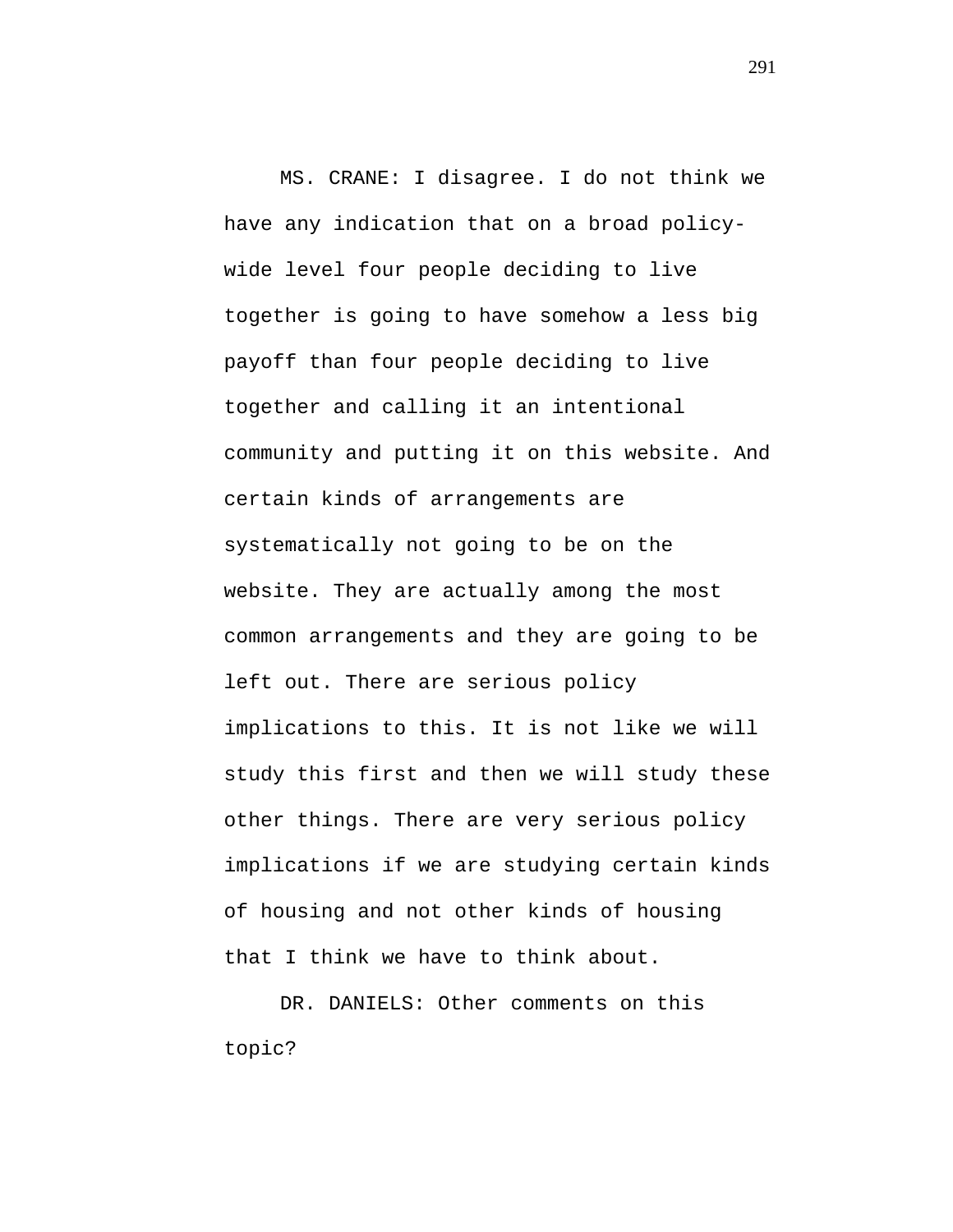MS. CRANE: I disagree. I do not think we have any indication that on a broad policywide level four people deciding to live together is going to have somehow a less big payoff than four people deciding to live together and calling it an intentional community and putting it on this website. And certain kinds of arrangements are systematically not going to be on the website. They are actually among the most common arrangements and they are going to be left out. There are serious policy implications to this. It is not like we will study this first and then we will study these other things. There are very serious policy implications if we are studying certain kinds of housing and not other kinds of housing that I think we have to think about.

DR. DANIELS: Other comments on this topic?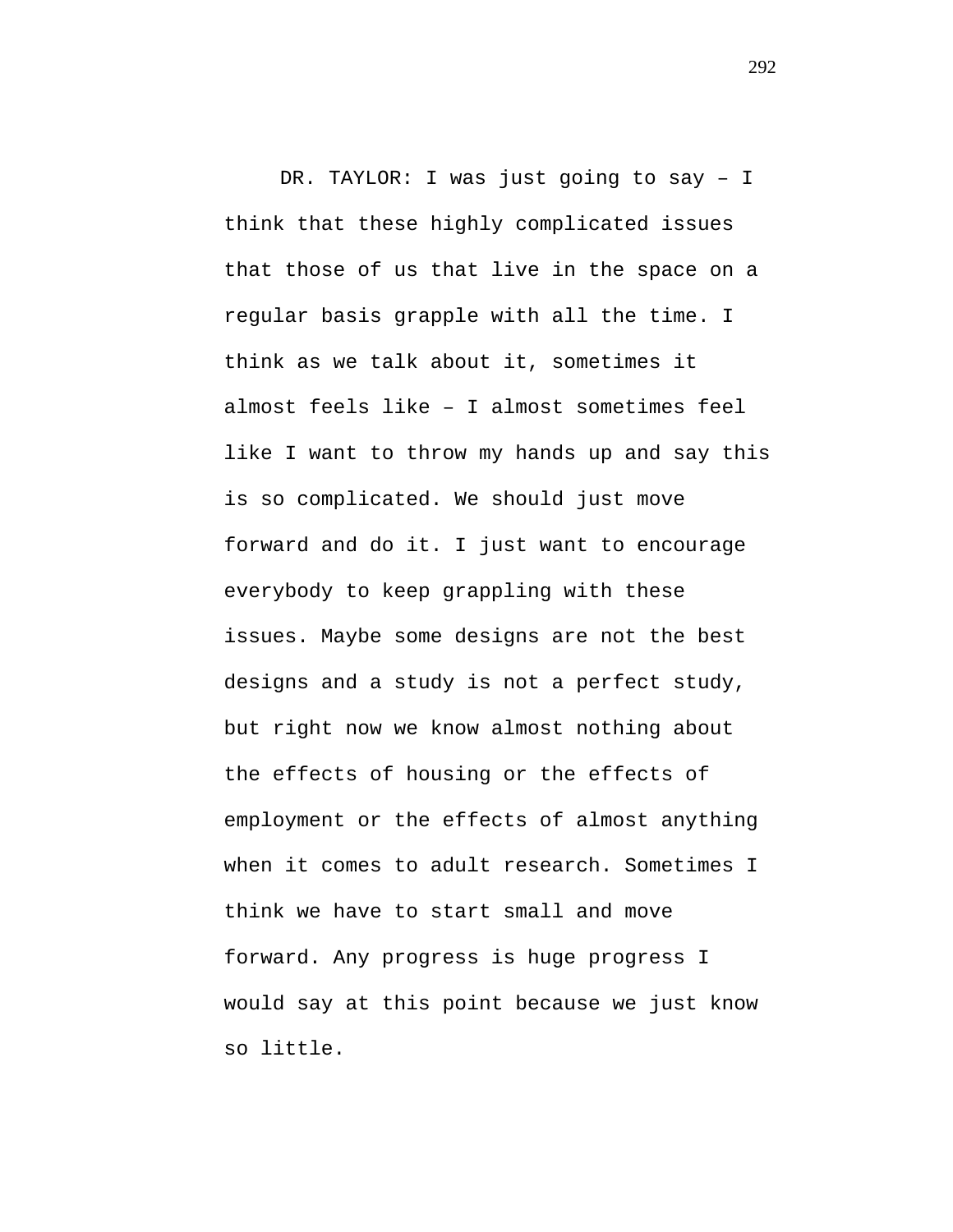DR. TAYLOR: I was just going to say – I think that these highly complicated issues that those of us that live in the space on a regular basis grapple with all the time. I think as we talk about it, sometimes it almost feels like – I almost sometimes feel like I want to throw my hands up and say this is so complicated. We should just move forward and do it. I just want to encourage everybody to keep grappling with these issues. Maybe some designs are not the best designs and a study is not a perfect study, but right now we know almost nothing about the effects of housing or the effects of employment or the effects of almost anything when it comes to adult research. Sometimes I think we have to start small and move forward. Any progress is huge progress I would say at this point because we just know so little.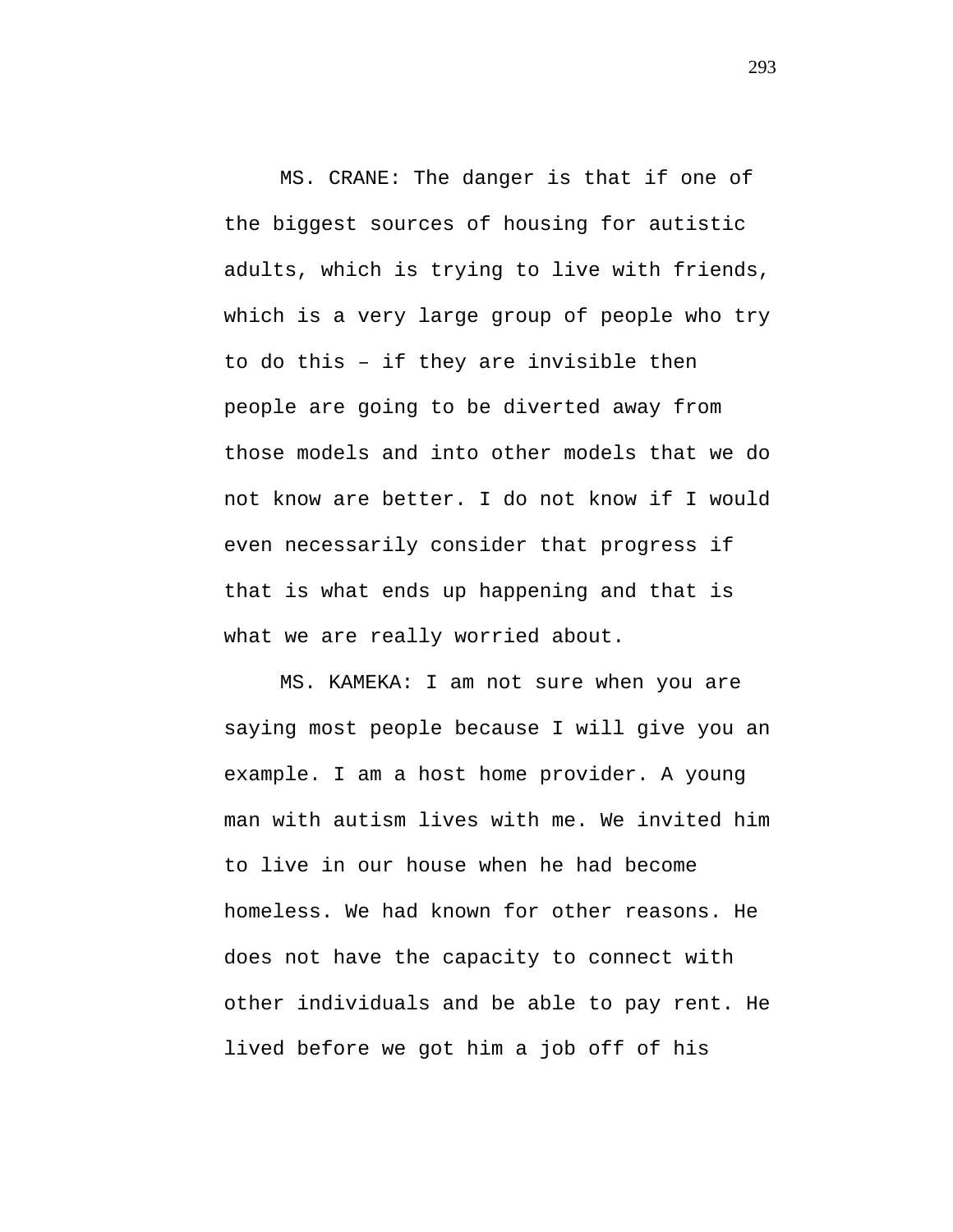MS. CRANE: The danger is that if one of the biggest sources of housing for autistic adults, which is trying to live with friends, which is a very large group of people who try to do this – if they are invisible then people are going to be diverted away from those models and into other models that we do not know are better. I do not know if I would even necessarily consider that progress if that is what ends up happening and that is what we are really worried about.

MS. KAMEKA: I am not sure when you are saying most people because I will give you an example. I am a host home provider. A young man with autism lives with me. We invited him to live in our house when he had become homeless. We had known for other reasons. He does not have the capacity to connect with other individuals and be able to pay rent. He lived before we got him a job off of his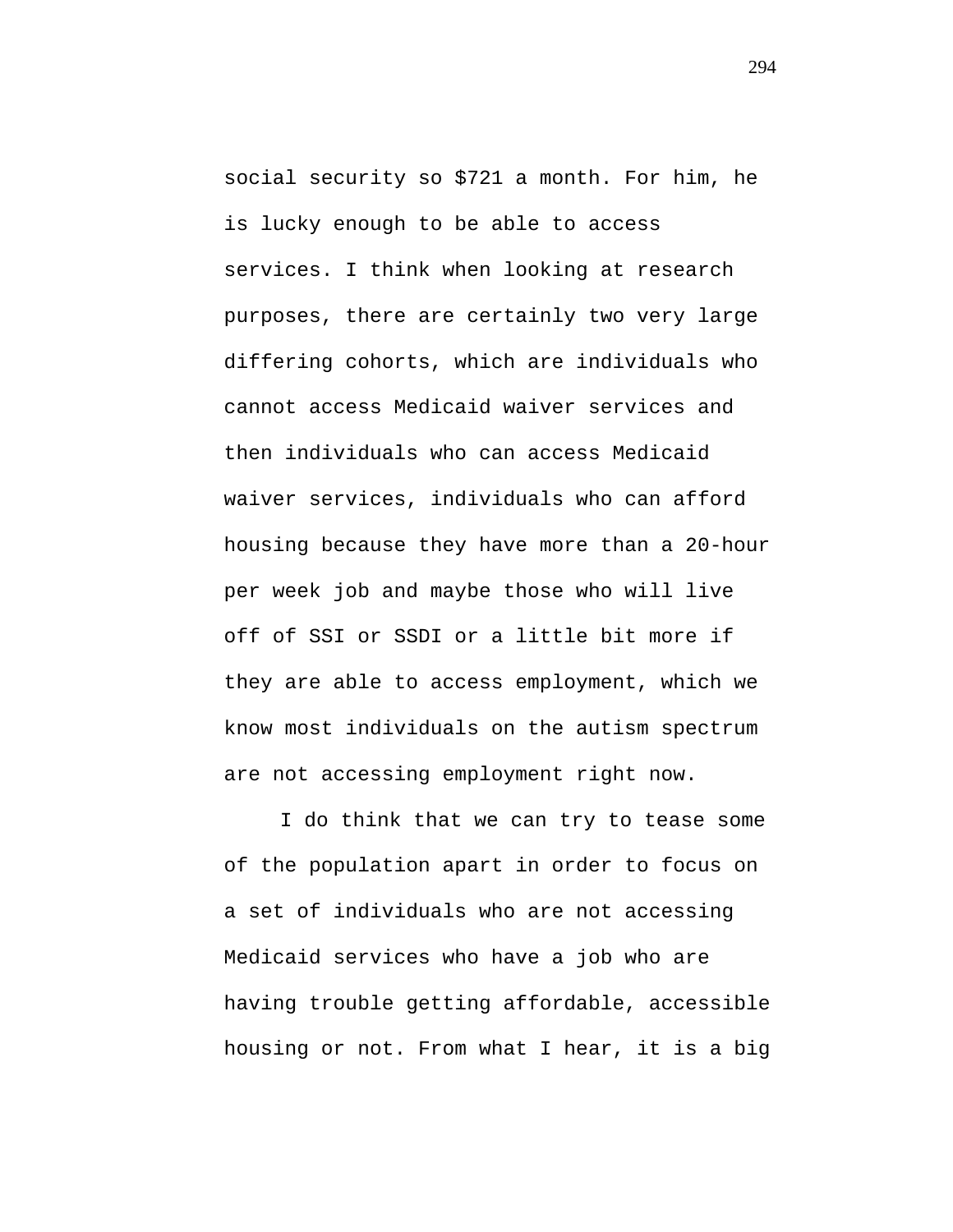social security so \$721 a month. For him, he is lucky enough to be able to access services. I think when looking at research purposes, there are certainly two very large differing cohorts, which are individuals who cannot access Medicaid waiver services and then individuals who can access Medicaid waiver services, individuals who can afford housing because they have more than a 20-hour per week job and maybe those who will live off of SSI or SSDI or a little bit more if they are able to access employment, which we know most individuals on the autism spectrum are not accessing employment right now.

I do think that we can try to tease some of the population apart in order to focus on a set of individuals who are not accessing Medicaid services who have a job who are having trouble getting affordable, accessible housing or not. From what I hear, it is a big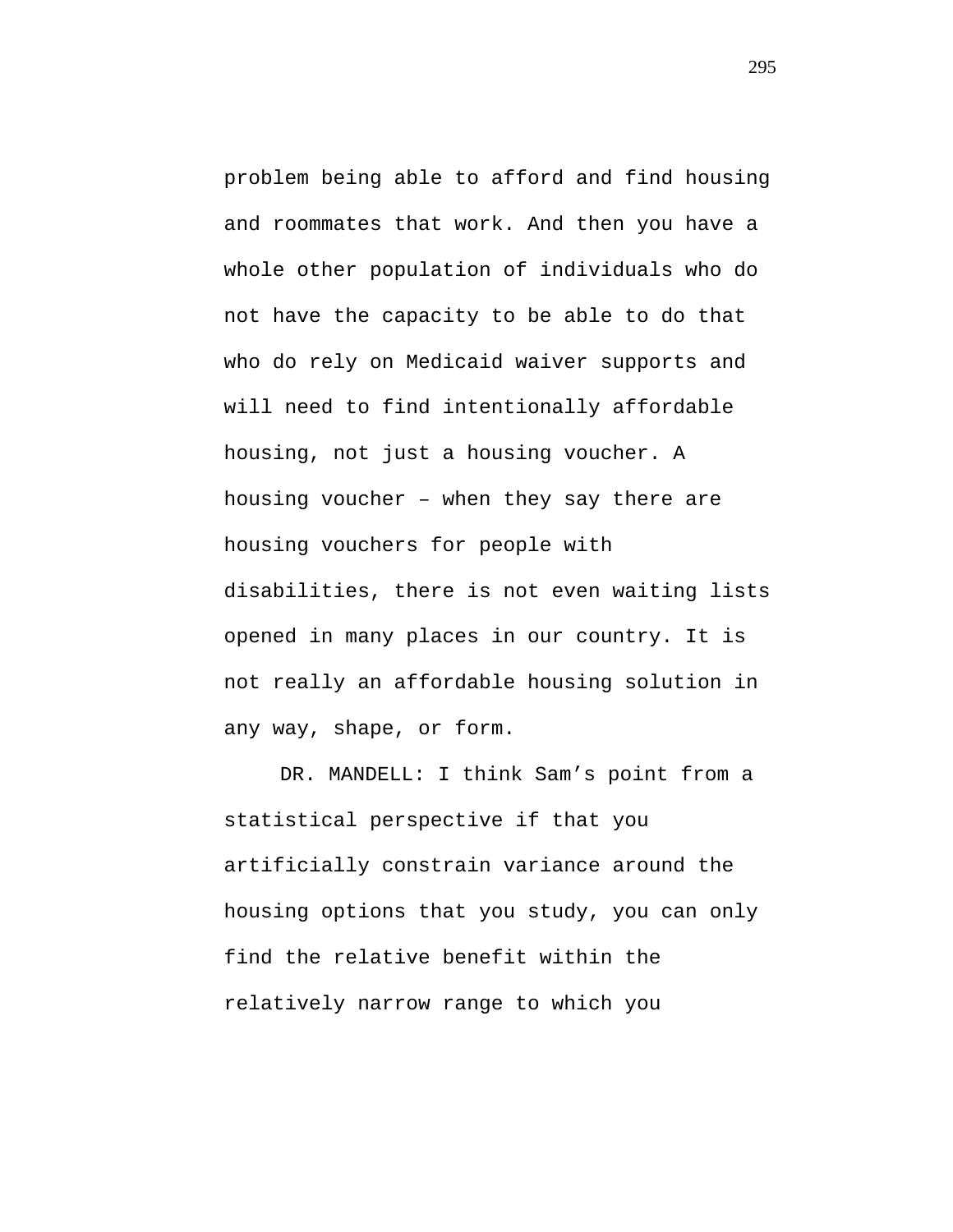problem being able to afford and find housing and roommates that work. And then you have a whole other population of individuals who do not have the capacity to be able to do that who do rely on Medicaid waiver supports and will need to find intentionally affordable housing, not just a housing voucher. A housing voucher – when they say there are housing vouchers for people with disabilities, there is not even waiting lists opened in many places in our country. It is not really an affordable housing solution in any way, shape, or form.

DR. MANDELL: I think Sam's point from a statistical perspective if that you artificially constrain variance around the housing options that you study, you can only find the relative benefit within the relatively narrow range to which you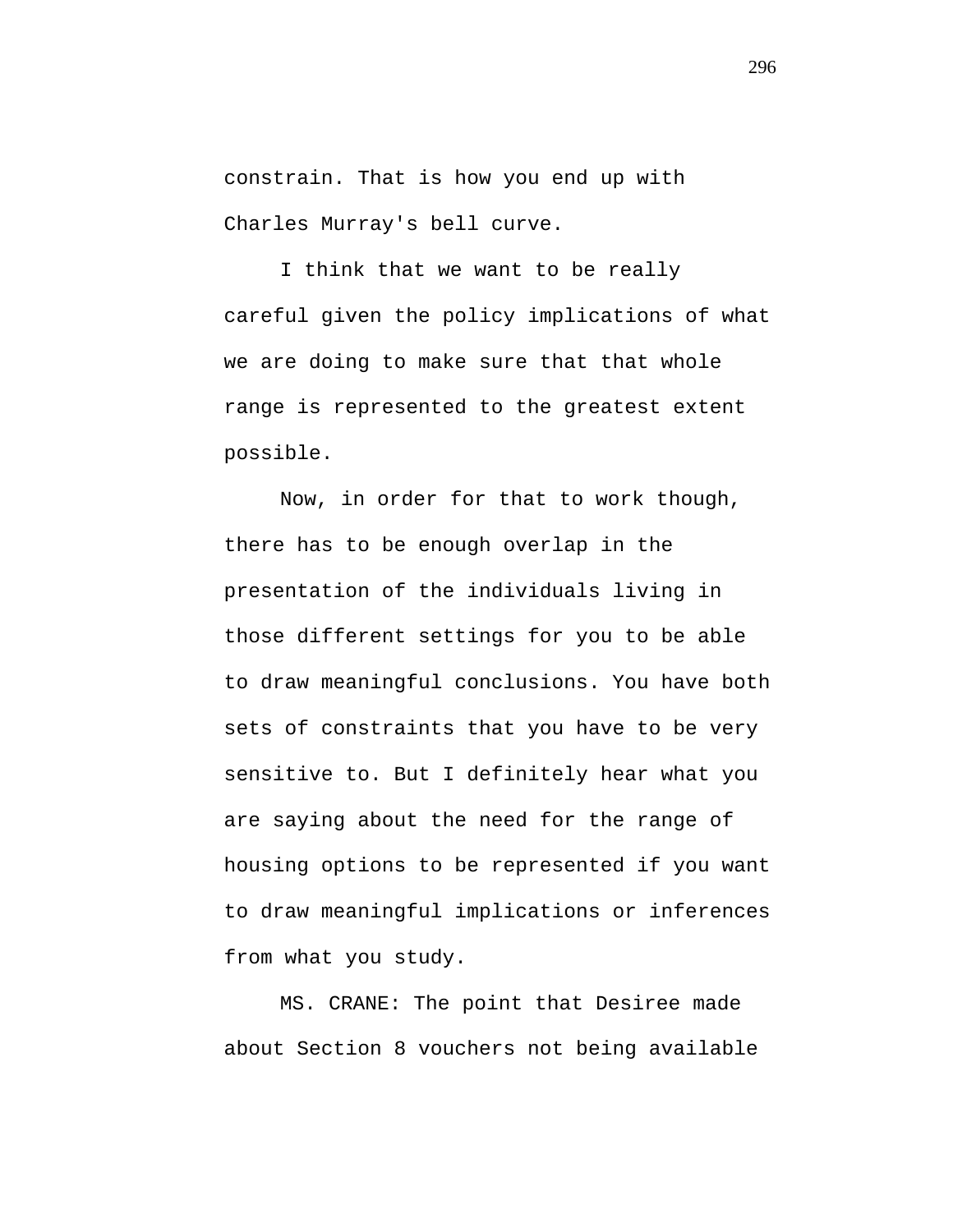constrain. That is how you end up with Charles Murray's bell curve.

I think that we want to be really careful given the policy implications of what we are doing to make sure that that whole range is represented to the greatest extent possible.

Now, in order for that to work though, there has to be enough overlap in the presentation of the individuals living in those different settings for you to be able to draw meaningful conclusions. You have both sets of constraints that you have to be very sensitive to. But I definitely hear what you are saying about the need for the range of housing options to be represented if you want to draw meaningful implications or inferences from what you study.

MS. CRANE: The point that Desiree made about Section 8 vouchers not being available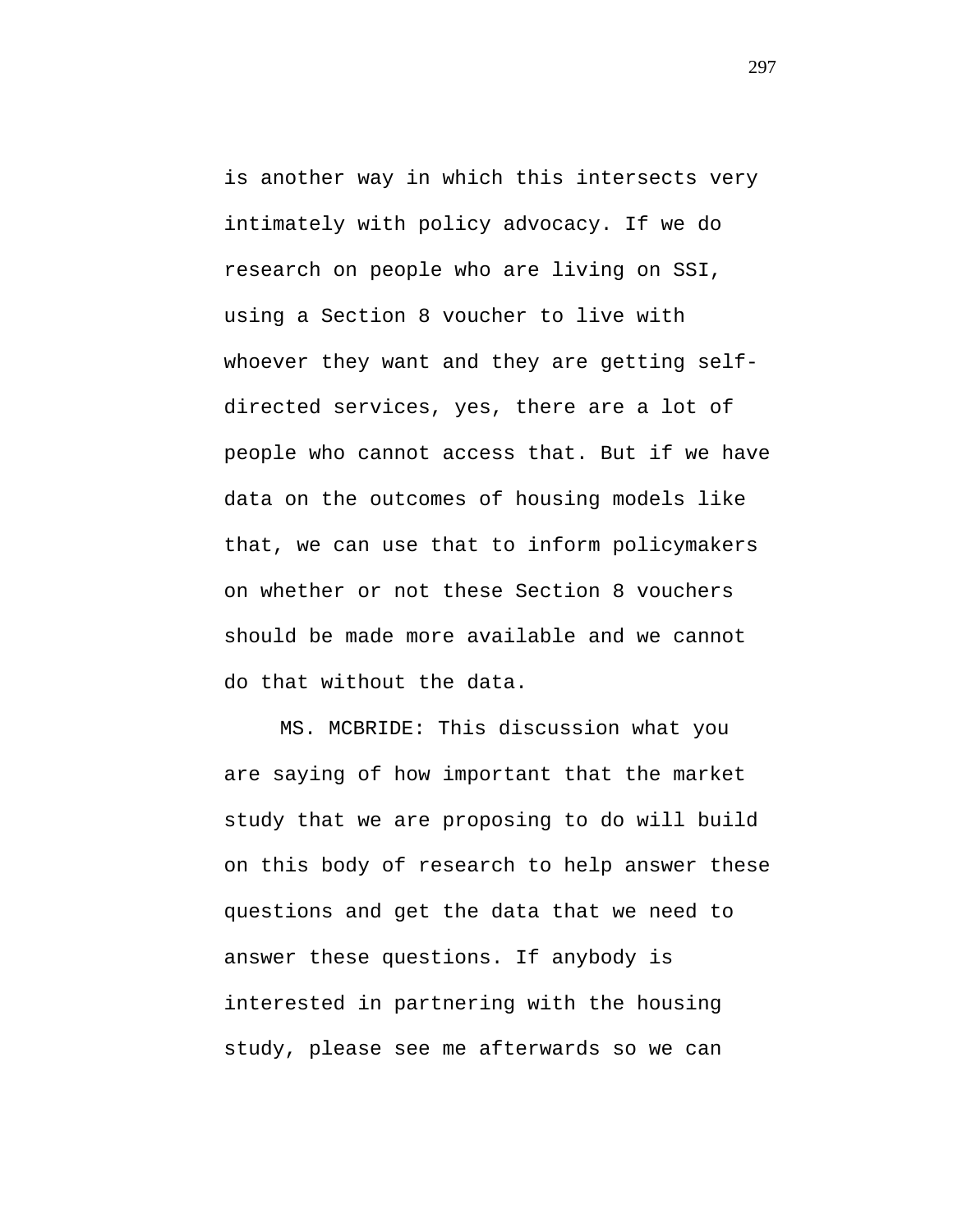is another way in which this intersects very intimately with policy advocacy. If we do research on people who are living on SSI, using a Section 8 voucher to live with whoever they want and they are getting selfdirected services, yes, there are a lot of people who cannot access that. But if we have data on the outcomes of housing models like that, we can use that to inform policymakers on whether or not these Section 8 vouchers should be made more available and we cannot do that without the data.

MS. MCBRIDE: This discussion what you are saying of how important that the market study that we are proposing to do will build on this body of research to help answer these questions and get the data that we need to answer these questions. If anybody is interested in partnering with the housing study, please see me afterwards so we can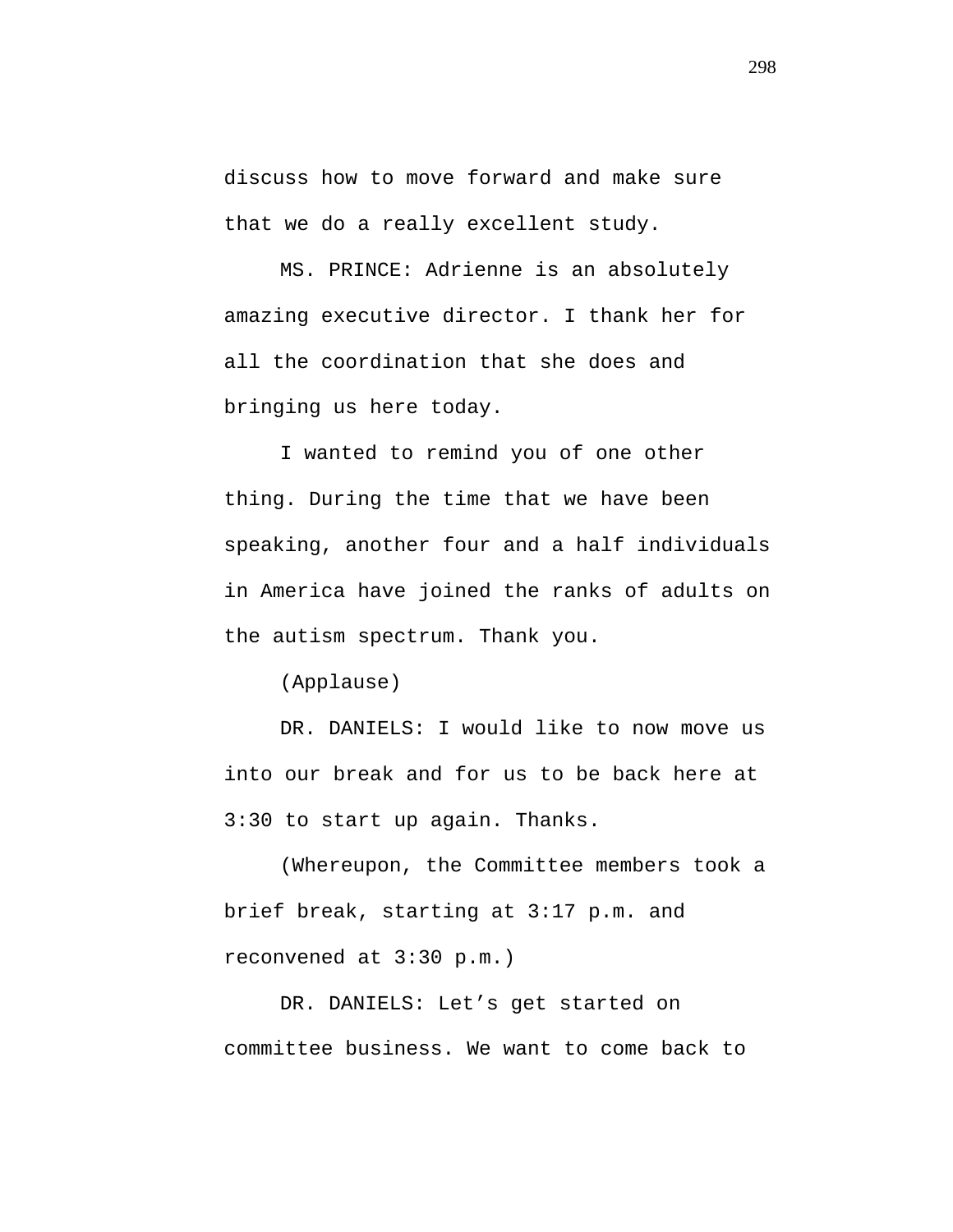discuss how to move forward and make sure that we do a really excellent study.

MS. PRINCE: Adrienne is an absolutely amazing executive director. I thank her for all the coordination that she does and bringing us here today.

I wanted to remind you of one other thing. During the time that we have been speaking, another four and a half individuals in America have joined the ranks of adults on the autism spectrum. Thank you.

(Applause)

DR. DANIELS: I would like to now move us into our break and for us to be back here at 3:30 to start up again. Thanks.

(Whereupon, the Committee members took a brief break, starting at 3:17 p.m. and reconvened at 3:30 p.m.)

DR. DANIELS: Let's get started on committee business. We want to come back to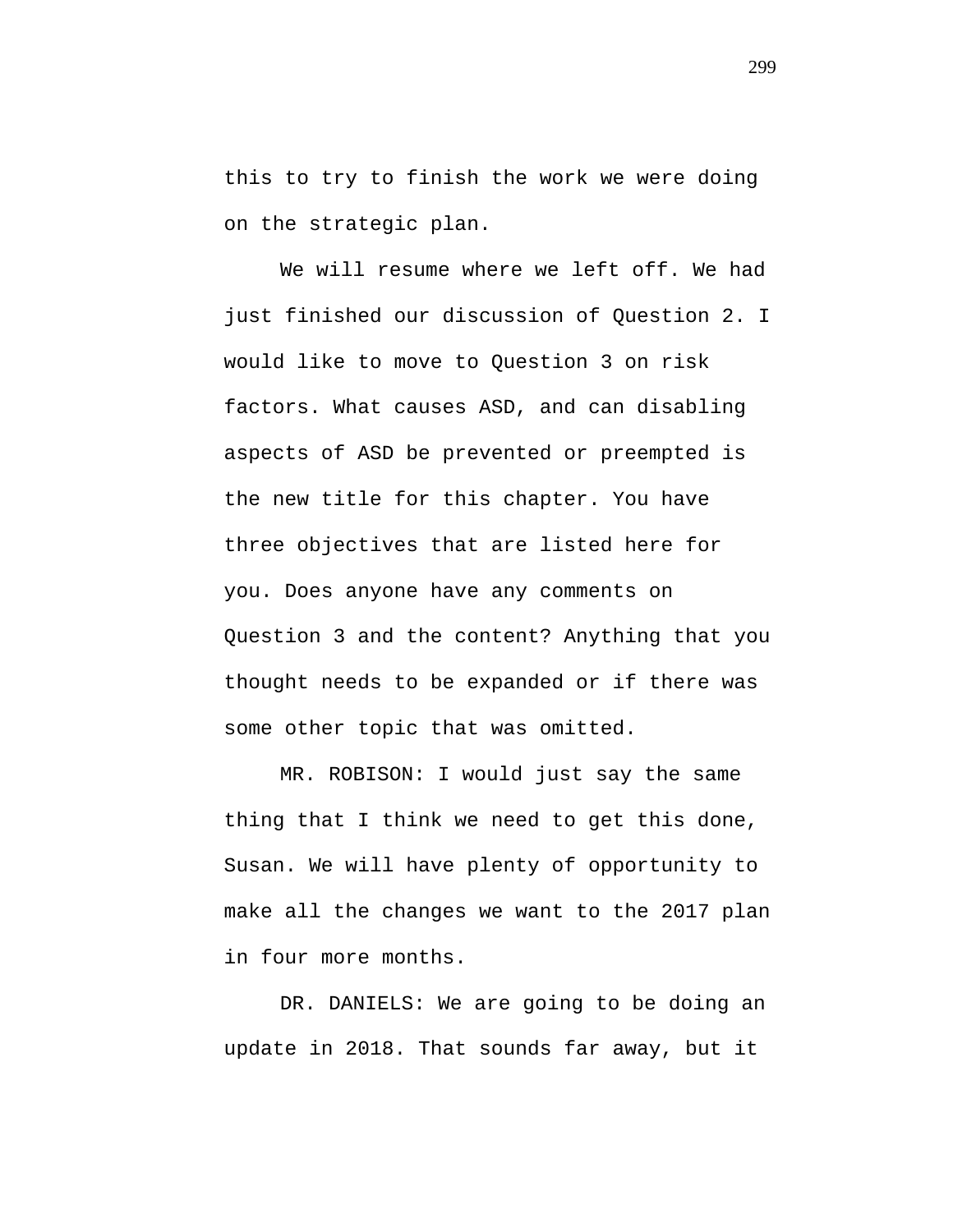this to try to finish the work we were doing on the strategic plan.

We will resume where we left off. We had just finished our discussion of Question 2. I would like to move to Question 3 on risk factors. What causes ASD, and can disabling aspects of ASD be prevented or preempted is the new title for this chapter. You have three objectives that are listed here for you. Does anyone have any comments on Question 3 and the content? Anything that you thought needs to be expanded or if there was some other topic that was omitted.

MR. ROBISON: I would just say the same thing that I think we need to get this done, Susan. We will have plenty of opportunity to make all the changes we want to the 2017 plan in four more months.

DR. DANIELS: We are going to be doing an update in 2018. That sounds far away, but it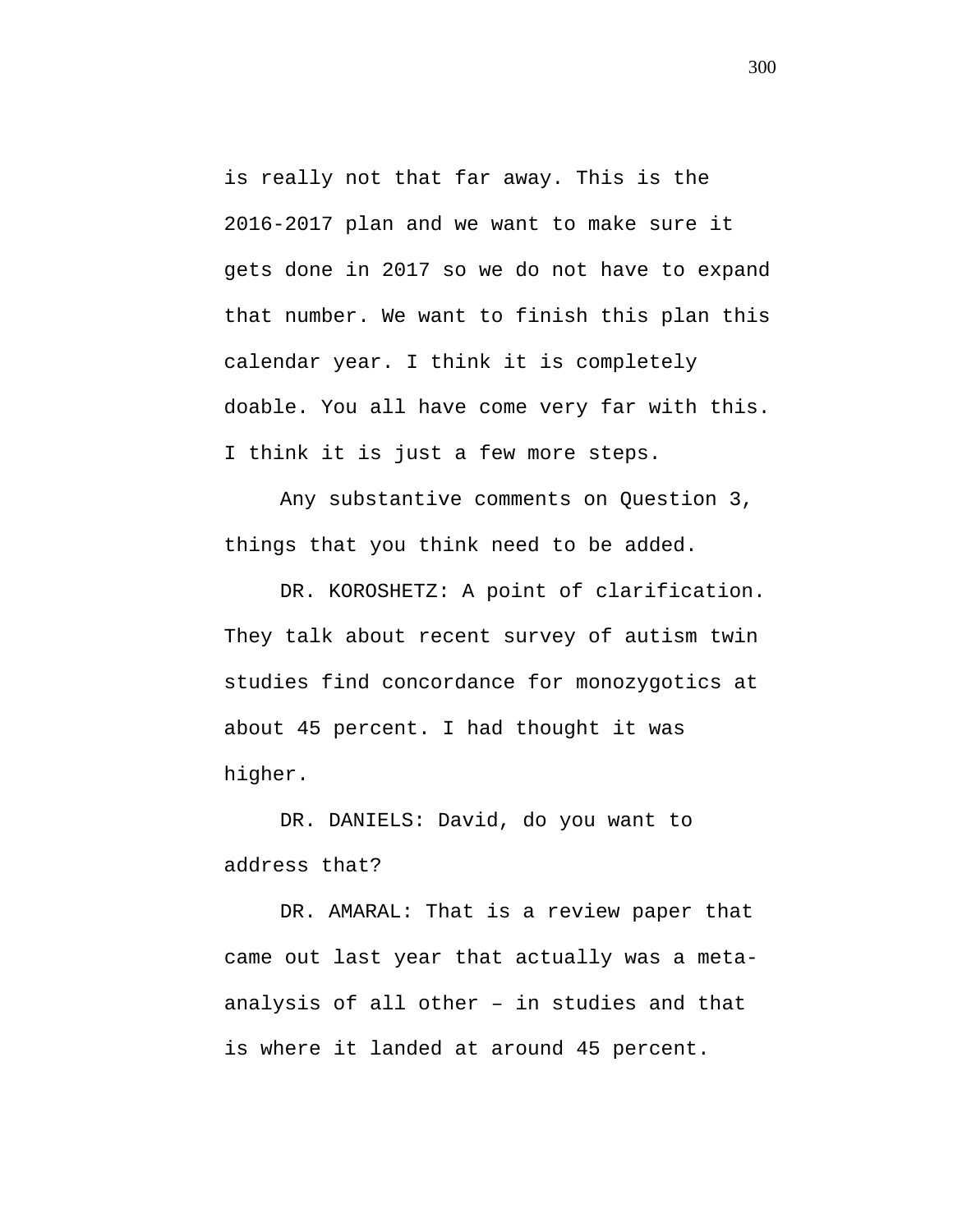is really not that far away. This is the 2016-2017 plan and we want to make sure it gets done in 2017 so we do not have to expand that number. We want to finish this plan this calendar year. I think it is completely doable. You all have come very far with this. I think it is just a few more steps.

Any substantive comments on Question 3, things that you think need to be added.

DR. KOROSHETZ: A point of clarification. They talk about recent survey of autism twin studies find concordance for monozygotics at about 45 percent. I had thought it was higher.

DR. DANIELS: David, do you want to address that?

DR. AMARAL: That is a review paper that came out last year that actually was a metaanalysis of all other – in studies and that is where it landed at around 45 percent.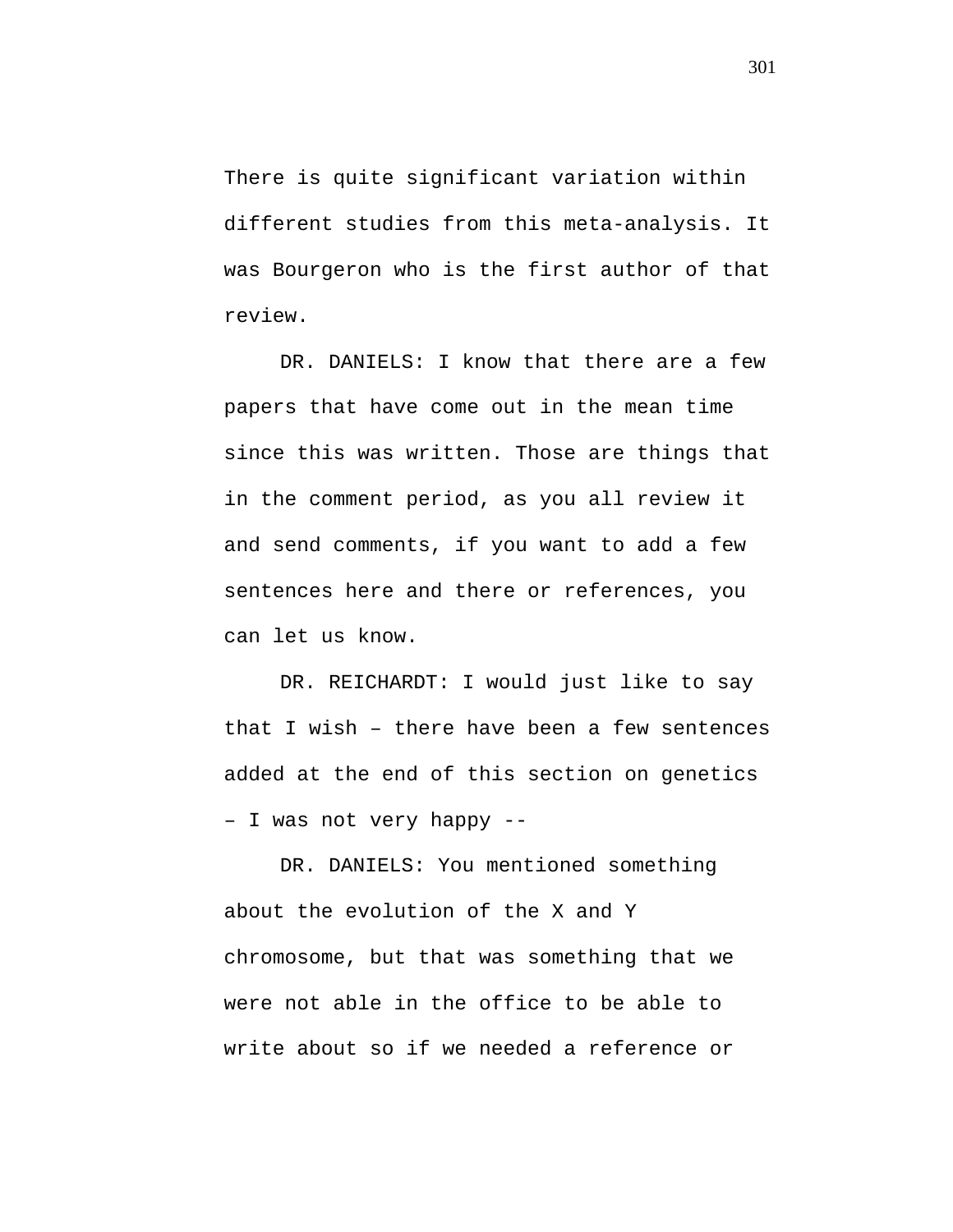There is quite significant variation within different studies from this meta-analysis. It was Bourgeron who is the first author of that review.

DR. DANIELS: I know that there are a few papers that have come out in the mean time since this was written. Those are things that in the comment period, as you all review it and send comments, if you want to add a few sentences here and there or references, you can let us know.

DR. REICHARDT: I would just like to say that I wish – there have been a few sentences added at the end of this section on genetics – I was not very happy --

DR. DANIELS: You mentioned something about the evolution of the X and Y chromosome, but that was something that we were not able in the office to be able to write about so if we needed a reference or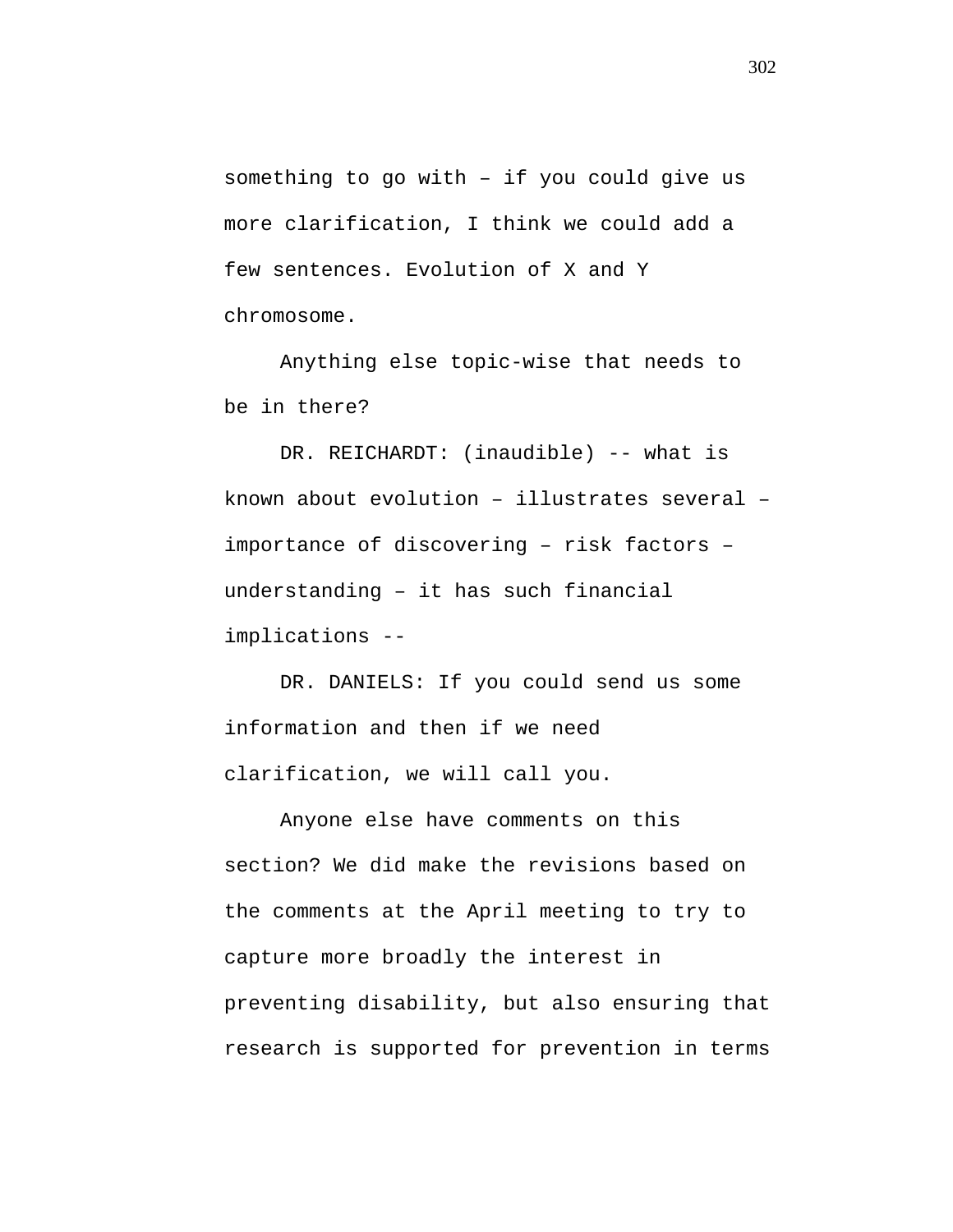something to go with – if you could give us more clarification, I think we could add a few sentences. Evolution of X and Y chromosome.

Anything else topic-wise that needs to be in there?

DR. REICHARDT: (inaudible) -- what is known about evolution – illustrates several – importance of discovering – risk factors – understanding – it has such financial implications --

DR. DANIELS: If you could send us some information and then if we need clarification, we will call you.

Anyone else have comments on this section? We did make the revisions based on the comments at the April meeting to try to capture more broadly the interest in preventing disability, but also ensuring that research is supported for prevention in terms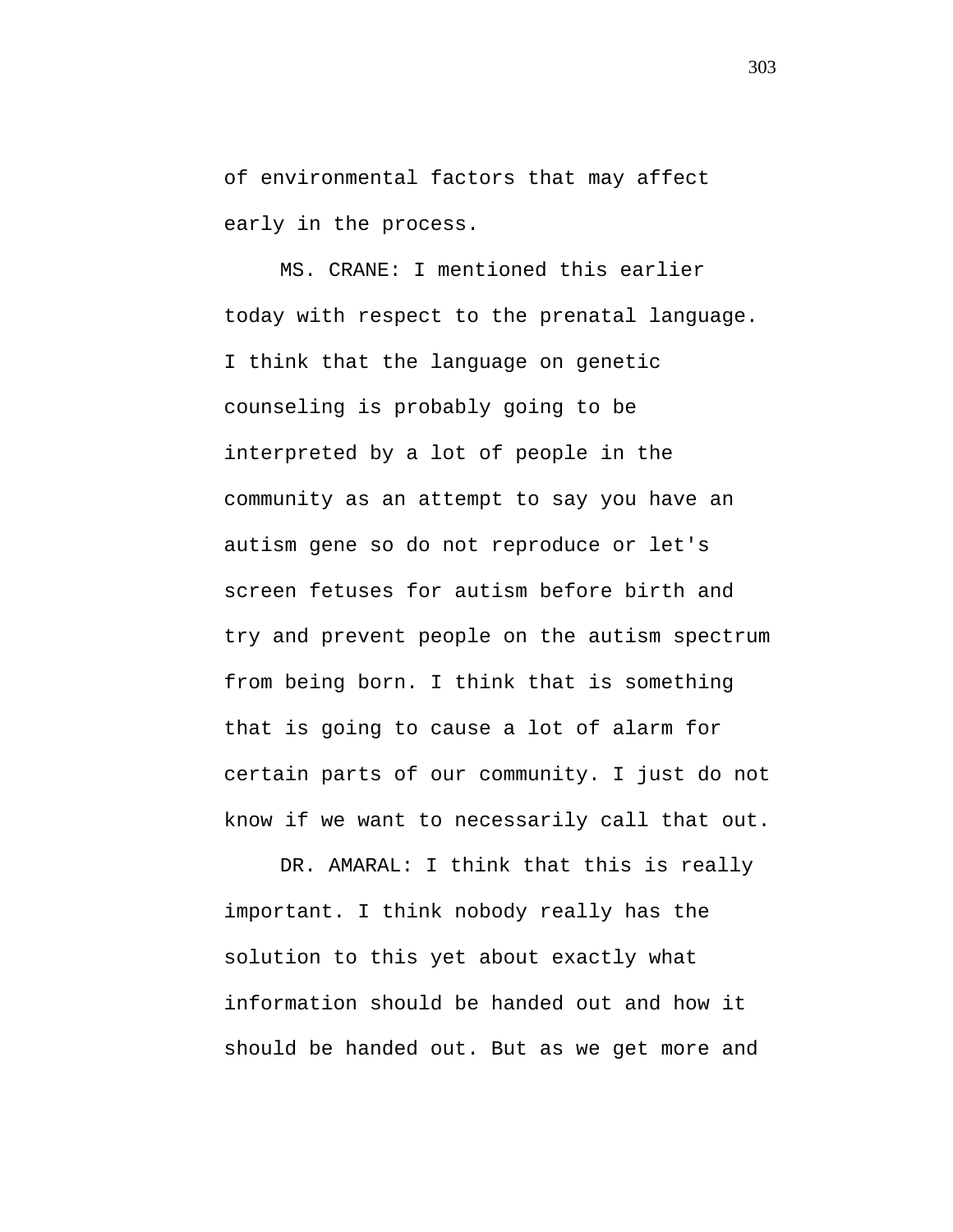of environmental factors that may affect early in the process.

MS. CRANE: I mentioned this earlier today with respect to the prenatal language. I think that the language on genetic counseling is probably going to be interpreted by a lot of people in the community as an attempt to say you have an autism gene so do not reproduce or let's screen fetuses for autism before birth and try and prevent people on the autism spectrum from being born. I think that is something that is going to cause a lot of alarm for certain parts of our community. I just do not know if we want to necessarily call that out.

DR. AMARAL: I think that this is really important. I think nobody really has the solution to this yet about exactly what information should be handed out and how it should be handed out. But as we get more and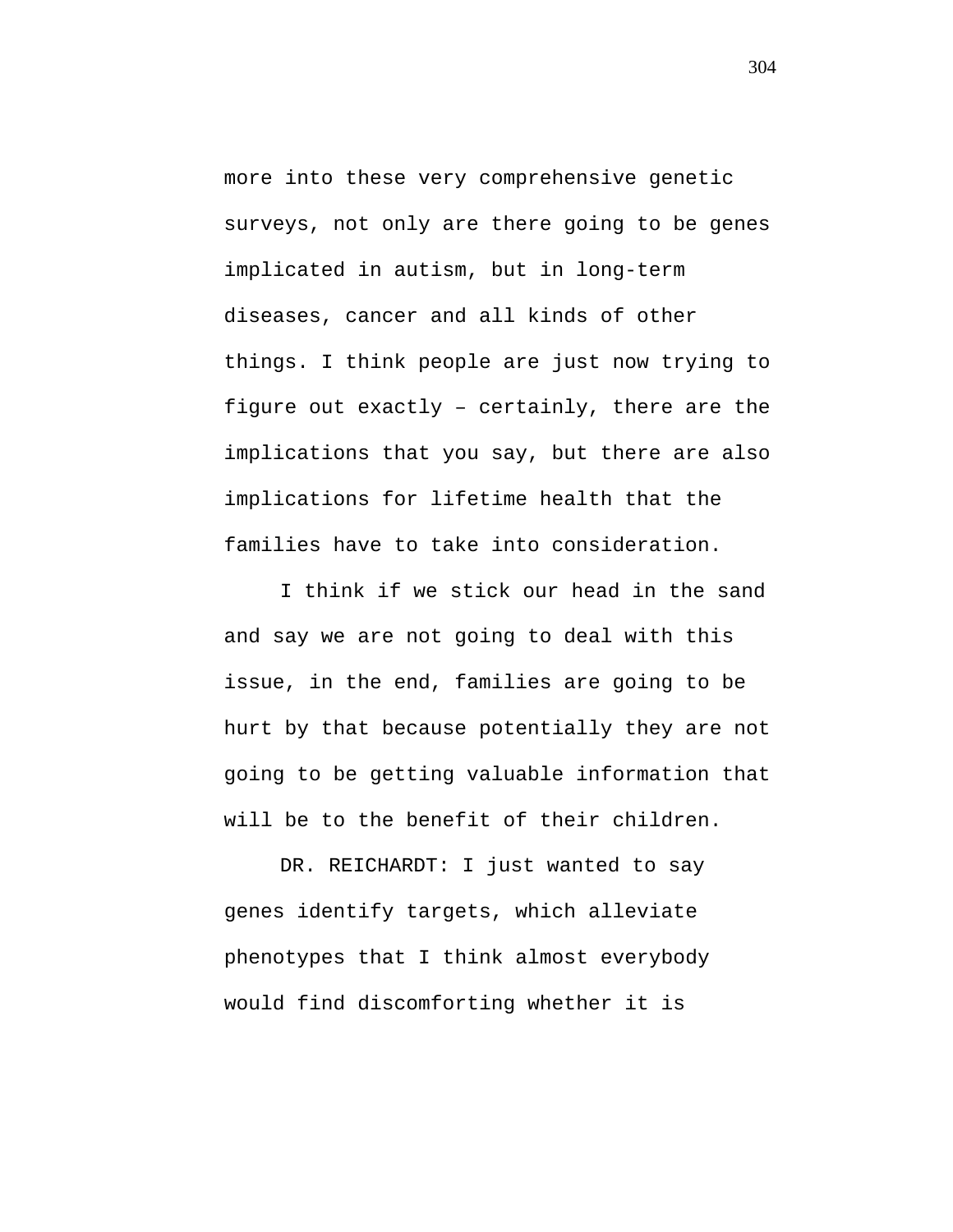more into these very comprehensive genetic surveys, not only are there going to be genes implicated in autism, but in long-term diseases, cancer and all kinds of other things. I think people are just now trying to figure out exactly – certainly, there are the implications that you say, but there are also implications for lifetime health that the families have to take into consideration.

I think if we stick our head in the sand and say we are not going to deal with this issue, in the end, families are going to be hurt by that because potentially they are not going to be getting valuable information that will be to the benefit of their children.

DR. REICHARDT: I just wanted to say genes identify targets, which alleviate phenotypes that I think almost everybody would find discomforting whether it is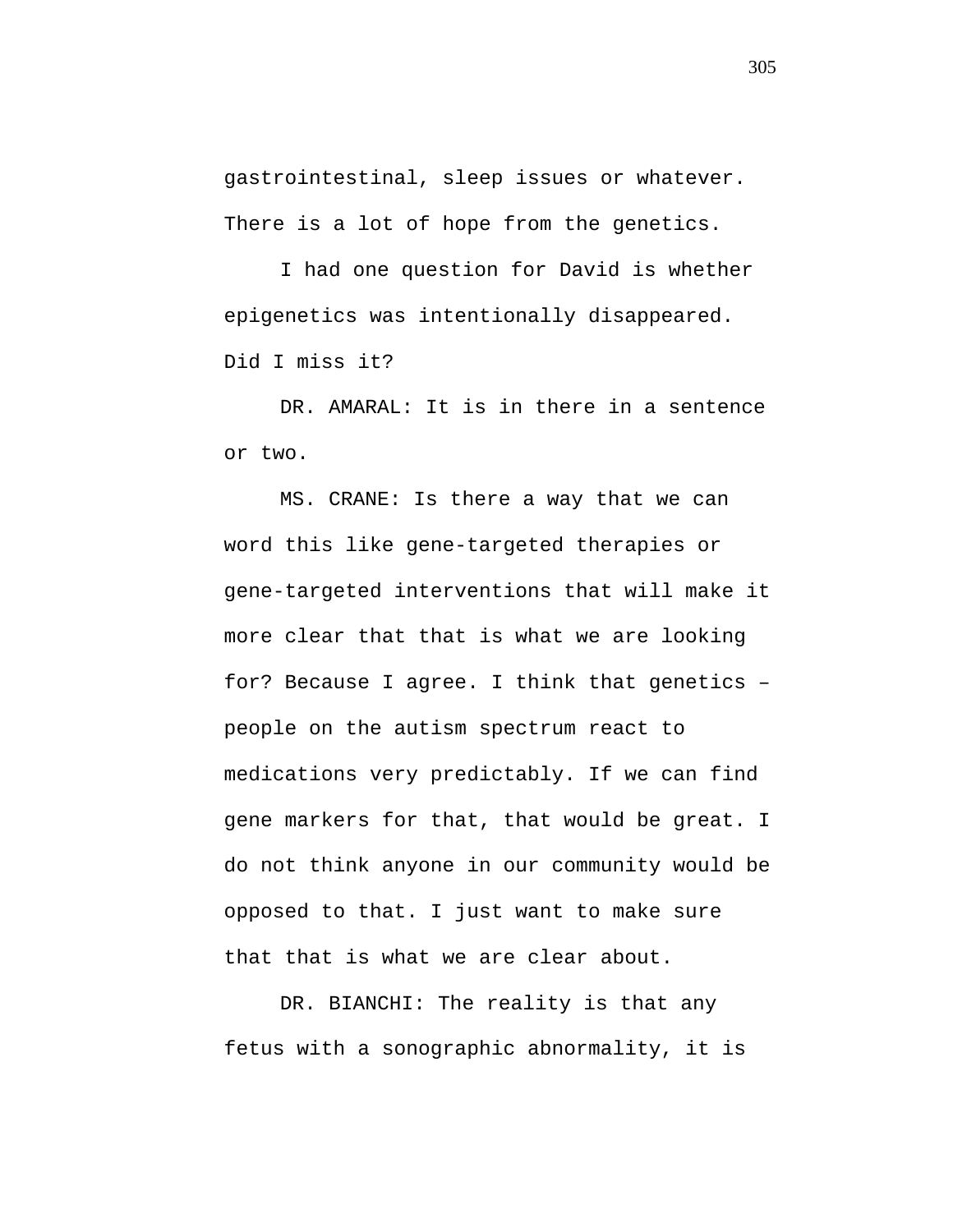gastrointestinal, sleep issues or whatever. There is a lot of hope from the genetics.

I had one question for David is whether epigenetics was intentionally disappeared. Did I miss it?

DR. AMARAL: It is in there in a sentence or two.

MS. CRANE: Is there a way that we can word this like gene-targeted therapies or gene-targeted interventions that will make it more clear that that is what we are looking for? Because I agree. I think that genetics – people on the autism spectrum react to medications very predictably. If we can find gene markers for that, that would be great. I do not think anyone in our community would be opposed to that. I just want to make sure that that is what we are clear about.

DR. BIANCHI: The reality is that any fetus with a sonographic abnormality, it is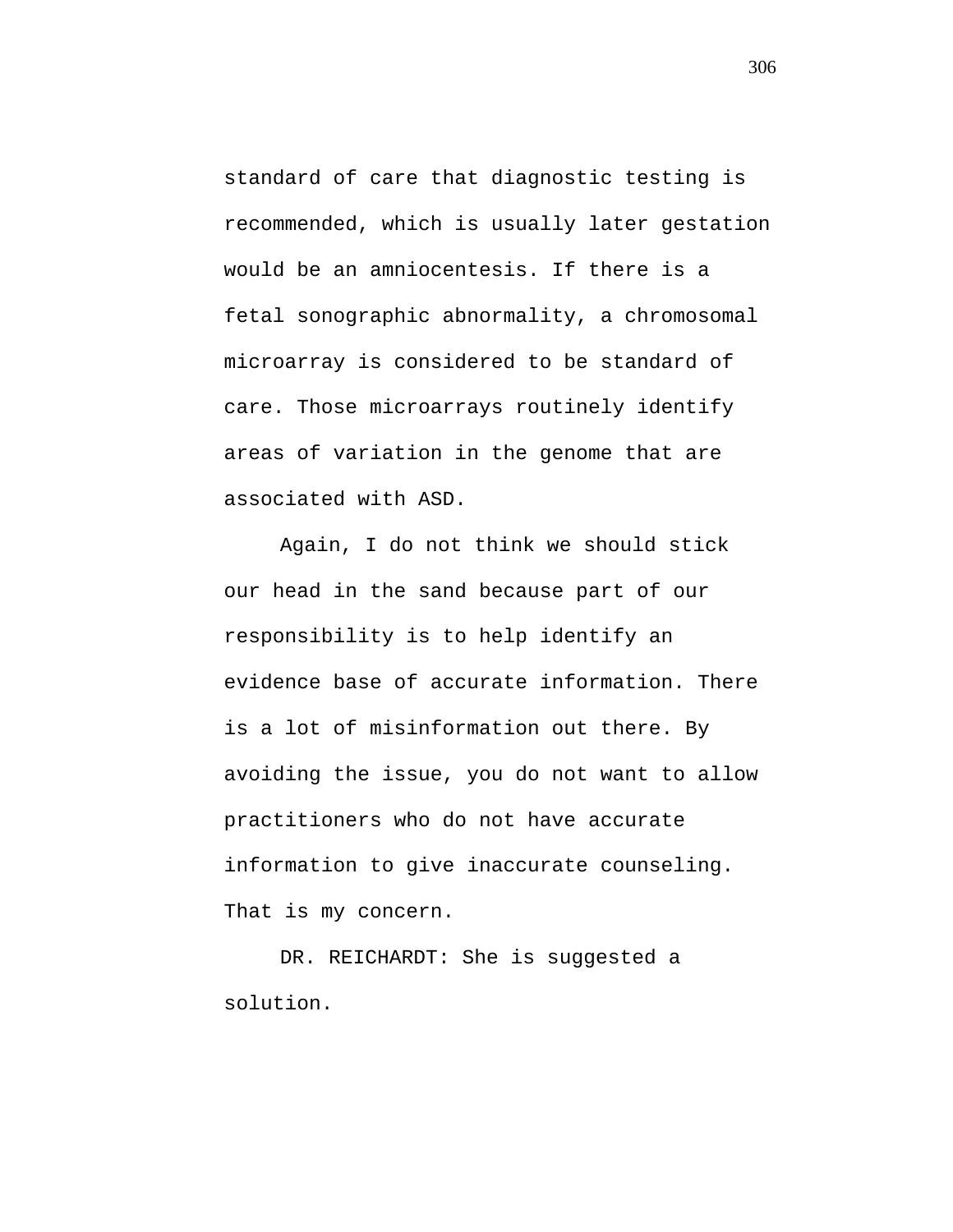standard of care that diagnostic testing is recommended, which is usually later gestation would be an amniocentesis. If there is a fetal sonographic abnormality, a chromosomal microarray is considered to be standard of care. Those microarrays routinely identify areas of variation in the genome that are associated with ASD.

Again, I do not think we should stick our head in the sand because part of our responsibility is to help identify an evidence base of accurate information. There is a lot of misinformation out there. By avoiding the issue, you do not want to allow practitioners who do not have accurate information to give inaccurate counseling. That is my concern.

DR. REICHARDT: She is suggested a solution.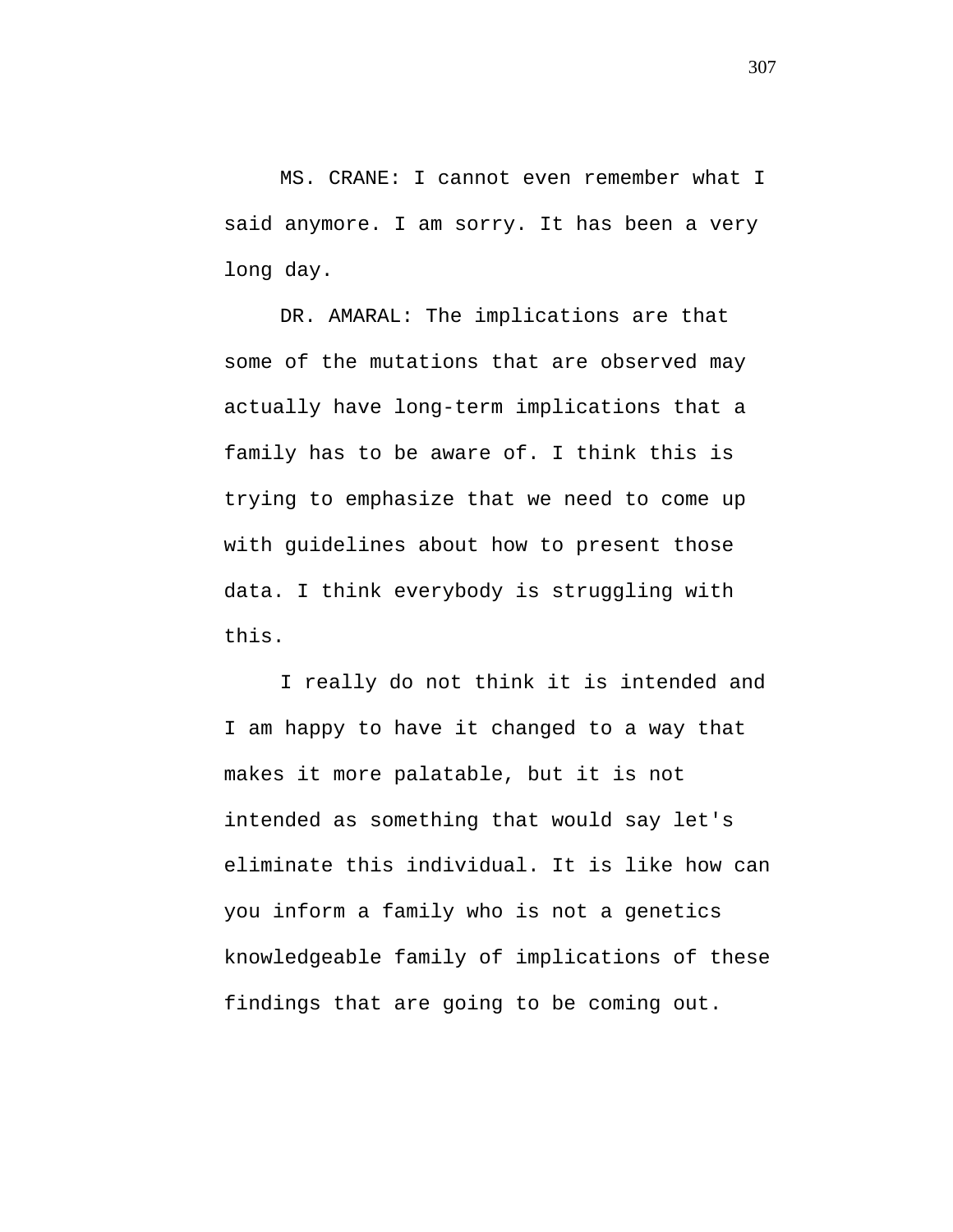MS. CRANE: I cannot even remember what I said anymore. I am sorry. It has been a very long day.

DR. AMARAL: The implications are that some of the mutations that are observed may actually have long-term implications that a family has to be aware of. I think this is trying to emphasize that we need to come up with guidelines about how to present those data. I think everybody is struggling with this.

I really do not think it is intended and I am happy to have it changed to a way that makes it more palatable, but it is not intended as something that would say let's eliminate this individual. It is like how can you inform a family who is not a genetics knowledgeable family of implications of these findings that are going to be coming out.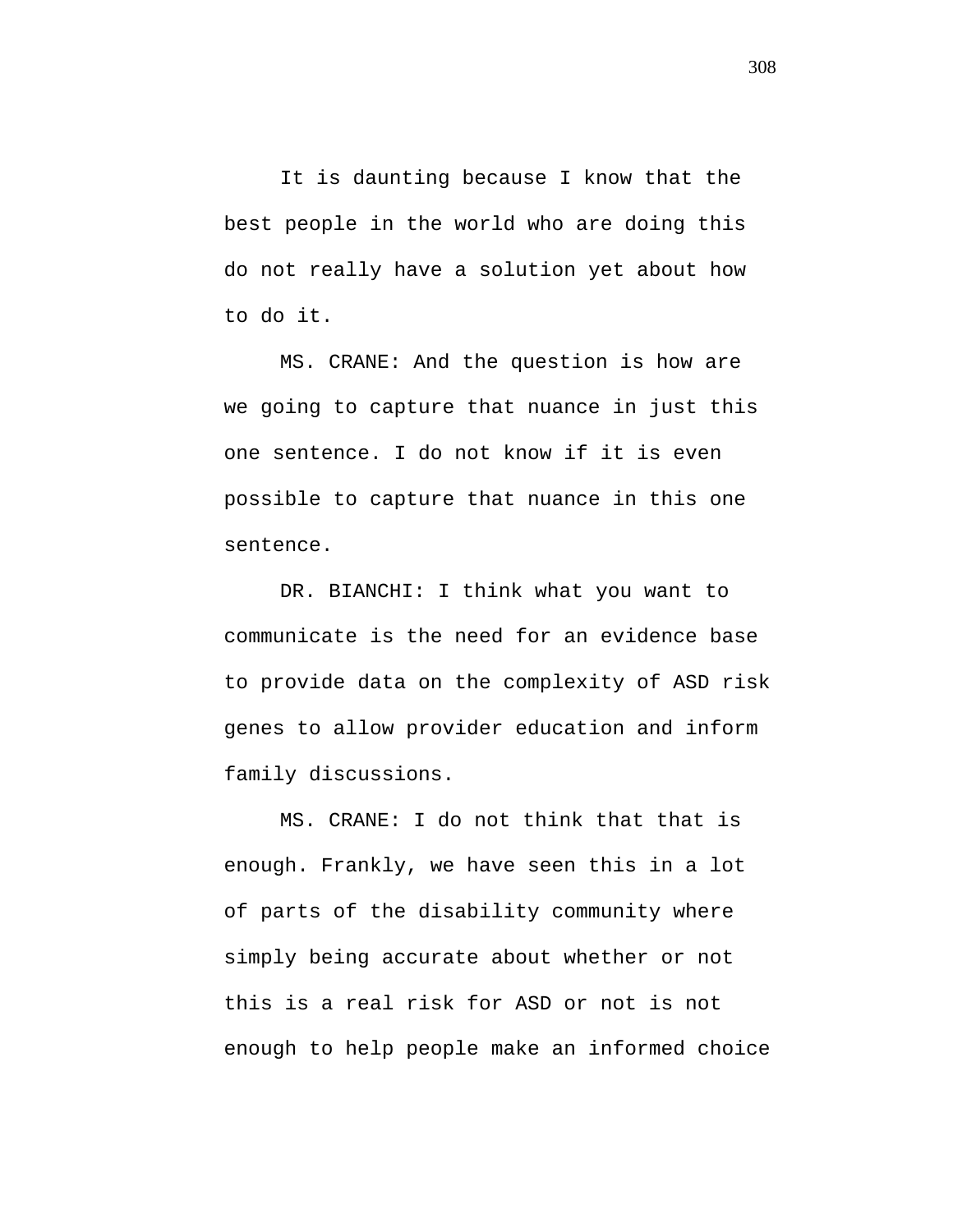It is daunting because I know that the best people in the world who are doing this do not really have a solution yet about how to do it.

MS. CRANE: And the question is how are we going to capture that nuance in just this one sentence. I do not know if it is even possible to capture that nuance in this one sentence.

DR. BIANCHI: I think what you want to communicate is the need for an evidence base to provide data on the complexity of ASD risk genes to allow provider education and inform family discussions.

MS. CRANE: I do not think that that is enough. Frankly, we have seen this in a lot of parts of the disability community where simply being accurate about whether or not this is a real risk for ASD or not is not enough to help people make an informed choice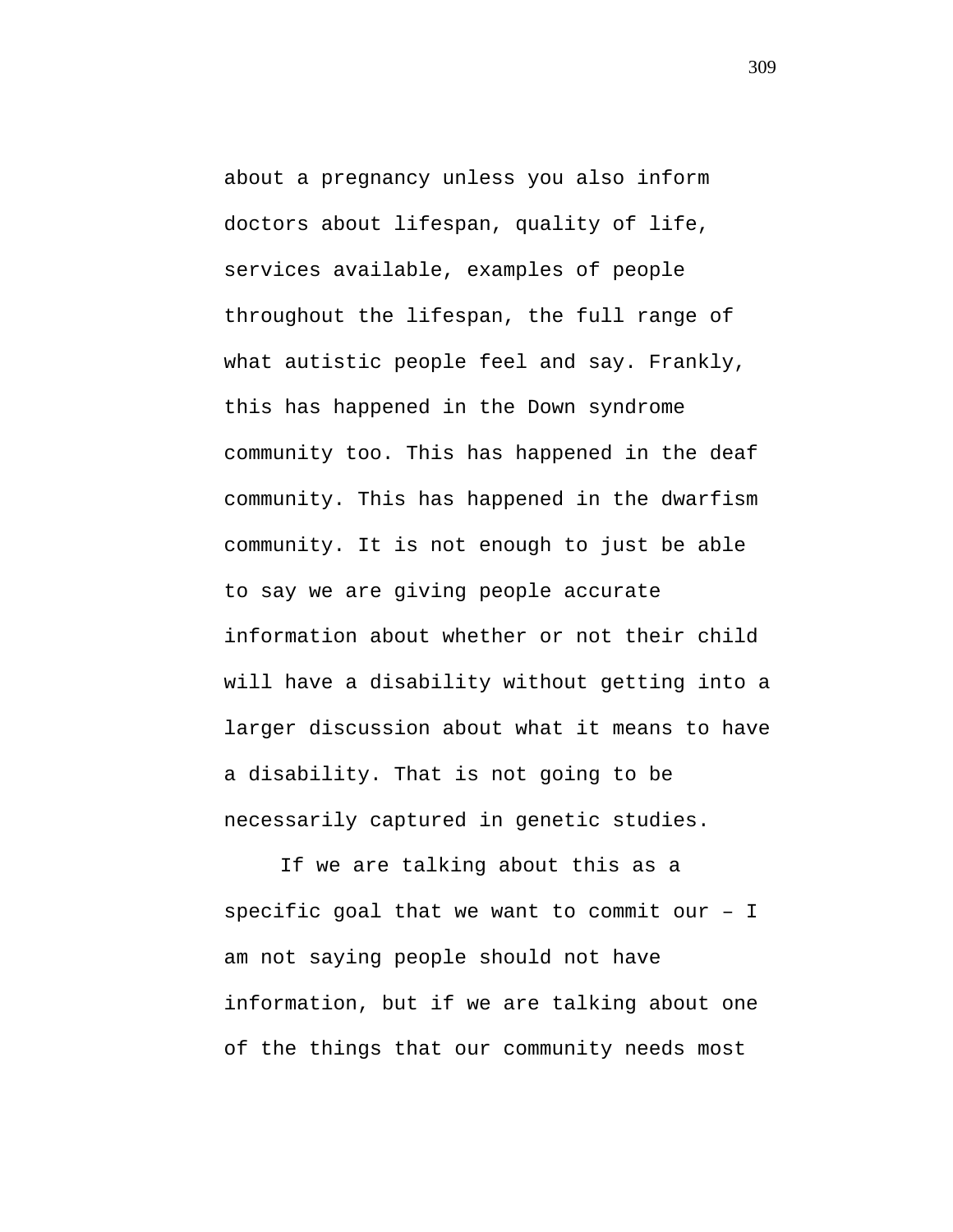about a pregnancy unless you also inform doctors about lifespan, quality of life, services available, examples of people throughout the lifespan, the full range of what autistic people feel and say. Frankly, this has happened in the Down syndrome community too. This has happened in the deaf community. This has happened in the dwarfism community. It is not enough to just be able to say we are giving people accurate information about whether or not their child will have a disability without getting into a larger discussion about what it means to have a disability. That is not going to be necessarily captured in genetic studies.

If we are talking about this as a specific goal that we want to commit our – I am not saying people should not have information, but if we are talking about one of the things that our community needs most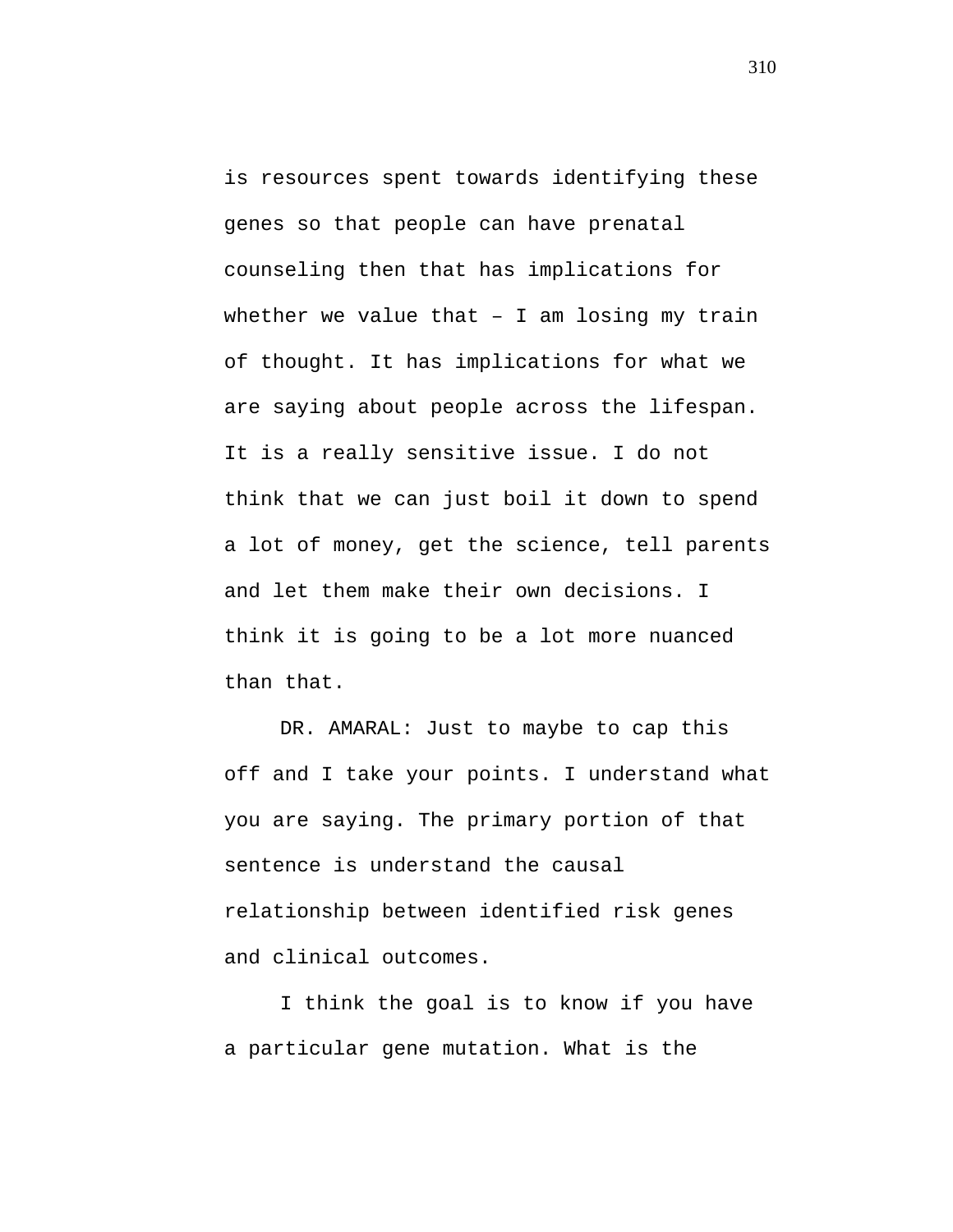is resources spent towards identifying these genes so that people can have prenatal counseling then that has implications for whether we value that  $-$  I am losing my train of thought. It has implications for what we are saying about people across the lifespan. It is a really sensitive issue. I do not think that we can just boil it down to spend a lot of money, get the science, tell parents and let them make their own decisions. I think it is going to be a lot more nuanced than that.

DR. AMARAL: Just to maybe to cap this off and I take your points. I understand what you are saying. The primary portion of that sentence is understand the causal relationship between identified risk genes and clinical outcomes.

I think the goal is to know if you have a particular gene mutation. What is the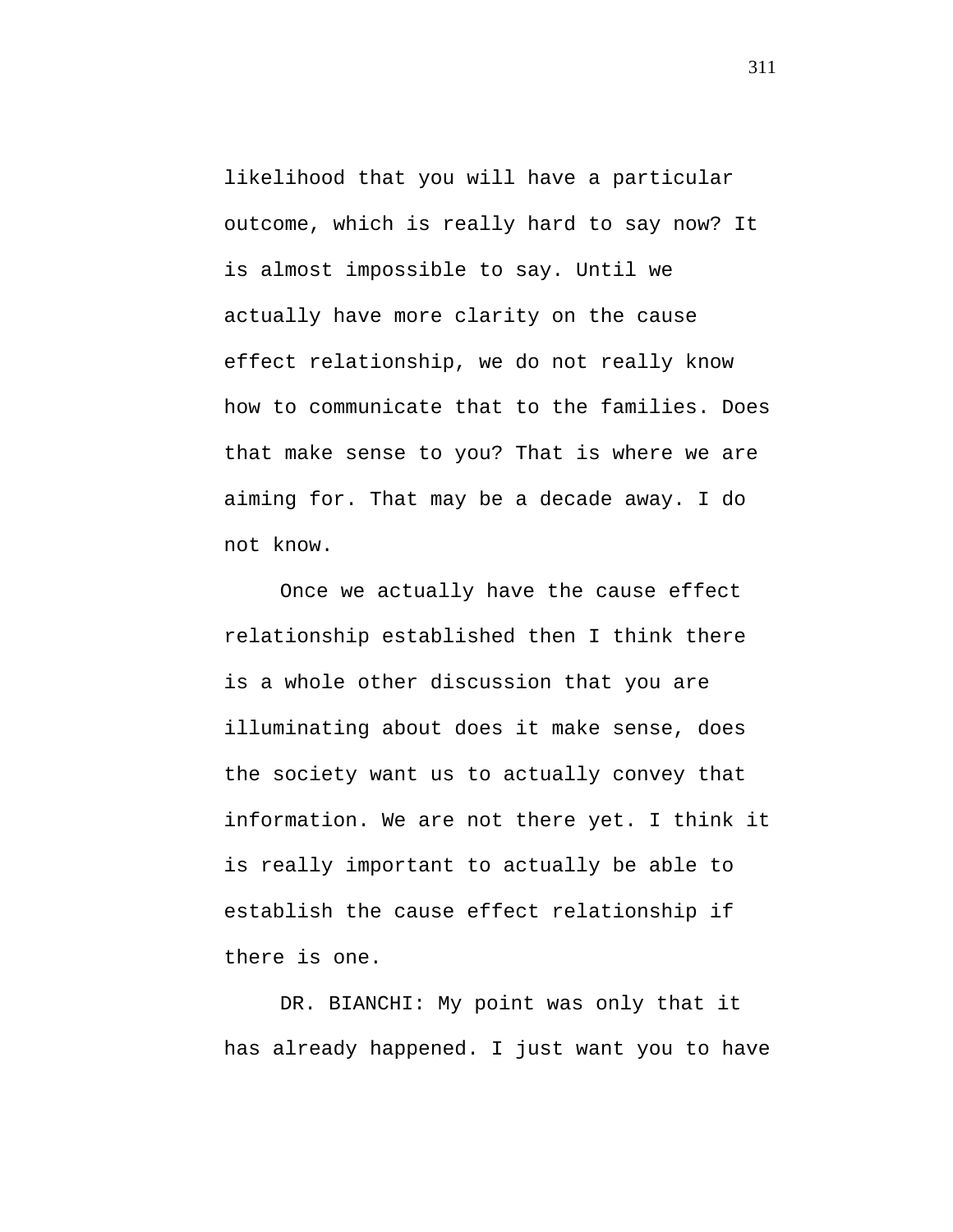likelihood that you will have a particular outcome, which is really hard to say now? It is almost impossible to say. Until we actually have more clarity on the cause effect relationship, we do not really know how to communicate that to the families. Does that make sense to you? That is where we are aiming for. That may be a decade away. I do not know.

Once we actually have the cause effect relationship established then I think there is a whole other discussion that you are illuminating about does it make sense, does the society want us to actually convey that information. We are not there yet. I think it is really important to actually be able to establish the cause effect relationship if there is one.

DR. BIANCHI: My point was only that it has already happened. I just want you to have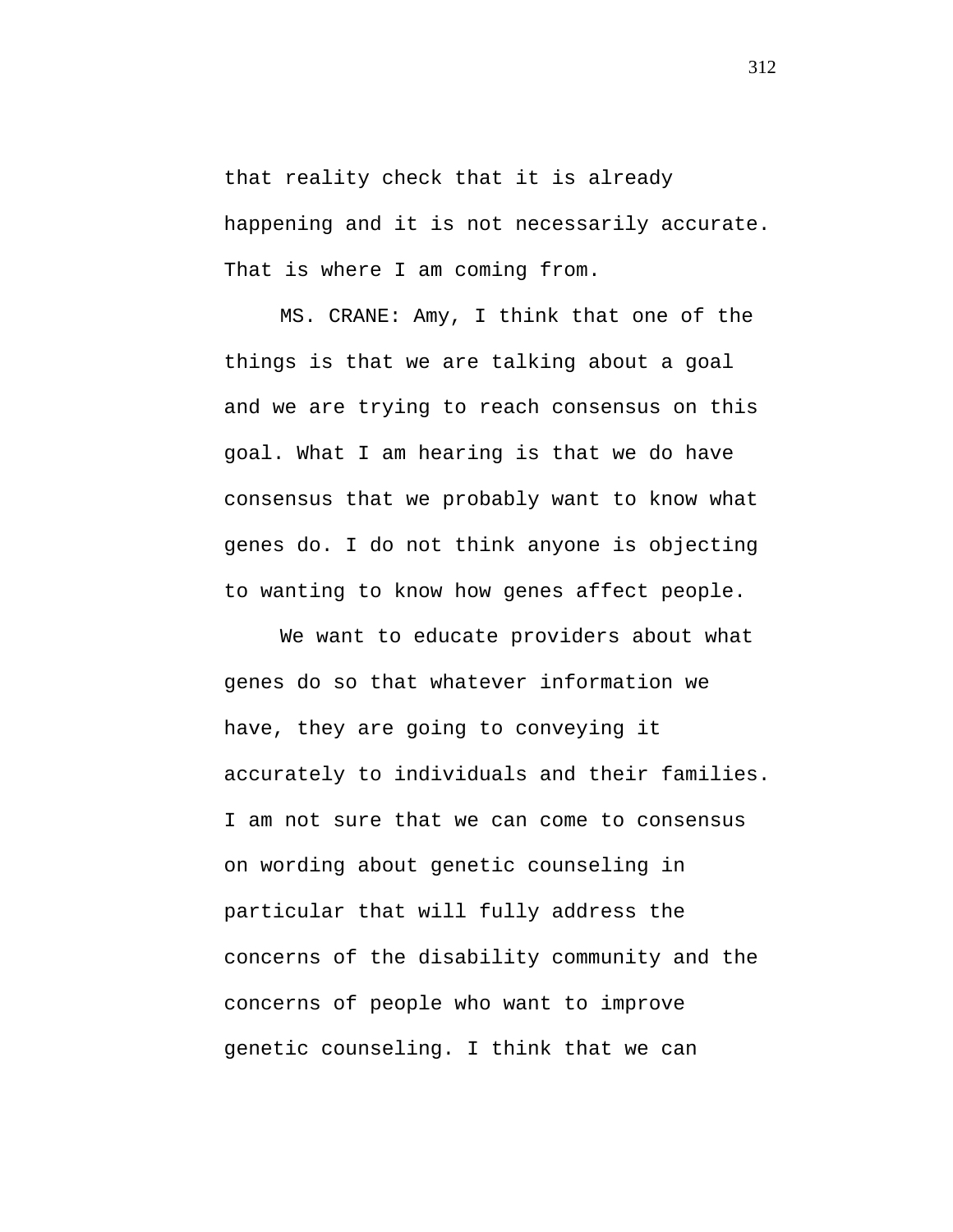that reality check that it is already happening and it is not necessarily accurate. That is where I am coming from.

MS. CRANE: Amy, I think that one of the things is that we are talking about a goal and we are trying to reach consensus on this goal. What I am hearing is that we do have consensus that we probably want to know what genes do. I do not think anyone is objecting to wanting to know how genes affect people.

We want to educate providers about what genes do so that whatever information we have, they are going to conveying it accurately to individuals and their families. I am not sure that we can come to consensus on wording about genetic counseling in particular that will fully address the concerns of the disability community and the concerns of people who want to improve genetic counseling. I think that we can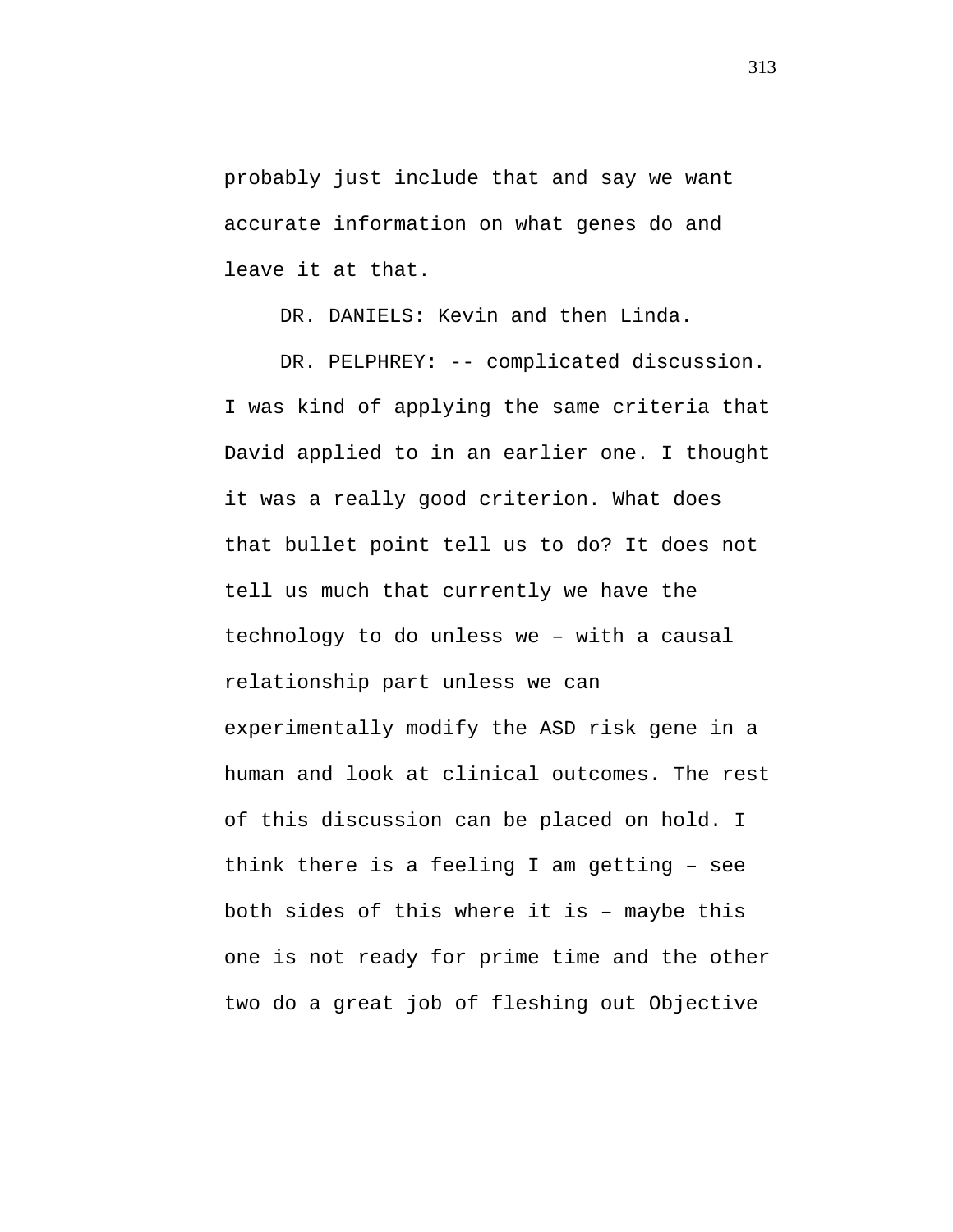probably just include that and say we want accurate information on what genes do and leave it at that.

DR. DANIELS: Kevin and then Linda.

DR. PELPHREY: -- complicated discussion. I was kind of applying the same criteria that David applied to in an earlier one. I thought it was a really good criterion. What does that bullet point tell us to do? It does not tell us much that currently we have the technology to do unless we – with a causal relationship part unless we can experimentally modify the ASD risk gene in a human and look at clinical outcomes. The rest of this discussion can be placed on hold. I think there is a feeling I am getting – see both sides of this where it is – maybe this one is not ready for prime time and the other two do a great job of fleshing out Objective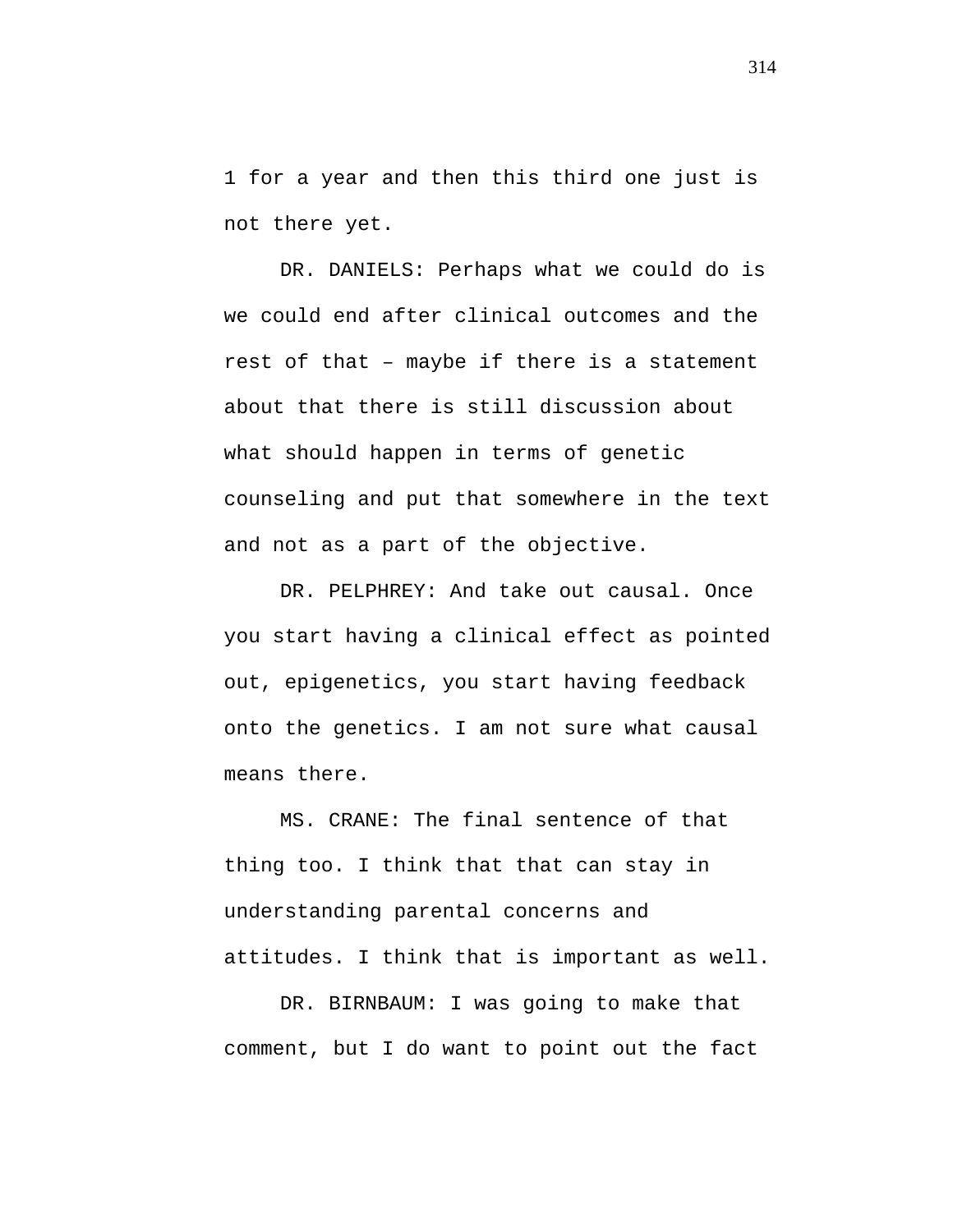1 for a year and then this third one just is not there yet.

DR. DANIELS: Perhaps what we could do is we could end after clinical outcomes and the rest of that – maybe if there is a statement about that there is still discussion about what should happen in terms of genetic counseling and put that somewhere in the text and not as a part of the objective.

DR. PELPHREY: And take out causal. Once you start having a clinical effect as pointed out, epigenetics, you start having feedback onto the genetics. I am not sure what causal means there.

MS. CRANE: The final sentence of that thing too. I think that that can stay in understanding parental concerns and attitudes. I think that is important as well.

DR. BIRNBAUM: I was going to make that comment, but I do want to point out the fact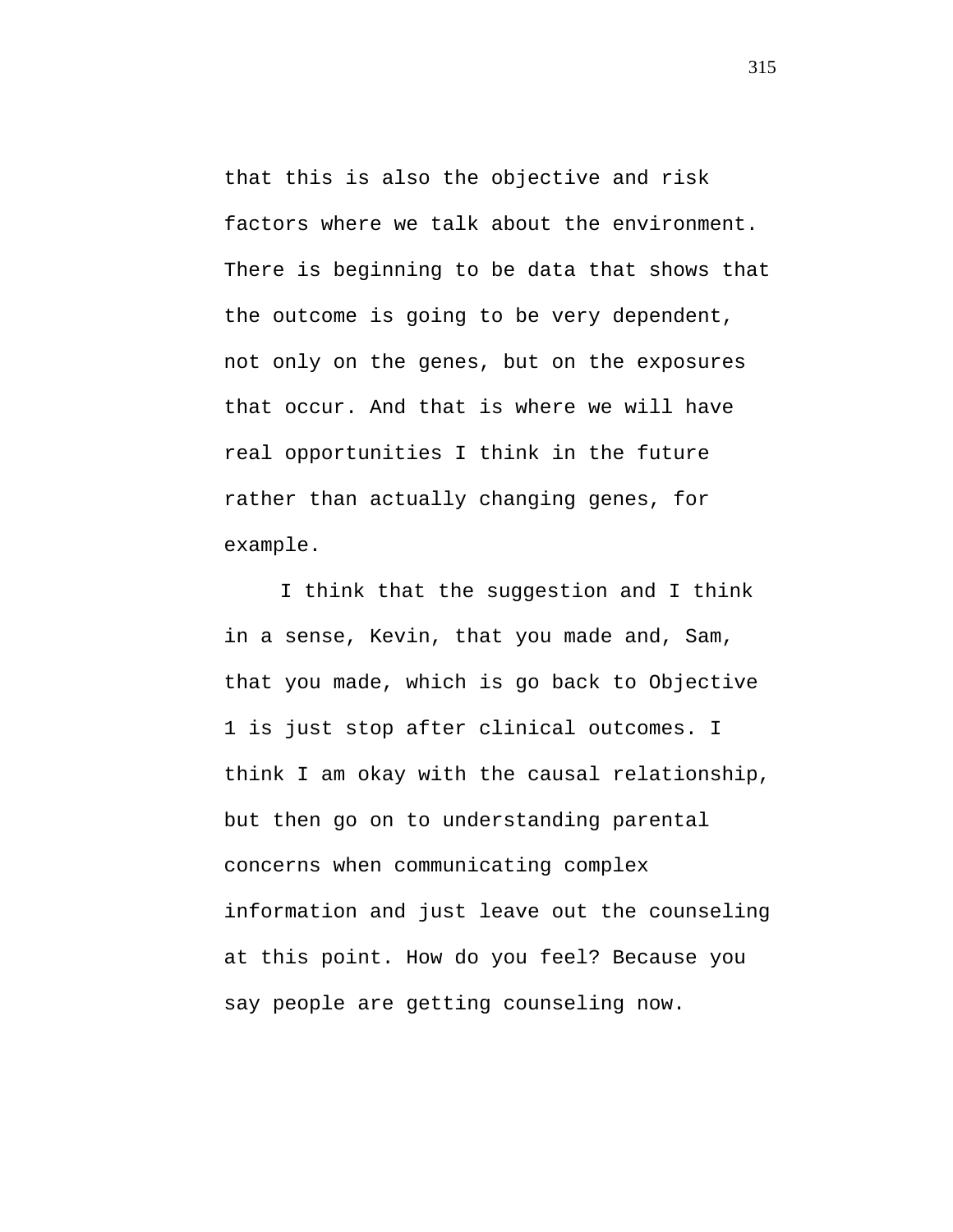that this is also the objective and risk factors where we talk about the environment. There is beginning to be data that shows that the outcome is going to be very dependent, not only on the genes, but on the exposures that occur. And that is where we will have real opportunities I think in the future rather than actually changing genes, for example.

I think that the suggestion and I think in a sense, Kevin, that you made and, Sam, that you made, which is go back to Objective 1 is just stop after clinical outcomes. I think I am okay with the causal relationship, but then go on to understanding parental concerns when communicating complex information and just leave out the counseling at this point. How do you feel? Because you say people are getting counseling now.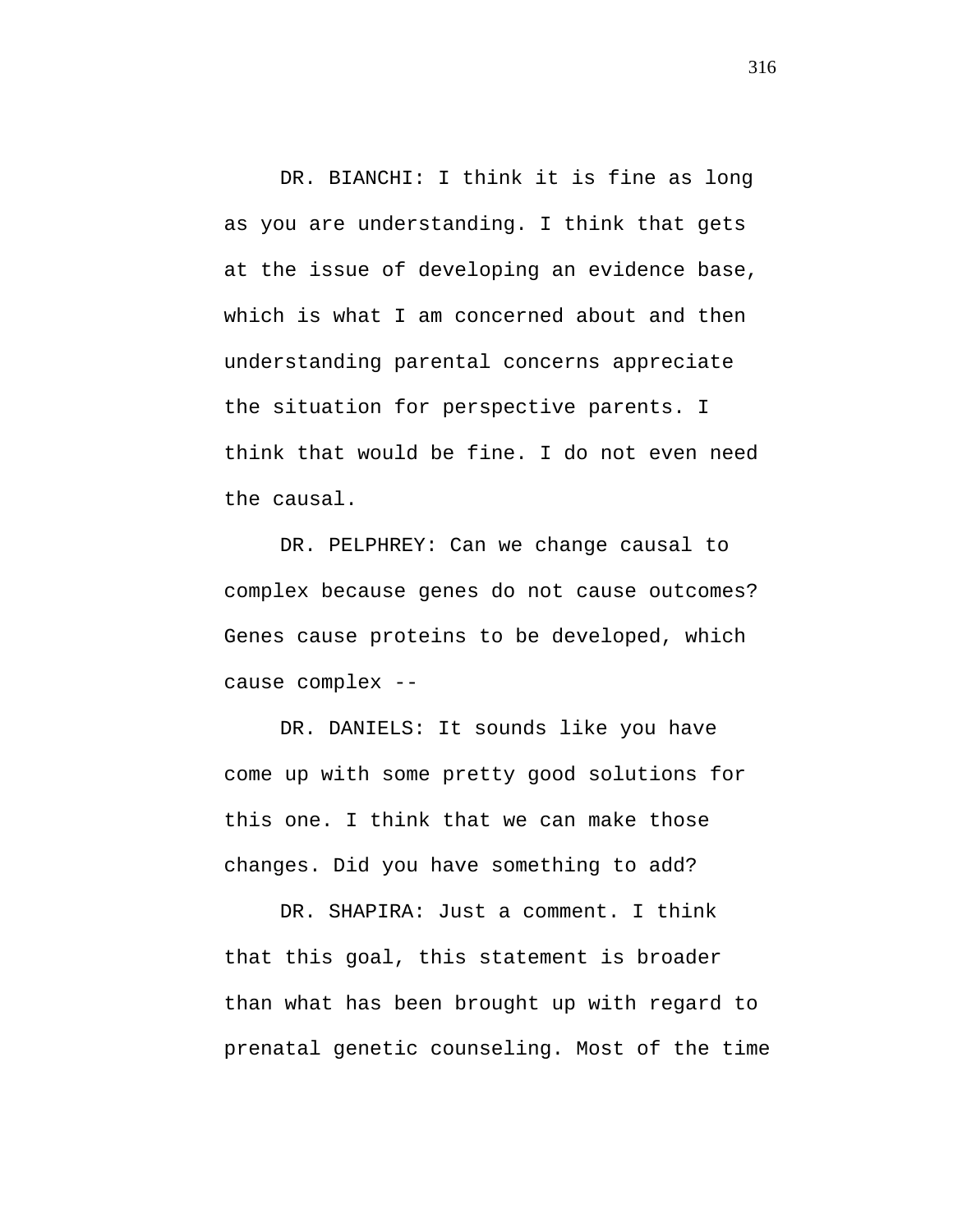DR. BIANCHI: I think it is fine as long as you are understanding. I think that gets at the issue of developing an evidence base, which is what I am concerned about and then understanding parental concerns appreciate the situation for perspective parents. I think that would be fine. I do not even need the causal.

DR. PELPHREY: Can we change causal to complex because genes do not cause outcomes? Genes cause proteins to be developed, which cause complex --

DR. DANIELS: It sounds like you have come up with some pretty good solutions for this one. I think that we can make those changes. Did you have something to add?

DR. SHAPIRA: Just a comment. I think that this goal, this statement is broader than what has been brought up with regard to prenatal genetic counseling. Most of the time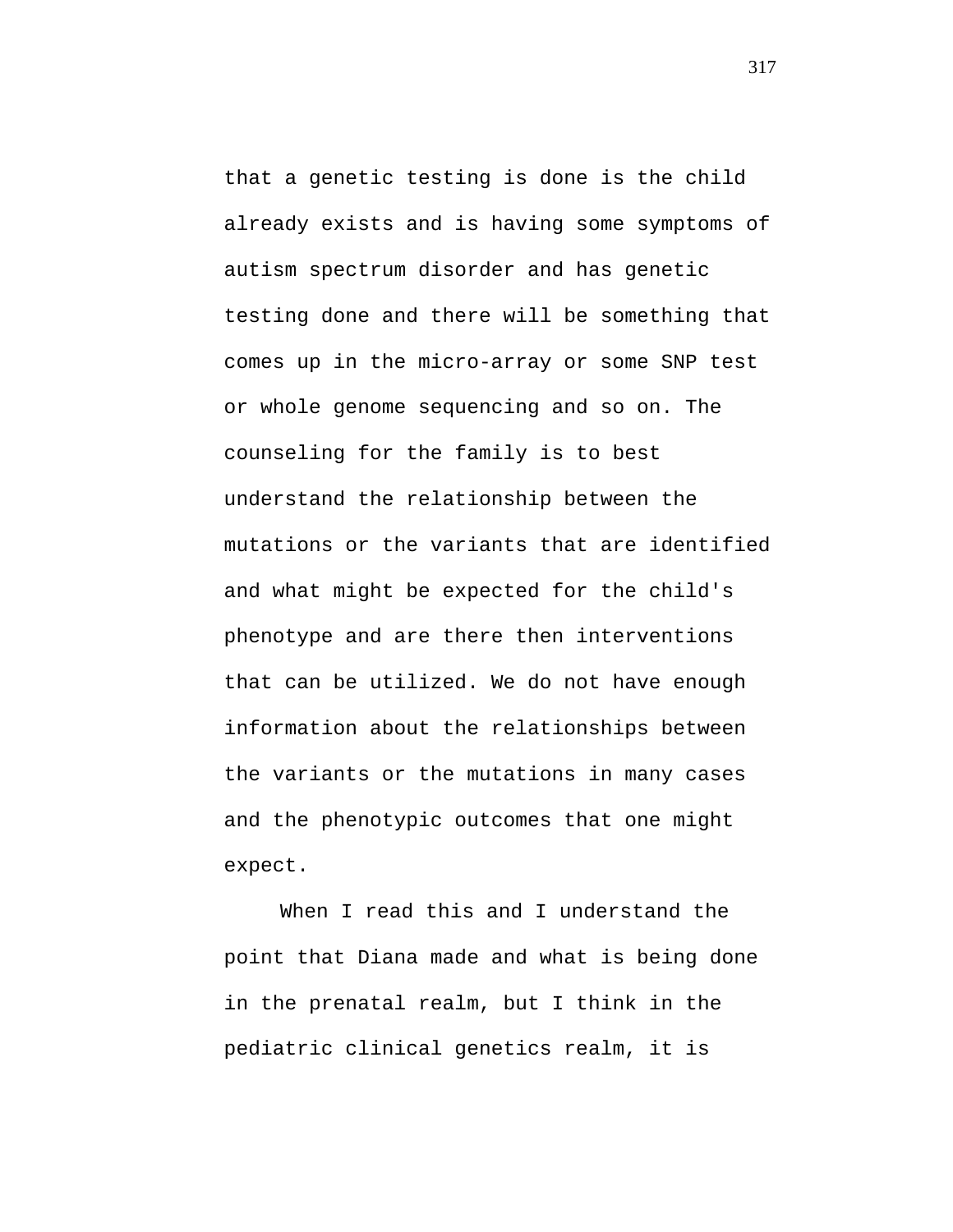that a genetic testing is done is the child already exists and is having some symptoms of autism spectrum disorder and has genetic testing done and there will be something that comes up in the micro-array or some SNP test or whole genome sequencing and so on. The counseling for the family is to best understand the relationship between the mutations or the variants that are identified and what might be expected for the child's phenotype and are there then interventions that can be utilized. We do not have enough information about the relationships between the variants or the mutations in many cases and the phenotypic outcomes that one might expect.

When I read this and I understand the point that Diana made and what is being done in the prenatal realm, but I think in the pediatric clinical genetics realm, it is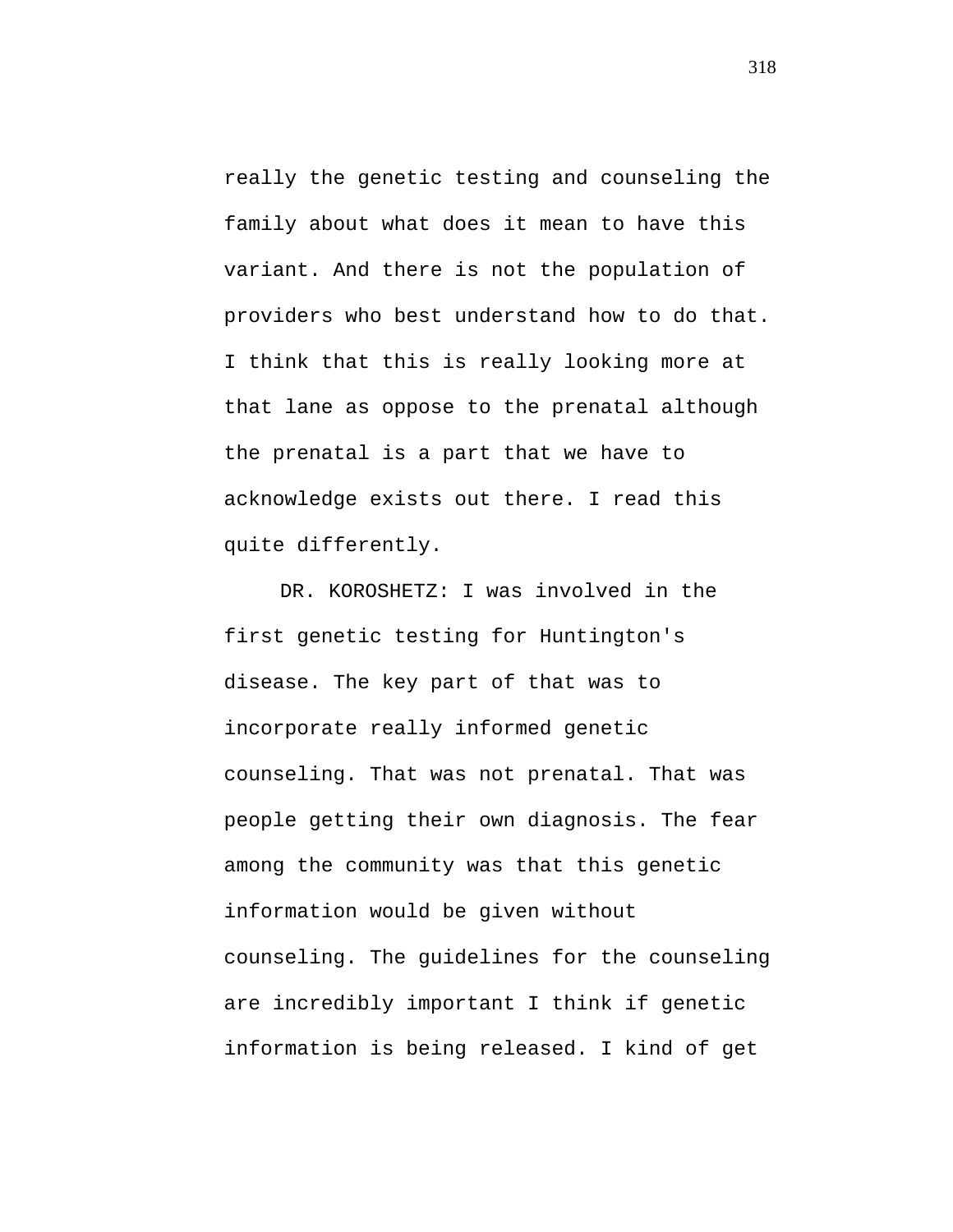really the genetic testing and counseling the family about what does it mean to have this variant. And there is not the population of providers who best understand how to do that. I think that this is really looking more at that lane as oppose to the prenatal although the prenatal is a part that we have to acknowledge exists out there. I read this quite differently.

DR. KOROSHETZ: I was involved in the first genetic testing for Huntington's disease. The key part of that was to incorporate really informed genetic counseling. That was not prenatal. That was people getting their own diagnosis. The fear among the community was that this genetic information would be given without counseling. The guidelines for the counseling are incredibly important I think if genetic information is being released. I kind of get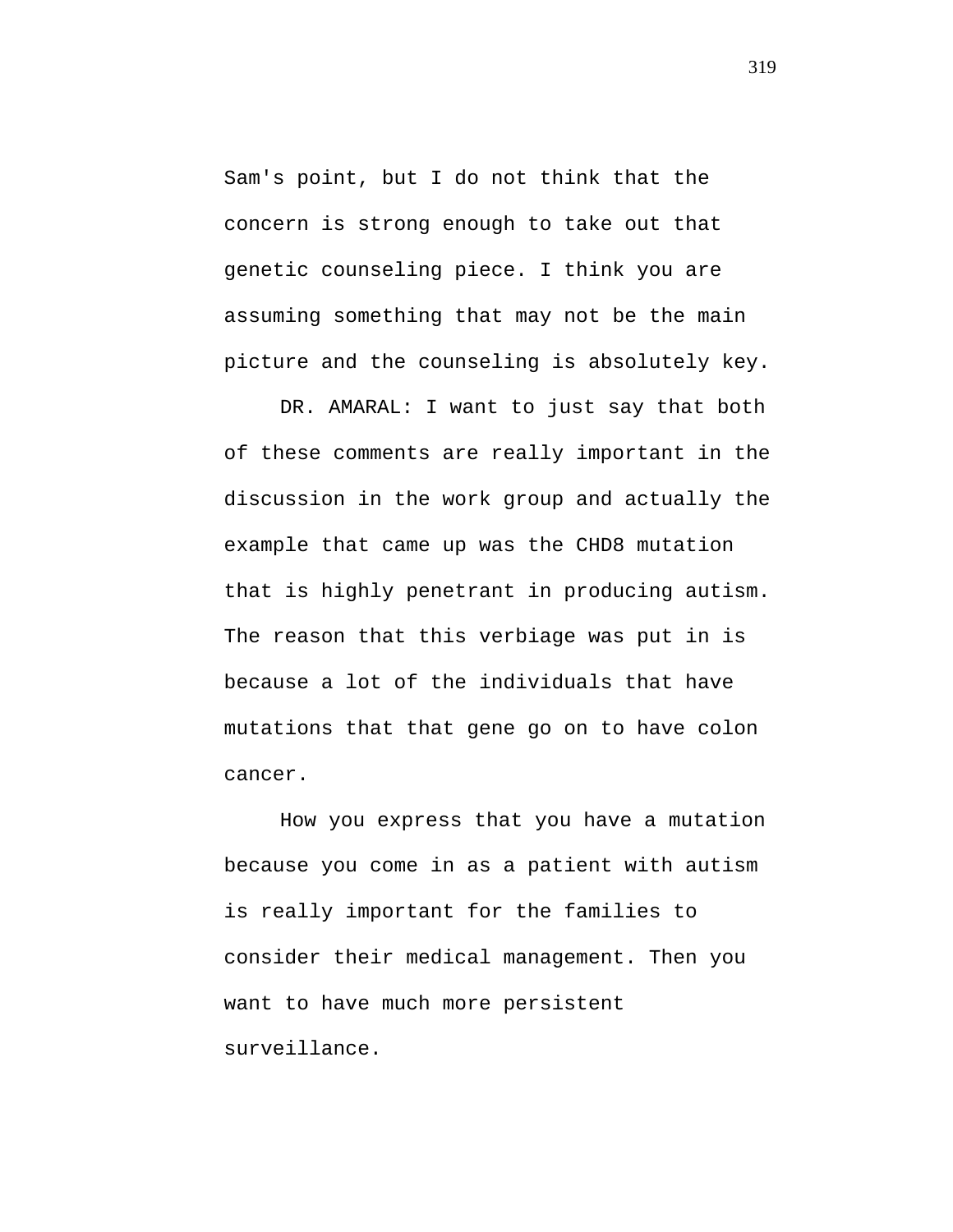Sam's point, but I do not think that the concern is strong enough to take out that genetic counseling piece. I think you are assuming something that may not be the main picture and the counseling is absolutely key.

DR. AMARAL: I want to just say that both of these comments are really important in the discussion in the work group and actually the example that came up was the CHD8 mutation that is highly penetrant in producing autism. The reason that this verbiage was put in is because a lot of the individuals that have mutations that that gene go on to have colon cancer.

How you express that you have a mutation because you come in as a patient with autism is really important for the families to consider their medical management. Then you want to have much more persistent surveillance.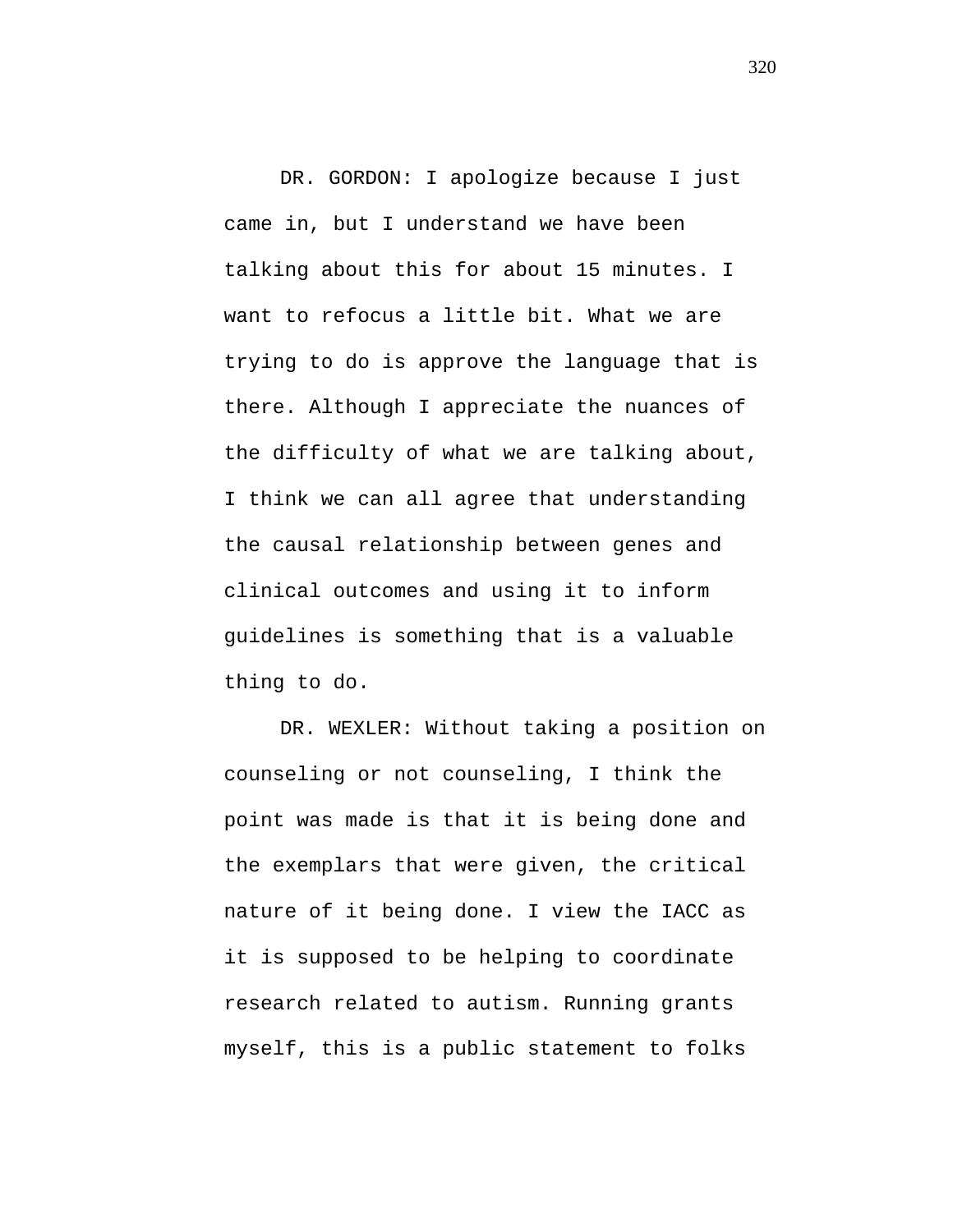DR. GORDON: I apologize because I just came in, but I understand we have been talking about this for about 15 minutes. I want to refocus a little bit. What we are trying to do is approve the language that is there. Although I appreciate the nuances of the difficulty of what we are talking about, I think we can all agree that understanding the causal relationship between genes and clinical outcomes and using it to inform guidelines is something that is a valuable thing to do.

DR. WEXLER: Without taking a position on counseling or not counseling, I think the point was made is that it is being done and the exemplars that were given, the critical nature of it being done. I view the IACC as it is supposed to be helping to coordinate research related to autism. Running grants myself, this is a public statement to folks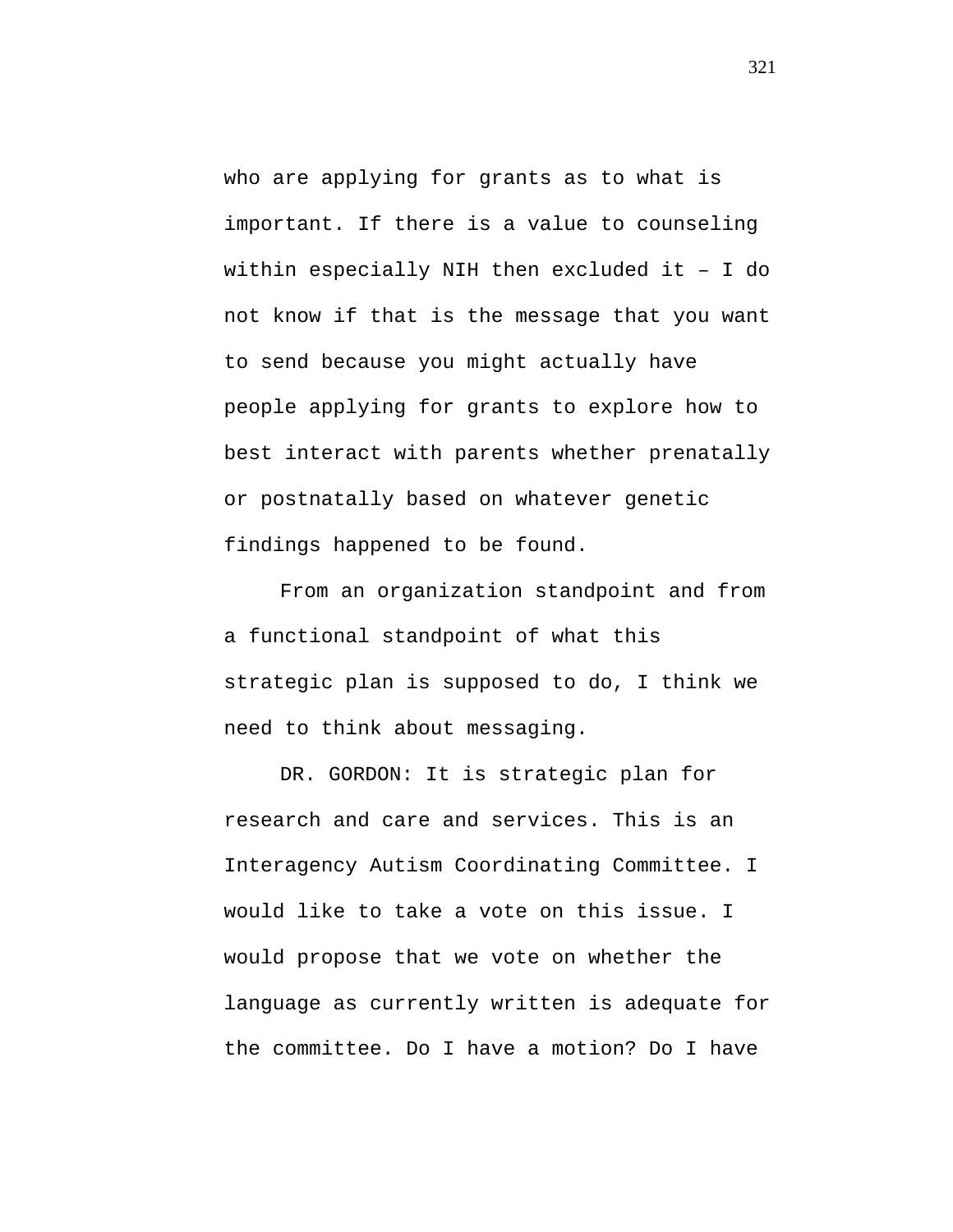who are applying for grants as to what is important. If there is a value to counseling within especially NIH then excluded it – I do not know if that is the message that you want to send because you might actually have people applying for grants to explore how to best interact with parents whether prenatally or postnatally based on whatever genetic findings happened to be found.

From an organization standpoint and from a functional standpoint of what this strategic plan is supposed to do, I think we need to think about messaging.

DR. GORDON: It is strategic plan for research and care and services. This is an Interagency Autism Coordinating Committee. I would like to take a vote on this issue. I would propose that we vote on whether the language as currently written is adequate for the committee. Do I have a motion? Do I have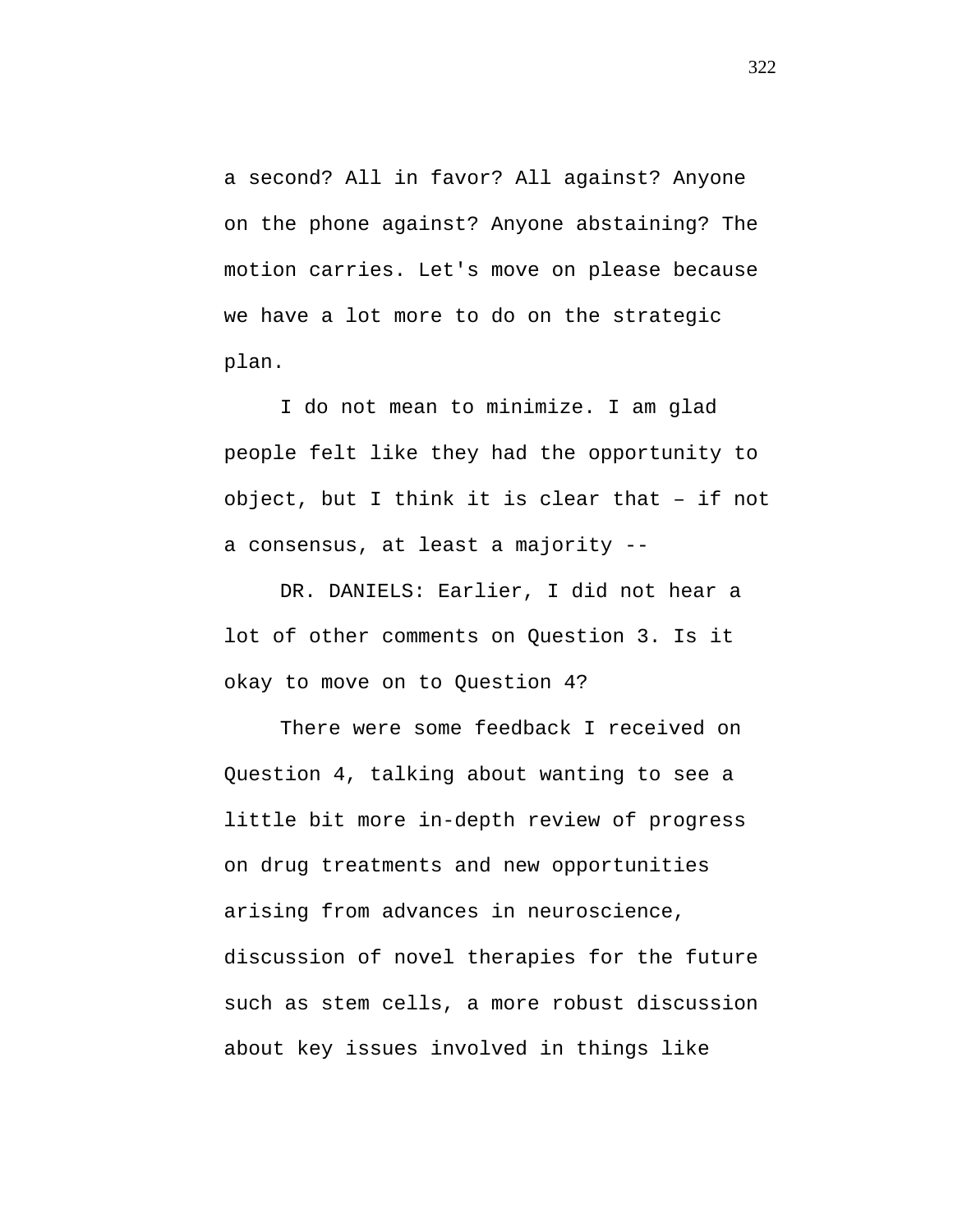a second? All in favor? All against? Anyone on the phone against? Anyone abstaining? The motion carries. Let's move on please because we have a lot more to do on the strategic plan.

I do not mean to minimize. I am glad people felt like they had the opportunity to object, but I think it is clear that – if not a consensus, at least a majority --

DR. DANIELS: Earlier, I did not hear a lot of other comments on Question 3. Is it okay to move on to Question 4?

There were some feedback I received on Question 4, talking about wanting to see a little bit more in-depth review of progress on drug treatments and new opportunities arising from advances in neuroscience, discussion of novel therapies for the future such as stem cells, a more robust discussion about key issues involved in things like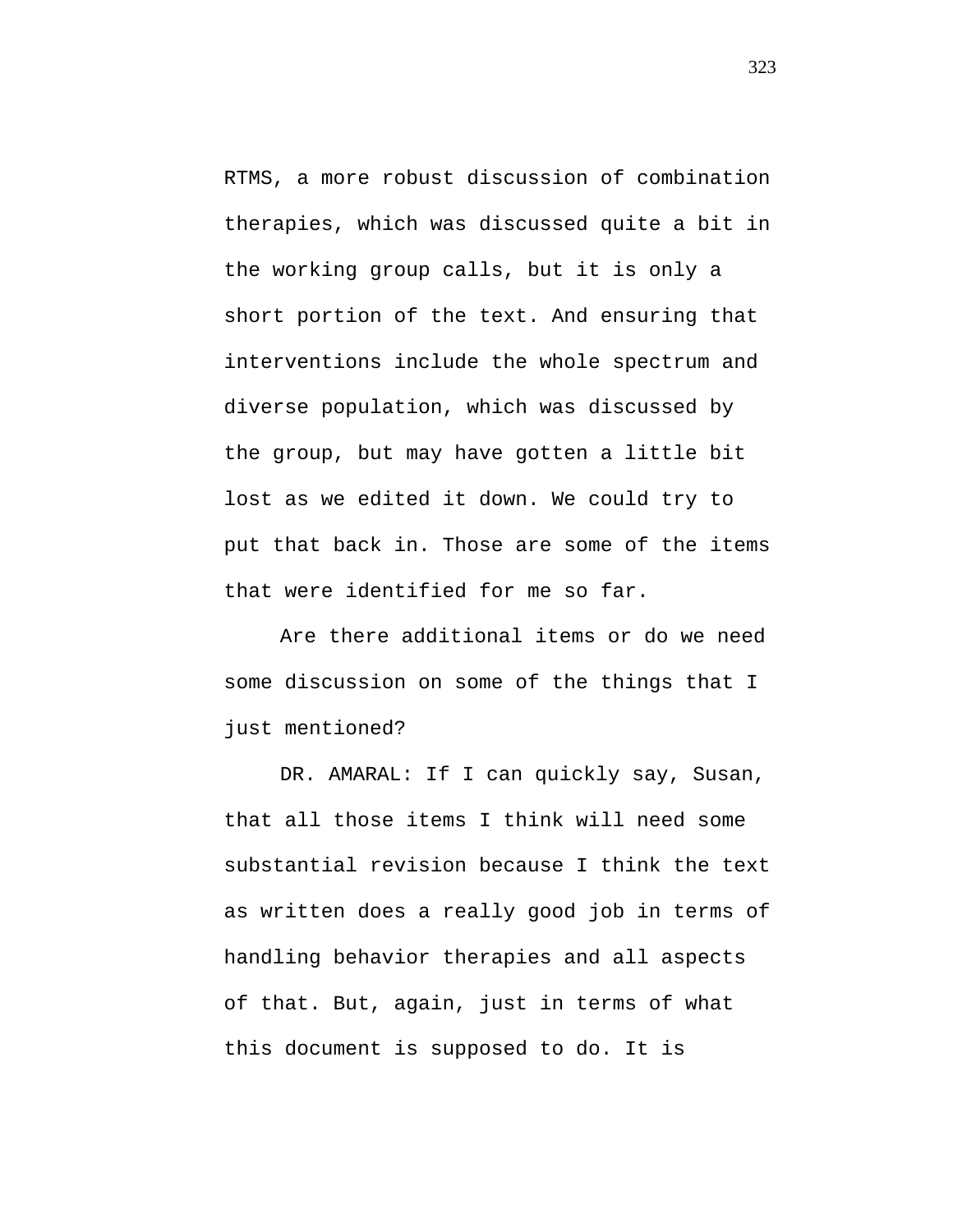RTMS, a more robust discussion of combination therapies, which was discussed quite a bit in the working group calls, but it is only a short portion of the text. And ensuring that interventions include the whole spectrum and diverse population, which was discussed by the group, but may have gotten a little bit lost as we edited it down. We could try to put that back in. Those are some of the items that were identified for me so far.

Are there additional items or do we need some discussion on some of the things that I just mentioned?

DR. AMARAL: If I can quickly say, Susan, that all those items I think will need some substantial revision because I think the text as written does a really good job in terms of handling behavior therapies and all aspects of that. But, again, just in terms of what this document is supposed to do. It is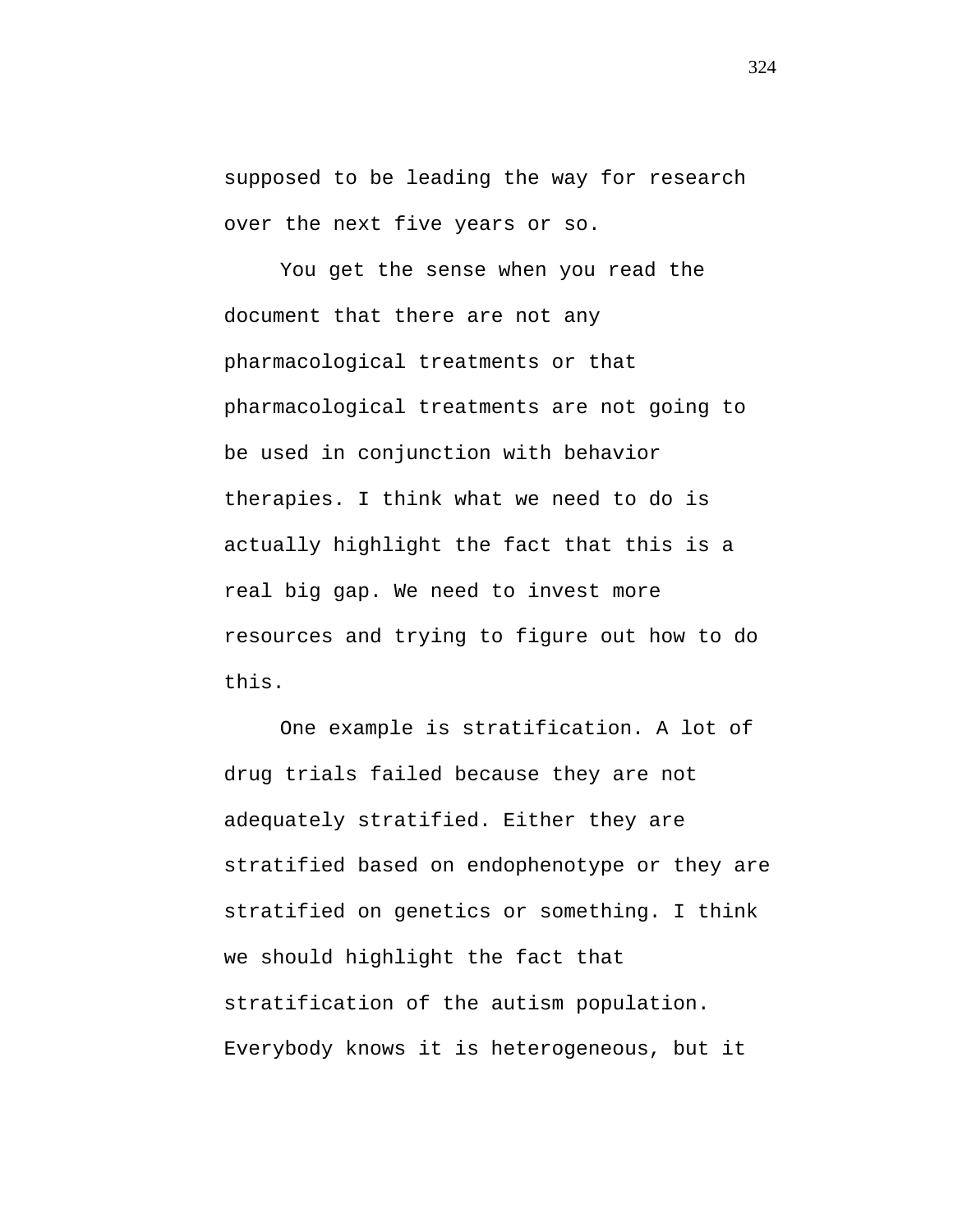supposed to be leading the way for research over the next five years or so.

You get the sense when you read the document that there are not any pharmacological treatments or that pharmacological treatments are not going to be used in conjunction with behavior therapies. I think what we need to do is actually highlight the fact that this is a real big gap. We need to invest more resources and trying to figure out how to do this.

One example is stratification. A lot of drug trials failed because they are not adequately stratified. Either they are stratified based on endophenotype or they are stratified on genetics or something. I think we should highlight the fact that stratification of the autism population. Everybody knows it is heterogeneous, but it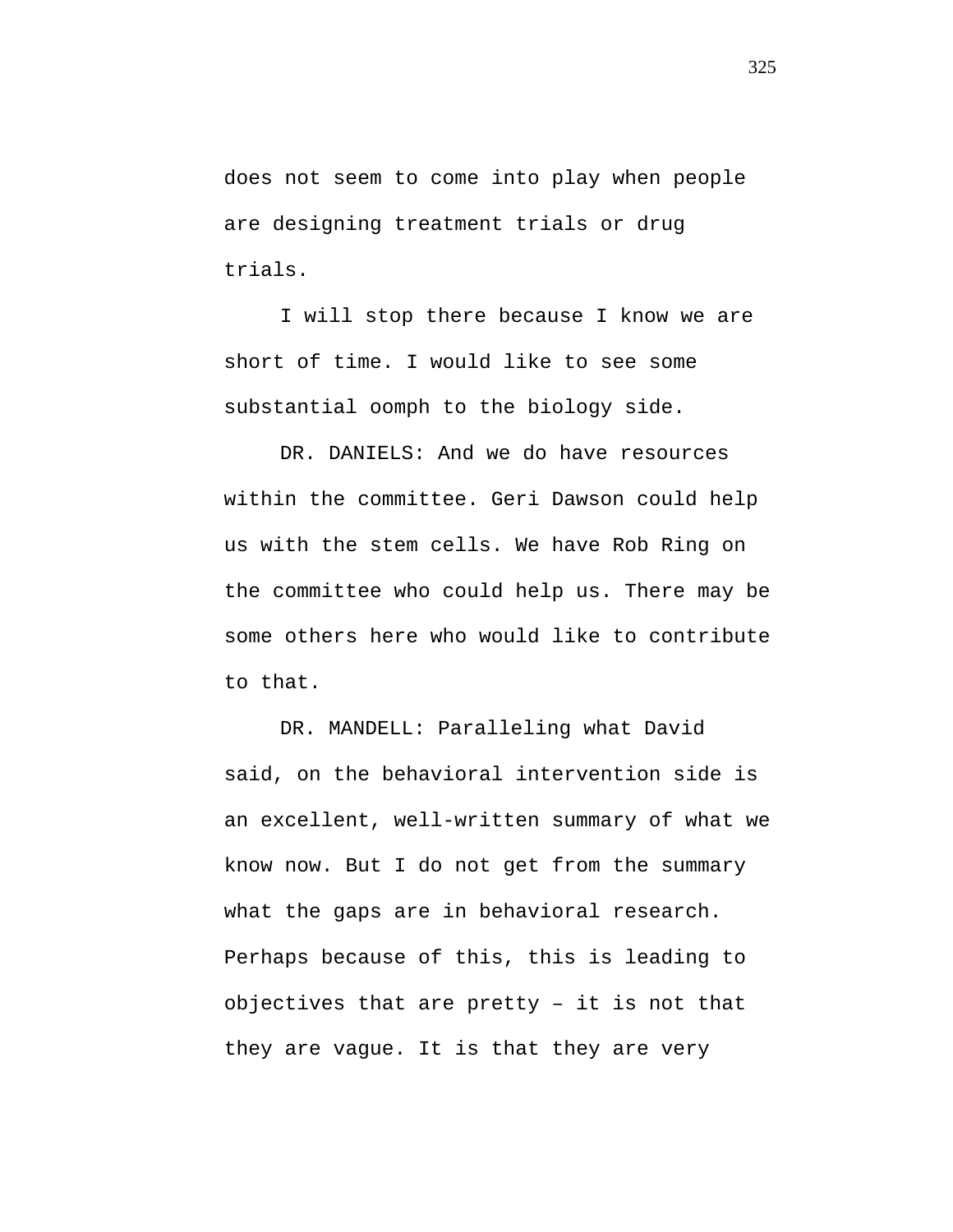does not seem to come into play when people are designing treatment trials or drug trials.

I will stop there because I know we are short of time. I would like to see some substantial oomph to the biology side.

DR. DANIELS: And we do have resources within the committee. Geri Dawson could help us with the stem cells. We have Rob Ring on the committee who could help us. There may be some others here who would like to contribute to that.

DR. MANDELL: Paralleling what David said, on the behavioral intervention side is an excellent, well-written summary of what we know now. But I do not get from the summary what the gaps are in behavioral research. Perhaps because of this, this is leading to objectives that are pretty – it is not that they are vague. It is that they are very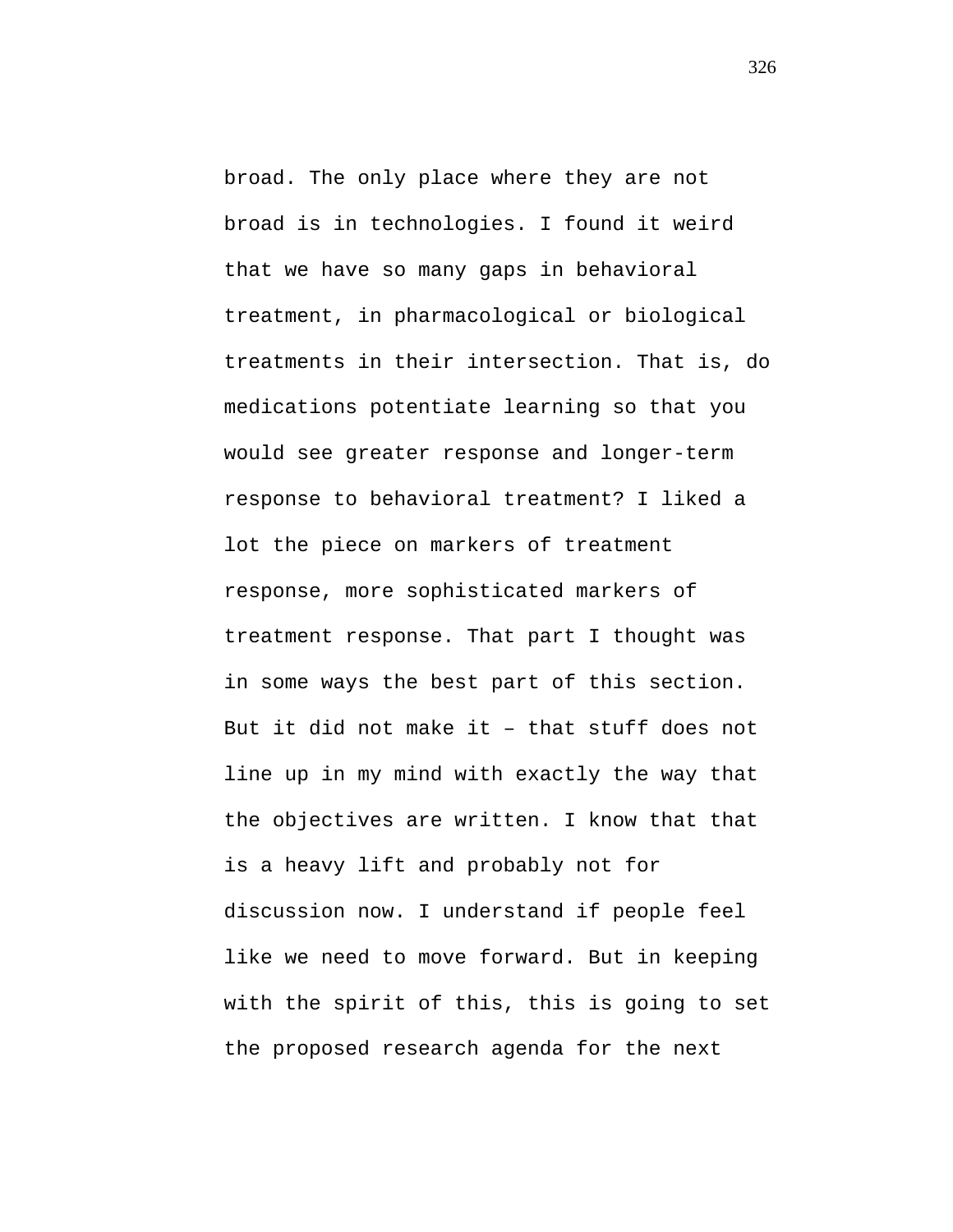broad. The only place where they are not broad is in technologies. I found it weird that we have so many gaps in behavioral treatment, in pharmacological or biological treatments in their intersection. That is, do medications potentiate learning so that you would see greater response and longer-term response to behavioral treatment? I liked a lot the piece on markers of treatment response, more sophisticated markers of treatment response. That part I thought was in some ways the best part of this section. But it did not make it – that stuff does not line up in my mind with exactly the way that the objectives are written. I know that that is a heavy lift and probably not for discussion now. I understand if people feel like we need to move forward. But in keeping with the spirit of this, this is going to set the proposed research agenda for the next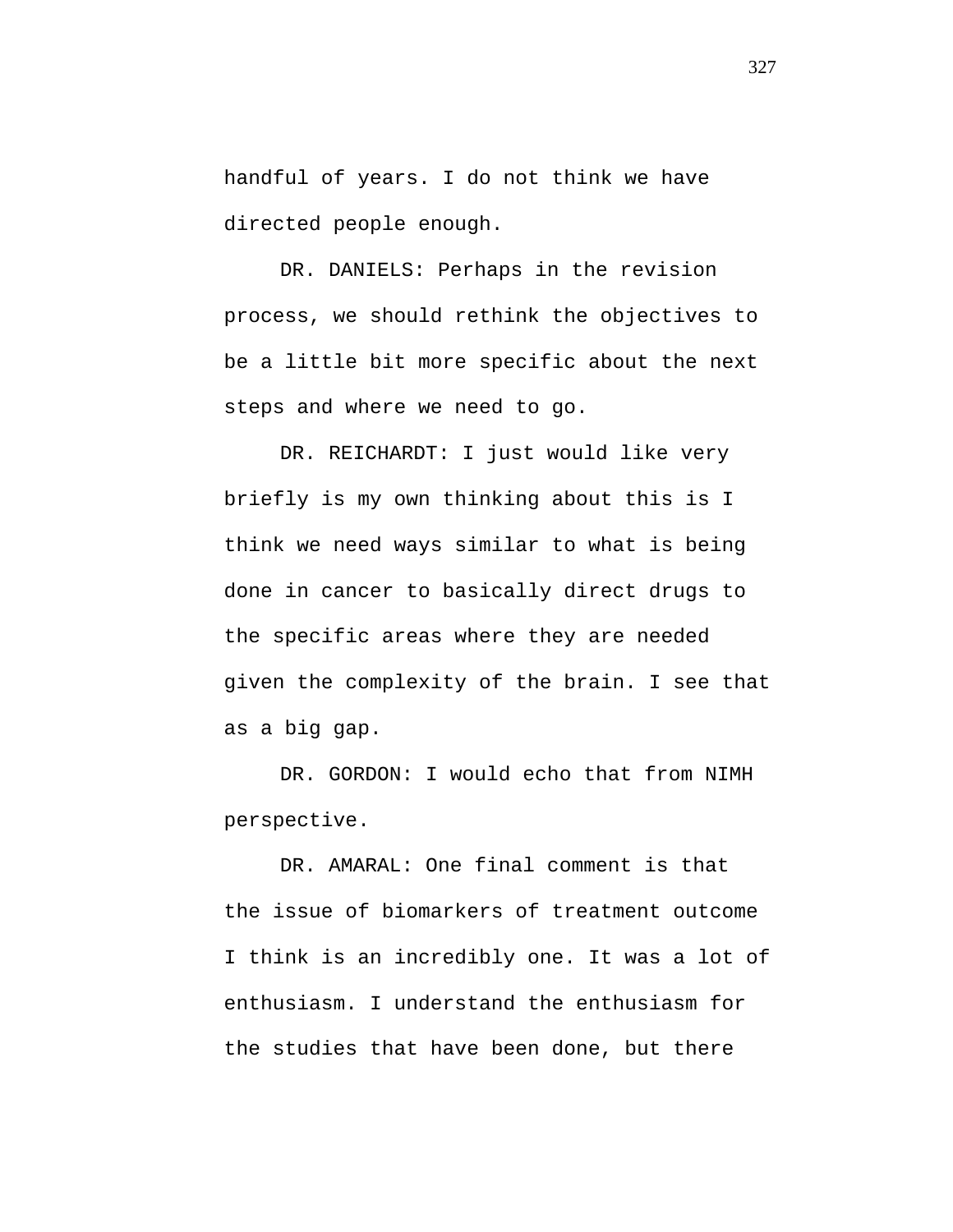handful of years. I do not think we have directed people enough.

DR. DANIELS: Perhaps in the revision process, we should rethink the objectives to be a little bit more specific about the next steps and where we need to go.

DR. REICHARDT: I just would like very briefly is my own thinking about this is I think we need ways similar to what is being done in cancer to basically direct drugs to the specific areas where they are needed given the complexity of the brain. I see that as a big gap.

DR. GORDON: I would echo that from NIMH perspective.

DR. AMARAL: One final comment is that the issue of biomarkers of treatment outcome I think is an incredibly one. It was a lot of enthusiasm. I understand the enthusiasm for the studies that have been done, but there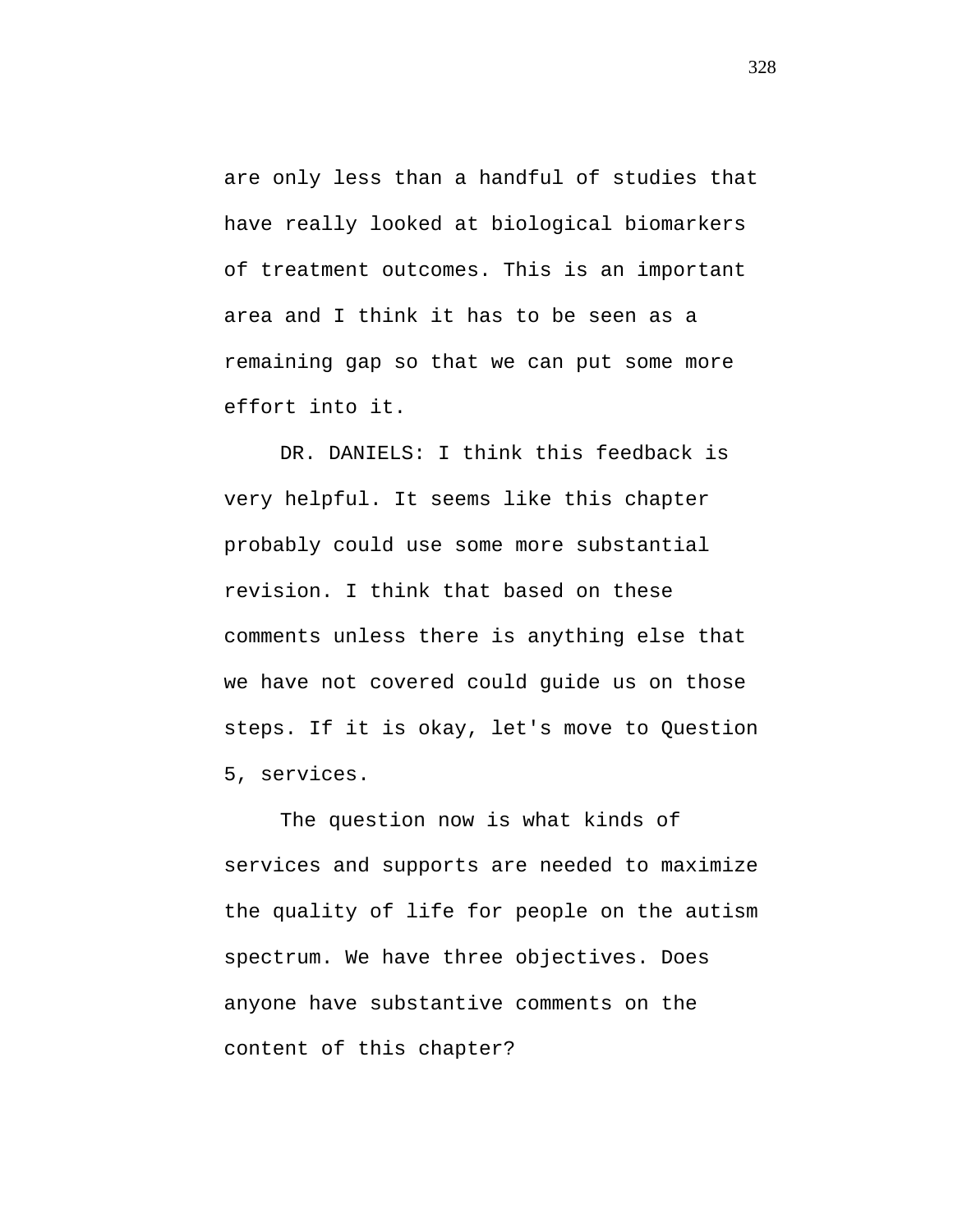are only less than a handful of studies that have really looked at biological biomarkers of treatment outcomes. This is an important area and I think it has to be seen as a remaining gap so that we can put some more effort into it.

DR. DANIELS: I think this feedback is very helpful. It seems like this chapter probably could use some more substantial revision. I think that based on these comments unless there is anything else that we have not covered could guide us on those steps. If it is okay, let's move to Question 5, services.

The question now is what kinds of services and supports are needed to maximize the quality of life for people on the autism spectrum. We have three objectives. Does anyone have substantive comments on the content of this chapter?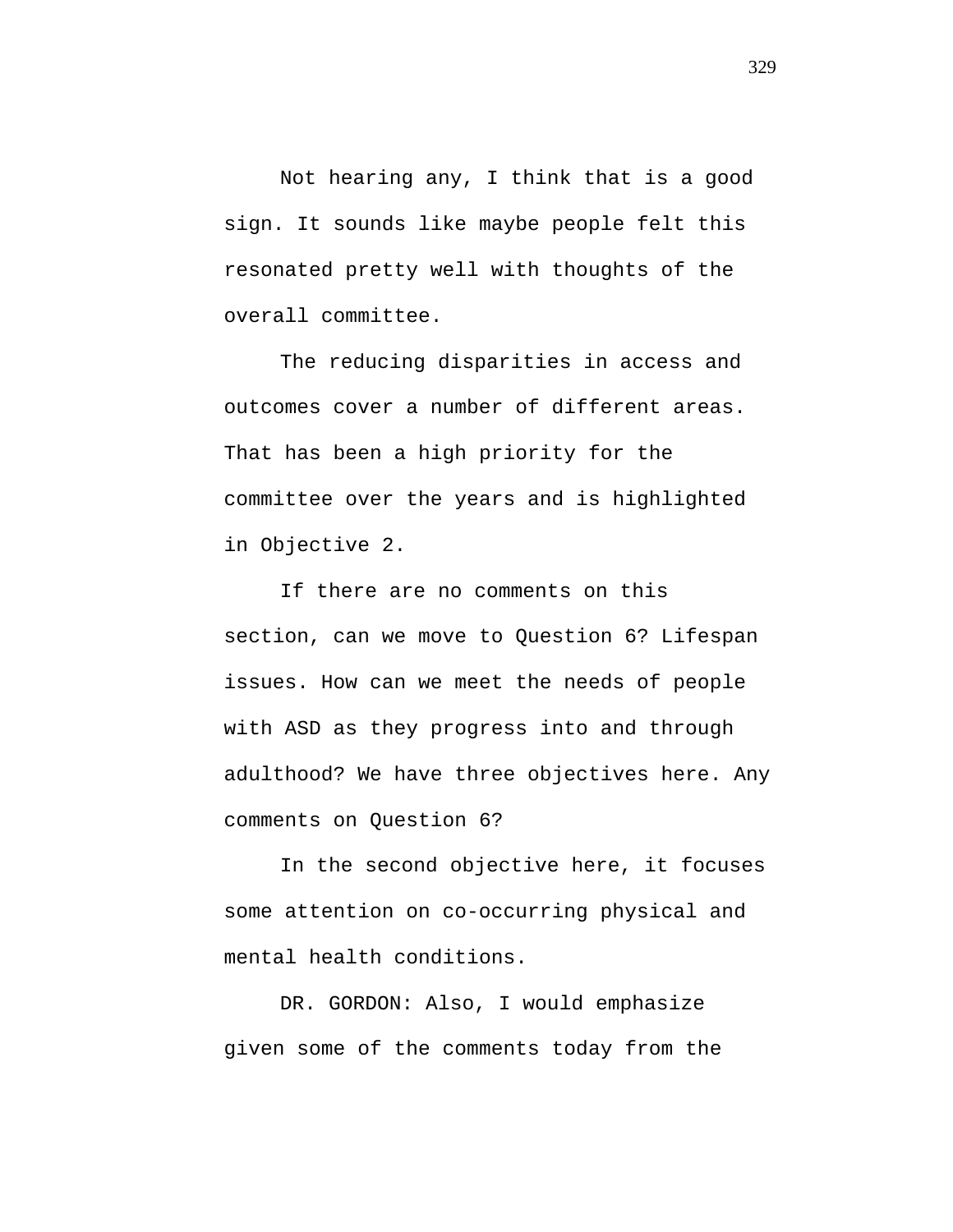Not hearing any, I think that is a good sign. It sounds like maybe people felt this resonated pretty well with thoughts of the overall committee.

The reducing disparities in access and outcomes cover a number of different areas. That has been a high priority for the committee over the years and is highlighted in Objective 2.

If there are no comments on this section, can we move to Question 6? Lifespan issues. How can we meet the needs of people with ASD as they progress into and through adulthood? We have three objectives here. Any comments on Question 6?

In the second objective here, it focuses some attention on co-occurring physical and mental health conditions.

DR. GORDON: Also, I would emphasize given some of the comments today from the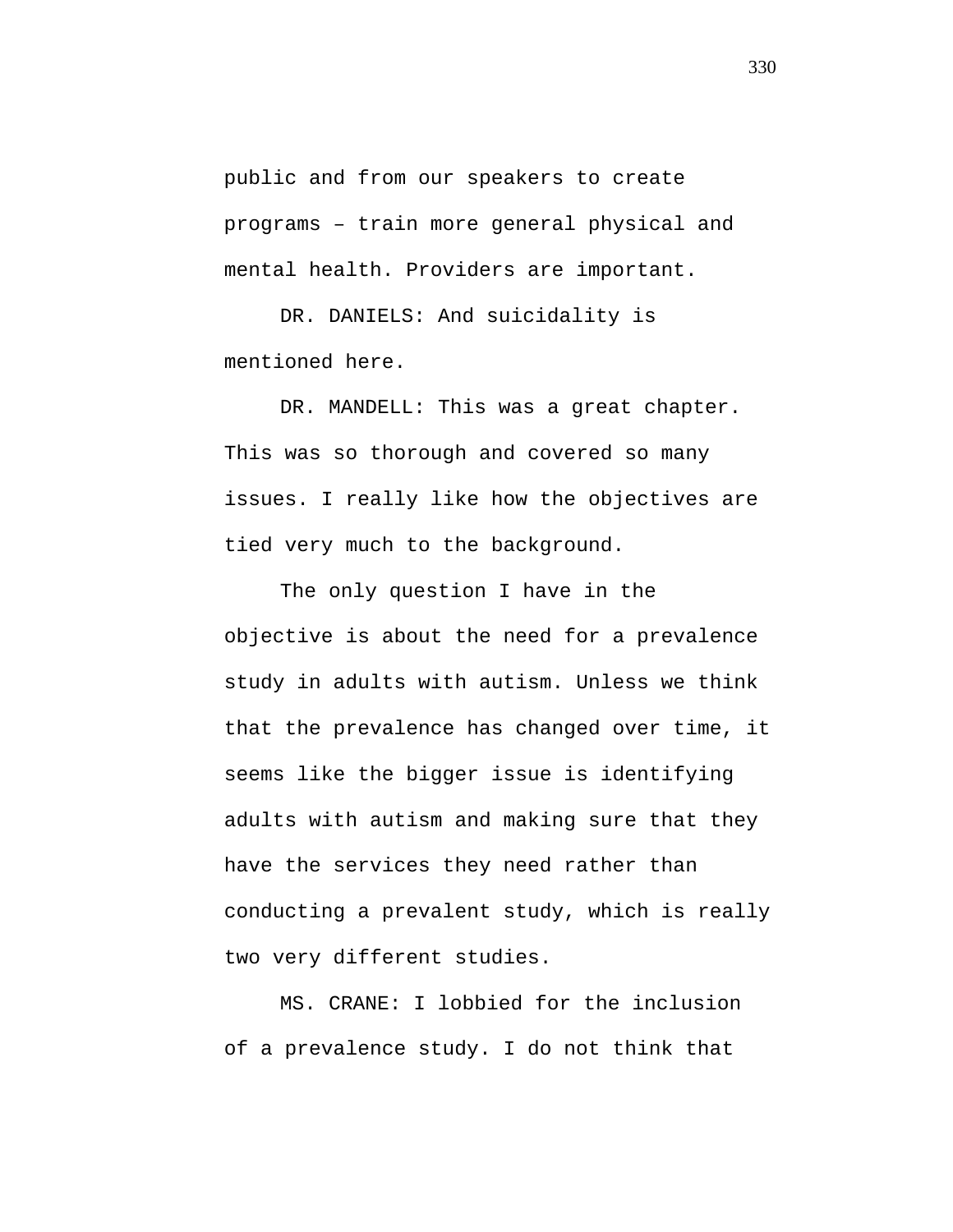public and from our speakers to create programs – train more general physical and mental health. Providers are important.

DR. DANIELS: And suicidality is mentioned here.

DR. MANDELL: This was a great chapter. This was so thorough and covered so many issues. I really like how the objectives are tied very much to the background.

The only question I have in the objective is about the need for a prevalence study in adults with autism. Unless we think that the prevalence has changed over time, it seems like the bigger issue is identifying adults with autism and making sure that they have the services they need rather than conducting a prevalent study, which is really two very different studies.

MS. CRANE: I lobbied for the inclusion of a prevalence study. I do not think that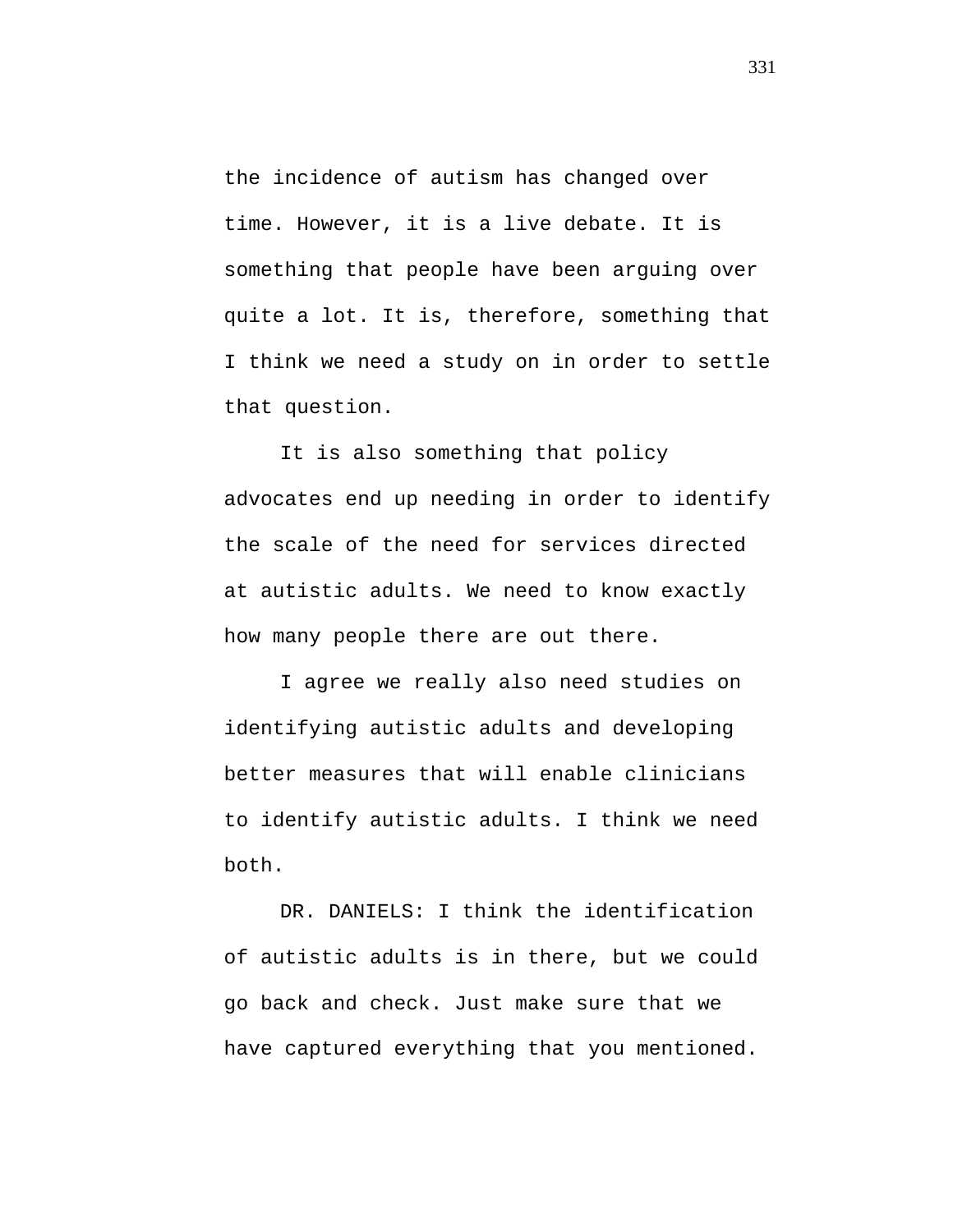the incidence of autism has changed over time. However, it is a live debate. It is something that people have been arguing over quite a lot. It is, therefore, something that I think we need a study on in order to settle that question.

It is also something that policy advocates end up needing in order to identify the scale of the need for services directed at autistic adults. We need to know exactly how many people there are out there.

I agree we really also need studies on identifying autistic adults and developing better measures that will enable clinicians to identify autistic adults. I think we need both.

DR. DANIELS: I think the identification of autistic adults is in there, but we could go back and check. Just make sure that we have captured everything that you mentioned.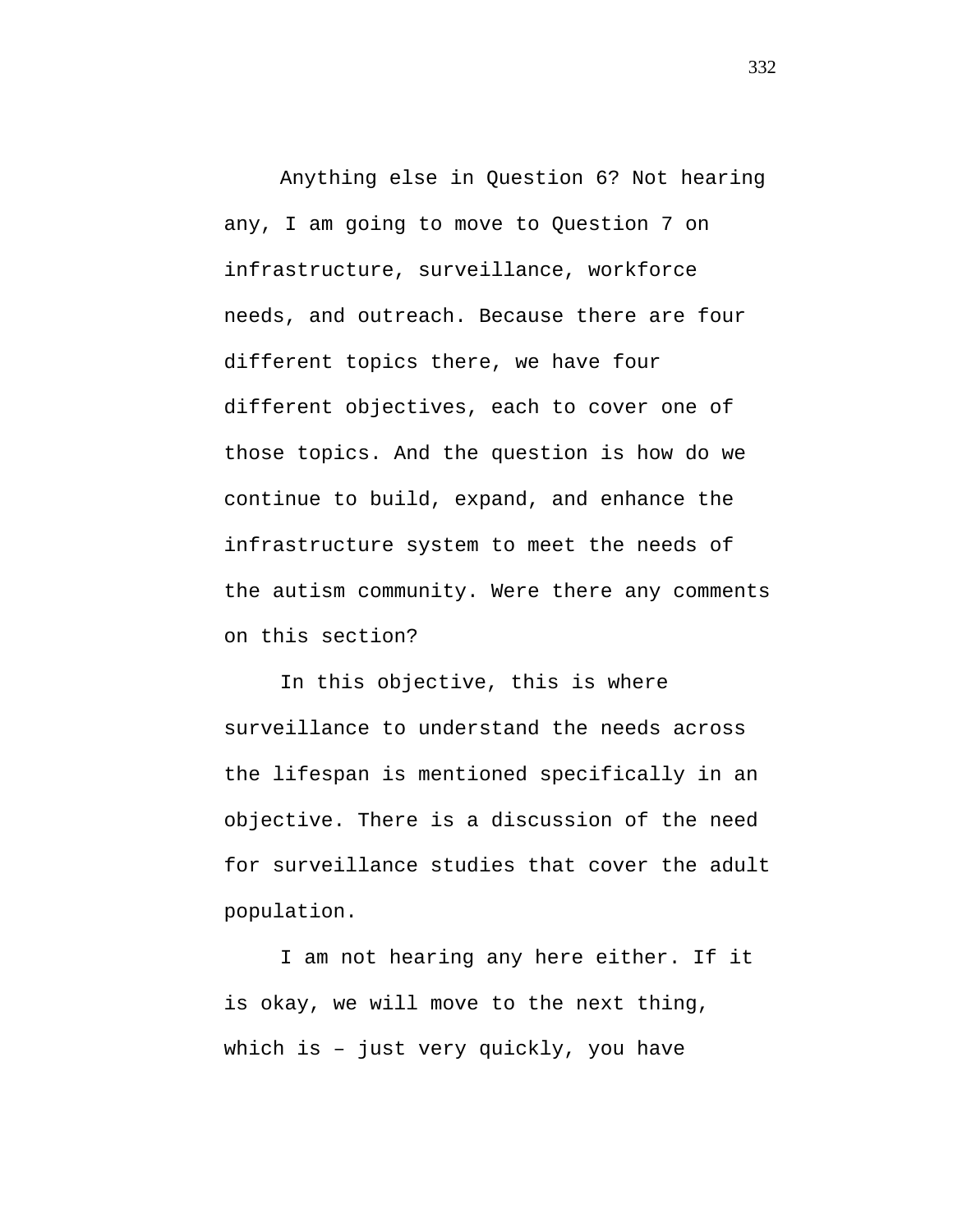Anything else in Question 6? Not hearing any, I am going to move to Question 7 on infrastructure, surveillance, workforce needs, and outreach. Because there are four different topics there, we have four different objectives, each to cover one of those topics. And the question is how do we continue to build, expand, and enhance the infrastructure system to meet the needs of the autism community. Were there any comments on this section?

In this objective, this is where surveillance to understand the needs across the lifespan is mentioned specifically in an objective. There is a discussion of the need for surveillance studies that cover the adult population.

I am not hearing any here either. If it is okay, we will move to the next thing, which is – just very quickly, you have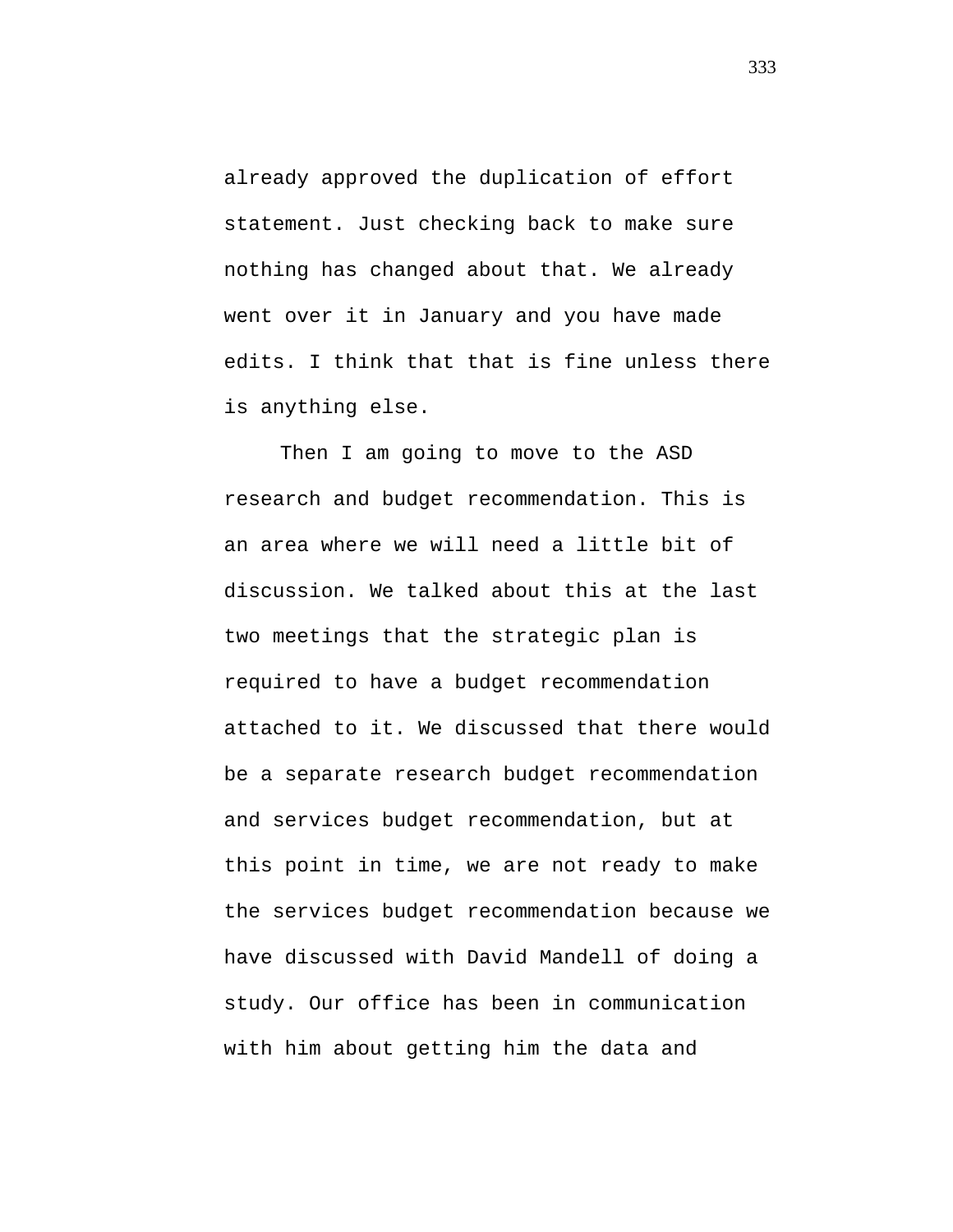already approved the duplication of effort statement. Just checking back to make sure nothing has changed about that. We already went over it in January and you have made edits. I think that that is fine unless there is anything else.

Then I am going to move to the ASD research and budget recommendation. This is an area where we will need a little bit of discussion. We talked about this at the last two meetings that the strategic plan is required to have a budget recommendation attached to it. We discussed that there would be a separate research budget recommendation and services budget recommendation, but at this point in time, we are not ready to make the services budget recommendation because we have discussed with David Mandell of doing a study. Our office has been in communication with him about getting him the data and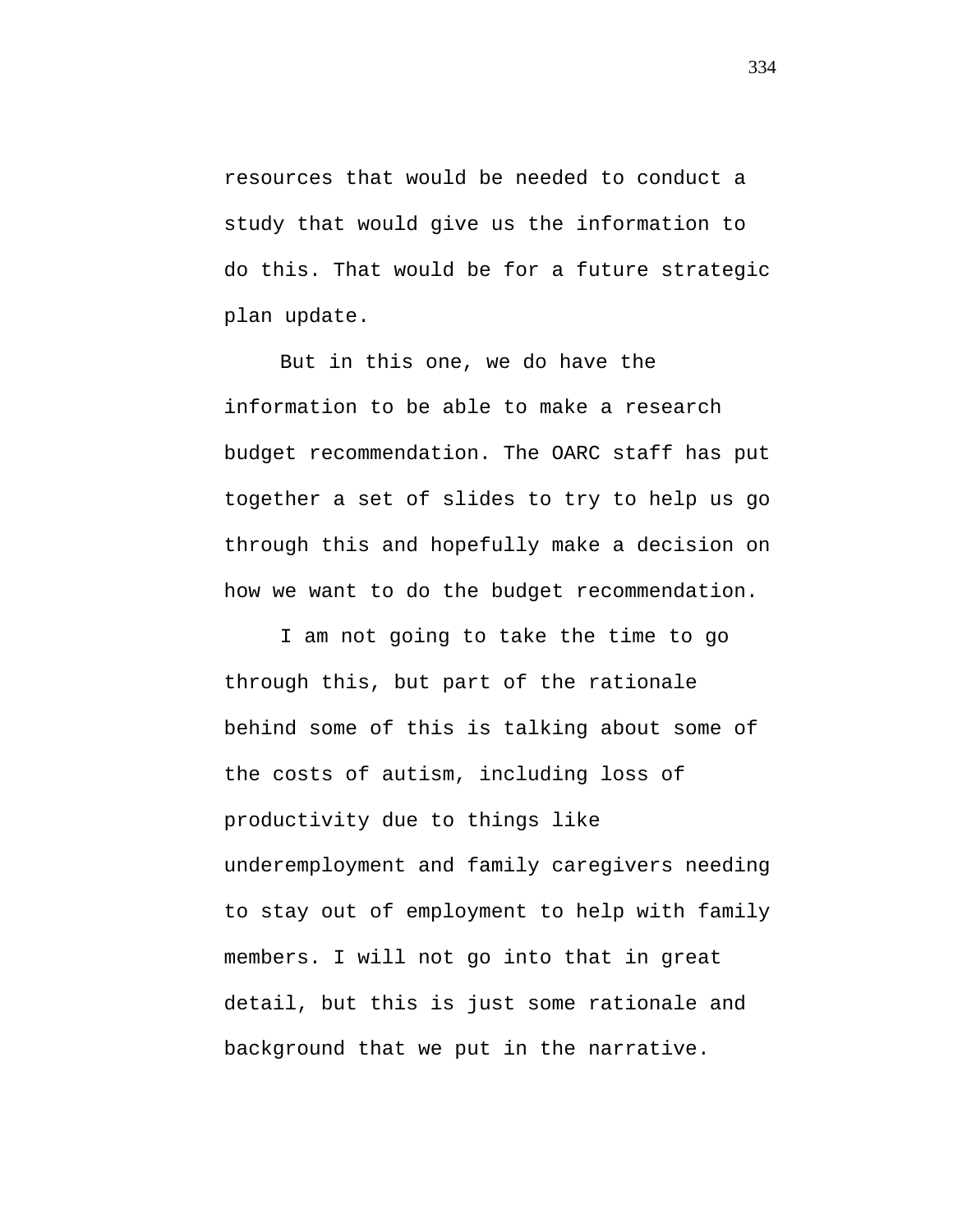resources that would be needed to conduct a study that would give us the information to do this. That would be for a future strategic plan update.

But in this one, we do have the information to be able to make a research budget recommendation. The OARC staff has put together a set of slides to try to help us go through this and hopefully make a decision on how we want to do the budget recommendation.

I am not going to take the time to go through this, but part of the rationale behind some of this is talking about some of the costs of autism, including loss of productivity due to things like underemployment and family caregivers needing to stay out of employment to help with family members. I will not go into that in great detail, but this is just some rationale and background that we put in the narrative.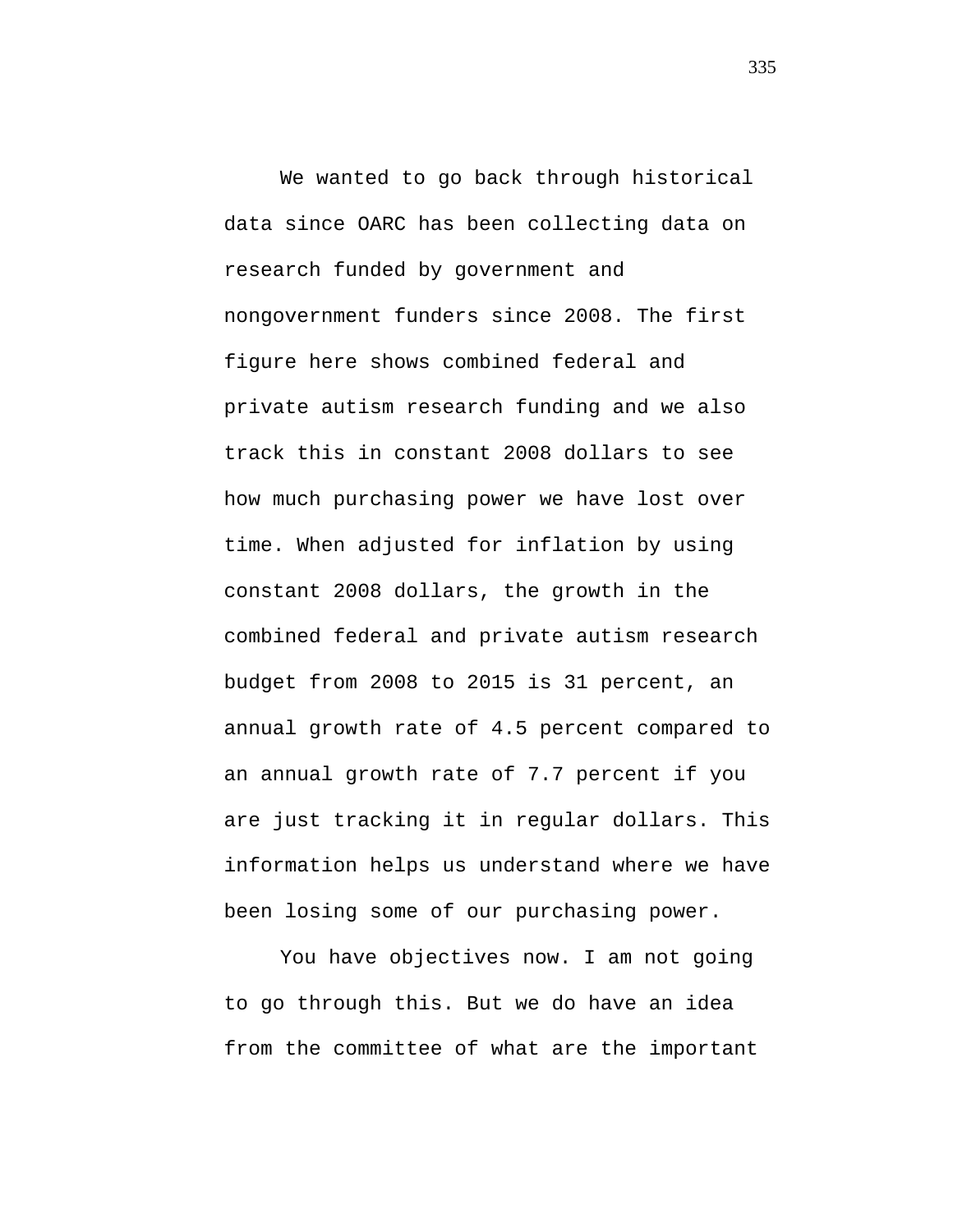We wanted to go back through historical data since OARC has been collecting data on research funded by government and nongovernment funders since 2008. The first figure here shows combined federal and private autism research funding and we also track this in constant 2008 dollars to see how much purchasing power we have lost over time. When adjusted for inflation by using constant 2008 dollars, the growth in the combined federal and private autism research budget from 2008 to 2015 is 31 percent, an annual growth rate of 4.5 percent compared to an annual growth rate of 7.7 percent if you are just tracking it in regular dollars. This information helps us understand where we have been losing some of our purchasing power.

You have objectives now. I am not going to go through this. But we do have an idea from the committee of what are the important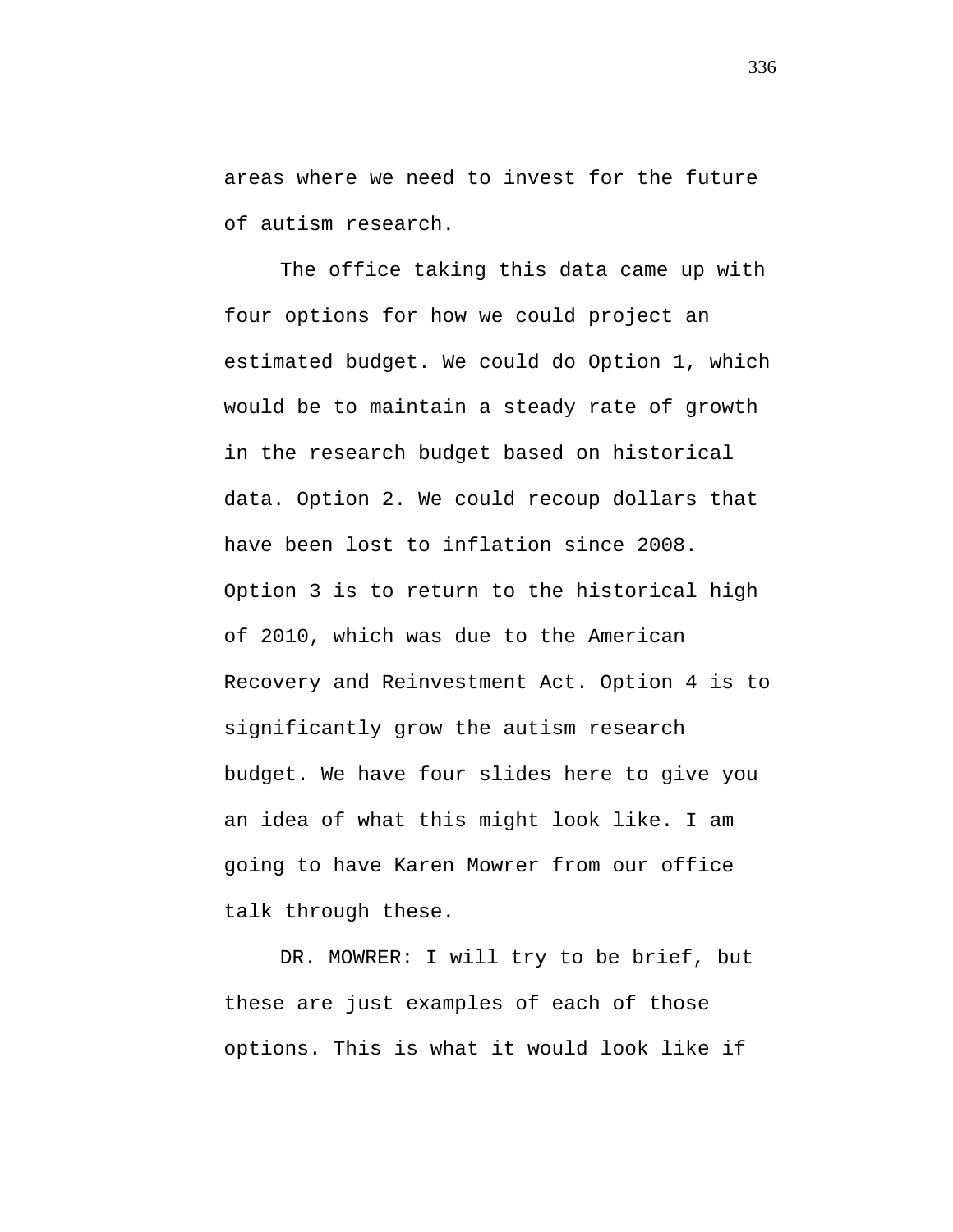areas where we need to invest for the future of autism research.

The office taking this data came up with four options for how we could project an estimated budget. We could do Option 1, which would be to maintain a steady rate of growth in the research budget based on historical data. Option 2. We could recoup dollars that have been lost to inflation since 2008. Option 3 is to return to the historical high of 2010, which was due to the American Recovery and Reinvestment Act. Option 4 is to significantly grow the autism research budget. We have four slides here to give you an idea of what this might look like. I am going to have Karen Mowrer from our office talk through these.

DR. MOWRER: I will try to be brief, but these are just examples of each of those options. This is what it would look like if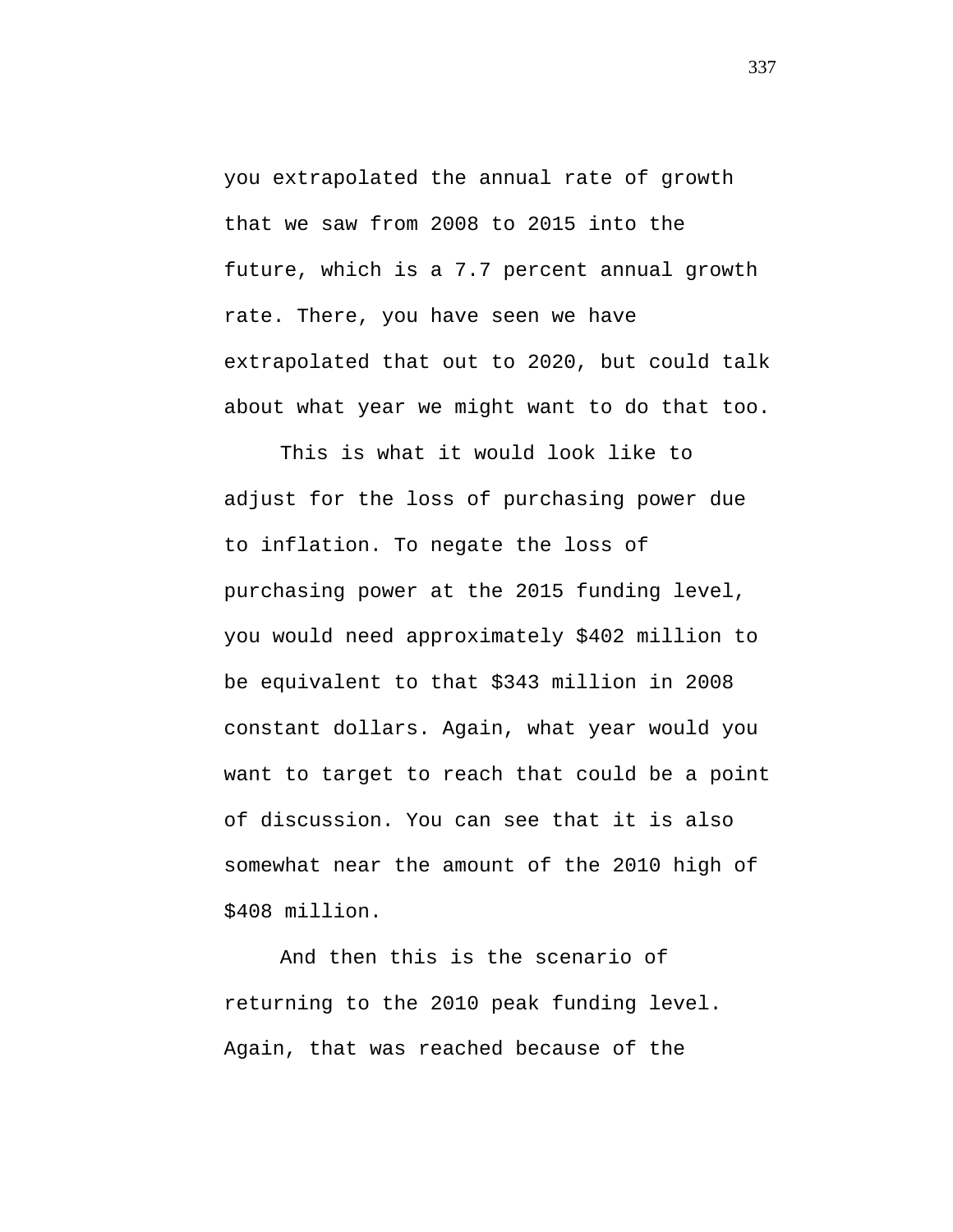you extrapolated the annual rate of growth that we saw from 2008 to 2015 into the future, which is a 7.7 percent annual growth rate. There, you have seen we have extrapolated that out to 2020, but could talk about what year we might want to do that too.

This is what it would look like to adjust for the loss of purchasing power due to inflation. To negate the loss of purchasing power at the 2015 funding level, you would need approximately \$402 million to be equivalent to that \$343 million in 2008 constant dollars. Again, what year would you want to target to reach that could be a point of discussion. You can see that it is also somewhat near the amount of the 2010 high of \$408 million.

And then this is the scenario of returning to the 2010 peak funding level. Again, that was reached because of the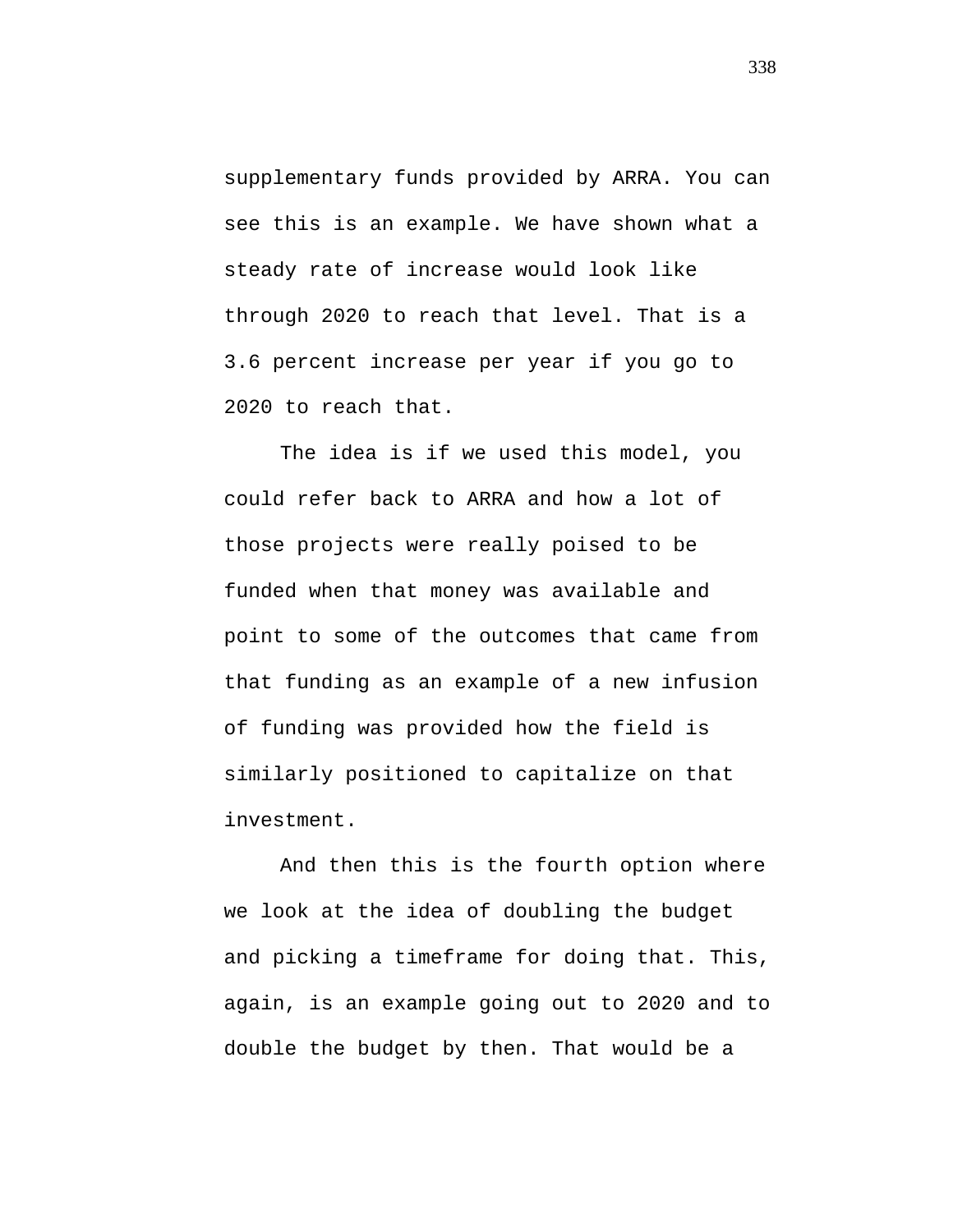supplementary funds provided by ARRA. You can see this is an example. We have shown what a steady rate of increase would look like through 2020 to reach that level. That is a 3.6 percent increase per year if you go to 2020 to reach that.

The idea is if we used this model, you could refer back to ARRA and how a lot of those projects were really poised to be funded when that money was available and point to some of the outcomes that came from that funding as an example of a new infusion of funding was provided how the field is similarly positioned to capitalize on that investment.

And then this is the fourth option where we look at the idea of doubling the budget and picking a timeframe for doing that. This, again, is an example going out to 2020 and to double the budget by then. That would be a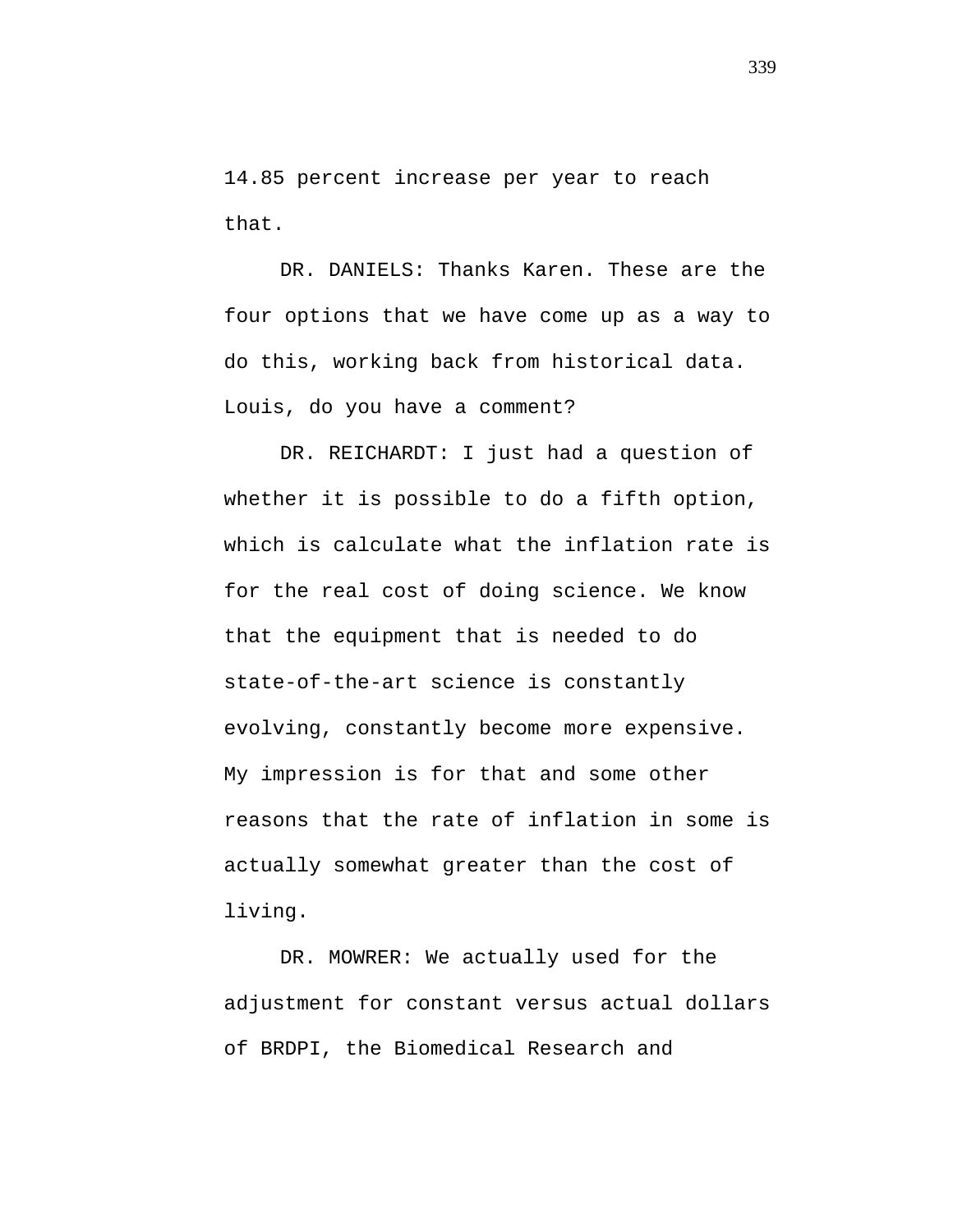14.85 percent increase per year to reach that.

DR. DANIELS: Thanks Karen. These are the four options that we have come up as a way to do this, working back from historical data. Louis, do you have a comment?

DR. REICHARDT: I just had a question of whether it is possible to do a fifth option, which is calculate what the inflation rate is for the real cost of doing science. We know that the equipment that is needed to do state-of-the-art science is constantly evolving, constantly become more expensive. My impression is for that and some other reasons that the rate of inflation in some is actually somewhat greater than the cost of living.

DR. MOWRER: We actually used for the adjustment for constant versus actual dollars of BRDPI, the Biomedical Research and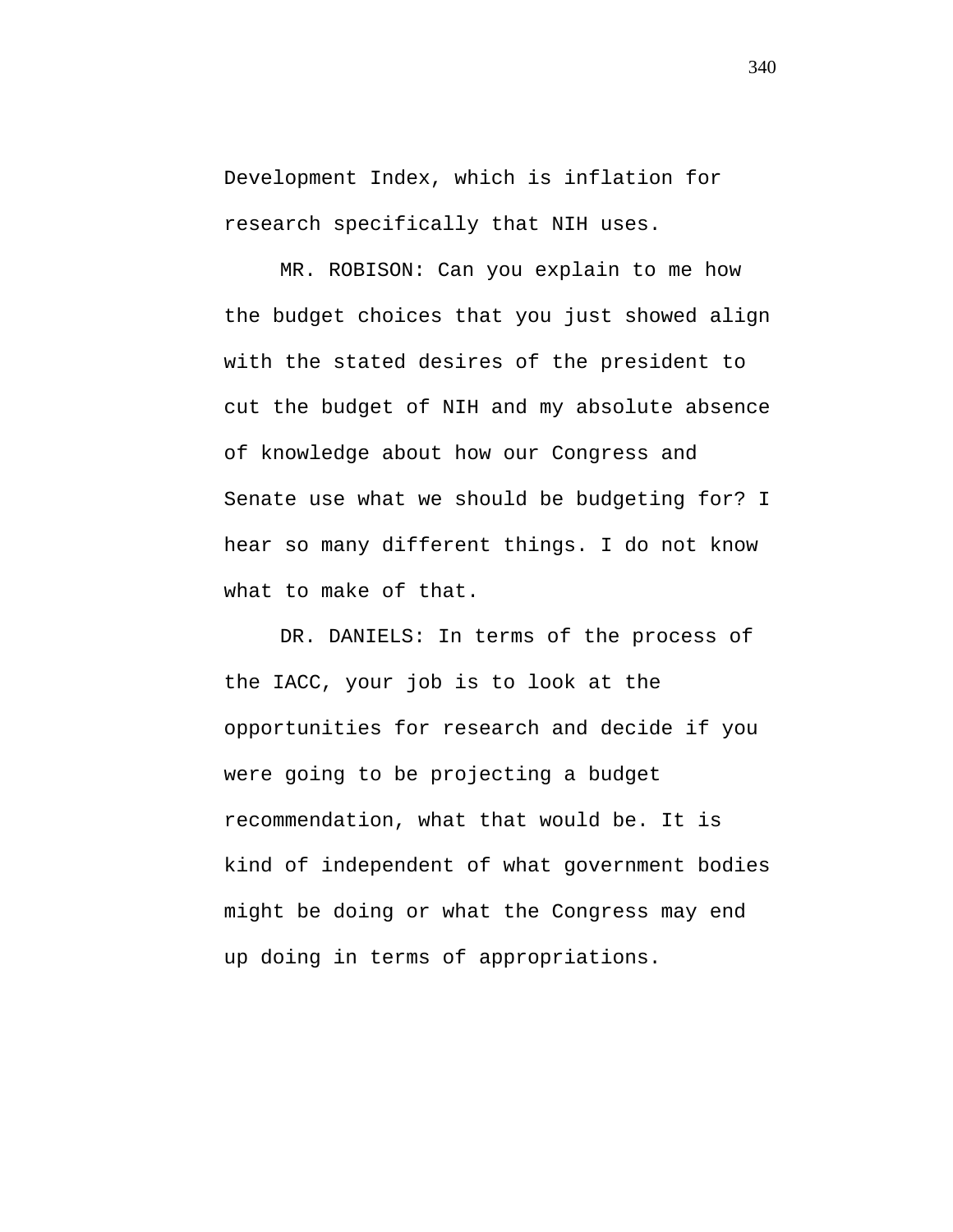Development Index, which is inflation for research specifically that NIH uses.

MR. ROBISON: Can you explain to me how the budget choices that you just showed align with the stated desires of the president to cut the budget of NIH and my absolute absence of knowledge about how our Congress and Senate use what we should be budgeting for? I hear so many different things. I do not know what to make of that.

DR. DANIELS: In terms of the process of the IACC, your job is to look at the opportunities for research and decide if you were going to be projecting a budget recommendation, what that would be. It is kind of independent of what government bodies might be doing or what the Congress may end up doing in terms of appropriations.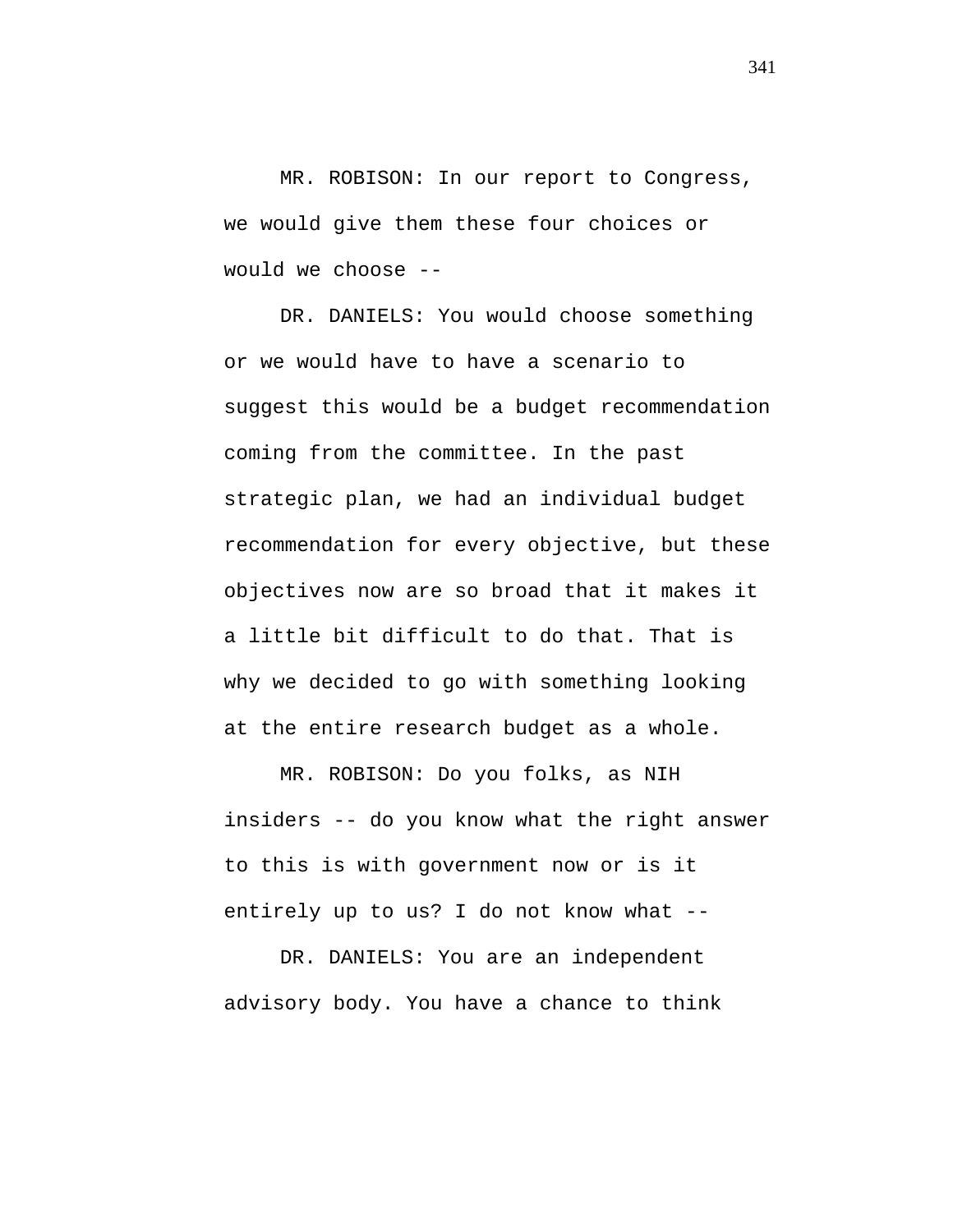MR. ROBISON: In our report to Congress, we would give them these four choices or would we choose --

DR. DANIELS: You would choose something or we would have to have a scenario to suggest this would be a budget recommendation coming from the committee. In the past strategic plan, we had an individual budget recommendation for every objective, but these objectives now are so broad that it makes it a little bit difficult to do that. That is why we decided to go with something looking at the entire research budget as a whole.

MR. ROBISON: Do you folks, as NIH insiders -- do you know what the right answer to this is with government now or is it entirely up to us? I do not know what --

DR. DANIELS: You are an independent advisory body. You have a chance to think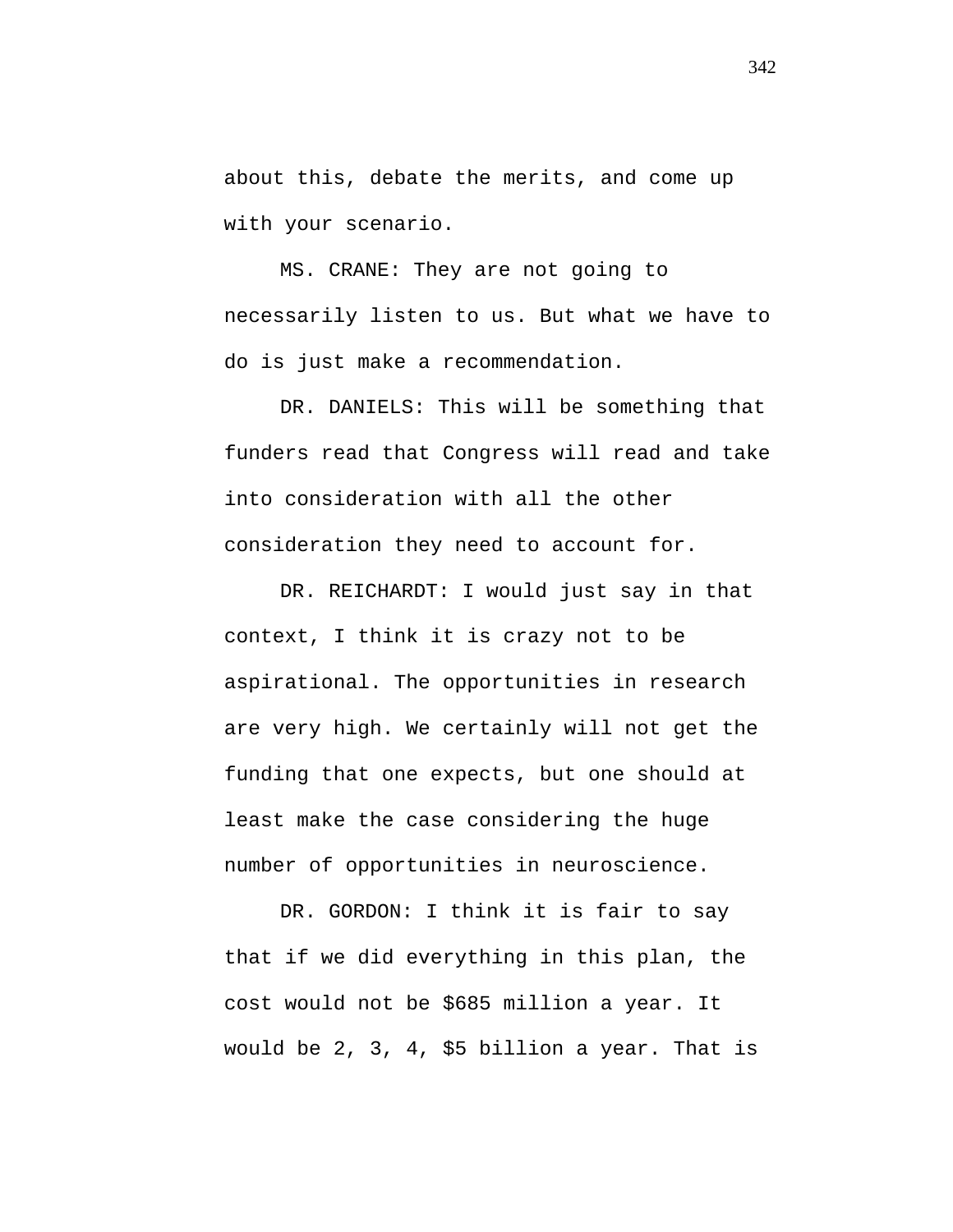about this, debate the merits, and come up with your scenario.

MS. CRANE: They are not going to necessarily listen to us. But what we have to do is just make a recommendation.

DR. DANIELS: This will be something that funders read that Congress will read and take into consideration with all the other consideration they need to account for.

DR. REICHARDT: I would just say in that context, I think it is crazy not to be aspirational. The opportunities in research are very high. We certainly will not get the funding that one expects, but one should at least make the case considering the huge number of opportunities in neuroscience.

DR. GORDON: I think it is fair to say that if we did everything in this plan, the cost would not be \$685 million a year. It would be 2, 3, 4, \$5 billion a year. That is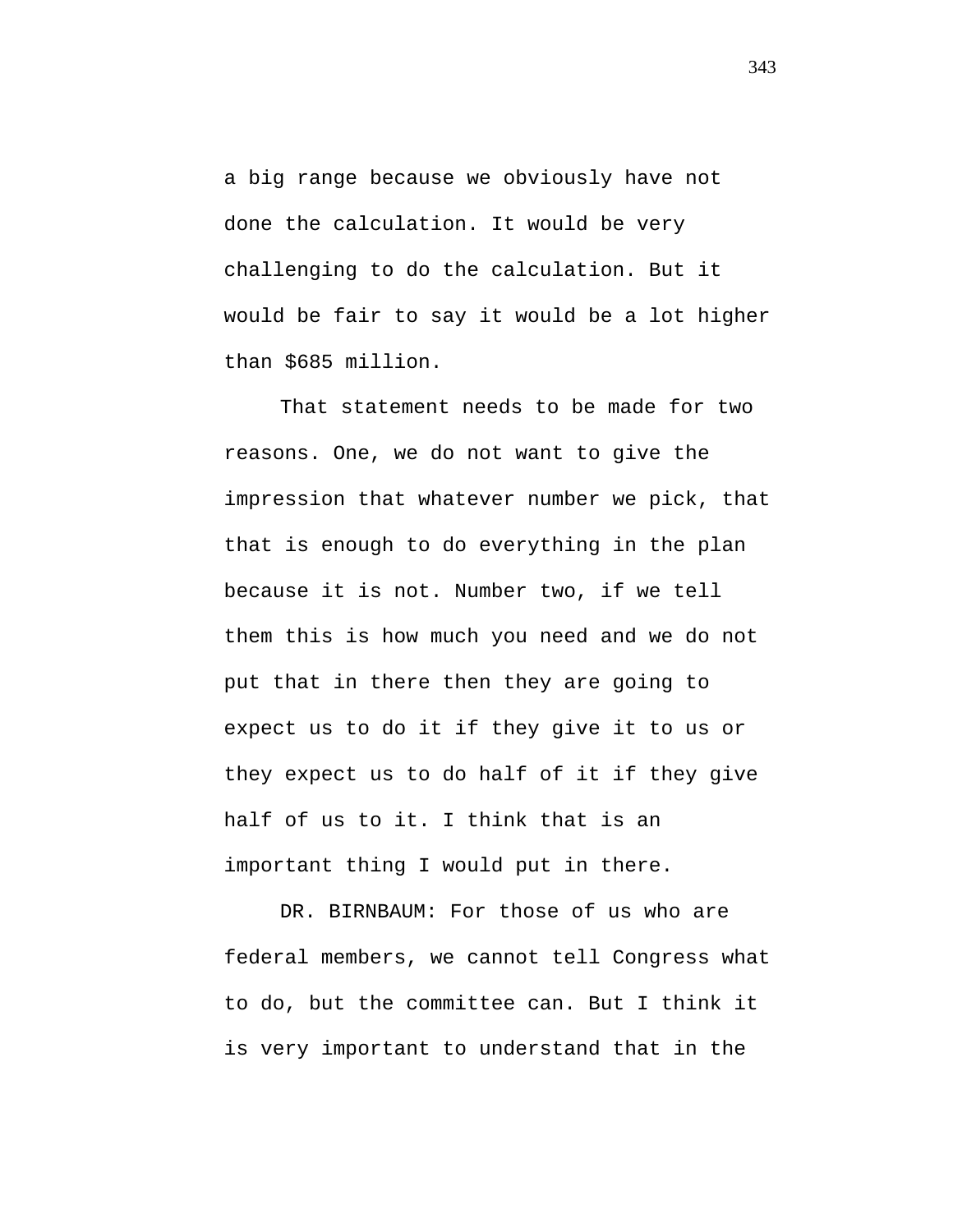a big range because we obviously have not done the calculation. It would be very challenging to do the calculation. But it would be fair to say it would be a lot higher than \$685 million.

That statement needs to be made for two reasons. One, we do not want to give the impression that whatever number we pick, that that is enough to do everything in the plan because it is not. Number two, if we tell them this is how much you need and we do not put that in there then they are going to expect us to do it if they give it to us or they expect us to do half of it if they give half of us to it. I think that is an important thing I would put in there.

DR. BIRNBAUM: For those of us who are federal members, we cannot tell Congress what to do, but the committee can. But I think it is very important to understand that in the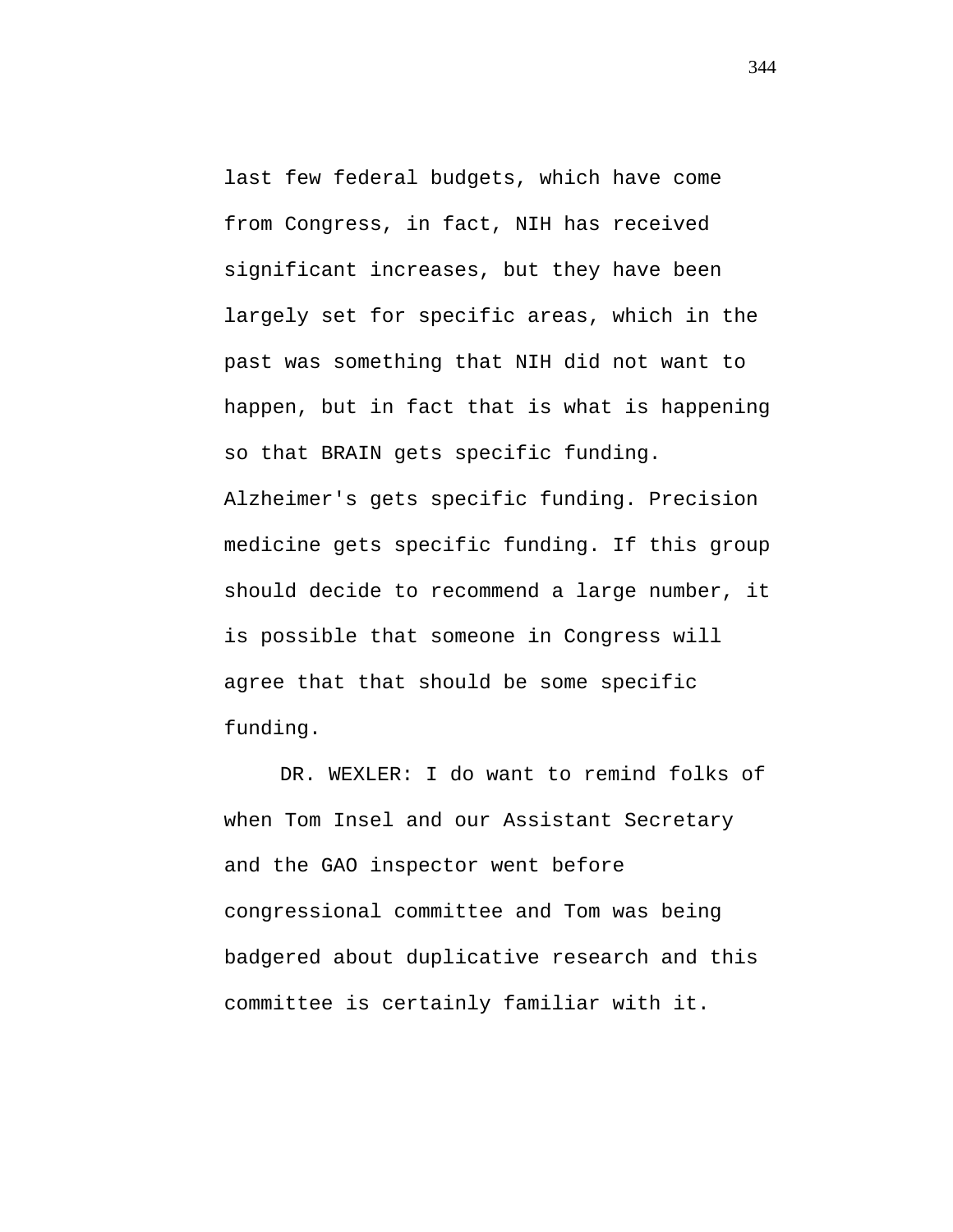last few federal budgets, which have come from Congress, in fact, NIH has received significant increases, but they have been largely set for specific areas, which in the past was something that NIH did not want to happen, but in fact that is what is happening so that BRAIN gets specific funding. Alzheimer's gets specific funding. Precision medicine gets specific funding. If this group should decide to recommend a large number, it is possible that someone in Congress will agree that that should be some specific funding.

DR. WEXLER: I do want to remind folks of when Tom Insel and our Assistant Secretary and the GAO inspector went before congressional committee and Tom was being badgered about duplicative research and this committee is certainly familiar with it.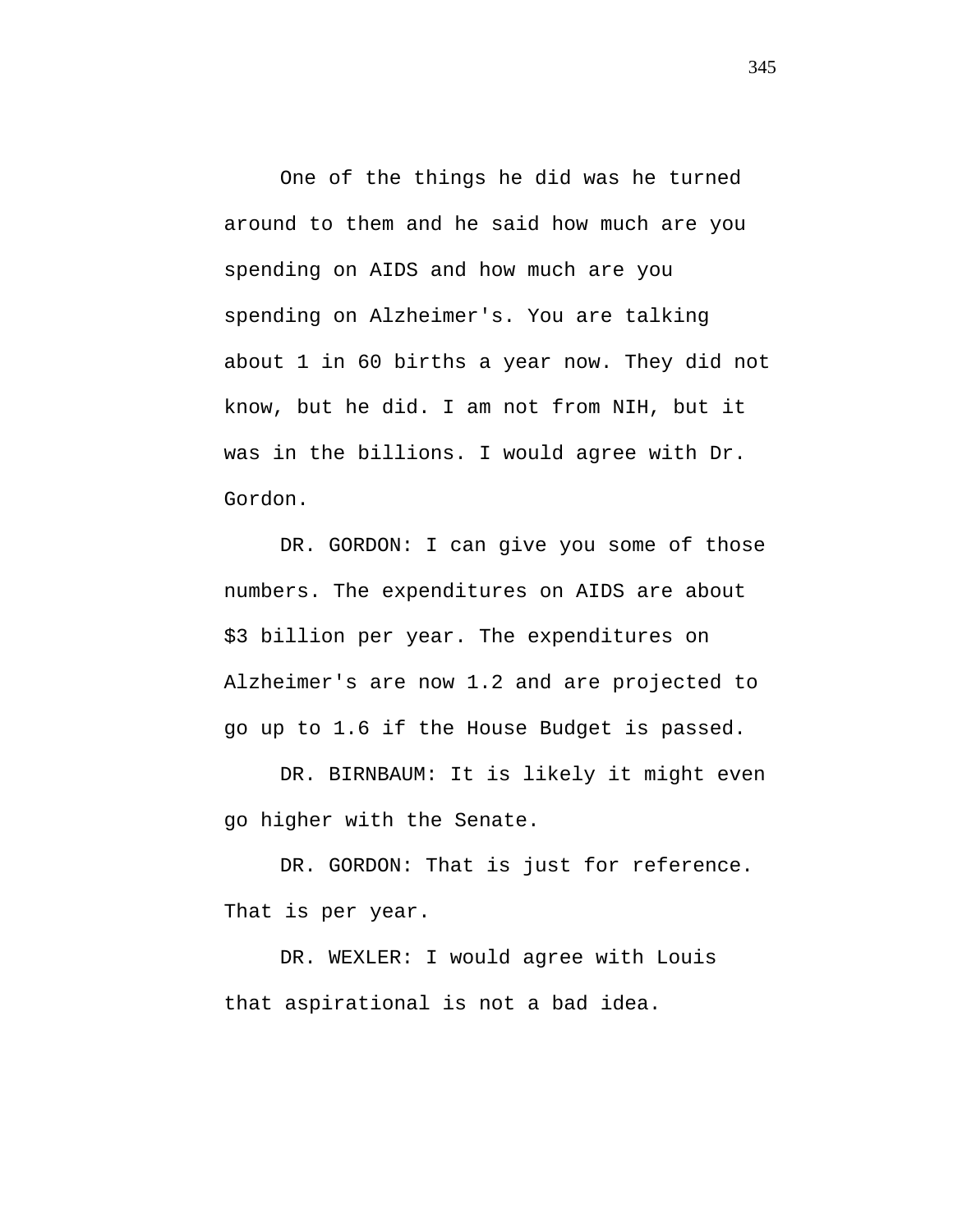One of the things he did was he turned around to them and he said how much are you spending on AIDS and how much are you spending on Alzheimer's. You are talking about 1 in 60 births a year now. They did not know, but he did. I am not from NIH, but it was in the billions. I would agree with Dr. Gordon.

DR. GORDON: I can give you some of those numbers. The expenditures on AIDS are about \$3 billion per year. The expenditures on Alzheimer's are now 1.2 and are projected to go up to 1.6 if the House Budget is passed.

DR. BIRNBAUM: It is likely it might even go higher with the Senate.

DR. GORDON: That is just for reference. That is per year.

DR. WEXLER: I would agree with Louis that aspirational is not a bad idea.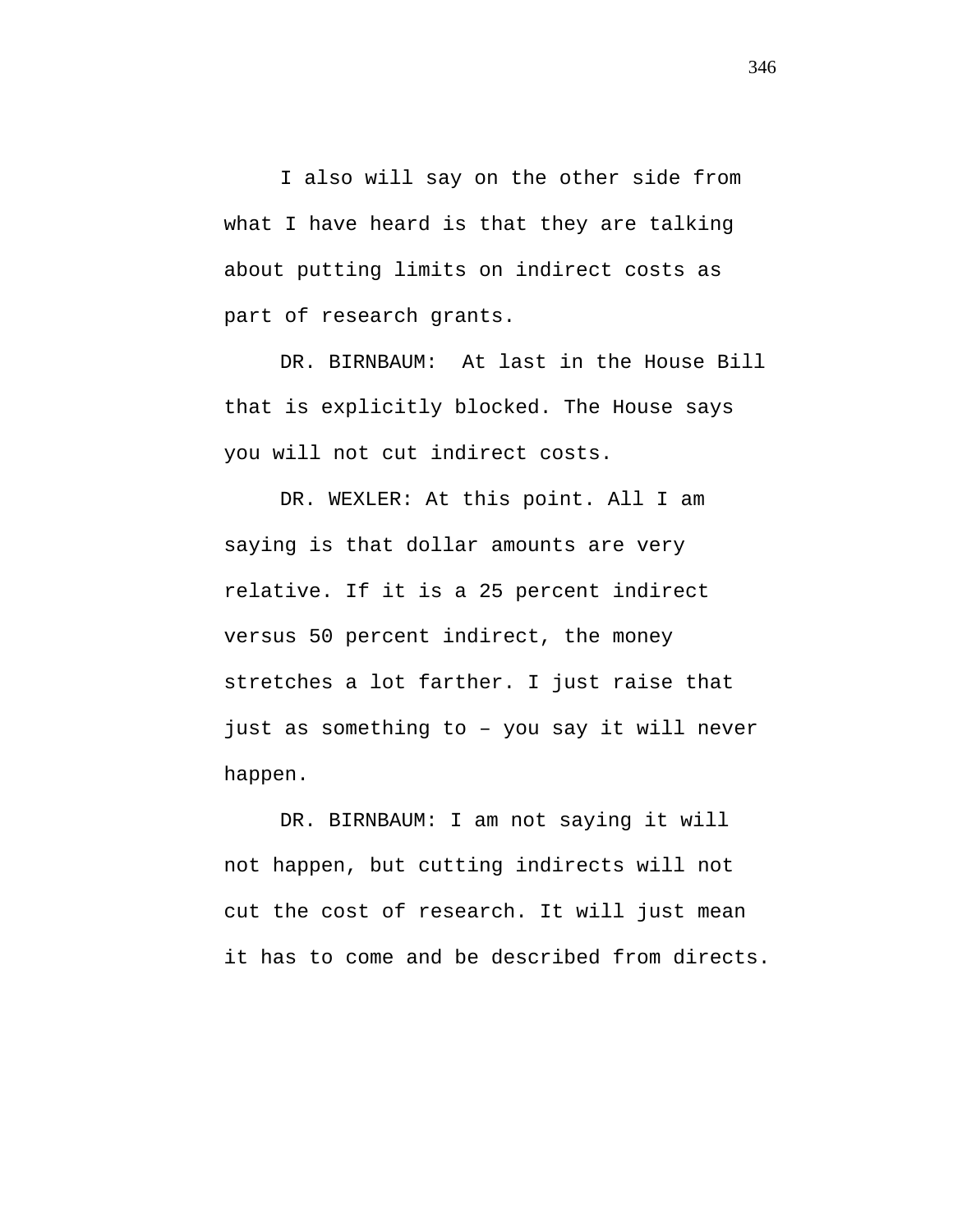I also will say on the other side from what I have heard is that they are talking about putting limits on indirect costs as part of research grants.

DR. BIRNBAUM: At last in the House Bill that is explicitly blocked. The House says you will not cut indirect costs.

DR. WEXLER: At this point. All I am saying is that dollar amounts are very relative. If it is a 25 percent indirect versus 50 percent indirect, the money stretches a lot farther. I just raise that just as something to – you say it will never happen.

DR. BIRNBAUM: I am not saying it will not happen, but cutting indirects will not cut the cost of research. It will just mean it has to come and be described from directs.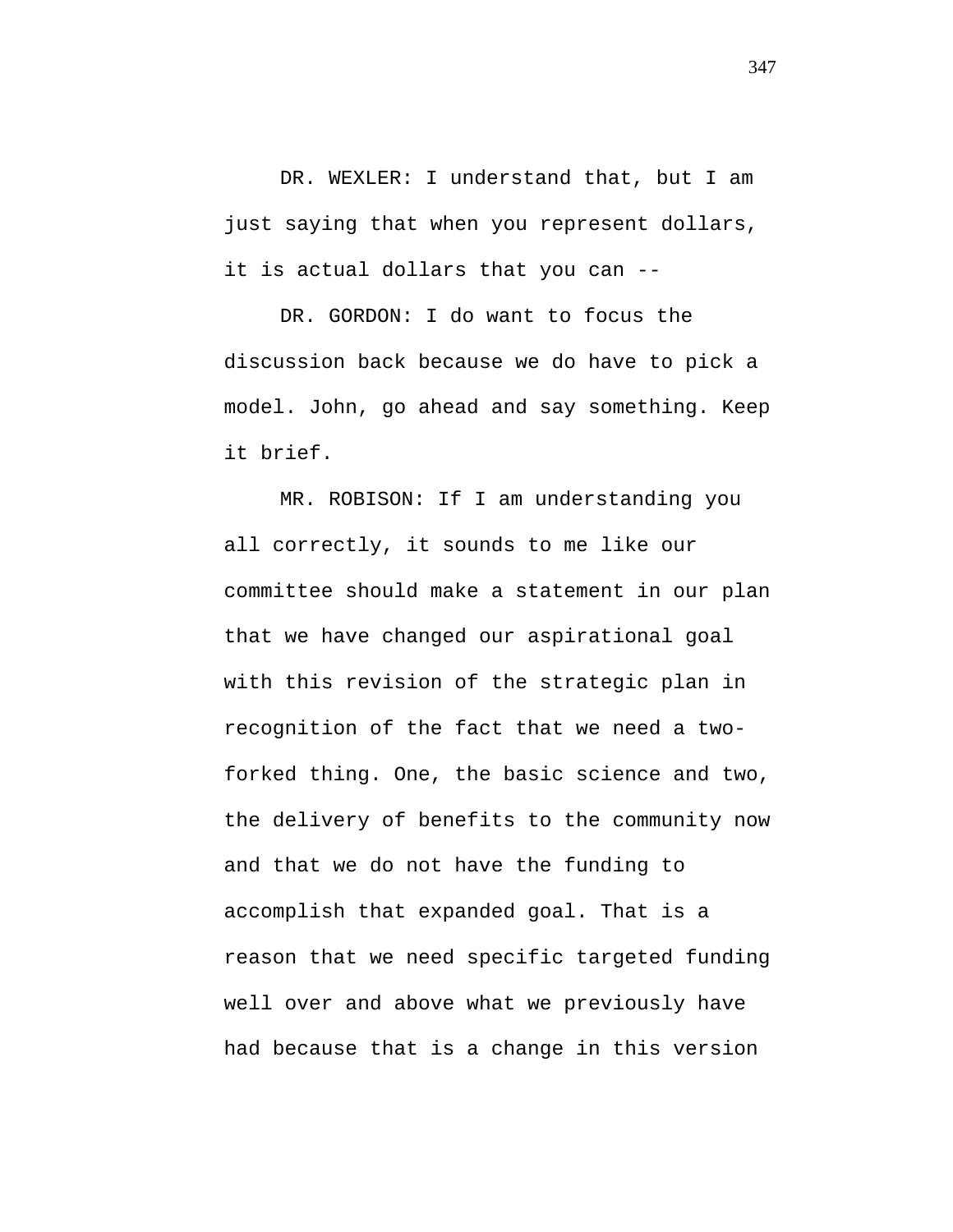DR. WEXLER: I understand that, but I am just saying that when you represent dollars, it is actual dollars that you can --

DR. GORDON: I do want to focus the discussion back because we do have to pick a model. John, go ahead and say something. Keep it brief.

MR. ROBISON: If I am understanding you all correctly, it sounds to me like our committee should make a statement in our plan that we have changed our aspirational goal with this revision of the strategic plan in recognition of the fact that we need a twoforked thing. One, the basic science and two, the delivery of benefits to the community now and that we do not have the funding to accomplish that expanded goal. That is a reason that we need specific targeted funding well over and above what we previously have had because that is a change in this version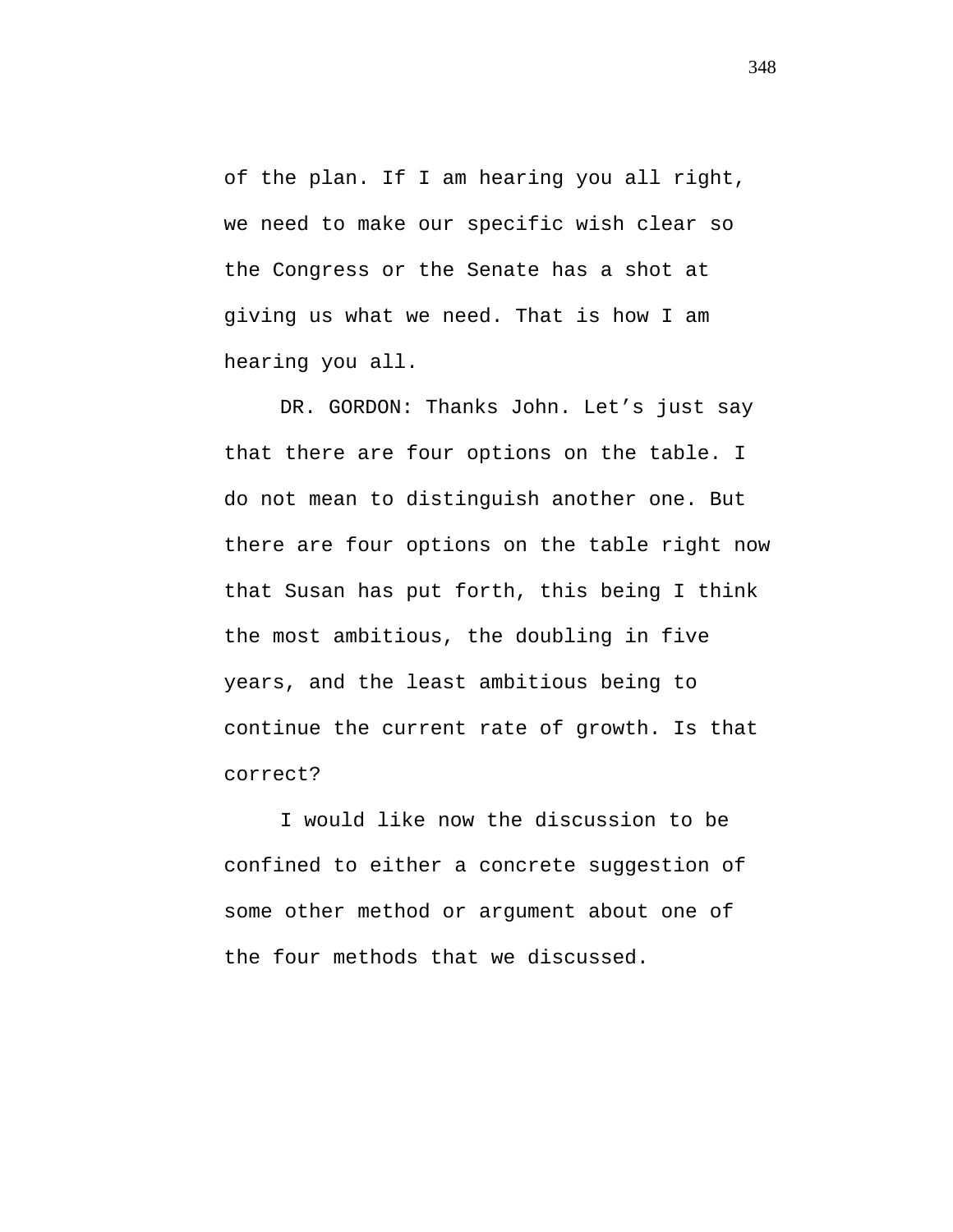of the plan. If I am hearing you all right, we need to make our specific wish clear so the Congress or the Senate has a shot at giving us what we need. That is how I am hearing you all.

DR. GORDON: Thanks John. Let's just say that there are four options on the table. I do not mean to distinguish another one. But there are four options on the table right now that Susan has put forth, this being I think the most ambitious, the doubling in five years, and the least ambitious being to continue the current rate of growth. Is that correct?

I would like now the discussion to be confined to either a concrete suggestion of some other method or argument about one of the four methods that we discussed.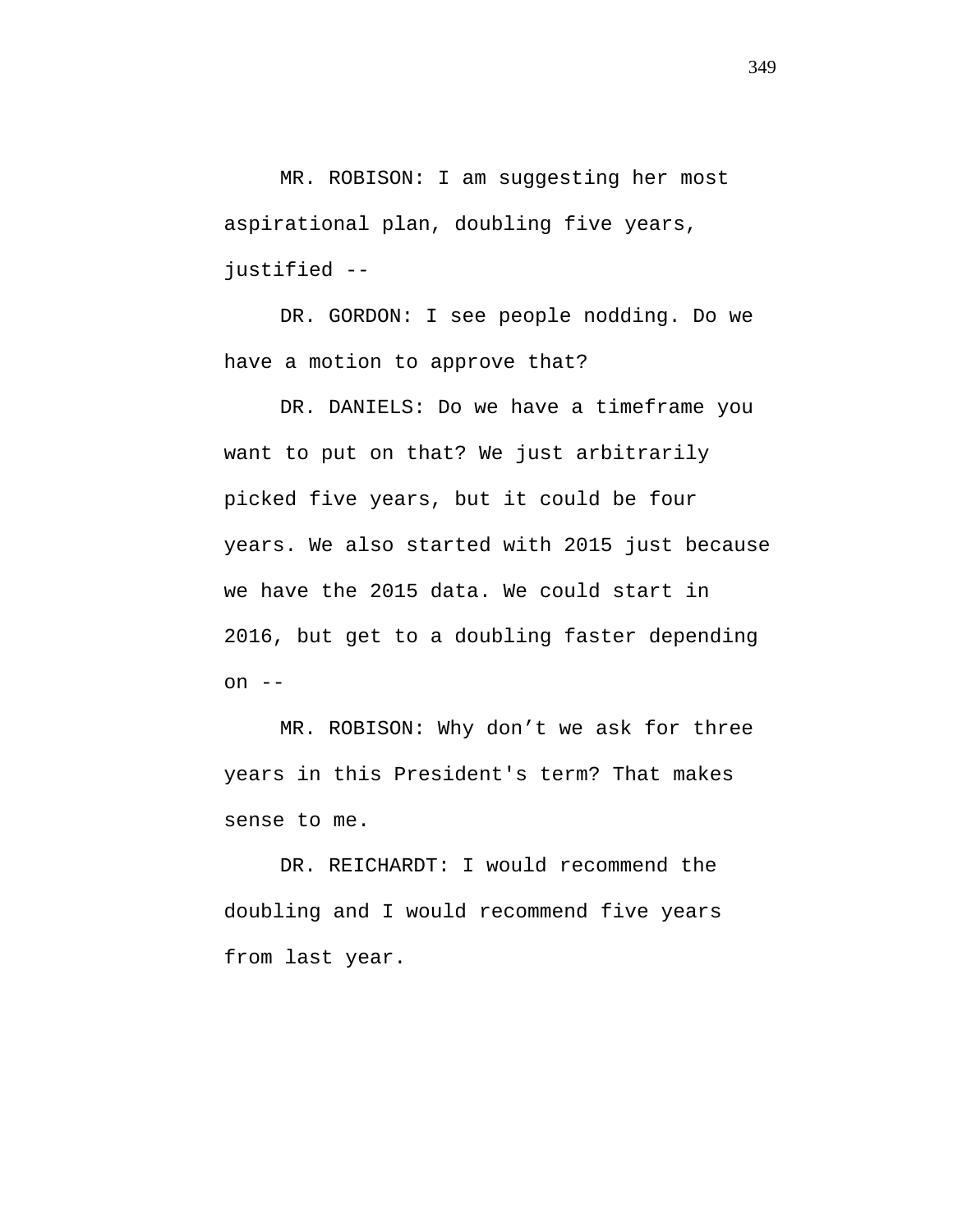MR. ROBISON: I am suggesting her most aspirational plan, doubling five years, justified --

DR. GORDON: I see people nodding. Do we have a motion to approve that?

DR. DANIELS: Do we have a timeframe you want to put on that? We just arbitrarily picked five years, but it could be four years. We also started with 2015 just because we have the 2015 data. We could start in 2016, but get to a doubling faster depending on  $--$ 

MR. ROBISON: Why don't we ask for three years in this President's term? That makes sense to me.

DR. REICHARDT: I would recommend the doubling and I would recommend five years from last year.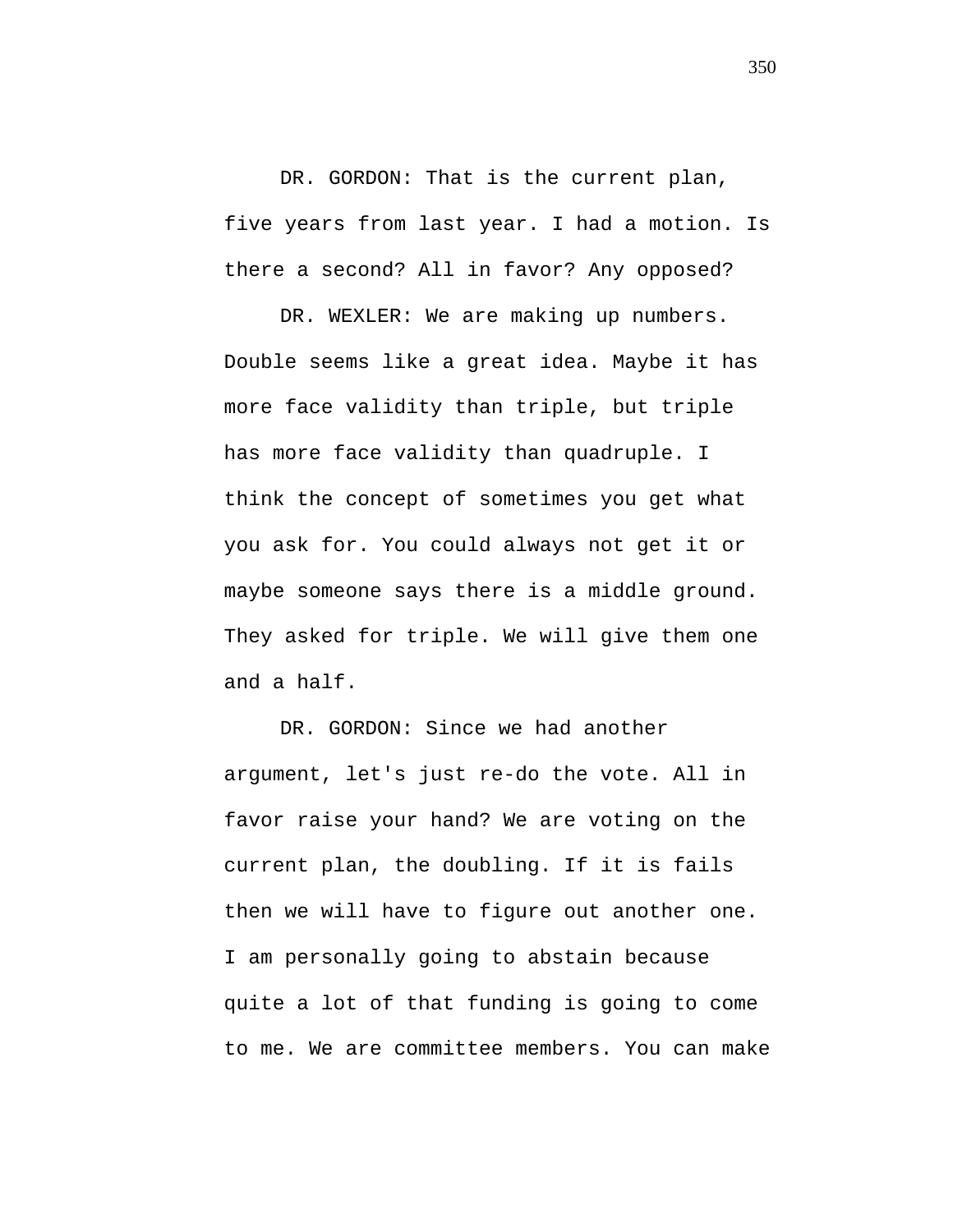DR. GORDON: That is the current plan, five years from last year. I had a motion. Is there a second? All in favor? Any opposed?

DR. WEXLER: We are making up numbers. Double seems like a great idea. Maybe it has more face validity than triple, but triple has more face validity than quadruple. I think the concept of sometimes you get what you ask for. You could always not get it or maybe someone says there is a middle ground. They asked for triple. We will give them one and a half.

DR. GORDON: Since we had another argument, let's just re-do the vote. All in favor raise your hand? We are voting on the current plan, the doubling. If it is fails then we will have to figure out another one. I am personally going to abstain because quite a lot of that funding is going to come to me. We are committee members. You can make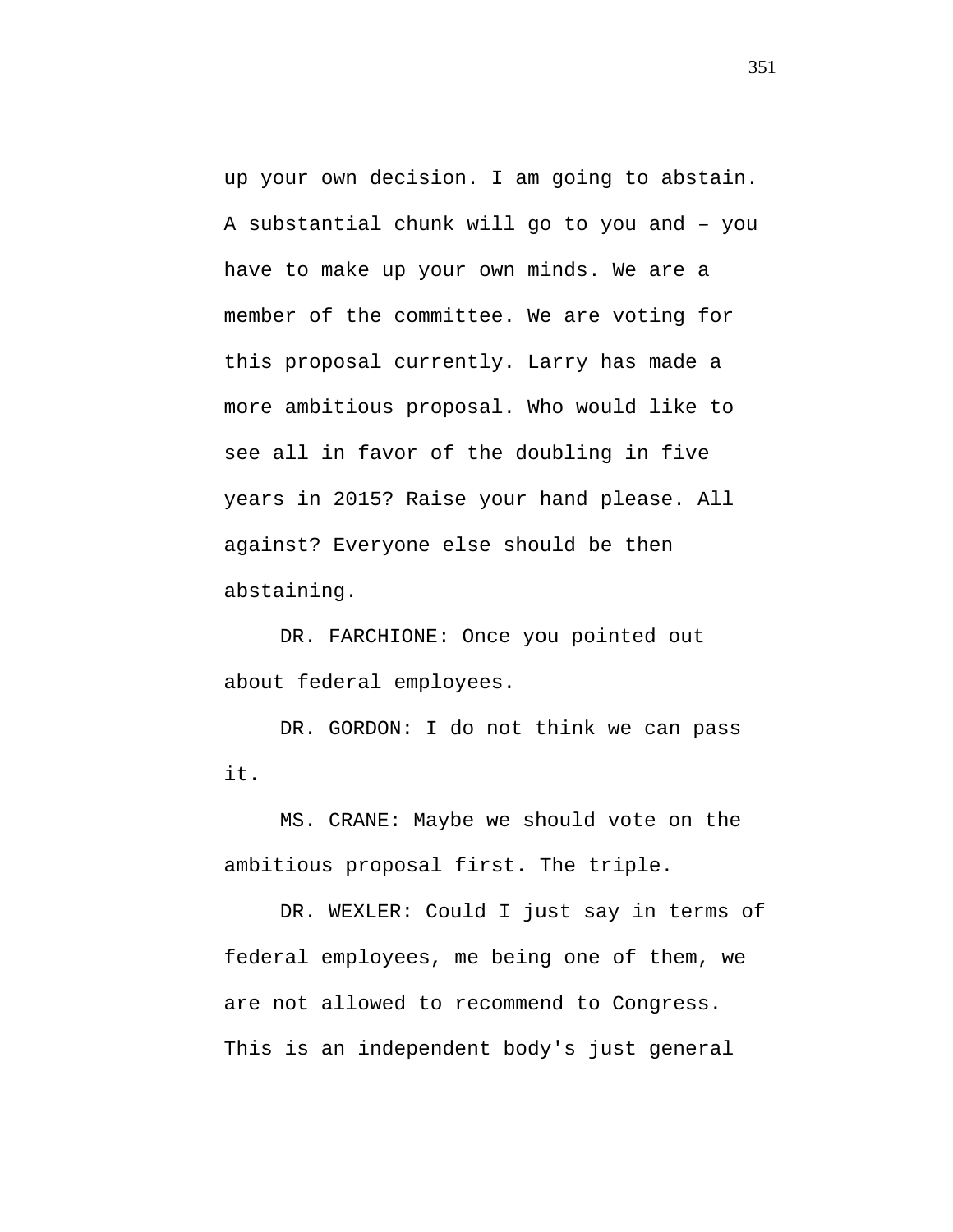up your own decision. I am going to abstain. A substantial chunk will go to you and – you have to make up your own minds. We are a member of the committee. We are voting for this proposal currently. Larry has made a more ambitious proposal. Who would like to see all in favor of the doubling in five years in 2015? Raise your hand please. All against? Everyone else should be then abstaining.

DR. FARCHIONE: Once you pointed out about federal employees.

DR. GORDON: I do not think we can pass it.

MS. CRANE: Maybe we should vote on the ambitious proposal first. The triple.

DR. WEXLER: Could I just say in terms of federal employees, me being one of them, we are not allowed to recommend to Congress. This is an independent body's just general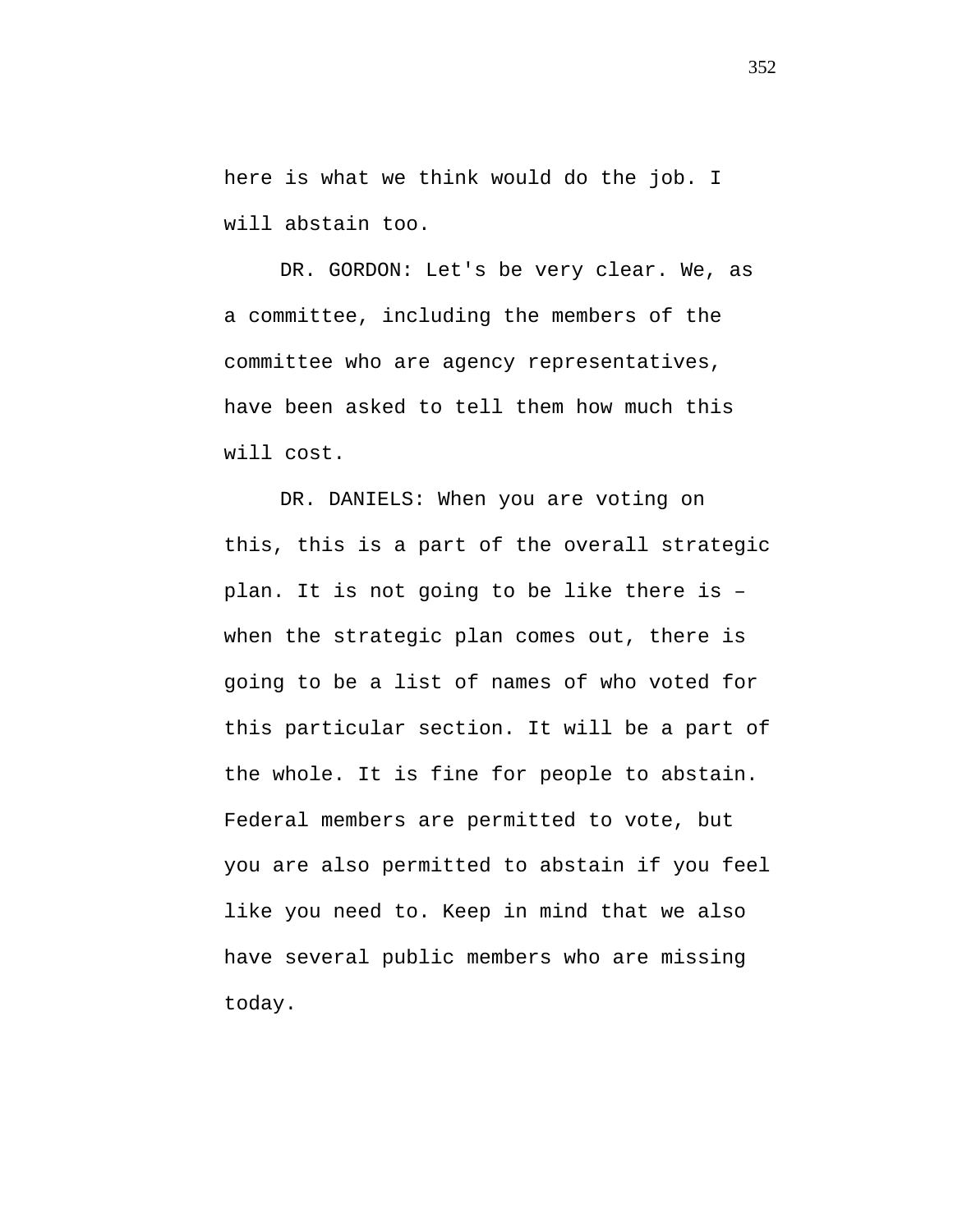here is what we think would do the job. I will abstain too.

DR. GORDON: Let's be very clear. We, as a committee, including the members of the committee who are agency representatives, have been asked to tell them how much this will cost.

DR. DANIELS: When you are voting on this, this is a part of the overall strategic plan. It is not going to be like there is – when the strategic plan comes out, there is going to be a list of names of who voted for this particular section. It will be a part of the whole. It is fine for people to abstain. Federal members are permitted to vote, but you are also permitted to abstain if you feel like you need to. Keep in mind that we also have several public members who are missing today.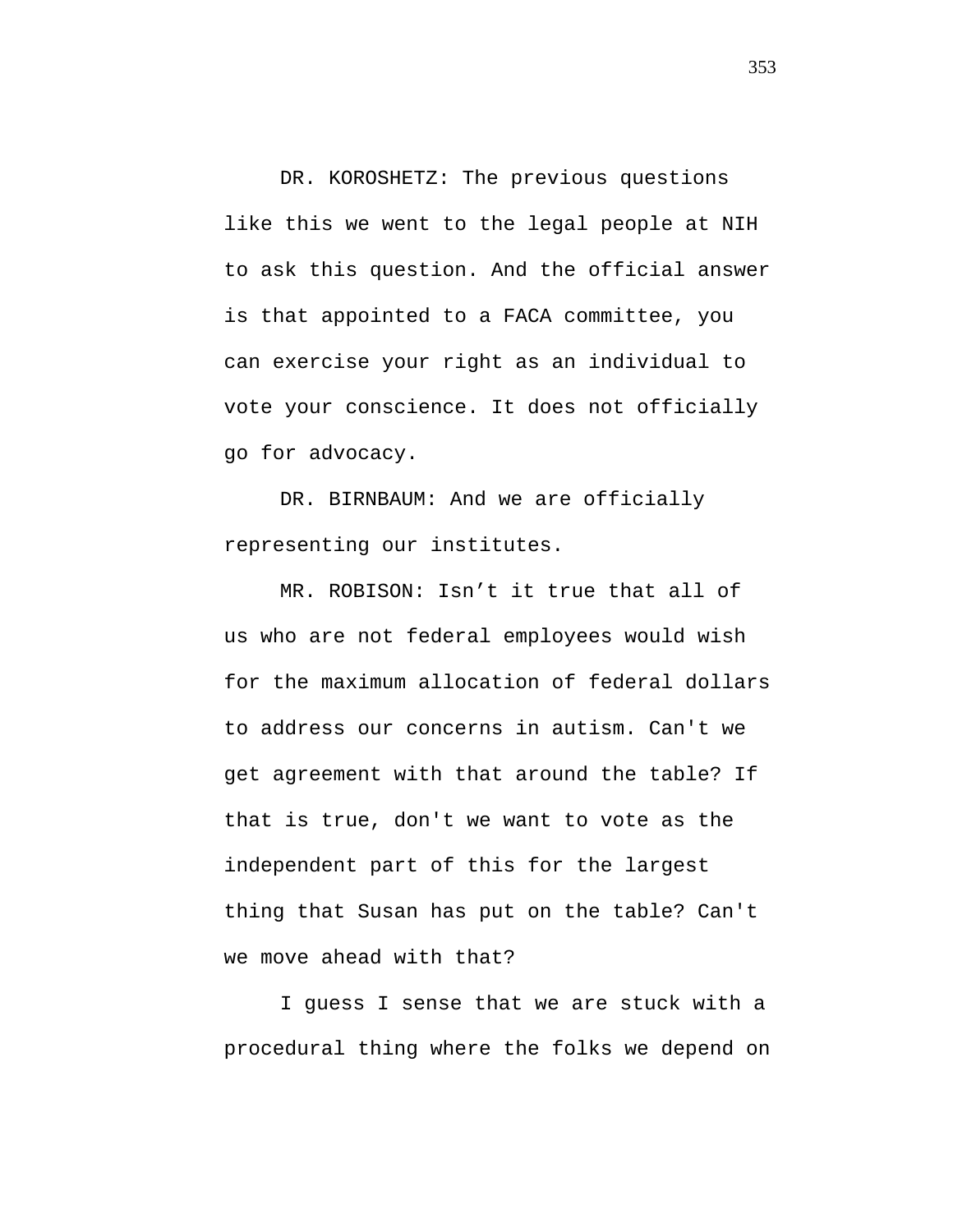DR. KOROSHETZ: The previous questions like this we went to the legal people at NIH to ask this question. And the official answer is that appointed to a FACA committee, you can exercise your right as an individual to vote your conscience. It does not officially go for advocacy.

DR. BIRNBAUM: And we are officially representing our institutes.

MR. ROBISON: Isn't it true that all of us who are not federal employees would wish for the maximum allocation of federal dollars to address our concerns in autism. Can't we get agreement with that around the table? If that is true, don't we want to vote as the independent part of this for the largest thing that Susan has put on the table? Can't we move ahead with that?

I guess I sense that we are stuck with a procedural thing where the folks we depend on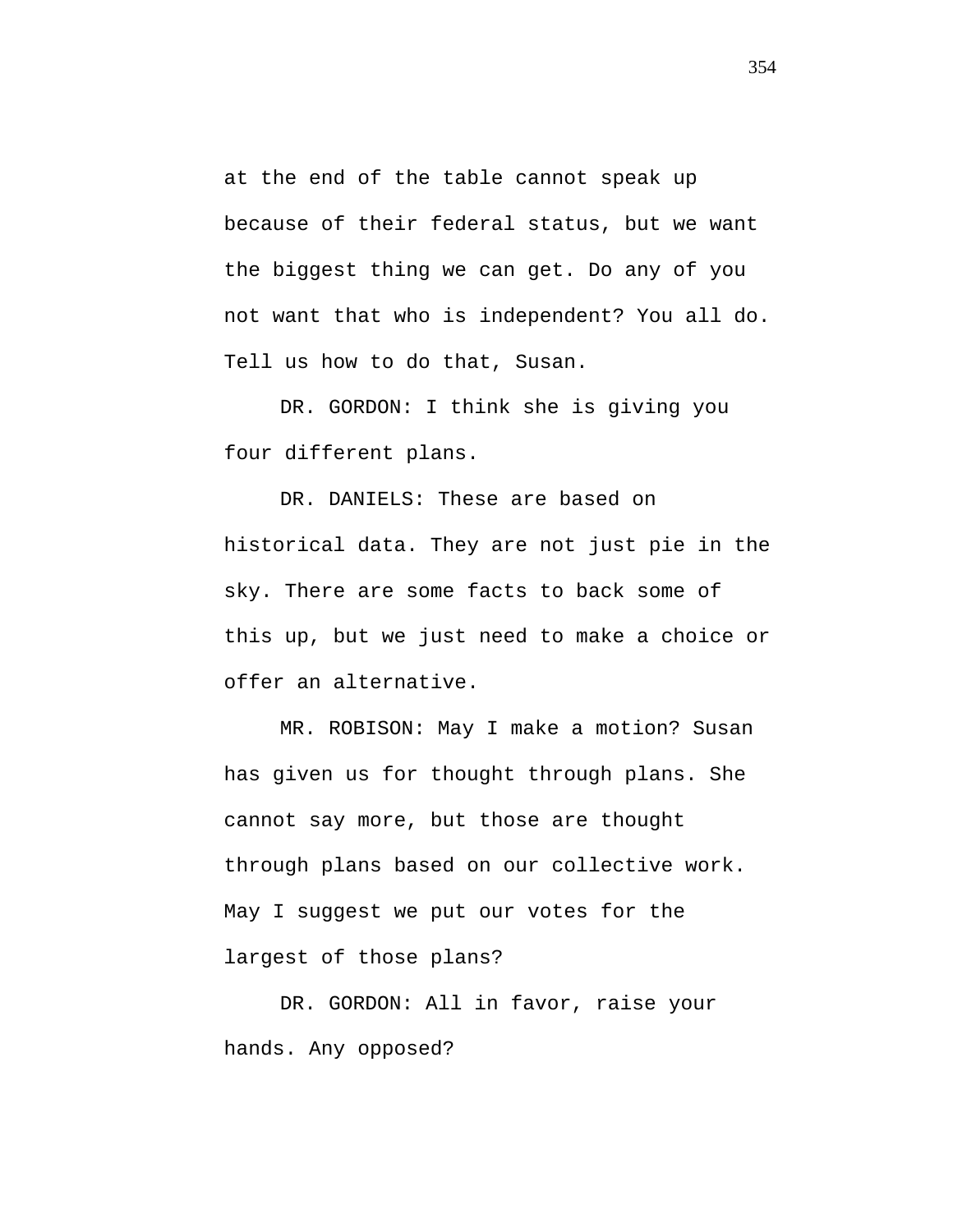at the end of the table cannot speak up because of their federal status, but we want the biggest thing we can get. Do any of you not want that who is independent? You all do. Tell us how to do that, Susan.

DR. GORDON: I think she is giving you four different plans.

DR. DANIELS: These are based on historical data. They are not just pie in the sky. There are some facts to back some of this up, but we just need to make a choice or offer an alternative.

MR. ROBISON: May I make a motion? Susan has given us for thought through plans. She cannot say more, but those are thought through plans based on our collective work. May I suggest we put our votes for the largest of those plans?

DR. GORDON: All in favor, raise your hands. Any opposed?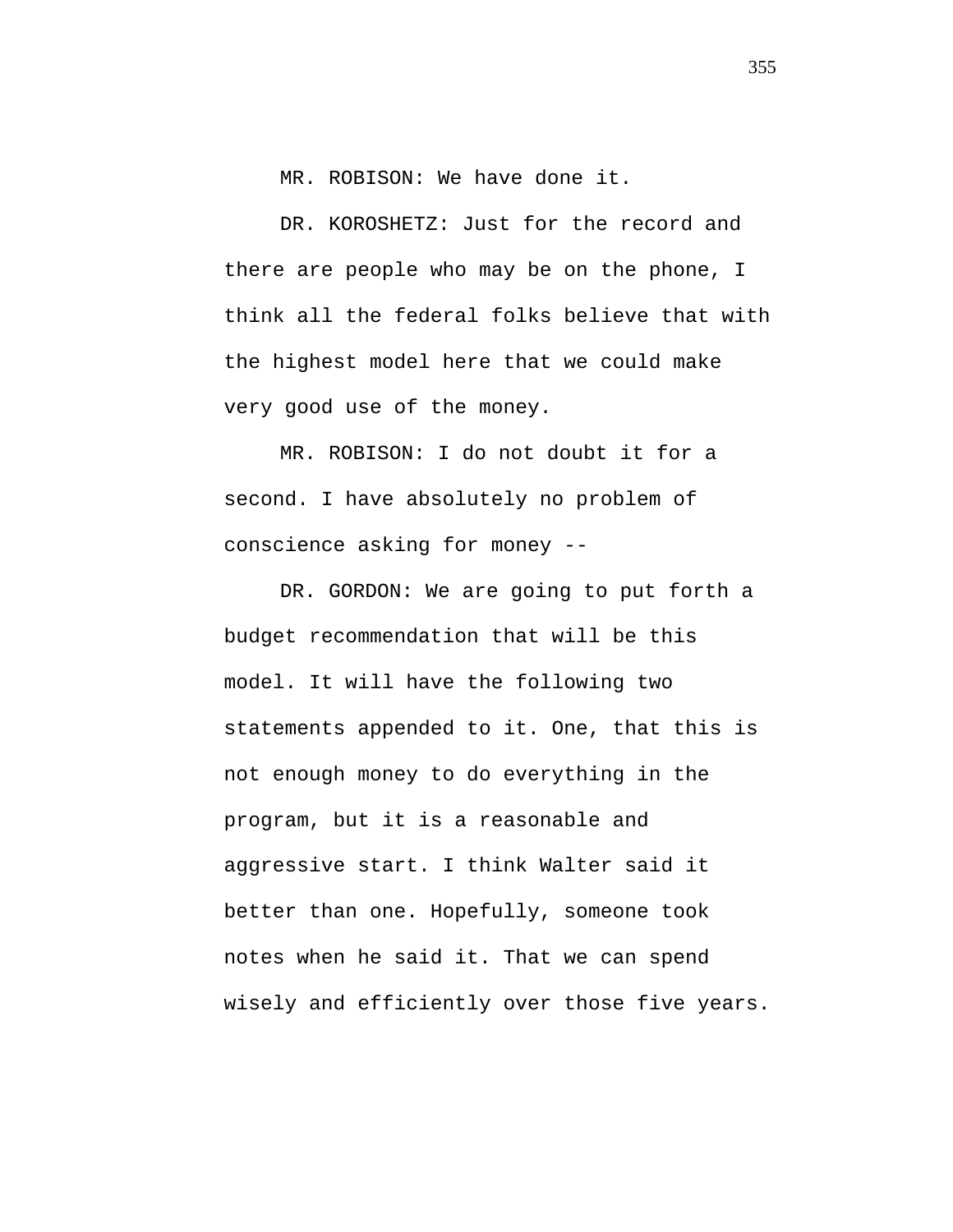MR. ROBISON: We have done it.

DR. KOROSHETZ: Just for the record and there are people who may be on the phone, I think all the federal folks believe that with the highest model here that we could make very good use of the money.

MR. ROBISON: I do not doubt it for a second. I have absolutely no problem of conscience asking for money --

DR. GORDON: We are going to put forth a budget recommendation that will be this model. It will have the following two statements appended to it. One, that this is not enough money to do everything in the program, but it is a reasonable and aggressive start. I think Walter said it better than one. Hopefully, someone took notes when he said it. That we can spend wisely and efficiently over those five years.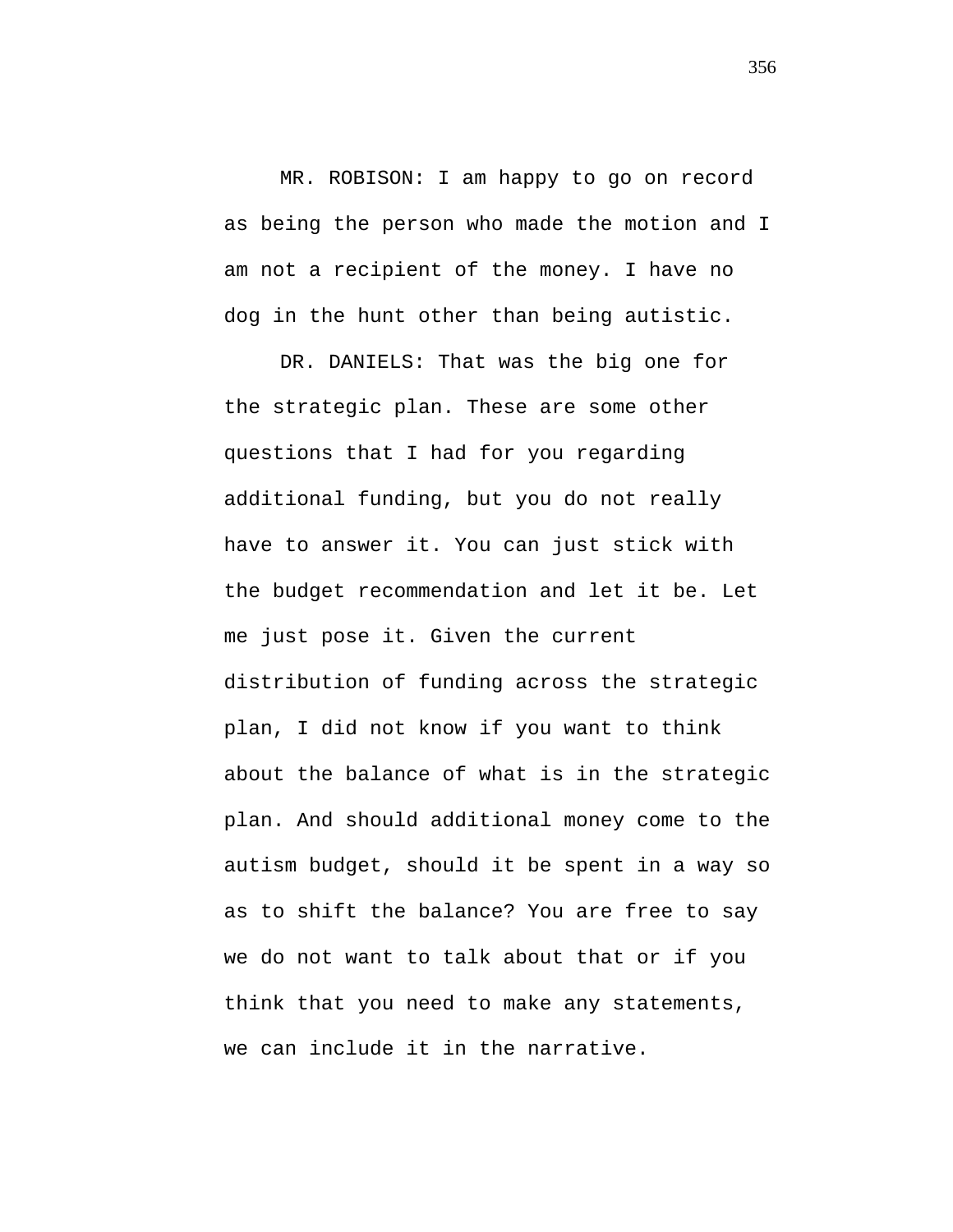MR. ROBISON: I am happy to go on record as being the person who made the motion and I am not a recipient of the money. I have no dog in the hunt other than being autistic.

DR. DANIELS: That was the big one for the strategic plan. These are some other questions that I had for you regarding additional funding, but you do not really have to answer it. You can just stick with the budget recommendation and let it be. Let me just pose it. Given the current distribution of funding across the strategic plan, I did not know if you want to think about the balance of what is in the strategic plan. And should additional money come to the autism budget, should it be spent in a way so as to shift the balance? You are free to say we do not want to talk about that or if you think that you need to make any statements, we can include it in the narrative.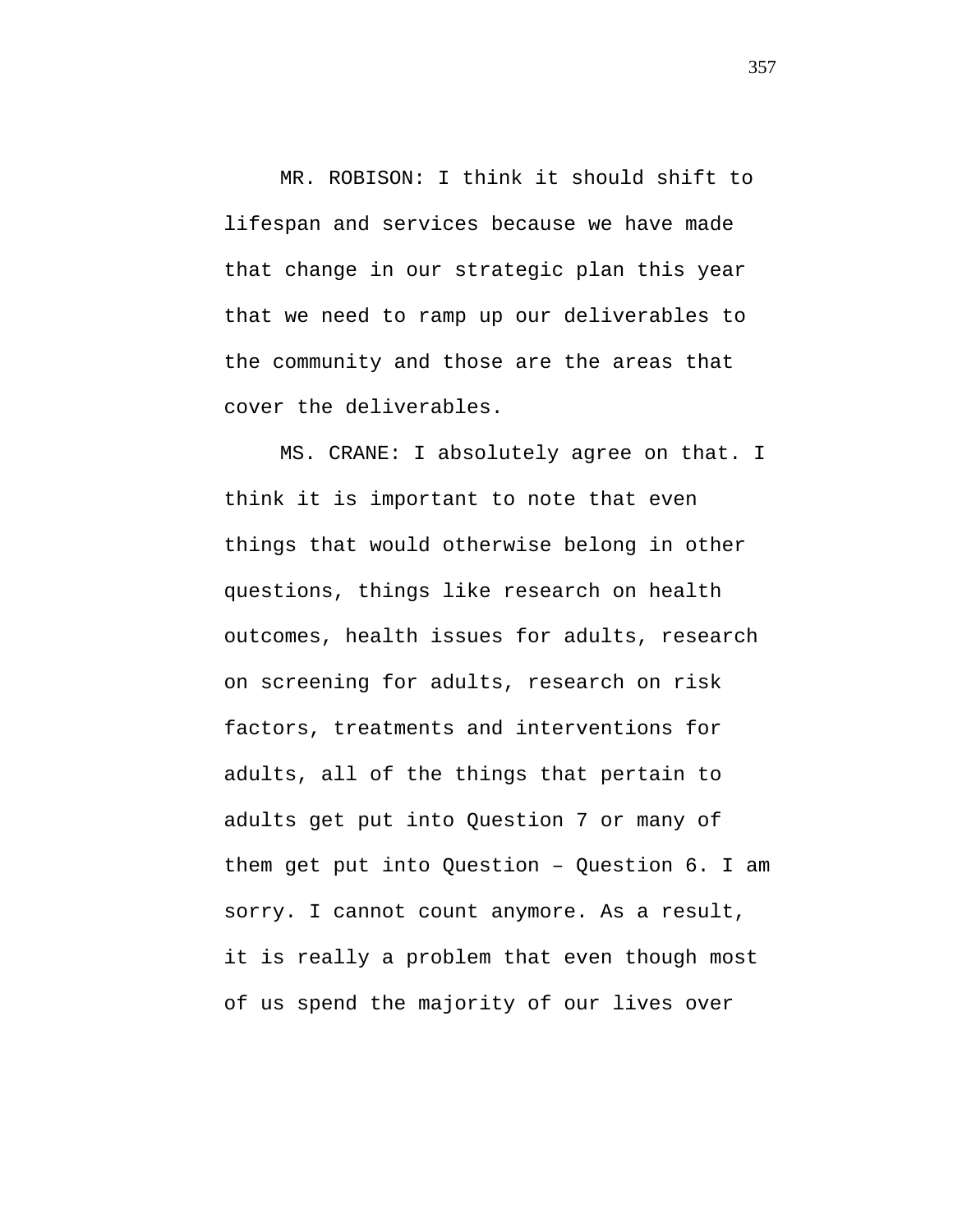MR. ROBISON: I think it should shift to lifespan and services because we have made that change in our strategic plan this year that we need to ramp up our deliverables to the community and those are the areas that cover the deliverables.

MS. CRANE: I absolutely agree on that. I think it is important to note that even things that would otherwise belong in other questions, things like research on health outcomes, health issues for adults, research on screening for adults, research on risk factors, treatments and interventions for adults, all of the things that pertain to adults get put into Question 7 or many of them get put into Question – Question 6. I am sorry. I cannot count anymore. As a result, it is really a problem that even though most of us spend the majority of our lives over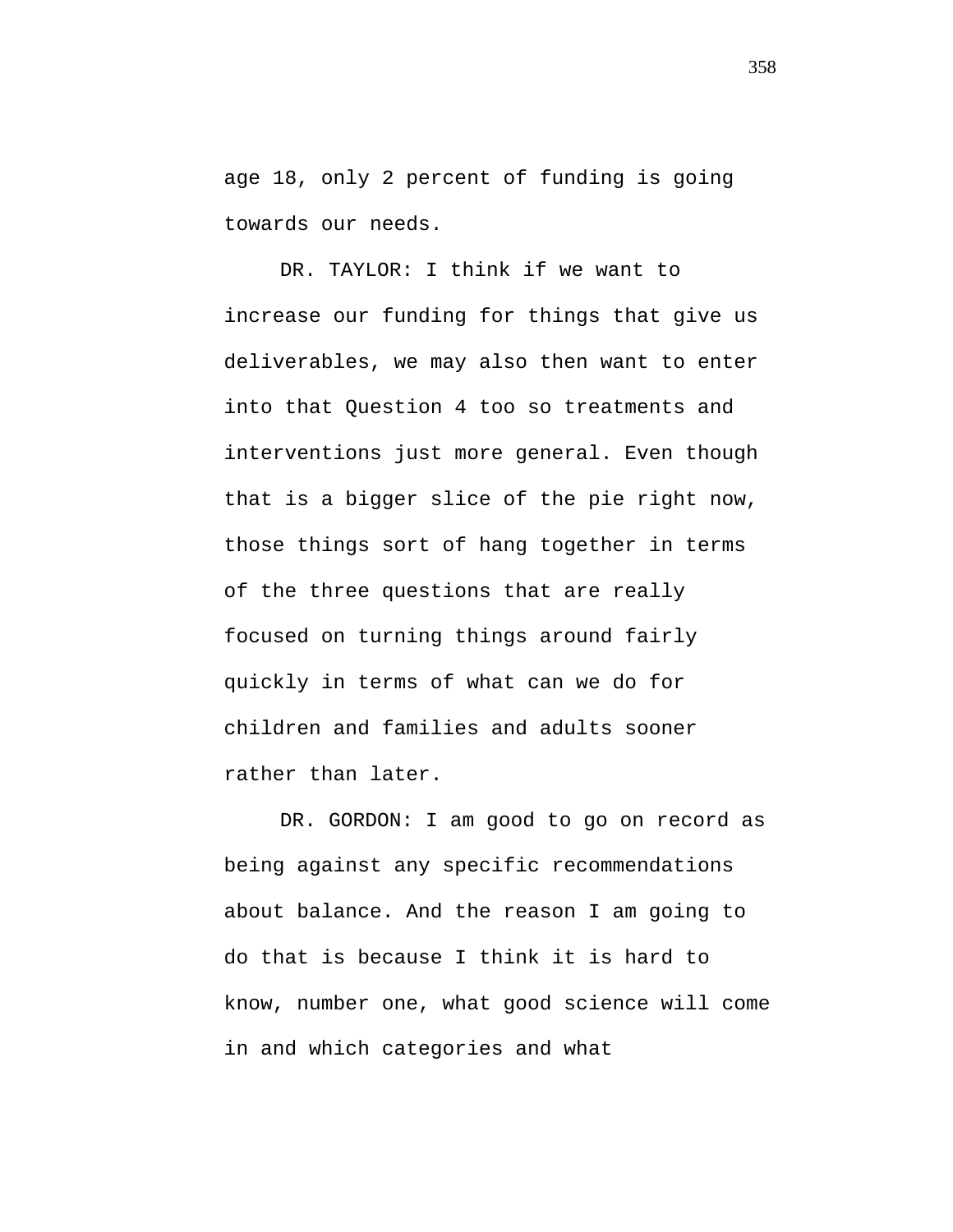age 18, only 2 percent of funding is going towards our needs.

DR. TAYLOR: I think if we want to increase our funding for things that give us deliverables, we may also then want to enter into that Question 4 too so treatments and interventions just more general. Even though that is a bigger slice of the pie right now, those things sort of hang together in terms of the three questions that are really focused on turning things around fairly quickly in terms of what can we do for children and families and adults sooner rather than later.

DR. GORDON: I am good to go on record as being against any specific recommendations about balance. And the reason I am going to do that is because I think it is hard to know, number one, what good science will come in and which categories and what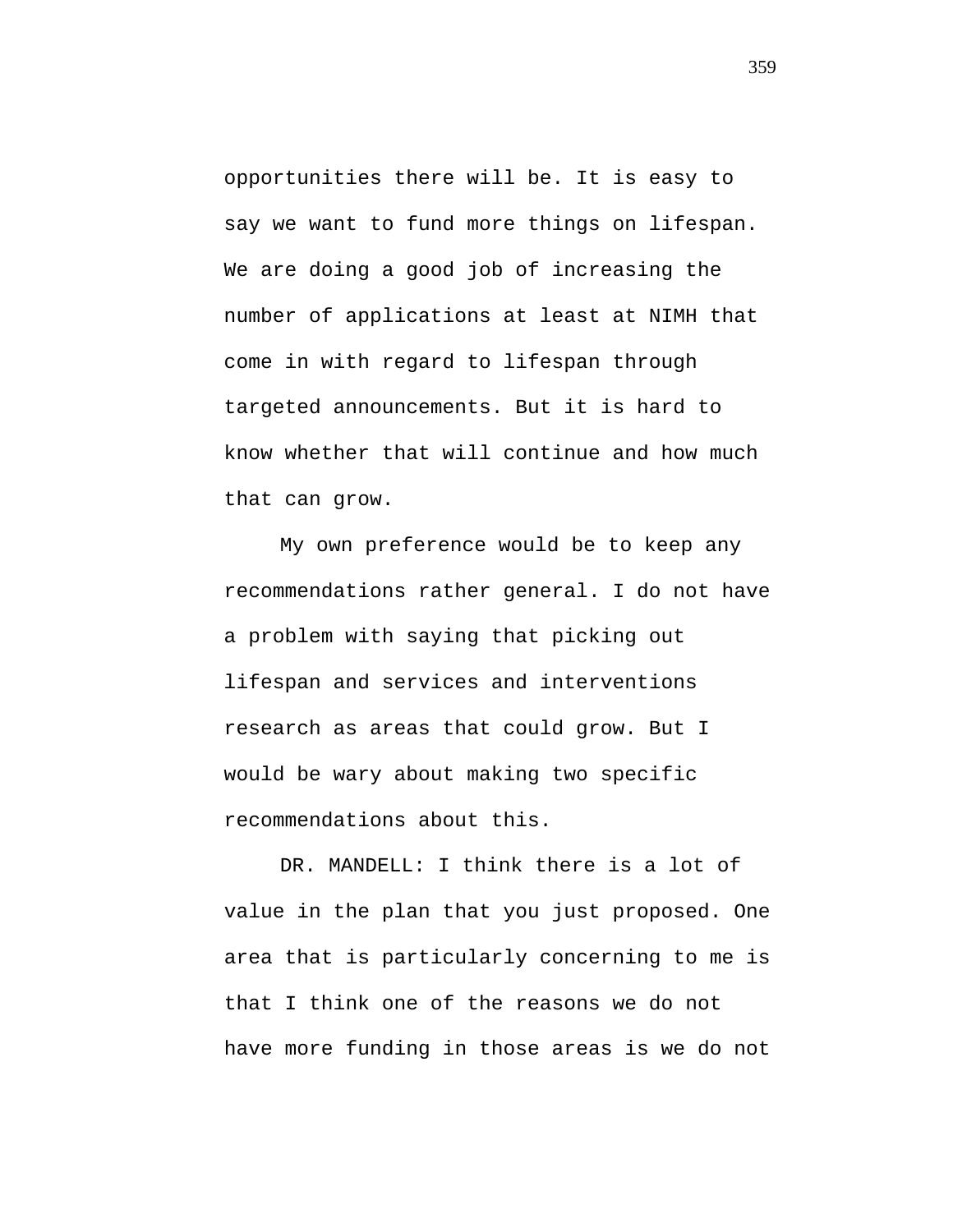opportunities there will be. It is easy to say we want to fund more things on lifespan. We are doing a good job of increasing the number of applications at least at NIMH that come in with regard to lifespan through targeted announcements. But it is hard to know whether that will continue and how much that can grow.

My own preference would be to keep any recommendations rather general. I do not have a problem with saying that picking out lifespan and services and interventions research as areas that could grow. But I would be wary about making two specific recommendations about this.

DR. MANDELL: I think there is a lot of value in the plan that you just proposed. One area that is particularly concerning to me is that I think one of the reasons we do not have more funding in those areas is we do not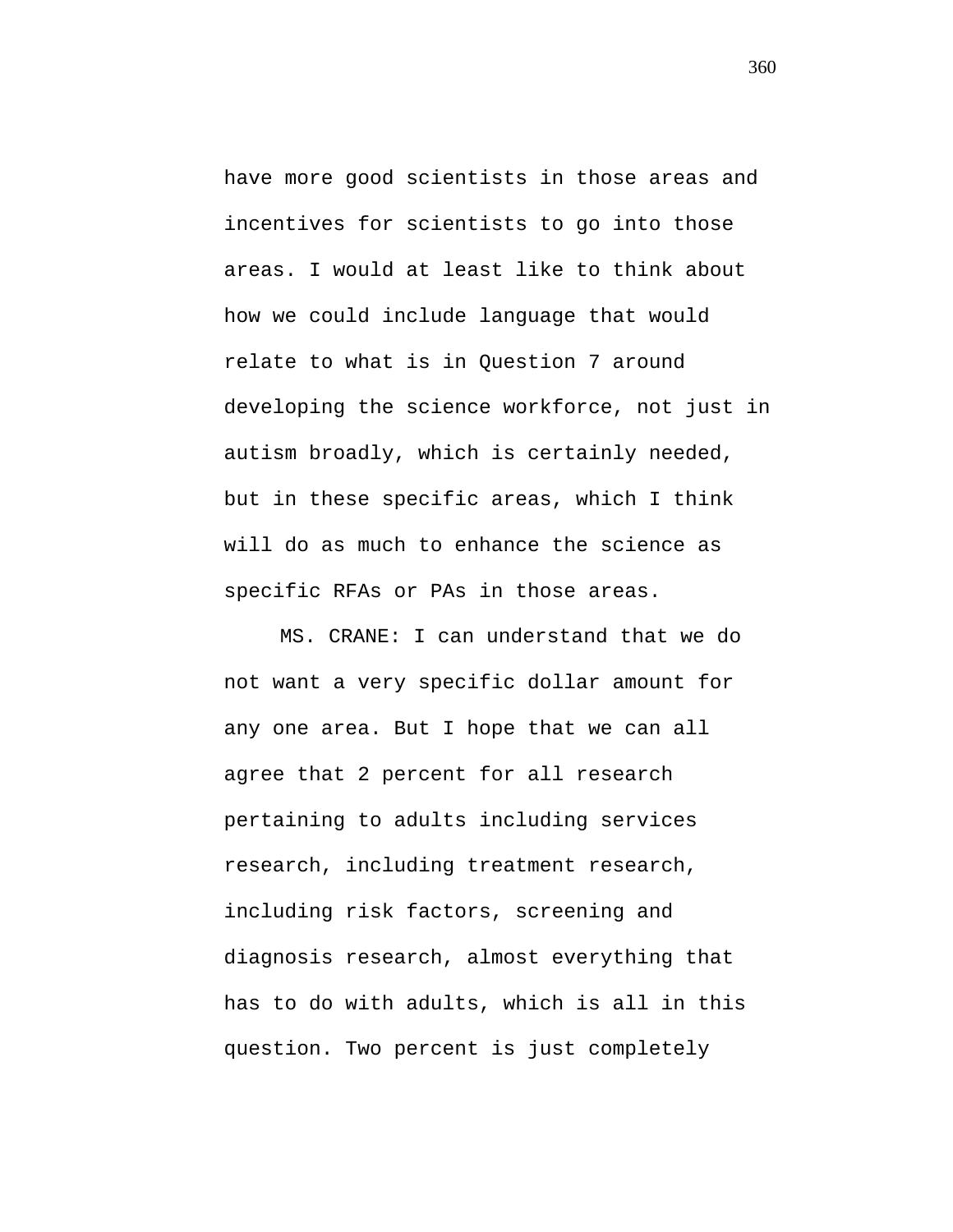have more good scientists in those areas and incentives for scientists to go into those areas. I would at least like to think about how we could include language that would relate to what is in Question 7 around developing the science workforce, not just in autism broadly, which is certainly needed, but in these specific areas, which I think will do as much to enhance the science as specific RFAs or PAs in those areas.

MS. CRANE: I can understand that we do not want a very specific dollar amount for any one area. But I hope that we can all agree that 2 percent for all research pertaining to adults including services research, including treatment research, including risk factors, screening and diagnosis research, almost everything that has to do with adults, which is all in this question. Two percent is just completely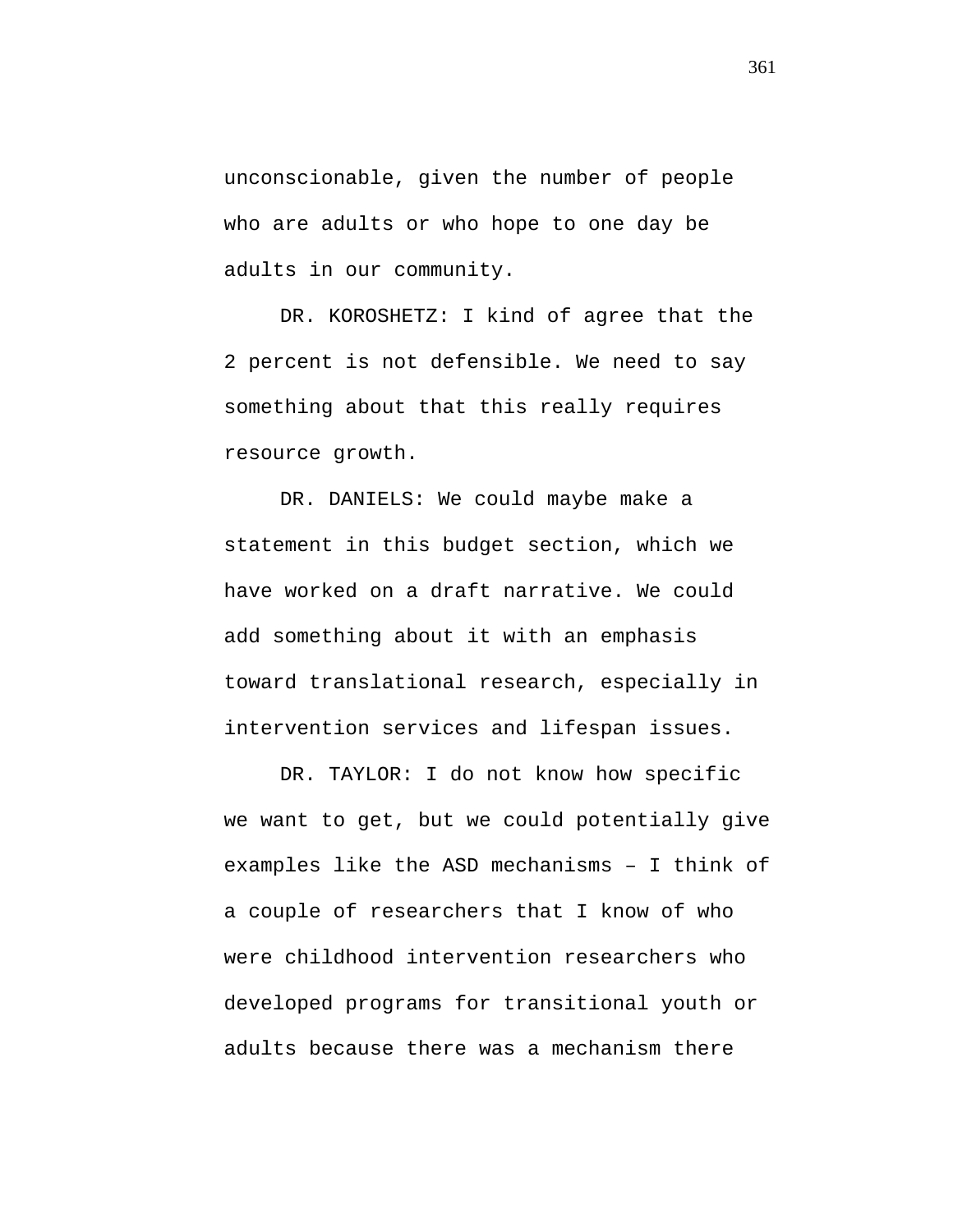unconscionable, given the number of people who are adults or who hope to one day be adults in our community.

DR. KOROSHETZ: I kind of agree that the 2 percent is not defensible. We need to say something about that this really requires resource growth.

DR. DANIELS: We could maybe make a statement in this budget section, which we have worked on a draft narrative. We could add something about it with an emphasis toward translational research, especially in intervention services and lifespan issues.

DR. TAYLOR: I do not know how specific we want to get, but we could potentially give examples like the ASD mechanisms – I think of a couple of researchers that I know of who were childhood intervention researchers who developed programs for transitional youth or adults because there was a mechanism there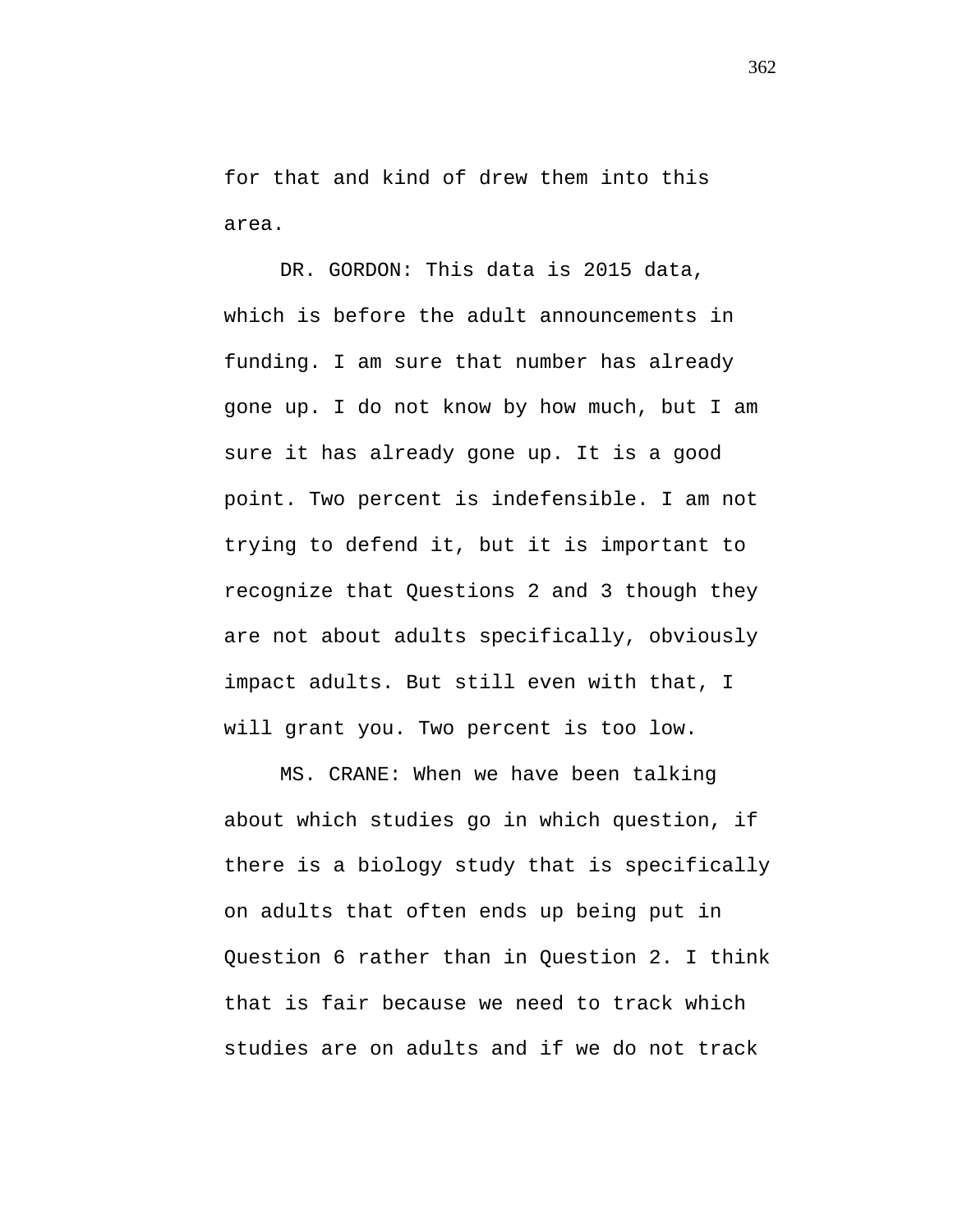for that and kind of drew them into this area.

DR. GORDON: This data is 2015 data, which is before the adult announcements in funding. I am sure that number has already gone up. I do not know by how much, but I am sure it has already gone up. It is a good point. Two percent is indefensible. I am not trying to defend it, but it is important to recognize that Questions 2 and 3 though they are not about adults specifically, obviously impact adults. But still even with that, I will grant you. Two percent is too low.

MS. CRANE: When we have been talking about which studies go in which question, if there is a biology study that is specifically on adults that often ends up being put in Question 6 rather than in Question 2. I think that is fair because we need to track which studies are on adults and if we do not track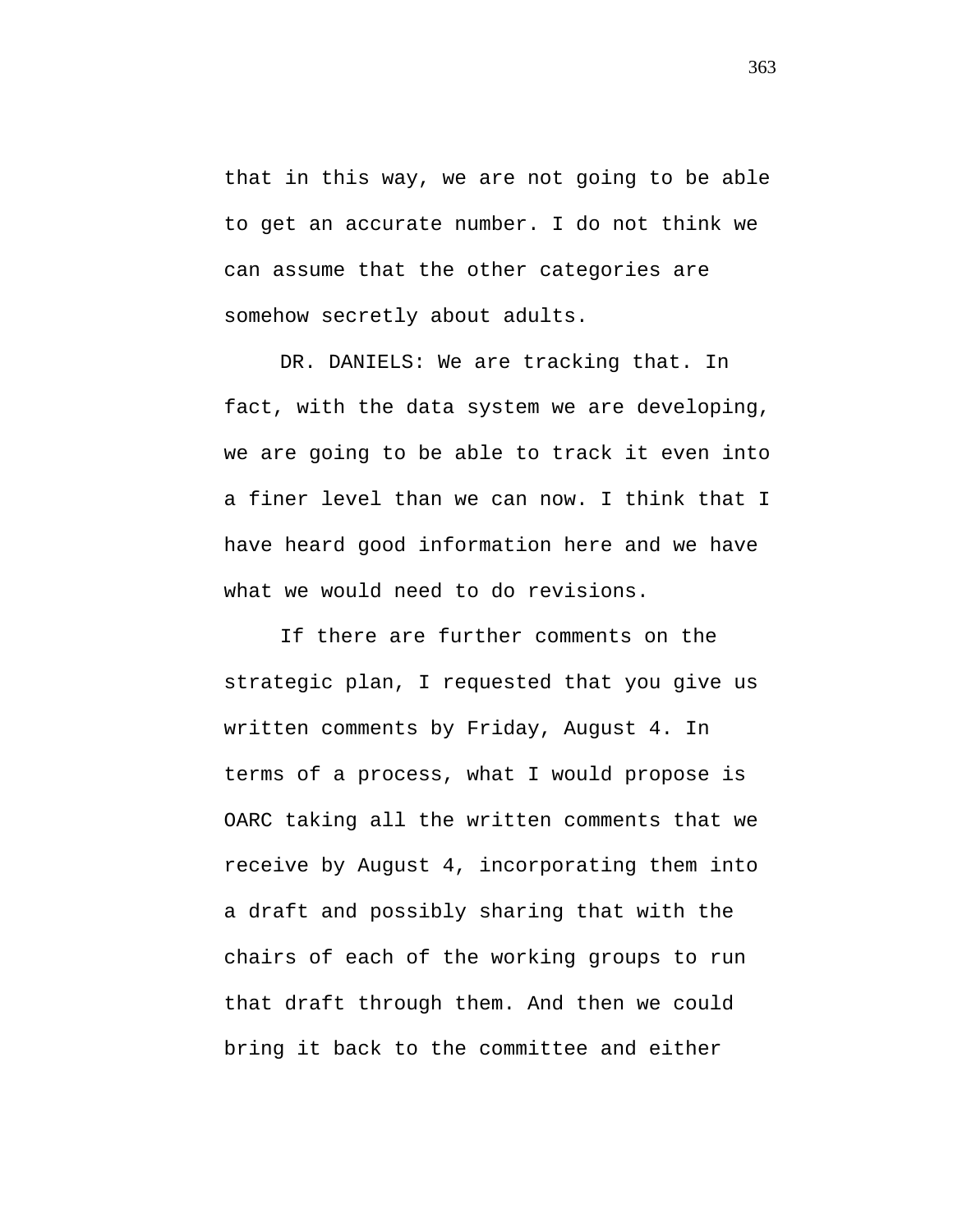that in this way, we are not going to be able to get an accurate number. I do not think we can assume that the other categories are somehow secretly about adults.

DR. DANIELS: We are tracking that. In fact, with the data system we are developing, we are going to be able to track it even into a finer level than we can now. I think that I have heard good information here and we have what we would need to do revisions.

If there are further comments on the strategic plan, I requested that you give us written comments by Friday, August 4. In terms of a process, what I would propose is OARC taking all the written comments that we receive by August 4, incorporating them into a draft and possibly sharing that with the chairs of each of the working groups to run that draft through them. And then we could bring it back to the committee and either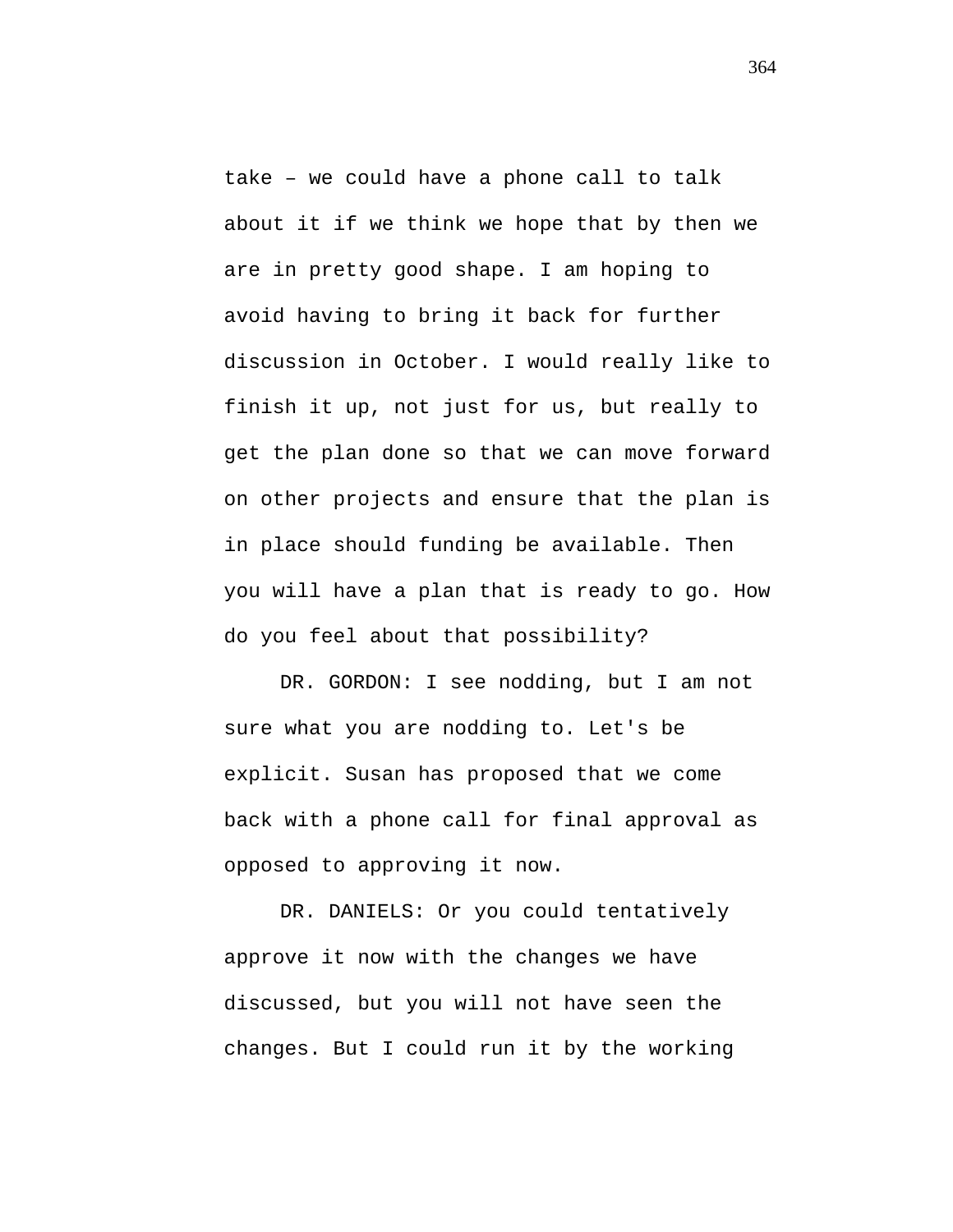take – we could have a phone call to talk about it if we think we hope that by then we are in pretty good shape. I am hoping to avoid having to bring it back for further discussion in October. I would really like to finish it up, not just for us, but really to get the plan done so that we can move forward on other projects and ensure that the plan is in place should funding be available. Then you will have a plan that is ready to go. How do you feel about that possibility?

DR. GORDON: I see nodding, but I am not sure what you are nodding to. Let's be explicit. Susan has proposed that we come back with a phone call for final approval as opposed to approving it now.

DR. DANIELS: Or you could tentatively approve it now with the changes we have discussed, but you will not have seen the changes. But I could run it by the working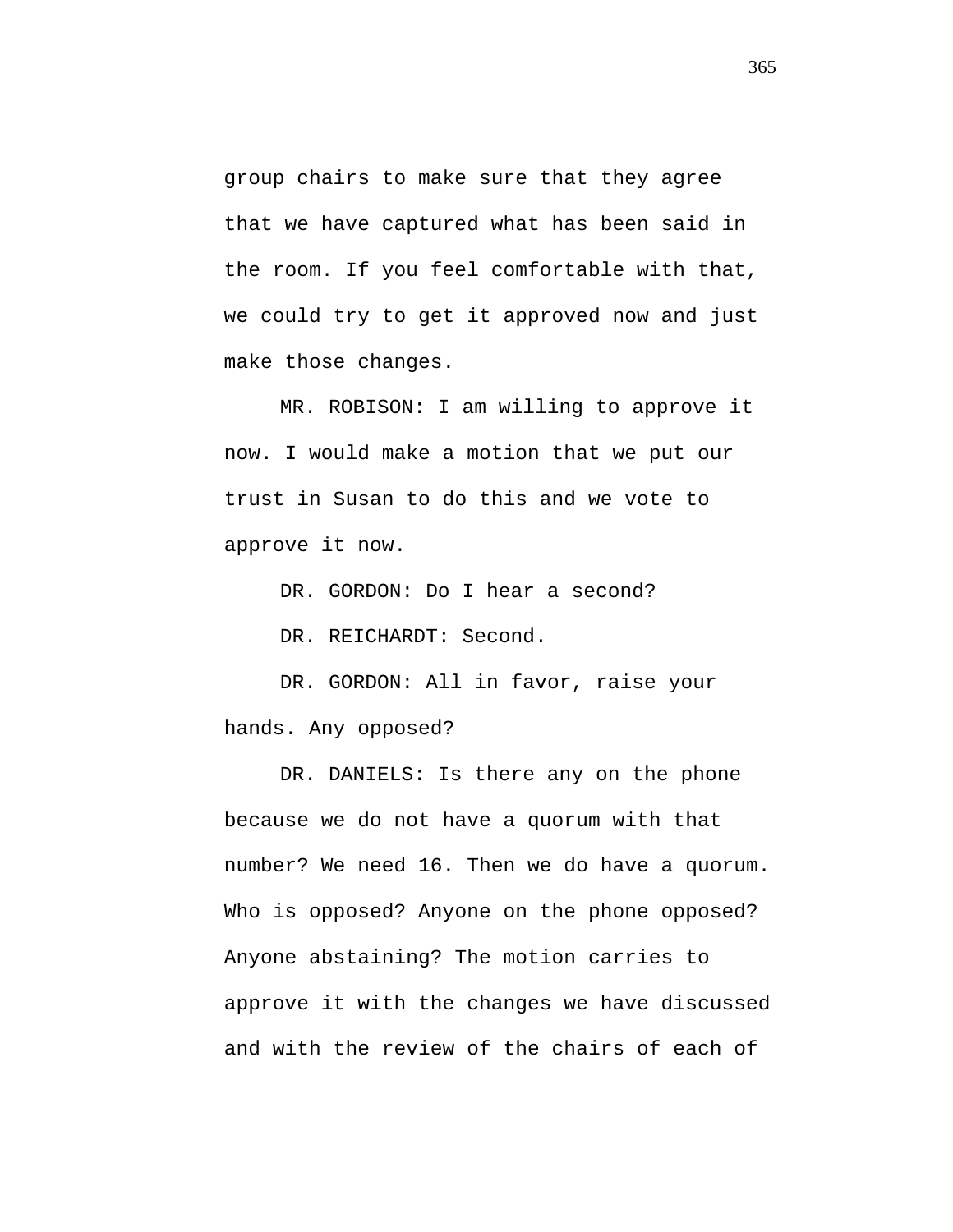group chairs to make sure that they agree that we have captured what has been said in the room. If you feel comfortable with that, we could try to get it approved now and just make those changes.

MR. ROBISON: I am willing to approve it now. I would make a motion that we put our trust in Susan to do this and we vote to approve it now.

DR. GORDON: Do I hear a second?

DR. REICHARDT: Second.

DR. GORDON: All in favor, raise your hands. Any opposed?

DR. DANIELS: Is there any on the phone because we do not have a quorum with that number? We need 16. Then we do have a quorum. Who is opposed? Anyone on the phone opposed? Anyone abstaining? The motion carries to approve it with the changes we have discussed and with the review of the chairs of each of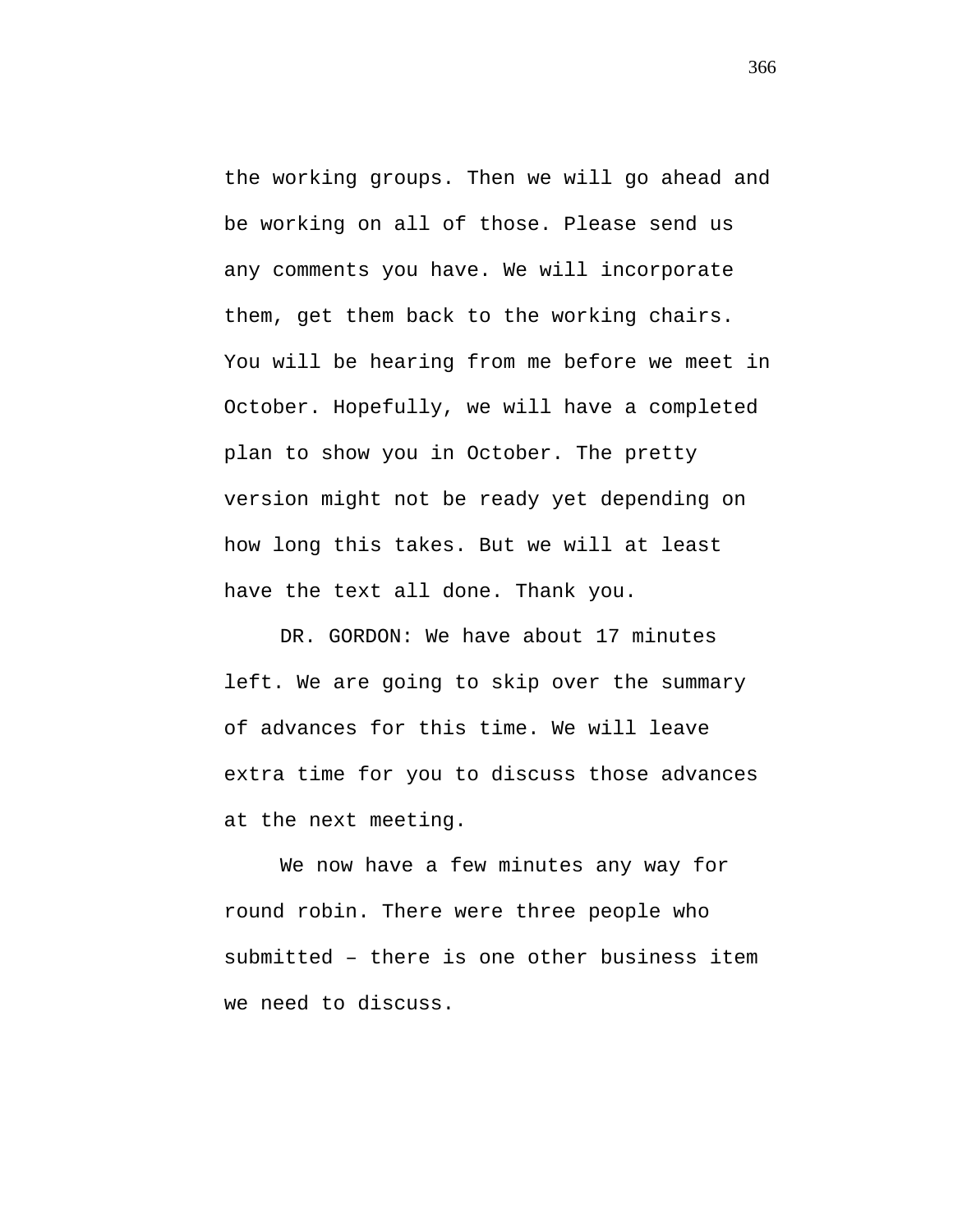the working groups. Then we will go ahead and be working on all of those. Please send us any comments you have. We will incorporate them, get them back to the working chairs. You will be hearing from me before we meet in October. Hopefully, we will have a completed plan to show you in October. The pretty version might not be ready yet depending on how long this takes. But we will at least have the text all done. Thank you.

DR. GORDON: We have about 17 minutes left. We are going to skip over the summary of advances for this time. We will leave extra time for you to discuss those advances at the next meeting.

We now have a few minutes any way for round robin. There were three people who submitted – there is one other business item we need to discuss.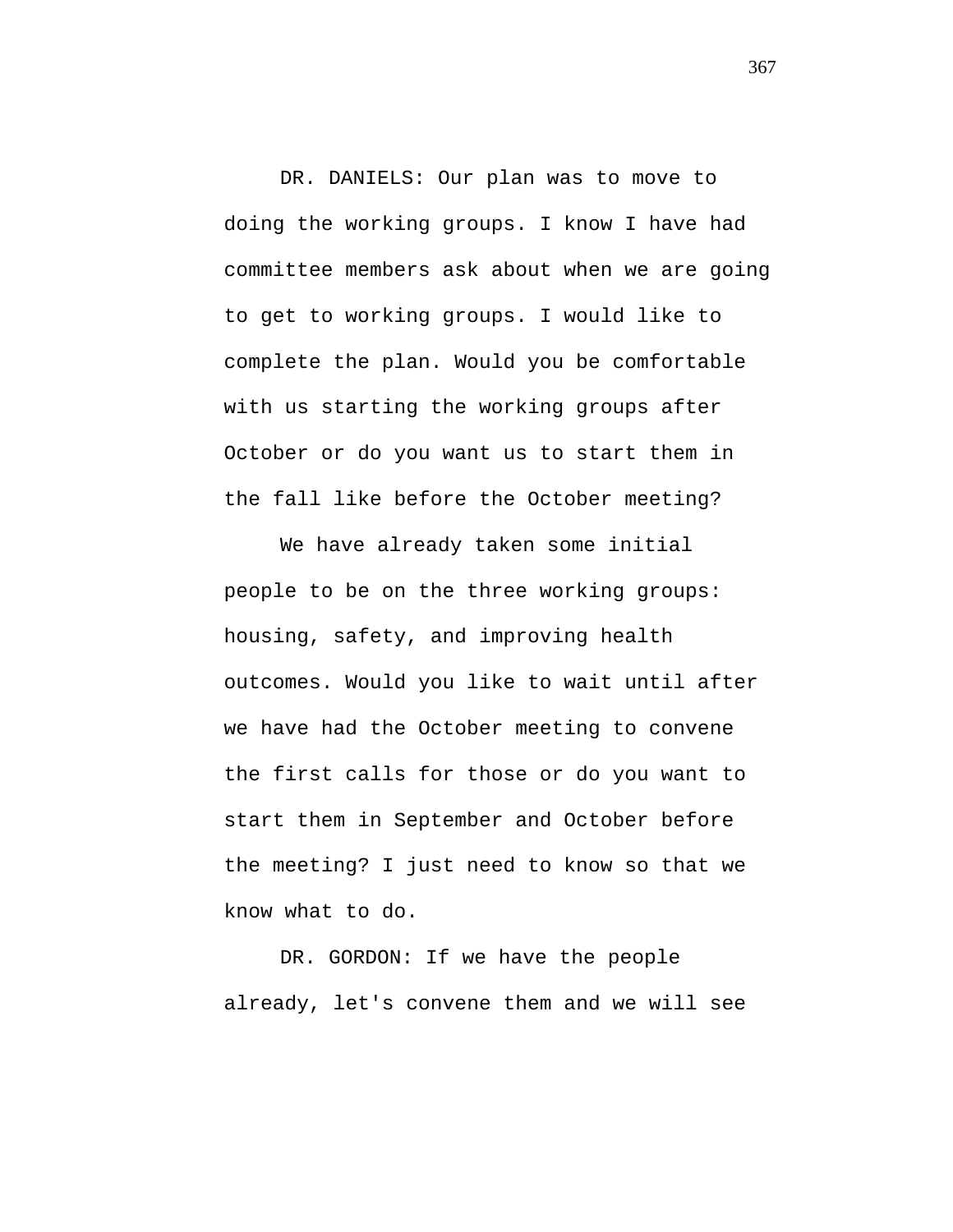DR. DANIELS: Our plan was to move to doing the working groups. I know I have had committee members ask about when we are going to get to working groups. I would like to complete the plan. Would you be comfortable with us starting the working groups after October or do you want us to start them in the fall like before the October meeting?

We have already taken some initial people to be on the three working groups: housing, safety, and improving health outcomes. Would you like to wait until after we have had the October meeting to convene the first calls for those or do you want to start them in September and October before the meeting? I just need to know so that we know what to do.

DR. GORDON: If we have the people already, let's convene them and we will see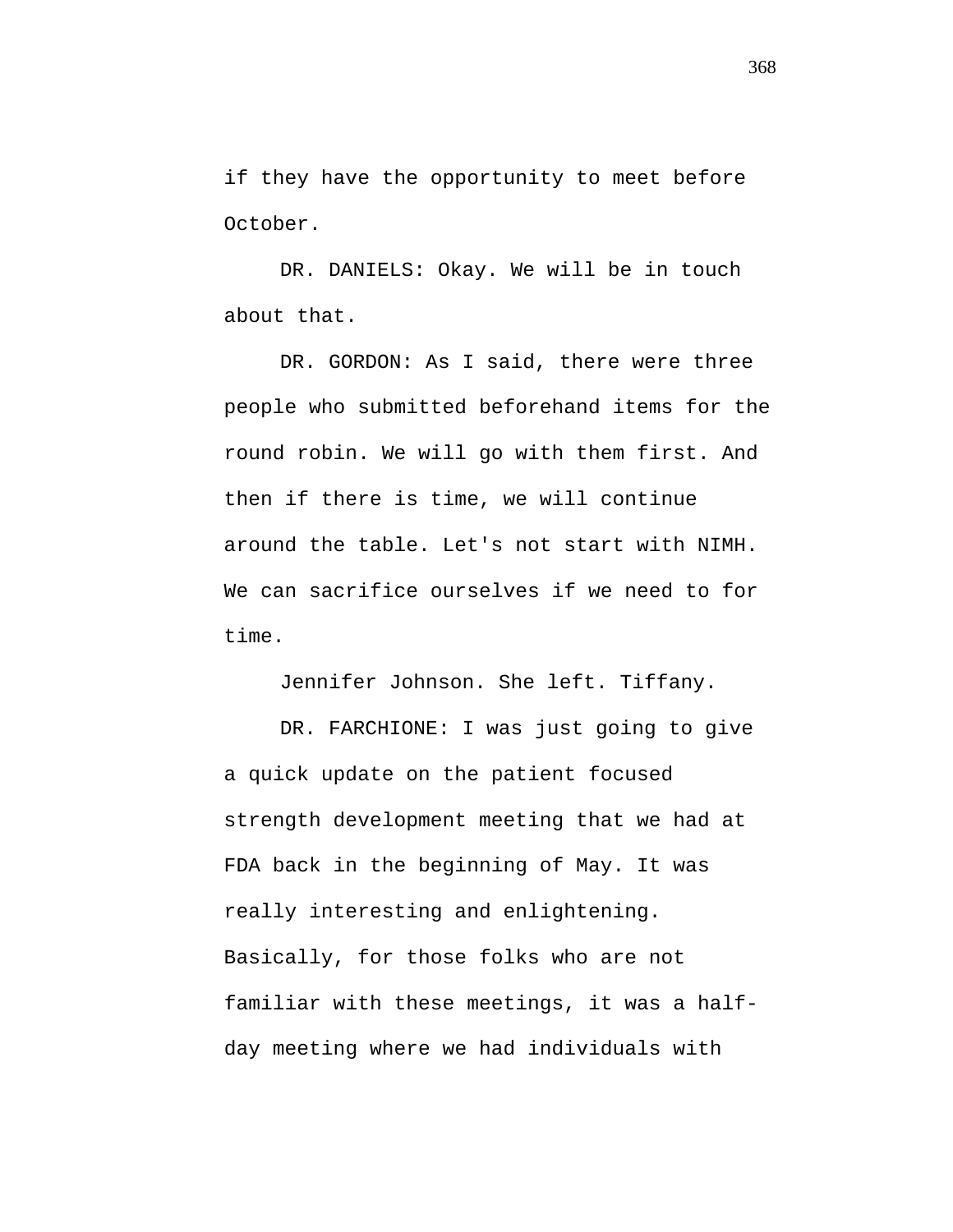if they have the opportunity to meet before October.

DR. DANIELS: Okay. We will be in touch about that.

DR. GORDON: As I said, there were three people who submitted beforehand items for the round robin. We will go with them first. And then if there is time, we will continue around the table. Let's not start with NIMH. We can sacrifice ourselves if we need to for time.

Jennifer Johnson. She left. Tiffany.

DR. FARCHIONE: I was just going to give a quick update on the patient focused strength development meeting that we had at FDA back in the beginning of May. It was really interesting and enlightening. Basically, for those folks who are not familiar with these meetings, it was a halfday meeting where we had individuals with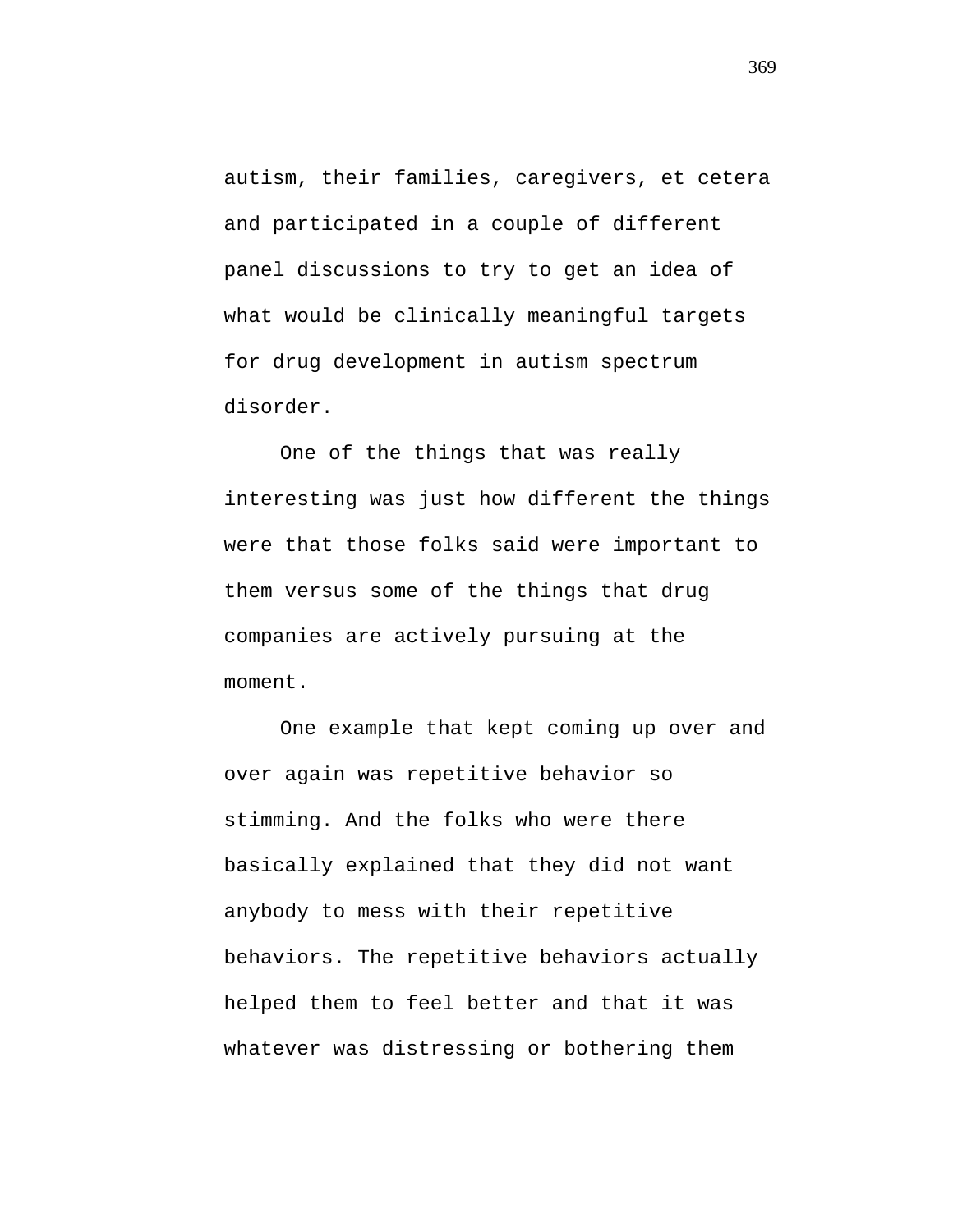autism, their families, caregivers, et cetera and participated in a couple of different panel discussions to try to get an idea of what would be clinically meaningful targets for drug development in autism spectrum disorder.

One of the things that was really interesting was just how different the things were that those folks said were important to them versus some of the things that drug companies are actively pursuing at the moment.

One example that kept coming up over and over again was repetitive behavior so stimming. And the folks who were there basically explained that they did not want anybody to mess with their repetitive behaviors. The repetitive behaviors actually helped them to feel better and that it was whatever was distressing or bothering them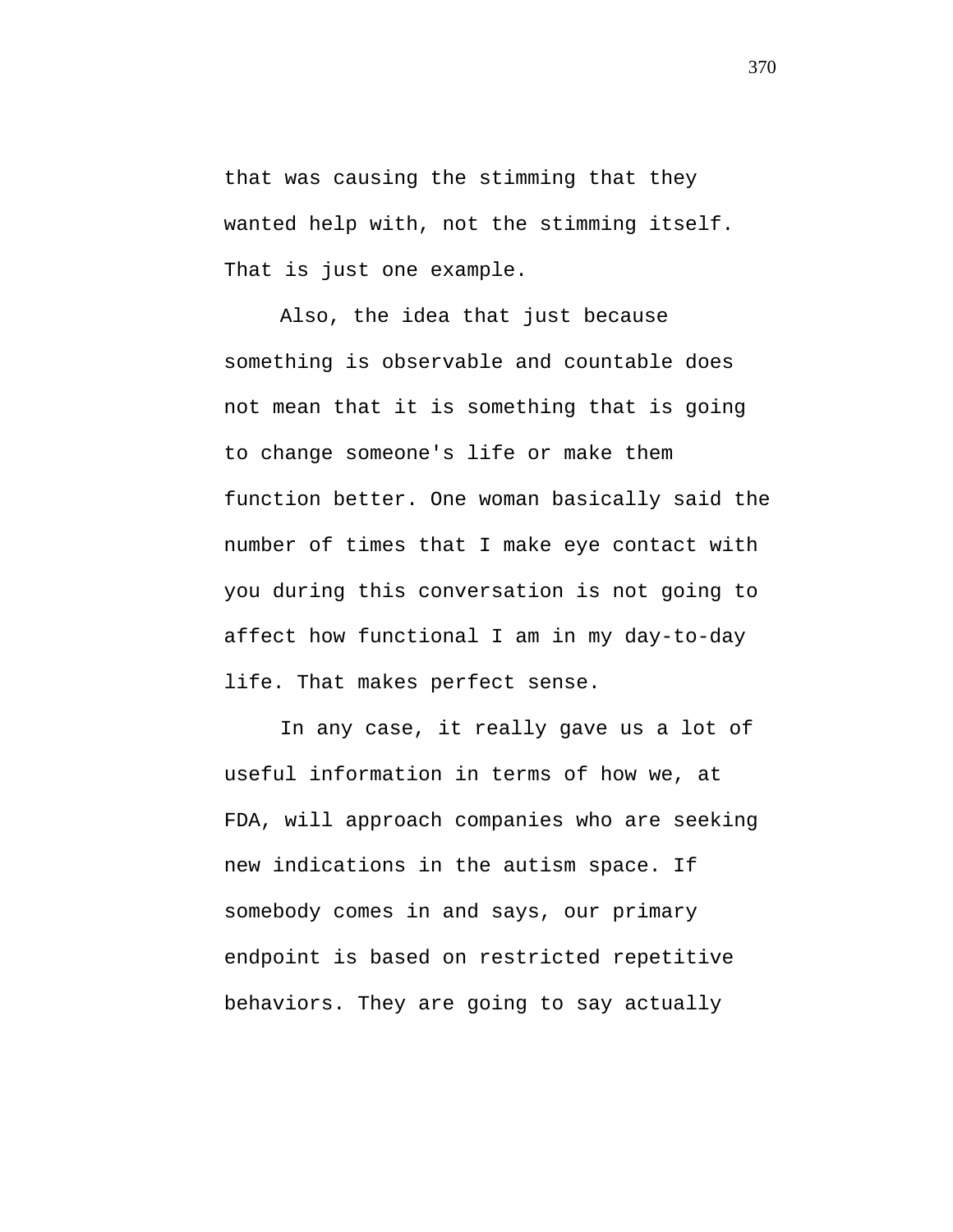that was causing the stimming that they wanted help with, not the stimming itself. That is just one example.

Also, the idea that just because something is observable and countable does not mean that it is something that is going to change someone's life or make them function better. One woman basically said the number of times that I make eye contact with you during this conversation is not going to affect how functional I am in my day-to-day life. That makes perfect sense.

In any case, it really gave us a lot of useful information in terms of how we, at FDA, will approach companies who are seeking new indications in the autism space. If somebody comes in and says, our primary endpoint is based on restricted repetitive behaviors. They are going to say actually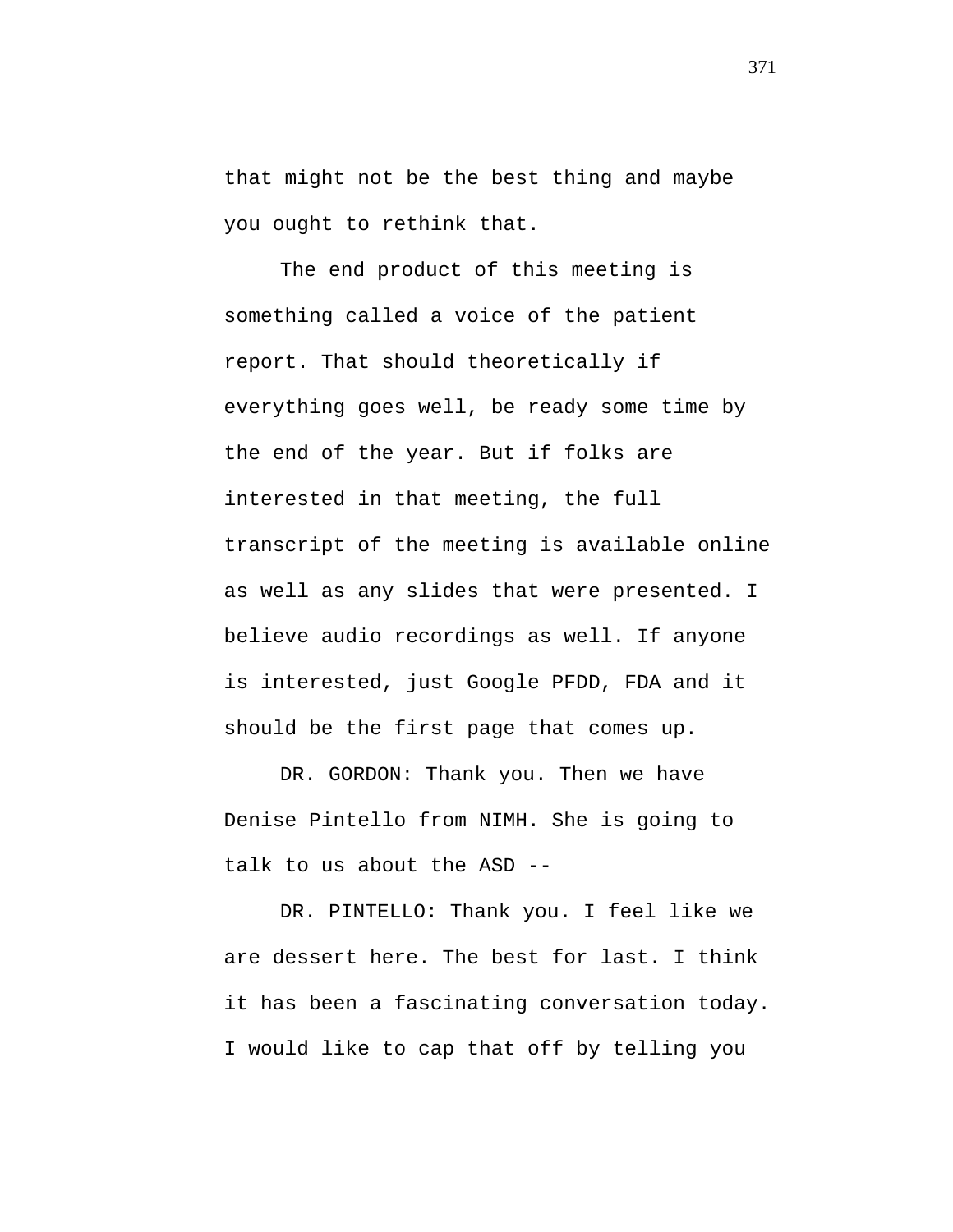that might not be the best thing and maybe you ought to rethink that.

The end product of this meeting is something called a voice of the patient report. That should theoretically if everything goes well, be ready some time by the end of the year. But if folks are interested in that meeting, the full transcript of the meeting is available online as well as any slides that were presented. I believe audio recordings as well. If anyone is interested, just Google PFDD, FDA and it should be the first page that comes up.

DR. GORDON: Thank you. Then we have Denise Pintello from NIMH. She is going to talk to us about the ASD --

DR. PINTELLO: Thank you. I feel like we are dessert here. The best for last. I think it has been a fascinating conversation today. I would like to cap that off by telling you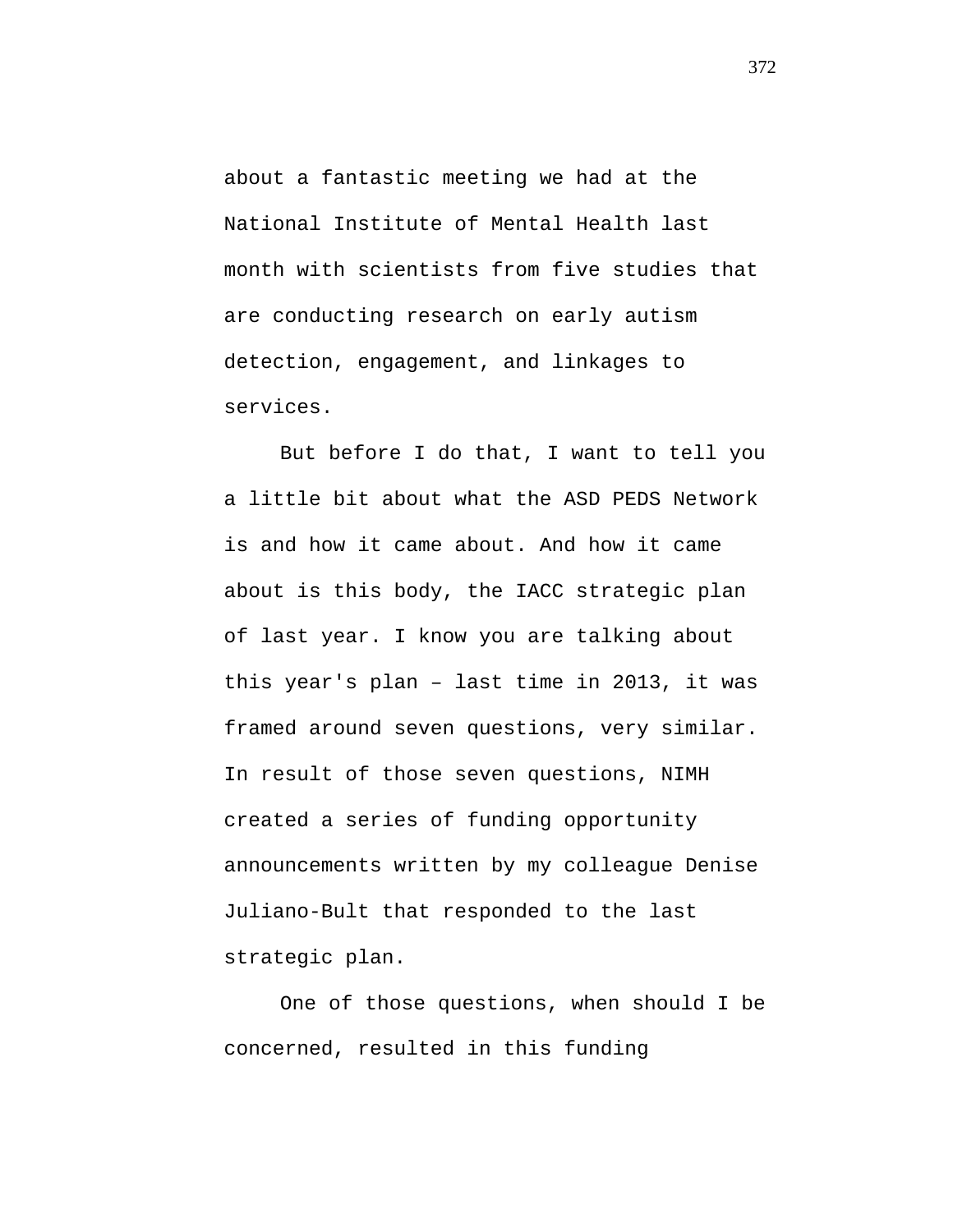about a fantastic meeting we had at the National Institute of Mental Health last month with scientists from five studies that are conducting research on early autism detection, engagement, and linkages to services.

But before I do that, I want to tell you a little bit about what the ASD PEDS Network is and how it came about. And how it came about is this body, the IACC strategic plan of last year. I know you are talking about this year's plan – last time in 2013, it was framed around seven questions, very similar. In result of those seven questions, NIMH created a series of funding opportunity announcements written by my colleague Denise Juliano-Bult that responded to the last strategic plan.

One of those questions, when should I be concerned, resulted in this funding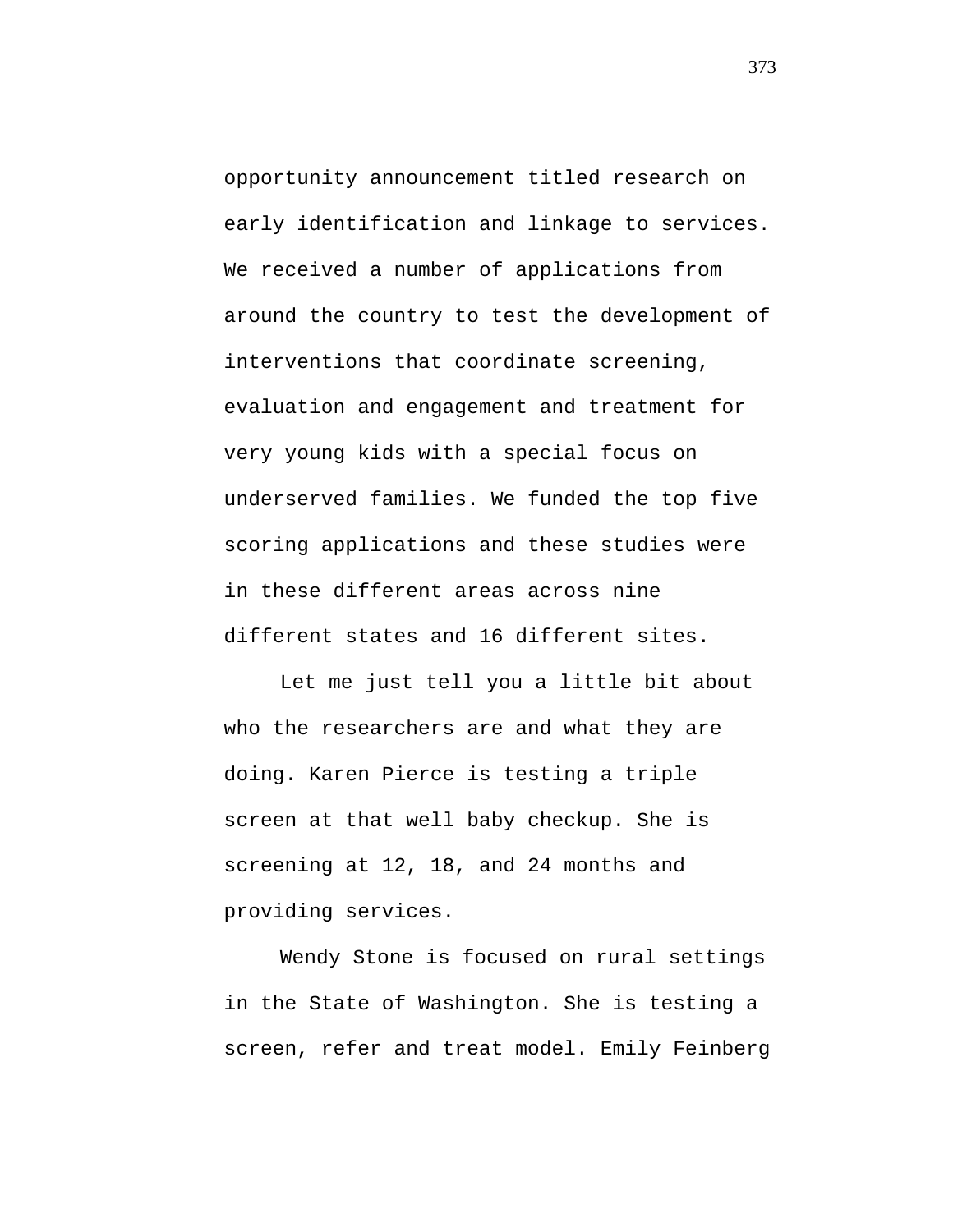opportunity announcement titled research on early identification and linkage to services. We received a number of applications from around the country to test the development of interventions that coordinate screening, evaluation and engagement and treatment for very young kids with a special focus on underserved families. We funded the top five scoring applications and these studies were in these different areas across nine different states and 16 different sites.

Let me just tell you a little bit about who the researchers are and what they are doing. Karen Pierce is testing a triple screen at that well baby checkup. She is screening at 12, 18, and 24 months and providing services.

Wendy Stone is focused on rural settings in the State of Washington. She is testing a screen, refer and treat model. Emily Feinberg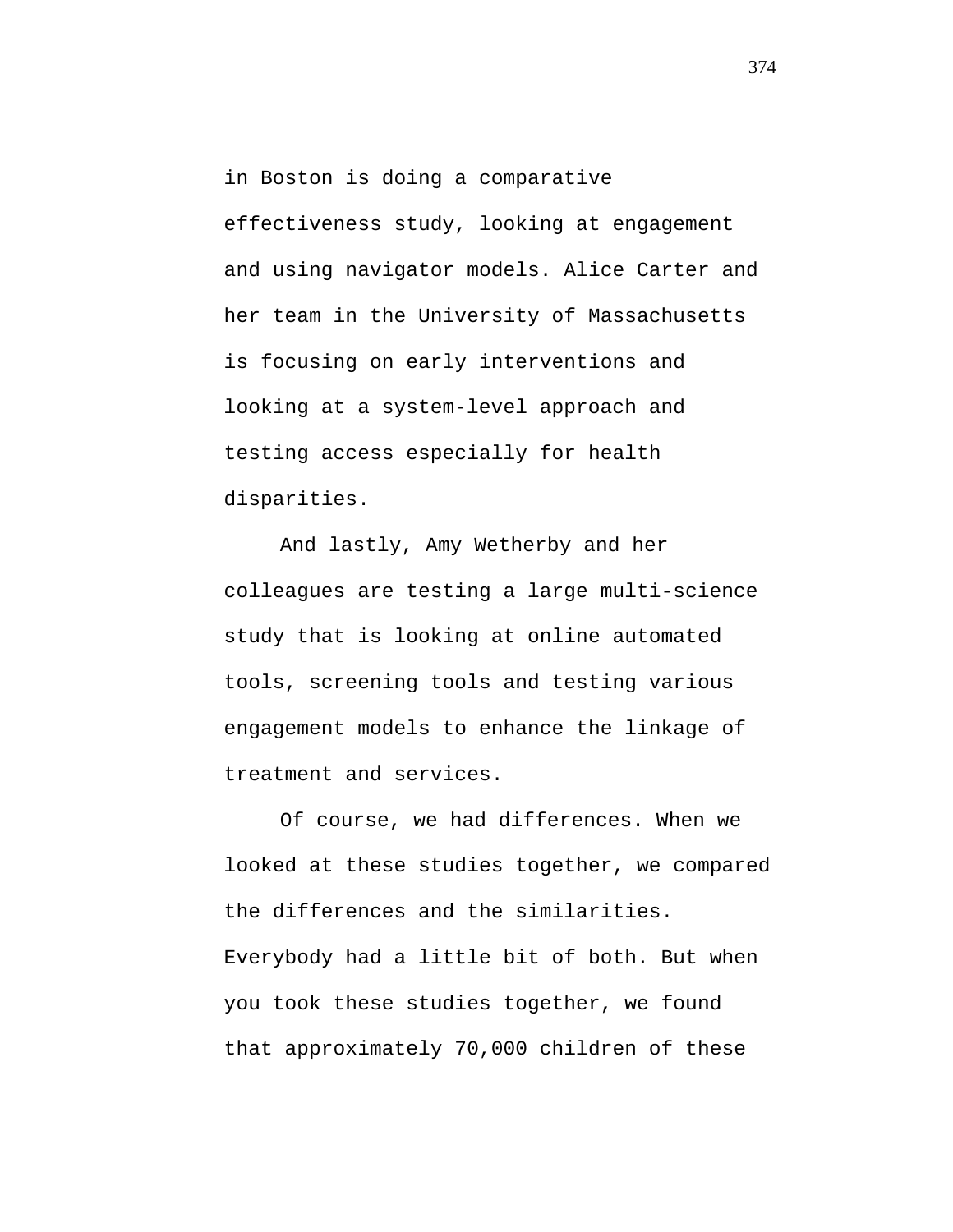in Boston is doing a comparative effectiveness study, looking at engagement and using navigator models. Alice Carter and her team in the University of Massachusetts is focusing on early interventions and looking at a system-level approach and testing access especially for health disparities.

And lastly, Amy Wetherby and her colleagues are testing a large multi-science study that is looking at online automated tools, screening tools and testing various engagement models to enhance the linkage of treatment and services.

Of course, we had differences. When we looked at these studies together, we compared the differences and the similarities. Everybody had a little bit of both. But when you took these studies together, we found that approximately 70,000 children of these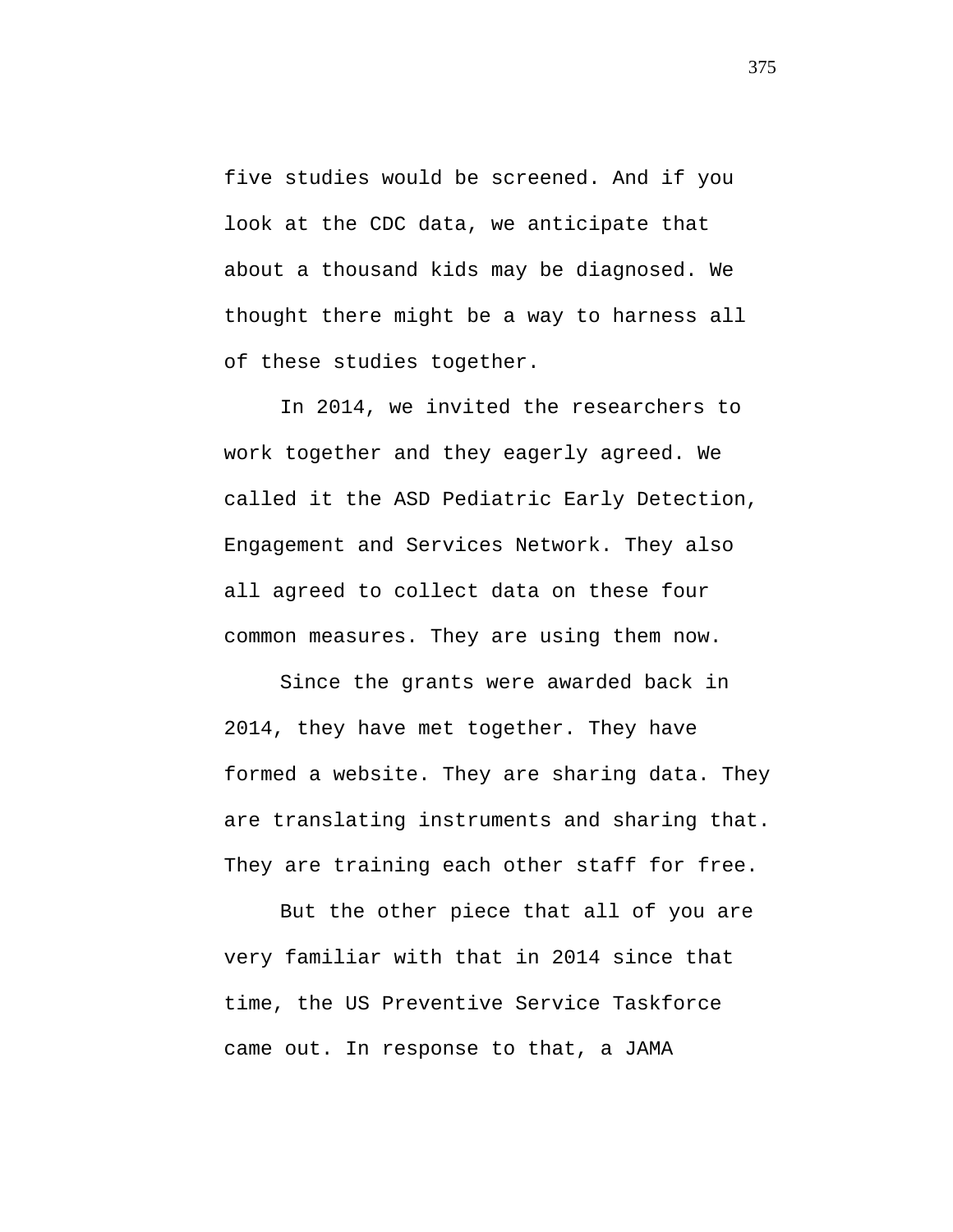five studies would be screened. And if you look at the CDC data, we anticipate that about a thousand kids may be diagnosed. We thought there might be a way to harness all of these studies together.

In 2014, we invited the researchers to work together and they eagerly agreed. We called it the ASD Pediatric Early Detection, Engagement and Services Network. They also all agreed to collect data on these four common measures. They are using them now.

Since the grants were awarded back in 2014, they have met together. They have formed a website. They are sharing data. They are translating instruments and sharing that. They are training each other staff for free.

But the other piece that all of you are very familiar with that in 2014 since that time, the US Preventive Service Taskforce came out. In response to that, a JAMA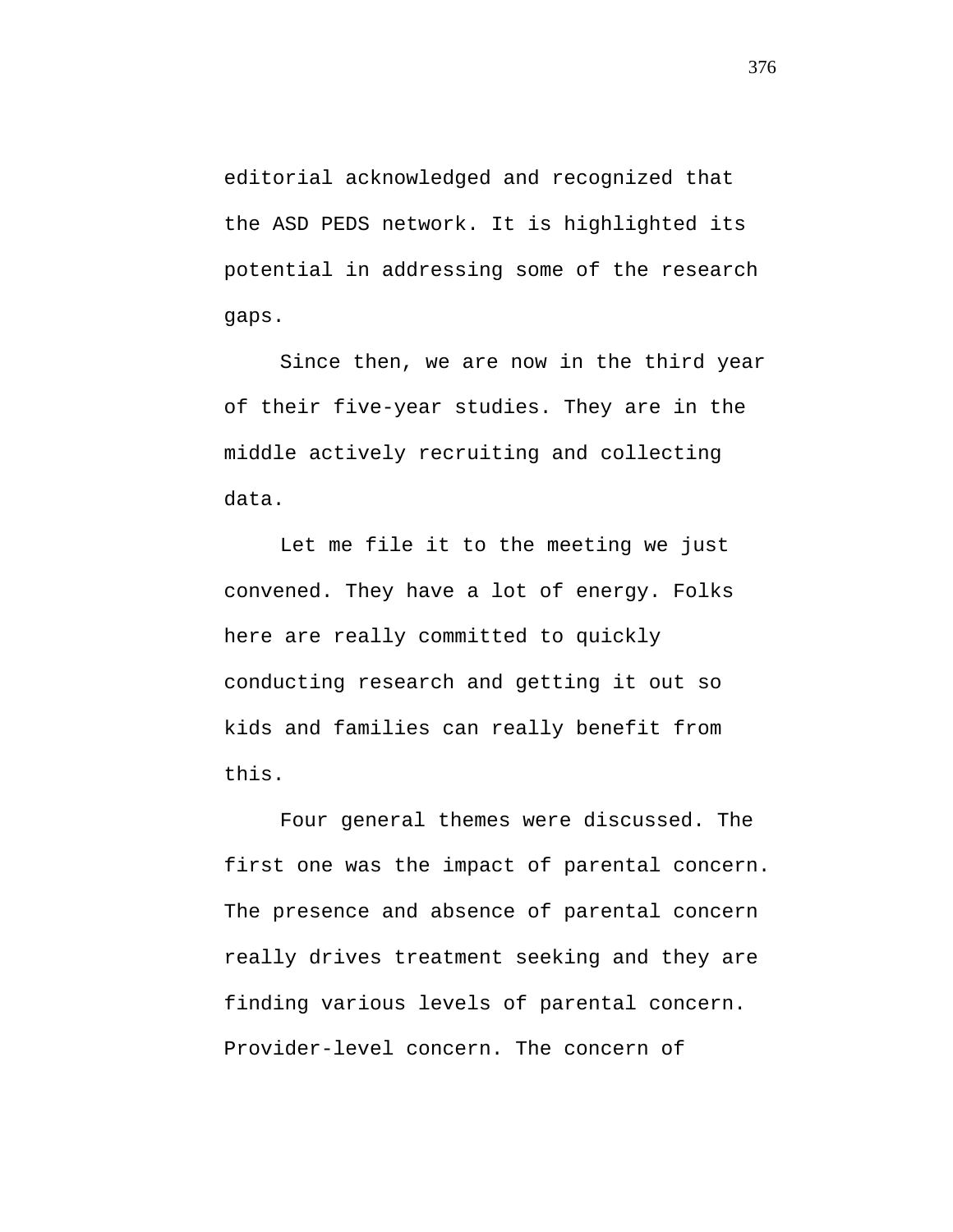editorial acknowledged and recognized that the ASD PEDS network. It is highlighted its potential in addressing some of the research gaps.

Since then, we are now in the third year of their five-year studies. They are in the middle actively recruiting and collecting data.

Let me file it to the meeting we just convened. They have a lot of energy. Folks here are really committed to quickly conducting research and getting it out so kids and families can really benefit from this.

Four general themes were discussed. The first one was the impact of parental concern. The presence and absence of parental concern really drives treatment seeking and they are finding various levels of parental concern. Provider-level concern. The concern of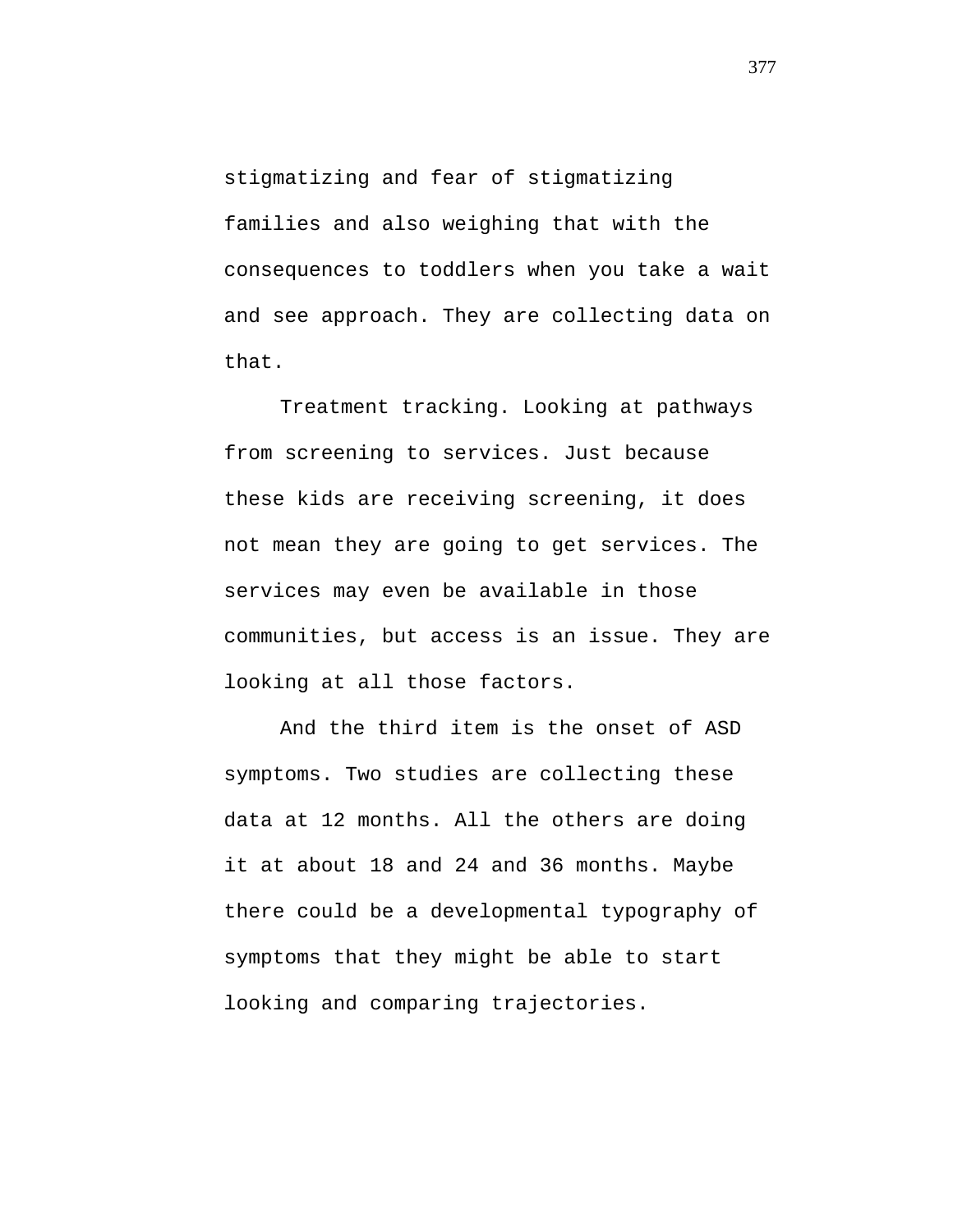stigmatizing and fear of stigmatizing families and also weighing that with the consequences to toddlers when you take a wait and see approach. They are collecting data on that.

Treatment tracking. Looking at pathways from screening to services. Just because these kids are receiving screening, it does not mean they are going to get services. The services may even be available in those communities, but access is an issue. They are looking at all those factors.

And the third item is the onset of ASD symptoms. Two studies are collecting these data at 12 months. All the others are doing it at about 18 and 24 and 36 months. Maybe there could be a developmental typography of symptoms that they might be able to start looking and comparing trajectories.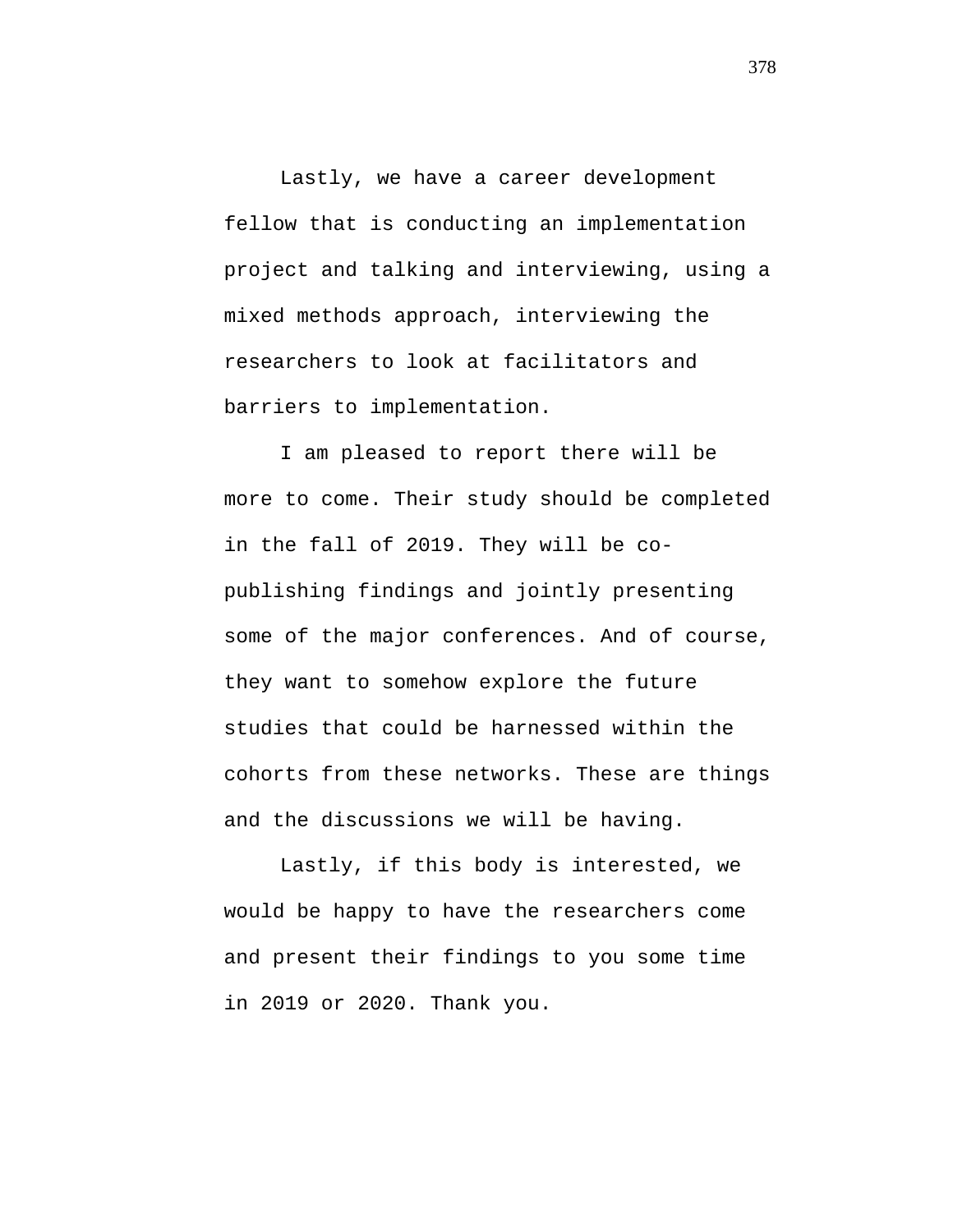Lastly, we have a career development fellow that is conducting an implementation project and talking and interviewing, using a mixed methods approach, interviewing the researchers to look at facilitators and barriers to implementation.

I am pleased to report there will be more to come. Their study should be completed in the fall of 2019. They will be copublishing findings and jointly presenting some of the major conferences. And of course, they want to somehow explore the future studies that could be harnessed within the cohorts from these networks. These are things and the discussions we will be having.

Lastly, if this body is interested, we would be happy to have the researchers come and present their findings to you some time in 2019 or 2020. Thank you.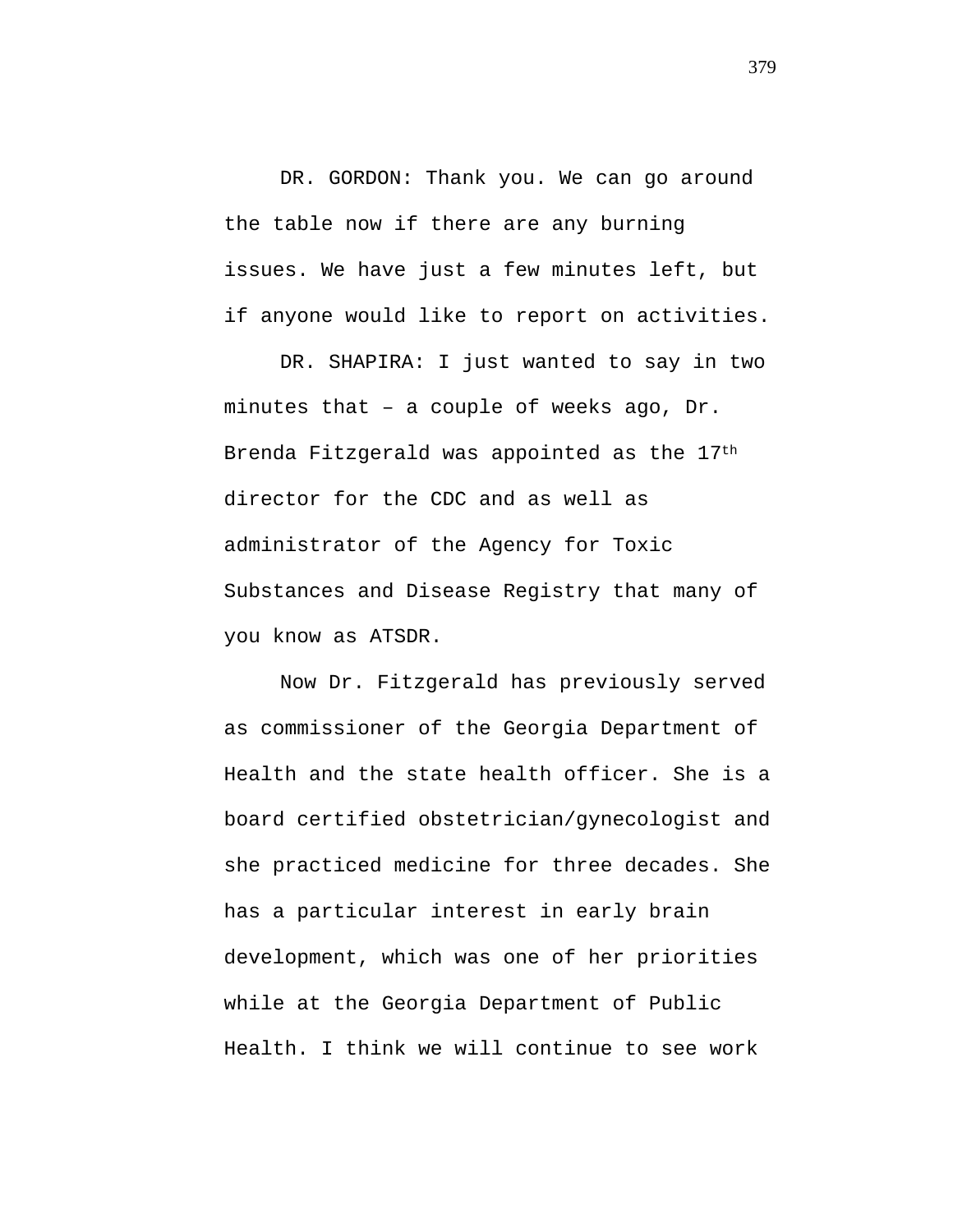DR. GORDON: Thank you. We can go around the table now if there are any burning issues. We have just a few minutes left, but if anyone would like to report on activities.

DR. SHAPIRA: I just wanted to say in two minutes that – a couple of weeks ago, Dr. Brenda Fitzgerald was appointed as the 17th director for the CDC and as well as administrator of the Agency for Toxic Substances and Disease Registry that many of you know as ATSDR.

Now Dr. Fitzgerald has previously served as commissioner of the Georgia Department of Health and the state health officer. She is a board certified obstetrician/gynecologist and she practiced medicine for three decades. She has a particular interest in early brain development, which was one of her priorities while at the Georgia Department of Public Health. I think we will continue to see work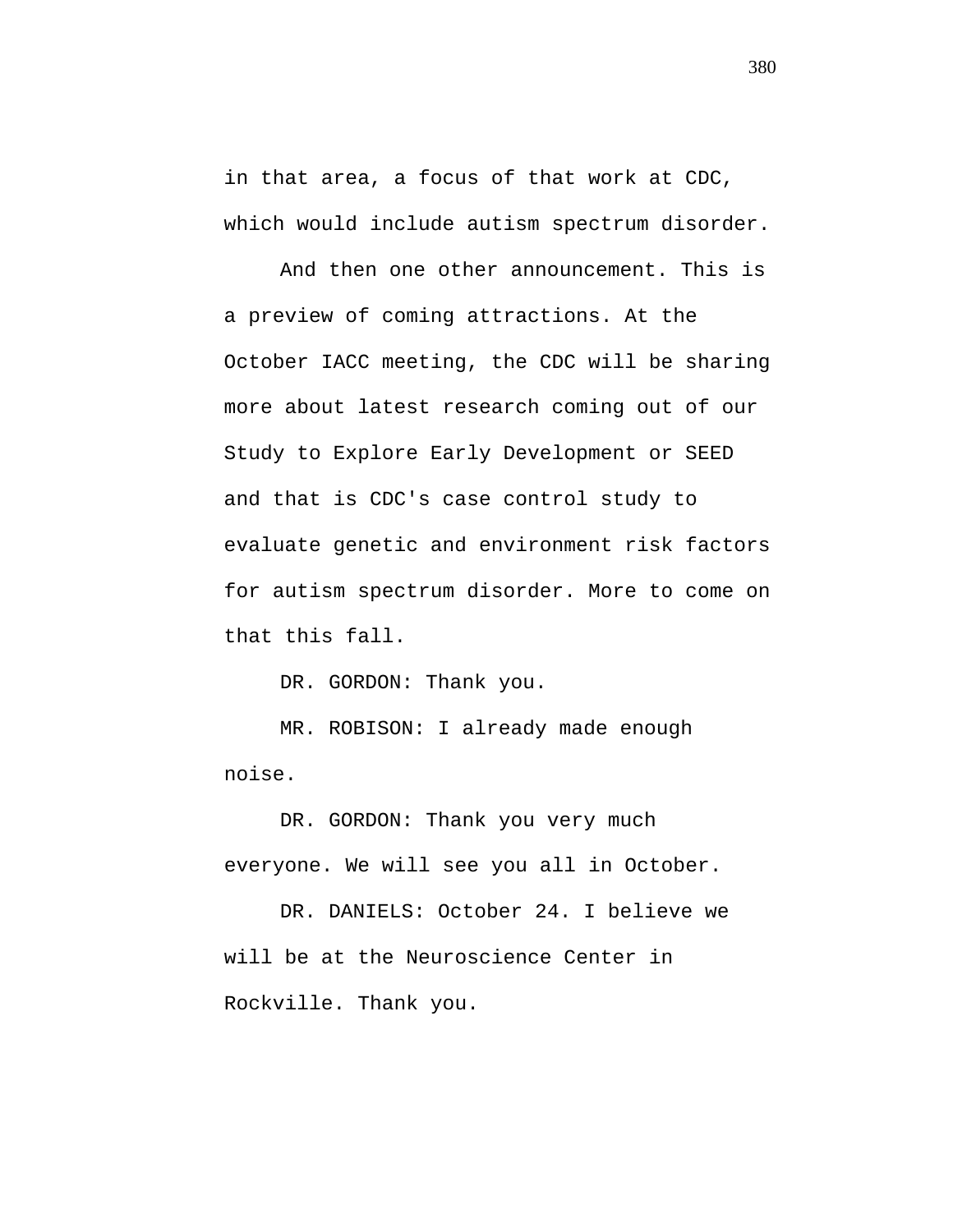in that area, a focus of that work at CDC, which would include autism spectrum disorder.

And then one other announcement. This is a preview of coming attractions. At the October IACC meeting, the CDC will be sharing more about latest research coming out of our Study to Explore Early Development or SEED and that is CDC's case control study to evaluate genetic and environment risk factors for autism spectrum disorder. More to come on that this fall.

DR. GORDON: Thank you.

MR. ROBISON: I already made enough noise.

DR. GORDON: Thank you very much everyone. We will see you all in October.

DR. DANIELS: October 24. I believe we will be at the Neuroscience Center in Rockville. Thank you.